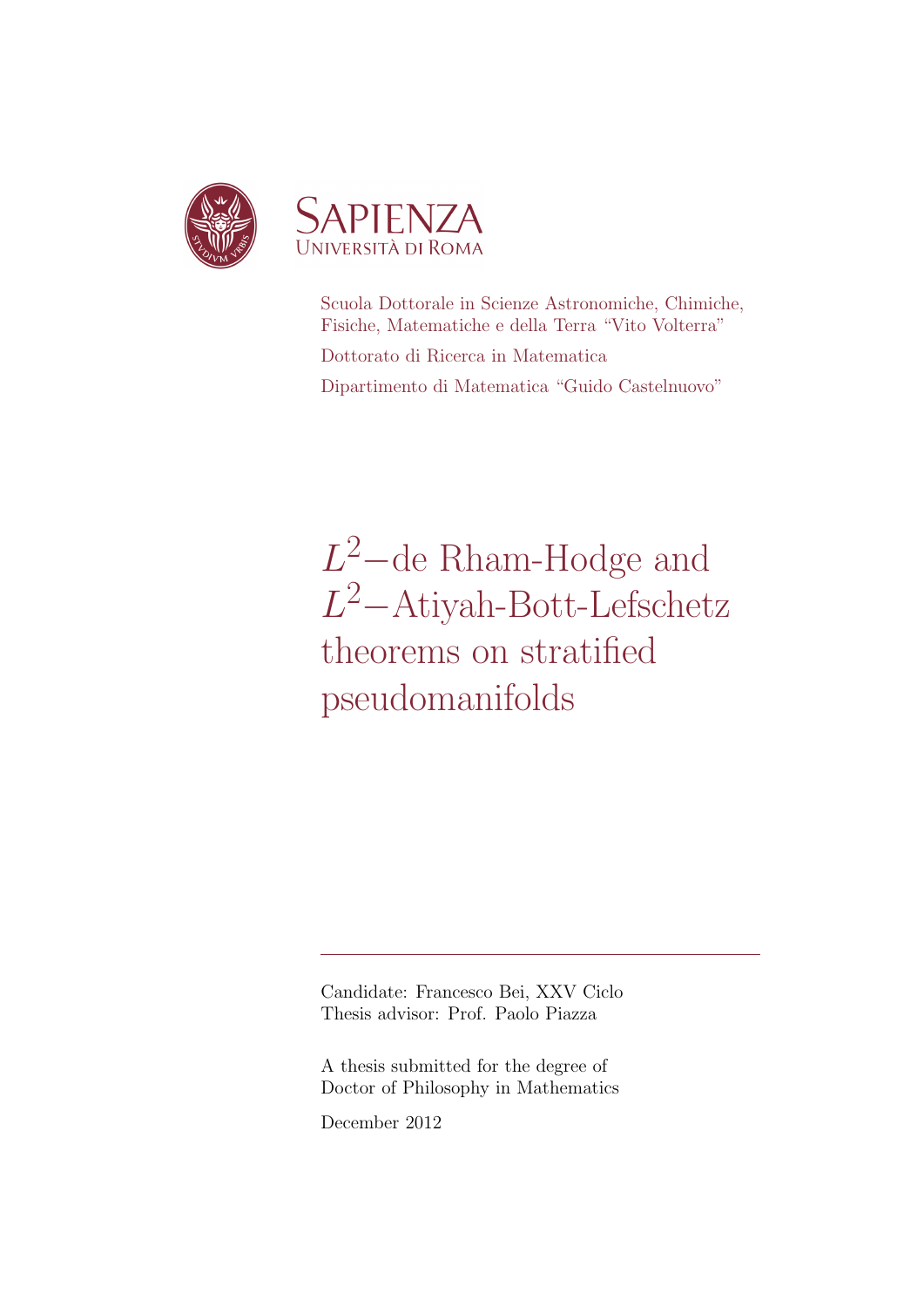

Scuola Dottorale in Scienze Astronomiche, Chimiche, Fisiche, Matematiche e della Terra "Vito Volterra" Dottorato di Ricerca in Matematica Dipartimento di Matematica "Guido Castelnuovo"

 $L^2$ -de Rham-Hodge and L <sup>2</sup>−Atiyah-Bott-Lefschetz theorems on stratified pseudomanifolds

Candidate: Francesco Bei, XXV Ciclo Thesis advisor: Prof. Paolo Piazza

A thesis submitted for the degree of Doctor of Philosophy in Mathematics

December 2012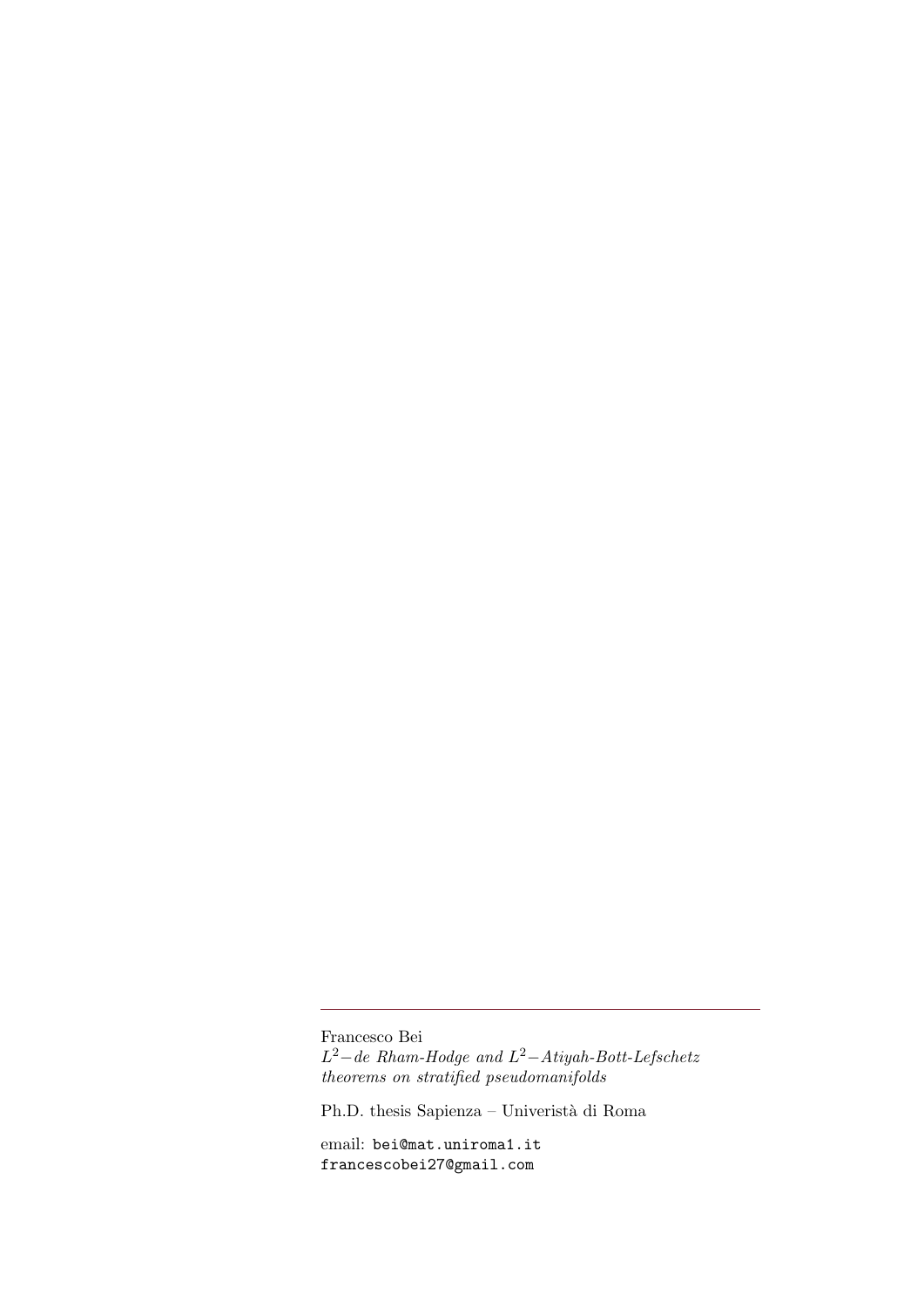Francesco Bei  $L^2$  – de Rham-Hodge and  $L^2$  – Atiyah-Bott-Lefschetz theorems on stratified pseudomanifolds

Ph.D. thesis Sapienza – Univeristà di Roma

email: bei@mat.uniroma1.it francescobei27@gmail.com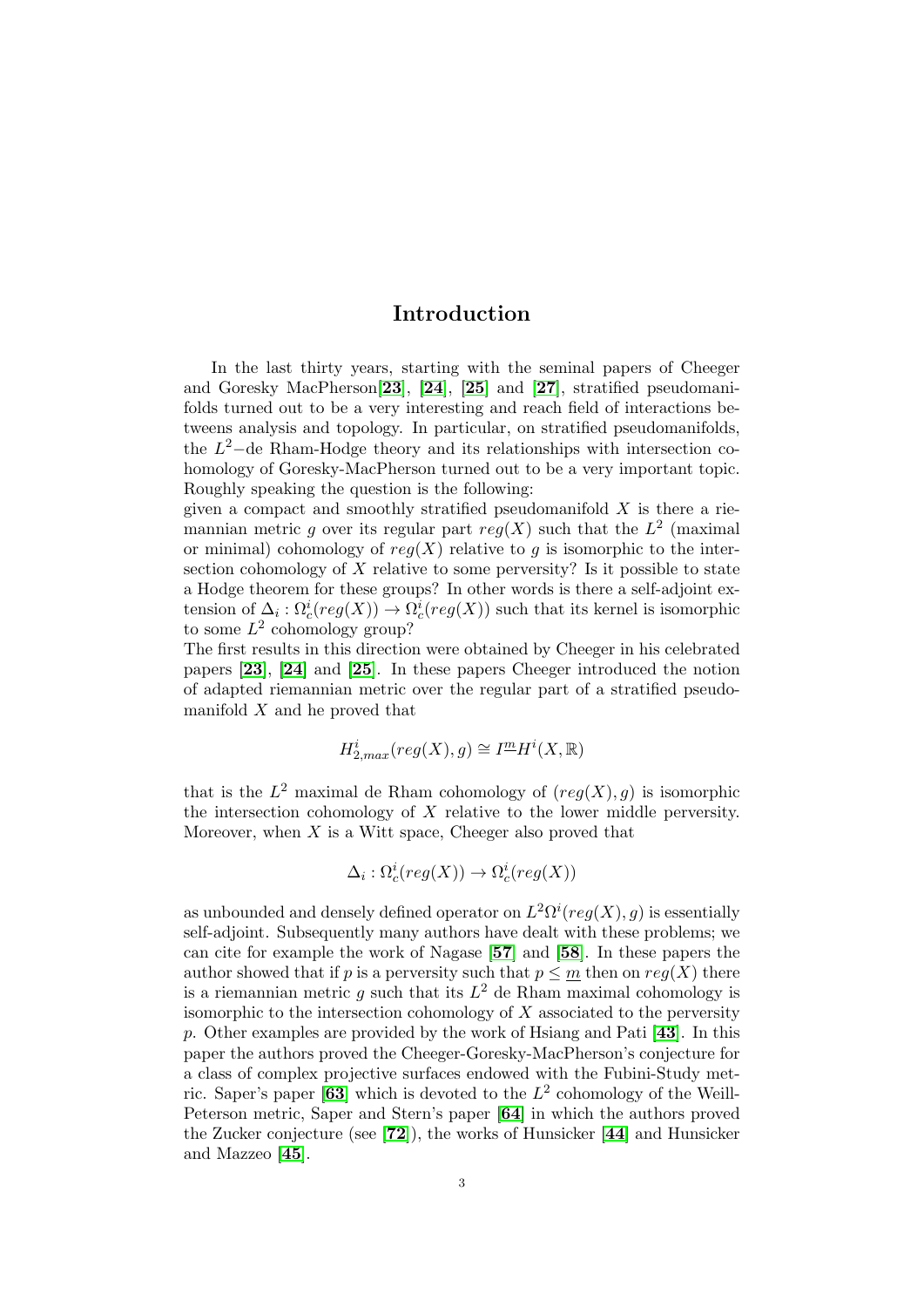# Introduction

<span id="page-2-0"></span>In the last thirty years, starting with the seminal papers of Cheeger and Goresky MacPherson[[23](#page-136-0)], [[24](#page-136-1)], [[25](#page-137-0)] and [[27](#page-137-1)], stratified pseudomanifolds turned out to be a very interesting and reach field of interactions betweens analysis and topology. In particular, on stratified pseudomanifolds, the  $L^2$ -de Rham-Hodge theory and its relationships with intersection cohomology of Goresky-MacPherson turned out to be a very important topic. Roughly speaking the question is the following:

given a compact and smoothly stratified pseudomanifold  $X$  is there a riemannian metric g over its regular part  $reg(X)$  such that the  $L^2$  (maximal or minimal) cohomology of  $req(X)$  relative to q is isomorphic to the intersection cohomology of X relative to some perversity? Is it possible to state a Hodge theorem for these groups? In other words is there a self-adjoint extension of  $\Delta_i : \Omega_c^i (reg(X)) \to \Omega_c^i (reg(X))$  such that its kernel is isomorphic to some  $L^2$  cohomology group?

The first results in this direction were obtained by Cheeger in his celebrated papers [[23](#page-136-0)], [[24](#page-136-1)] and [[25](#page-137-0)]. In these papers Cheeger introduced the notion of adapted riemannian metric over the regular part of a stratified pseudomanifold  $X$  and he proved that

$$
H^i_{2,max}(\operatorname{reg}(X),g)\cong I^{\underline{m}}H^i(X,\mathbb{R})
$$

that is the  $L^2$  maximal de Rham cohomology of  $(reg(X), g)$  is isomorphic the intersection cohomology of  $X$  relative to the lower middle perversity. Moreover, when  $X$  is a Witt space, Cheeger also proved that

$$
\Delta_i: \Omega^i_c(\mathit{reg}(X)) \to \Omega^i_c(\mathit{reg}(X))
$$

as unbounded and densely defined operator on  $L^2\Omega^i(\text{reg}(X),g)$  is essentially self-adjoint. Subsequently many authors have dealt with these problems; we can cite for example the work of Nagase [[57](#page-138-0)] and [[58](#page-138-1)]. In these papers the author showed that if p is a perversity such that  $p \leq m$  then on  $reg(X)$  there is a riemannian metric g such that its  $L^2$  de Rham maximal cohomology is isomorphic to the intersection cohomology of  $X$  associated to the perversity p. Other examples are provided by the work of Hsiang and Pati [[43](#page-137-2)]. In this paper the authors proved the Cheeger-Goresky-MacPherson's conjecture for a class of complex projective surfaces endowed with the Fubini-Study met-ric. Saper's paper [[63](#page-138-2)] which is devoted to the  $L^2$  cohomology of the Weill-Peterson metric, Saper and Stern's paper [[64](#page-138-3)] in which the authors proved the Zucker conjecture (see [[72](#page-138-4)]), the works of Hunsicker [[44](#page-137-3)] and Hunsicker and Mazzeo [[45](#page-137-4)].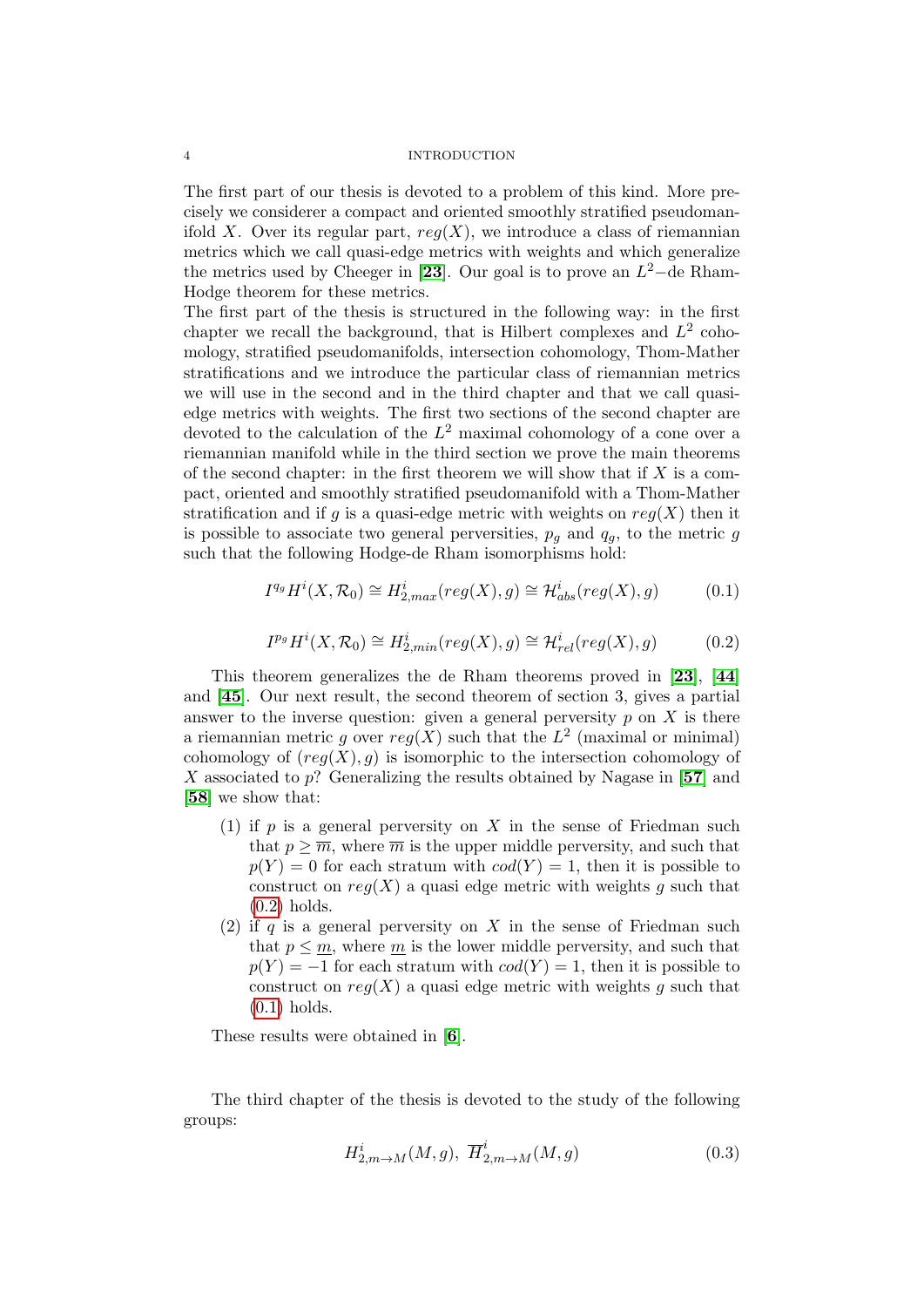The first part of our thesis is devoted to a problem of this kind. More precisely we considerer a compact and oriented smoothly stratified pseudomanifold X. Over its regular part,  $reg(X)$ , we introduce a class of riemannian metrics which we call quasi-edge metrics with weights and which generalize the metrics used by Cheeger in [[23](#page-136-0)]. Our goal is to prove an  $L^2$ -de Rham-Hodge theorem for these metrics.

The first part of the thesis is structured in the following way: in the first chapter we recall the background, that is Hilbert complexes and  $L^2$  cohomology, stratified pseudomanifolds, intersection cohomology, Thom-Mather stratifications and we introduce the particular class of riemannian metrics we will use in the second and in the third chapter and that we call quasiedge metrics with weights. The first two sections of the second chapter are devoted to the calculation of the  $L^2$  maximal cohomology of a cone over a riemannian manifold while in the third section we prove the main theorems of the second chapter: in the first theorem we will show that if  $X$  is a compact, oriented and smoothly stratified pseudomanifold with a Thom-Mather stratification and if g is a quasi-edge metric with weights on  $reg(X)$  then it is possible to associate two general perversities,  $p_g$  and  $q_g$ , to the metric g such that the following Hodge-de Rham isomorphisms hold:

<span id="page-3-1"></span>
$$
I^{q_g}H^i(X, \mathcal{R}_0) \cong H^i_{2,max}(reg(X), g) \cong \mathcal{H}^i_{abs}(reg(X), g) \tag{0.1}
$$

<span id="page-3-0"></span>
$$
I^{p_g}H^i(X, \mathcal{R}_0) \cong H^i_{2, min}(reg(X), g) \cong \mathcal{H}^i_{rel}(reg(X), g)
$$
(0.2)

This theorem generalizes the de Rham theorems proved in [[23](#page-136-0)], [[44](#page-137-3)] and [[45](#page-137-4)]. Our next result, the second theorem of section 3, gives a partial answer to the inverse question: given a general perversity  $p$  on  $X$  is there a riemannian metric g over  $reg(X)$  such that the  $L^2$  (maximal or minimal) cohomology of  $(\text{req}(X), q)$  is isomorphic to the intersection cohomology of X associated to  $p$ ? Generalizing the results obtained by Nagase in [[57](#page-138-0)] and [[58](#page-138-1)] we show that:

- (1) if p is a general perversity on X in the sense of Friedman such that  $p \geq \overline{m}$ , where  $\overline{m}$  is the upper middle perversity, and such that  $p(Y) = 0$  for each stratum with  $cod(Y) = 1$ , then it is possible to construct on  $reg(X)$  a quasi edge metric with weights q such that  $(0.2)$  holds.
- (2) if q is a general perversity on X in the sense of Friedman such that  $p \leq m$ , where m is the lower middle perversity, and such that  $p(Y) = -1$  for each stratum with  $cod(Y) = 1$ , then it is possible to construct on  $reg(X)$  a quasi edge metric with weights g such that  $(0.1)$  holds.

These results were obtained in [[6](#page-136-2)].

The third chapter of the thesis is devoted to the study of the following groups:

$$
H_{2,m\to M}^i(M,g),\ \overline{H}_{2,m\to M}^i(M,g)\tag{0.3}
$$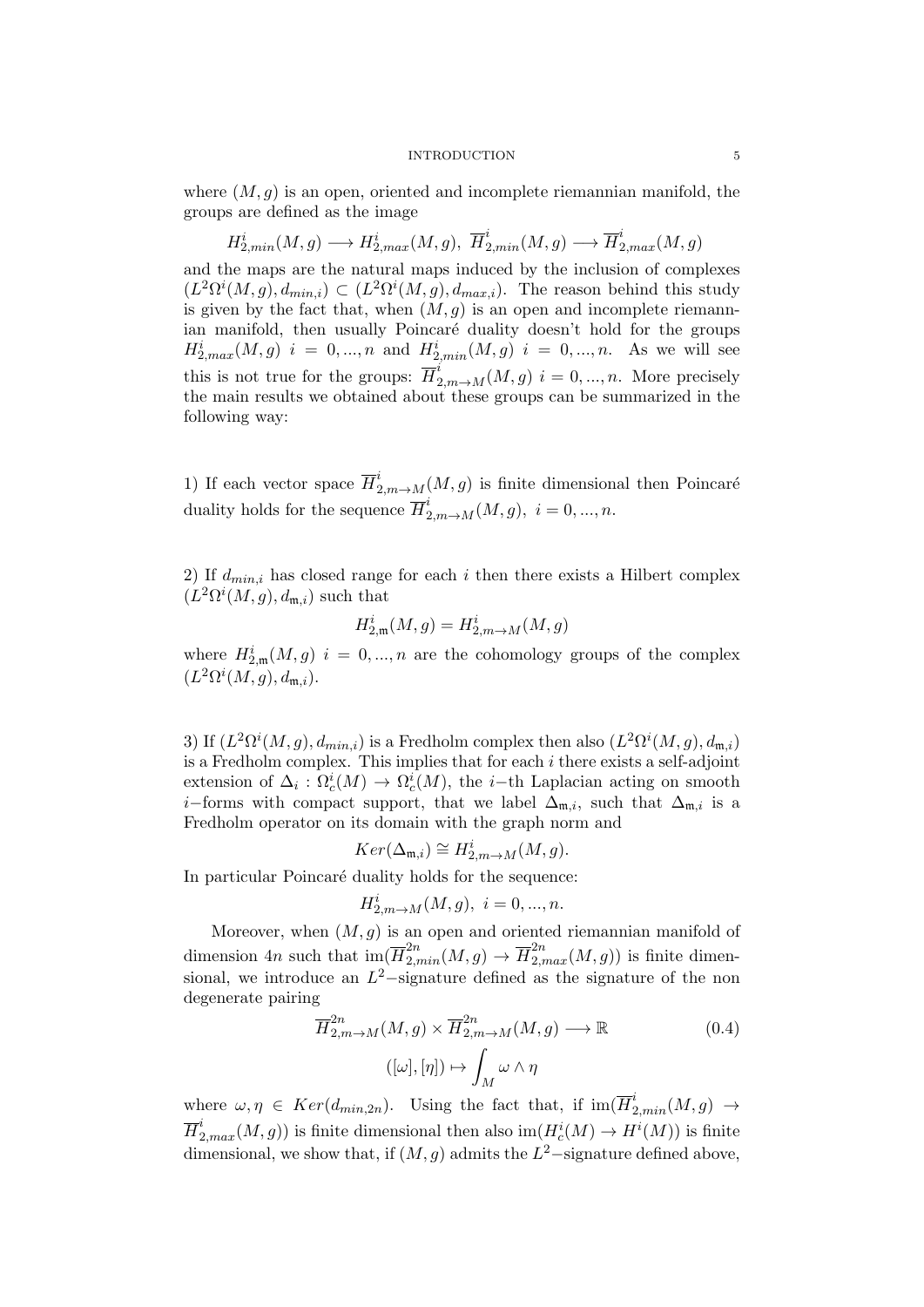where  $(M, g)$  is an open, oriented and incomplete riemannian manifold, the groups are defined as the image

$$
H_{2,min}^{i}(M,g)\longrightarrow H_{2,max}^{i}(M,g),\ \overline{H}_{2,min}^{i}(M,g)\longrightarrow \overline{H}_{2,max}^{i}(M,g)
$$

and the maps are the natural maps induced by the inclusion of complexes  $(L^2\Omega^i(M,g), d_{min,i}) \subset (L^2\Omega^i(M,g), d_{max,i}).$  The reason behind this study is given by the fact that, when  $(M, g)$  is an open and incomplete riemannian manifold, then usually Poincaré duality doesn't hold for the groups  $H_{2,max}^i(M,g)$   $i = 0,...,n$  and  $H_{2,min}^i(M,g)$   $i = 0,...,n$ . As we will see this is not true for the groups:  $\overline{H}^i_{2,m\to M}(M,g)$   $i=0,...,n$ . More precisely the main results we obtained about these groups can be summarized in the following way:

1) If each vector space  $\overline{H}^i_{2,m\to M}(M,g)$  is finite dimensional then Poincaré duality holds for the sequence  $\overline{H}^i_{2,m\to M}(M,g), i=0,...,n$ .

2) If  $d_{min,i}$  has closed range for each i then there exists a Hilbert complex  $(L^2\Omega^i(M,g),d_{\mathfrak{m},i})$  such that

$$
H^i_{2,\mathfrak{m}}(M,g)=H^i_{2,m\to M}(M,g)
$$

where  $H_{2,\mathfrak{m}}^i(M,g)$   $i=0,...,n$  are the cohomology groups of the complex  $(L^2\Omega^i(M,g),d_{\mathfrak{m},i}).$ 

3) If  $(L^2\Omega^i(M,g), d_{min,i})$  is a Fredholm complex then also  $(L^2\Omega^i(M,g), d_{m,i})$ is a Fredholm complex. This implies that for each  $i$  there exists a self-adjoint extension of  $\Delta_i$ :  $\Omega_c^i(M) \to \Omega_c^i(M)$ , the *i*-th Laplacian acting on smooth *i*−forms with compact support, that we label  $\Delta_{m,i}$ , such that  $\Delta_{m,i}$  is a Fredholm operator on its domain with the graph norm and

$$
Ker(\Delta_{\mathfrak{m},i}) \cong H_{2,m \to M}^{i}(M,g).
$$

In particular Poincaré duality holds for the sequence:

$$
H_{2,m\to M}^i(M,g), \ i=0,...,n.
$$

Moreover, when  $(M, g)$  is an open and oriented riemannian manifold of dimension 4n such that  $\text{im}(\overline{H}_{2,min}^{2n}(M,g) \to \overline{H}_{2,max}^{2n}(M,g))$  is finite dimensional, we introduce an  $L^2$ -signature defined as the signature of the non degenerate pairing

$$
\overline{H}_{2,m\to M}^{2n}(M,g) \times \overline{H}_{2,m\to M}^{2n}(M,g) \longrightarrow \mathbb{R}
$$
\n
$$
([\omega],[\eta]) \mapsto \int_M \omega \wedge \eta
$$
\n(0.4)

where  $\omega, \eta \in Ker(d_{min,2n})$ . Using the fact that, if  $\text{im}(\overline{H}_{2,min}^i(M,g) \rightarrow$  $\overline{H}^i_{2, max}(M, g))$  is finite dimensional then also  $\text{im}(H_c^i(M) \to H^i(M))$  is finite dimensional, we show that, if  $(M, g)$  admits the  $L^2$ -signature defined above,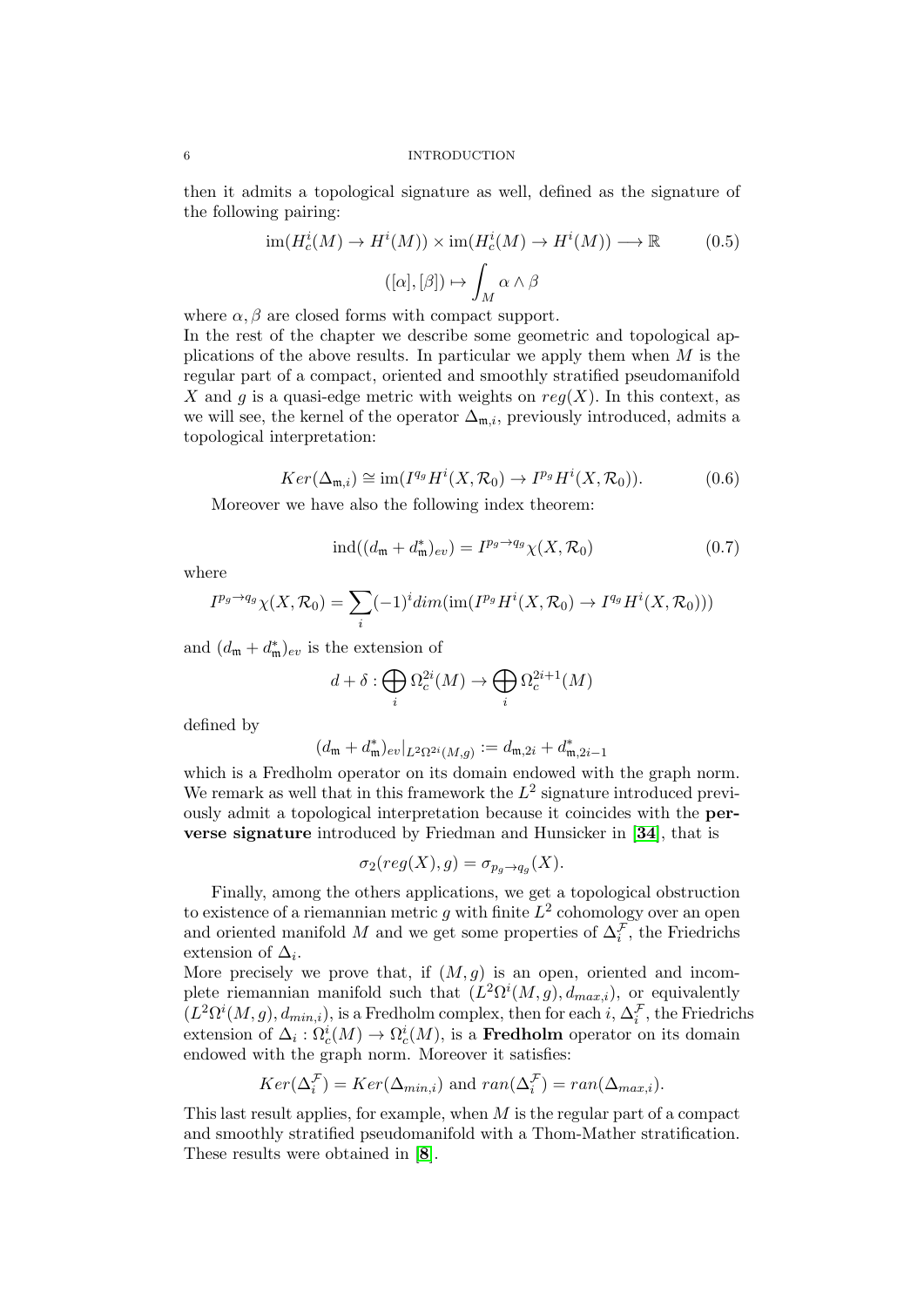then it admits a topological signature as well, defined as the signature of the following pairing:

$$
\operatorname{im}(H_c^i(M) \to H^i(M)) \times \operatorname{im}(H_c^i(M) \to H^i(M)) \longrightarrow \mathbb{R} \tag{0.5}
$$

$$
([\alpha], [\beta]) \mapsto \int_M \alpha \wedge \beta
$$

where  $\alpha$ ,  $\beta$  are closed forms with compact support.

In the rest of the chapter we describe some geometric and topological applications of the above results. In particular we apply them when  $M$  is the regular part of a compact, oriented and smoothly stratified pseudomanifold X and g is a quasi-edge metric with weights on  $reg(X)$ . In this context, as we will see, the kernel of the operator  $\Delta_{m,i}$ , previously introduced, admits a topological interpretation:

$$
Ker(\Delta_{\mathfrak{m},i}) \cong \text{im}(I^{q_g}H^i(X,\mathcal{R}_0) \to I^{p_g}H^i(X,\mathcal{R}_0)).\tag{0.6}
$$

Moreover we have also the following index theorem:

$$
\operatorname{ind}((d_{\mathfrak{m}} + d_{\mathfrak{m}}^*)_{ev}) = I^{p_g \to q_g} \chi(X, \mathcal{R}_0)
$$
\n
$$
(0.7)
$$

where

$$
I^{p_g \to q_g} \chi(X, \mathcal{R}_0) = \sum_i (-1)^i \dim(\text{im}(I^{p_g} H^i(X, \mathcal{R}_0) \to I^{q_g} H^i(X, \mathcal{R}_0)))
$$

and  $(d_{\mathfrak{m}} + d_{\mathfrak{m}}^*)_{ev}$  is the extension of

$$
d + \delta : \bigoplus_i \Omega_c^{2i}(M) \to \bigoplus_i \Omega_c^{2i+1}(M)
$$

defined by

$$
(d_{\mathfrak{m}}+d_{\mathfrak{m}}^*)_{ev}|_{L^2\Omega^{2i}(M,g)}:=d_{\mathfrak{m},2i}+d_{\mathfrak{m},2i-1}^*
$$

which is a Fredholm operator on its domain endowed with the graph norm. We remark as well that in this framework the  $L^2$  signature introduced previously admit a topological interpretation because it coincides with the perverse signature introduced by Friedman and Hunsicker in [[34](#page-137-5)], that is

$$
\sigma_2(\text{reg}(X), g) = \sigma_{p_g \to q_g}(X).
$$

Finally, among the others applications, we get a topological obstruction to existence of a riemannian metric g with finite  $L^2$  cohomology over an open and oriented manifold M and we get some properties of  $\Delta_i^{\mathcal{F}}$ , the Friedrichs extension of  $\Delta_i$ .

More precisely we prove that, if  $(M, g)$  is an open, oriented and incomplete riemannian manifold such that  $(L^2\Omega^i(M,g), d_{max,i})$ , or equivalently  $(L^2\Omega^i(M,g), d_{min,i}),$  is a Fredholm complex, then for each  $i, \Delta_i^{\mathcal{F}},$  the Friedrichs extension of  $\Delta_i$ :  $\Omega_c^i(M) \to \Omega_c^i(M)$ , is a **Fredholm** operator on its domain endowed with the graph norm. Moreover it satisfies:

$$
Ker(\Delta_i^{\mathcal{F}}) = Ker(\Delta_{min,i}) \text{ and } ran(\Delta_i^{\mathcal{F}}) = ran(\Delta_{max,i}).
$$

This last result applies, for example, when M is the regular part of a compact and smoothly stratified pseudomanifold with a Thom-Mather stratification. These results were obtained in [[8](#page-136-3)].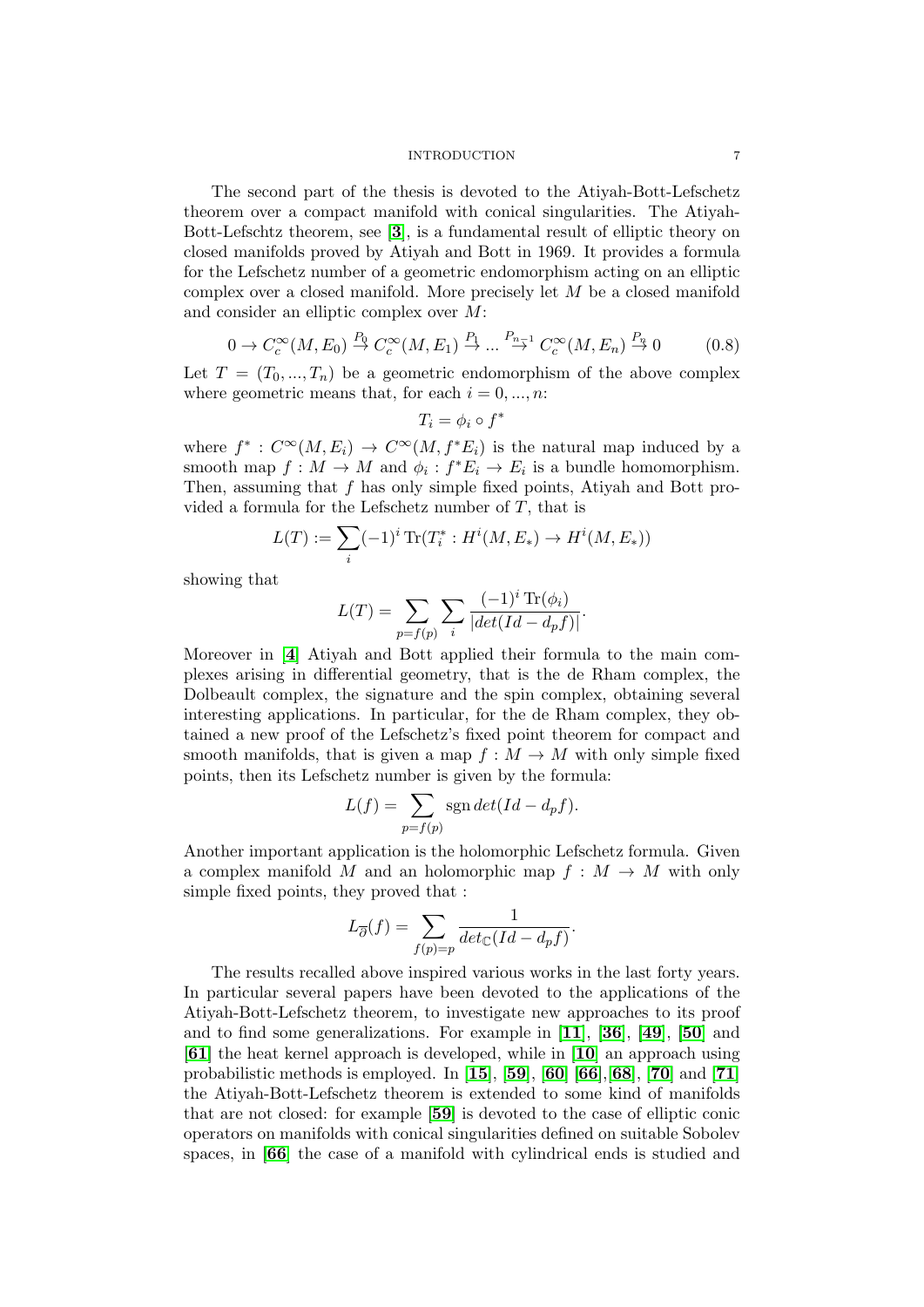The second part of the thesis is devoted to the Atiyah-Bott-Lefschetz theorem over a compact manifold with conical singularities. The Atiyah-Bott-Lefschtz theorem, see [[3](#page-136-4)], is a fundamental result of elliptic theory on closed manifolds proved by Atiyah and Bott in 1969. It provides a formula for the Lefschetz number of a geometric endomorphism acting on an elliptic complex over a closed manifold. More precisely let M be a closed manifold and consider an elliptic complex over M:

$$
0 \to C_c^{\infty}(M, E_0) \stackrel{P_0}{\to} C_c^{\infty}(M, E_1) \stackrel{P_1}{\to} \dots \stackrel{P_{n-1}}{\to} C_c^{\infty}(M, E_n) \stackrel{P_n}{\to} 0 \tag{0.8}
$$

Let  $T = (T_0, ..., T_n)$  be a geometric endomorphism of the above complex where geometric means that, for each  $i = 0, ..., n$ :

$$
T_i = \phi_i \circ f^*
$$

where  $f^*: C^{\infty}(M, E_i) \to C^{\infty}(M, f^*E_i)$  is the natural map induced by a smooth map  $f: M \to M$  and  $\phi_i: f^*E_i \to E_i$  is a bundle homomorphism. Then, assuming that f has only simple fixed points, Atiyah and Bott provided a formula for the Lefschetz number of  $T$ , that is

$$
L(T) := \sum_{i} (-1)^{i} \operatorname{Tr}(T_{i}^{*} : H^{i}(M, E_{*}) \to H^{i}(M, E_{*}))
$$

showing that

$$
L(T) = \sum_{p=f(p)} \sum_{i} \frac{(-1)^i \operatorname{Tr}(\phi_i)}{|det(Id - d_p f)|}.
$$

Moreover in [[4](#page-136-5)] Atiyah and Bott applied their formula to the main complexes arising in differential geometry, that is the de Rham complex, the Dolbeault complex, the signature and the spin complex, obtaining several interesting applications. In particular, for the de Rham complex, they obtained a new proof of the Lefschetz's fixed point theorem for compact and smooth manifolds, that is given a map  $f : M \to M$  with only simple fixed points, then its Lefschetz number is given by the formula:

$$
L(f) = \sum_{p=f(p)} sgn \det(Id - d_p f).
$$

Another important application is the holomorphic Lefschetz formula. Given a complex manifold M and an holomorphic map  $f : M \to M$  with only simple fixed points, they proved that :

$$
L_{\overline{\partial}}(f) = \sum_{f(p)=p} \frac{1}{\det_{\mathbb{C}}(Id - d_p f)}.
$$

The results recalled above inspired various works in the last forty years. In particular several papers have been devoted to the applications of the Atiyah-Bott-Lefschetz theorem, to investigate new approaches to its proof and to find some generalizations. For example in [[11](#page-136-6)], [[36](#page-137-6)], [[49](#page-137-7)], [[50](#page-137-8)] and [[61](#page-138-5)] the heat kernel approach is developed, while in [[10](#page-136-7)] an approach using probabilistic methods is employed. In  $[15]$  $[15]$  $[15]$ ,  $[59]$  $[59]$  $[59]$ ,  $[60]$  $[60]$  $[60]$   $[66]$  $[66]$  $[66]$ ,  $[68]$  $[68]$  $[68]$ ,  $[70]$  $[70]$  $[70]$  and  $[71]$  $[71]$  $[71]$ the Atiyah-Bott-Lefschetz theorem is extended to some kind of manifolds that are not closed: for example [[59](#page-138-6)] is devoted to the case of elliptic conic operators on manifolds with conical singularities defined on suitable Sobolev spaces, in [[66](#page-138-8)] the case of a manifold with cylindrical ends is studied and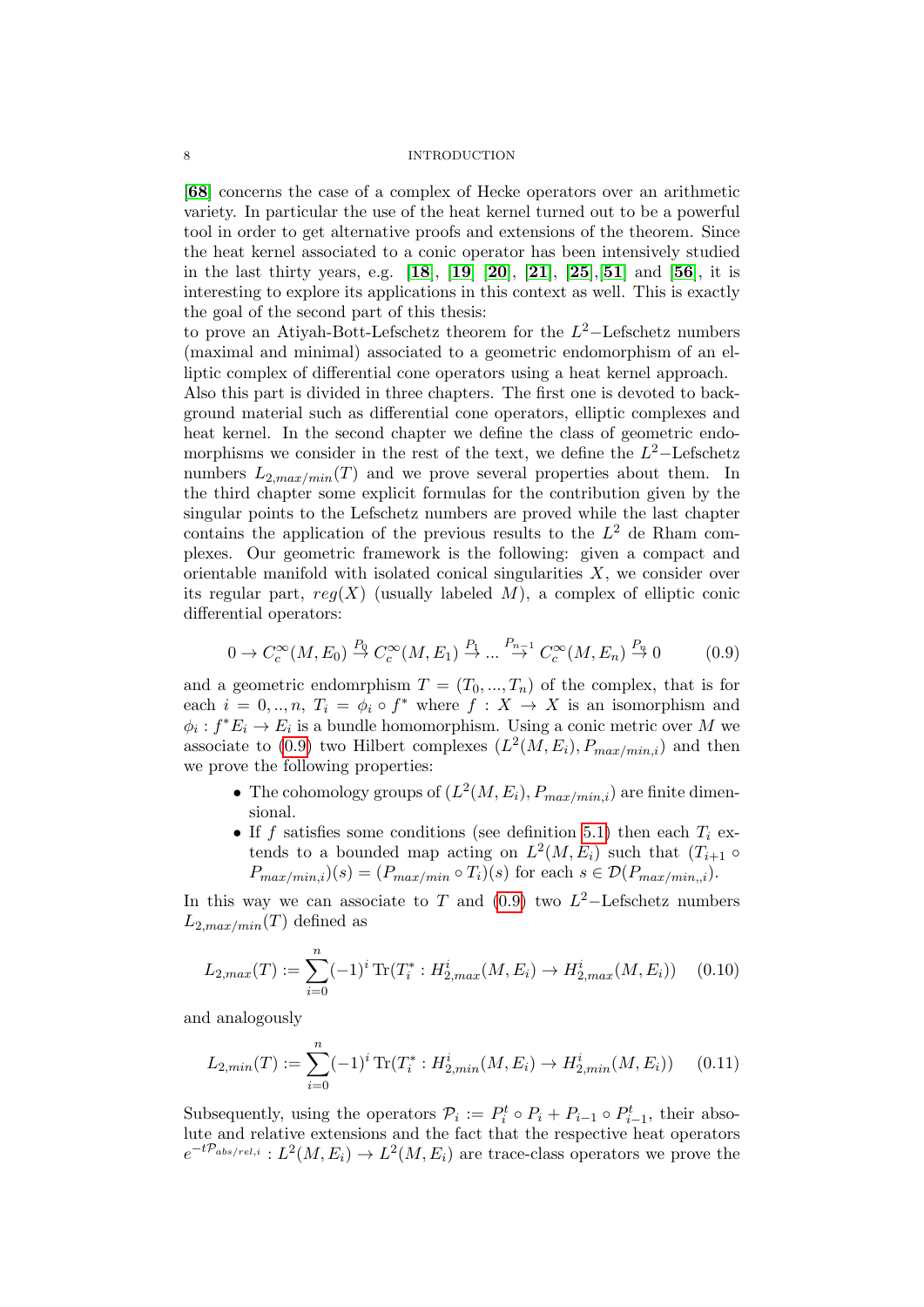[[68](#page-138-9)] concerns the case of a complex of Hecke operators over an arithmetic variety. In particular the use of the heat kernel turned out to be a powerful tool in order to get alternative proofs and extensions of the theorem. Since the heat kernel associated to a conic operator has been intensively studied in the last thirty years, e.g. [[18](#page-136-9)], [[19](#page-136-10)] [[20](#page-136-11)], [[21](#page-136-12)], [[25](#page-137-0)],[[51](#page-137-9)] and [[56](#page-138-12)], it is interesting to explore its applications in this context as well. This is exactly the goal of the second part of this thesis:

to prove an Atiyah-Bott-Lefschetz theorem for the  $L^2$ -Lefschetz numbers (maximal and minimal) associated to a geometric endomorphism of an elliptic complex of differential cone operators using a heat kernel approach.

Also this part is divided in three chapters. The first one is devoted to background material such as differential cone operators, elliptic complexes and heat kernel. In the second chapter we define the class of geometric endomorphisms we consider in the rest of the text, we define the  $L^2$ -Lefschetz numbers  $L_{2,max/min}(T)$  and we prove several properties about them. In the third chapter some explicit formulas for the contribution given by the singular points to the Lefschetz numbers are proved while the last chapter contains the application of the previous results to the  $L^2$  de Rham complexes. Our geometric framework is the following: given a compact and orientable manifold with isolated conical singularities  $X$ , we consider over its regular part,  $reg(X)$  (usually labeled M), a complex of elliptic conic differential operators:

<span id="page-7-0"></span>
$$
0 \to C_c^{\infty}(M, E_0) \stackrel{P_0}{\to} C_c^{\infty}(M, E_1) \stackrel{P_1}{\to} \dots \stackrel{P_{n-1}}{\to} C_c^{\infty}(M, E_n) \stackrel{P_n}{\to} 0 \tag{0.9}
$$

and a geometric endomrphism  $T = (T_0, ..., T_n)$  of the complex, that is for each  $i = 0, ..., n$ ,  $T_i = \phi_i \circ f^*$  where  $f : X \to X$  is an isomorphism and  $\phi_i: f^*E_i \to E_i$  is a bundle homomorphism. Using a conic metric over M we associate to [\(0.9\)](#page-7-0) two Hilbert complexes  $(L^2(M, E_i), P_{max/min,i})$  and then we prove the following properties:

- The cohomology groups of  $(L^2(M, E_i), P_{max/min,i})$  are finite dimensional.
- If f satisfies some conditions (see definition [5.1\)](#page-106-0) then each  $T_i$  extends to a bounded map acting on  $L^2(M, E_i)$  such that  $(T_{i+1} \circ$  $P_{max/min,i}(s) = (P_{max/min} \circ T_i)(s)$  for each  $s \in \mathcal{D}(P_{max/min,i}).$

In this way we can associate to T and  $(0.9)$  two  $L^2$ -Lefschetz numbers  $L_{2,max/min}(T)$  defined as

$$
L_{2,max}(T) := \sum_{i=0}^{n} (-1)^{i} \operatorname{Tr}(T_{i}^{*} : H_{2,max}^{i}(M, E_{i}) \to H_{2,max}^{i}(M, E_{i})) \quad (0.10)
$$

and analogously

$$
L_{2,min}(T) := \sum_{i=0}^{n} (-1)^{i} \operatorname{Tr}(T_{i}^{*} : H_{2,min}^{i}(M, E_{i}) \to H_{2,min}^{i}(M, E_{i})) \quad (0.11)
$$

Subsequently, using the operators  $\mathcal{P}_i := P_i^t \circ P_i + P_{i-1} \circ P_{i-1}^t$ , their absolute and relative extensions and the fact that the respective heat operators  $e^{-t\mathcal{P}_{abs/rel,i}}: L^2(M, E_i) \to L^2(M, E_i)$  are trace-class operators we prove the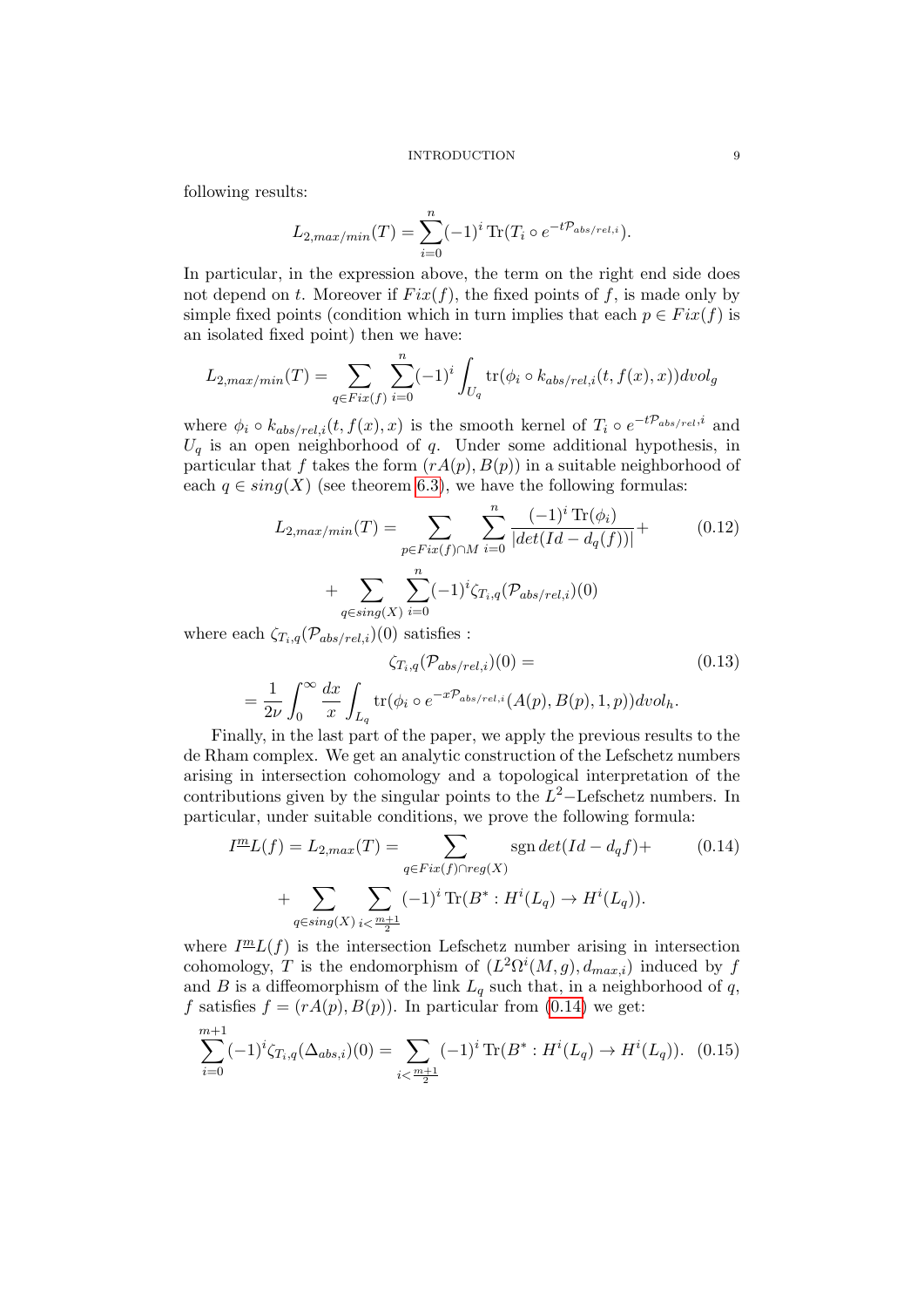following results:

$$
L_{2,max/min}(T) = \sum_{i=0}^{n} (-1)^{i} \operatorname{Tr}(T_i \circ e^{-t\mathcal{P}_{abs/rel,i}}).
$$

In particular, in the expression above, the term on the right end side does not depend on t. Moreover if  $Fix(f)$ , the fixed points of f, is made only by simple fixed points (condition which in turn implies that each  $p \in Fix(f)$  is an isolated fixed point) then we have:

$$
L_{2,max/min}(T) = \sum_{q \in Fix(f)} \sum_{i=0}^{n} (-1)^i \int_{U_q} tr(\phi_i \circ k_{abs/rel,i}(t, f(x), x)) dvol_g
$$

where  $\phi_i \circ k_{abs/rel,i}(t, f(x), x)$  is the smooth kernel of  $T_i \circ e^{-t\mathcal{P}_{abs/rel}, i}$  and  $U_q$  is an open neighborhood of q. Under some additional hypothesis, in particular that f takes the form  $(rA(p), B(p))$  in a suitable neighborhood of each  $q \in sing(X)$  (see theorem [6.3\)](#page-119-0), we have the following formulas:

$$
L_{2,max/min}(T) = \sum_{p \in Fix(f) \cap M} \sum_{i=0}^{n} \frac{(-1)^{i} \text{Tr}(\phi_{i})}{|det(Id - d_{q}(f))|} + \sum_{q \in sing(X)} \sum_{i=0}^{n} (-1)^{i} \zeta_{T_{i},q}(\mathcal{P}_{abs/rel,i})(0)
$$

where each  $\zeta_{T_i,q}(\mathcal{P}_{abs/rel,i})(0)$  satisfies :

$$
\zeta_{T_i,q}(\mathcal{P}_{abs/rel,i})(0) =
$$
\n
$$
= \frac{1}{2\nu} \int_0^\infty \frac{dx}{x} \int_{L_q} tr(\phi_i \circ e^{-x\mathcal{P}_{abs/rel,i}}(A(p), B(p), 1, p)) dvol_h.
$$
\n(0.13)

Finally, in the last part of the paper, we apply the previous results to the de Rham complex. We get an analytic construction of the Lefschetz numbers arising in intersection cohomology and a topological interpretation of the contributions given by the singular points to the  $L^2$ -Lefschetz numbers. In particular, under suitable conditions, we prove the following formula:

<span id="page-8-0"></span>
$$
I^{\underline{m}}L(f) = L_{2,max}(T) = \sum_{q \in Fix(f) \cap reg(X)} \text{sgn} \det(Id - d_q f) + \sum_{q \in sing(X)} \sum_{i < \frac{m+1}{2}} (-1)^i \text{Tr}(B^* : H^i(L_q) \to H^i(L_q)).
$$
\n(0.14)

where  $I^{\underline{m}}L(f)$  is the intersection Lefschetz number arising in intersection cohomology, T is the endomorphism of  $(L^2\Omega^i(M,g), d_{max,i})$  induced by f and B is a diffeomorphism of the link  $L_q$  such that, in a neighborhood of q, f satisfies  $f = (rA(p), B(p))$ . In particular from [\(0.14\)](#page-8-0) we get:

$$
\sum_{i=0}^{m+1} (-1)^i \zeta_{T_i,q}(\Delta_{abs,i})(0) = \sum_{i < \frac{m+1}{2}} (-1)^i \operatorname{Tr}(B^* : H^i(L_q) \to H^i(L_q)). \tag{0.15}
$$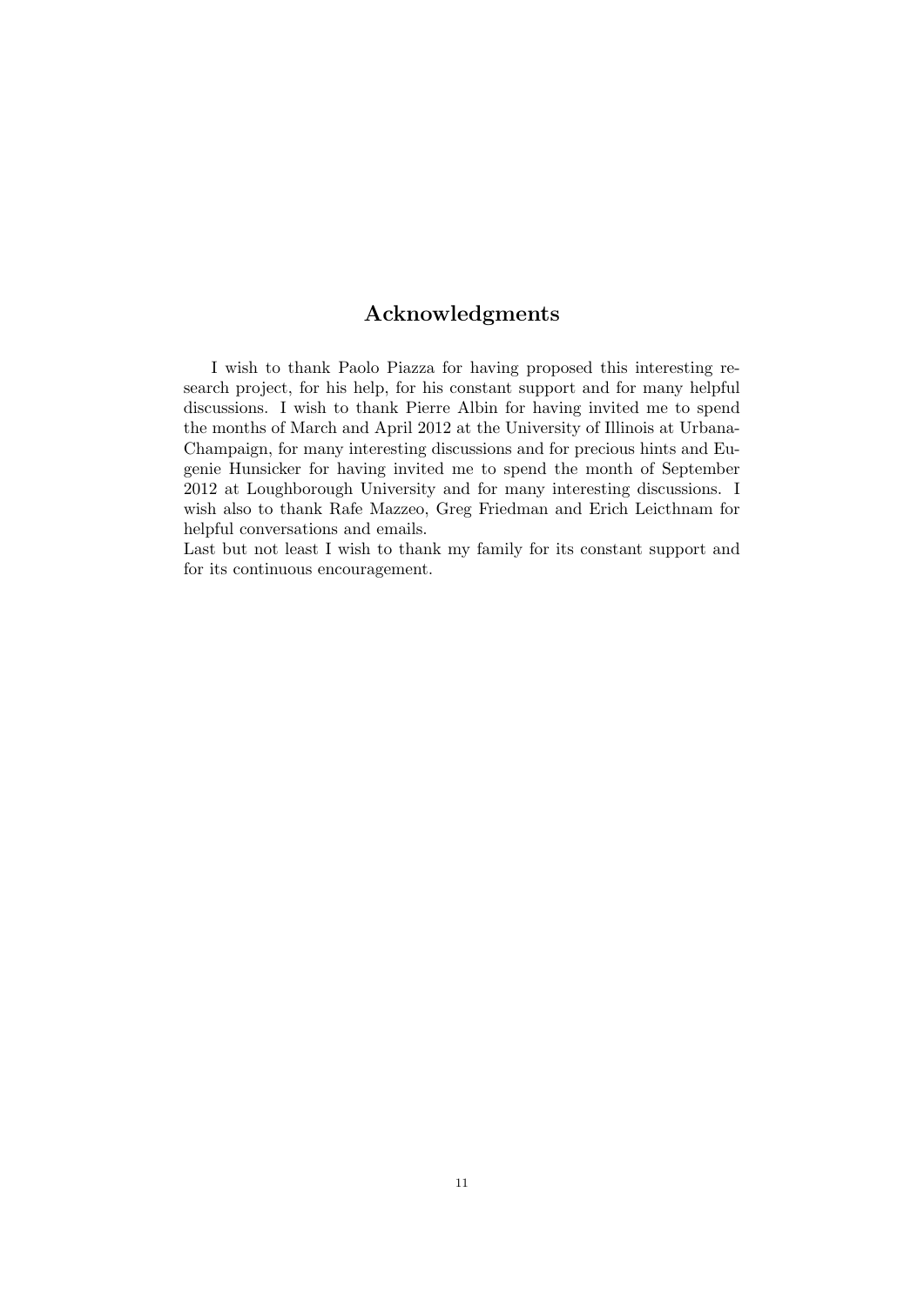# Acknowledgments

<span id="page-10-0"></span>I wish to thank Paolo Piazza for having proposed this interesting research project, for his help, for his constant support and for many helpful discussions. I wish to thank Pierre Albin for having invited me to spend the months of March and April 2012 at the University of Illinois at Urbana-Champaign, for many interesting discussions and for precious hints and Eugenie Hunsicker for having invited me to spend the month of September 2012 at Loughborough University and for many interesting discussions. I wish also to thank Rafe Mazzeo, Greg Friedman and Erich Leicthnam for helpful conversations and emails.

Last but not least I wish to thank my family for its constant support and for its continuous encouragement.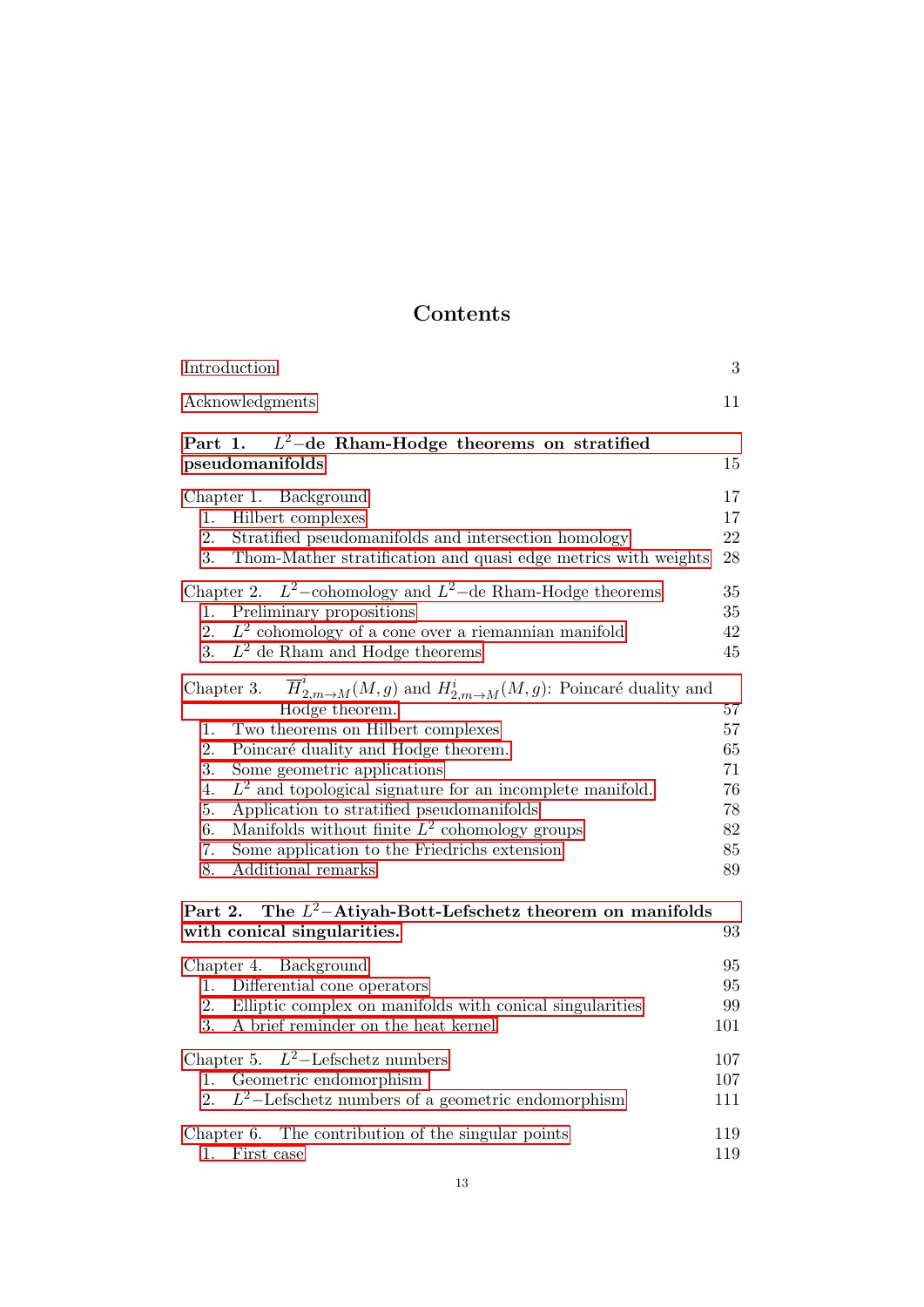# Contents

| Introduction                                                                                                                                                                                                                                                                                                                                                                                                                                                                                                       | 3                                                  |
|--------------------------------------------------------------------------------------------------------------------------------------------------------------------------------------------------------------------------------------------------------------------------------------------------------------------------------------------------------------------------------------------------------------------------------------------------------------------------------------------------------------------|----------------------------------------------------|
| Acknowledgments                                                                                                                                                                                                                                                                                                                                                                                                                                                                                                    | 11                                                 |
| $L^2$ -de Rham-Hodge theorems on stratified<br>Part 1.<br>pseudomanifolds                                                                                                                                                                                                                                                                                                                                                                                                                                          | 15                                                 |
| Chapter 1. Background<br>Hilbert complexes<br>1.<br>2.<br>Stratified pseudomanifolds and intersection homology<br>3.<br>Thom-Mather stratification and quasi edge metrics with weights                                                                                                                                                                                                                                                                                                                             | 17<br>17<br>22<br>28                               |
| Chapter 2. $L^2$ -cohomology and $L^2$ -de Rham-Hodge theorems<br>Preliminary propositions<br>1.<br>$L^2$ cohomology of a cone over a riemannian manifold<br>2.<br>$L^2$ de Rham and Hodge theorems<br>3.                                                                                                                                                                                                                                                                                                          | 35<br>35<br>42<br>45                               |
| $\overline{H}_{2,m\to M}^i(M,g)$ and $H_{2,m\to M}^i(M,g)$ : Poincaré duality and<br>Chapter 3.<br>Hodge theorem.<br>Two theorems on Hilbert complexes<br>1.<br>2.<br>Poincaré duality and Hodge theorem.<br>3.<br>Some geometric applications<br>$L^2$ and topological signature for an incomplete manifold.<br>4.<br>Application to stratified pseudomanifolds<br>5.<br>Manifolds without finite $L^2$ cohomology groups<br>6.<br>Some application to the Friedrichs extension<br>7.<br>8.<br>Additional remarks | 57<br>57<br>65<br>71<br>76<br>78<br>82<br>85<br>89 |
| The $L^2$ -Atiyah-Bott-Lefschetz theorem on manifolds<br>Part 2.<br>with conical singularities.                                                                                                                                                                                                                                                                                                                                                                                                                    | 93                                                 |
| Chapter 4. Background<br>Differential cone operators<br>1.<br>Elliptic complex on manifolds with conical singularities<br>2.<br>A brief reminder on the heat kernel<br>3.                                                                                                                                                                                                                                                                                                                                          | 95<br>95<br>99<br>101                              |
| Chapter 5. $L^2$ -Lefschetz numbers<br>Geometric endomorphism<br>1.<br>$L^2$ -Lefschetz numbers of a geometric endomorphism<br>2.                                                                                                                                                                                                                                                                                                                                                                                  | 107<br>$107\,$<br>111                              |
| The contribution of the singular points<br>Chapter 6.<br>1.<br>First case                                                                                                                                                                                                                                                                                                                                                                                                                                          | 119<br>119                                         |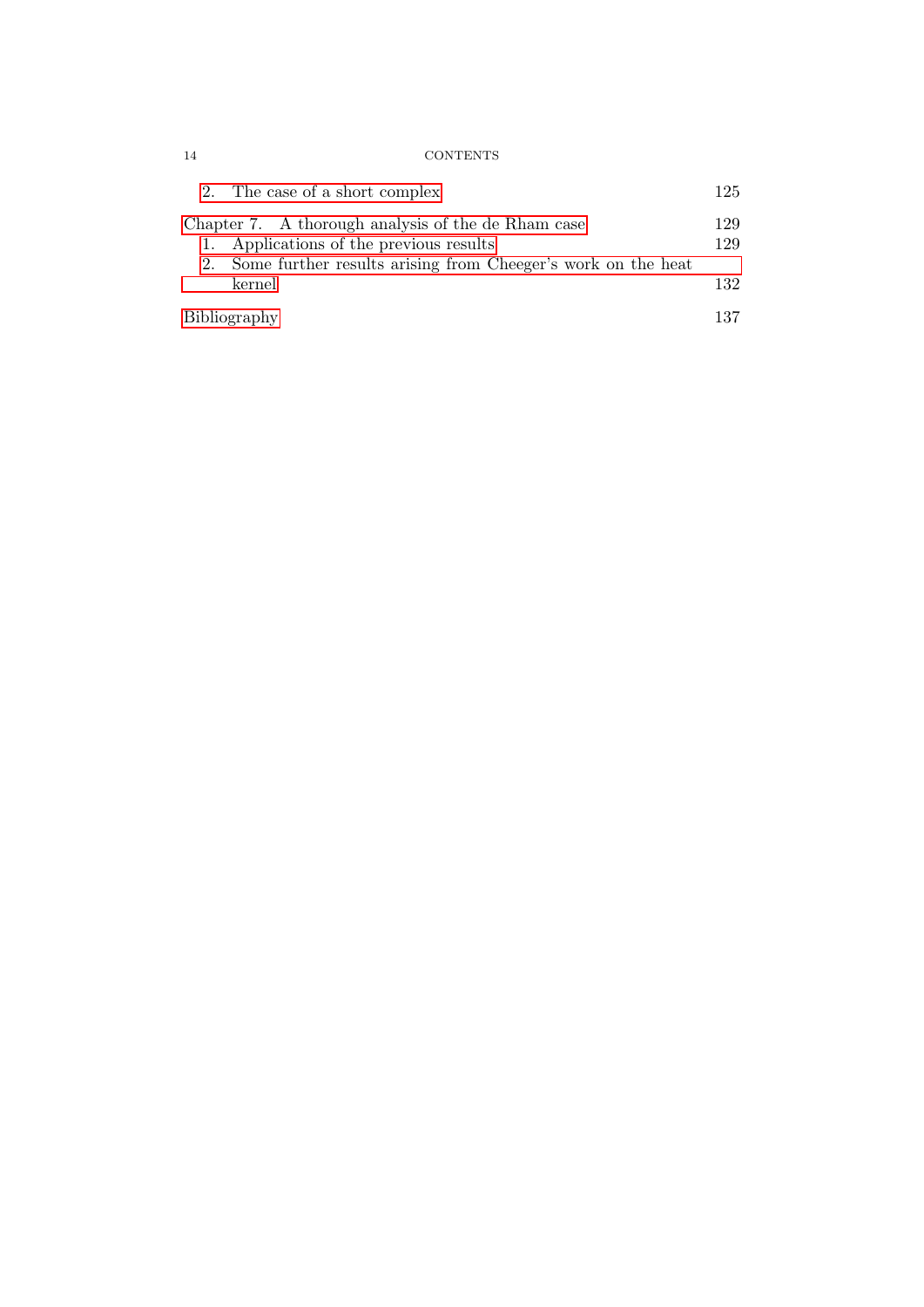| 14 | <b>CONTENTS</b> |
|----|-----------------|
|    |                 |

| 2. The case of a short complex                                  | 125 |
|-----------------------------------------------------------------|-----|
| Chapter 7. A thorough analysis of the de Rham case              | 129 |
| 1. Applications of the previous results                         | 129 |
| 2. Some further results arising from Cheeger's work on the heat |     |
| kernel                                                          | 132 |
| Bibliography                                                    | 137 |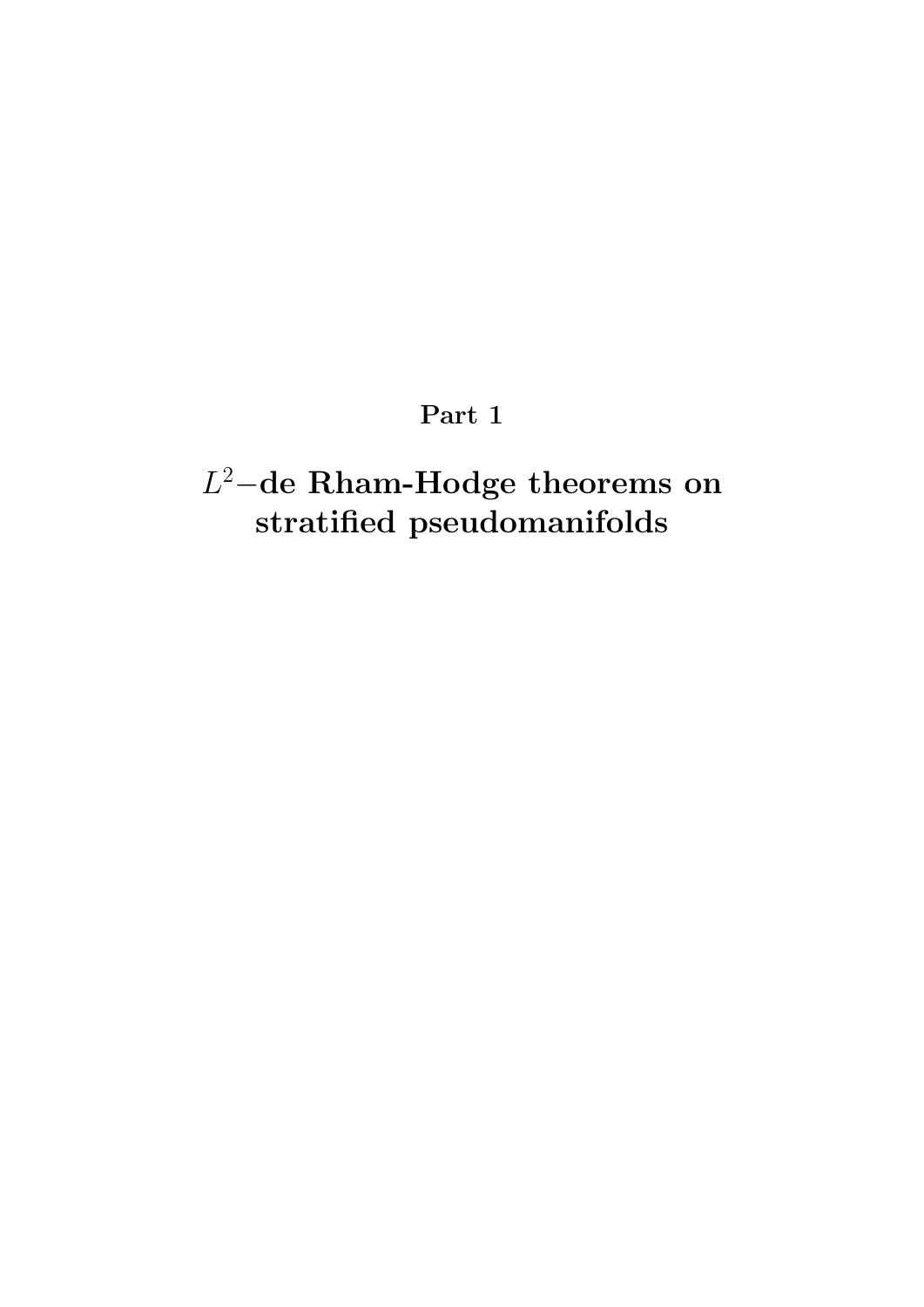# Part 1

# <span id="page-14-0"></span>L <sup>2</sup>−de Rham-Hodge theorems on stratified pseudomanifolds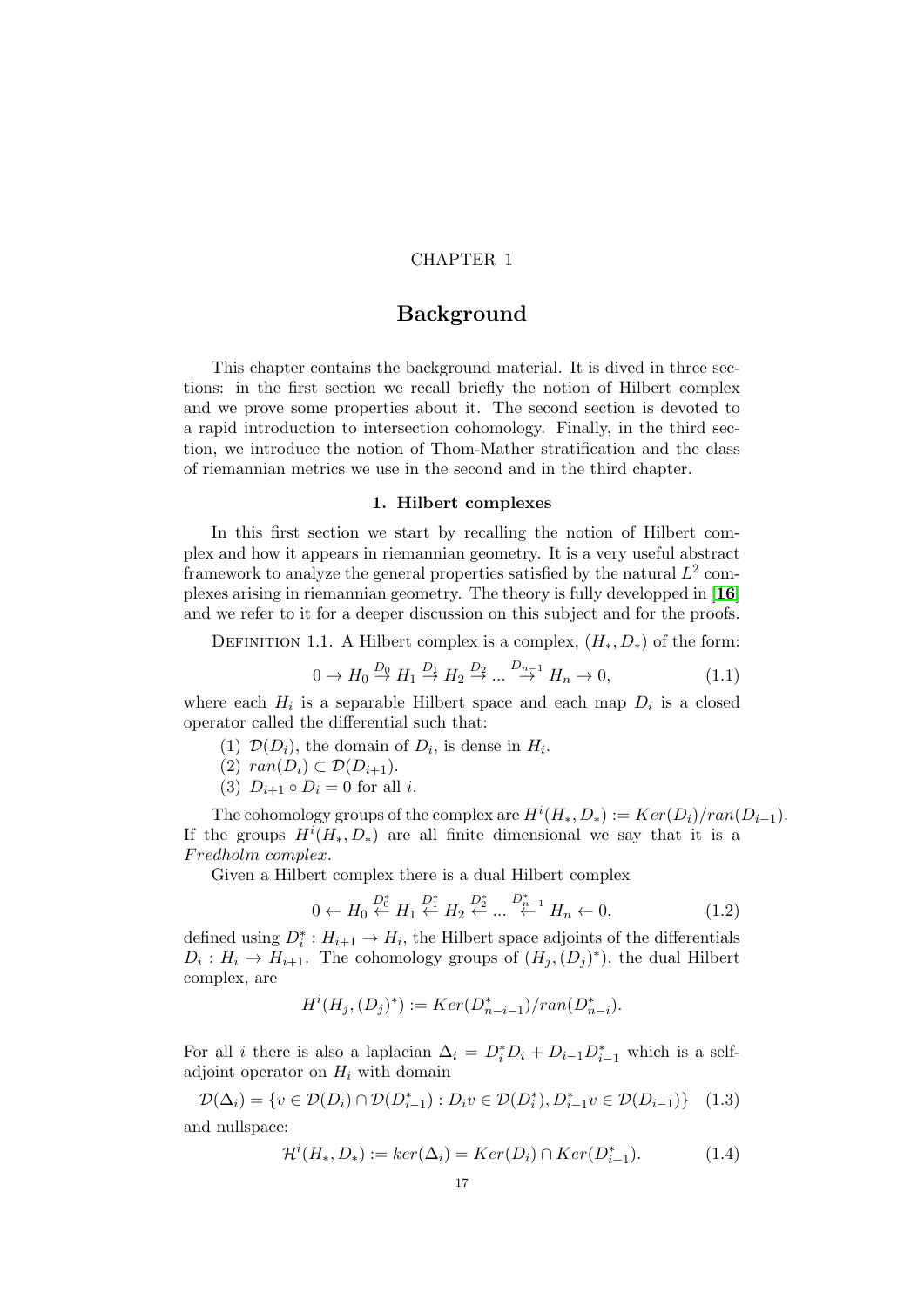# CHAPTER 1

# **Background**

<span id="page-16-0"></span>This chapter contains the background material. It is dived in three sections: in the first section we recall briefly the notion of Hilbert complex and we prove some properties about it. The second section is devoted to a rapid introduction to intersection cohomology. Finally, in the third section, we introduce the notion of Thom-Mather stratification and the class of riemannian metrics we use in the second and in the third chapter.

#### 1. Hilbert complexes

<span id="page-16-1"></span>In this first section we start by recalling the notion of Hilbert complex and how it appears in riemannian geometry. It is a very useful abstract framework to analyze the general properties satisfied by the natural  $L^2$  complexes arising in riemannian geometry. The theory is fully developped in [[16](#page-136-14)] and we refer to it for a deeper discussion on this subject and for the proofs.

DEFINITION 1.1. A Hilbert complex is a complex,  $(H_*, D_*)$  of the form:

$$
0 \to H_0 \stackrel{D_0}{\to} H_1 \stackrel{D_1}{\to} H_2 \stackrel{D_2}{\to} \dots \stackrel{D_{n-1}}{\to} H_n \to 0,
$$
\n(1.1)

where each  $H_i$  is a separable Hilbert space and each map  $D_i$  is a closed operator called the differential such that:

- (1)  $\mathcal{D}(D_i)$ , the domain of  $D_i$ , is dense in  $H_i$ .
- (2)  $ran(D_i) \subset \mathcal{D}(D_{i+1}).$
- (3)  $D_{i+1} \circ D_i = 0$  for all *i*.

The cohomology groups of the complex are  $H^{i}(H_{*}, D_{*}) := Ker(D_{i})/ran(D_{i-1}).$ If the groups  $H^{i}(H_*, D_*)$  are all finite dimensional we say that it is a Fredholm complex.

Given a Hilbert complex there is a dual Hilbert complex

$$
0 \leftarrow H_0 \stackrel{D_0^*}{\leftarrow} H_1 \stackrel{D_1^*}{\leftarrow} H_2 \stackrel{D_2^*}{\leftarrow} \dots \stackrel{D_{n-1}^*}{\leftarrow} H_n \leftarrow 0, \tag{1.2}
$$

defined using  $D_i^* : H_{i+1} \to H_i$ , the Hilbert space adjoints of the differentials  $D_i: H_i \to H_{i+1}$ . The cohomology groups of  $(H_j, (D_j)^*)$ , the dual Hilbert complex, are

$$
H^i(H_j, (D_j)^*) := Ker(D_{n-i-1}^*)/ran(D_{n-i}^*).
$$

For all i there is also a laplacian  $\Delta_i = D_i^* D_i + D_{i-1} D_{i-1}^*$  which is a selfadjoint operator on  $H_i$  with domain

<span id="page-16-2"></span>
$$
\mathcal{D}(\Delta_i) = \{ v \in \mathcal{D}(D_i) \cap \mathcal{D}(D_{i-1}^*) : D_i v \in \mathcal{D}(D_i^*), D_{i-1}^* v \in \mathcal{D}(D_{i-1}) \} \quad (1.3)
$$

and nullspace:

<span id="page-16-3"></span>
$$
\mathcal{H}^i(H_*, D_*) := \ker(\Delta_i) = \operatorname{Ker}(D_i) \cap \operatorname{Ker}(D_{i-1}^*). \tag{1.4}
$$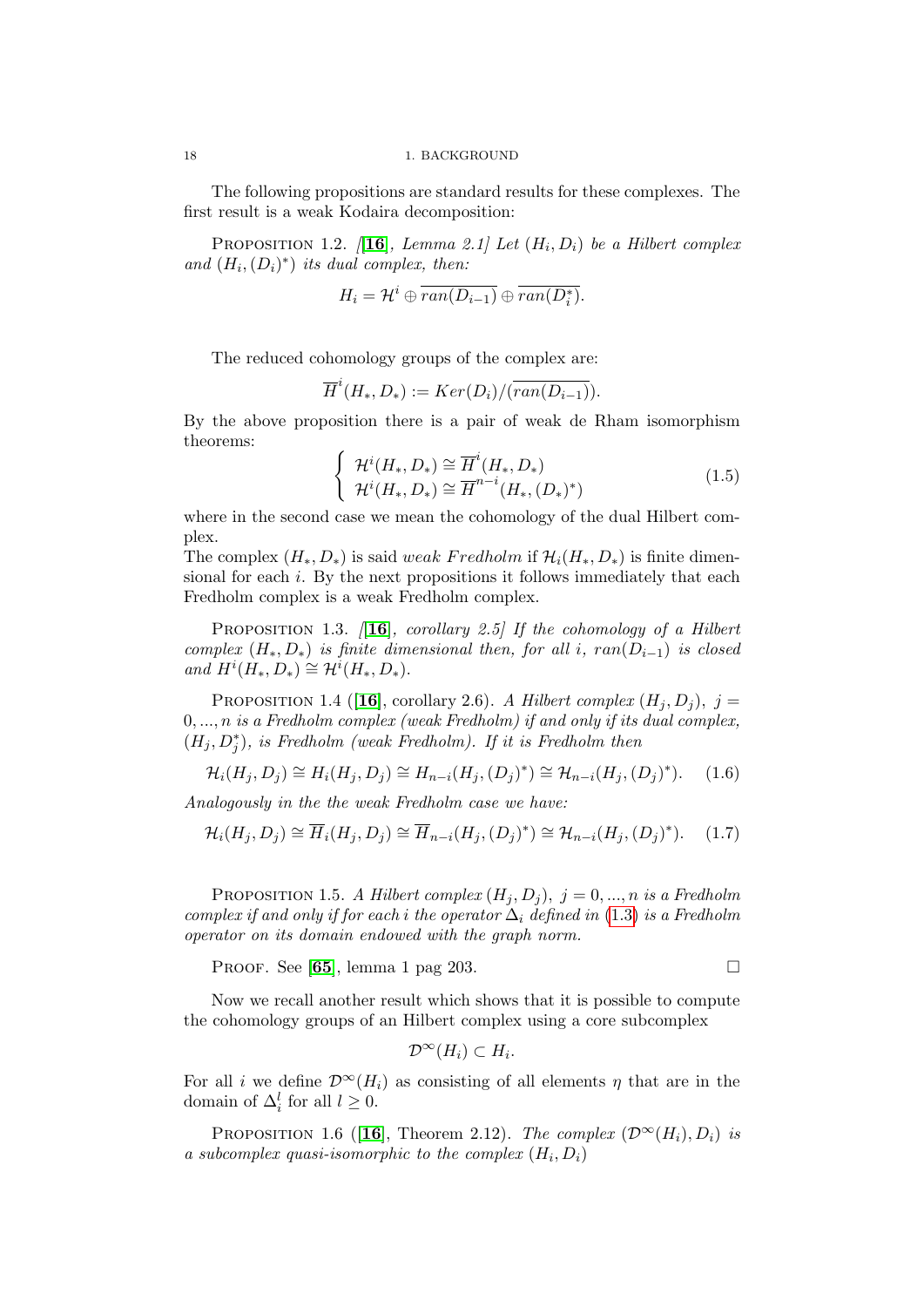The following propositions are standard results for these complexes. The first result is a weak Kodaira decomposition:

<span id="page-17-0"></span>PROPOSITION 1.2.  $[16]$  $[16]$  $[16]$ , Lemma 2.1] Let  $(H_i, D_i)$  be a Hilbert complex and  $(H_i, (D_i)^*)$  its dual complex, then:

$$
H_i = \mathcal{H}^i \oplus \overline{ran(D_{i-1})} \oplus \overline{ran(D_i^*)}.
$$

The reduced cohomology groups of the complex are:

$$
\overline{H}^i(H_*, D_*) := Ker(D_i)/(\overline{ran(D_{i-1})}).
$$

By the above proposition there is a pair of weak de Rham isomorphism theorems:

<span id="page-17-1"></span>
$$
\begin{cases}\n\mathcal{H}^i(H_*, D_*) \cong \overline{H}^i(H_*, D_*) \\
\mathcal{H}^i(H_*, D_*) \cong \overline{H}^{n-i}(H_*, (D_*)^*)\n\end{cases} \tag{1.5}
$$

where in the second case we mean the cohomology of the dual Hilbert complex.

The complex  $(H_*, D_*)$  is said weak Fredholm if  $\mathcal{H}_i(H_*, D_*)$  is finite dimensional for each  $i$ . By the next propositions it follows immediately that each Fredholm complex is a weak Fredholm complex.

PROPOSITION 1.3.  $[16]$  $[16]$  $[16]$ , corollary 2.5] If the cohomology of a Hilbert complex  $(H_*, D_*)$  is finite dimensional then, for all i,  $ran(D_{i-1})$  is closed and  $H^i(H_*, D_*) \cong H^i(H_*, D_*).$ 

PROPOSITION 1.4 ([[16](#page-136-14)], corollary 2.6). A Hilbert complex  $(H_j, D_j)$ , j =  $0, \ldots, n$  is a Fredholm complex (weak Fredholm) if and only if its dual complex,  $(H_j, D_j^*)$ , is Fredholm (weak Fredholm). If it is Fredholm then

$$
\mathcal{H}_i(H_j, D_j) \cong H_i(H_j, D_j) \cong H_{n-i}(H_j, (D_j)^*) \cong \mathcal{H}_{n-i}(H_j, (D_j)^*). \tag{1.6}
$$

Analogously in the the weak Fredholm case we have:

$$
\mathcal{H}_i(H_j, D_j) \cong \overline{H}_i(H_j, D_j) \cong \overline{H}_{n-i}(H_j, (D_j)^*) \cong \mathcal{H}_{n-i}(H_j, (D_j)^*). \tag{1.7}
$$

PROPOSITION 1.5. A Hilbert complex  $(H_i, D_i)$ ,  $j = 0, ..., n$  is a Fredholm complex if and only if for each i the operator  $\Delta_i$  defined in [\(1.3\)](#page-16-2) is a Fredholm operator on its domain endowed with the graph norm.

PROOF. See [[65](#page-138-13)], lemma 1 pag 203.

Now we recall another result which shows that it is possible to compute the cohomology groups of an Hilbert complex using a core subcomplex

$$
\mathcal{D}^{\infty}(H_i) \subset H_i.
$$

For all i we define  $\mathcal{D}^{\infty}(H_i)$  as consisting of all elements  $\eta$  that are in the domain of  $\Delta_i^l$  for all  $l \geq 0$ .

<span id="page-17-2"></span>PROPOSITION 1.6 ([[16](#page-136-14)], Theorem 2.12). The complex  $(\mathcal{D}^{\infty}(H_i), D_i)$  is a subcomplex quasi-isomorphic to the complex  $(H_i, D_i)$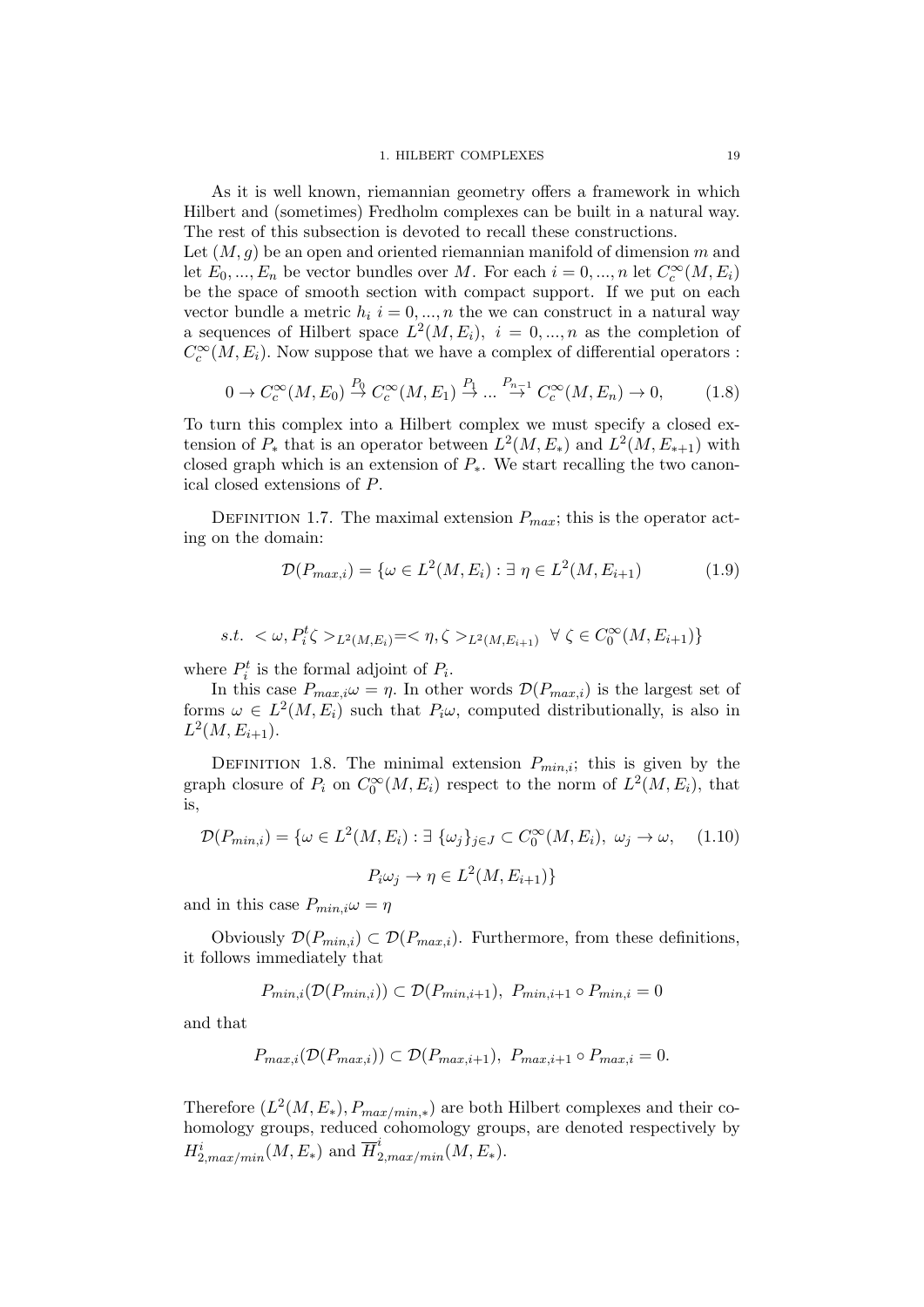#### 1. HILBERT COMPLEXES 19

As it is well known, riemannian geometry offers a framework in which Hilbert and (sometimes) Fredholm complexes can be built in a natural way. The rest of this subsection is devoted to recall these constructions.

Let  $(M, q)$  be an open and oriented riemannian manifold of dimension m and let  $E_0, ..., E_n$  be vector bundles over M. For each  $i = 0, ..., n$  let  $C_c^{\infty}(M, E_i)$ be the space of smooth section with compact support. If we put on each vector bundle a metric  $h_i$  i = 0, ..., n the we can construct in a natural way a sequences of Hilbert space  $L^2(M, E_i)$ ,  $i = 0, ..., n$  as the completion of  $C_c^{\infty}(M, E_i)$ . Now suppose that we have a complex of differential operators :

<span id="page-18-0"></span>
$$
0 \to C_c^{\infty}(M, E_0) \stackrel{P_0}{\to} C_c^{\infty}(M, E_1) \stackrel{P_1}{\to} \dots \stackrel{P_{n-1}}{\to} C_c^{\infty}(M, E_n) \to 0,
$$
 (1.8)

To turn this complex into a Hilbert complex we must specify a closed extension of  $P_*$  that is an operator between  $L^2(M, E_*)$  and  $L^2(M, E_{*+1})$  with closed graph which is an extension of  $P_{\ast}$ . We start recalling the two canonical closed extensions of P.

DEFINITION 1.7. The maximal extension  $P_{max}$ ; this is the operator acting on the domain:

$$
\mathcal{D}(P_{max,i}) = \{ \omega \in L^2(M, E_i) : \exists \eta \in L^2(M, E_{i+1}) \tag{1.9} \}
$$

s.t. 
$$
\langle \omega, P_i^t \zeta \rangle_{L^2(M, E_i)} = \langle \eta, \zeta \rangle_{L^2(M, E_{i+1})} \ \forall \ \zeta \in C_0^{\infty}(M, E_{i+1})
$$

where  $P_i^t$  is the formal adjoint of  $P_i$ .

In this case  $P_{max,i}\omega = \eta$ . In other words  $\mathcal{D}(P_{max,i})$  is the largest set of forms  $\omega \in L^2(M, E_i)$  such that  $P_i \omega$ , computed distributionally, is also in  $L^2(M, E_{i+1}).$ 

DEFINITION 1.8. The minimal extension  $P_{min,i}$ ; this is given by the graph closure of  $P_i$  on  $C_0^{\infty}(M, E_i)$  respect to the norm of  $L^2(M, E_i)$ , that is,

$$
\mathcal{D}(P_{min,i}) = \{ \omega \in L^2(M, E_i) : \exists \ \{\omega_j\}_{j \in J} \subset C_0^{\infty}(M, E_i), \ \omega_j \to \omega, \quad (1.10)
$$

$$
P_i \omega_j \to \eta \in L^2(M, E_{i+1})\}
$$

and in this case  $P_{min,i}\omega = \eta$ 

Obviously  $\mathcal{D}(P_{min,i}) \subset \mathcal{D}(P_{max,i})$ . Furthermore, from these definitions, it follows immediately that

$$
P_{min,i}(\mathcal{D}(P_{min,i})) \subset \mathcal{D}(P_{min,i+1}), \ P_{min,i+1} \circ P_{min,i} = 0
$$

and that

$$
P_{max,i}(\mathcal{D}(P_{max,i})) \subset \mathcal{D}(P_{max,i+1}), \ P_{max,i+1} \circ P_{max,i} = 0.
$$

Therefore  $(L^2(M, E_*)$ ,  $P_{max/min,*}$ ) are both Hilbert complexes and their cohomology groups, reduced cohomology groups, are denoted respectively by  $H_{2,max/min}^i(M, E_*)$  and  $\overline{H}_{2,max/min}^i(M, E_*)$ .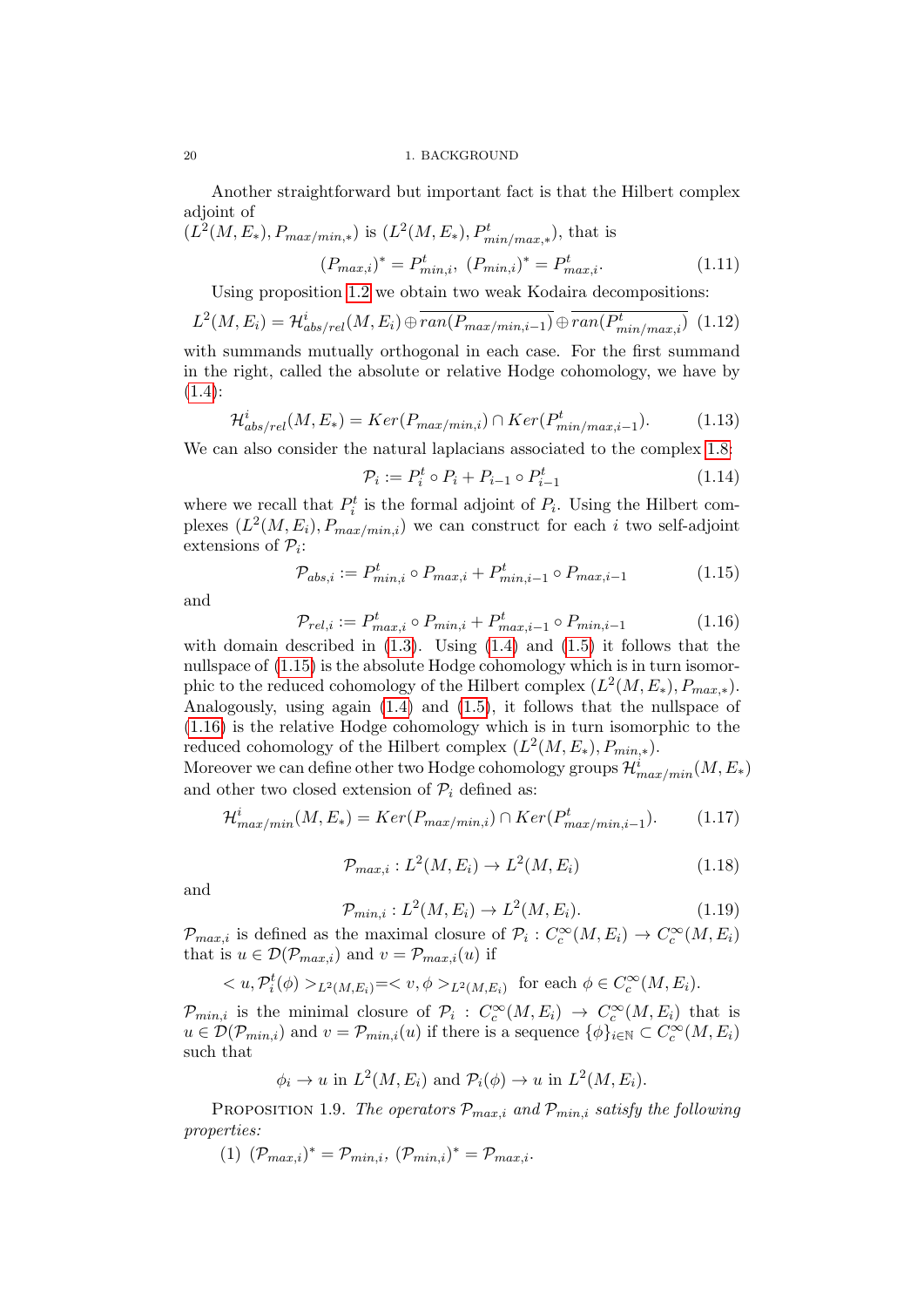Another straightforward but important fact is that the Hilbert complex adjoint of

$$
(L^{2}(M, E_{*}), P_{max/min,*}) \text{ is } (L^{2}(M, E_{*}), P_{min/max,*}^{t}), \text{ that is}
$$

$$
(P_{max,i})^{*} = P_{min,i}^{t}, (P_{min,i})^{*} = P_{max,i}^{t}. \qquad (1.11)
$$

Using proposition [1.2](#page-17-0) we obtain two weak Kodaira decompositions:

$$
L^{2}(M,E_{i}) = \mathcal{H}_{abs/rel}^{i}(M,E_{i}) \oplus \overline{ran(P_{max/min,i-1})} \oplus \overline{ran(P_{min/max,i}^{t})} \tag{1.12}
$$

with summands mutually orthogonal in each case. For the first summand in the right, called the absolute or relative Hodge cohomology, we have by  $(1.4):$  $(1.4):$ 

$$
\mathcal{H}_{abs/rel}^i(M, E_*) = Ker(P_{max/min,i}) \cap Ker(P_{min/max,i-1}^t). \tag{1.13}
$$

We can also consider the natural laplacians associated to the complex [1.8:](#page-18-0)

$$
\mathcal{P}_i := P_i^t \circ P_i + P_{i-1} \circ P_{i-1}^t \tag{1.14}
$$

where we recall that  $P_i^t$  is the formal adjoint of  $P_i$ . Using the Hilbert complexes  $(L^2(M, E_i), P_{max/min,i})$  we can construct for each i two self-adjoint extensions of  $P_i$ :

<span id="page-19-0"></span>
$$
\mathcal{P}_{abs,i} := P^t_{min,i} \circ P_{max,i} + P^t_{min,i-1} \circ P_{max,i-1} \tag{1.15}
$$

and

<span id="page-19-1"></span>
$$
\mathcal{P}_{rel,i} := P^t_{max,i} \circ P_{min,i} + P^t_{max,i-1} \circ P_{min,i-1} \tag{1.16}
$$

with domain described in  $(1.3)$ . Using  $(1.4)$  and  $(1.5)$  it follows that the nullspace of  $(1.15)$  is the absolute Hodge cohomology which is in turn isomorphic to the reduced cohomology of the Hilbert complex  $(L^2(M, E_*)$ ,  $P_{max,*})$ . Analogously, using again [\(1.4\)](#page-16-3) and [\(1.5\)](#page-17-1), it follows that the nullspace of [\(1.16\)](#page-19-1) is the relative Hodge cohomology which is in turn isomorphic to the reduced cohomology of the Hilbert complex  $(L^2(M, E_*)$ ,  $P_{min,*})$ .

Moreover we can define other two Hodge cohomology groups  $\mathcal{H}^i_{max/min}(M,E_*)$ and other two closed extension of  $\mathcal{P}_i$  defined as:

$$
\mathcal{H}^i_{max/min}(M, E_*) = Ker(P_{max/min,i}) \cap Ker(P^t_{max/min,i-1}). \tag{1.17}
$$

$$
\mathcal{P}_{max,i}: L^2(M, E_i) \to L^2(M, E_i)
$$
\n
$$
(1.18)
$$

and

$$
\mathcal{P}_{min,i}: L^2(M, E_i) \to L^2(M, E_i). \tag{1.19}
$$

 $\mathcal{P}_{max,i}$  is defined as the maximal closure of  $\mathcal{P}_i: C_c^{\infty}(M, E_i) \to C_c^{\infty}(M, E_i)$ that is  $u \in \mathcal{D}(\mathcal{P}_{max,i})$  and  $v = \mathcal{P}_{max,i}(u)$  if

$$
\langle u, \mathcal{P}_i^t(\phi) \rangle_{L^2(M,E_i)} = \langle v, \phi \rangle_{L^2(M,E_i)} \text{ for each } \phi \in C_c^{\infty}(M,E_i).
$$

 $\mathcal{P}_{min,i}$  is the minimal closure of  $\mathcal{P}_i$ :  $C_c^{\infty}(M,E_i) \to C_c^{\infty}(M,E_i)$  that is  $u \in \mathcal{D}(\mathcal{P}_{min,i})$  and  $v = \mathcal{P}_{min,i}(u)$  if there is a sequence  $\{\phi\}_{i\in\mathbb{N}} \subset C_c^{\infty}(M, E_i)$ such that

$$
\phi_i \to u
$$
 in  $L^2(M, E_i)$  and  $\mathcal{P}_i(\phi) \to u$  in  $L^2(M, E_i)$ .

<span id="page-19-2"></span>PROPOSITION 1.9. The operators  $P_{max,i}$  and  $P_{min,i}$  satisfy the following properties:

(1) 
$$
(\mathcal{P}_{max,i})^* = \mathcal{P}_{min,i}, (\mathcal{P}_{min,i})^* = \mathcal{P}_{max,i}.
$$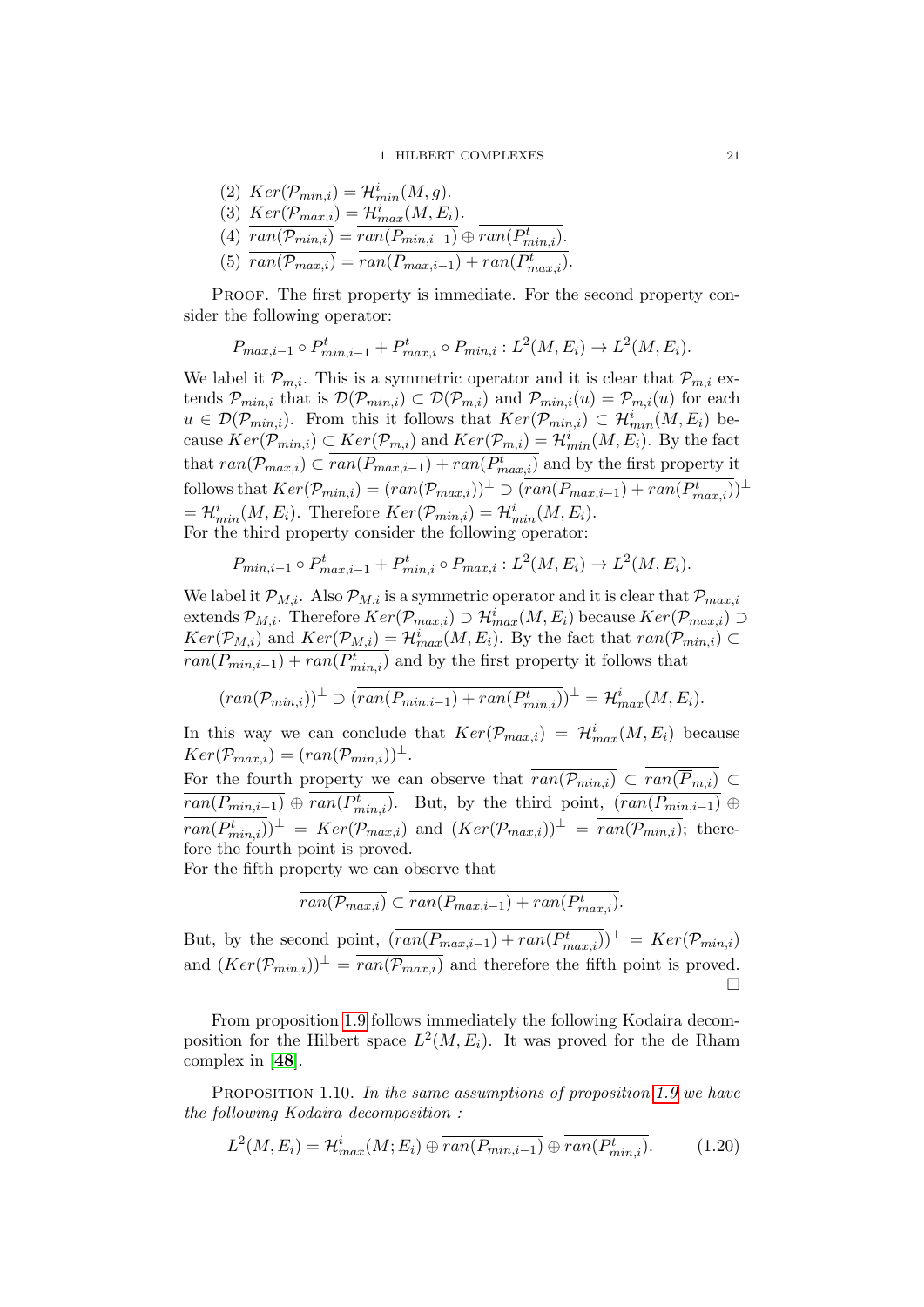(2) 
$$
Ker(\mathcal{P}_{min,i}) = \mathcal{H}_{min}^i(M, g).
$$
  
\n(3) 
$$
Ker(\mathcal{P}_{max,i}) = \mathcal{H}_{max}^i(M, E_i).
$$
  
\n(4) 
$$
\overline{ran(\mathcal{P}_{min,i})} = \overline{ran(P_{min,i-1})} \oplus \overline{ran(P_{min,i})}.
$$
  
\n(5) 
$$
\overline{ran(\mathcal{P}_{max,i})} = \overline{ran(P_{max,i-1}) + ran(P_{max,i}^t)}.
$$

PROOF. The first property is immediate. For the second property consider the following operator:

$$
P_{max,i-1} \circ P_{min,i-1}^{t} + P_{max,i}^{t} \circ P_{min,i} : L^{2}(M, E_{i}) \to L^{2}(M, E_{i}).
$$

We label it  $\mathcal{P}_{m,i}$ . This is a symmetric operator and it is clear that  $\mathcal{P}_{m,i}$  extends  $\mathcal{P}_{min,i}$  that is  $\mathcal{D}(\mathcal{P}_{min,i}) \subset \mathcal{D}(\mathcal{P}_{m,i})$  and  $\mathcal{P}_{min,i}(u) = \mathcal{P}_{m,i}(u)$  for each  $u \in \mathcal{D}(\mathcal{P}_{min,i})$ . From this it follows that  $Ker(\mathcal{P}_{min,i}) \subset \mathcal{H}_{min}^{i}(M, E_i)$  because  $Ker(\mathcal{P}_{min,i}) \subset Ker(\mathcal{P}_{m,i})$  and  $Ker(\mathcal{P}_{m,i}) = \mathcal{H}_{min}^i(M, E_i)$ . By the fact that  $ran(\mathcal{P}_{max,i}) \subset \overline{ran(P_{max,i-1})} + ran(P_{max,i}^t)$  and by the first property it follows that  $Ker(\mathcal{P}_{min,i}) = (ran(\mathcal{P}_{max,i}))^{\perp} \supset (ran(P_{max,i-1}) + ran(P_{max,i}^t))^{\perp}$  $=\mathcal{H}_{min}^i(M, E_i)$ . Therefore  $Ker(\mathcal{P}_{min,i}) = \mathcal{H}_{min}^i(M, E_i)$ . For the third property consider the following operator:

$$
P_{min,i-1} \circ P_{max,i-1}^{t} + P_{min,i}^{t} \circ P_{max,i} : L^{2}(M, E_{i}) \to L^{2}(M, E_{i}).
$$

We label it  $\mathcal{P}_{M,i}$ . Also  $\mathcal{P}_{M,i}$  is a symmetric operator and it is clear that  $\mathcal{P}_{max,i}$ extends  $\mathcal{P}_{M,i}$ . Therefore  $Ker(\mathcal{P}_{max,i}) \supset \mathcal{H}_{max}^{i}(M,E_i)$  because  $Ker(\mathcal{P}_{max,i}) \supset$  $Ker(\mathcal{P}_{M,i})$  and  $Ker(\mathcal{P}_{M,i}) = \mathcal{H}^i_{max}(M, E_i)$ . By the fact that  $ran(\mathcal{P}_{min,i}) \subset$  $\overline{ran(P_{min,i-1}) + ran(P_{min,i}^t)}$  and by the first property it follows that

$$
(ran(\mathcal{P}_{min,i}))^{\perp} \supset (ran(P_{min,i-1}) + ran(P_{min,i}^{t}))^{\perp} = \mathcal{H}_{max}^{i}(M, E_{i}).
$$

In this way we can conclude that  $Ker(\mathcal{P}_{max,i}) = \mathcal{H}_{max}^i(M, E_i)$  because  $Ker(\mathcal{P}_{max,i}) = (ran(\mathcal{P}_{min,i}))^{\perp}.$ 

For the fourth property we can observe that  $ran(\mathcal{P}_{min,i}) \subset ran(\overline{P}_{m,i}) \subset$  $\overline{ran(P_{min,i-1})} \oplus ran(P_{min,i}^t)$ . But, by the third point,  $\overline{(ran(P_{min,i-1})} \oplus$  $\overline{ran(P_{min,i}^t)}$  $\perp$  =  $Ker(\mathcal{P}_{max,i})$  and  $(Ker(\mathcal{P}_{max,i}))$ <sup> $\perp$ </sup> =  $\overline{ran(\mathcal{P}_{min,i})}$ ; therefore the fourth point is proved.

For the fifth property we can observe that

$$
\overline{ran(\mathcal{P}_{max,i})} \subset \overline{ran(P_{max,i-1})} + ran(P_{max,i}^t).
$$

But, by the second point,  $(\overline{ran(P_{max,i-1}) + ran(P_{max,i}^t)})^{\perp} = Ker(\mathcal{P}_{min,i})$ and  $(Ker(\mathcal{P}_{min,i}))^{\perp} = \overline{ran(\mathcal{P}_{max,i})}$  and therefore the fifth point is proved.  $\Box$ 

From proposition [1.9](#page-19-2) follows immediately the following Kodaira decomposition for the Hilbert space  $L^2(M, E_i)$ . It was proved for the de Rham complex in [[48](#page-137-10)].

PROPOSITION 1.10. In the same assumptions of proposition [1.9](#page-19-2) we have the following Kodaira decomposition :

$$
L^{2}(M, E_{i}) = \mathcal{H}^{i}_{max}(M; E_{i}) \oplus \overline{ran(P_{min,i-1})} \oplus \overline{ran(P^{t}_{min,i})}.
$$
 (1.20)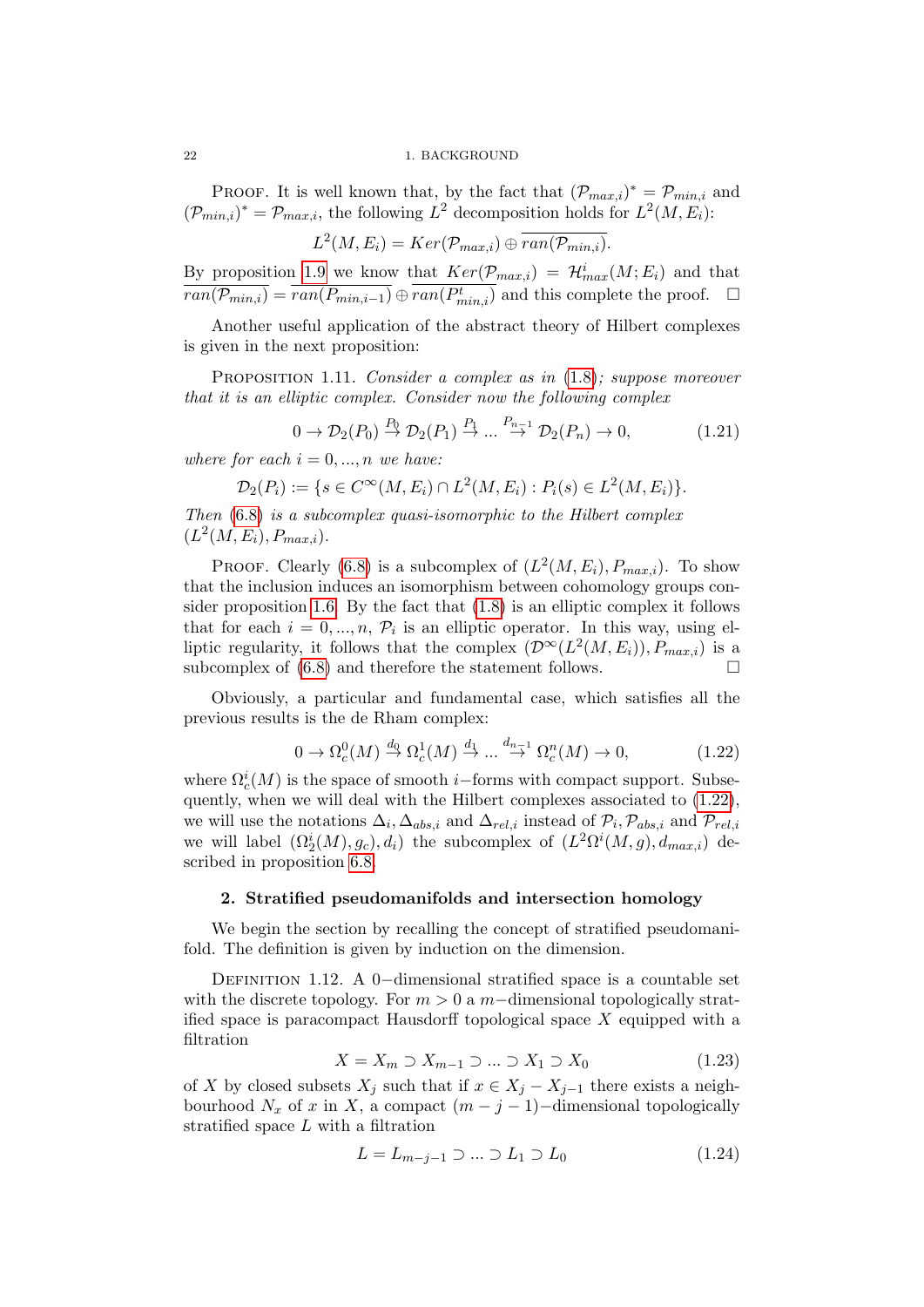PROOF. It is well known that, by the fact that  $(\mathcal{P}_{max,i})^* = \mathcal{P}_{min,i}$  and  $(\mathcal{P}_{min,i})^* = \mathcal{P}_{max,i}$ , the following  $L^2$  decomposition holds for  $L^2(M,E_i)$ :

 $L^2(M,E_i) = Ker(\mathcal{P}_{max,i}) \oplus \overline{ran(\mathcal{P}_{min,i})}.$ 

By proposition [1.9](#page-19-2) we know that  $Ker(\mathcal{P}_{max,i}) = \mathcal{H}_{max}^i(M; E_i)$  and that  $\overline{ran(\mathcal{P}_{min,i})} = \overline{ran(P_{min,i-1})} \oplus \overline{ran(P_{min,i}^t)}$  and this complete the proof.  $\Box$ 

Another useful application of the abstract theory of Hilbert complexes is given in the next proposition:

PROPOSITION 1.11. Consider a complex as in  $(1.8)$ ; suppose moreover that it is an elliptic complex. Consider now the following complex

$$
0 \to \mathcal{D}_2(P_0) \stackrel{P_0}{\to} \mathcal{D}_2(P_1) \stackrel{P_1}{\to} \dots \stackrel{P_{n-1}}{\to} \mathcal{D}_2(P_n) \to 0,
$$
\n(1.21)

where for each  $i = 0, ..., n$  we have:

$$
\mathcal{D}_2(P_i) := \{ s \in C^{\infty}(M, E_i) \cap L^2(M, E_i) : P_i(s) \in L^2(M, E_i) \}.
$$

Then  $(6.8)$  is a subcomplex quasi-isomorphic to the Hilbert complex  $(L^2(M, E_i), P_{max,i}).$ 

PROOF. Clearly [\(6.8\)](#page-121-0) is a subcomplex of  $(L^2(M, E_i), P_{max,i})$ . To show that the inclusion induces an isomorphism between cohomology groups consider proposition [1.6.](#page-17-2) By the fact that [\(1.8\)](#page-18-0) is an elliptic complex it follows that for each  $i = 0, ..., n, \mathcal{P}_i$  is an elliptic operator. In this way, using elliptic regularity, it follows that the complex  $(\mathcal{D}^{\infty}(L^2(M,E_i)), P_{max,i})$  is a subcomplex of  $(6.8)$  and therefore the statement follows.

Obviously, a particular and fundamental case, which satisfies all the previous results is the de Rham complex:

<span id="page-21-1"></span>
$$
0 \to \Omega_c^0(M) \stackrel{d_0}{\to} \Omega_c^1(M) \stackrel{d_1}{\to} \dots \stackrel{d_{n-1}}{\to} \Omega_c^n(M) \to 0,
$$
\n(1.22)

where  $\Omega_c^i(M)$  is the space of smooth *i*–forms with compact support. Subsequently, when we will deal with the Hilbert complexes associated to [\(1.22\)](#page-21-1), we will use the notations  $\Delta_i, \Delta_{abs,i}$  and  $\Delta_{rel,i}$  instead of  $\mathcal{P}_i, \mathcal{P}_{abs,i}$  and  $\mathcal{P}_{rel,i}$ we will label  $(\Omega_2^i(M), g_c), d_i)$  the subcomplex of  $(L^2\Omega^i(M, g), d_{max,i})$  described in proposition [6.8.](#page-121-0)

## 2. Stratified pseudomanifolds and intersection homology

<span id="page-21-0"></span>We begin the section by recalling the concept of stratified pseudomanifold. The definition is given by induction on the dimension.

DEFINITION 1.12. A 0−dimensional stratified space is a countable set with the discrete topology. For  $m > 0$  a m−dimensional topologically stratified space is paracompact Hausdorff topological space X equipped with a filtration

$$
X = X_m \supset X_{m-1} \supset \dots \supset X_1 \supset X_0 \tag{1.23}
$$

of X by closed subsets  $X_j$  such that if  $x \in X_j - X_{j-1}$  there exists a neighbourhood  $N_x$  of x in X, a compact  $(m - j - 1)$ -dimensional topologically stratified space L with a filtration

$$
L = L_{m-j-1} \supset \dots \supset L_1 \supset L_0 \tag{1.24}
$$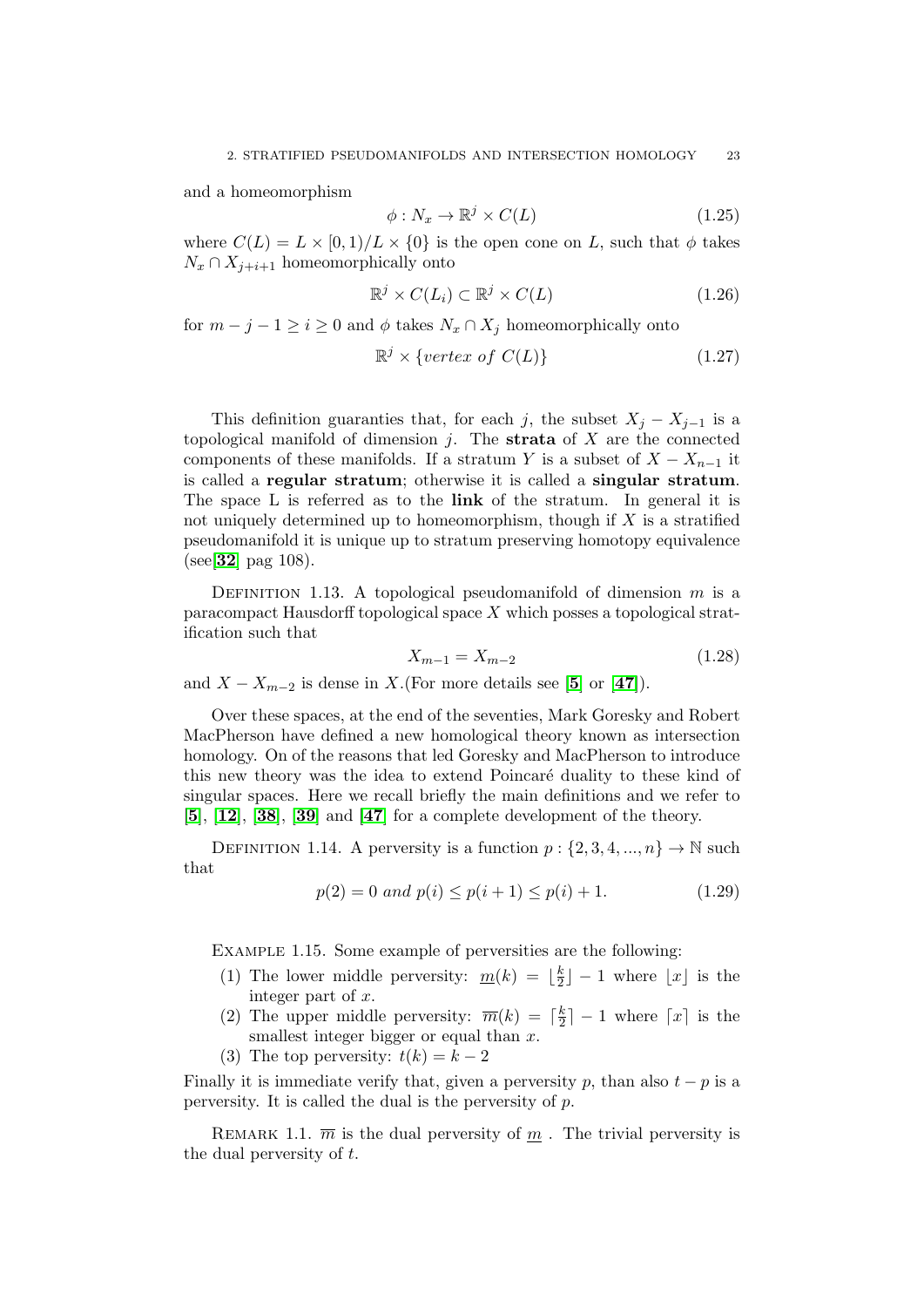and a homeomorphism

$$
\phi: N_x \to \mathbb{R}^j \times C(L) \tag{1.25}
$$

where  $C(L) = L \times [0, 1)/L \times \{0\}$  is the open cone on L, such that  $\phi$  takes  $N_x \cap X_{i+i+1}$  homeomorphically onto

$$
\mathbb{R}^j \times C(L_i) \subset \mathbb{R}^j \times C(L) \tag{1.26}
$$

for  $m - j - 1 \geq i \geq 0$  and  $\phi$  takes  $N_x \cap X_j$  homeomorphically onto

$$
\mathbb{R}^j \times \{vertex \ of \ C(L)\}
$$
\n(1.27)

This definition guaranties that, for each j, the subset  $X_i - X_{i-1}$  is a topological manifold of dimension  $j$ . The **strata** of  $X$  are the connected components of these manifolds. If a stratum Y is a subset of  $X - X_{n-1}$  it is called a regular stratum; otherwise it is called a singular stratum. The space L is referred as to the link of the stratum. In general it is not uniquely determined up to homeomorphism, though if  $X$  is a stratified pseudomanifold it is unique up to stratum preserving homotopy equivalence  $(see [32]$  $(see [32]$  $(see [32]$  pag 108).

DEFINITION 1.13. A topological pseudomanifold of dimension  $m$  is a paracompact Hausdorff topological space X which posses a topological stratification such that

$$
X_{m-1} = X_{m-2} \tag{1.28}
$$

and  $X - X_{m-2}$  is dense in X.(For more details see [[5](#page-136-15)] or [[47](#page-137-12)]).

Over these spaces, at the end of the seventies, Mark Goresky and Robert MacPherson have defined a new homological theory known as intersection homology. On of the reasons that led Goresky and MacPherson to introduce this new theory was the idea to extend Poincaré duality to these kind of singular spaces. Here we recall briefly the main definitions and we refer to  $[5]$  $[5]$  $[5]$ ,  $[12]$  $[12]$  $[12]$ ,  $[38]$  $[38]$  $[38]$ ,  $[39]$  $[39]$  $[39]$  and  $[47]$  $[47]$  $[47]$  for a complete development of the theory.

DEFINITION 1.14. A perversity is a function  $p: \{2, 3, 4, ..., n\} \rightarrow \mathbb{N}$  such that

<span id="page-22-0"></span>
$$
p(2) = 0 \text{ and } p(i) \le p(i+1) \le p(i) + 1. \tag{1.29}
$$

EXAMPLE 1.15. Some example of perversities are the following:

- (1) The lower middle perversity:  $m(k) = \frac{k}{2}$  $\left[\frac{k}{2}\right] - 1$  where  $\lfloor x \rfloor$  is the integer part of  $x$ .
- (2) The upper middle perversity:  $\overline{m}(k) = \lceil \frac{k}{2} \rceil$  $\left[\frac{k}{2}\right] - 1$  where  $\left[x\right]$  is the smallest integer bigger or equal than  $x$ .
- (3) The top perversity:  $t(k) = k 2$

Finally it is immediate verify that, given a perversity p, than also  $t - p$  is a perversity. It is called the dual is the perversity of p.

REMARK 1.1.  $\overline{m}$  is the dual perversity of m. The trivial perversity is the dual perversity of t.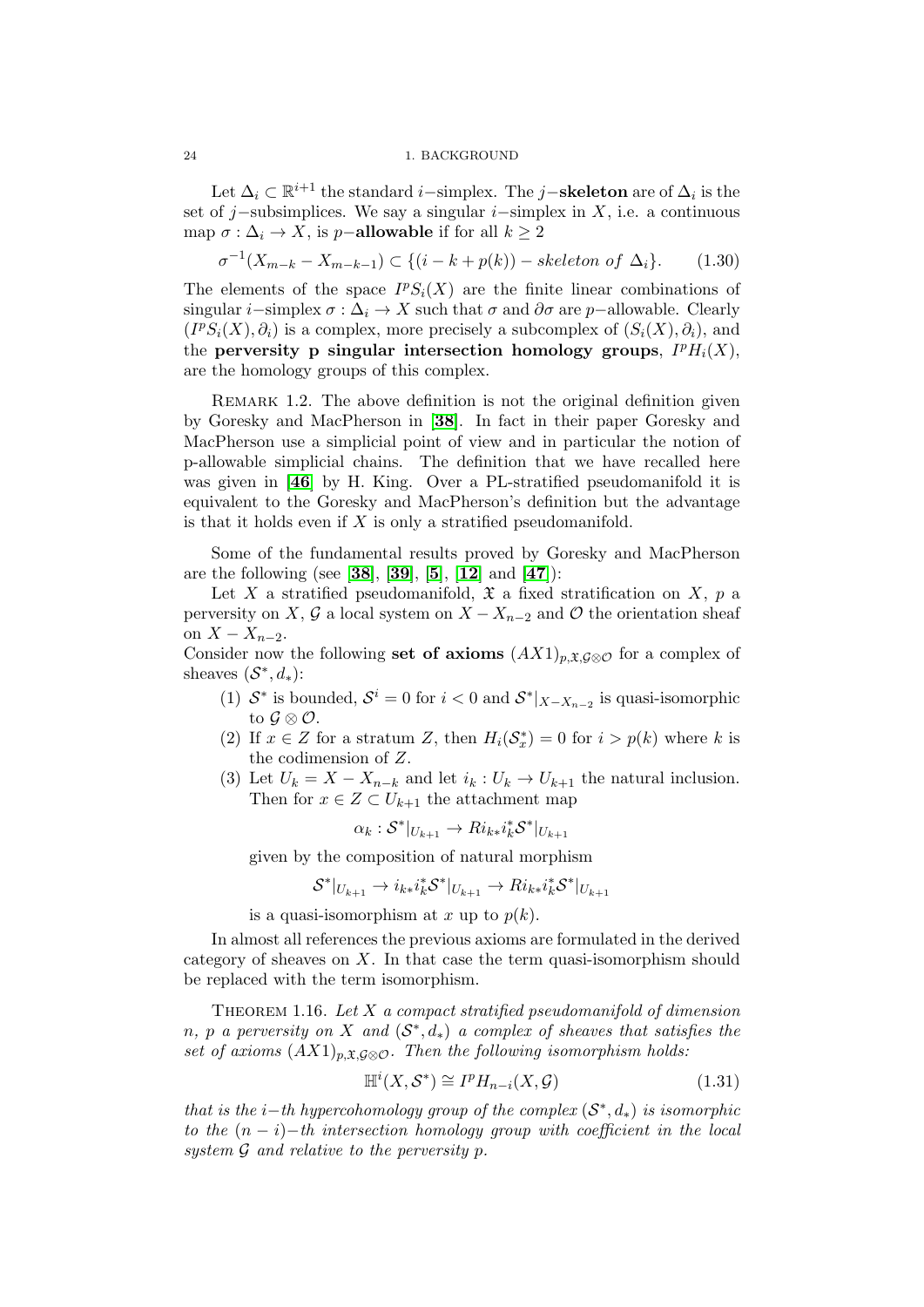Let  $\Delta_i \subset \mathbb{R}^{i+1}$  the standard *i*-simplex. The *j*-skeleton are of  $\Delta_i$  is the set of j–subsimplices. We say a singular  $i$ –simplex in X, i.e. a continuous map  $\sigma : \Delta_i \to X$ , is p−allowable if for all  $k \geq 2$ 

$$
\sigma^{-1}(X_{m-k}-X_{m-k-1}) \subset \{(i-k+p(k)) - skeleton \ of \ \Delta_i\}.
$$
 (1.30)

The elements of the space  $I^pS_i(X)$  are the finite linear combinations of singular i–simplex  $\sigma : \Delta_i \to X$  such that  $\sigma$  and  $\partial \sigma$  are p–allowable. Clearly  $(I^{p}S_{i}(X), \partial_{i})$  is a complex, more precisely a subcomplex of  $(S_{i}(X), \partial_{i})$ , and the perversity p singular intersection homology groups,  $I^p H_i(X)$ , are the homology groups of this complex.

REMARK 1.2. The above definition is not the original definition given by Goresky and MacPherson in [[38](#page-137-13)]. In fact in their paper Goresky and MacPherson use a simplicial point of view and in particular the notion of p-allowable simplicial chains. The definition that we have recalled here was given in [[46](#page-137-15)] by H. King. Over a PL-stratified pseudomanifold it is equivalent to the Goresky and MacPherson's definition but the advantage is that it holds even if  $X$  is only a stratified pseudomanifold.

Some of the fundamental results proved by Goresky and MacPherson are the following (see [[38](#page-137-13)], [[39](#page-137-14)], [[5](#page-136-15)], [[12](#page-136-16)] and [[47](#page-137-12)]):

Let X a stratified pseudomanifold,  $\mathfrak X$  a fixed stratification on X, p a perversity on X, G a local system on  $X - X_{n-2}$  and O the orientation sheaf on  $X - X_{n-2}$ .

Consider now the following set of axioms  $(AX1)_{p,\mathfrak{X},\mathcal{G}\otimes\mathcal{O}}$  for a complex of sheaves  $(S^*, d_*)$ :

- (1)  $S^*$  is bounded,  $S^i = 0$  for  $i < 0$  and  $S^*|_{X-X_{n-2}}$  is quasi-isomorphic to  $\mathcal{G} \otimes \mathcal{O}$ .
- (2) If  $x \in Z$  for a stratum Z, then  $H_i(\mathcal{S}_x^*) = 0$  for  $i > p(k)$  where k is the codimension of Z.
- (3) Let  $U_k = X X_{n-k}$  and let  $i_k : U_k \to U_{k+1}$  the natural inclusion. Then for  $x \in Z \subset U_{k+1}$  the attachment map

$$
\alpha_k: \mathcal{S}^*|_{U_{k+1}} \to Ri_{k*}i_k^*\mathcal{S}^*|_{U_{k+1}}
$$

given by the composition of natural morphism

$$
\mathcal{S}^*|_{U_{k+1}} \to i_{k*}i_k^*\mathcal{S}^*|_{U_{k+1}} \to Ri_{k*}i_k^*\mathcal{S}^*|_{U_{k+1}}
$$

is a quasi-isomorphism at x up to  $p(k)$ .

In almost all references the previous axioms are formulated in the derived category of sheaves on  $X$ . In that case the term quasi-isomorphism should be replaced with the term isomorphism.

THEOREM 1.16. Let  $X$  a compact stratified pseudomanifold of dimension n, p a perversity on X and  $(S^*, d_*)$  a complex of sheaves that satisfies the set of axioms  $(AX1)_{p,\mathfrak{X},\mathcal{G}\otimes\mathcal{O}}$ . Then the following isomorphism holds:

$$
\mathbb{H}^i(X, \mathcal{S}^*) \cong I^p H_{n-i}(X, \mathcal{G}) \tag{1.31}
$$

that is the i–th hypercohomology group of the complex  $(S^*, d_*)$  is isomorphic to the  $(n - i)$ −th intersection homology group with coefficient in the local system  $G$  and relative to the perversity p.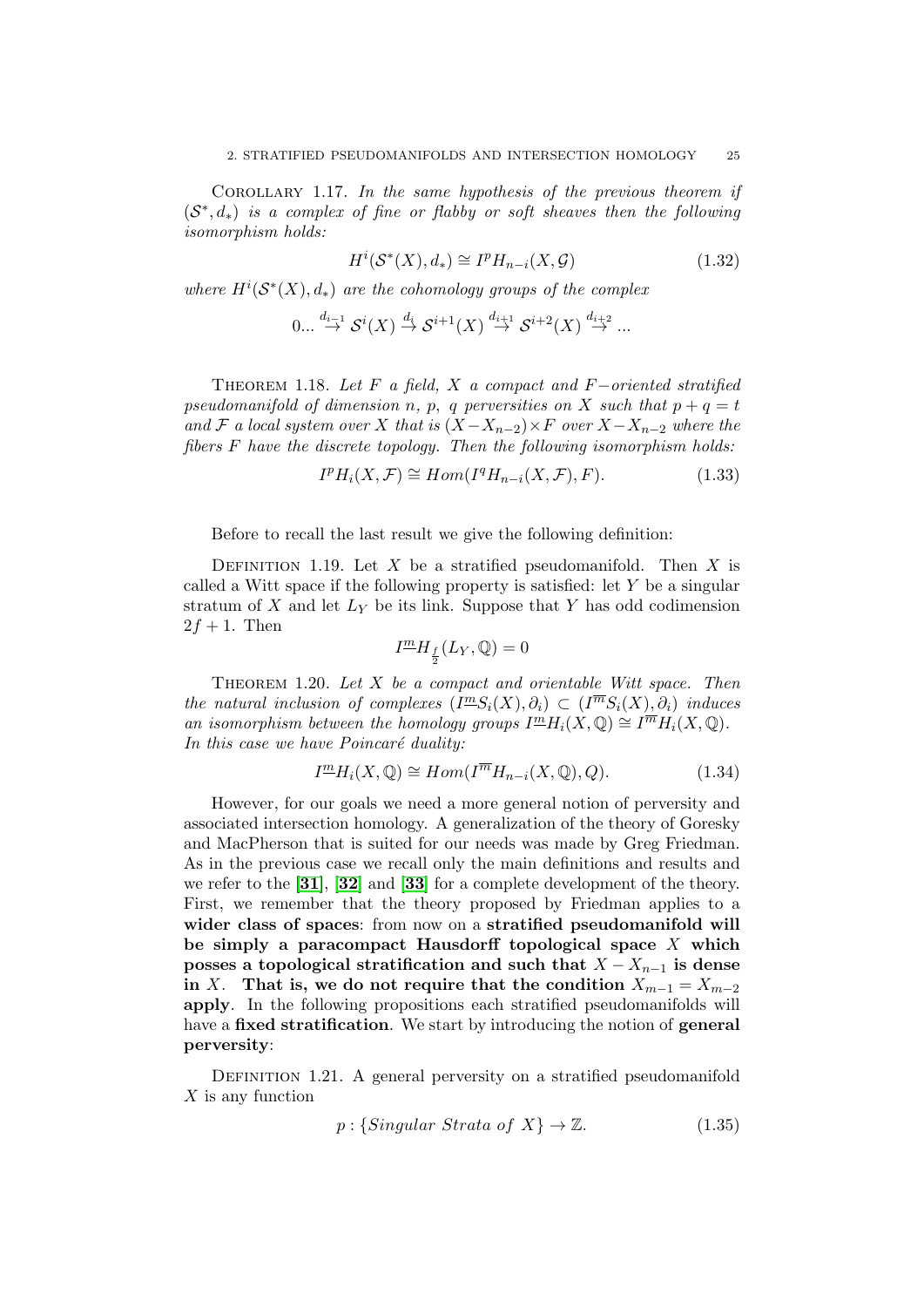Corollary 1.17. In the same hypothesis of the previous theorem if  $(S^*, d_*)$  is a complex of fine or flabby or soft sheaves then the following isomorphism holds:

$$
H^i(\mathcal{S}^*(X), d_*) \cong I^p H_{n-i}(X, \mathcal{G})
$$
\n(1.32)

where  $H^{i}(S^{*}(X), d_{*})$  are the cohomology groups of the complex

$$
0... \stackrel{d_{i-1}}{\to} \mathcal{S}^i(X) \stackrel{d_i}{\to} \mathcal{S}^{i+1}(X) \stackrel{d_{i+1}}{\to} \mathcal{S}^{i+2}(X) \stackrel{d_{i+2}}{\to} ...
$$

THEOREM 1.18. Let F a field, X a compact and F-oriented stratified pseudomanifold of dimension n, p, q perversities on X such that  $p + q = t$ and F a local system over X that is  $(X-X_{n-2})\times F$  over  $X-X_{n-2}$  where the fibers F have the discrete topology. Then the following isomorphism holds:

$$
I^p H_i(X, \mathcal{F}) \cong Hom(I^q H_{n-i}(X, \mathcal{F}), F). \tag{1.33}
$$

Before to recall the last result we give the following definition:

DEFINITION 1.19. Let X be a stratified pseudomanifold. Then X is called a Witt space if the following property is satisfied: let Y be a singular stratum of  $X$  and let  $L_Y$  be its link. Suppose that  $Y$  has odd codimension  $2f + 1$ . Then

$$
I^{\underline{m}}H_{\frac{f}{2}}(L_Y,\mathbb Q)=0
$$

THEOREM 1.20. Let  $X$  be a compact and orientable Witt space. Then the natural inclusion of complexes  $(I^{\underline{m}}S_i(X), \partial_i) \subset (I^{\overline{m}}S_i(X), \partial_i)$  induces an isomorphism between the homology groups  $I^{\underline{m}}H_i(X,\mathbb{Q}) \cong I^{\overline{m}}H_i(X,\mathbb{Q})$ . In this case we have  $Poincaré$  duality:

$$
I^{\underline{m}}H_i(X,\mathbb{Q}) \cong Hom(I^{\overline{m}}H_{n-i}(X,\mathbb{Q}),Q). \tag{1.34}
$$

However, for our goals we need a more general notion of perversity and associated intersection homology. A generalization of the theory of Goresky and MacPherson that is suited for our needs was made by Greg Friedman. As in the previous case we recall only the main definitions and results and we refer to the  $[31]$  $[31]$  $[31]$ ,  $[32]$  $[32]$  $[32]$  and  $[33]$  $[33]$  $[33]$  for a complete development of the theory. First, we remember that the theory proposed by Friedman applies to a wider class of spaces: from now on a stratified pseudomanifold will be simply a paracompact Hausdorff topological space  $X$  which posses a topological stratification and such that  $X - X_{n-1}$  is dense in X. That is, we do not require that the condition  $X_{m-1} = X_{m-2}$ apply. In the following propositions each stratified pseudomanifolds will have a fixed stratification. We start by introducing the notion of general perversity:

DEFINITION 1.21. A general perversity on a stratified pseudomanifold X is any function

$$
p: \{Singular \;Strata \; of \; X\} \to \mathbb{Z}.\tag{1.35}
$$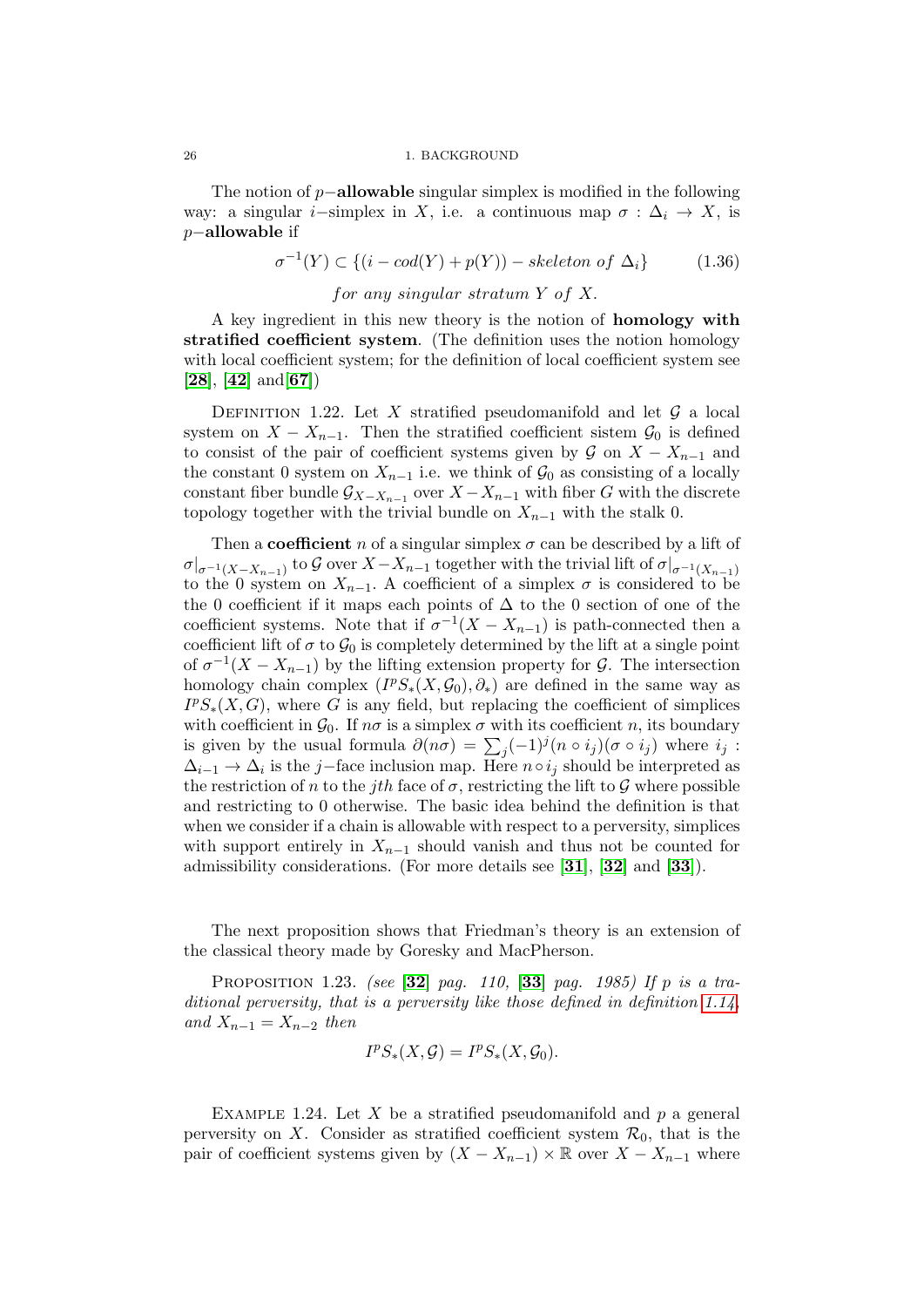The notion of  $p-\text{allowable singular simplex}$  is modified in the following way: a singular *i*−simplex in X, i.e. a continuous map  $\sigma : \Delta_i \to X$ , is p−allowable if

$$
\sigma^{-1}(Y) \subset \{(i - cod(Y) + p(Y)) - skeleton \ of \ \Delta_i\} \tag{1.36}
$$

# for any singular stratum Y of X.

A key ingredient in this new theory is the notion of **homology with** stratified coefficient system. (The definition uses the notion homology with local coefficient system; for the definition of local coefficient system see  $[28]$  $[28]$  $[28]$ ,  $[42]$  $[42]$  $[42]$  and  $[67]$  $[67]$  $[67]$ )

DEFINITION 1.22. Let X stratified pseudomanifold and let  $\mathcal G$  a local system on  $X - X_{n-1}$ . Then the stratified coefficient sistem  $\mathcal{G}_0$  is defined to consist of the pair of coefficient systems given by  $\mathcal G$  on  $X - X_{n-1}$  and the constant 0 system on  $X_{n-1}$  i.e. we think of  $\mathcal{G}_0$  as consisting of a locally constant fiber bundle  $\mathcal{G}_{X-X_{n-1}}$  over  $X-X_{n-1}$  with fiber G with the discrete topology together with the trivial bundle on  $X_{n-1}$  with the stalk 0.

Then a **coefficient** n of a singular simplex  $\sigma$  can be described by a lift of  $\sigma|_{\sigma^{-1}(X-X_{n-1})}$  to  $\mathcal G$  over  $X-X_{n-1}$  together with the trivial lift of  $\sigma|_{\sigma^{-1}(X_{n-1})}$ to the 0 system on  $X_{n-1}$ . A coefficient of a simplex  $\sigma$  is considered to be the 0 coefficient if it maps each points of  $\Delta$  to the 0 section of one of the coefficient systems. Note that if  $\sigma^{-1}(X - X_{n-1})$  is path-connected then a coefficient lift of  $\sigma$  to  $\mathcal{G}_0$  is completely determined by the lift at a single point of  $\sigma^{-1}(X - X_{n-1})$  by the lifting extension property for G. The intersection homology chain complex  $(I^pS_*(X, \mathcal{G}_0), \partial_*)$  are defined in the same way as  $I^{p}S_{*}(X, G)$ , where G is any field, but replacing the coefficient of simplices with coefficient in  $\mathcal{G}_0$ . If  $n\sigma$  is a simplex  $\sigma$  with its coefficient n, its boundary is given by the usual formula  $\partial(n\sigma) = \sum_j (-1)^j (n \circ i_j)(\sigma \circ i_j)$  where  $i_j$ :  $\Delta_{i-1} \rightarrow \Delta_i$  is the j–face inclusion map. Here  $n \circ i_j$  should be interpreted as the restriction of n to the jth face of  $\sigma$ , restricting the lift to G where possible and restricting to 0 otherwise. The basic idea behind the definition is that when we consider if a chain is allowable with respect to a perversity, simplices with support entirely in  $X_{n-1}$  should vanish and thus not be counted for admissibility considerations. (For more details see [[31](#page-137-16)], [[32](#page-137-11)] and [[33](#page-137-17)]).

The next proposition shows that Friedman's theory is an extension of the classical theory made by Goresky and MacPherson.

<span id="page-25-0"></span>PROPOSITION 1.23. (see  $[32]$  $[32]$  $[32]$  pag. 110,  $[33]$  $[33]$  $[33]$  pag. 1985) If p is a traditional perversity, that is a perversity like those defined in definition [1.14,](#page-22-0) and  $X_{n-1} = X_{n-2}$  then

$$
I^p S_*(X, \mathcal{G}) = I^p S_*(X, \mathcal{G}_0).
$$

EXAMPLE 1.24. Let X be a stratified pseudomanifold and p a general perversity on X. Consider as stratified coefficient system  $\mathcal{R}_0$ , that is the pair of coefficient systems given by  $(X - X_{n-1}) \times \mathbb{R}$  over  $X - X_{n-1}$  where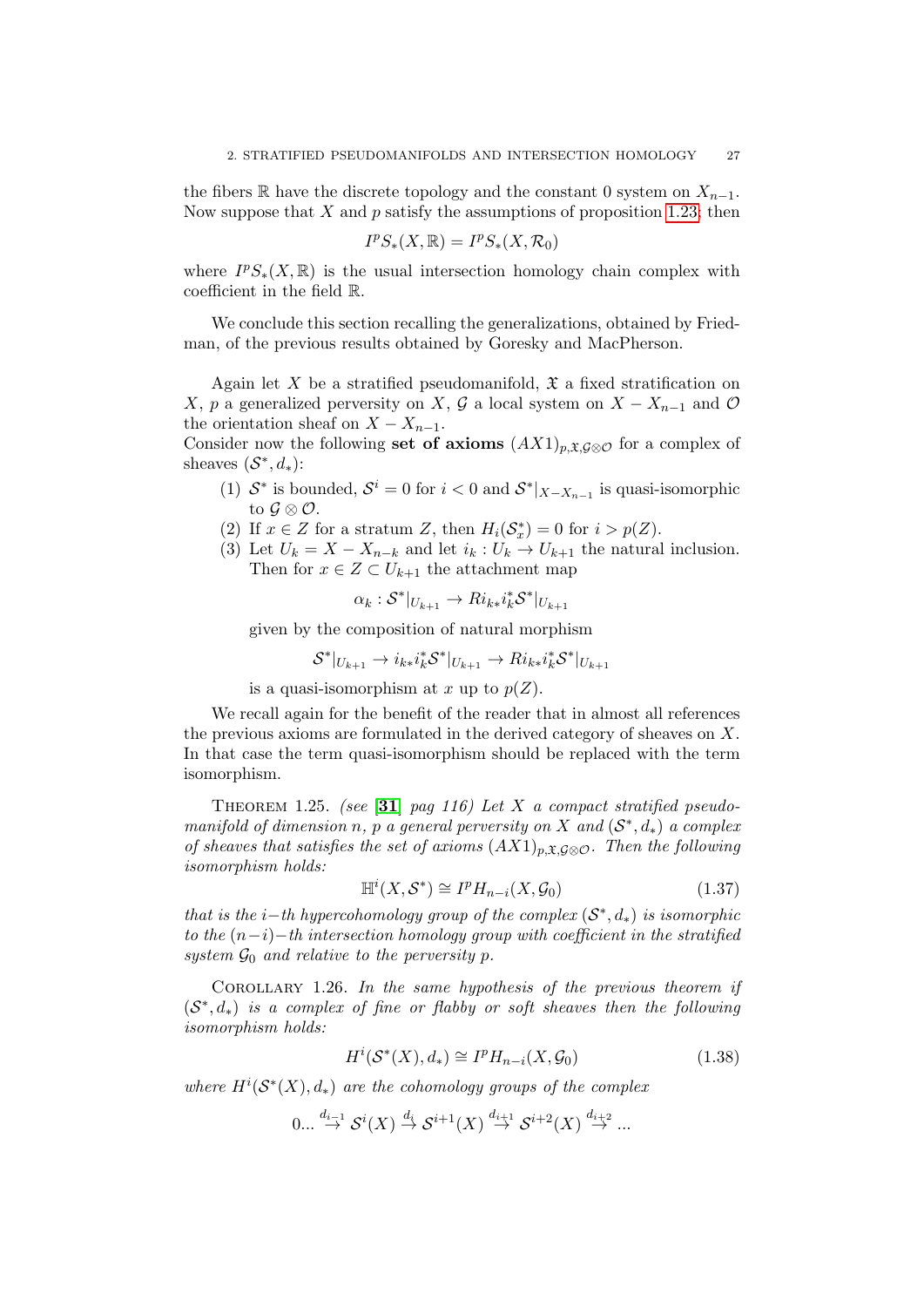the fibers R have the discrete topology and the constant 0 system on  $X_{n-1}$ . Now suppose that  $X$  and  $p$  satisfy the assumptions of proposition [1.23;](#page-25-0) then

$$
I^p S_*(X,\mathbb{R}) = I^p S_*(X,\mathcal{R}_0)
$$

where  $I^pS_*(X,\mathbb{R})$  is the usual intersection homology chain complex with coefficient in the field R.

We conclude this section recalling the generalizations, obtained by Friedman, of the previous results obtained by Goresky and MacPherson.

Again let X be a stratified pseudomanifold,  $\mathfrak X$  a fixed stratification on X, p a generalized perversity on X, G a local system on  $X - X_{n-1}$  and O the orientation sheaf on  $X - X_{n-1}$ .

Consider now the following set of axioms  $(AX1)_{p,\mathfrak{X},\mathcal{G}\otimes\mathcal{O}}$  for a complex of sheaves  $(S^*, d_*)$ :

- (1)  $S^*$  is bounded,  $S^i = 0$  for  $i < 0$  and  $S^*|_{X-X_{n-1}}$  is quasi-isomorphic to  $\mathcal{G} \otimes \mathcal{O}$ .
- (2) If  $x \in Z$  for a stratum Z, then  $H_i(\mathcal{S}_x^*) = 0$  for  $i > p(Z)$ .
- (3) Let  $U_k = X X_{n-k}$  and let  $i_k : U_k \to U_{k+1}$  the natural inclusion. Then for  $x \in Z \subset U_{k+1}$  the attachment map

$$
\alpha_k: \mathcal{S}^*|_{U_{k+1}} \to Ri_{k*}i_k^*\mathcal{S}^*|_{U_{k+1}}
$$

given by the composition of natural morphism

$$
\mathcal{S}^*|_{U_{k+1}} \to i_{k*}i_k^*\mathcal{S}^*|_{U_{k+1}} \to Ri_{k*}i_k^*\mathcal{S}^*|_{U_{k+1}}
$$

is a quasi-isomorphism at x up to  $p(Z)$ .

We recall again for the benefit of the reader that in almost all references the previous axioms are formulated in the derived category of sheaves on  $X$ . In that case the term quasi-isomorphism should be replaced with the term isomorphism.

THEOREM 1.25. (see [[31](#page-137-16)] pag 116) Let X a compact stratified pseudomanifold of dimension n, p a general perversity on X and  $(S^*, d_*)$  a complex of sheaves that satisfies the set of axioms  $(AX1)_{p,\mathfrak{X},\mathcal{G}\otimes\mathcal{O}}$ . Then the following isomorphism holds:

<span id="page-26-0"></span>
$$
\mathbb{H}^i(X, \mathcal{S}^*) \cong I^p H_{n-i}(X, \mathcal{G}_0)
$$
\n(1.37)

that is the i–th hypercohomology group of the complex  $(S^*, d_*)$  is isomorphic to the  $(n-i)-th$  intersection homology group with coefficient in the stratified system  $\mathcal{G}_0$  and relative to the perversity p.

COROLLARY 1.26. In the same hypothesis of the previous theorem if  $(S^*, d_*)$  is a complex of fine or flabby or soft sheaves then the following isomorphism holds:

<span id="page-26-1"></span>
$$
H^i(\mathcal{S}^*(X), d_*) \cong I^p H_{n-i}(X, \mathcal{G}_0)
$$
\n
$$
(1.38)
$$

where  $H^{i}(S^{*}(X), d_{*})$  are the cohomology groups of the complex

$$
0...\stackrel{d_{i-1}}{\to} \mathcal{S}^{i}(X)\stackrel{d_{i}}{\to}\mathcal{S}^{i+1}(X)\stackrel{d_{i+1}}{\to}\mathcal{S}^{i+2}(X)\stackrel{d_{i+2}}{\to}...
$$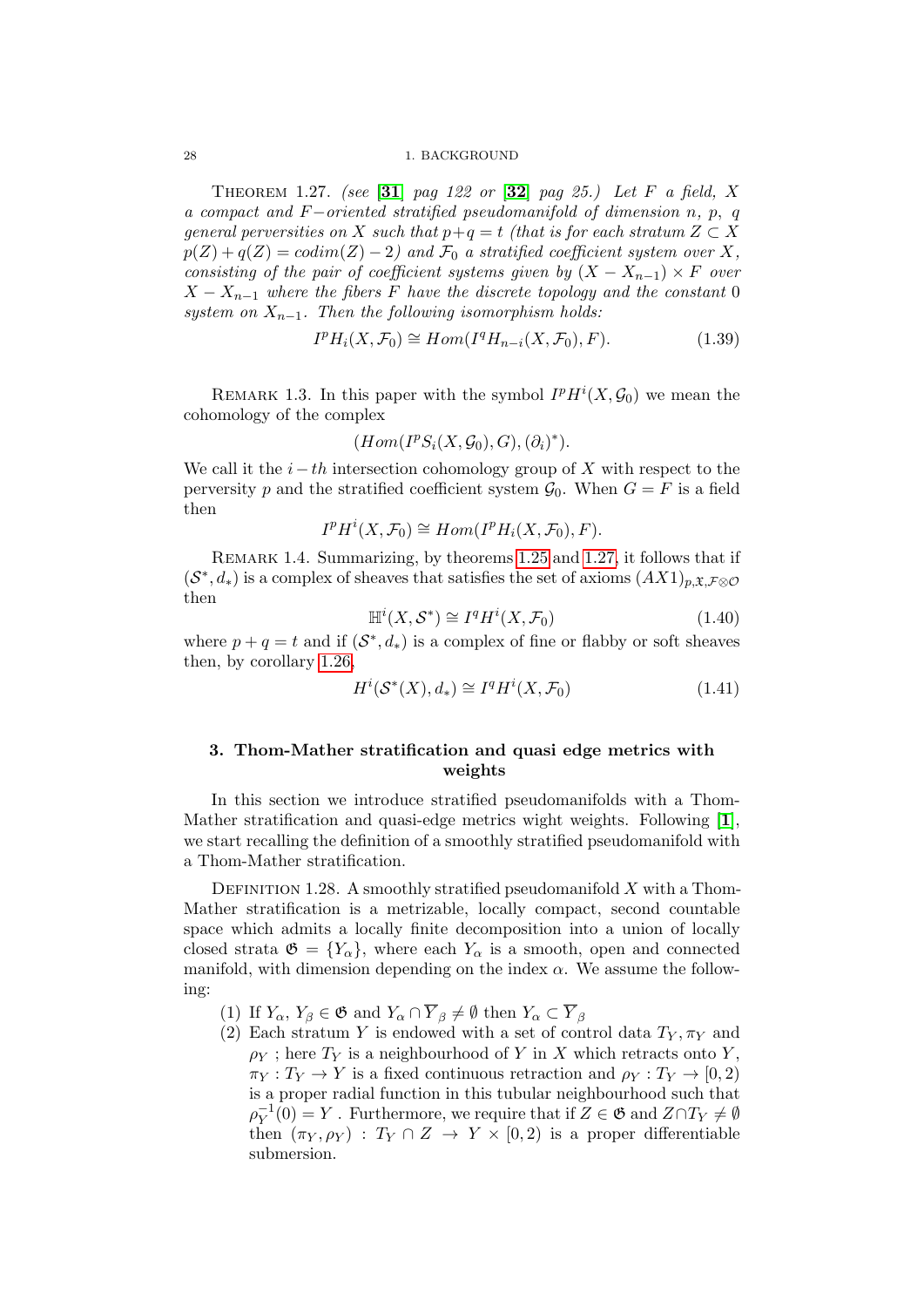THEOREM 1.27. (see [[31](#page-137-16)] pag 122 or  $[32]$  $[32]$  $[32]$  pag 25.) Let F a field, X a compact and  $F$ -oriented stratified pseudomanifold of dimension n, p, q general perversities on X such that  $p+q = t$  (that is for each stratum  $Z \subset X$  $p(Z) + q(Z) = codim(Z) - 2$  and  $\mathcal{F}_0$  a stratified coefficient system over X, consisting of the pair of coefficient systems given by  $(X - X_{n-1}) \times F$  over  $X - X_{n-1}$  where the fibers F have the discrete topology and the constant 0 system on  $X_{n-1}$ . Then the following isomorphism holds:

<span id="page-27-1"></span>
$$
IpHi(X, \mathcal{F}_0) \cong Hom(IqHn-i(X, \mathcal{F}_0), F).
$$
 (1.39)

REMARK 1.3. In this paper with the symbol  $I^p H^i(X, \mathcal{G}_0)$  we mean the cohomology of the complex

$$
(Hom(I^{p}S_{i}(X,\mathcal{G}_{0}),G),(\partial_{i})^{*}).
$$

We call it the  $i-th$  intersection cohomology group of X with respect to the perversity p and the stratified coefficient system  $\mathcal{G}_0$ . When  $G = F$  is a field then

$$
I^p H^i(X, \mathcal{F}_0) \cong Hom(I^p H_i(X, \mathcal{F}_0), F).
$$

REMARK 1.4. Summarizing, by theorems [1.25](#page-26-0) and [1.27,](#page-27-1) it follows that if  $(\mathcal{S}^*, d_*)$  is a complex of sheaves that satisfies the set of axioms  $(AX1)_{p,\mathfrak{X},\mathcal{F}\otimes\mathcal{O}}$ then

$$
\mathbb{H}^i(X, \mathcal{S}^*) \cong I^q H^i(X, \mathcal{F}_0)
$$
\n(1.40)

where  $p + q = t$  and if  $(S^*, d_*)$  is a complex of fine or flabby or soft sheaves then, by corollary [1.26,](#page-26-1)

$$
H^i(\mathcal{S}^*(X), d_*) \cong I^q H^i(X, \mathcal{F}_0)
$$
\n(1.41)

# <span id="page-27-0"></span>3. Thom-Mather stratification and quasi edge metrics with weights

In this section we introduce stratified pseudomanifolds with a Thom-Mather stratification and quasi-edge metrics wight weights. Following [[1](#page-136-17)], we start recalling the definition of a smoothly stratified pseudomanifold with a Thom-Mather stratification.

<span id="page-27-2"></span>DEFINITION 1.28. A smoothly stratified pseudomanifold  $X$  with a Thom-Mather stratification is a metrizable, locally compact, second countable space which admits a locally finite decomposition into a union of locally closed strata  $\mathfrak{G} = \{Y_{\alpha}\}\$ , where each  $Y_{\alpha}$  is a smooth, open and connected manifold, with dimension depending on the index  $\alpha$ . We assume the following:

- (1) If  $Y_{\alpha}$ ,  $Y_{\beta} \in \mathfrak{G}$  and  $Y_{\alpha} \cap \overline{Y}_{\beta} \neq \emptyset$  then  $Y_{\alpha} \subset \overline{Y}_{\beta}$
- (2) Each stratum Y is endowed with a set of control data  $T_Y, \pi_Y$  and  $\rho_Y$ ; here  $T_Y$  is a neighbourhood of Y in X which retracts onto Y,  $\pi_Y : T_Y \to Y$  is a fixed continuous retraction and  $\rho_Y : T_Y \to [0, 2)$ is a proper radial function in this tubular neighbourhood such that  $\rho_Y^{-1}$  $y_Y^{-1}(0) = Y$ . Furthermore, we require that if  $Z \in \mathfrak{G}$  and  $Z \cap T_Y \neq \emptyset$ then  $(\pi_Y, \rho_Y) : T_Y \cap Z \to Y \times [0, 2)$  is a proper differentiable submersion.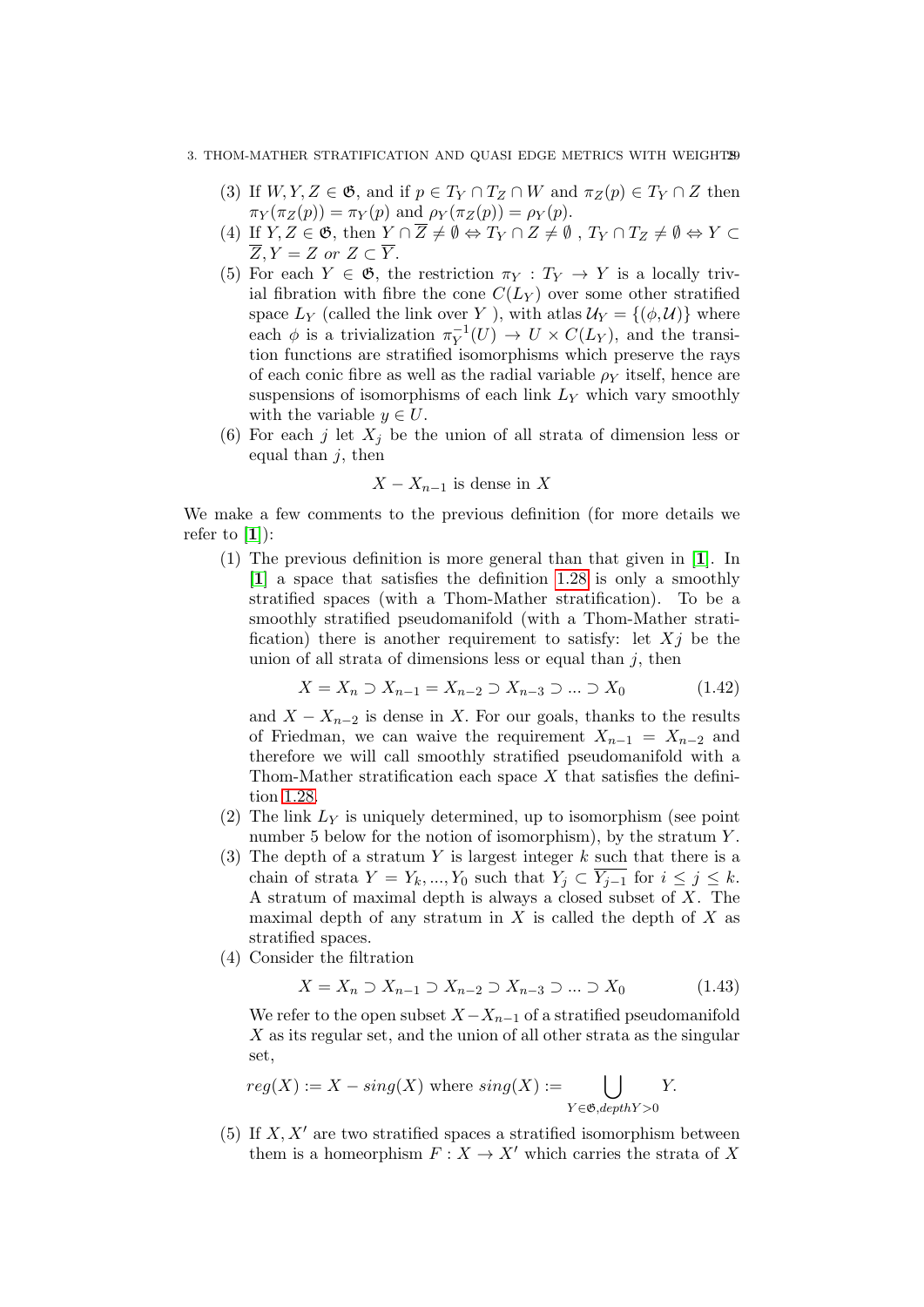#### 3. THOM-MATHER STRATIFICATION AND QUASI EDGE METRICS WITH WEIGHT29

- (3) If  $W, Y, Z \in \mathfrak{G}$ , and if  $p \in T_Y \cap T_Z \cap W$  and  $\pi_Z(p) \in T_Y \cap Z$  then  $\pi_Y(\pi_Z(p)) = \pi_Y(p)$  and  $\rho_Y(\pi_Z(p)) = \rho_Y(p)$ .
- (4) If  $Y, Z \in \mathfrak{G}$ , then  $Y \cap \overline{Z} \neq \emptyset \Leftrightarrow T_Y \cap Z \neq \emptyset$ ,  $T_Y \cap T_Z \neq \emptyset \Leftrightarrow Y \subset Y$  $\overline{Z}, Y = Z \text{ or } Z \subset \overline{Y}.$
- (5) For each  $Y \in \mathfrak{G}$ , the restriction  $\pi_Y : T_Y \to Y$  is a locally trivial fibration with fibre the cone  $C(L_Y)$  over some other stratified space  $L_Y$  (called the link over Y), with atlas  $\mathcal{U}_Y = \{(\phi, \mathcal{U})\}$  where each  $\phi$  is a trivialization  $\pi_Y^{-1}$  $V_Y^{-1}(U) \to U \times C(L_Y)$ , and the transition functions are stratified isomorphisms which preserve the rays of each conic fibre as well as the radial variable  $\rho_Y$  itself, hence are suspensions of isomorphisms of each link  $L<sub>Y</sub>$  which vary smoothly with the variable  $y \in U$ .
- (6) For each j let  $X_i$  be the union of all strata of dimension less or equal than  $j$ , then

$$
X - X_{n-1}
$$
 is dense in X

We make a few comments to the previous definition (for more details we refer to  $[1]$  $[1]$  $[1]$ :

(1) The previous definition is more general than that given in [[1](#page-136-17)]. In [[1](#page-136-17)] a space that satisfies the definition [1.28](#page-27-2) is only a smoothly stratified spaces (with a Thom-Mather stratification). To be a smoothly stratified pseudomanifold (with a Thom-Mather stratification) there is another requirement to satisfy: let  $Xi$  be the union of all strata of dimensions less or equal than  $j$ , then

$$
X = X_n \supset X_{n-1} = X_{n-2} \supset X_{n-3} \supset \dots \supset X_0 \tag{1.42}
$$

and  $X - X_{n-2}$  is dense in X. For our goals, thanks to the results of Friedman, we can waive the requirement  $X_{n-1} = X_{n-2}$  and therefore we will call smoothly stratified pseudomanifold with a Thom-Mather stratification each space  $X$  that satisfies the definition [1.28.](#page-27-2)

- (2) The link  $L<sub>Y</sub>$  is uniquely determined, up to isomorphism (see point) number 5 below for the notion of isomorphism), by the stratum  $Y$ .
- (3) The depth of a stratum Y is largest integer  $k$  such that there is a chain of strata  $Y = Y_k, ..., Y_0$  such that  $Y_j \subset \overline{Y_{j-1}}$  for  $i \leq j \leq k$ . A stratum of maximal depth is always a closed subset of  $X$ . The maximal depth of any stratum in  $X$  is called the depth of  $X$  as stratified spaces.
- (4) Consider the filtration

$$
X = X_n \supset X_{n-1} \supset X_{n-2} \supset X_{n-3} \supset \dots \supset X_0 \tag{1.43}
$$

We refer to the open subset  $X-X_{n-1}$  of a stratified pseudomanifold X as its regular set, and the union of all other strata as the singular set,

$$
reg(X) := X - sing(X) \text{ where } sing(X) := \bigcup_{Y \in \mathfrak{G}, depthY > 0} Y.
$$

(5) If  $X, X'$  are two stratified spaces a stratified isomorphism between them is a homeorphism  $F: X \to X'$  which carries the strata of X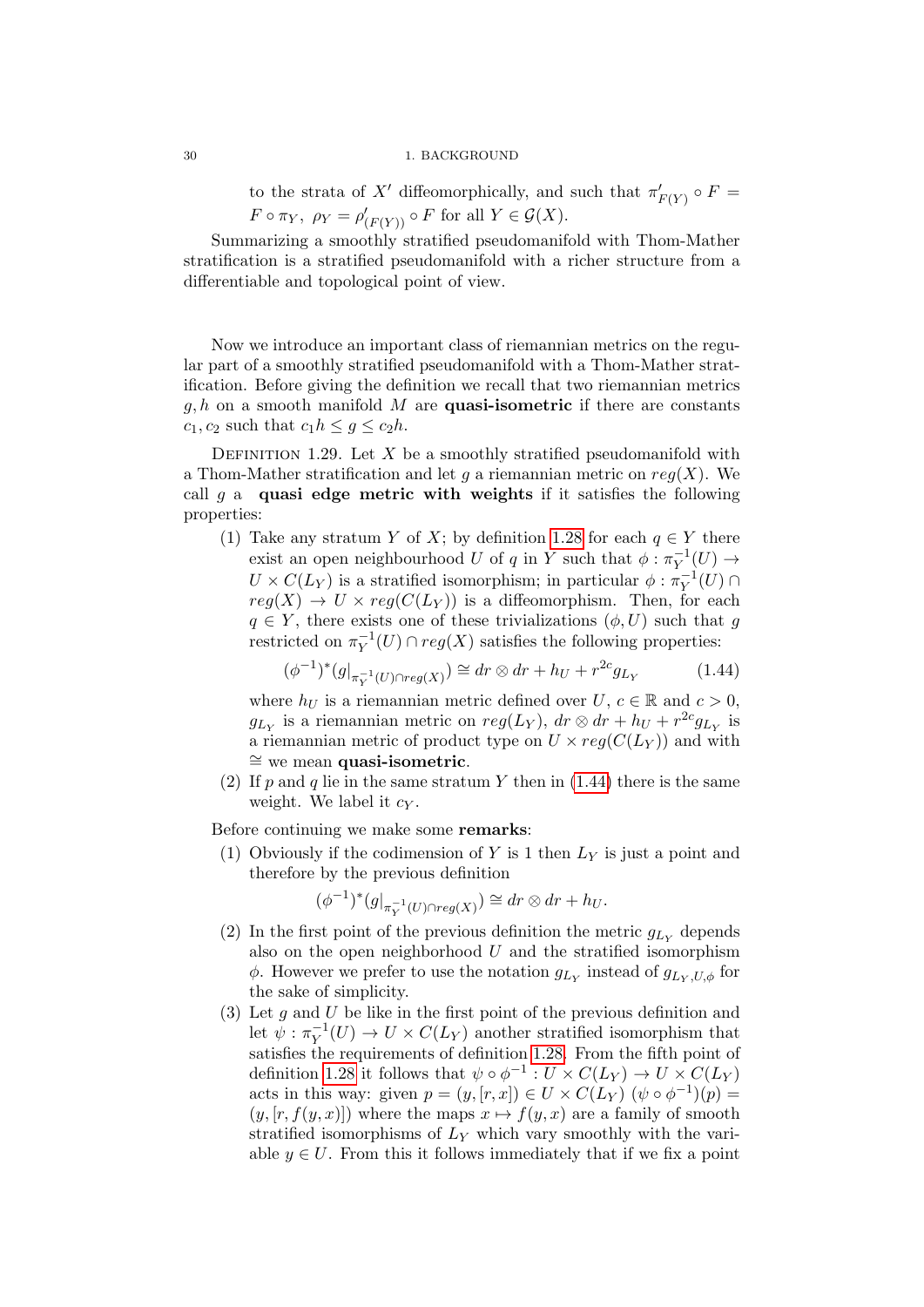to the strata of X' diffeomorphically, and such that  $\pi'_{F(Y)} \circ F =$  $F \circ \pi_Y$ ,  $\rho_Y = \rho'_{(F(Y))} \circ F$  for all  $Y \in \mathcal{G}(X)$ .

Summarizing a smoothly stratified pseudomanifold with Thom-Mather stratification is a stratified pseudomanifold with a richer structure from a differentiable and topological point of view.

Now we introduce an important class of riemannian metrics on the regular part of a smoothly stratified pseudomanifold with a Thom-Mather stratification. Before giving the definition we recall that two riemannian metrics  $q, h$  on a smooth manifold M are **quasi-isometric** if there are constants  $c_1, c_2$  such that  $c_1 h \leq g \leq c_2 h$ .

<span id="page-29-1"></span>DEFINITION 1.29. Let X be a smoothly stratified pseudomanifold with a Thom-Mather stratification and let q a riemannian metric on  $req(X)$ . We call g a quasi edge metric with weights if it satisfies the following properties:

(1) Take any stratum Y of X; by definition [1.28](#page-27-2) for each  $q \in Y$  there exist an open neighbourhood U of q in Y such that  $\phi : \pi_V^{-1}$  $\overline{Y}^1(U) \rightarrow$  $U \times C(L_Y)$  is a stratified isomorphism; in particular  $\phi : \pi_Y^{-1}$  $\overline{Y}^1(U) \cap$  $reg(X) \to U \times reg(C(L_Y))$  is a diffeomorphism. Then, for each  $q \in Y$ , there exists one of these trivializations  $(\phi, U)$  such that g restricted on  $\pi_Y^{-1}$  $Y^{-1}(U) \cap reg(X)$  satisfies the following properties:

<span id="page-29-0"></span>
$$
(\phi^{-1})^*(g|_{\pi_Y^{-1}(U) \cap reg(X)}) \cong dr \otimes dr + h_U + r^{2c} g_{L_Y}
$$
 (1.44)

where  $h_U$  is a riemannian metric defined over  $U, c \in \mathbb{R}$  and  $c > 0$ ,  $g_{L_Y}$  is a riemannian metric on  $reg(L_Y)$ ,  $dr \otimes dr + h_U + r^{2c}g_{L_Y}$  is a riemannian metric of product type on  $U \times reg(C(L_Y))$  and with ≅ we mean quasi-isometric.

(2) If p and q lie in the same stratum Y then in  $(1.44)$  there is the same weight. We label it  $c_Y$ .

Before continuing we make some remarks:

(1) Obviously if the codimension of Y is 1 then  $L<sub>Y</sub>$  is just a point and therefore by the previous definition

$$
(\phi^{-1})^*(g|_{\pi_Y^{-1}(U)\cap reg(X)}) \cong dr \otimes dr + h_U.
$$

- (2) In the first point of the previous definition the metric  $g_{Ly}$  depends also on the open neighborhood  $U$  and the stratified isomorphism  $\phi$ . However we prefer to use the notation  $g_{L_Y}$  instead of  $g_{L_Y,U,\phi}$  for the sake of simplicity.
- (3) Let  $g$  and  $U$  be like in the first point of the previous definition and let  $\psi : \pi_Y^{-1}$  $Y^{-1}(U) \to U \times C(L_Y)$  another stratified isomorphism that satisfies the requirements of definition [1.28.](#page-27-2) From the fifth point of definition [1.28](#page-27-2) it follows that  $\psi \circ \phi^{-1} : U \times C(L_Y) \to U \times C(L_Y)$ acts in this way: given  $p = (y, [r, x]) \in U \times C(L_Y)$   $(\psi \circ \phi^{-1})(p) =$  $(y, [r, f(y, x)])$  where the maps  $x \mapsto f(y, x)$  are a family of smooth stratified isomorphisms of  $L<sub>Y</sub>$  which vary smoothly with the variable  $y \in U$ . From this it follows immediately that if we fix a point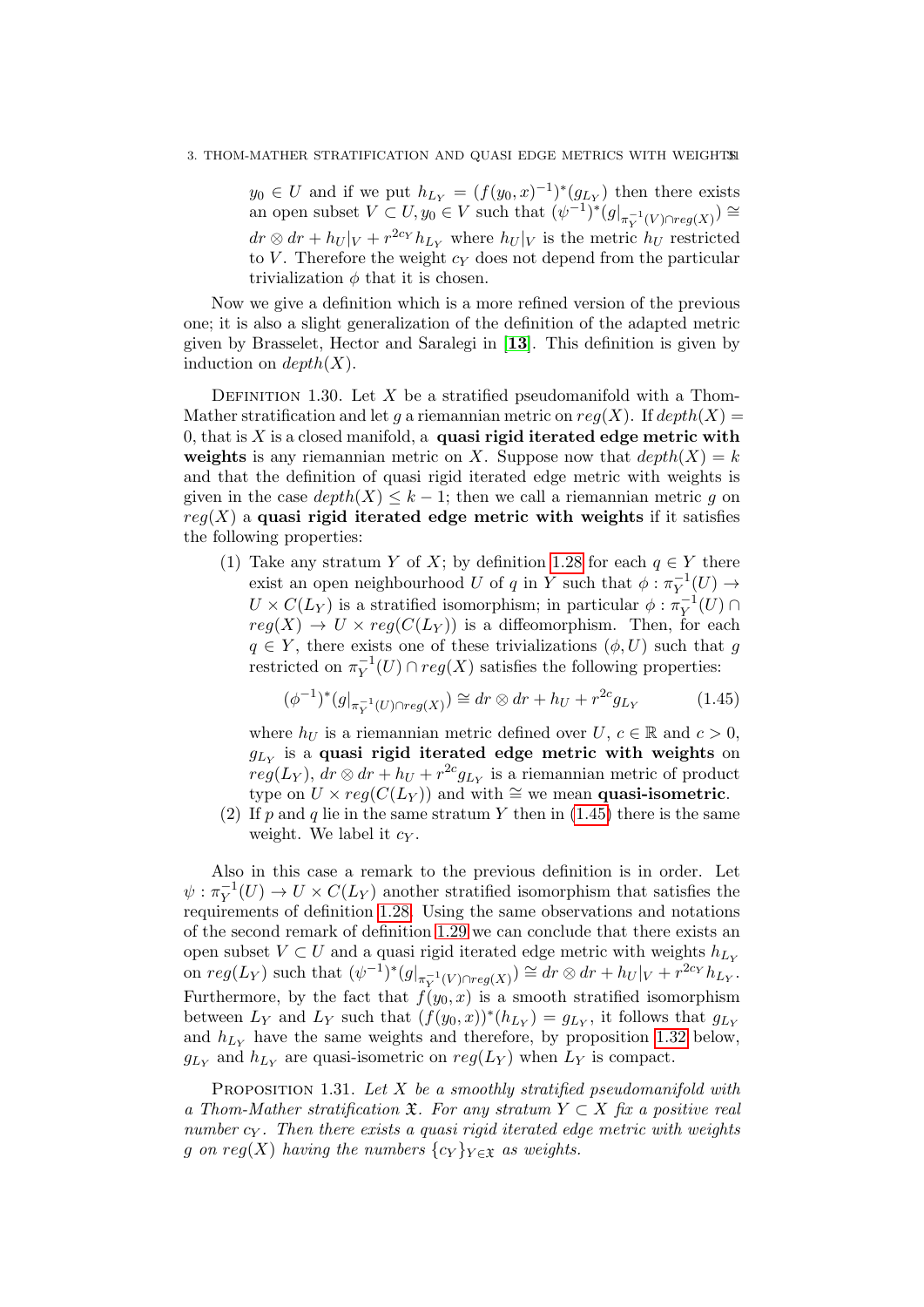$y_0 \in U$  and if we put  $h_{Ly} = (f(y_0, x)^{-1})^*(g_{Ly})$  then there exists an open subset  $V \subset U, y_0 \in V$  such that  $(\psi^{-1})^*(g|_{\pi_Y^{-1}(V) \cap reg(X)}) \cong$  $dr \otimes dr + h_U|_V + r^{2c_Y}h_{Ly}$  where  $h_U|_V$  is the metric  $h_U$  restricted to  $V$ . Therefore the weight  $c<sub>Y</sub>$  does not depend from the particular trivialization  $\phi$  that it is chosen.

Now we give a definition which is a more refined version of the previous one; it is also a slight generalization of the definition of the adapted metric given by Brasselet, Hector and Saralegi in [[13](#page-136-18)]. This definition is given by induction on  $depth(X)$ .

DEFINITION 1.30. Let X be a stratified pseudomanifold with a Thom-Mather stratification and let q a riemannian metric on  $reg(X)$ . If  $depth(X)$ 0, that is  $X$  is a closed manifold, a quasi rigid iterated edge metric with weights is any riemannian metric on X. Suppose now that  $depth(X) = k$ and that the definition of quasi rigid iterated edge metric with weights is given in the case  $depth(X) \leq k-1$ ; then we call a riemannian metric g on  $reg(X)$  a quasi rigid iterated edge metric with weights if it satisfies the following properties:

(1) Take any stratum Y of X; by definition [1.28](#page-27-2) for each  $q \in Y$  there exist an open neighbourhood U of q in Y such that  $\phi : \pi_V^{-1}$  $\overline{Y}^1(U) \rightarrow$  $U \times C(L_Y)$  is a stratified isomorphism; in particular  $\phi : \pi_Y^{-1}$  $\overline{Y}^1(U) \cap$  $reg(X) \to U \times reg(C(L_Y))$  is a diffeomorphism. Then, for each  $q \in Y$ , there exists one of these trivializations  $(\phi, U)$  such that g restricted on  $\pi_V^{-1}$  $Y^{-1}(U) \cap reg(X)$  satisfies the following properties:

<span id="page-30-0"></span>
$$
(\phi^{-1})^*(g|_{\pi_Y^{-1}(U) \cap reg(X)}) \cong dr \otimes dr + h_U + r^{2c} g_{L_Y}
$$
 (1.45)

where  $h_U$  is a riemannian metric defined over  $U, c \in \mathbb{R}$  and  $c > 0$ ,  $g_{L_Y}$  is a quasi rigid iterated edge metric with weights on  $reg(L_Y)$ ,  $dr \otimes dr + h_U + r^{2c} g_{L_Y}$  is a riemannian metric of product type on  $U \times reg(C(L_Y))$  and with ≅ we mean quasi-isometric.

<span id="page-30-1"></span>(2) If p and q lie in the same stratum Y then in  $(1.45)$  there is the same weight. We label it  $c_Y$ .

Also in this case a remark to the previous definition is in order. Let  $\psi: \pi_Y^{-1}$  $Y<sub>Y</sub><sup>-1</sup>(U) \rightarrow U \times C(L_Y)$  another stratified isomorphism that satisfies the requirements of definition [1.28.](#page-27-2) Using the same observations and notations of the second remark of definition [1.29](#page-29-1) we can conclude that there exists an open subset  $V \subset U$  and a quasi rigid iterated edge metric with weights  $h_{Ly}$ on  $reg(L_Y)$  such that  $(\psi^{-1})^*(g|_{\pi_V^{-1}(V) \cap reg(X)}) \cong dr \otimes dr + h_U|_V + r^{2c_Y}h_{L_Y}^{-1}.$ Furthermore, by the fact that  $f(y_0, x)$  is a smooth stratified isomorphism between  $L_Y$  and  $L_Y$  such that  $(f(y_0, x))^*(h_{L_Y}) = g_{L_Y}$ , it follows that  $g_{L_Y}$ and  $h_{Ly}$  have the same weights and therefore, by proposition [1.32](#page-31-0) below,  $g_{L_Y}$  and  $h_{L_Y}$  are quasi-isometric on  $reg(L_Y)$  when  $L_Y$  is compact.

PROPOSITION 1.31. Let  $X$  be a smoothly stratified pseudomanifold with a Thom-Mather stratification  $\mathfrak{X}$ . For any stratum  $Y \subset X$  fix a positive real number  $c_Y$ . Then there exists a quasi rigid iterated edge metric with weights g on reg(X) having the numbers  $\{c_Y\}_{Y \in \mathfrak{X}}$  as weights.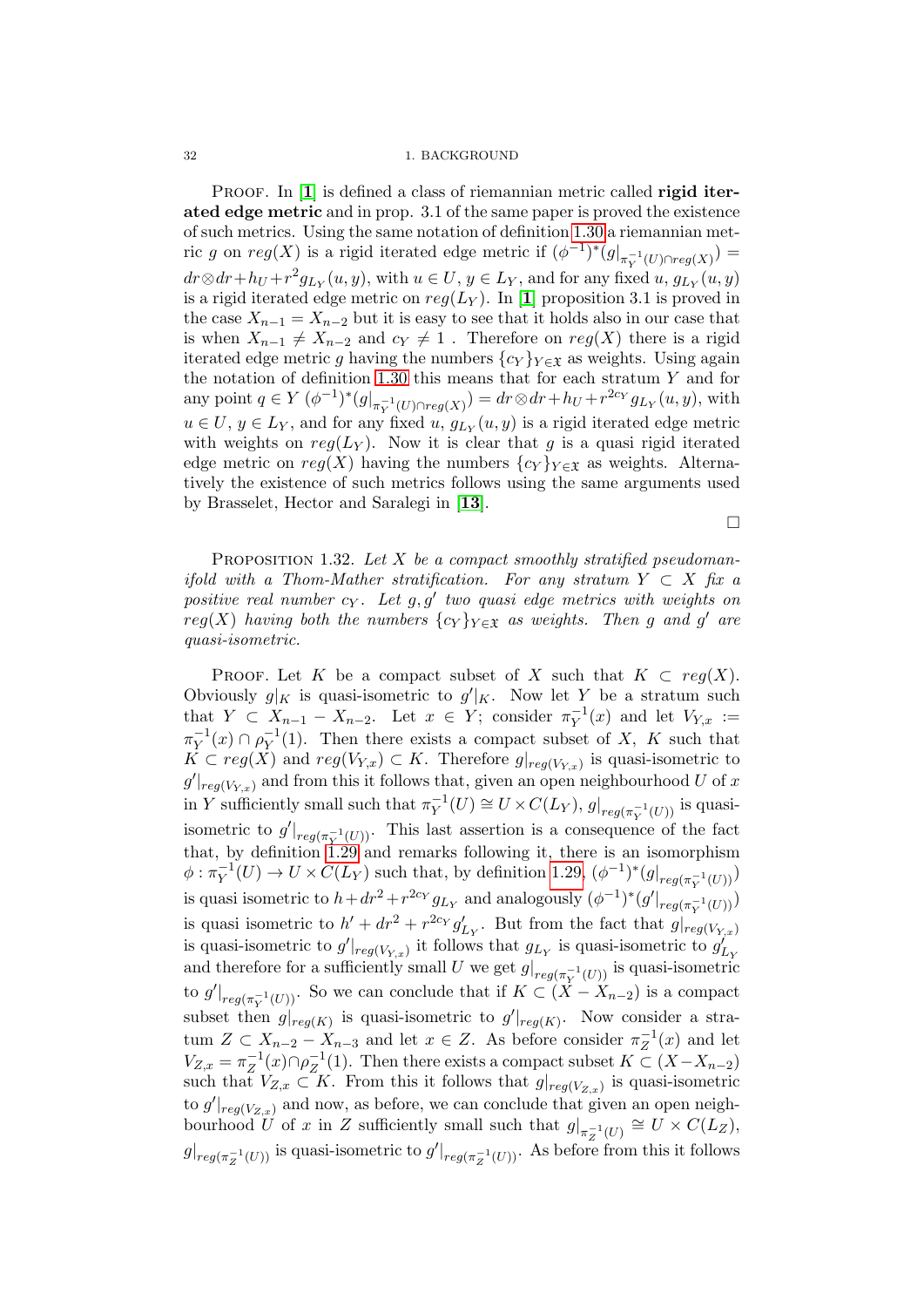PROOF. In [[1](#page-136-17)] is defined a class of riemannian metric called **rigid iter**ated edge metric and in prop. 3.1 of the same paper is proved the existence of such metrics. Using the same notation of definition [1.30](#page-30-1) a riemannian metric g on  $reg(X)$  is a rigid iterated edge metric if  $(\phi^{-1})^*(g|_{\pi_Y^{-1}(U)\cap reg(X)}) =$  $dr \otimes dr + h_U + r^2 g_{L_Y}(u, y)$ , with  $u \in U$ ,  $y \in L_Y$ , and for any fixed  $u, g_{L_Y}(u, y)$ is a rigid iterated edge metric on  $reg(L_Y)$ . In [[1](#page-136-17)] proposition 3.1 is proved in the case  $X_{n-1} = X_{n-2}$  but it is easy to see that it holds also in our case that is when  $X_{n-1} \neq X_{n-2}$  and  $c_Y \neq 1$ . Therefore on  $reg(X)$  there is a rigid iterated edge metric g having the numbers  $\{c_Y\}_{Y \in \mathfrak{X}}$  as weights. Using again the notation of definition [1.30](#page-30-1) this means that for each stratum  $Y$  and for any point  $q \in Y$   $(\phi^{-1})^*(g|_{\pi_Y^{-1}(U) \cap reg(X)}) = dr \otimes dr + h_U + r^{2c_Y} g_{L_Y}(u, y)$ , with  $u \in U, y \in L_Y$ , and for any fixed  $u, g_{L_Y}(u, y)$  is a rigid iterated edge metric with weights on  $reg(L_Y)$ . Now it is clear that g is a quasi rigid iterated edge metric on  $reg(X)$  having the numbers  $\{c_Y\}_{Y \in \mathfrak{X}}$  as weights. Alternatively the existence of such metrics follows using the same arguments used by Brasselet, Hector and Saralegi in [[13](#page-136-18)].

 $\Box$ 

<span id="page-31-0"></span>PROPOSITION 1.32. Let  $X$  be a compact smoothly stratified pseudomanifold with a Thom-Mather stratification. For any stratum  $Y \subset X$  fix a positive real number  $c_Y$ . Let  $g, g'$  two quasi edge metrics with weights on  $reg(X)$  having both the numbers  $\{c_Y\}_{Y \in \mathfrak{X}}$  as weights. Then g and g' are quasi-isometric.

PROOF. Let K be a compact subset of X such that  $K \subset \text{req}(X)$ . Obviously  $g|_K$  is quasi-isometric to  $g'|_K$ . Now let Y be a stratum such that  $Y \subset X_{n-1} - X_{n-2}$ . Let  $x \in Y$ ; consider  $\pi_Y^{-1}$  $Y_Y^{-1}(x)$  and let  $V_{Y,x} :=$  $\pi_Y^{-1}$  $\bar{Y}^{1}(x) \cap \rho_{Y}^{-1}$  $Y^{1}(1)$ . Then there exists a compact subset of X, K such that  $K \subset reg(X)$  and  $reg(V_{Y,x}) \subset K$ . Therefore  $g|_{reg(V_{Y,x})}$  is quasi-isometric to  $g'|_{reg(V_{Y,x})}$  and from this it follows that, given an open neighbourhood U of x in Y sufficiently small such that  $\pi_Y^{-1}$  $Y^{-1}(U) \cong U \times C(L_Y), g|_{reg(\pi_Y^{-1}(U))}$  is quasiisometric to  $g'|_{reg(\pi_V^{-1}(U))}$ . This last assertion is a consequence of the fact that, by definition [1.29](#page-29-1) and remarks following it, there is an isomorphism  $\phi: \pi_Y^{-1}$  $V_Y^{-1}(U) \to U \times C(L_Y)$  such that, by definition [1.29,](#page-29-1)  $(\phi^{-1})^*(g|_{reg(\pi_Y^{-1}(U))})$ is quasi isometric to  $h + dr^2 + r^{2cy} g_{Ly}$  and analogously  $(\phi^{-1})^*(g'|_{reg(\pi_V^{-1}(U))})$ is quasi isometric to  $h' + dr^2 + r^{2cy} g'_{Ly}$ . But from the fact that  $g|_{reg(V_{Y,x})}$ is quasi-isometric to  $g'|_{reg(V_{Y,x})}$  it follows that  $g_{L_Y}$  is quasi-isometric to  $g'_{L_Y}$ and therefore for a sufficiently small U we get  $g|_{reg(\pi_Y^{-1}(U))}$  is quasi-isometric to  $g'|_{reg(\pi_Y^{-1}(U))}$ . So we can conclude that if  $K \subset (X - X_{n-2})$  is a compact subset then  $g|_{reg(K)}$  is quasi-isometric to  $g'|_{reg(K)}$ . Now consider a stratum  $Z \subset X_{n-2} - X_{n-3}$  and let  $x \in Z$ . As before consider  $\pi_Z^{-1}$  $\overline{z}^{\perp}(x)$  and let  $V_{Z,x} = \pi_Z^{-1}$  $Z^{-1}(x) \cap \rho_Z^{-1}$  $Z_Z^{-1}(1)$ . Then there exists a compact subset  $K \subset (X - X_{n-2})$ such that  $V_{Z,x} \subset K$ . From this it follows that  $g|_{reg(V_{Z,x})}$  is quasi-isometric to  $g'|_{reg(V_{Z,x})}$  and now, as before, we can conclude that given an open neighbourhood U of x in Z sufficiently small such that  $g|_{\pi_Z^{-1}(U)} \cong U \times C(L_Z)$ ,  $g|_{reg(\pi_Z^{-1}(U))}$  is quasi-isometric to  $g'|_{reg(\pi_Z^{-1}(U))}$ . As before from this it follows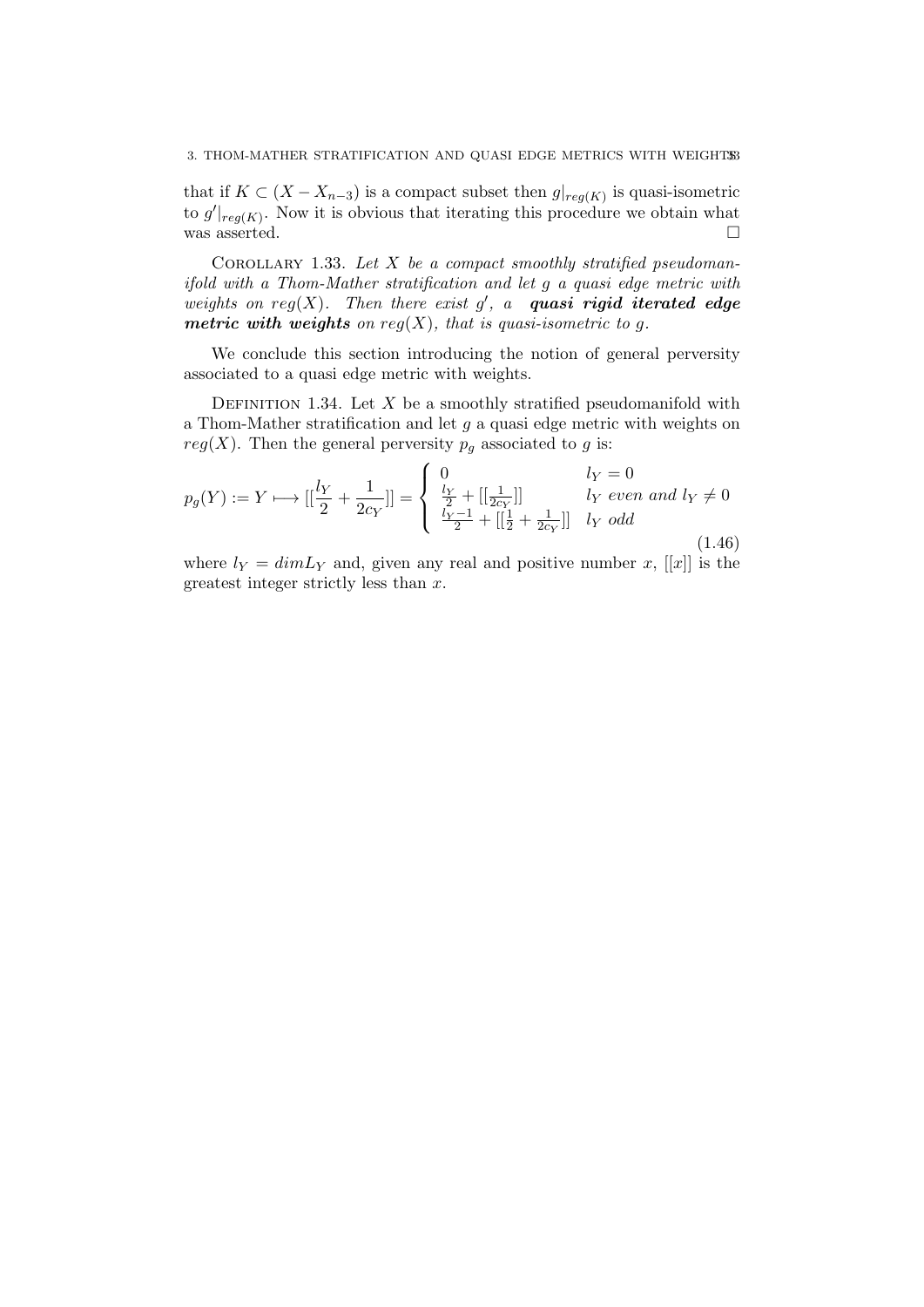that if  $K \subset (X - X_{n-3})$  is a compact subset then  $g|_{reg(K)}$  is quasi-isometric to  $g'|_{reg(K)}$ . Now it is obvious that iterating this procedure we obtain what was asserted.  $\square$ 

COROLLARY 1.33. Let  $X$  be a compact smoothly stratified pseudomanifold with a Thom-Mather stratification and let g a quasi edge metric with weights on  $reg(X)$ . Then there exist  $g'$ , a quasi rigid iterated edge metric with weights on  $reg(X)$ , that is quasi-isometric to g.

We conclude this section introducing the notion of general perversity associated to a quasi edge metric with weights.

DEFINITION 1.34. Let  $X$  be a smoothly stratified pseudomanifold with a Thom-Mather stratification and let  $g$  a quasi edge metric with weights on  $reg(X)$ . Then the general perversity  $p<sub>g</sub>$  associated to g is:

$$
p_g(Y) := Y \longmapsto \left[\left[\frac{l_Y}{2} + \frac{1}{2c_Y}\right]\right] = \begin{cases} 0 & l_Y = 0\\ \frac{l_Y}{2} + \left[\left[\frac{1}{2c_Y}\right]\right] & l_Y \text{ even and } l_Y \neq 0\\ \frac{l_Y - 1}{2} + \left[\left[\frac{1}{2} + \frac{1}{2c_Y}\right]\right] & l_Y \text{ odd} \end{cases}
$$
\n(1.46)

where  $l_Y = dim L_Y$  and, given any real and positive number x, [[x]] is the greatest integer strictly less than x.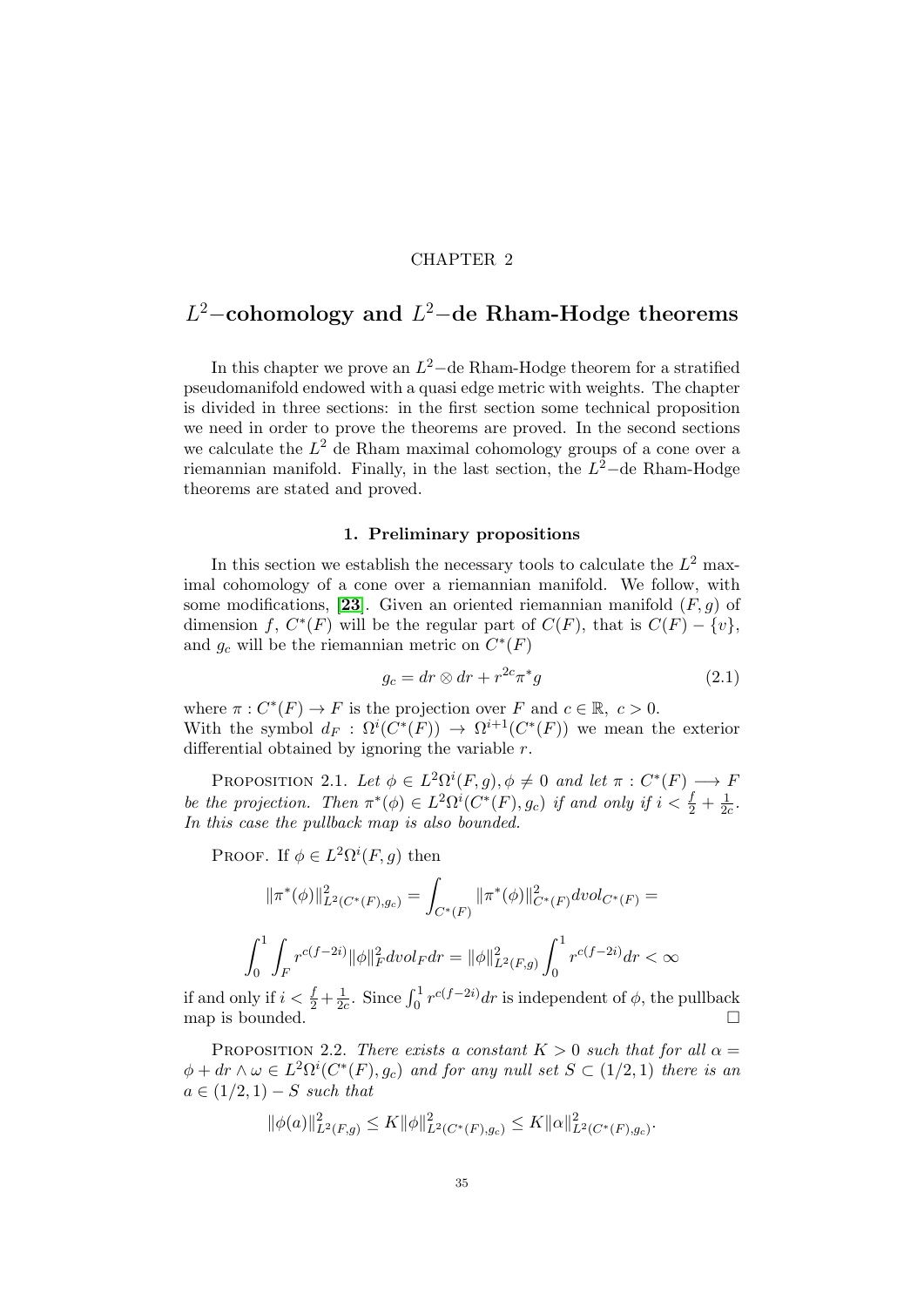### CHAPTER 2

# <span id="page-34-0"></span> $L^2$ –cohomology and  $L^2$ –de Rham-Hodge theorems

In this chapter we prove an  $L^2$ -de Rham-Hodge theorem for a stratified pseudomanifold endowed with a quasi edge metric with weights. The chapter is divided in three sections: in the first section some technical proposition we need in order to prove the theorems are proved. In the second sections we calculate the  $L^2$  de Rham maximal cohomology groups of a cone over a riemannian manifold. Finally, in the last section, the  $L^2$ -de Rham-Hodge theorems are stated and proved.

### 1. Preliminary propositions

<span id="page-34-1"></span>In this section we establish the necessary tools to calculate the  $L^2$  maximal cohomology of a cone over a riemannian manifold. We follow, with some modifications, [[23](#page-136-0)]. Given an oriented riemannian manifold  $(F, q)$  of dimension f,  $C^*(F)$  will be the regular part of  $C(F)$ , that is  $C(F) - \{v\}$ , and  $g_c$  will be the riemannian metric on  $C^*(F)$ 

$$
g_c = dr \otimes dr + r^{2c} \pi^* g \tag{2.1}
$$

where  $\pi: C^*(F) \to F$  is the projection over F and  $c \in \mathbb{R}, c > 0$ . With the symbol  $d_F : \Omega^i(C^*(F)) \to \Omega^{i+1}(C^*(F))$  we mean the exterior differential obtained by ignoring the variable  $r$ .

PROPOSITION 2.1. Let  $\phi \in L^2\Omega^i(F, g), \phi \neq 0$  and let  $\pi : C^*(F) \longrightarrow F$ be the projection. Then  $\pi^*(\phi) \in L^2\Omega^i(C^*(F), g_c)$  if and only if  $i < \frac{f}{2} + \frac{1}{2a}$  $\frac{1}{2c}$ . In this case the pullback map is also bounded.

PROOF. If  $\phi \in L^2\Omega^i(F, g)$  then

$$
\|\pi^*(\phi)\|_{L^2(C^*(F),g_c)}^2 = \int_{C^*(F)} \|\pi^*(\phi)\|_{C^*(F)}^2 dvol_{C^*(F)} =
$$
  

$$
\int_0^1 \int_F r^{c(f-2i)} \|\phi\|_F^2 dvol_F dr = \|\phi\|_{L^2(F,g)}^2 \int_0^1 r^{c(f-2i)} dr < \infty
$$

if and only if  $i < \frac{f}{2} + \frac{1}{2a}$  $\frac{1}{2c}$ . Since  $\int_0^1 r^{c(f-2i)} dr$  is independent of  $\phi$ , the pullback map is bounded.  $\Box$ 

PROPOSITION 2.2. There exists a constant  $K > 0$  such that for all  $\alpha =$  $\phi + dr \wedge \omega \in L^2\Omega^i(C^*(F), g_c)$  and for any null set  $S \subset (1/2, 1)$  there is an  $a \in (1/2, 1) - S$  such that

$$
\|\phi(a)\|_{L^2(F,g)}^2 \le K \|\phi\|_{L^2(C^*(F),g_c)}^2 \le K \|\alpha\|_{L^2(C^*(F),g_c)}^2.
$$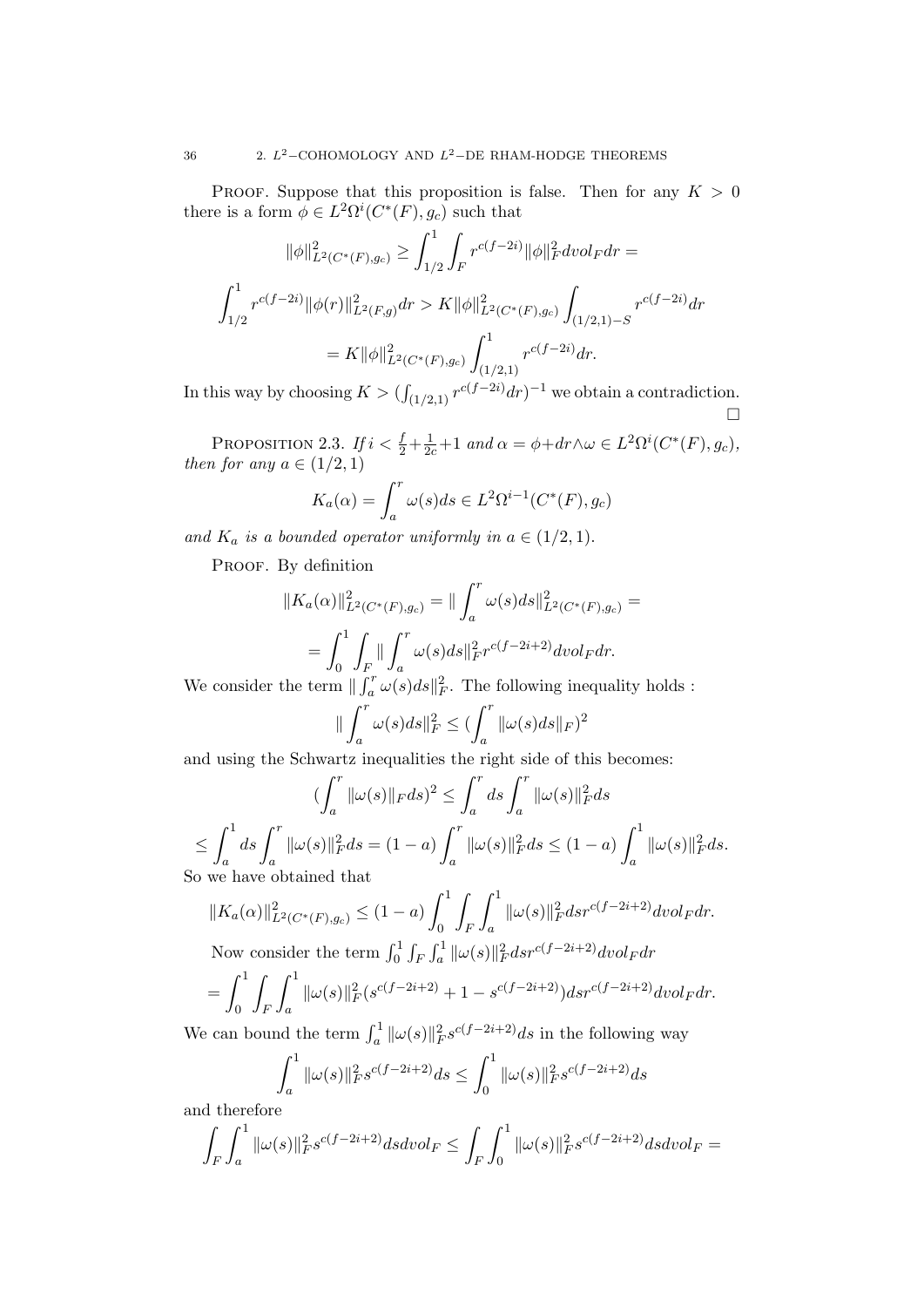PROOF. Suppose that this proposition is false. Then for any  $K > 0$ there is a form  $\phi \in L^2\Omega^i(C^*(F), g_c)$  such that

$$
\|\phi\|_{L^2(C^*(F),g_c)}^2 \ge \int_{1/2}^1 \int_F r^{c(f-2i)} \|\phi\|_F^2 dv \, dF dr =
$$
\n
$$
\int_{1/2}^1 r^{c(f-2i)} \|\phi(r)\|_{L^2(F,g)}^2 dr > K \|\phi\|_{L^2(C^*(F),g_c)}^2 \int_{(1/2,1)-S} r^{c(f-2i)} dr
$$
\n
$$
= K \|\phi\|_{L^2(C^*(F),g_c)}^2 \int_{(1/2,1)}^1 r^{c(f-2i)} dr.
$$

In this way by choosing  $K > (\int_{(1/2,1)} r^{c(f-2i)} dr)^{-1}$  we obtain a contradiction.  $\Box$ 

PROPOSITION 2.3. If  $i < \frac{f}{2} + \frac{1}{2c} + 1$  and  $\alpha = \phi + dr \wedge \omega \in L^2\Omega^i(C^*(F), g_c)$ , then for any  $a \in (1/2, 1)$ 

$$
K_a(\alpha) = \int_a^r \omega(s)ds \in L^2 \Omega^{i-1}(C^*(F), g_c)
$$

and  $K_a$  is a bounded operator uniformly in  $a \in (1/2, 1)$ .

PROOF. By definition

$$
||K_a(\alpha)||_{L^2(C^*(F),g_c)}^2 = || \int_a^r \omega(s)ds ||_{L^2(C^*(F),g_c)}^2 =
$$
  
= 
$$
\int_0^1 \int_F || \int_a^r \omega(s)ds ||_F^2 r^{c(f-2i+2)} dvol_F dr.
$$

We consider the term  $\| \int_a^r \omega(s) ds \|_F^2$ . The following inequality holds :

$$
\|\int_a^r \omega(s)ds\|_F^2 \le \left(\int_a^r \|\omega(s)ds\|_F\right)^2
$$

and using the Schwartz inequalities the right side of this becomes:

$$
\begin{aligned} &\left(\int_a^r\|\omega(s)\|_{F}ds\right)^2\leq\int_a^rds\int_a^r\|\omega(s)\|_{F}^2ds\\ \leq&\int_a^1ds\int_a^r\|\omega(s)\|_{F}^2ds=(1-a)\int_a^r\|\omega(s)\|_{F}^2ds\leq(1-a)\int_a^1\|\omega(s)\|_{F}^2ds.\\ \text{So we have obtained that}\end{aligned}
$$

$$
||K_a(\alpha)||_{L^2(C^*(F),g_c)}^2 \le (1-a) \int_0^1 \int_F \int_a^1 ||\omega(s)||_F^2 ds r^{c(f-2i+2)} dvol_F dr.
$$
  
Now consider the term  $\int_0^1 \int_F \int_a^1 ||\omega(s)||_F^2 ds r^{c(f-2i+2)} dvol_F dr$ 

$$
= \int_0^1 \int_F \int_a^1 \|\omega(s)\|_F^2 (s^{c(f-2i+2)} + 1 - s^{c(f-2i+2)}) ds r^{c(f-2i+2)} dvol_F dr.
$$

We can bound the term  $\int_a^1 \|\omega(s)\|_F^2 s^{c(f-2i+2)} ds$  in the following way

$$
\int_{a}^{1} \|\omega(s)\|_{F}^{2} s^{c(f-2i+2)} ds \le \int_{0}^{1} \|\omega(s)\|_{F}^{2} s^{c(f-2i+2)} ds
$$

and therefore

$$
\int_{F} \int_{a}^{1} \|\omega(s)\|_{F}^{2} s^{c(f-2i+2)} ds dvol_{F} \leq \int_{F} \int_{0}^{1} \|\omega(s)\|_{F}^{2} s^{c(f-2i+2)} ds dvol_{F} =
$$

$$
36\,
$$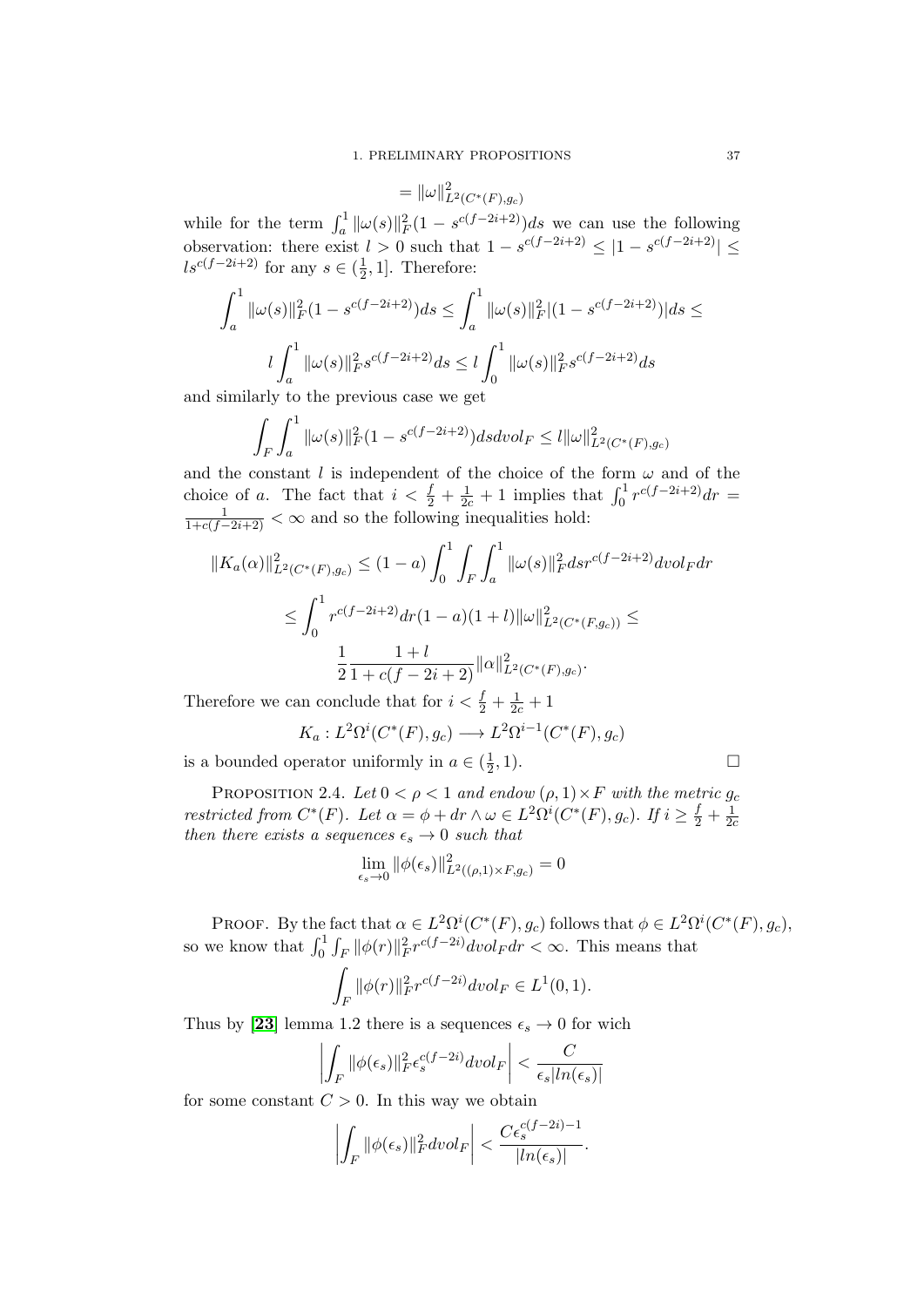$$
= \|\omega\|_{L^2(C^*(F),g_c)}^2
$$

while for the term  $\int_a^1 \|\omega(s)\|_F^2 (1 - s^{c(f-2i+2)}) ds$  we can use the following observation: there exist  $l > 0$  such that  $1 - s^{c(f-2i+2)} \leq |1 - s^{c(f-2i+2)}| \leq$  $ls^{c(f-2i+2)}$  for any  $s \in (\frac{1}{2})$  $\frac{1}{2}$ , 1]. Therefore:

$$
\int_{a}^{1} \|\omega(s)\|_{F}^{2} (1 - s^{c(f - 2i + 2)}) ds \leq \int_{a}^{1} \|\omega(s)\|_{F}^{2} |(1 - s^{c(f - 2i + 2)})| ds \leq
$$
  

$$
l \int_{a}^{1} \|\omega(s)\|_{F}^{2} s^{c(f - 2i + 2)} ds \leq l \int_{0}^{1} \|\omega(s)\|_{F}^{2} s^{c(f - 2i + 2)} ds
$$

and similarly to the previous case we get

$$
\int_{F} \int_{a}^{1} \|\omega(s)\|_{F}^{2} (1 - s^{c(f - 2i + 2)}) ds dvol_{F} \leq l \|\omega\|_{L^{2}(C^{*}(F), g_{c})}^{2}
$$

and the constant l is independent of the choice of the form  $\omega$  and of the choice of a. The fact that  $i < \frac{f}{2} + \frac{1}{2c} + 1$  implies that  $\int_0^1 r^{c(f-2i+2)} dr =$  $\frac{1}{1+c(f-2i+2)} < \infty$  and so the following inequalities hold:

$$
||K_a(\alpha)||_{L^2(C^*(F),g_c)}^2 \le (1-a) \int_0^1 \int_F \int_a^1 ||\omega(s)||_F^2 ds r^{c(f-2i+2)} dvol_F dr
$$
  

$$
\le \int_0^1 r^{c(f-2i+2)} dr (1-a)(1+l) ||\omega||_{L^2(C^*(F,g_c))}^2 \le
$$
  

$$
\frac{1}{2} \frac{1+l}{1+c(f-2i+2)} ||\alpha||_{L^2(C^*(F),g_c)}^2.
$$

Therefore we can conclude that for  $i < \frac{f}{2} + \frac{1}{2c} + 1$ 

$$
K_a: L^2\Omega^i(C^*(F),g_c) \longrightarrow L^2\Omega^{i-1}(C^*(F),g_c)
$$

is a bounded operator uniformly in  $a \in (\frac{1}{2})$  $\frac{1}{2}$ , 1).

$$
\Box
$$

<span id="page-36-0"></span>PROPOSITION 2.4. Let  $0 < \rho < 1$  and endow  $(\rho, 1) \times F$  with the metric  $g_c$ restricted from  $C^*(F)$ . Let  $\alpha = \phi + dr \wedge \omega \in L^2\Omega^i(C^*(F), g_c)$ . If  $i \geq \frac{f}{2} + \frac{1}{2\phi^2}$  $\overline{2}c$ then there exists a sequences  $\epsilon_s \rightarrow 0$  such that

$$
\lim_{\epsilon_s \to 0} \|\phi(\epsilon_s)\|_{L^2((\rho, 1) \times F, g_c)}^2 = 0
$$

PROOF. By the fact that  $\alpha \in L^2\Omega^i(C^*(F), g_c)$  follows that  $\phi \in L^2\Omega^i(C^*(F), g_c)$ , so we know that  $\int_0^1 \int_F ||\phi(r)||_F^2 r^{c(f-2i)} dvol_F dr < \infty$ . This means that

$$
\int_F \|\phi(r)\|_F^2 r^{c(f-2i)} dvol_F \in L^1(0,1).
$$

Thus by [[23](#page-136-0)] lemma 1.2 there is a sequences  $\epsilon_s \to 0$  for wich

$$
\left| \int_F \|\phi(\epsilon_s)\|_F^2 \epsilon_s^{c(f-2i)} dvol_F \right| < \frac{C}{\epsilon_s |\ln(\epsilon_s)|}
$$

for some constant  $C > 0$ . In this way we obtain

$$
\left| \int_F \|\phi(\epsilon_s)\|_F^2 dvol_F \right| < \frac{C \epsilon_s^{c(f-2i)-1}}{|ln(\epsilon_s)|}.
$$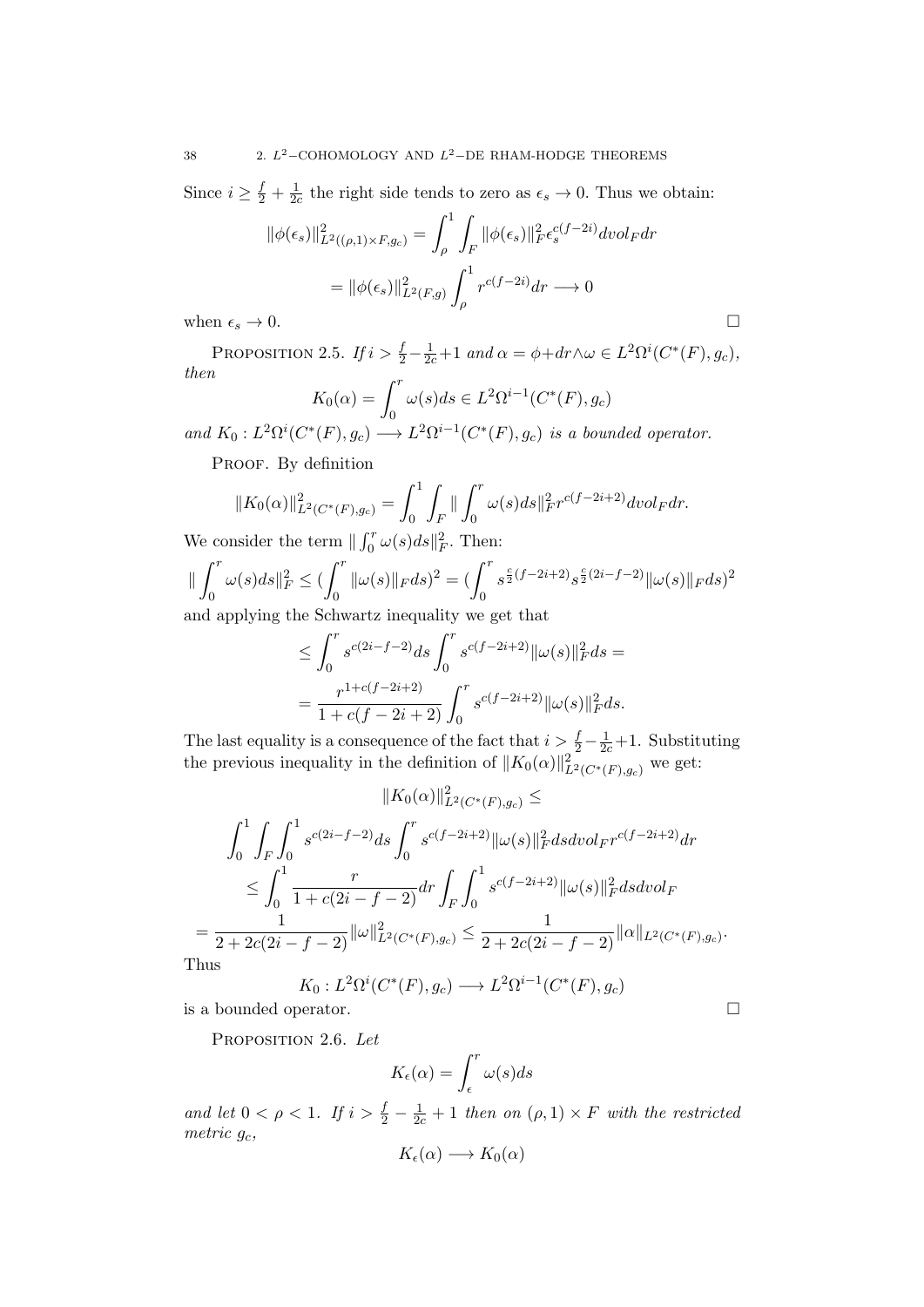Since  $i \geq \frac{f}{2} + \frac{1}{2a}$  $\frac{1}{2c}$  the right side tends to zero as  $\epsilon_s \to 0$ . Thus we obtain:

$$
\|\phi(\epsilon_s)\|_{L^2((\rho,1)\times F,g_c)}^2 = \int_{\rho}^1 \int_F \|\phi(\epsilon_s)\|_F^2 \epsilon_s^{c(f-2i)} dvol_F dr
$$

$$
= \|\phi(\epsilon_s)\|_{L^2(F,g)}^2 \int_{\rho}^1 r^{c(f-2i)} dr \longrightarrow 0
$$
  
when  $\epsilon_s \to 0$ .

<span id="page-37-1"></span>PROPOSITION 2.5. If  $i > \frac{f}{2} - \frac{1}{2c} + 1$  and  $\alpha = \phi + dr \wedge \omega \in L^2\Omega^i(C^*(F), g_c)$ , then

$$
K_0(\alpha) = \int_0^r \omega(s)ds \in L^2 \Omega^{i-1}(C^*(F), g_c)
$$

and  $K_0: L^2\Omega^i(C^*(F),g_c) \longrightarrow L^2\Omega^{i-1}(C^*(F),g_c)$  is a bounded operator.

PROOF. By definition

$$
||K_0(\alpha)||_{L^2(C^*(F),g_c)}^2 = \int_0^1 \int_F ||\int_0^r \omega(s)ds||_F^2 r^{c(f-2i+2)} dvol_F dr.
$$

We consider the term  $\| \int_0^r \omega(s) ds \|_F^2$ . Then:

$$
\|\int_0^r \omega(s)ds\|_F^2 \le \left(\int_0^r \|\omega(s)\|_F ds\right)^2 = \left(\int_0^r s^{\frac{c}{2}(f-2i+2)} s^{\frac{c}{2}(2i-f-2)} \|\omega(s)\|_F ds\right)^2
$$

and applying the Schwartz inequality we get that

$$
\leq \int_0^r s^{c(2i-f-2)} ds \int_0^r s^{c(f-2i+2)} ||\omega(s)||_F^2 ds =
$$
  
= 
$$
\frac{r^{1+c(f-2i+2)}}{1+c(f-2i+2)} \int_0^r s^{c(f-2i+2)} ||\omega(s)||_F^2 ds.
$$

The last equality is a consequence of the fact that  $i > \frac{f}{2} - \frac{1}{2c} + 1$ . Substituting the previous inequality in the definition of  $||K_0(\alpha)||_{L^2(C^*(F),g_c)}^2$  we get:

$$
||K_0(\alpha)||_{L^2(C^*(F),g_c)}^2 \le
$$
  

$$
\int_0^1 \int_F \int_0^1 s^{c(2i-f-2)} ds \int_0^r s^{c(f-2i+2)} ||\omega(s)||_F^2 ds dvol_F r^{c(f-2i+2)} dr
$$
  

$$
\leq \int_0^1 \frac{r}{1+c(2i-f-2)} dr \int_F \int_0^1 s^{c(f-2i+2)} ||\omega(s)||_F^2 ds dvol_F
$$
  

$$
= \frac{1}{2+2c(2i-f-2)} ||\omega||_{L^2(C^*(F),g_c)}^2 \leq \frac{1}{2+2c(2i-f-2)} ||\alpha||_{L^2(C^*(F),g_c)}.
$$
  
Thus

Th

$$
K_0: L^2\Omega^i(C^*(F), g_c) \longrightarrow L^2\Omega^{i-1}(C^*(F), g_c)
$$
  
is a bounded operator.

<span id="page-37-0"></span>

PROPOSITION 2.6. Let

$$
K_{\epsilon}(\alpha) = \int_{\epsilon}^{r} \omega(s)ds
$$

and let  $0 < \rho < 1$ . If  $i > \frac{f}{2} - \frac{1}{2c} + 1$  then on  $(\rho, 1) \times F$  with the restricted metric  $g_c$ ,

$$
K_{\epsilon}(\alpha) \longrightarrow K_0(\alpha)
$$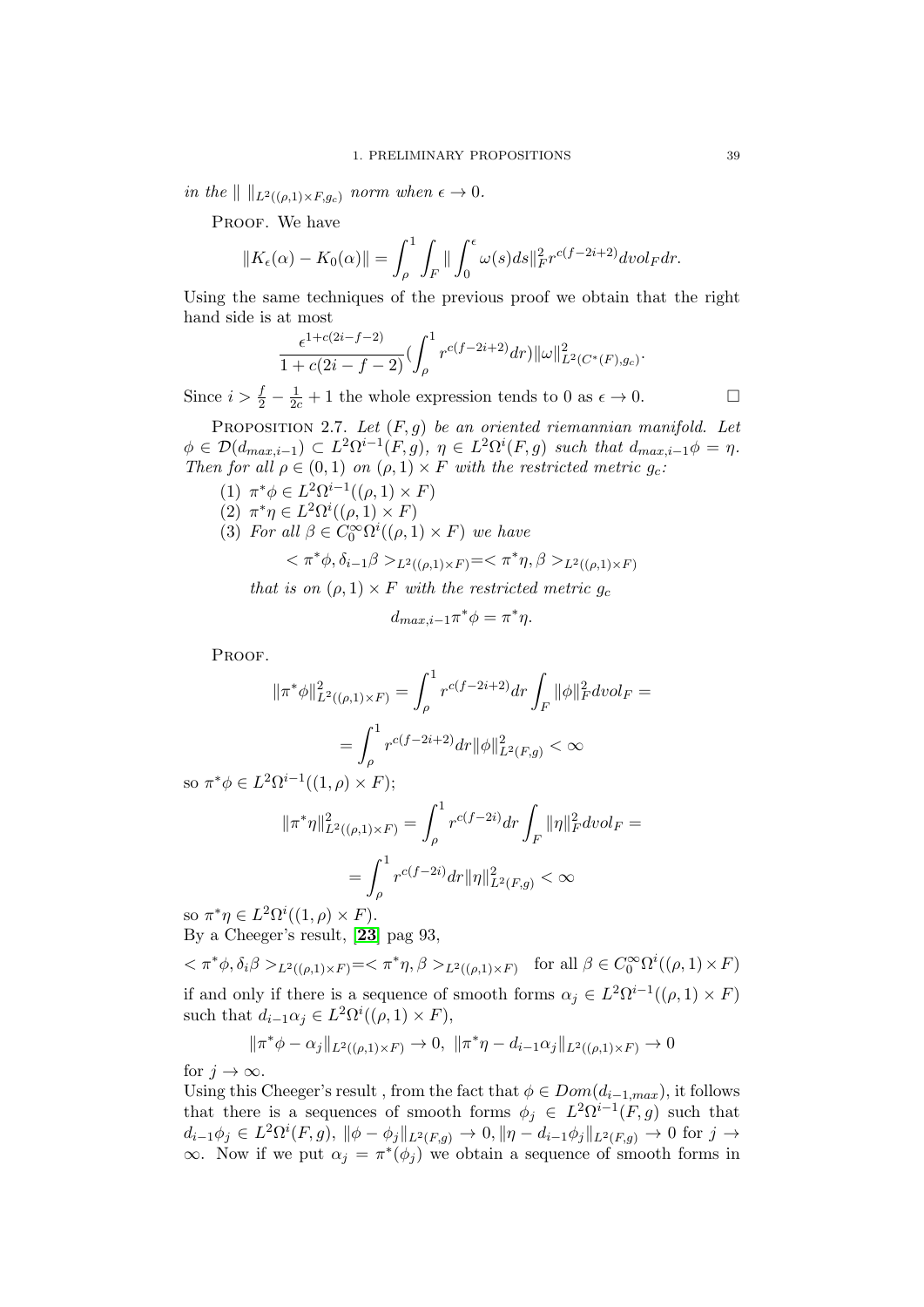in the  $\| \t\|_{L^2((\rho,1)\times F,g_c)}$  norm when  $\epsilon \to 0$ .

PROOF. We have

$$
||K_{\epsilon}(\alpha) - K_0(\alpha)|| = \int_{\rho}^{1} \int_{F} || \int_{0}^{\epsilon} \omega(s) ds ||_{F}^{2} r^{c(f - 2i + 2)} dvol_{F} dr.
$$

Using the same techniques of the previous proof we obtain that the right hand side is at most

$$
\frac{\epsilon^{1+c(2i-f-2)}}{1+c(2i-f-2)} \left(\int_{\rho}^{1} r^{c(f-2i+2)} dr\right) ||\omega||_{L^{2}(C^{*}(F),g_{c})}^{2}.
$$

Since  $i > \frac{f}{2} - \frac{1}{2c} + 1$  the whole expression tends to 0 as  $\epsilon \to 0$ .

PROPOSITION 2.7. Let  $(F, g)$  be an oriented riemannian manifold. Let  $\phi \in \mathcal{D}(d_{max,i-1}) \subset L^2\Omega^{i-1}(F,g), \eta \in L^2\Omega^{i}(F,g)$  such that  $d_{max,i-1}\phi = \eta$ . Then for all  $\rho \in (0,1)$  on  $(\rho,1) \times F$  with the restricted metric  $g_c$ .

- (1)  $\pi^*\phi \in L^2\Omega^{i-1}((\rho,1)\times F)$
- (2)  $\pi^*\eta \in L^2\Omega^i((\rho,1)\times F)$
- <span id="page-38-0"></span>(3) For all  $\beta \in C_0^{\infty} \Omega^{i}((\rho, 1) \times F)$  we have

$$
<\pi^*\phi, \delta_{i-1}\beta>_{L^2((\rho,1)\times F)}=<\pi^*\eta, \beta>_{L^2((\rho,1)\times F)}
$$

that is on  $(\rho, 1) \times F$  with the restricted metric  $g_c$ 

$$
d_{\max,i-1}\pi^*\phi = \pi^*\eta.
$$

PROOF.

$$
\begin{aligned} \|\pi^*\phi\|^2_{L^2((\rho,1)\times F)} &= \int_\rho^1 r^{c(f-2i+2)} dr \int_F \|\phi\|^2_F dvol_F = \\ &= \int_\rho^1 r^{c(f-2i+2)} dr \|\phi\|^2_{L^2(F,g)} < \infty \end{aligned}
$$

so  $\pi^*\phi \in L^2\Omega^{i-1}((1,\rho)\times F);$ 

$$
\begin{aligned} \|\pi^*\eta\|^2_{L^2((\rho,1)\times F)} &= \int_{\rho}^1 r^{c(f-2i)} dr \int_F \|\eta\|^2_F dvol_F = \\ &= \int_{\rho}^1 r^{c(f-2i)} dr \|\eta\|^2_{L^2(F,g)} < \infty \end{aligned}
$$

so  $\pi^*\eta \in L^2\Omega^i((1,\rho)\times F)$ . By a Cheeger's result, [[23](#page-136-0)] pag 93,

 $<\pi^*\phi, \delta_i\beta>_{L^2((\rho,1)\times F)}=<\pi^*\eta, \beta>_{L^2((\rho,1)\times F)}$  for all  $\beta\in C_0^{\infty}\Omega^i((\rho,1)\times F)$ if and only if there is a sequence of smooth forms  $\alpha_j \in L^2 \Omega^{i-1}((\rho, 1) \times F)$ such that  $d_{i-1}\alpha_j \in L^2\Omega^i((\rho,1)\times F)$ ,

$$
\|\pi^*\phi - \alpha_j\|_{L^2((\rho,1)\times F)} \to 0, \ \|\pi^*\eta - d_{i-1}\alpha_j\|_{L^2((\rho,1)\times F)} \to 0
$$

for  $j \to \infty$ .

Using this Cheeger's result, from the fact that  $\phi \in Dom(d_{i-1,max})$ , it follows that there is a sequences of smooth forms  $\phi_j \in L^2 \Omega^{i-1}(F,g)$  such that  $d_{i-1}\phi_j \in L^2\Omega^{i}(F,g),\ \|\phi-\phi_j\|_{L^2(F,g)}\to 0, \|\eta-d_{i-1}\phi_j\|_{L^2(F,g)}\to 0 \,\,\text{for}\,\,j\to j$  $\infty$ . Now if we put  $\alpha_j = \pi^*(\phi_j)$  we obtain a sequence of smooth forms in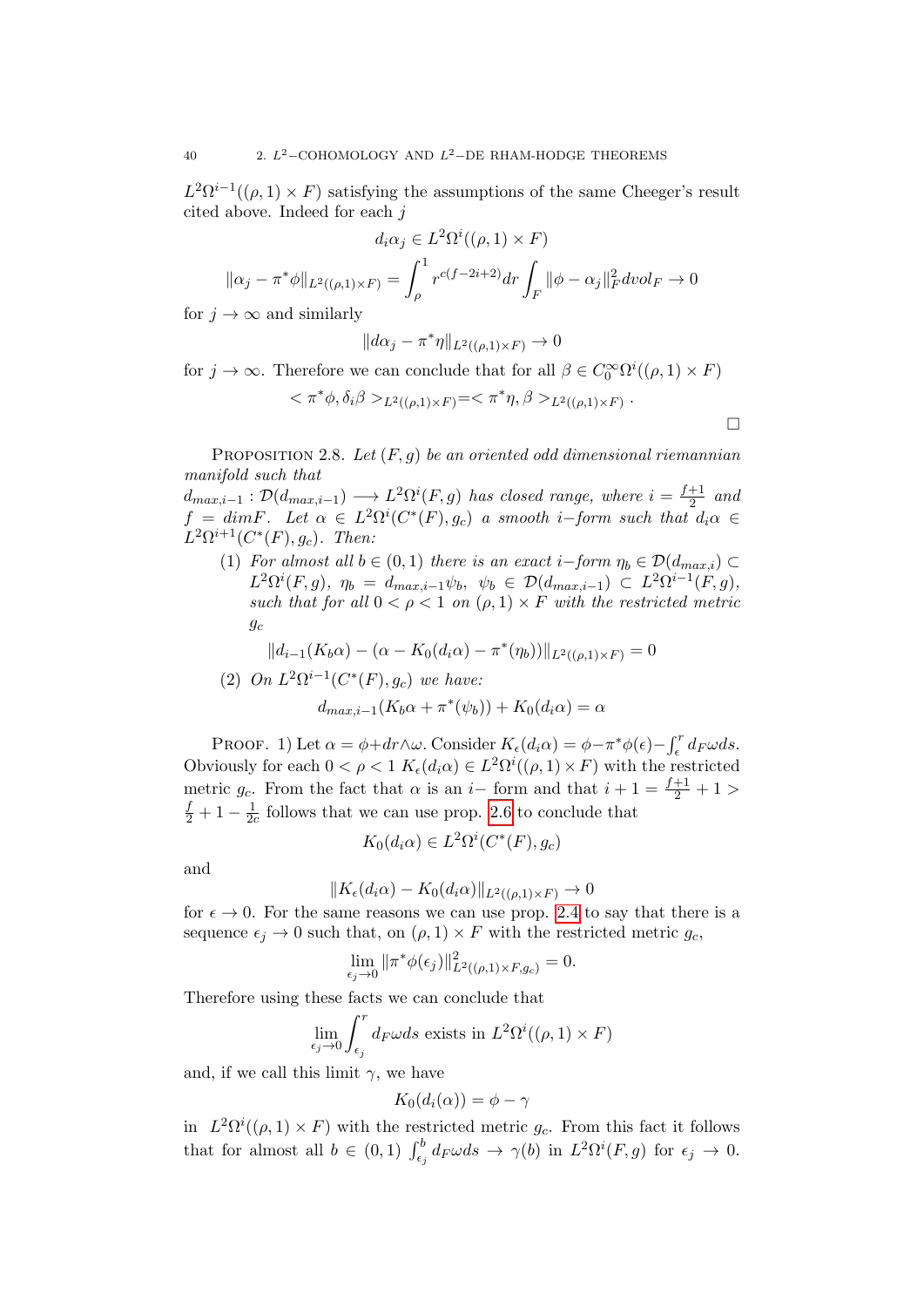$L^2\Omega^{i-1}((\rho,1)\times F)$  satisfying the assumptions of the same Cheeger's result cited above. Indeed for each j

$$
d_i \alpha_j \in L^2 \Omega^i((\rho, 1) \times F)
$$

$$
\|\alpha_j - \pi^* \phi\|_{L^2((\rho, 1) \times F)} = \int_{\rho}^1 r^{c(f - 2i + 2)} dr \int_F \|\phi - \alpha_j\|_F^2 dvol_F \to 0
$$

for  $j \to \infty$  and similarly

$$
||d\alpha_j - \pi^* \eta||_{L^2((\rho,1)\times F)} \to 0
$$

for  $j \to \infty$ . Therefore we can conclude that for all  $\beta \in C_0^{\infty} \Omega^{i}(\rho, 1) \times F$ 

$$
<\pi^*\phi,\delta_i\beta>_{L^2((\rho,1)\times F)}=<\pi^*\eta,\beta>_{L^2((\rho,1)\times F)}
$$

 $\Box$ 

.

PROPOSITION 2.8. Let  $(F, g)$  be an oriented odd dimensional riemannian manifold such that

 $d_{max,i-1} : \mathcal{D}(d_{max,i-1}) \longrightarrow L^2\Omega^{i}(F,g)$  has closed range, where  $i = \frac{f+1}{2}$  $rac{+1}{2}$  and  $f = dimF$ . Let  $\alpha \in L^2\Omega^i(C^*(F), g_c)$  a smooth i–form such that  $d_i\alpha \in$  $L^2\Omega^{i+1}(C^*(F),g_c)$ . Then:

(1) For almost all  $b \in (0,1)$  there is an exact  $i-form \eta_b \in \mathcal{D}(d_{max,i}) \subset$  $L^2\Omega^i(F,g),\ \eta_b\ =\ d_{max,i-1}\psi_b,\ \ \psi_b\ \in\ {\cal D}(d_{max,i-1})\ \subset\ L^2\Omega^{i-1}(F,g),$ such that for all  $0 < \rho < 1$  on  $(\rho, 1) \times F$  with the restricted metric  $g_c$ 

$$
||d_{i-1}(K_b \alpha) - (\alpha - K_0(d_i \alpha) - \pi^*(\eta_b))||_{L^2((\rho, 1) \times F)} = 0
$$

<span id="page-39-0"></span>(2) On 
$$
L^2\Omega^{i-1}(C^*(F), g_c)
$$
 we have:  
\n
$$
d_{max,i-1}(K_b\alpha + \pi^*(\psi_b)) + K_0(d_i\alpha) = \alpha
$$

PROOF. 1) Let  $\alpha = \phi + dr \wedge \omega$ . Consider  $K_{\epsilon}(d_i \alpha) = \phi - \pi^* \phi(\epsilon) - \int_{\epsilon}^{r} d_F \omega ds$ . Obviously for each  $0 < \rho < 1$   $K_{\epsilon}(d_i \alpha) \in L^2 \Omega^i((\rho, 1) \times F)$  with the restricted metric  $g_c$ . From the fact that  $\alpha$  is an i– form and that  $i + 1 = \frac{f+1}{2} + 1 >$  $\frac{f}{2}+1-\frac{1}{20}$  $\frac{1}{2c}$  follows that we can use prop. [2.6](#page-37-0) to conclude that

$$
K_0(d_i\alpha) \in L^2\Omega^i(C^*(F), g_c)
$$

and

$$
||K_{\epsilon}(d_i\alpha) - K_0(d_i\alpha)||_{L^2((\rho,1)\times F)} \to 0
$$

for  $\epsilon \to 0$ . For the same reasons we can use prop. [2.4](#page-36-0) to say that there is a sequence  $\epsilon_j \to 0$  such that, on  $(\rho, 1) \times F$  with the restricted metric  $g_c$ ,

$$
\lim_{\epsilon_j \to 0} \|\pi^* \phi(\epsilon_j)\|_{L^2((\rho, 1) \times F, g_c)}^2 = 0.
$$

Therefore using these facts we can conclude that

$$
\lim_{\epsilon_j \to 0} \int_{\epsilon_j}^r d_F \omega ds \text{ exists in } L^2\Omega^i((\rho, 1) \times F)
$$

and, if we call this limit  $\gamma$ , we have

$$
K_0(d_i(\alpha)) = \phi - \gamma
$$

in  $L^2\Omega^i((\rho,1)\times F)$  with the restricted metric  $g_c$ . From this fact it follows that for almost all  $b \in (0,1)$   $\int_{\epsilon_j}^b d_F \omega ds \to \gamma(b)$  in  $L^2\Omega^i(F,g)$  for  $\epsilon_j \to 0$ .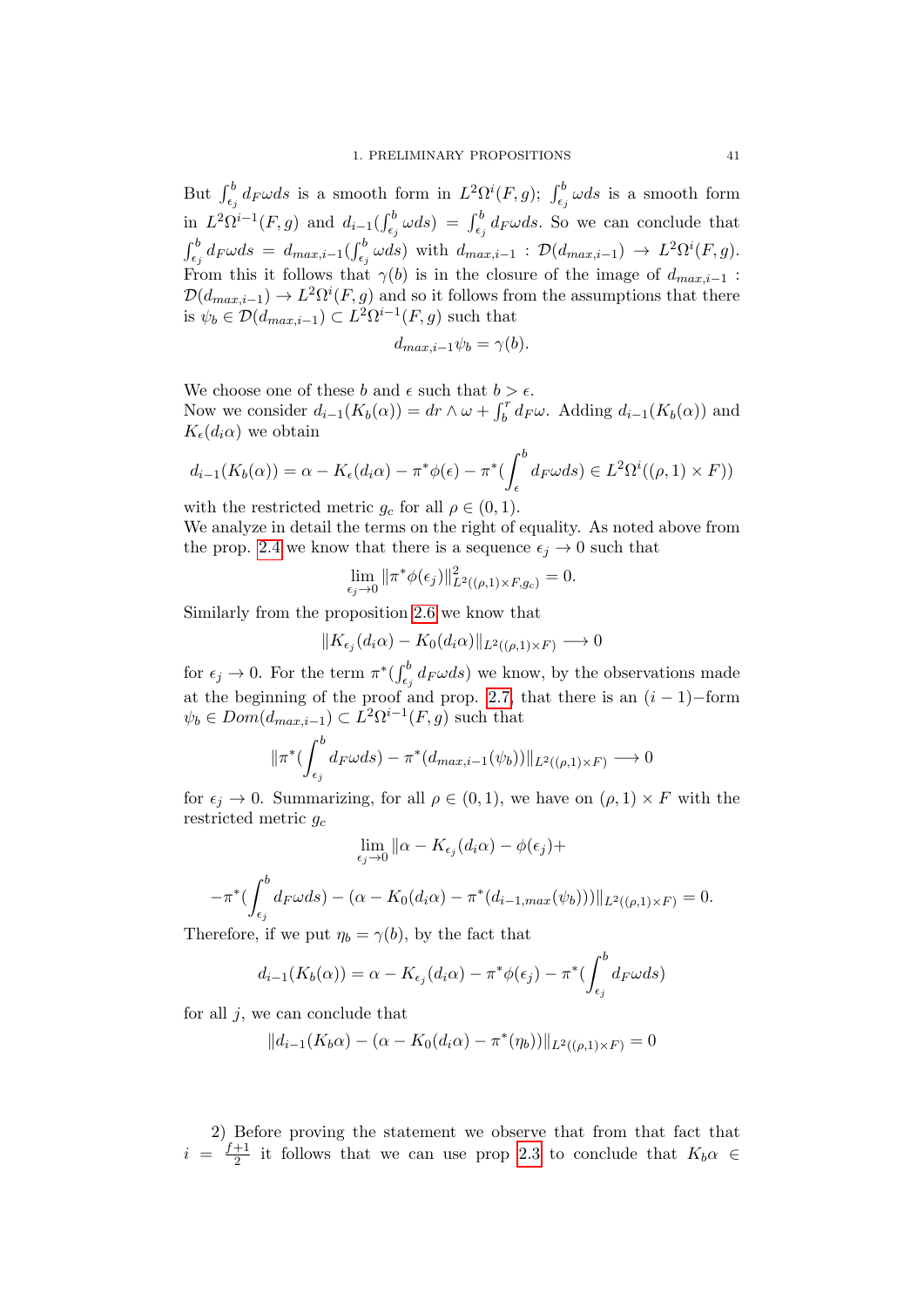But  $\int_{\epsilon_j}^b d_F \omega ds$  is a smooth form in  $L^2\Omega^i(F,g)$ ;  $\int_{\epsilon_j}^b \omega ds$  is a smooth form in  $L^2\Omega^{i-1}(F,g)$  and  $d_{i-1}(\int_{\epsilon_j}^b \omega ds) = \int_{\epsilon_j}^b d_F\omega ds$ . So we can conclude that  $\int_{\epsilon_j}^b d_F \omega ds = d_{max,i-1}(\int_{\epsilon_j}^b \omega ds)$  with  $d_{max,i-1} : \mathcal{D}(d_{max,i-1}) \to L^2\Omega^i(F, g)$ . From this it follows that  $\gamma(b)$  is in the closure of the image of  $d_{max,i-1}$ :  $\mathcal{D}(d_{max,i-1}) \to L^2\Omega^{i}(F,g)$  and so it follows from the assumptions that there is  $\psi_b \in \mathcal{D}(d_{max,i-1}) \subset L^2 \Omega^{i-1}(F,g)$  such that

$$
d_{max,i-1}\psi_b=\gamma(b).
$$

We choose one of these  $b$  and  $\epsilon$  such that  $b > \epsilon.$ Now we consider  $d_{i-1}(K_b(\alpha)) = dr \wedge \omega + \int_b^r d_F \omega$ . Adding  $d_{i-1}(K_b(\alpha))$  and  $K_{\epsilon}(d_i\alpha)$  we obtain

$$
d_{i-1}(K_b(\alpha)) = \alpha - K_{\epsilon}(d_i\alpha) - \pi^* \phi(\epsilon) - \pi^* \left( \int_{\epsilon}^b d_F \omega ds \right) \in L^2 \Omega^i((\rho, 1) \times F))
$$

with the restricted metric  $g_c$  for all  $\rho \in (0,1)$ .

We analyze in detail the terms on the right of equality. As noted above from the prop. [2.4](#page-36-0) we know that there is a sequence  $\epsilon_j \to 0$  such that

$$
\lim_{\epsilon_j \to 0} \|\pi^* \phi(\epsilon_j)\|_{L^2((\rho, 1) \times F, g_c)}^2 = 0.
$$

Similarly from the proposition [2.6](#page-37-0) we know that

$$
||K_{\epsilon_j}(d_i\alpha) - K_0(d_i\alpha)||_{L^2((\rho,1)\times F)} \longrightarrow 0
$$

for  $\epsilon_j \to 0$ . For the term  $\pi^*(\int_{\epsilon_j}^b d_F \omega ds)$  we know, by the observations made at the beginning of the proof and prop. [2.7,](#page-38-0) that there is an  $(i - 1)$ -form  $\psi_b \in Dom(d_{max,i-1}) \subset L^2 \Omega^{i-1}(F,g)$  such that

$$
\|\pi^*(\int_{\epsilon_j}^b d_F\omega ds) - \pi^*(d_{max,i-1}(\psi_b))\|_{L^2((\rho,1)\times F)} \longrightarrow 0
$$

for  $\epsilon_j \to 0$ . Summarizing, for all  $\rho \in (0, 1)$ , we have on  $(\rho, 1) \times F$  with the restricted metric  $g_c$ 

$$
\lim_{\epsilon_j \to 0} \|\alpha - K_{\epsilon_j}(d_i \alpha) - \phi(\epsilon_j) +
$$

$$
-\pi^* \left( \int_{\epsilon_j}^b d_F \omega ds \right) - (\alpha - K_0(d_i \alpha) - \pi^*(d_{i-1, \max}(\psi_b))) \|_{L^2((\rho, 1) \times F)} = 0.
$$

Therefore, if we put  $\eta_b = \gamma(b)$ , by the fact that

$$
d_{i-1}(K_b(\alpha)) = \alpha - K_{\epsilon_j}(d_i\alpha) - \pi^* \phi(\epsilon_j) - \pi^* \left( \int_{\epsilon_j}^b d_F \omega ds \right)
$$

for all  $j$ , we can conclude that

$$
||d_{i-1}(K_b \alpha) - (\alpha - K_0(d_i \alpha) - \pi^*(\eta_b))||_{L^2((\rho, 1) \times F)} = 0
$$

2) Before proving the statement we observe that from that fact that  $i = \frac{f+1}{2}$  $\frac{+1}{2}$  it follows that we can use prop [2.3](#page-35-0) to conclude that  $K_b \alpha \in$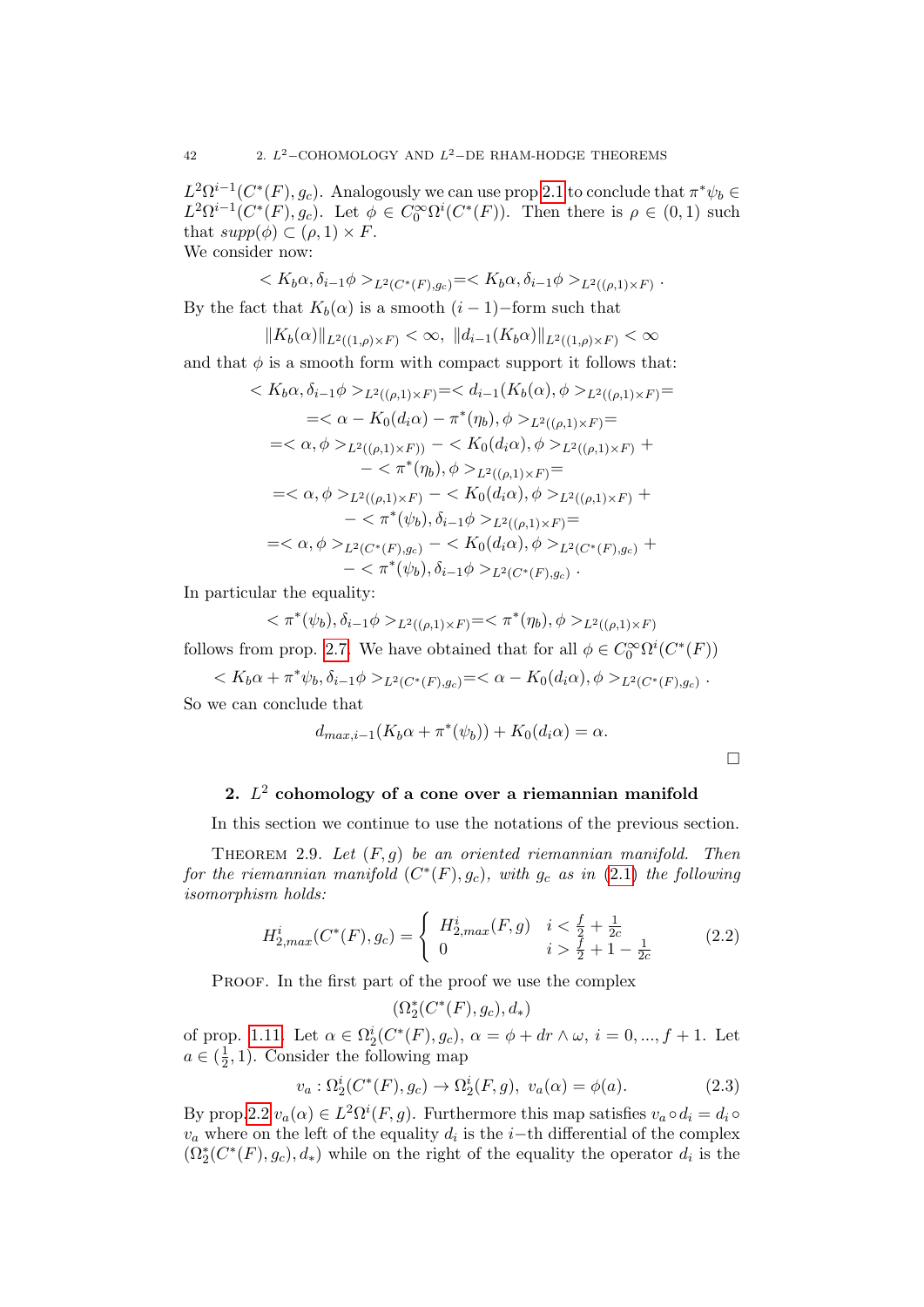$L^2\Omega^{i-1}(C^*(F), g_c)$ . Analogously we can use prop [2.1](#page-34-0) to conclude that  $\pi^*\psi_b \in$  $L^2\Omega^{i-1}(C^*(F), g_c)$ . Let  $\phi \in C_0^{\infty}\Omega^{i}(C^*(F))$ . Then there is  $\rho \in (0,1)$  such that  $supp(\phi) \subset (\rho, 1) \times F$ . We consider now:

$$
\langle K_b \alpha, \delta_{i-1} \phi \rangle_{L^2(C^*(F),g_c)} = \langle K_b \alpha, \delta_{i-1} \phi \rangle_{L^2((\rho,1) \times F)}.
$$

By the fact that  $K_b(\alpha)$  is a smooth  $(i-1)$ –form such that

$$
||K_b(\alpha)||_{L^2((1,\rho)\times F)} < \infty, ||d_{i-1}(K_b\alpha)||_{L^2((1,\rho)\times F)} < \infty
$$

and that  $\phi$  is a smooth form with compact support it follows that:

$$
\langle K_b \alpha, \delta_{i-1} \phi \rangle_{L^2((\rho, 1) \times F)} = \langle d_{i-1}(K_b(\alpha), \phi \rangle_{L^2((\rho, 1) \times F)} =
$$
\n
$$
= \langle \alpha - K_0(d_i \alpha) - \pi^*(\eta_b), \phi \rangle_{L^2((\rho, 1) \times F)} =
$$
\n
$$
= \langle \alpha, \phi \rangle_{L^2((\rho, 1) \times F)} - \langle K_0(d_i \alpha), \phi \rangle_{L^2((\rho, 1) \times F)} +
$$
\n
$$
- \langle \pi^*(\eta_b), \phi \rangle_{L^2((\rho, 1) \times F)} =
$$
\n
$$
= \langle \alpha, \phi \rangle_{L^2((\rho, 1) \times F)} - \langle K_0(d_i \alpha), \phi \rangle_{L^2((\rho, 1) \times F)} +
$$
\n
$$
- \langle \pi^*(\psi_b), \delta_{i-1} \phi \rangle_{L^2((\rho, 1) \times F)} =
$$
\n
$$
= \langle \alpha, \phi \rangle_{L^2(C^*(F), g_c)} - \langle K_0(d_i \alpha), \phi \rangle_{L^2(C^*(F), g_c)} +
$$
\n
$$
- \langle \pi^*(\psi_b), \delta_{i-1} \phi \rangle_{L^2(C^*(F), g_c)}.
$$

In particular the equality:

$$
\langle \pi^*(\psi_b), \delta_{i-1}\phi \rangle_{L^2((\rho,1)\times F)} = \langle \pi^*(\eta_b), \phi \rangle_{L^2((\rho,1)\times F)}
$$

follows from prop. [2.7.](#page-38-0) We have obtained that for all  $\phi \in C_0^{\infty} \Omega^{i}(C^*(F))$ 

$$
\label{eq:Kb} _{L^2(C^*(F),g_c)}=<\alpha-K_0(d_i\alpha), \phi>_{L^2(C^*(F),g_c)}.
$$
 So we can conclude that

$$
\frac{1}{2}
$$

$$
d_{max,i-1}(K_b\alpha + \pi^*(\psi_b)) + K_0(d_i\alpha) = \alpha.
$$

 $\Box$ 

## 2.  $L^2$  cohomology of a cone over a riemannian manifold

In this section we continue to use the notations of the previous section.

<span id="page-41-0"></span>THEOREM 2.9. Let  $(F, g)$  be an oriented riemannian manifold. Then for the riemannian manifold  $(C^*(F), g_c)$ , with  $g_c$  as in  $(2.1)$  the following isomorphism holds:

$$
H_{2,max}^{i}(C^{*}(F), g_{c}) = \begin{cases} H_{2,max}^{i}(F, g) & i < \frac{f}{2} + \frac{1}{2c} \\ 0 & i > \frac{f}{2} + 1 - \frac{1}{2c} \end{cases} \tag{2.2}
$$

PROOF. In the first part of the proof we use the complex

$$
(\Omega^*_2(C^*(F),g_c),d_*)
$$

of prop. [1.11.](#page-21-0) Let  $\alpha \in \Omega_2^i(C^*(F), g_c)$ ,  $\alpha = \phi + dr \wedge \omega$ ,  $i = 0, ..., f + 1$ . Let  $a \in (\frac{1}{2})$  $(\frac{1}{2}, 1)$ . Consider the following map

<span id="page-41-1"></span>
$$
v_a: \Omega_2^i(C^*(F), g_c) \to \Omega_2^i(F, g), \ v_a(\alpha) = \phi(a). \tag{2.3}
$$

By prop[.2.2](#page-34-2)  $v_a(\alpha) \in L^2 \Omega^i(F, g)$ . Furthermore this map satisfies  $v_a \circ d_i = d_i \circ$  $v_a$  where on the left of the equality  $d_i$  is the i-th differential of the complex  $(\Omega_2^*(C^*(F),g_c),d_*)$  while on the right of the equality the operator  $d_i$  is the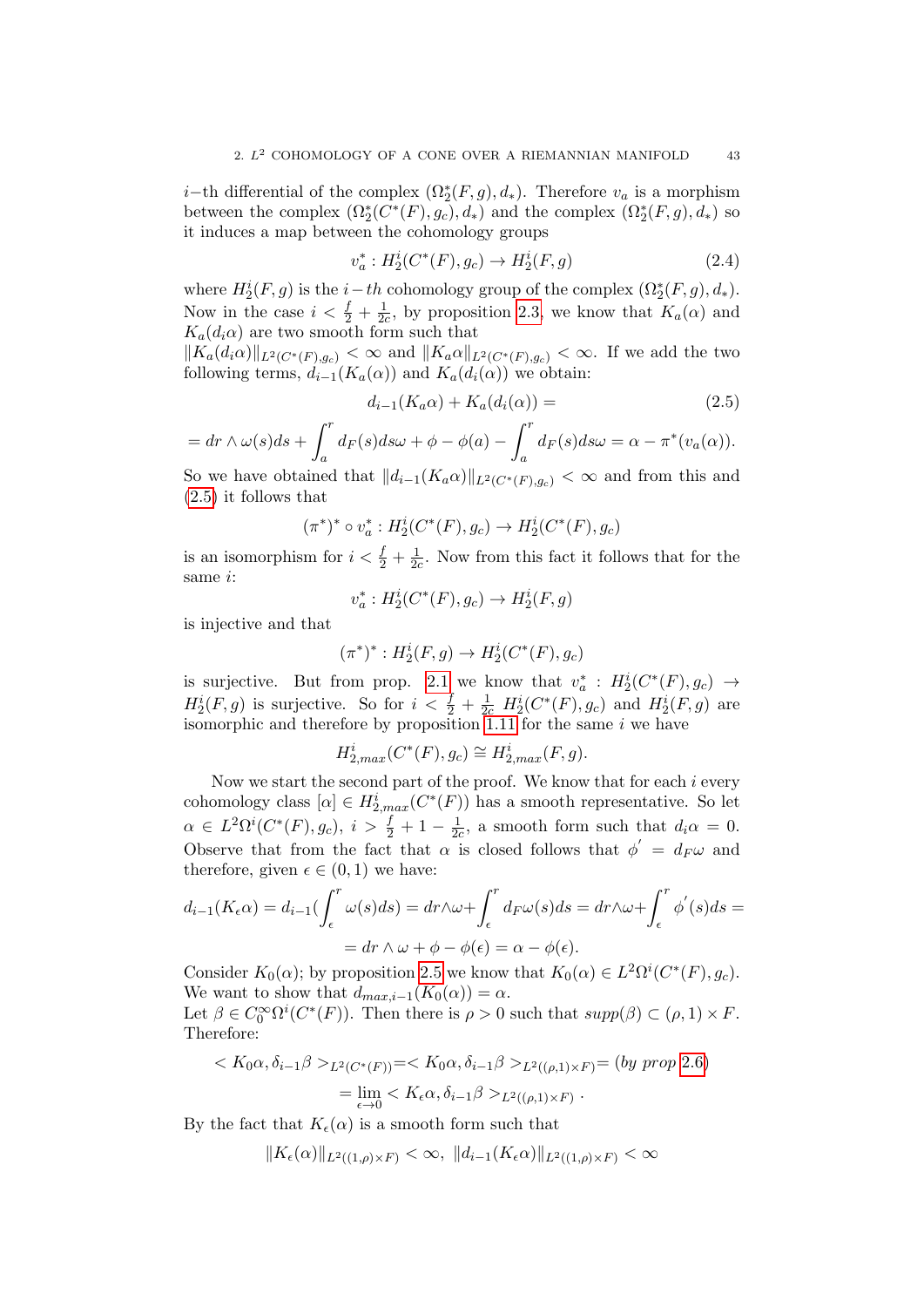*i*−th differential of the complex  $(\Omega_2^*(F, g), d_*)$ . Therefore  $v_a$  is a morphism between the complex  $(\Omega_2^*(C^*(F), g_c), d_*)$  and the complex  $(\Omega_2^*(F, g), d_*)$  so it induces a map between the cohomology groups

$$
v_a^*: H_2^i(C^*(F), g_c) \to H_2^i(F, g)
$$
\n(2.4)

where  $H_2^i(F, g)$  is the  $i-th$  cohomology group of the complex  $(\Omega_2^*(F, g), d_*)$ . Now in the case  $i < \frac{f}{2} + \frac{1}{2a}$  $\frac{1}{2c}$ , by proposition [2.3,](#page-35-0) we know that  $K_a(\alpha)$  and  $K_a(d_i\alpha)$  are two smooth form such that

 $\|K_a(d_i\alpha)\|_{L^2(C^*(F),g_c)} < \infty$  and  $\|K_a\alpha\|_{L^2(C^*(F),g_c)} < \infty$ . If we add the two following terms,  $d_{i-1}(K_a(\alpha))$  and  $K_a(d_i(\alpha))$  we obtain:

<span id="page-42-0"></span>
$$
d_{i-1}(K_a \alpha) + K_a(d_i(\alpha)) = \tag{2.5}
$$

$$
= dr \wedge \omega(s) ds + \int_a^r d_F(s) ds \omega + \phi - \phi(a) - \int_a^r d_F(s) ds \omega = \alpha - \pi^*(v_a(\alpha)).
$$

So we have obtained that  $||d_{i-1}(K_a\alpha)||_{L^2(C^*(F),g_c)} < \infty$  and from this and [\(2.5\)](#page-42-0) it follows that

$$
(\pi^*)^* \circ v_a^* : H_2^i(C^*(F), g_c) \to H_2^i(C^*(F), g_c)
$$

is an isomorphism for  $i < \frac{f}{2} + \frac{1}{2a}$  $\frac{1}{2c}$ . Now from this fact it follows that for the same i:

$$
v_a^*: H_2^i(C^*(F), g_c) \to H_2^i(F, g)
$$

is injective and that

$$
(\pi^*)^* : H_2^i(F, g) \to H_2^i(C^*(F), g_c)
$$

is surjective. But from prop. [2.1](#page-34-0) we know that  $v_a^*$ :  $H_2^i(C^*(F), g_c) \rightarrow$  $H_2^i(F, g)$  is surjective. So for  $i < \frac{f}{2} + \frac{1}{2c} H_2^i(C^*(F), g_c)$  and  $H_2^i(F, g)$  are isomorphic and therefore by proposition [1.11](#page-21-0) for the same i we have

$$
H^i_{2,max}(C^*(F), g_c) \cong H^i_{2,max}(F, g).
$$

Now we start the second part of the proof. We know that for each  $i$  every cohomology class  $[\alpha] \in H_{2,max}^i(C^*(F))$  has a smooth representative. So let  $\alpha \in L^2\Omega^i(C^*(F),g_c), i > \frac{f}{2} + 1 - \frac{1}{2a}$  $\frac{1}{2c}$ , a smooth form such that  $d_i\alpha = 0$ . Observe that from the fact that  $\alpha$  is closed follows that  $\phi' = d_F \omega$  and therefore, given  $\epsilon \in (0,1)$  we have:

$$
d_{i-1}(K_{\epsilon}\alpha) = d_{i-1}(\int_{\epsilon}^{r} \omega(s)ds) = dr \wedge \omega + \int_{\epsilon}^{r} d_{F}\omega(s)ds = dr \wedge \omega + \int_{\epsilon}^{r} \phi'(s)ds =
$$

$$
= dr \wedge \omega + \phi - \phi(\epsilon) = \alpha - \phi(\epsilon).
$$

Consider  $K_0(\alpha)$ ; by proposition [2.5](#page-37-1) we know that  $K_0(\alpha) \in L^2\Omega^i(C^*(F), g_c)$ . We want to show that  $d_{max,i-1}(K_0(\alpha)) = \alpha$ .

Let  $\beta \in C_0^{\infty} \Omega^i(C^*(F))$ . Then there is  $\rho > 0$  such that  $supp(\beta) \subset (\rho, 1) \times F$ . Therefore:

$$
\langle K_0 \alpha, \delta_{i-1} \beta \rangle_{L^2(C^*(F))} = \langle K_0 \alpha, \delta_{i-1} \beta \rangle_{L^2((\rho,1) \times F)} = (by \text{ prop } 2.6)
$$
  
= 
$$
\lim_{\epsilon \to 0} \langle K_{\epsilon} \alpha, \delta_{i-1} \beta \rangle_{L^2((\rho,1) \times F)}.
$$

By the fact that  $K_{\epsilon}(\alpha)$  is a smooth form such that

$$
||K_{\epsilon}(\alpha)||_{L^{2}((1,\rho)\times F)} < \infty, ||d_{i-1}(K_{\epsilon}\alpha)||_{L^{2}((1,\rho)\times F)} < \infty
$$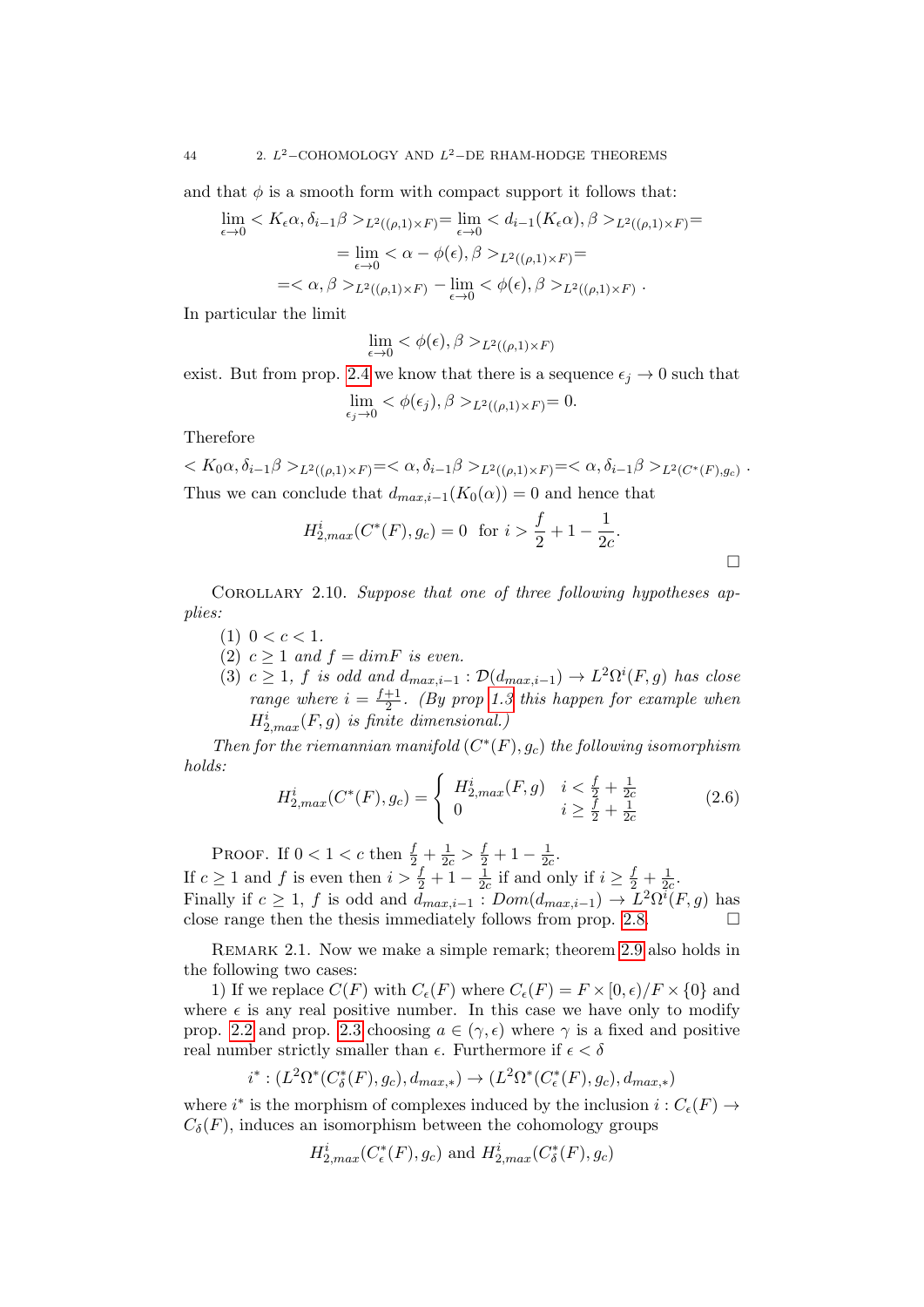and that  $\phi$  is a smooth form with compact support it follows that:

$$
\lim_{\epsilon \to 0} \langle K_{\epsilon} \alpha, \delta_{i-1} \beta \rangle_{L^2((\rho, 1) \times F)} = \lim_{\epsilon \to 0} \langle d_{i-1}(K_{\epsilon} \alpha), \beta \rangle_{L^2((\rho, 1) \times F)} =
$$
\n
$$
= \lim_{\epsilon \to 0} \langle \alpha - \phi(\epsilon), \beta \rangle_{L^2((\rho, 1) \times F)} =
$$
\n
$$
= \langle \alpha, \beta \rangle_{L^2((\rho, 1) \times F)} - \lim_{\epsilon \to 0} \langle \phi(\epsilon), \beta \rangle_{L^2((\rho, 1) \times F)}.
$$

In particular the limit

$$
\lim_{\epsilon \to 0} <\phi(\epsilon), \beta>_{L^2((\rho,1)\times F)}
$$

exist. But from prop. [2.4](#page-36-0) we know that there is a sequence  $\epsilon_i \rightarrow 0$  such that

$$
\lim_{\epsilon_j \to 0} <\phi(\epsilon_j), \beta>_{L^2((\rho,1)\times F)}=0.
$$

Therefore

 $K_0 \alpha, \delta_{i-1} \beta >_{L^2((\rho,1)\times F)} = \langle \alpha, \delta_{i-1} \beta >_{L^2((\rho,1)\times F)} = \langle \alpha, \delta_{i-1} \beta >_{L^2(C^*(F),g_c)} \rangle$ Thus we can conclude that  $d_{max,i-1}(K_0(\alpha)) = 0$  and hence that

$$
H_{2,max}^i(C^*(F), g_c) = 0 \text{ for } i > \frac{f}{2} + 1 - \frac{1}{2c}.
$$

 $\Box$ 

COROLLARY 2.10. Suppose that one of three following hypotheses applies:

- (1)  $0 < c < 1$ .
- (2)  $c > 1$  and  $f = dimF$  is even.
- (3)  $c \geq 1$ , f is odd and  $d_{max,i-1} : \mathcal{D}(d_{max,i-1}) \to L^2\Omega^i(F,g)$  has close range where  $i = \frac{f+1}{2}$  $\frac{+1}{2}$ . (By prop [1.3](#page-17-0) this happen for example when  $H_{2,max}^i(F, g)$  is finite dimensional.)

Then for the riemannian manifold  $(C^*(F), g_c)$  the following isomorphism holds:

<span id="page-43-0"></span>
$$
H_{2,max}^i(C^*(F), g_c) = \begin{cases} H_{2,max}^i(F, g) & i < \frac{f}{2} + \frac{1}{2c} \\ 0 & i \ge \frac{f}{2} + \frac{1}{2c} \end{cases} \tag{2.6}
$$

PROOF. If  $0 < 1 < c$  then  $\frac{f}{2} + \frac{1}{2c} > \frac{f}{2} + 1 - \frac{1}{2c}$  $\frac{1}{2c}$ . If  $c \geq 1$  and f is even then  $i > \frac{f}{2} + 1 - \frac{1}{2d}$  $\frac{1}{2c}$  if and only if  $i \geq \frac{f}{2} + \frac{1}{2c}$  $\frac{1}{2c}$ . Finally if  $c \geq 1$ , f is odd and  $d_{max,i-1} : Dom(d_{max,i-1}) \to L^2\Omega^i(F, g)$  has close range then the thesis immediately follows from prop. [2.8.](#page-39-0)  $\Box$ 

Remark 2.1. Now we make a simple remark; theorem [2.9](#page-41-0) also holds in the following two cases:

1) If we replace  $C(F)$  with  $C_{\epsilon}(F)$  where  $C_{\epsilon}(F) = F \times [0, \epsilon)/F \times \{0\}$  and where  $\epsilon$  is any real positive number. In this case we have only to modify prop. [2.2](#page-34-2) and prop. [2.3](#page-35-0) choosing  $a \in (\gamma, \epsilon)$  where  $\gamma$  is a fixed and positive real number strictly smaller than  $\epsilon$ . Furthermore if  $\epsilon < \delta$ 

$$
i^*: (L^2\Omega^*(C^*_\delta(F), g_c), d_{max,*}) \to (L^2\Omega^*(C^*_\epsilon(F), g_c), d_{max,*})
$$

where  $i^*$  is the morphism of complexes induced by the inclusion  $i: C_{\epsilon}(F) \rightarrow$  $C_{\delta}(F)$ , induces an isomorphism between the cohomology groups

$$
H_{2,max}^i(C_{\epsilon}^*(F), g_c)
$$
 and  $H_{2,max}^i(C_{\delta}^*(F), g_c)$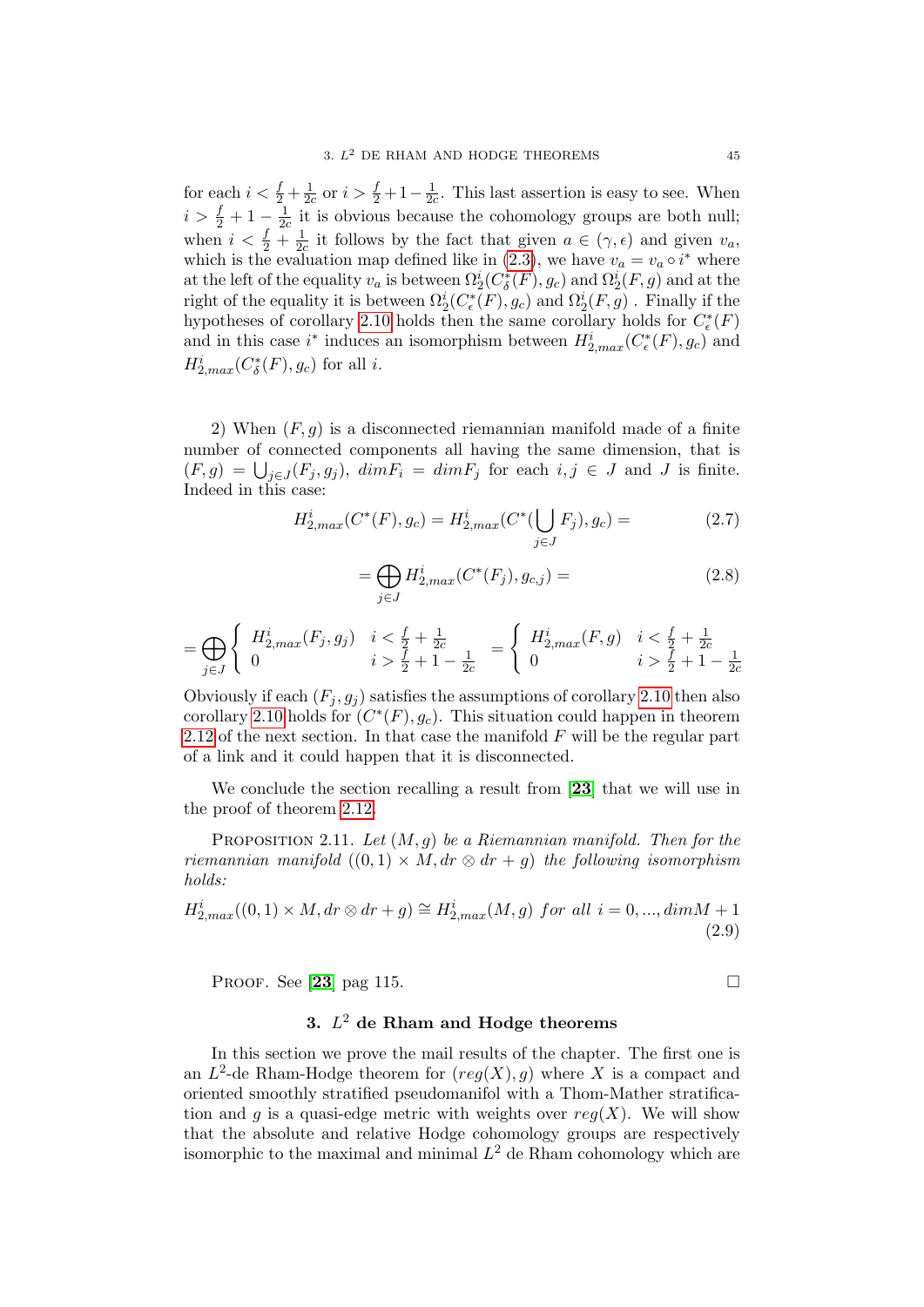for each  $i < \frac{f}{2} + \frac{1}{2a}$  $\frac{1}{2c}$  or  $i > \frac{f}{2} + 1 - \frac{1}{2d}$  $\frac{1}{2c}$ . This last assertion is easy to see. When  $i > \frac{f}{2} + 1 - \frac{1}{2a}$  $\frac{1}{2c}$  it is obvious because the cohomology groups are both null; when  $i < \frac{f}{2} + \frac{1}{2a}$  $\frac{1}{2c}$  it follows by the fact that given  $a \in (\gamma, \epsilon)$  and given  $v_a$ , which is the evaluation map defined like in [\(2.3\)](#page-41-1), we have  $v_a = v_a \circ i^*$  where at the left of the equality  $v_a$  is between  $\Omega_2^i(C^*_\delta(F), g_c)$  and  $\Omega_2^i(F, g)$  and at the right of the equality it is between  $\Omega_2^i(C^*_\epsilon(F), g_c)$  and  $\Omega_2^i(F, g)$  . Finally if the hypotheses of corollary [2.10](#page-43-0) holds then the same corollary holds for  $C_{\epsilon}^*(F)$ and in this case i<sup>\*</sup> induces an isomorphism between  $H_{2,max}^i(C_{\epsilon}^*(F), g_c)$  and  $H_{2,max}^i(C^*_\delta(F), g_c)$  for all *i*.

2) When  $(F, g)$  is a disconnected riemannian manifold made of a finite number of connected components all having the same dimension, that is  $(F,g) = \bigcup_{j\in J}(F_j,g_j)$ ,  $dimF_i = dimF_j$  for each  $i,j \in J$  and J is finite. Indeed in this case:

$$
H_{2,max}^i(C^*(F), g_c) = H_{2,max}^i(C^*(\bigcup_{j \in J} F_j), g_c) = (2.7)
$$

<span id="page-44-0"></span>
$$
=\bigoplus_{j\in J} H_{2,max}^i(C^*(F_j), g_{c,j}) =
$$
\n(2.8)

$$
= \bigoplus_{j \in J} \left\{ \begin{array}{ll} H_{2,max}^i(F_j, g_j) & i < \frac{f}{2} + \frac{1}{2c} \\ 0 & i > \frac{f}{2} + 1 - \frac{1}{2c} \end{array} \right. = \left\{ \begin{array}{ll} H_{2,max}^i(F, g) & i < \frac{f}{2} + \frac{1}{2c} \\ 0 & i > \frac{f}{2} + 1 - \frac{1}{2c} \end{array} \right.
$$

Obviously if each  $(F_j, g_j)$  satisfies the assumptions of corollary [2.10](#page-43-0) then also corollary [2.10](#page-43-0) holds for  $(C^*(F), g_c)$ . This situation could happen in theorem [2.12](#page-45-0) of the next section. In that case the manifold  $F$  will be the regular part of a link and it could happen that it is disconnected.

We conclude the section recalling a result from [[23](#page-136-0)] that we will use in the proof of theorem [2.12.](#page-45-0)

PROPOSITION 2.11. Let  $(M, q)$  be a Riemannian manifold. Then for the riemannian manifold  $((0,1) \times M, dr \otimes dr + g)$  the following isomorphism holds:

<span id="page-44-1"></span>
$$
H_{2,max}^{i}((0,1) \times M, dr \otimes dr + g) \cong H_{2,max}^{i}(M,g) \text{ for all } i = 0, ..., dimM + 1
$$
\n(2.9)

PROOF. See [[23](#page-136-0)] pag 115.

## 3.  $L^2$  de Rham and Hodge theorems

In this section we prove the mail results of the chapter. The first one is an  $L^2$ -de Rham-Hodge theorem for  $reg(X), g$ ) where X is a compact and oriented smoothly stratified pseudomanifol with a Thom-Mather stratification and q is a quasi-edge metric with weights over  $req(X)$ . We will show that the absolute and relative Hodge cohomology groups are respectively isomorphic to the maximal and minimal  $L^2$  de Rham cohomology which are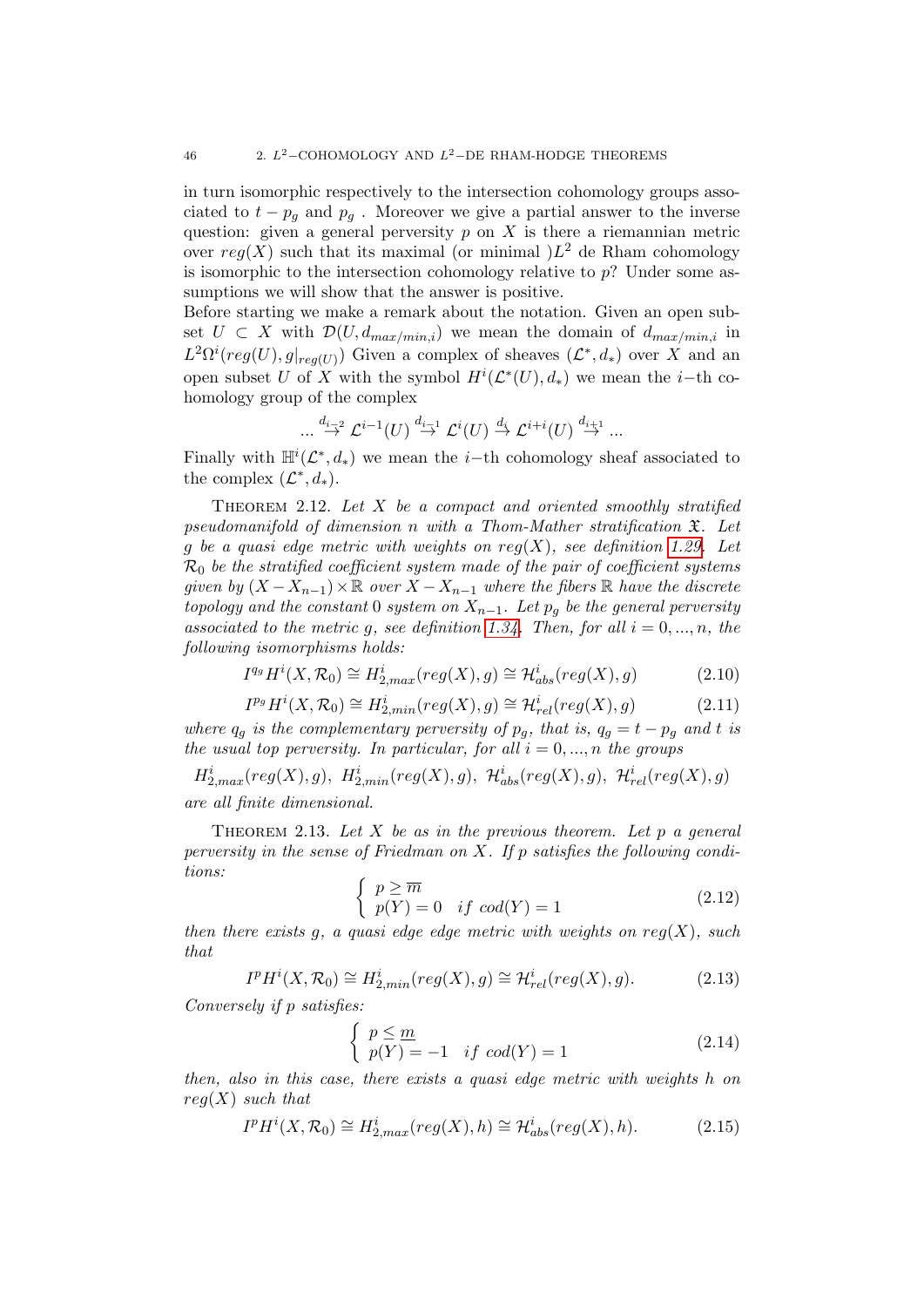in turn isomorphic respectively to the intersection cohomology groups associated to  $t - p_q$  and  $p_q$ . Moreover we give a partial answer to the inverse question: given a general perversity  $p$  on  $X$  is there a riemannian metric over  $reg(X)$  such that its maximal (or minimal ) $L^2$  de Rham cohomology is isomorphic to the intersection cohomology relative to  $p$ ? Under some assumptions we will show that the answer is positive.

Before starting we make a remark about the notation. Given an open subset  $U \subset X$  with  $\mathcal{D}(U, d_{max/min,i})$  we mean the domain of  $d_{max/min,i}$  in  $L^2\Omega^i(\text{reg}(U),g|_{\text{reg}(U)})$  Given a complex of sheaves  $(\mathcal{L}^*,d_*)$  over X and an open subset U of X with the symbol  $H^i(\mathcal{L}^*(U), d_*)$  we mean the *i*-th cohomology group of the complex

$$
...\stackrel{d_{i-2}}{\rightarrow}\mathcal{L}^{i-1}(U)\stackrel{d_{i-1}}{\rightarrow}\mathcal{L}^{i}(U)\stackrel{d_{i}}{\rightarrow}\mathcal{L}^{i+i}(U)\stackrel{d_{i+1}}{\rightarrow}...
$$

Finally with  $\mathbb{H}^i(\mathcal{L}^*, d_*)$  we mean the *i*-th cohomology sheaf associated to the complex  $(\mathcal{L}^*, d_*)$ .

THEOREM 2.12. Let  $X$  be a compact and oriented smoothly stratified pseudomanifold of dimension n with a Thom-Mather stratification X. Let g be a quasi edge metric with weights on  $reg(X)$ , see definition [1.29.](#page-29-0) Let  $\mathcal{R}_0$  be the stratified coefficient system made of the pair of coefficient systems given by  $(X - X_{n-1}) \times \mathbb{R}$  over  $X - X_{n-1}$  where the fibers  $\mathbb R$  have the discrete topology and the constant 0 system on  $X_{n-1}$ . Let  $p_q$  be the general perversity associated to the metric g, see definition [1.34.](#page-32-0) Then, for all  $i = 0, ..., n$ , the following isomorphisms holds:

<span id="page-45-1"></span>
$$
I^{q_g}H^i(X, \mathcal{R}_0) \cong H^i_{2,max}(reg(X), g) \cong \mathcal{H}^i_{abs}(reg(X), g)
$$
 (2.10)

<span id="page-45-0"></span>
$$
I^{p_g}H^i(X, \mathcal{R}_0) \cong H^i_{2, min}(reg(X), g) \cong \mathcal{H}^i_{rel}(reg(X), g)
$$
\n(2.11)

where  $q_q$  is the complementary perversity of  $p_q$ , that is,  $q_q = t - p_q$  and t is the usual top perversity. In particular, for all  $i = 0, ..., n$  the groups

 $H_{2,max}^i (reg(X), g), H_{2,min}^i (reg(X), g), H_{abs}^i (reg(X), g), H_{rel}^i (reg(X), g)$ are all finite dimensional.

THEOREM 2.13. Let X be as in the previous theorem. Let p a general perversity in the sense of Friedman on  $X$ . If p satisfies the following conditions:

$$
\begin{cases}\np \geq \overline{m} \\
p(Y) = 0 & \text{if } cod(Y) = 1\n\end{cases} \tag{2.12}
$$

then there exists q, a quasi edge edge metric with weights on  $reg(X)$ , such that

<span id="page-45-3"></span>
$$
I^p H^i(X, \mathcal{R}_0) \cong H^i_{2, min}(reg(X), g) \cong \mathcal{H}^i_{rel}(reg(X), g). \tag{2.13}
$$

Conversely if p satisfies:

$$
\begin{cases} p \leq \underline{m} \\ p(Y) = -1 & if \text{ cod}(Y) = 1 \end{cases}
$$
 (2.14)

then, also in this case, there exists a quasi edge metric with weights h on  $req(X)$  such that

<span id="page-45-2"></span>
$$
I^{p}H^{i}(X,\mathcal{R}_{0}) \cong H^{i}_{2,max}(reg(X),h) \cong \mathcal{H}^{i}_{abs}(reg(X),h).
$$
 (2.15)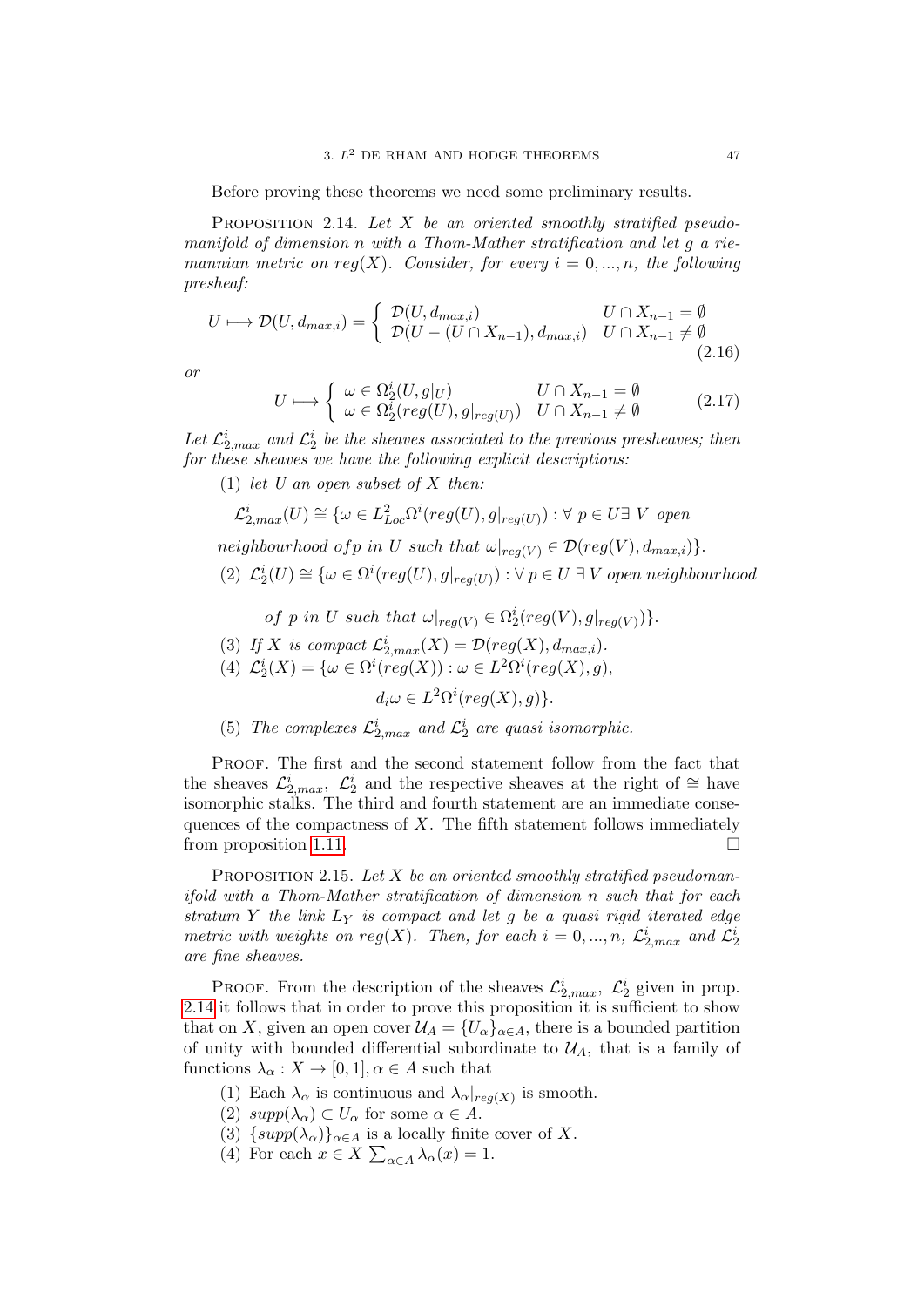Before proving these theorems we need some preliminary results.

PROPOSITION 2.14. Let  $X$  be an oriented smoothly stratified pseudomanifold of dimension n with a Thom-Mather stratification and let g a riemannian metric on reg(X). Consider, for every  $i = 0, ..., n$ , the following presheaf:

$$
U \longmapsto \mathcal{D}(U, d_{max,i}) = \begin{cases} \mathcal{D}(U, d_{max,i}) & U \cap X_{n-1} = \emptyset \\ \mathcal{D}(U - (U \cap X_{n-1}), d_{max,i}) & U \cap X_{n-1} \neq \emptyset \end{cases}
$$
(2.16)

or

$$
U \longmapsto \begin{cases} \omega \in \Omega_2^i(U, g|_U) & U \cap X_{n-1} = \emptyset \\ \omega \in \Omega_2^i(\text{reg}(U), g|_{\text{reg}(U)}) & U \cap X_{n-1} \neq \emptyset \end{cases} \tag{2.17}
$$

Let  $\mathcal{L}^i_{2,max}$  and  $\mathcal{L}^i_2$  be the sheaves associated to the previous presheaves; then for these sheaves we have the following explicit descriptions:

- (1) let U an open subset of X then:  $\mathcal{L}_{2,max}^{i}(U) \cong \{ \omega \in L_{Loc}^{2}\Omega^{i}(reg(U), g|_{reg(U)}) : \forall p \in U \exists V \text{ open} \}$
- neighbourhood of p in U such that  $\omega|_{req(V)} \in \mathcal{D}(reg(V), d_{max,i})$ .
- (2)  $\mathcal{L}_2^i(U) \cong {\omega \in \Omega^i(reg(U),g|_{reg(U)}) : \forall p \in U \exists V \ open \ neighborhood}$ 
	- of p in U such that  $\omega|_{reg(V)} \in \Omega_2^i(reg(V), g|_{reg(V)})\}.$
- (3) If X is compact  $\mathcal{L}_{2,max}^{i}(X) = \mathcal{D}(reg(X), d_{max,i}).$
- (4)  $\mathcal{L}_2^i(X) = \{ \omega \in \Omega^i (reg(X)) : \omega \in L^2 \Omega^i (reg(X), g), \}$

 $d_i \omega \in L^2 \Omega^i (reg(X), g) \}.$ 

<span id="page-46-0"></span>(5) The complexes  $\mathcal{L}_{2,max}^i$  and  $\mathcal{L}_{2}^i$  are quasi isomorphic.

PROOF. The first and the second statement follow from the fact that the sheaves  $\mathcal{L}_{2,max}^i$ ,  $\mathcal{L}_2^i$  and the respective sheaves at the right of  $\cong$  have isomorphic stalks. The third and fourth statement are an immediate consequences of the compactness of  $X$ . The fifth statement follows immediately from proposition [1.11.](#page-21-0)

<span id="page-46-1"></span>PROPOSITION 2.15. Let  $X$  be an oriented smoothly stratified pseudomanifold with a Thom-Mather stratification of dimension n such that for each stratum Y the link  $L_Y$  is compact and let g be a quasi rigid iterated edge metric with weights on reg(X). Then, for each  $i = 0, ..., n$ ,  $\mathcal{L}_{2,max}^{i}$  and  $\mathcal{L}_{2}^{i}$ are fine sheaves.

PROOF. From the description of the sheaves  $\mathcal{L}_{2,max}^i$ ,  $\mathcal{L}_2^i$  given in prop. [2.14](#page-46-0) it follows that in order to prove this proposition it is sufficient to show that on X, given an open cover  $\mathcal{U}_A = \{U_\alpha\}_{\alpha \in A}$ , there is a bounded partition of unity with bounded differential subordinate to  $\mathcal{U}_A$ , that is a family of functions  $\lambda_{\alpha}: X \to [0,1], \alpha \in A$  such that

- (1) Each  $\lambda_{\alpha}$  is continuous and  $\lambda_{\alpha}|_{reg(X)}$  is smooth.
- (2)  $supp(\lambda_{\alpha}) \subset U_{\alpha}$  for some  $\alpha \in A$ .
- (3)  $\{supp(\lambda_{\alpha})\}_{\alpha \in A}$  is a locally finite cover of X.
- (4) For each  $x \in X \sum_{\alpha \in A} \lambda_{\alpha}(x) = 1$ .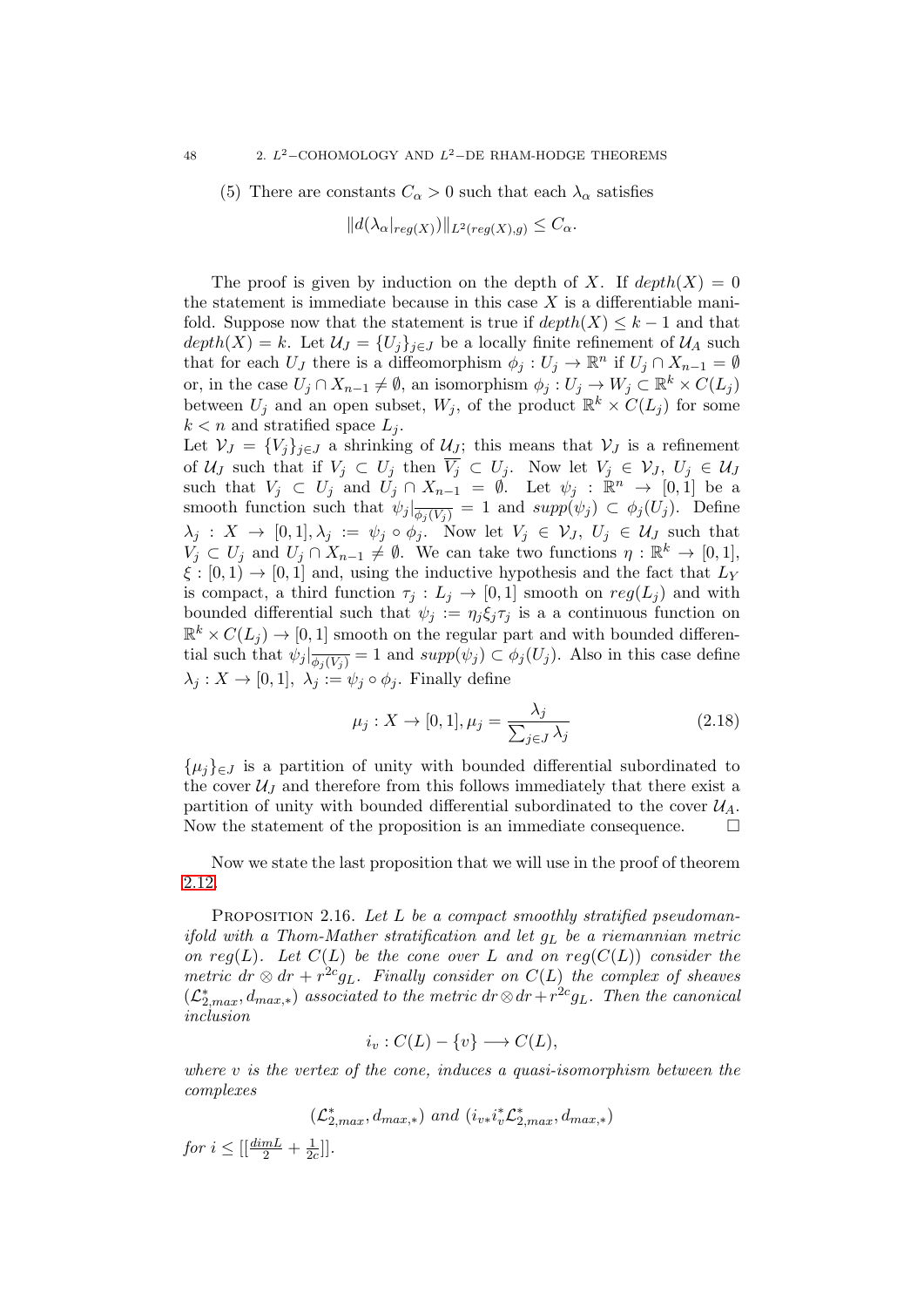(5) There are constants  $C_{\alpha} > 0$  such that each  $\lambda_{\alpha}$  satisfies

$$
||d(\lambda_{\alpha}|_{reg(X)})||_{L^{2}(reg(X), g)} \leq C_{\alpha}.
$$

The proof is given by induction on the depth of X. If  $depth(X) = 0$ the statement is immediate because in this case  $X$  is a differentiable manifold. Suppose now that the statement is true if  $depth(X) \leq k-1$  and that  $depth(X) = k$ . Let  $\mathcal{U}_J = \{U_j\}_{j \in J}$  be a locally finite refinement of  $\mathcal{U}_A$  such that for each  $U_J$  there is a diffeomorphism  $\phi_j: U_j \to \mathbb{R}^n$  if  $U_j \cap X_{n-1} = \emptyset$ or, in the case  $U_j \cap X_{n-1} \neq \emptyset$ , an isomorphism  $\phi_j: U_j \to W_j \subset \mathbb{R}^k \times C(L_j)$ between  $U_j$  and an open subset,  $W_j$ , of the product  $\mathbb{R}^k \times C(L_j)$  for some  $k < n$  and stratified space  $L_i$ . Let  $\mathcal{V}_J = \{V_j\}_{j\in J}$  a shrinking of  $\mathcal{U}_J$ ; this means that  $\mathcal{V}_J$  is a refinement

of  $\mathcal{U}_J$  such that if  $V_j \subset U_j$  then  $V_j \subset U_j$ . Now let  $V_j \in \mathcal{V}_J$ ,  $U_j \in \mathcal{U}_J$ such that  $V_j \subset U_j$  and  $U_j \cap X_{n-1} = \emptyset$ . Let  $\psi_j : \mathbb{R}^n \to [0,1]$  be a smooth function such that  $\psi_j|_{\overline{\phi_j(V_j)}} = 1$  and  $supp(\psi_j) \subset \phi_j(U_j)$ . Define  $\lambda_j: X \to [0,1], \lambda_j := \psi_j \circ \phi_j$ . Now let  $V_j \in \mathcal{V}_J$ ,  $U_j \in \mathcal{U}_J$  such that  $V_j \subset U_j$  and  $U_j \cap X_{n-1} \neq \emptyset$ . We can take two functions  $\eta : \mathbb{R}^k \to [0,1],$  $\xi : [0,1] \rightarrow [0,1]$  and, using the inductive hypothesis and the fact that  $L_Y$ is compact, a third function  $\tau_j : L_j \to [0,1]$  smooth on  $reg(L_j)$  and with bounded differential such that  $\psi_j := \eta_j \xi_j \tau_j$  is a a continuous function on  $\mathbb{R}^k \times C(L_j) \to [0, 1]$  smooth on the regular part and with bounded differential such that  $\psi_j|_{\overline{\phi_j(V_j)}} = 1$  and  $supp(\psi_j) \subset \phi_j(U_j)$ . Also in this case define  $\lambda_j: X \to [0,1], \ \lambda_j := \psi_j \circ \phi_j.$  Finally define

$$
\mu_j: X \to [0, 1], \mu_j = \frac{\lambda_j}{\sum_{j \in J} \lambda_j} \tag{2.18}
$$

 $\{\mu_i\}_{i\in J}$  is a partition of unity with bounded differential subordinated to the cover  $\mathcal{U}_J$  and therefore from this follows immediately that there exist a partition of unity with bounded differential subordinated to the cover  $\mathcal{U}_A$ . Now the statement of the proposition is an immediate consequence.  $\Box$ 

Now we state the last proposition that we will use in the proof of theorem [2.12.](#page-45-0)

<span id="page-47-0"></span>PROPOSITION 2.16. Let  $L$  be a compact smoothly stratified pseudomanifold with a Thom-Mather stratification and let  $q_L$  be a riemannian metric on reg(L). Let  $C(L)$  be the cone over L and on reg( $C(L)$ ) consider the metric dr  $\otimes$  dr +  $r^{2c}g_L$ . Finally consider on  $C(L)$  the complex of sheaves  $(\mathcal{L}^*_{2,max}, d_{max,*})$  associated to the metric dr⊗dr+r<sup>2c</sup>g<sub>L</sub>. Then the canonical inclusion

$$
i_v : C(L) - \{v\} \longrightarrow C(L),
$$

where  $v$  is the vertex of the cone, induces a quasi-isomorphism between the complexes

$$
(\mathcal{L}_{2,max}^*,d_{max,*})\ and\ (i_{v*}i_v^*\mathcal{L}_{2,max}^*,d_{max,*})
$$

for  $i \leq \left[\left(\frac{dim L}{2} + \frac{1}{2e}\right)\right]$  $\frac{1}{2c}$ ].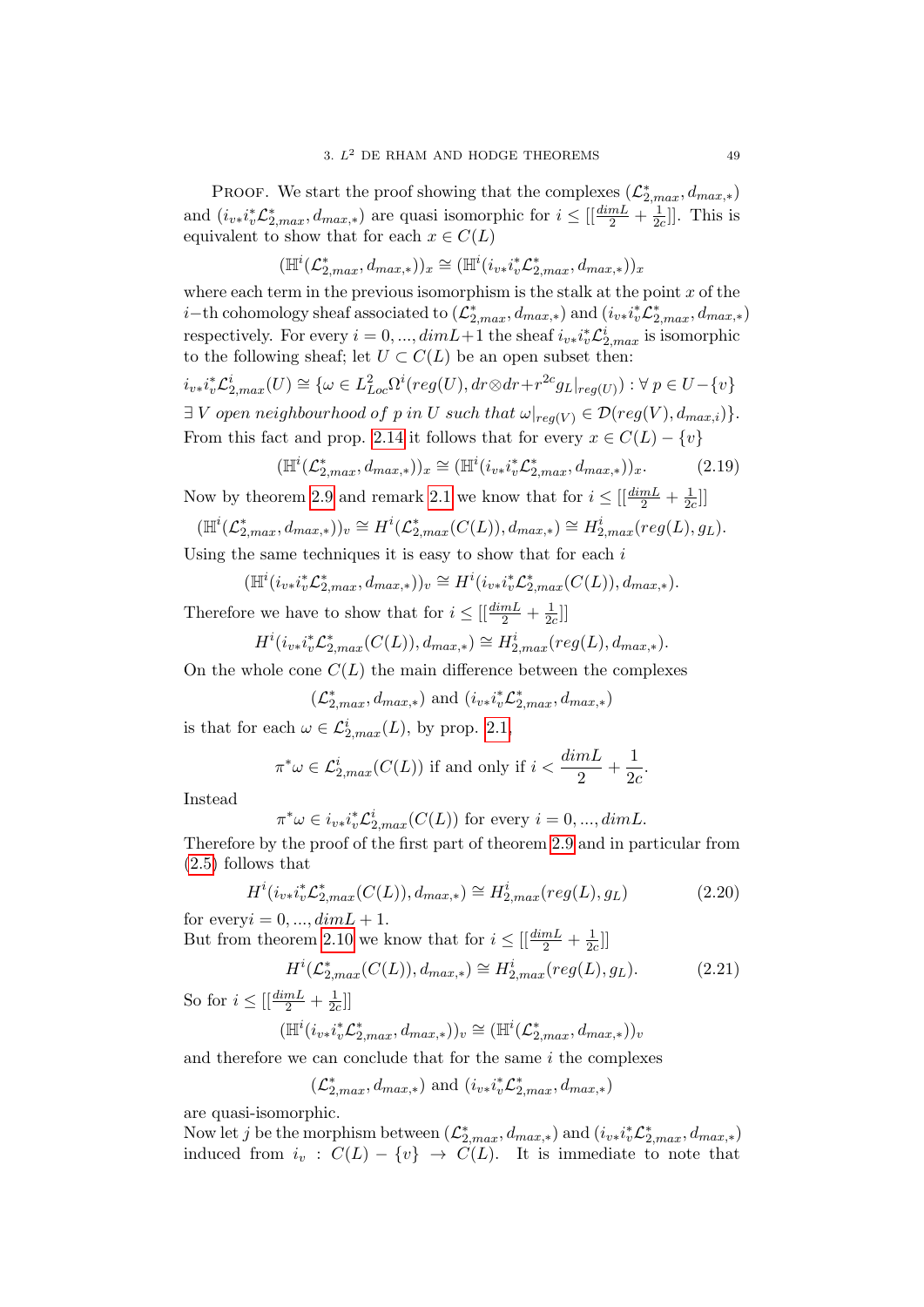PROOF. We start the proof showing that the complexes  $(\mathcal{L}_{2,max}^*, d_{max,*})$ and  $(i_{v*}i_v^*\mathcal{L}_{2,max}^*, d_{max,*})$  are quasi isomorphic for  $i \leq [\frac{dimL}{2} + \frac{1}{2a}]$  $\frac{1}{2c}]$ . This is equivalent to show that for each  $x \in C(L)$ 

$$
(\mathbb{H}^i(\mathcal{L}^*_{2,max},d_{max,*}))_x \cong (\mathbb{H}^i(i_{v*}i_v^*\mathcal{L}^*_{2,max},d_{max,*}))_x
$$

where each term in the previous isomorphism is the stalk at the point  $x$  of the *i*−th cohomology sheaf associated to  $(\mathcal{L}_{2,max}^*, d_{max,*})$  and  $(i_{v*}i_v^*\mathcal{L}_{2,max}^*, d_{max,*})$ respectively. For every  $i = 0, ..., dimL+1$  the sheaf  $i_{v*}i_v^*\mathcal{L}_{2,max}^i$  is isomorphic to the following sheaf; let  $U \subset C(L)$  be an open subset then:

 $i_{v*}i_v^*\mathcal{L}_{2,max}^i(U) \cong \{ \omega \in L_{Loc}^2 \Omega^i (reg(U), dr \otimes dr + r^{2c} g_L|_{reg(U)}): \forall p \in U - \{v\}$  $\exists V$  open neighbourhood of p in U such that  $\omega|_{reg(V)} \in \mathcal{D}(reg(V), d_{max,i})\}.$ From this fact and prop. [2.14](#page-46-0) it follows that for every  $x \in C(L) - \{v\}$ 

<span id="page-48-0"></span>
$$
(\mathbb{H}^i(\mathcal{L}_{2,max}^*, d_{max,*}))_x \cong (\mathbb{H}^i(i_{v*}i_v^*\mathcal{L}_{2,max}^*, d_{max,*}))_x. \tag{2.19}
$$

Now by theorem [2.9](#page-41-0) and remark [2.1](#page-44-0) we know that for  $i \leq \left[\frac{dim L}{2} + \frac{1}{2a}\right]$  $\frac{1}{2c}$ ]]

$$
(\mathbb{H}^i(\mathcal{L}_{2,max}^*,d_{max,*}))_v \cong H^i(\mathcal{L}_{2,max}^*(C(L)),d_{max,*}) \cong H^i_{2,max}(reg(L),g_L).
$$

Using the same techniques it is easy to show that for each  $i$ 

$$
(\mathbb{H}^i(i_{v*}i_v^*\mathcal{L}_{2,max}^*,d_{max,*}))_v \cong H^i(i_{v*}i_v^*\mathcal{L}_{2,max}^*(C(L)),d_{max,*}).
$$

Therefore we have to show that for  $i \leq \left[\frac{dim L}{2} + \frac{1}{2d}\right]$  $\frac{1}{2c}$ ]]

$$
H^{i}(i_{v*}i_{v}^{*}\mathcal{L}_{2,max}^{*}(C(L)),d_{max,*}) \cong H^{i}_{2,max}(reg(L),d_{max,*}).
$$

On the whole cone  $C(L)$  the main difference between the complexes

$$
(\mathcal{L}^*_{2, max}, d_{max,*})
$$
 and  $(i_{v*}i_v^*\mathcal{L}^*_{2, max}, d_{max,*})$ 

is that for each  $\omega \in \mathcal{L}^i_{2,max}(L)$ , by prop. [2.1,](#page-34-0)

$$
\pi^*\omega \in \mathcal{L}_{2,max}^i(C(L))
$$
 if and only if  $i < \frac{\dim L}{2} + \frac{1}{2c}$ .

Instead

$$
\pi^*\omega \in i_{v*}i_v^*\mathcal{L}_{2,max}^i(C(L))
$$
 for every  $i = 0, ..., dimL$ .

Therefore by the proof of the first part of theorem [2.9](#page-41-0) and in particular from [\(2.5\)](#page-42-0) follows that

<span id="page-48-1"></span>
$$
H^{i}(i_{v*}i_{v}^{*}\mathcal{L}_{2,max}^{*}(C(L)), d_{max,*}) \cong H^{i}_{2,max}(reg(L), g_{L})
$$
\n
$$
\tag{2.20}
$$

for every  $i = 0, ..., dim L + 1$ . But from theorem [2.10](#page-43-0) we know that for  $i \leq \left[\frac{dim L}{2} + \frac{1}{2d}\right]$  $\frac{1}{2c}$ ]]

<span id="page-48-2"></span>
$$
H^{i}(\mathcal{L}_{2,max}^{*}(C(L)), d_{max,*}) \cong H^{i}_{2,max}(reg(L), g_{L}).
$$
\n(2.21)

So for  $i \leq \left[\frac{dim L}{2} + \frac{1}{2e}\right]$  $\frac{1}{2c}$ ]]

$$
(\mathbb{H}^i(i_{v\ast}i_v^*\mathcal{L}_{2,max}^*,d_{max,\ast}))_v\cong(\mathbb{H}^i(\mathcal{L}_{2,max}^*,d_{max,\ast}))_v
$$

and therefore we can conclude that for the same  $i$  the complexes

$$
(\mathcal{L}_{2,max}^*,d_{max,*}) \text{ and } (i_{v*}i_v^*\mathcal{L}_{2,max}^*,d_{max,*})
$$

are quasi-isomorphic.

Now let j be the morphism between  $(\mathcal{L}_{2,max}^*, d_{max,*})$  and  $(i_{v*}i_v^*\mathcal{L}_{2,max}^*, d_{max,*})$ induced from  $i_v : C(L) - \{v\} \rightarrow C(L)$ . It is immediate to note that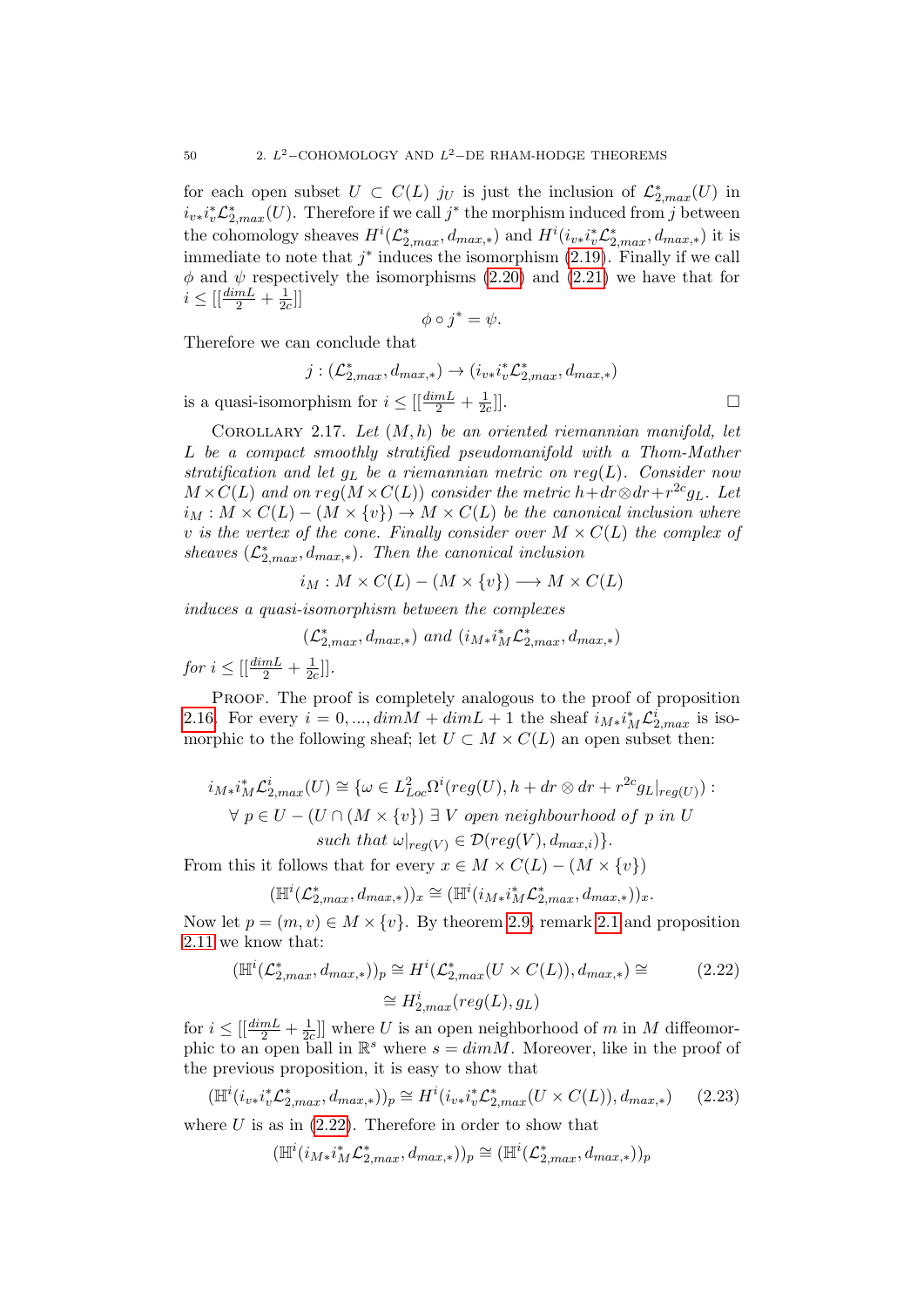for each open subset  $U \subset C(L)$  just the inclusion of  $\mathcal{L}_{2,max}^*(U)$  in  $i_{v*}i_v^*\mathcal{L}_{2,max}^*(U)$ . Therefore if we call  $j^*$  the morphism induced from  $j$  between the cohomology sheaves  $H^i(\mathcal{L}_{2,max}^*,d_{max,*})$  and  $H^i(i_{v*}i_v^*\mathcal{L}_{2,max}^*,d_{max,*})$  it is immediate to note that  $j^*$  induces the isomorphism  $(2.19)$ . Finally if we call  $\phi$  and  $\psi$  respectively the isomorphisms [\(2.20\)](#page-48-1) and [\(2.21\)](#page-48-2) we have that for  $i \leq [\frac{dim L}{2} + \frac{1}{2d}]$  $\frac{1}{2c}$ ]

$$
\phi \circ j^* = \psi.
$$

Therefore we can conclude that

$$
j: (\mathcal{L}_{2,max}^*, d_{max,*}) \to (i_{v*}i_v^*\mathcal{L}_{2,max}^*, d_{max,*})
$$
  
orphism for  $i \leq [\frac{dimL}{2} + \frac{1}{2c}]]$ .

is a quasi-isomorphism for  $i \leq \left[\frac{dimL}{2} + \frac{1}{2a}\right]$  $\overline{2c}$ 

<span id="page-49-1"></span>COROLLARY 2.17. Let  $(M, h)$  be an oriented riemannian manifold, let L be a compact smoothly stratified pseudomanifold with a Thom-Mather stratification and let  $g_L$  be a riemannian metric on reg( $L$ ). Consider now  $M \times C(L)$  and on  $reg(M \times C(L))$  consider the metric  $h + dr \otimes dr + r^{2c}g_L$ . Let  $i_M : M \times C(L) - (M \times \{v\}) \rightarrow M \times C(L)$  be the canonical inclusion where v is the vertex of the cone. Finally consider over  $M \times C(L)$  the complex of sheaves  $(\mathcal{L}_{2,max}^*, d_{max,*})$ . Then the canonical inclusion

$$
i_M: M \times C(L) - (M \times \{v\}) \longrightarrow M \times C(L)
$$

induces a quasi-isomorphism between the complexes

$$
(\mathcal{L}^*_{2, max}, d_{max,*}) \ and \ (i_{M*}i_M^*\mathcal{L}^*_{2, max}, d_{max,*})
$$

for  $i \leq \left[\left(\frac{dim L}{2} + \frac{1}{2e}\right)\right]$  $\frac{1}{2c}$ ].

PROOF. The proof is completely analogous to the proof of proposition [2.16.](#page-47-0) For every  $i = 0, ..., dimM + dimL + 1$  the sheaf  $i_{M*}i_M^*\mathcal{L}_{2,max}^i$  is isomorphic to the following sheaf; let  $U \subset M \times C(L)$  an open subset then:

$$
i_{M*}i_M^* \mathcal{L}_{2,max}^i(U) \cong \{ \omega \in L_{Loc}^2 \Omega^i (reg(U), h + dr \otimes dr + r^{2c} g_L|_{reg(U)}) : \forall p \in U - (U \cap (M \times \{v\}) \exists V \text{ open neighbourhood of } p \text{ in } U
$$
  
such that  $\omega|_{reg(V)} \in \mathcal{D}(reg(V), d_{max,i}) \}.$ 

From this it follows that for every  $x \in M \times C(L) - (M \times \{v\})$ 

$$
(\mathbb{H}^i(\mathcal{L}_{2,max}^*,d_{max,*}))_x \cong (\mathbb{H}^i(i_{M*}i_M^*\mathcal{L}_{2,max}^*,d_{max,*}))_x.
$$

Now let  $p = (m, v) \in M \times \{v\}$ . By theorem [2.9,](#page-41-0) remark [2.1](#page-44-0) and proposition [2.11](#page-44-1) we know that:

<span id="page-49-0"></span>
$$
(\mathbb{H}^i(\mathcal{L}_{2,max}^*, d_{max,*}))_p \cong H^i(\mathcal{L}_{2,max}^*(U \times C(L)), d_{max,*}) \cong
$$
  

$$
\cong H_{2,max}^i(reg(L), g_L)
$$
 (2.22)

for  $i \leq \left[\left(\frac{dim L}{2} + \frac{1}{2}\right)\right]$  $\frac{1}{2c}$ ] where U is an open neighborhood of m in M diffeomorphic to an open ball in  $\mathbb{R}^s$  where  $s = dim M$ . Moreover, like in the proof of the previous proposition, it is easy to show that

$$
(\mathbb{H}^i(i_{v*}i_v^*\mathcal{L}_{2,max}^*,d_{max,*}))_p \cong H^i(i_{v*}i_v^*\mathcal{L}_{2,max}^*(U \times C(L)),d_{max,*})
$$
 (2.23)

where  $U$  is as in  $(2.22)$ . Therefore in order to show that

$$
(\mathbb{H}^i(i_{M*}i_M^*\mathcal{L}_{2,max}^*,d_{max,*}))_p\cong (\mathbb{H}^i(\mathcal{L}_{2,max}^*,d_{max,*}))_p
$$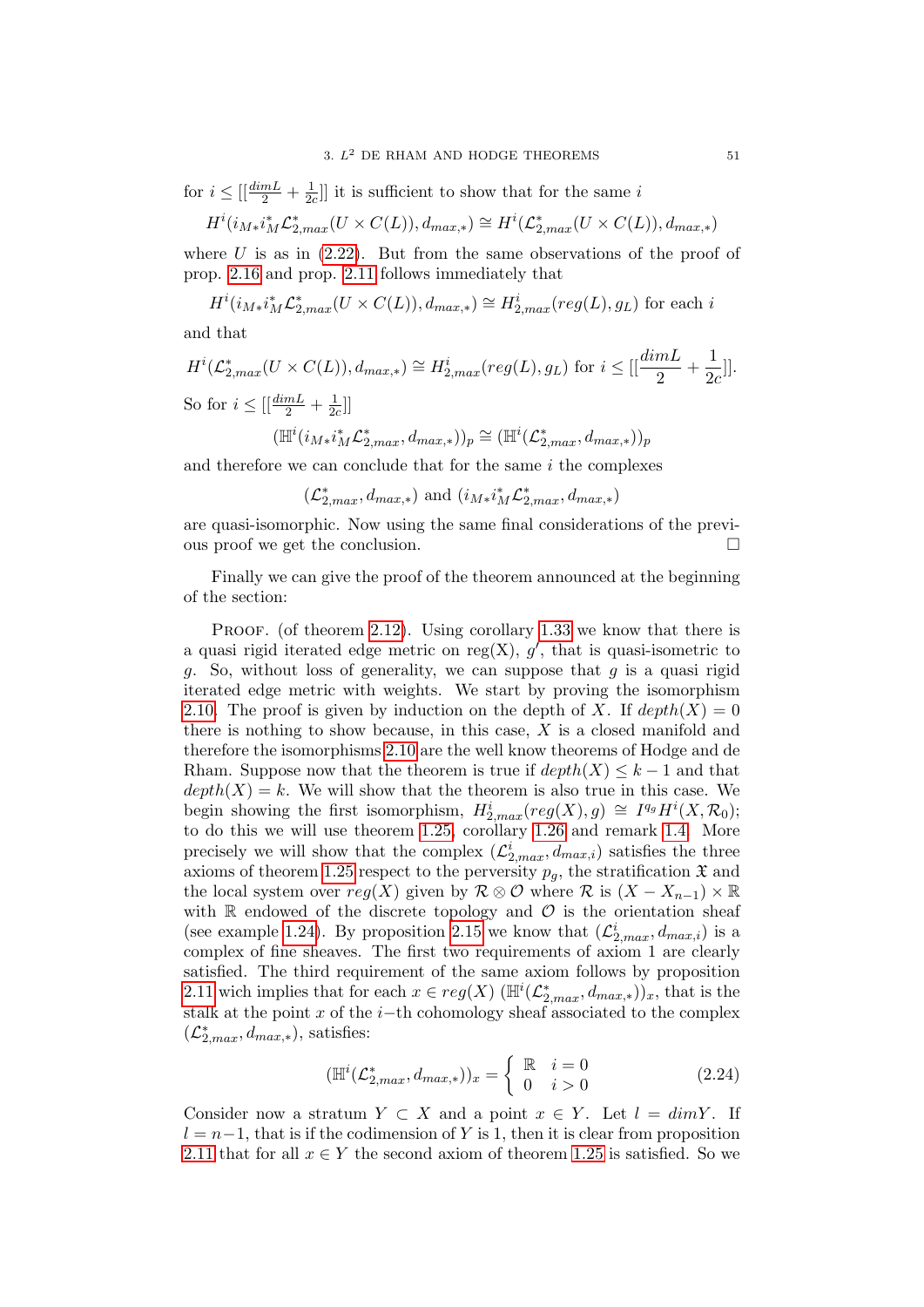for  $i \leq \left[\left(\frac{dim L}{2} + \frac{1}{2e}\right)\right]$  $\frac{1}{2c}$ ] it is sufficient to show that for the same i

$$
H^i(i_{M*}i_M^* \mathcal{L}_{2,max}^*(U \times C(L)), d_{max,*}) \cong H^i(\mathcal{L}_{2,max}^*(U \times C(L)), d_{max,*})
$$

where  $U$  is as in  $(2.22)$ . But from the same observations of the proof of prop. [2.16](#page-47-0) and prop. [2.11](#page-44-1) follows immediately that

$$
H^i(i_{M*}i_M^* \mathcal{L}_{2,max}^*(U \times C(L)), d_{max,*}) \cong H^i_{2,max}(reg(L), g_L)
$$
 for each  $i$ 

and that

$$
H^{i}(\mathcal{L}_{2,max}^{*}(U \times C(L)), d_{max,*}) \cong H_{2,max}^{i}(reg(L), g_{L}) \text{ for } i \leq [[\frac{dimL}{2} + \frac{1}{2c}]].
$$
  
So for  $i \leq [[\frac{dimL}{2} + \frac{1}{2c}]]$   

$$
(\mathbb{H}^{i}(i_{M*}i_{M}^{*}\mathcal{L}_{2,max}^{*}, d_{max,*}))_{p} \cong (\mathbb{H}^{i}(\mathcal{L}_{2,max}^{*}, d_{max,*}))_{p}
$$

and therefore we can conclude that for the same  $i$  the complexes

 $(\mathcal{L}_{2,max}^*, d_{max,*})$  and  $(i_{M*}i_M^*\mathcal{L}_{2,max}^*, d_{max,*})$ 

are quasi-isomorphic. Now using the same final considerations of the previous proof we get the conclusion.

Finally we can give the proof of the theorem announced at the beginning of the section:

PROOF. (of theorem [2.12\)](#page-45-0). Using corollary [1.33](#page-32-1) we know that there is a quasi rigid iterated edge metric on reg $(X)$ ,  $g'$ , that is quasi-isometric to g. So, without loss of generality, we can suppose that  $g$  is a quasi rigid iterated edge metric with weights. We start by proving the isomorphism [2.10.](#page-45-1) The proof is given by induction on the depth of X. If  $depth(X) = 0$ there is nothing to show because, in this case,  $X$  is a closed manifold and therefore the isomorphisms [2.10](#page-45-1) are the well know theorems of Hodge and de Rham. Suppose now that the theorem is true if  $depth(X) \leq k-1$  and that  $depth(X) = k$ . We will show that the theorem is also true in this case. We begin showing the first isomorphism,  $H_{2,max}^i(\text{reg}(X), g) \cong I^{q_g}H^i(X, \mathcal{R}_0);$ to do this we will use theorem [1.25,](#page-26-0) corollary [1.26](#page-26-1) and remark [1.4.](#page-27-0) More precisely we will show that the complex  $(\mathcal{L}_{2,max}^i, d_{max,i})$  satisfies the three axioms of theorem [1.25](#page-26-0) respect to the perversity  $p_q$ , the stratification  $\mathfrak X$  and the local system over  $reg(X)$  given by  $\mathcal{R} \otimes \mathcal{O}$  where  $\mathcal{R}$  is  $(X - X_{n-1}) \times \mathbb{R}$ with  $\mathbb R$  endowed of the discrete topology and  $\mathcal O$  is the orientation sheaf (see example [1.24\)](#page-25-0). By proposition [2.15](#page-46-1) we know that  $(\mathcal{L}_{2,max}^i, d_{max,i})$  is a complex of fine sheaves. The first two requirements of axiom 1 are clearly satisfied. The third requirement of the same axiom follows by proposition [2.11](#page-44-1) wich implies that for each  $x \in reg(X)$  ( $\mathbb{H}^i(\mathcal{L}_{2,max}^*, d_{max,*})$ )<sub>x</sub>, that is the stalk at the point x of the  $i$ −th cohomology sheaf associated to the complex  $(\mathcal{L}_{2,max}^*, d_{max,*}),$  satisfies:

$$
(\mathbb{H}^i(\mathcal{L}_{2,max}^*, d_{max,*}))_x = \begin{cases} \mathbb{R} & i = 0 \\ 0 & i > 0 \end{cases} \tag{2.24}
$$

Consider now a stratum  $Y \subset X$  and a point  $x \in Y$ . Let  $l = dimY$ . If  $l = n-1$ , that is if the codimension of Y is 1, then it is clear from proposition [2.11](#page-44-1) that for all  $x \in Y$  the second axiom of theorem [1.25](#page-26-0) is satisfied. So we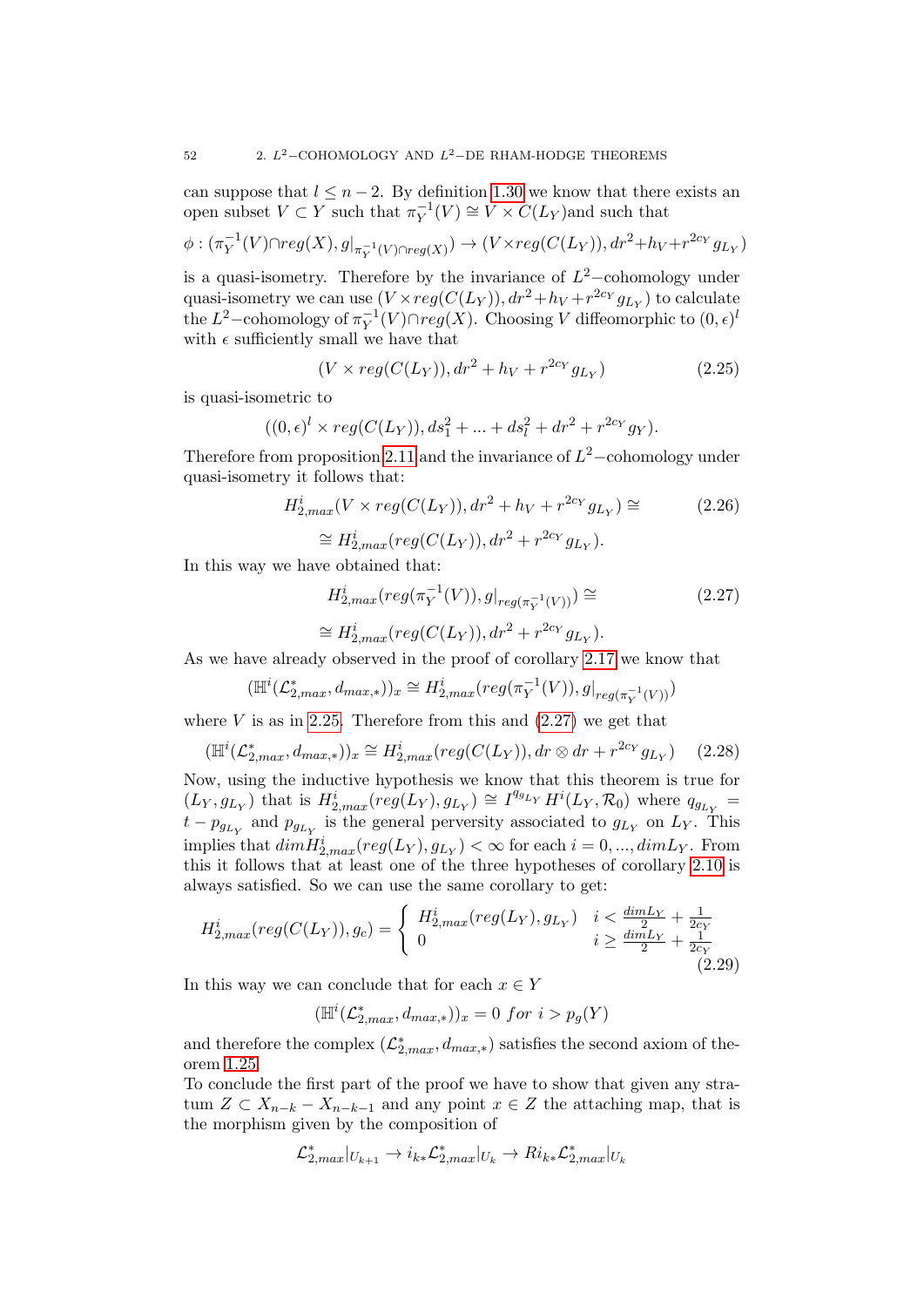can suppose that  $l \leq n-2$ . By definition [1.30](#page-30-0) we know that there exists an open subset  $V \subset Y$  such that  $\pi_Y^{-1}$  $Y_Y^{-1}(V) \cong V \times C(L_Y)$  and such that

$$
\phi: (\pi_Y^{-1}(V) \cap reg(X), g|_{\pi_Y^{-1}(V) \cap reg(X)}) \to (V \times reg(C(L_Y)), dr^2 + h_V + r^{2c_Y} g_{L_Y})
$$

is a quasi-isometry. Therefore by the invariance of  $L^2$ -cohomology under quasi-isometry we can use  $(V \times reg(C(L_Y)), dr^2 + h_V + r^{2c_Y} g_{L_Y})$  to calculate the  $L^2$ -cohomology of  $\pi_Y^{-1}$  $\overline{Y}^{-1}(V) \cap reg(X)$ . Choosing V diffeomorphic to  $(0, \epsilon)^{l}$ with  $\epsilon$  sufficiently small we have that

<span id="page-51-0"></span>
$$
(V \times reg(C(L_Y)), dr^2 + h_V + r^{2c_Y} g_{L_Y})
$$
\n(2.25)

is quasi-isometric to

$$
((0, \epsilon)^l \times reg(C(L_Y)), ds_1^2 + ... + ds_l^2 + dr^2 + r^{2c_Y} g_Y).
$$

Therefore from proposition [2.11](#page-44-1) and the invariance of  $L^2$  –cohomology under quasi-isometry it follows that:

$$
H_{2,max}^{i}(V \times reg(C(L_{Y})), dr^{2} + h_{V} + r^{2c_{Y}} g_{L_{Y}}) \cong
$$
 (2.26)

$$
\cong H^i_{2,max}(reg(C(L_Y)), dr^2 + r^{2c_Y} g_{L_Y}).
$$

In this way we have obtained that:

<span id="page-51-1"></span>
$$
H_{2,max}^{i}(reg(\pi_Y^{-1}(V)), g|_{reg(\pi_Y^{-1}(V))}) \cong
$$
\n
$$
\cong H_{2,max}^{i}(reg(C(L_Y)), dr^2 + r^{2c_Y} g_{L_Y}).
$$
\n(2.27)

As we have already observed in the proof of corollary [2.17](#page-49-1) we know that

$$
(\mathbb{H}^i(\mathcal{L}_{2,max}^*, d_{max,*}))_x \cong H_{2,max}^i(\text{reg}(\pi_Y^{-1}(V)), g|_{\text{reg}(\pi_Y^{-1}(V))})
$$

where  $V$  is as in [2.25.](#page-51-0) Therefore from this and  $(2.27)$  we get that

$$
(\mathbb{H}^i(\mathcal{L}_{2,max}^*, d_{max,*}))_x \cong H_{2,max}^i(\text{reg}(C(L_Y)), dr \otimes dr + r^{2c_Y} g_{L_Y}) \quad (2.28)
$$

Now, using the inductive hypothesis we know that this theorem is true for  $(L_Y, g_{L_Y})$  that is  $H_{2,max}^i (reg(L_Y), g_{L_Y}) \cong I^{q_{g_{L_Y}}} H^i(L_Y, \mathcal{R}_0)$  where  $q_{g_{L_Y}} =$  $t - p_{g_{L_Y}}$  and  $p_{g_{L_Y}}$  is the general perversity associated to  $g_{L_Y}$  on  $L_Y$ . This implies that  $dim \overline{H}^i_{2,max}(reg(L_Y), g_{L_Y}) < \infty$  for each  $i = 0, ..., dim L_Y$ . From this it follows that at least one of the three hypotheses of corollary [2.10](#page-43-0) is always satisfied. So we can use the same corollary to get:

$$
H_{2,max}^{i}(reg(C(L_Y)), g_c) = \begin{cases} H_{2,max}^{i}(reg(L_Y), g_{L_Y}) & i < \frac{\dim L_Y}{2} + \frac{1}{2c_Y} \\ 0 & i \ge \frac{\dim L_Y}{2} + \frac{1}{2c_Y} \end{cases} \tag{2.29}
$$

In this way we can conclude that for each  $x \in Y$ 

$$
(\mathbb{H}^i(\mathcal{L}_{2,max}^*,d_{max,*}))_x=0 \ for \ i > p_g(Y)
$$

and therefore the complex  $(\mathcal{L}_{2,max}^*, d_{max,*})$  satisfies the second axiom of theorem [1.25.](#page-26-0)

To conclude the first part of the proof we have to show that given any stratum  $Z \subset X_{n-k} - X_{n-k-1}$  and any point  $x \in Z$  the attaching map, that is the morphism given by the composition of

$$
\mathcal{L}_{2,max}^*|_{U_{k+1}} \to i_{k*} \mathcal{L}_{2,max}^*|_{U_k} \to Ri_{k*} \mathcal{L}_{2,max}^*|_{U_k}
$$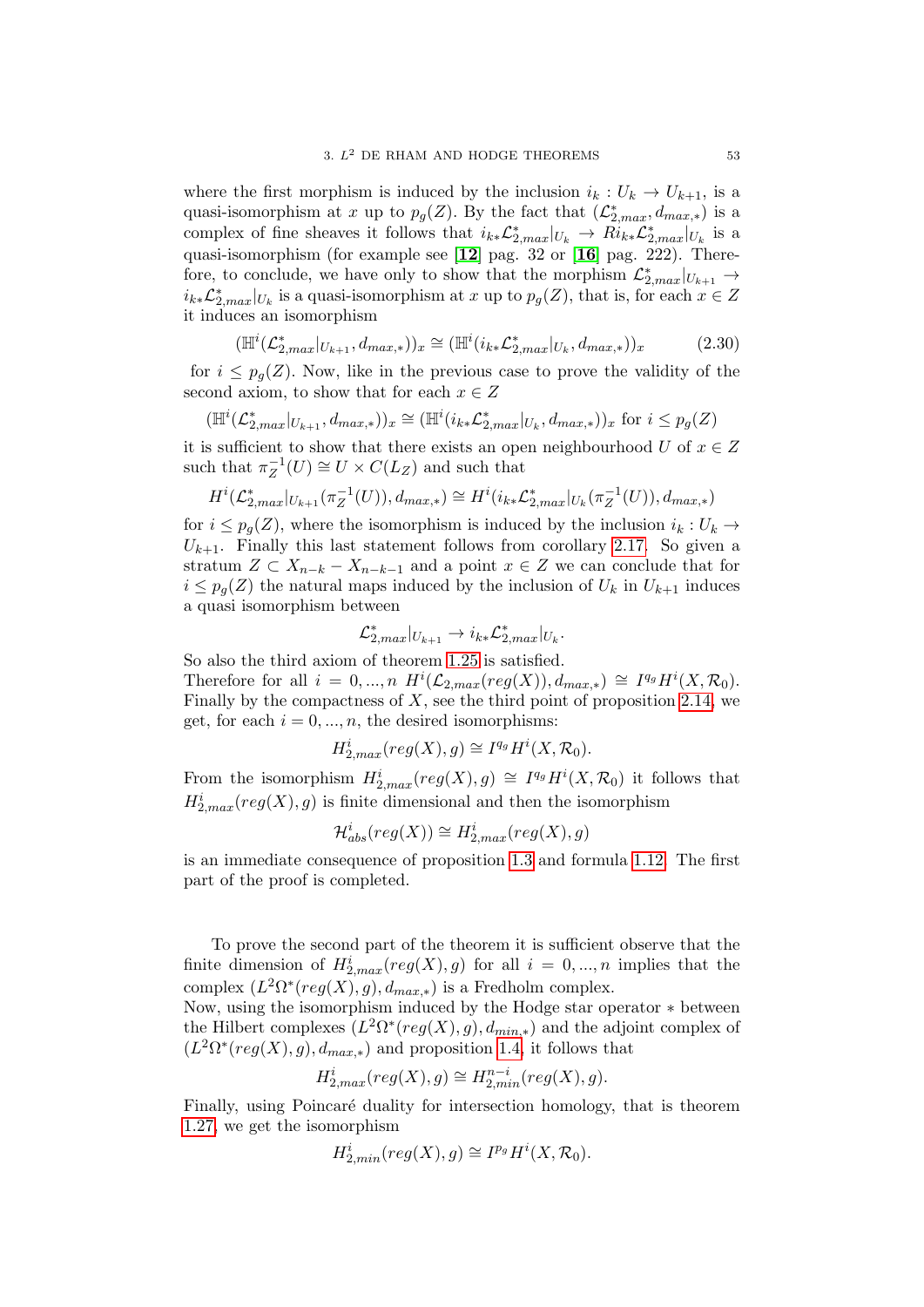where the first morphism is induced by the inclusion  $i_k : U_k \to U_{k+1}$ , is a quasi-isomorphism at x up to  $p_g(Z)$ . By the fact that  $(\mathcal{L}_{2,max}^*, d_{max,*})$  is a complex of fine sheaves it follows that  $i_{k*} \mathcal{L}_{2,max}^* |_{U_k} \to Ri_{k*} \mathcal{L}_{2,max}^* |_{U_k}$  is a quasi-isomorphism (for example see [[12](#page-136-1)] pag. 32 or [[16](#page-136-2)] pag. 222). Therefore, to conclude, we have only to show that the morphism  $\mathcal{L}_{2,max}^*|_{U_{k+1}} \to$  $i_{k*} \mathcal{L}_{2,max}^* |_{U_k}$  is a quasi-isomorphism at x up to  $p_g(Z)$ , that is, for each  $x \in Z$ it induces an isomorphism

$$
(\mathbb{H}^{i}(\mathcal{L}_{2,max}^{*}|_{U_{k+1}}, d_{max,*}))_{x} \cong (\mathbb{H}^{i}(i_{k*}\mathcal{L}_{2,max}^{*}|_{U_{k}}, d_{max,*}))_{x}
$$
(2.30)

for  $i \leq p_q(Z)$ . Now, like in the previous case to prove the validity of the second axiom, to show that for each  $x \in Z$ 

$$
(\mathbb{H}^i(\mathcal{L}^*_{2, max}|_{U_{k+1}}, d_{max,*}))_x \cong (\mathbb{H}^i(i_{k*}\mathcal{L}^*_{2, max}|_{U_k}, d_{max,*}))_x \text{ for } i \leq p_g(Z)
$$

it is sufficient to show that there exists an open neighbourhood U of  $x \in Z$ such that  $\pi_Z^{-1}$  $Z_Z^{-1}(U) \cong U \times C(L_Z)$  and such that

$$
H^{i}(\mathcal{L}_{2,max}^{*}|_{U_{k+1}}(\pi_{Z}^{-1}(U)), d_{max,*}) \cong H^{i}(i_{k*}\mathcal{L}_{2,max}^{*}|_{U_{k}}(\pi_{Z}^{-1}(U)), d_{max,*})
$$

for  $i \leq p_g(Z)$ , where the isomorphism is induced by the inclusion  $i_k : U_k \to$  $U_{k+1}$ . Finally this last statement follows from corollary [2.17.](#page-49-1) So given a stratum  $Z \subset X_{n-k} - X_{n-k-1}$  and a point  $x \in Z$  we can conclude that for  $i \leq p_q(Z)$  the natural maps induced by the inclusion of  $U_k$  in  $U_{k+1}$  induces a quasi isomorphism between

$$
\mathcal{L}_{2,max}^*|_{U_{k+1}} \to i_{k*} \mathcal{L}_{2,max}^*|_{U_k}.
$$

So also the third axiom of theorem [1.25](#page-26-0) is satisfied. Therefore for all  $i = 0, ..., n$   $H^{i}(\mathcal{L}_{2,max}(reg(X)), d_{max,*}) \cong I^{q_g}H^{i}(X, \mathcal{R}_0).$ Finally by the compactness of  $X$ , see the third point of proposition [2.14,](#page-46-0) we get, for each  $i = 0, ..., n$ , the desired isomorphisms:

$$
H^i_{2,max}(reg(X), g) \cong I^{q_g} H^i(X, \mathcal{R}_0).
$$

From the isomorphism  $H_{2,max}^i(\text{reg}(X), g) \cong I^{q_g}H^i(X, \mathcal{R}_0)$  it follows that  $H_{2,max}^{i}(reg(X), g)$  is finite dimensional and then the isomorphism

$$
\mathcal{H}^i_{abs}(reg(X)) \cong H^i_{2,max}(reg(X), g)
$$

is an immediate consequence of proposition [1.3](#page-17-0) and formula [1.12.](#page-19-0) The first part of the proof is completed.

To prove the second part of the theorem it is sufficient observe that the finite dimension of  $H_{2,max}^i (reg(X), g)$  for all  $i = 0, ..., n$  implies that the complex  $(L^2\Omega^*(reg(X), g), d_{max,*})$  is a Fredholm complex.

Now, using the isomorphism induced by the Hodge star operator ∗ between the Hilbert complexes  $(L^2\Omega^*(reg(X), g), d_{min,*})$  and the adjoint complex of  $(L^2\Omega^*(reg(X), g), d_{max,*})$  and proposition [1.4,](#page-17-1) it follows that

$$
H^i_{2,max}(reg(X),g) \cong H^{n-i}_{2,min}(reg(X),g).
$$

Finally, using Poincaré duality for intersection homology, that is theorem [1.27,](#page-27-1) we get the isomorphism

$$
H^i_{2, min}(reg(X), g) \cong I^{p_g} H^i(X, \mathcal{R}_0).
$$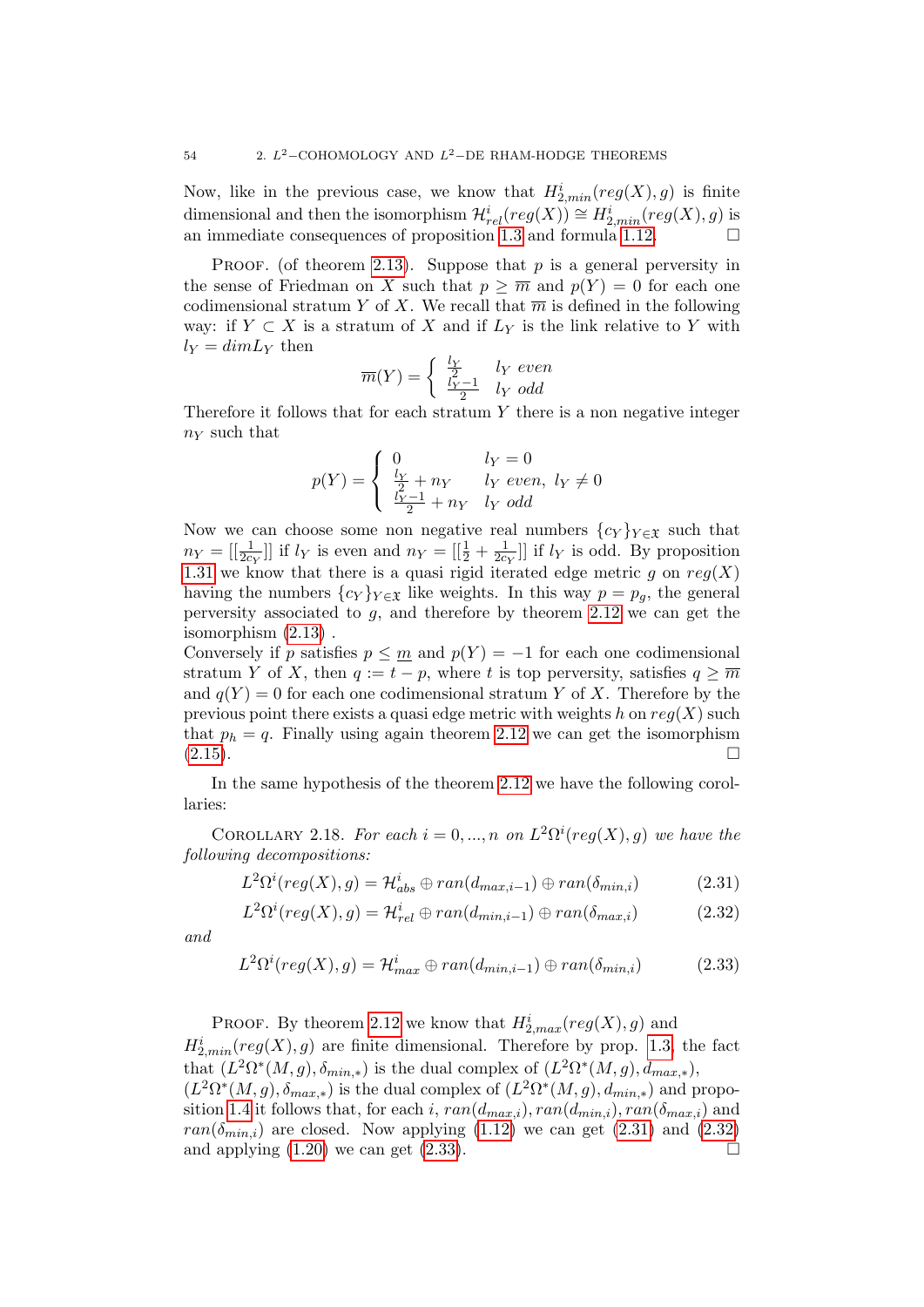Now, like in the previous case, we know that  $H^i_{2, min}(reg(X), g)$  is finite dimensional and then the isomorphism  $\mathcal{H}^i_{rel}(reg(X)) \cong H^i_{2, min}(reg(X), g)$  is an immediate consequences of proposition [1.3](#page-17-0) and formula [1.12.](#page-19-0)

PROOF. (of theorem [2.13\)](#page-45-2). Suppose that p is a general perversity in the sense of Friedman on X such that  $p \geq \overline{m}$  and  $p(Y) = 0$  for each one codimensional stratum Y of X. We recall that  $\overline{m}$  is defined in the following way: if  $Y \subset X$  is a stratum of X and if  $L_Y$  is the link relative to Y with  $l_Y = dimL_Y$  then

$$
\overline{m}(Y) = \begin{cases} \frac{l_Y}{2} & l_Y \ even \\ \frac{l_Y - 1}{2} & l_Y \ odd \end{cases}
$$

Therefore it follows that for each stratum  $Y$  there is a non negative integer  $n_Y$  such that

$$
p(Y) = \begin{cases} 0 & l_Y = 0\\ \frac{l_Y}{2} + n_Y & l_Y \text{ even, } l_Y \neq 0\\ \frac{l_Y - 1}{2} + n_Y & l_Y \text{ odd} \end{cases}
$$

Now we can choose some non negative real numbers  $\{c_Y\}_{Y \in \mathfrak{X}}$  such that  $n_Y = \left[\frac{1}{2c_Y}\right]$  if  $l_Y$  is even and  $n_Y = \left[\frac{1}{2} + \frac{1}{2c}\right]$  $\frac{1}{2c_Y}$ ] if  $l_Y$  is odd. By proposition [1.31](#page-30-1) we know that there is a quasi rigid iterated edge metric g on  $reg(X)$ having the numbers  ${c_Y}_{Y \in \mathfrak{X}}$  like weights. In this way  $p = p_q$ , the general perversity associated to  $g$ , and therefore by theorem [2.12](#page-45-0) we can get the isomorphism [\(2.13\)](#page-45-3) .

Conversely if p satisfies  $p \leq m$  and  $p(Y) = -1$  for each one codimensional stratum Y of X, then  $q := t - p$ , where t is top perversity, satisfies  $q \geq \overline{m}$ and  $q(Y) = 0$  for each one codimensional stratum Y of X. Therefore by the previous point there exists a quasi edge metric with weights h on  $reg(X)$  such that  $p_h = q$ . Finally using again theorem [2.12](#page-45-0) we can get the isomorphism  $(2.15).$  $(2.15).$ 

In the same hypothesis of the theorem [2.12](#page-45-0) we have the following corollaries:

COROLLARY 2.18. For each  $i = 0, ..., n$  on  $L^2\Omega^i(\text{reg}(X), g)$  we have the following decompositions:

<span id="page-53-0"></span>
$$
L^{2}\Omega^{i}(reg(X), g) = \mathcal{H}_{abs}^{i} \oplus ran(d_{max,i-1}) \oplus ran(\delta_{min,i})
$$
\n(2.31)

<span id="page-53-1"></span>
$$
L^{2}\Omega^{i}(reg(X), g) = \mathcal{H}_{rel}^{i} \oplus ran(d_{min,i-1}) \oplus ran(\delta_{max,i})
$$
 (2.32)

and

<span id="page-53-2"></span>
$$
L^{2}\Omega^{i}(reg(X), g) = \mathcal{H}^{i}_{max} \oplus ran(d_{min,i-1}) \oplus ran(\delta_{min,i})
$$
 (2.33)

PROOF. By theorem [2.12](#page-45-0) we know that  $H_{2,max}^i (reg(X), g)$  and  $H_{2,min}^i(\text{reg}(X), g)$  are finite dimensional. Therefore by prop. [1.3,](#page-17-0) the fact that  $(L^2\Omega^*(M,g), \delta_{min,*})$  is the dual complex of  $(L^2\Omega^*(M,g), d_{max,*}),$  $(L^2\Omega^*(M,g), \delta_{max,*})$  is the dual complex of  $(L^2\Omega^*(M,g), d_{min,*})$  and propo-sition [1.4](#page-17-1) it follows that, for each i,  $ran(d_{max,i}), ran(d_{min,i}), ran(\delta_{max,i})$  and  $ran(\delta_{min,i})$  are closed. Now applying [\(1.12\)](#page-19-0) we can get [\(2.31\)](#page-53-0) and [\(2.32\)](#page-53-1) and applying  $(1.20)$  we can get  $(2.33)$ .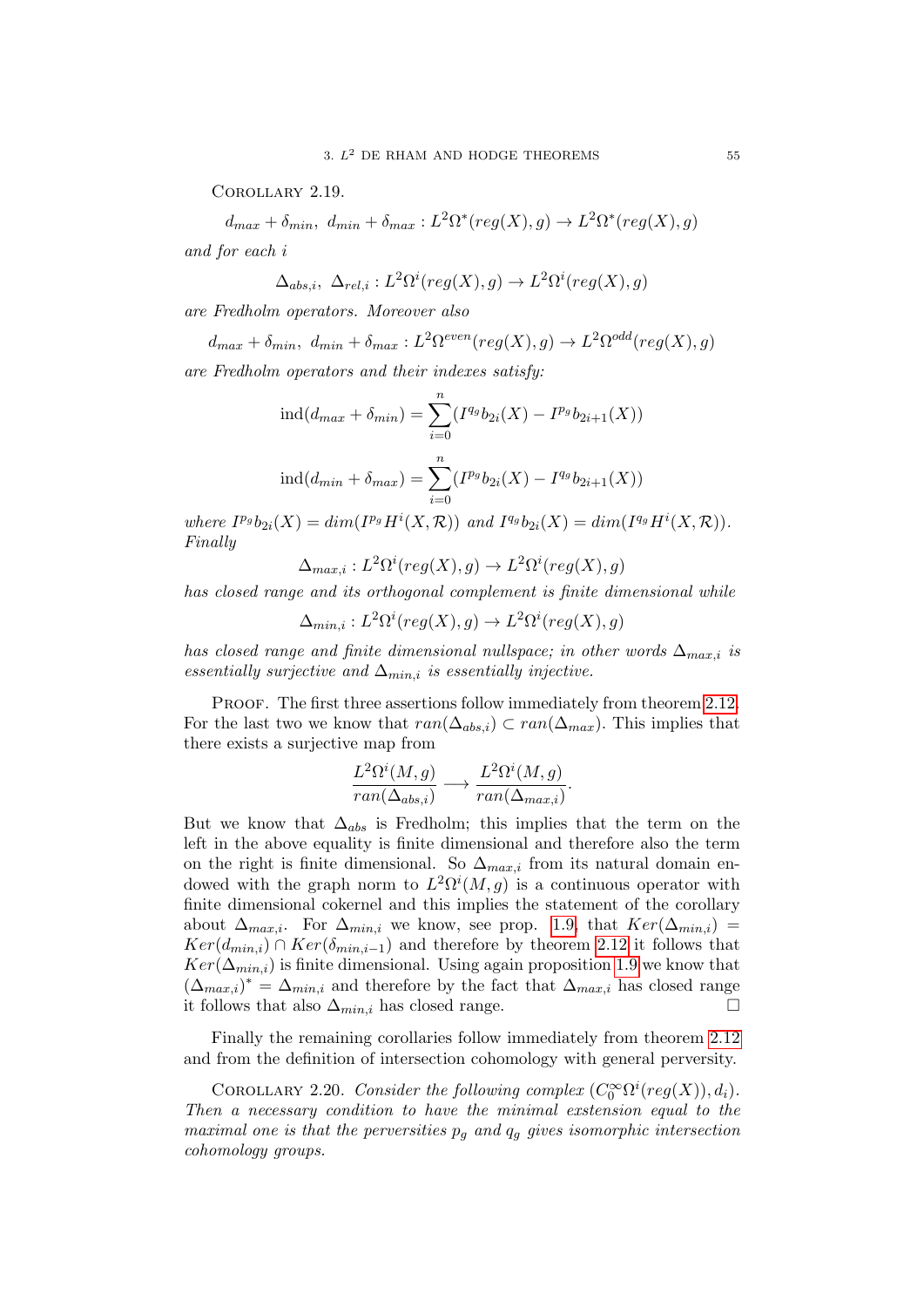Corollary 2.19.

 $d_{max} + \delta_{min}, d_{min} + \delta_{max}: L^2\Omega^*(reg(X), g) \rightarrow L^2\Omega^*(reg(X), g)$ and for each i

$$
\Delta_{abs,i}, \ \Delta_{rel,i}: L^2\Omega^i (reg(X),g) \to L^2\Omega^i (reg(X),g)
$$

are Fredholm operators. Moreover also

 $d_{max} + \delta_{min}, d_{min} + \delta_{max}: L^2\Omega^{even}(reg(X), g) \rightarrow L^2\Omega^{odd}(reg(X), g)$ 

are Fredholm operators and their indexes satisfy:

$$
ind(d_{max} + \delta_{min}) = \sum_{i=0}^{n} (I^{q_g} b_{2i}(X) - I^{p_g} b_{2i+1}(X))
$$

$$
ind(d_{min} + \delta_{max}) = \sum_{i=0}^{n} (I^{p_g} b_{2i}(X) - I^{q_g} b_{2i+1}(X))
$$

where  $I^{p_g}b_{2i}(X) = dim(I^{p_g}H^i(X, \mathcal{R}))$  and  $I^{q_g}b_{2i}(X) = dim(I^{q_g}H^i(X, \mathcal{R})).$ Finally

 $\Delta_{max,i}: L^2\Omega^i (reg(X),g) \to L^2\Omega^i (reg(X),g)$ 

has closed range and its orthogonal complement is finite dimensional while

 $\Delta_{min,i}: L^2\Omega^i(\text{reg}(X),g) \to L^2\Omega^i(\text{reg}(X),g)$ 

has closed range and finite dimensional nullspace; in other words  $\Delta_{max,i}$  is essentially surjective and  $\Delta_{min,i}$  is essentially injective.

PROOF. The first three assertions follow immediately from theorem [2.12.](#page-45-0) For the last two we know that  $ran(\Delta_{abs,i}) \subset ran(\Delta_{max})$ . This implies that there exists a surjective map from

$$
\frac{L^2\Omega^i(M,g)}{ran(\Delta_{abs,i})} \longrightarrow \frac{L^2\Omega^i(M,g)}{ran(\Delta_{max,i})}.
$$

But we know that  $\Delta_{abs}$  is Fredholm; this implies that the term on the left in the above equality is finite dimensional and therefore also the term on the right is finite dimensional. So  $\Delta_{max,i}$  from its natural domain endowed with the graph norm to  $L^2\Omega^i(M,g)$  is a continuous operator with finite dimensional cokernel and this implies the statement of the corollary about  $\Delta_{max,i}$ . For  $\Delta_{min,i}$  we know, see prop. [1.9,](#page-19-1) that  $Ker(\Delta_{min,i})$  $Ker(d_{min,i}) \cap Ker(\delta_{min,i-1})$  and therefore by theorem [2.12](#page-45-0) it follows that  $Ker(\Delta_{min,i})$  is finite dimensional. Using again proposition [1.9](#page-19-1) we know that  $(\Delta_{max,i})^* = \Delta_{min,i}$  and therefore by the fact that  $\Delta_{max,i}$  has closed range it follows that also  $\Delta_{min,i}$  has closed range.

Finally the remaining corollaries follow immediately from theorem [2.12](#page-45-0) and from the definition of intersection cohomology with general perversity.

COROLLARY 2.20. Consider the following complex  $(C_0^{\infty} \Omega^{i}(reg(X)), d_i)$ . Then a necessary condition to have the minimal exstension equal to the maximal one is that the perversities  $p_g$  and  $q_g$  gives isomorphic intersection cohomology groups.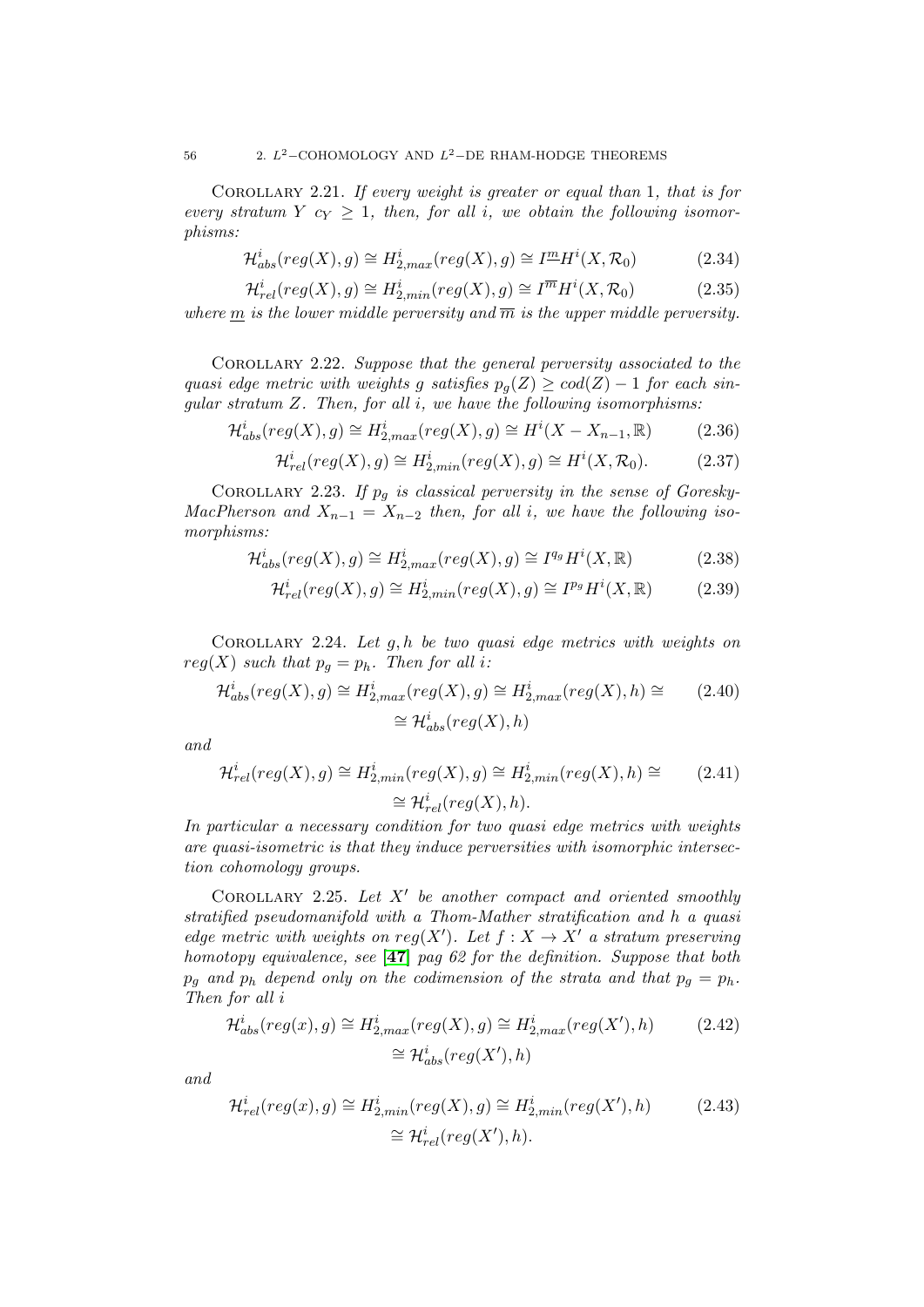COROLLARY 2.21. If every weight is greater or equal than 1, that is for every stratum Y  $c_Y \geq 1$ , then, for all i, we obtain the following isomorphisms:

$$
\mathcal{H}_{abs}^i(\text{reg}(X), g) \cong H_{2,\text{max}}^i(\text{reg}(X), g) \cong I^{\underline{m}} H^i(X, \mathcal{R}_0)
$$
\n(2.34)

$$
\mathcal{H}^i_{rel}(reg(X), g) \cong H^i_{2, min}(reg(X), g) \cong I^{\overline{m}} H^i(X, \mathcal{R}_0)
$$
\n(2.35)

where m is the lower middle perversity and  $\overline{m}$  is the upper middle perversity.

COROLLARY 2.22. Suppose that the general perversity associated to the quasi edge metric with weights g satisfies  $p_q(Z) \geq \text{cod}(Z) - 1$  for each sinqular stratum  $Z$ . Then, for all  $i$ , we have the following isomorphisms:

$$
\mathcal{H}^i_{abs}(reg(X), g) \cong H^i_{2,max}(reg(X), g) \cong H^i(X - X_{n-1}, \mathbb{R})
$$
\n(2.36)

$$
\mathcal{H}^i_{rel}(reg(X), g) \cong H^i_{2, min}(reg(X), g) \cong H^i(X, \mathcal{R}_0). \tag{2.37}
$$

COROLLARY 2.23. If  $p<sub>g</sub>$  is classical perversity in the sense of Goresky-MacPherson and  $X_{n-1} = X_{n-2}$  then, for all i, we have the following isomorphisms:

$$
\mathcal{H}^i_{abs}(reg(X), g) \cong H^i_{2,max}(reg(X), g) \cong I^{q_g} H^i(X, \mathbb{R})
$$
\n(2.38)

$$
\mathcal{H}^i_{rel}(reg(X), g) \cong H^i_{2, min}(reg(X), g) \cong I^{p_g} H^i(X, \mathbb{R})
$$
\n(2.39)

COROLLARY 2.24. Let  $q, h$  be two quasi edge metrics with weights on  $reg(X)$  such that  $p_g = p_h$ . Then for all i:

$$
\mathcal{H}^i_{abs}(reg(X), g) \cong H^i_{2,max}(reg(X), g) \cong H^i_{2,max}(reg(X), h) \cong
$$
\n
$$
\cong \mathcal{H}^i_{abs}(reg(X), h)
$$
\n
$$
(2.40)
$$

and

$$
\mathcal{H}^i_{rel}(reg(X), g) \cong H^i_{2, min}(reg(X), g) \cong H^i_{2, min}(reg(X), h) \cong
$$
\n
$$
\cong \mathcal{H}^i_{rel}(reg(X), h).
$$
\n(2.41)

In particular a necessary condition for two quasi edge metrics with weights are quasi-isometric is that they induce perversities with isomorphic intersection cohomology groups.

COROLLARY 2.25. Let  $X'$  be another compact and oriented smoothly stratified pseudomanifold with a Thom-Mather stratification and h a quasi edge metric with weights on reg(X'). Let  $f : X \to X'$  a stratum preserving homotopy equivalence, see [[47](#page-137-0)] pag 62 for the definition. Suppose that both  $p_q$  and  $p_h$  depend only on the codimension of the strata and that  $p_q = p_h$ . Then for all i

$$
\mathcal{H}_{abs}^i(reg(x), g) \cong H_{2,max}^i(reg(X), g) \cong H_{2,max}^i(reg(X'), h)
$$
\n
$$
\cong \mathcal{H}_{abs}^i(reg(X'), h)
$$
\n(2.42)

and

$$
\mathcal{H}^i_{rel}(reg(x), g) \cong H^i_{2, min}(reg(X), g) \cong H^i_{2, min}(reg(X'), h)
$$
\n
$$
\cong \mathcal{H}^i_{rel}(reg(X'), h).
$$
\n(2.43)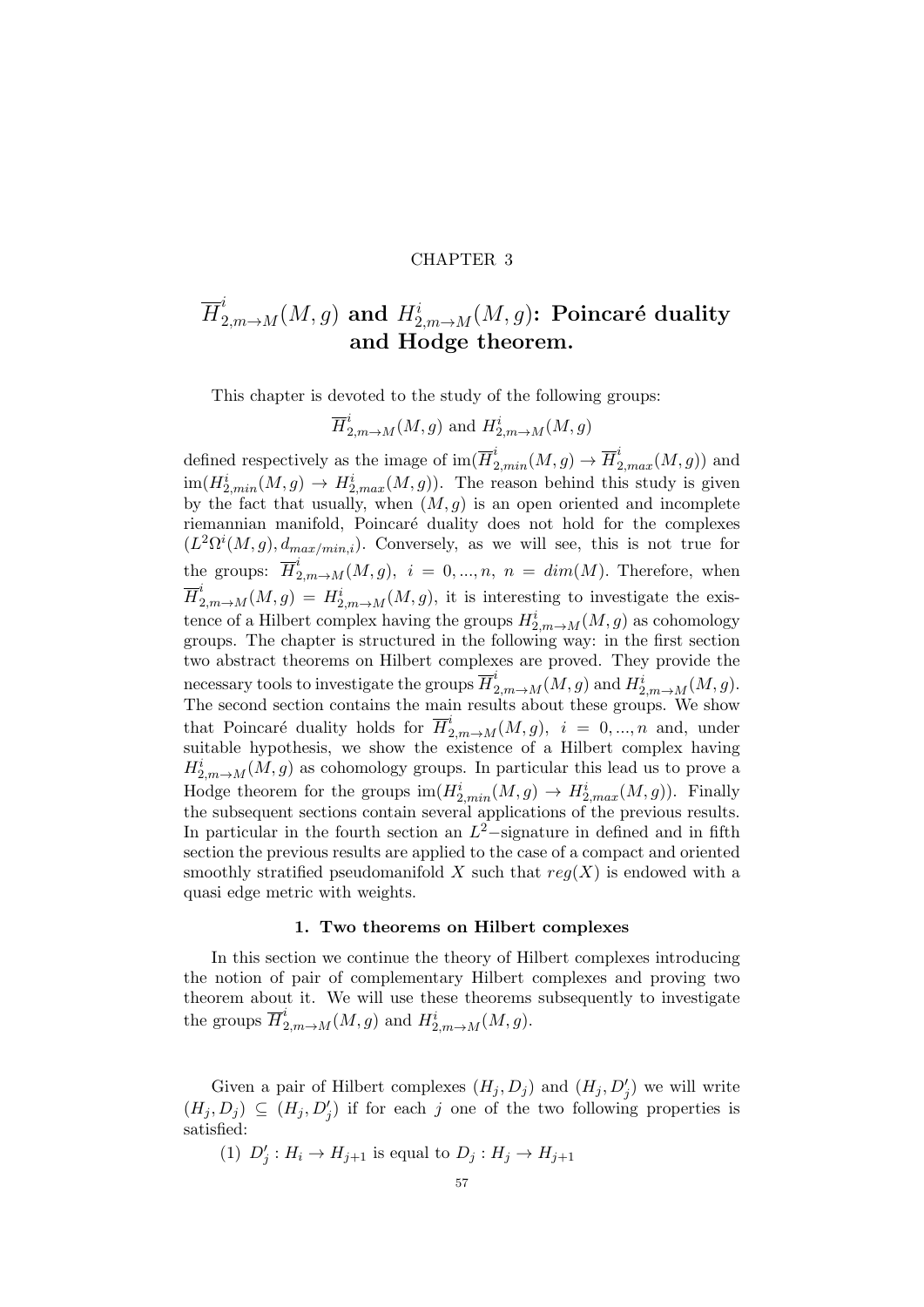### CHAPTER 3

# $\overline{H}^i_{2, m \to M}(M,g)$  and  $H^i_{2, m \to M}(M,g)$ : Poincaré duality and Hodge theorem.

This chapter is devoted to the study of the following groups:

$$
\overline{H}^i_{2,m\to M}(M,g) \text{ and } H^i_{2,m\to M}(M,g)
$$

defined respectively as the image of  $\text{im}(\overline{H}_{2,min}^i(M,g) \to \overline{H}_{2,max}^i(M,g))$  and  $\text{im}(H_{2,min}^i(M,g) \to H_{2,max}^i(M,g))$ . The reason behind this study is given by the fact that usually, when  $(M, g)$  is an open oriented and incomplete riemannian manifold, Poincaré duality does not hold for the complexes  $(L^2\Omega^i(M,g), d_{max/min,i})$ . Conversely, as we will see, this is not true for the groups:  $\overline{H}_{2,m\to M}^{i}(M,g), i = 0,...,n, n = dim(M)$ . Therefore, when  $\overline{H}^i_{2,m\to M}(M,g) = H^i_{2,m\to M}(M,g)$ , it is interesting to investigate the existence of a Hilbert complex having the groups  $H^i_{2,m\to M}(M,g)$  as cohomology groups. The chapter is structured in the following way: in the first section two abstract theorems on Hilbert complexes are proved. They provide the necessary tools to investigate the groups  $\overline{H}^i_{2,m\to M}(M,g)$  and  $H^i_{2,m\to M}(M,g)$ . The second section contains the main results about these groups. We show that Poincaré duality holds for  $\overline{H}^i_{2,m\to M}(M,g)$ ,  $i = 0, ..., n$  and, under suitable hypothesis, we show the existence of a Hilbert complex having  $H_{2,m\rightarrow M}^{i}(M,g)$  as cohomology groups. In particular this lead us to prove a Hodge theorem for the groups  $\text{im}(H_{2,min}^i(M,g) \to H_{2,max}^i(M,g))$ . Finally the subsequent sections contain several applications of the previous results. In particular in the fourth section an  $L^2$ -signature in defined and in fifth section the previous results are applied to the case of a compact and oriented smoothly stratified pseudomanifold X such that  $reg(X)$  is endowed with a quasi edge metric with weights.

### 1. Two theorems on Hilbert complexes

In this section we continue the theory of Hilbert complexes introducing the notion of pair of complementary Hilbert complexes and proving two theorem about it. We will use these theorems subsequently to investigate the groups  $\overline{H}_{2,m\to M}^i(M,g)$  and  $H_{2,m\to M}^i(M,g)$ .

Given a pair of Hilbert complexes  $(H_j, D_j)$  and  $(H_j, D'_j)$  we will write  $(H_j, D_j) \subseteq (H_j, D'_j)$  if for each j one of the two following properties is satisfied:

(1)  $D'_j: H_i \to H_{j+1}$  is equal to  $D_j: H_j \to H_{j+1}$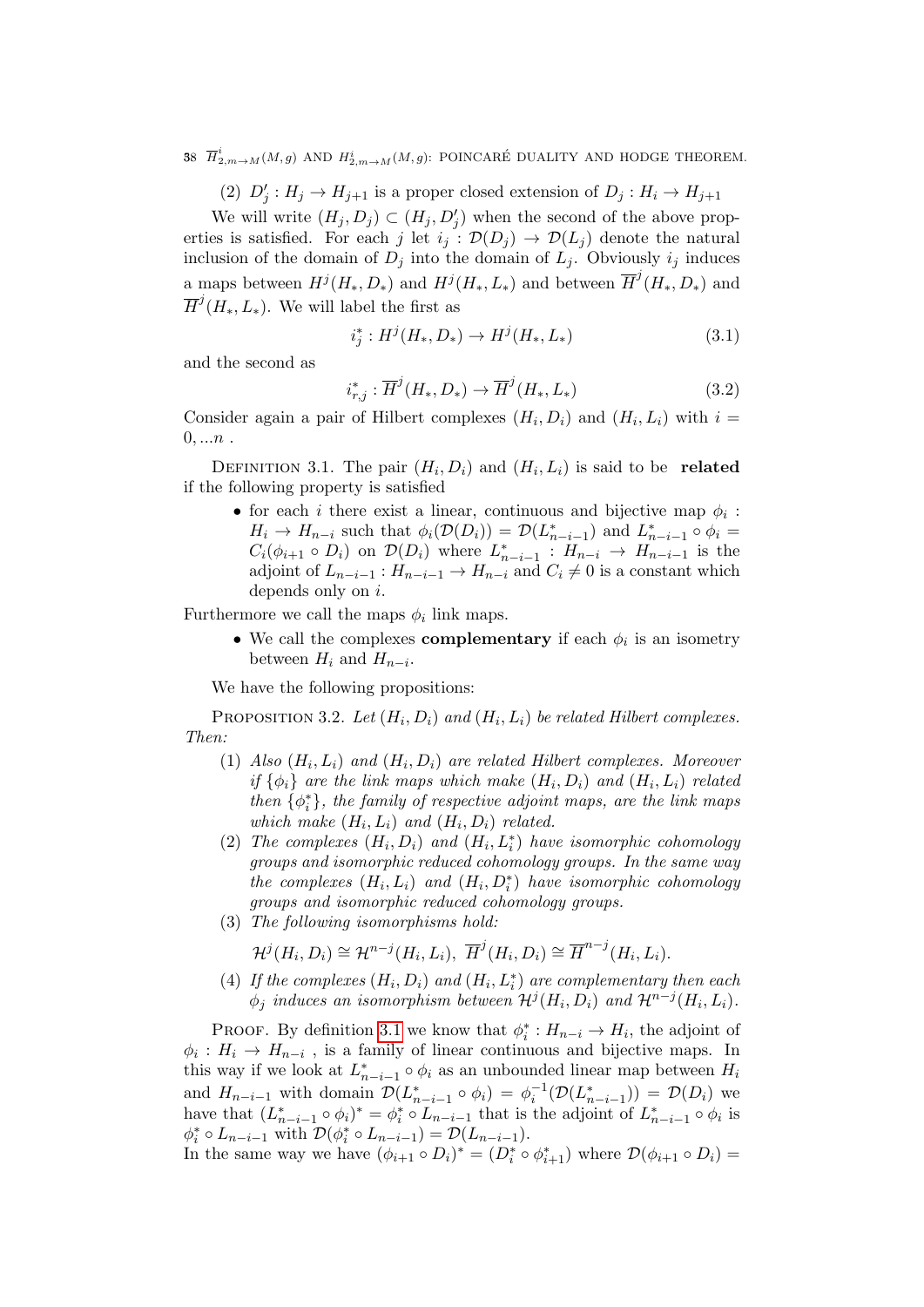38  $\overline{H}^i_{2,m \to M}(M,g)$  and  $H^i_{2,m \to M}(M,g)$ : POINCARÉ DUALITY AND HODGE THEOREM.

(2)  $D'_j: H_j \to H_{j+1}$  is a proper closed extension of  $D_j: H_i \to H_{j+1}$ 

We will write  $(H_j, D_j) \subset (H_j, D'_j)$  when the second of the above properties is satisfied. For each j let  $i_j : \mathcal{D}(D_j) \to \mathcal{D}(L_j)$  denote the natural inclusion of the domain of  $D_j$  into the domain of  $L_j$ . Obviously  $i_j$  induces a maps between  $H^j(H_*, D_*)$  and  $H^j(H_*, L_*)$  and between  $\overline{H}^j(H_*, D_*)$  and  $\overline{H}^j(H_*, L_*)$ . We will label the first as

$$
i_j^* : H^j(H_*, D_*) \to H^j(H_*, L_*)
$$
\n(3.1)

and the second as

<span id="page-57-1"></span>
$$
i_{r,j}^* : \overline{H}^j(H_*, D_*) \to \overline{H}^j(H_*, L_*)
$$
\n(3.2)

Consider again a pair of Hilbert complexes  $(H_i, D_i)$  and  $(H_i, L_i)$  with  $i =$  $0, ...n$ .

<span id="page-57-0"></span>DEFINITION 3.1. The pair  $(H_i, D_i)$  and  $(H_i, L_i)$  is said to be related if the following property is satisfied

• for each *i* there exist a linear, continuous and bijective map  $\phi_i$ :  $H_i \to H_{n-i}$  such that  $\phi_i(\mathcal{D}(D_i)) = \mathcal{D}(L_{n-i-1}^*)$  and  $L_{n-i-1}^* \circ \phi_i =$  $C_i(\phi_{i+1} \circ D_i)$  on  $\mathcal{D}(D_i)$  where  $L_{n-i-1}^* : H_{n-i} \to H_{n-i-1}$  is the adjoint of  $L_{n-i-1}: H_{n-i-1} \to H_{n-i}$  and  $C_i \neq 0$  is a constant which depends only on i.

Furthermore we call the maps  $\phi_i$  link maps.

• We call the complexes **complementary** if each  $\phi_i$  is an isometry between  $H_i$  and  $H_{n-i}$ .

We have the following propositions:

<span id="page-57-2"></span>PROPOSITION 3.2. Let  $(H_i, D_i)$  and  $(H_i, L_i)$  be related Hilbert complexes. Then:

- (1) Also  $(H_i, L_i)$  and  $(H_i, D_i)$  are related Hilbert complexes. Moreover if  $\{\phi_i\}$  are the link maps which make  $(H_i, D_i)$  and  $(H_i, L_i)$  related then  $\{\phi_i^*\}$ , the family of respective adjoint maps, are the link maps which make  $(H_i, L_i)$  and  $(H_i, D_i)$  related.
- (2) The complexes  $(H_i, D_i)$  and  $(H_i, L_i^*)$  have isomorphic cohomology groups and isomorphic reduced cohomology groups. In the same way the complexes  $(H_i, L_i)$  and  $(H_i, D_i^*)$  have isomorphic cohomology groups and isomorphic reduced cohomology groups.
- (3) The following isomorphisms hold:

 $\mathcal{H}^j(H_i, D_i) \cong \mathcal{H}^{n-j}(H_i, L_i), \ \overline{H}^j(H_i, D_i) \cong \overline{H}^{n-j}(H_i, L_i).$ 

(4) If the complexes  $(H_i, D_i)$  and  $(H_i, L_i^*)$  are complementary then each  $\phi_j$  induces an isomorphism between  $\mathcal{H}^j(H_i, D_i)$  and  $\mathcal{H}^{n-j}(H_i, L_i)$ .

PROOF. By definition [3.1](#page-57-0) we know that  $\phi_i^*: H_{n-i} \to H_i$ , the adjoint of  $\phi_i: H_i \to H_{n-i}$ , is a family of linear continuous and bijective maps. In this way if we look at  $L_{n-i-1}^* \circ \phi_i$  as an unbounded linear map between  $H_i$ and  $H_{n-i-1}$  with domain  $\mathcal{D}(L_{n-i-1}^* \circ \phi_i) = \phi_i^{-1}(\mathcal{D}(L_{n-i-1}^*)) = \mathcal{D}(D_i)$  we have that  $(L_{n-i-1}^* \circ \phi_i)^* = \phi_i^* \circ L_{n-i-1}$  that is the adjoint of  $L_{n-i-1}^* \circ \phi_i$  is  $\phi_i^* \circ L_{n-i-1}$  with  $\mathcal{D}(\phi_i^* \circ L_{n-i-1}) = \mathcal{D}(L_{n-i-1}).$ In the same way we have  $(\phi_{i+1} \circ D_i)^* = (D_i^* \circ \phi_{i+1}^*)$  where  $\mathcal{D}(\phi_{i+1} \circ D_i) =$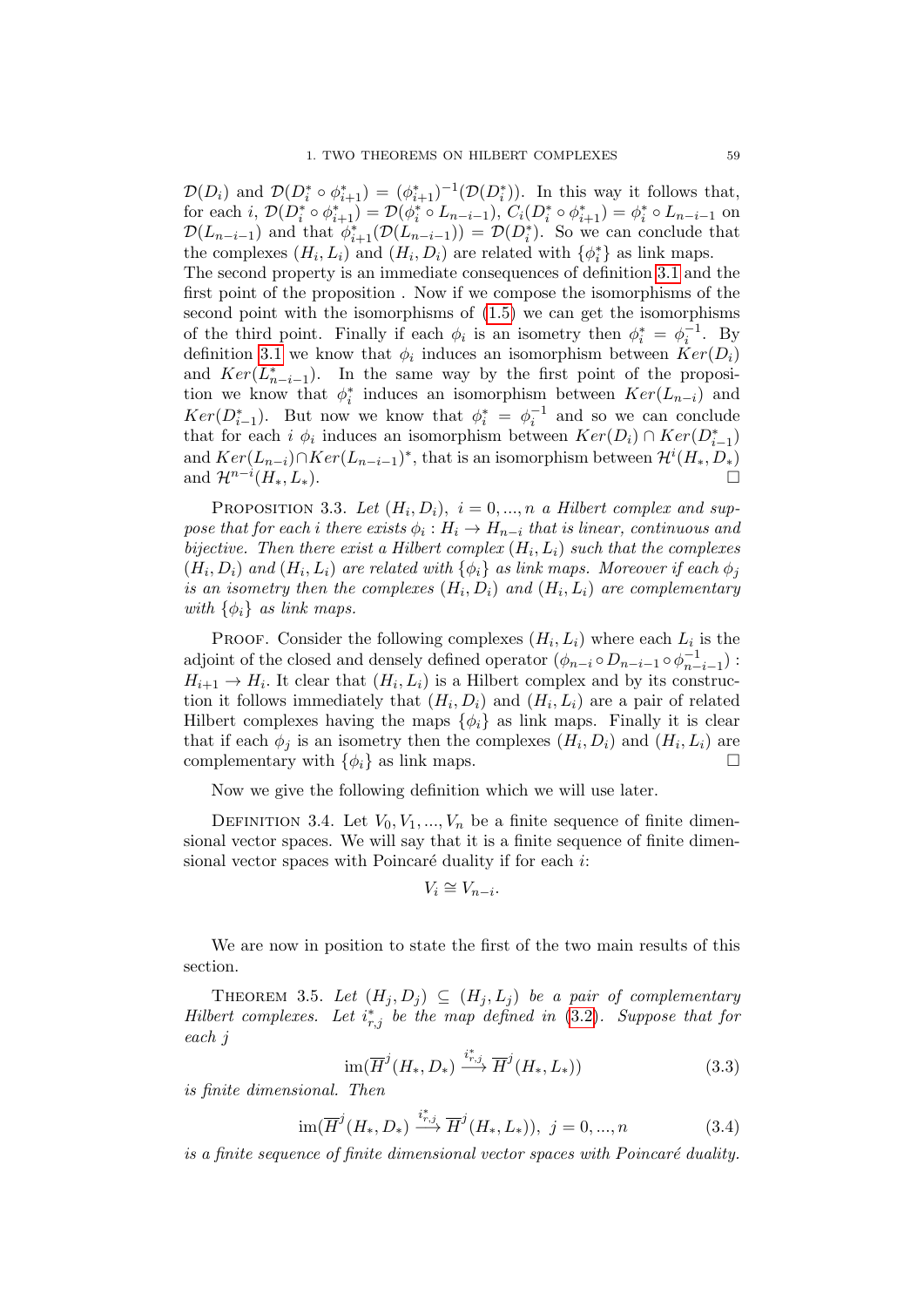$\mathcal{D}(D_i)$  and  $\mathcal{D}(D_i^* \circ \phi_{i+1}^*) = (\phi_{i+1}^*)^{-1}(\mathcal{D}(D_i^*))$ . In this way it follows that, for each  $i, \mathcal{D}(D_i^* \circ \phi_{i+1}^*) = \mathcal{D}(\phi_i^* \circ L_{n-i-1}), C_i(D_i^* \circ \phi_{i+1}^*) = \phi_i^* \circ L_{n-i-1}$  on  $\mathcal{D}(L_{n-i-1})$  and that  $\phi_{i+1}^*(\mathcal{D}(L_{n-i-1})) = \mathcal{D}(D_i^*)$ . So we can conclude that the complexes  $(H_i, L_i)$  and  $(H_i, D_i)$  are related with  $\{\phi_i^*\}$  as link maps. The second property is an immediate consequences of definition [3.1](#page-57-0) and the first point of the proposition . Now if we compose the isomorphisms of the second point with the isomorphisms of [\(1.5\)](#page-17-2) we can get the isomorphisms of the third point. Finally if each  $\phi_i$  is an isometry then  $\phi_i^* = \phi_i^{-1}$ . By definition [3.1](#page-57-0) we know that  $\phi_i$  induces an isomorphism between  $Ker(D_i)$ and  $Ker(L_{n-i-1}^*)$ . In the same way by the first point of the proposition we know that  $\phi_i^*$  induces an isomorphism between  $Ker(L_{n-i})$  and  $Ker(D_{i-1}^*)$ . But now we know that  $\phi_i^* = \phi_i^{-1}$  and so we can conclude that for each  $i \phi_i$  induces an isomorphism between  $Ker(D_i) \cap Ker(D_{i-1}^*)$ and  $Ker(L_{n-i}) \cap Ker(L_{n-i-1})^*$ , that is an isomorphism between  $\mathcal{H}^i(H_*, D_*)$ and  $\mathcal{H}^{n-i}(H_*,L_*)$ .

PROPOSITION 3.3. Let  $(H_i, D_i)$ ,  $i = 0, ..., n$  a Hilbert complex and suppose that for each i there exists  $\phi_i : H_i \to H_{n-i}$  that is linear, continuous and bijective. Then there exist a Hilbert complex  $(H_i, L_i)$  such that the complexes  $(H_i, D_i)$  and  $(H_i, L_i)$  are related with  $\{\phi_i\}$  as link maps. Moreover if each  $\phi_j$ is an isometry then the complexes  $(H_i, D_i)$  and  $(H_i, L_i)$  are complementary with  $\{\phi_i\}$  as link maps.

PROOF. Consider the following complexes  $(H_i, L_i)$  where each  $L_i$  is the adjoint of the closed and densely defined operator  $(\phi_{n-i} \circ D_{n-i-1} \circ \phi_{n-i-1}^{-1})$ :  $H_{i+1} \to H_i$ . It clear that  $(H_i, L_i)$  is a Hilbert complex and by its construction it follows immediately that  $(H_i, D_i)$  and  $(H_i, L_i)$  are a pair of related Hilbert complexes having the maps  $\{\phi_i\}$  as link maps. Finally it is clear that if each  $\phi_j$  is an isometry then the complexes  $(H_i, D_i)$  and  $(H_i, L_i)$  are complementary with  $\{\phi_i\}$  as link maps.

Now we give the following definition which we will use later.

DEFINITION 3.4. Let  $V_0, V_1, ..., V_n$  be a finite sequence of finite dimensional vector spaces. We will say that it is a finite sequence of finite dimensional vector spaces with Poincaré duality if for each  $i$ :

$$
V_i \cong V_{n-i}.
$$

We are now in position to state the first of the two main results of this section.

<span id="page-58-0"></span>THEOREM 3.5. Let  $(H_i, D_i) \subseteq (H_i, L_i)$  be a pair of complementary Hilbert complexes. Let  $i_{r,j}^*$  be the map defined in [\(3.2\)](#page-57-1). Suppose that for each j

$$
\operatorname{im}(\overline{H}^j(H_*, D_*) \xrightarrow{i^*_{r,j}} \overline{H}^j(H_*, L_*))
$$
\n(3.3)

is finite dimensional. Then

$$
\operatorname{im}(\overline{H}^j(H_*, D_*) \xrightarrow{i^*_{r,j}} \overline{H}^j(H_*, L_*)), \ j = 0, ..., n \tag{3.4}
$$

is a finite sequence of finite dimensional vector spaces with Poincaré duality.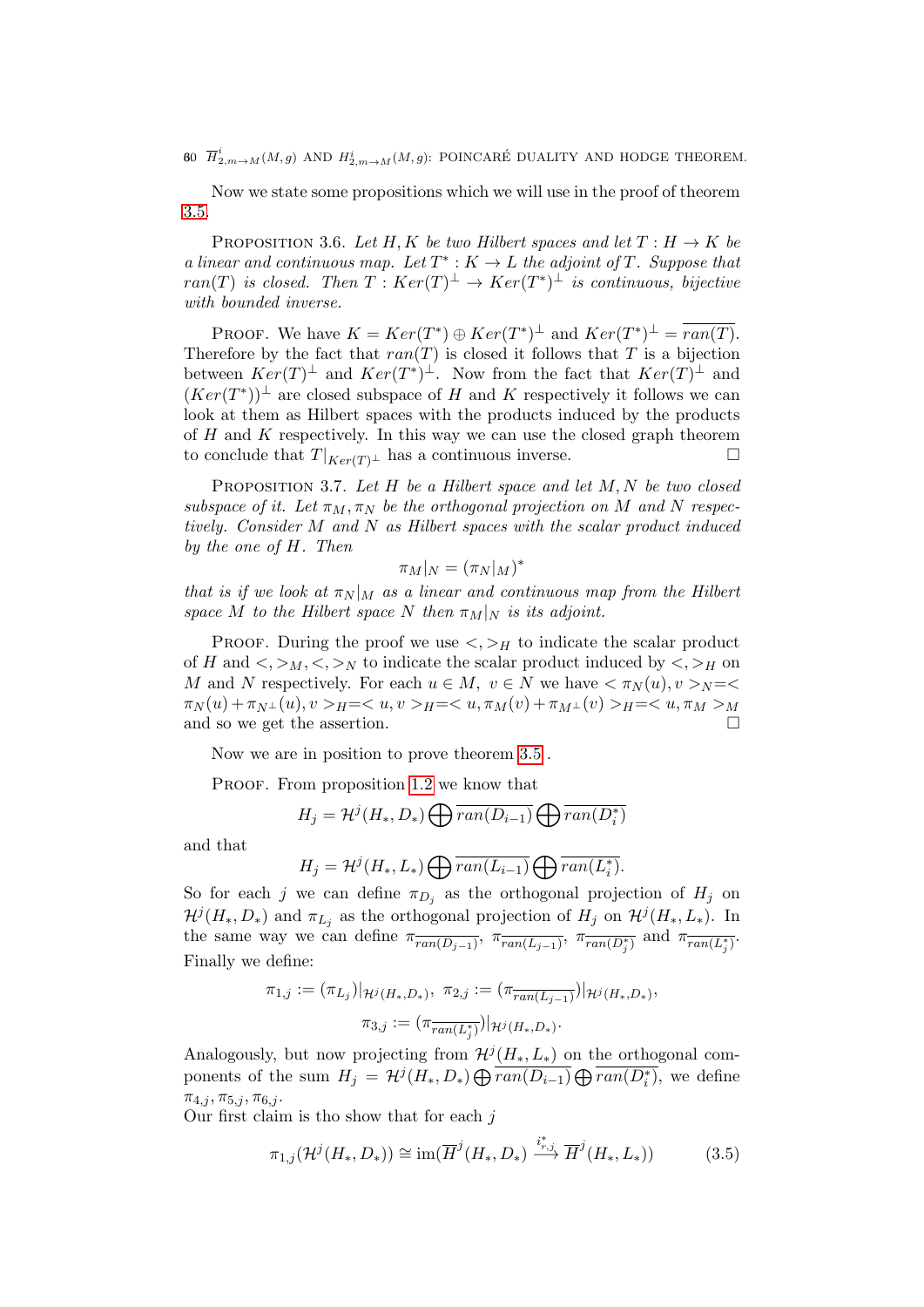60  $\overline{H}^i_{2,m\rightarrow M}(M,g)$  and  $H^i_{2,m\rightarrow M}(M,g)$ : POINCARÉ DUALITY AND HODGE THEOREM.

Now we state some propositions which we will use in the proof of theorem [3.5.](#page-58-0)

<span id="page-59-0"></span>PROPOSITION 3.6. Let H, K be two Hilbert spaces and let  $T : H \to K$  be a linear and continuous map. Let  $T^*: K \to L$  the adjoint of T. Suppose that  $ran(T)$  is closed. Then  $T: Ker(T)^{\perp} \rightarrow Ker(T^{*})^{\perp}$  is continuous, bijective with bounded inverse.

PROOF. We have  $K = Ker(T^*) \oplus Ker(T^*)^{\perp}$  and  $Ker(T^*)^{\perp} = \overline{ran(T)}$ . Therefore by the fact that  $ran(T)$  is closed it follows that T is a bijection between  $Ker(T)^{\perp}$  and  $Ker(T^*)^{\perp}$ . Now from the fact that  $Ker(T)^{\perp}$  and  $(Ker(T^*))^{\perp}$  are closed subspace of H and K respectively it follows we can look at them as Hilbert spaces with the products induced by the products of  $H$  and  $K$  respectively. In this way we can use the closed graph theorem to conclude that  $T|_{Ker(T)^{\perp}}$  has a continuous inverse.

<span id="page-59-1"></span>PROPOSITION 3.7. Let  $H$  be a Hilbert space and let  $M, N$  be two closed subspace of it. Let  $\pi_M, \pi_N$  be the orthogonal projection on M and N respectively. Consider M and N as Hilbert spaces with the scalar product induced by the one of H. Then

$$
\pi_M|_N = (\pi_N|_M)^*
$$

that is if we look at  $\pi_N |_M$  as a linear and continuous map from the Hilbert space M to the Hilbert space N then  $\pi_M|_N$  is its adjoint.

PROOF. During the proof we use  $\langle \cdot, \cdot \rangle_H$  to indicate the scalar product of H and  $\langle \xi, \xi \rangle_M, \langle \xi, \xi \rangle_N$  to indicate the scalar product induced by  $\langle \xi, \xi \rangle_H$  on M and N respectively. For each  $u \in M$ ,  $v \in N$  we have  $\langle \pi_N(u), v \rangle_N = \langle$  $\pi_N(u) + \pi_{N^{\perp}}(u), v >_H = _H = _H = _M$ and so we get the assertion.

Now we are in position to prove theorem [3.5](#page-58-0) .

PROOF. From proposition [1.2](#page-17-3) we know that

$$
H_j = \mathcal{H}^j(H_*, D_*) \bigoplus \overline{ran(D_{i-1})} \bigoplus \overline{ran(D_i^*)}
$$

and that

$$
H_j = \mathcal{H}^j(H_*, L_*) \bigoplus \overline{ran(L_{i-1})} \bigoplus \overline{ran(L_i^*)}.
$$

So for each j we can define  $\pi_{D_j}$  as the orthogonal projection of  $H_j$  on  $\mathcal{H}^{j}(H_*, D_*)$  and  $\pi_{L_j}$  as the orthogonal projection of  $H_j$  on  $\mathcal{H}^{j}(H_*, L_*)$ . In the same way we can define  $\pi_{\overline{ran(D_{j-1})}}$ ,  $\pi_{\overline{ran(L_{j-1})}}$ ,  $\pi_{\overline{ran(D_j^*)}}$  and  $\pi_{\overline{ran(L_j^*)}}$ . Finally we define:

$$
\pi_{1,j} := (\pi_{L_j})|_{\mathcal{H}^j(H_*,D_*)}, \ \pi_{2,j} := (\pi_{\overline{ran(L_{j-1})}})|_{\mathcal{H}^j(H_*,D_*)},
$$

$$
\pi_{3,j} := (\pi_{\overline{ran(L_j^*)}})|_{\mathcal{H}^j(H_*,D_*)}.
$$

Analogously, but now projecting from  $\mathcal{H}^{j}(H_{*}, L_{*})$  on the orthogonal components of the sum  $H_j = \mathcal{H}^j(H_*, D_*) \bigoplus \overline{ran(D_{i-1})} \bigoplus \overline{ran(D_i^*)}$ , we define  $\pi_{4,j}, \pi_{5,j}, \pi_{6,j}.$ 

Our first claim is tho show that for each  $j$ 

$$
\pi_{1,j}(\mathcal{H}^j(H_*, D_*)) \cong \text{im}(\overline{H}^j(H_*, D_*) \xrightarrow{i_{r,j}^*} \overline{H}^j(H_*, L_*))
$$
\n(3.5)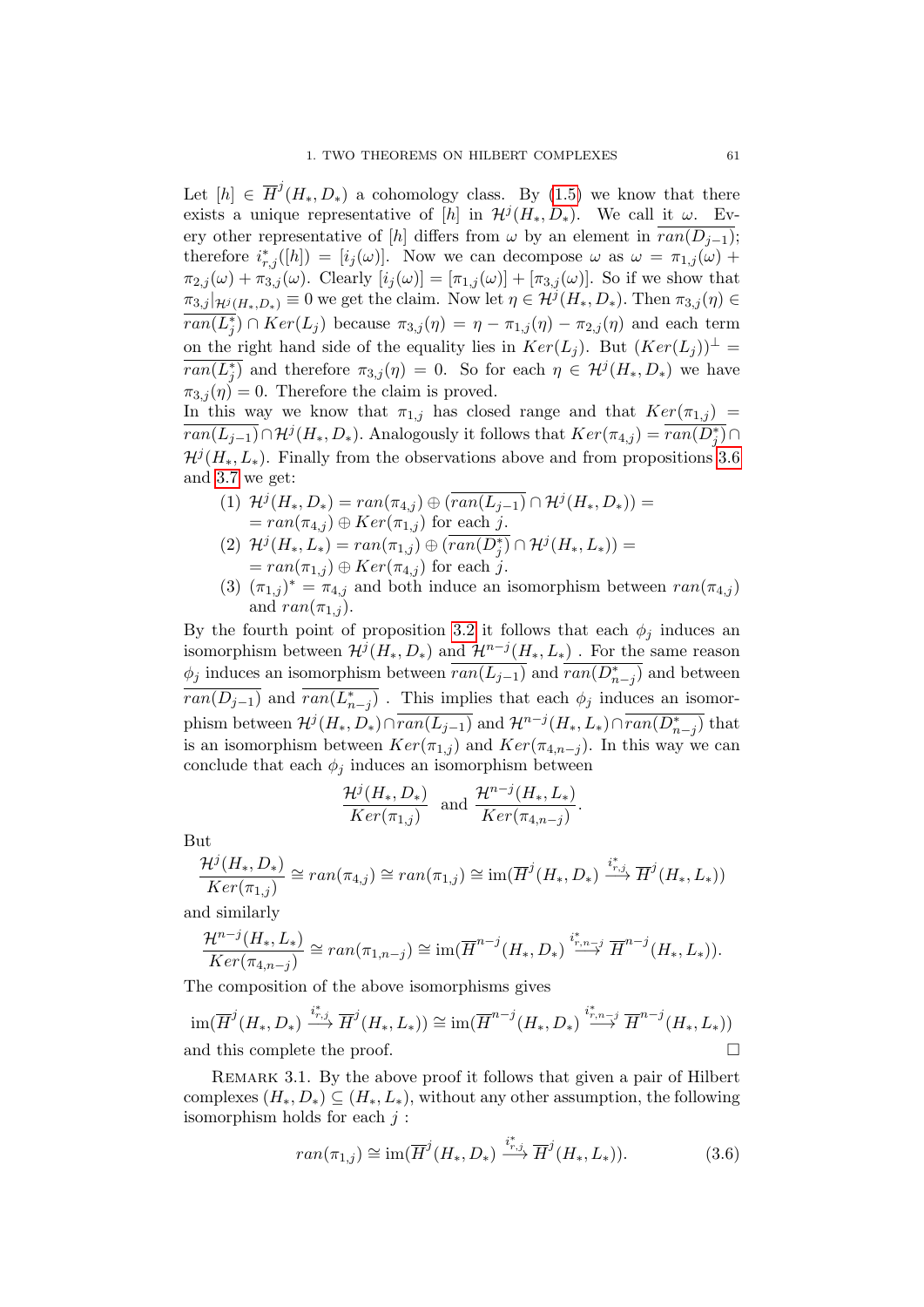Let  $[h] \in \overline{H}^j(H_*, D_*)$  a cohomology class. By [\(1.5\)](#page-17-2) we know that there exists a unique representative of [h] in  $\mathcal{H}^j(H_*, D_*)$ . We call it  $\omega$ . Every other representative of [h] differs from  $\omega$  by an element in  $\overline{ran(D_{i-1})}$ ; therefore  $i^*_{r,j}([h]) = [i_j(\omega)]$ . Now we can decompose  $\omega$  as  $\omega = \pi_{1,j}(\omega) +$  $\pi_{2,j}(\omega) + \pi_{3,j}(\omega)$ . Clearly  $[i_j(\omega)] = [\pi_{1,j}(\omega)] + [\pi_{3,j}(\omega)]$ . So if we show that  $\pi_{3,j}|_{\mathcal{H}^{j}(H_*,D_*)}\equiv 0$  we get the claim. Now let  $\eta\in\mathcal{H}^{j}(H_*,D_*)$ . Then  $\pi_{3,j}(\eta)\in\mathcal{H}^{j}(H_*,D_*)$  $\overline{ran(L_j^*)} \cap Ker(L_j)$  because  $\pi_{3,j}(\eta) = \eta - \pi_{1,j}(\eta) - \pi_{2,j}(\eta)$  and each term on the right hand side of the equality lies in  $Ker(L_i)$ . But  $(Ker(L_i))^{\perp}$  $\overline{ran(L_j^*)}$  and therefore  $\pi_{3,j}(\eta) = 0$ . So for each  $\eta \in \mathcal{H}^j(H_*, D_*)$  we have  $\pi_{3,j}(\eta)=0$ . Therefore the claim is proved.

In this way we know that  $\pi_{1,j}$  has closed range and that  $Ker(\pi_{1,j})$  $\overline{ran(L_{j-1})} \cap H^{j}(H_{*}, D_{*})$ . Analogously it follows that  $Ker(\pi_{4,j}) = \overline{ran(D_{j}^{*})} \cap$  $\mathcal{H}^{j}(H_{*}, L_{*})$ . Finally from the observations above and from propositions [3.6](#page-59-0) and [3.7](#page-59-1) we get:

- (1)  $\mathcal{H}^{j}(H_{*}, D_{*}) = ran(\pi_{4,j}) \oplus ( \overline{ran(L_{j-1})} \cap \mathcal{H}^{j}(H_{*}, D_{*})) =$  $= ran(\pi_{4,j}) \oplus Ker(\pi_{1,j})$  for each j.
- (2)  $\mathcal{H}^{j}(H_{*}, L_{*}) = \text{ran}(\pi_{1,j}) \oplus (\overline{\text{ran}(D_{j}^{*})} \cap \mathcal{H}^{j}(H_{*}, L_{*})) =$  $= ran(\pi_{1,j}) \oplus Ker(\pi_{4,j})$  for each j.
- (3)  $(\pi_{1,j})^* = \pi_{4,j}$  and both induce an isomorphism between  $ran(\pi_{4,j})$ and  $ran(\pi_{1,j}).$

By the fourth point of proposition [3.2](#page-57-2) it follows that each  $\phi_j$  induces an isomorphism between  $\mathcal{H}^{j}(H_*, D_*)$  and  $\mathcal{H}^{n-j}(H_*, L_*)$ . For the same reason  $\phi_j$  induces an isomorphism between  $\overline{ran(L_{j-1})}$  and  $\overline{ran(D_{n-j}^*)}$  and between  $\overline{ran(D_{j-1})}$  and  $\overline{ran(L_{n-j}^*)}$ . This implies that each  $\phi_j$  induces an isomorphism between  $\mathcal{H}^{j}(H_*, D_*) \cap \overline{ran(L_{j-1})}$  and  $\mathcal{H}^{n-j}(H_*, L_*) \cap \overline{ran(D_{n-j}^*)}$  that is an isomorphism between  $Ker(\pi_{1,j})$  and  $Ker(\pi_{4,n-j})$ . In this way we can conclude that each  $\phi_j$  induces an isomorphism between

$$
\frac{\mathcal{H}^j(H_*, D_*)}{Ker(\pi_{1,j})}
$$
 and 
$$
\frac{\mathcal{H}^{n-j}(H_*, L_*)}{Ker(\pi_{4,n-j})}.
$$

But

$$
\frac{\mathcal{H}^{j}(H_{*}, D_{*})}{Ker(\pi_{1,j})} \cong ran(\pi_{4,j}) \cong ran(\pi_{1,j}) \cong \text{im}(\overline{H}^{j}(H_{*}, D_{*}) \xrightarrow{i_{r,j}^{*}} \overline{H}^{j}(H_{*}, L_{*}))
$$

and similarly

$$
\frac{\mathcal{H}^{n-j}(H_*,L_*)}{Ker(\pi_{4,n-j})} \cong ran(\pi_{1,n-j}) \cong \text{im}(\overline{H}^{n-j}(H_*,D_*) \stackrel{i_{r,n-j}^*}{\longrightarrow} \overline{H}^{n-j}(H_*,L_*)).
$$

The composition of the above isomorphisms gives

$$
\operatorname{im}(\overline{H}^j(H_*,D_*)\xrightarrow{i^*_{r,j}} \overline{H}^j(H_*,L_*))\cong \operatorname{im}(\overline{H}^{n-j}(H_*,D_*)\xrightarrow{i^*_{r,n-j}} \overline{H}^{n-j}(H_*,L_*))
$$
  
and this complete the proof.

REMARK 3.1. By the above proof it follows that given a pair of Hilbert complexes  $(H_*, D_*) \subseteq (H_*, L_*),$  without any other assumption, the following isomorphism holds for each  $j$ :

$$
ran(\pi_{1,j}) \cong \text{im}(\overline{H}^{j}(H_*, D_*) \xrightarrow{i_{r,j}^*} \overline{H}^{j}(H_*, L_*)).
$$
\n(3.6)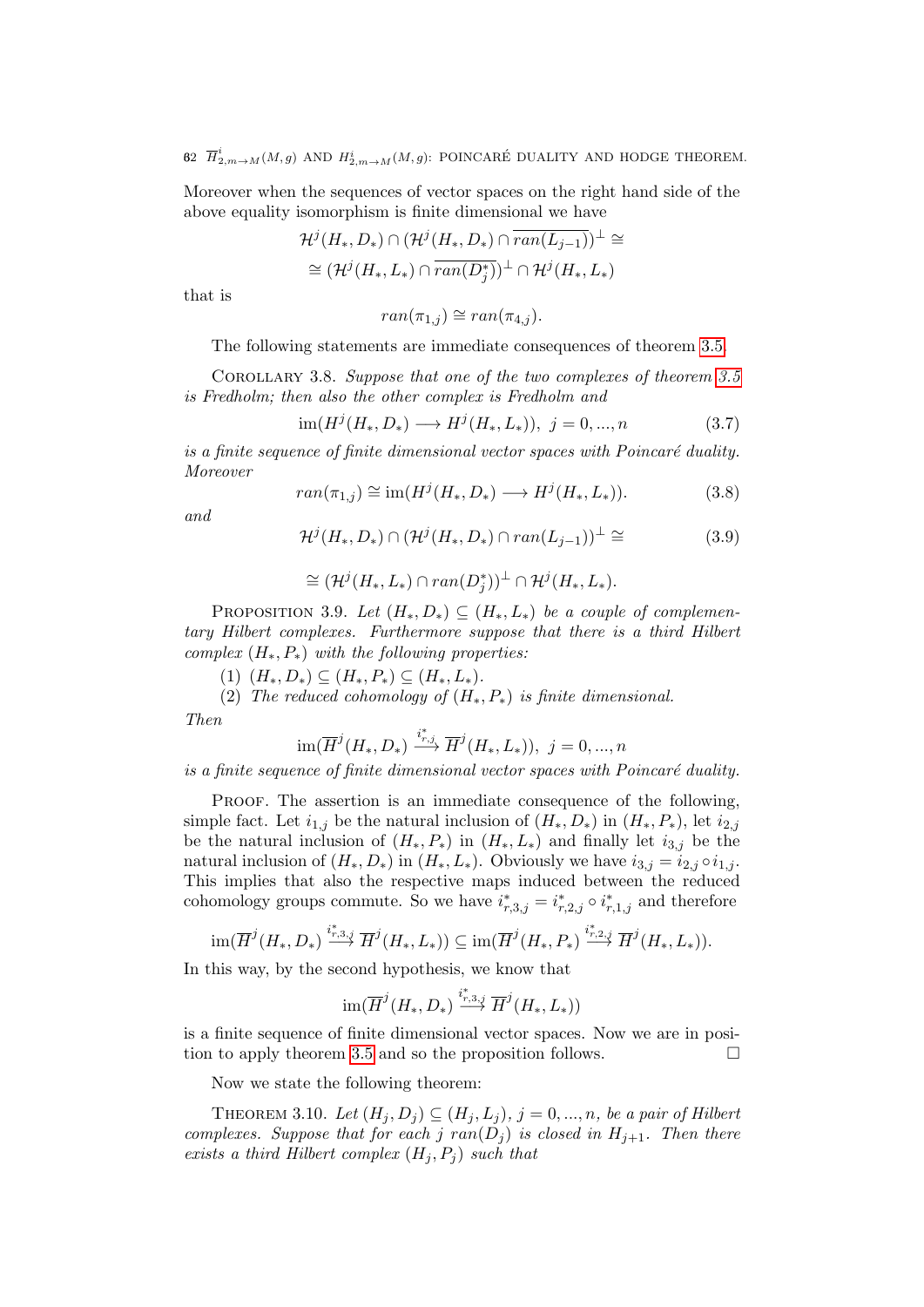62  $\overline{H}^i_{2,m\rightarrow M}(M,g)$  and  $H^i_{2,m\rightarrow M}(M,g)$ : POINCARÉ DUALITY AND HODGE THEOREM.

Moreover when the sequences of vector spaces on the right hand side of the above equality isomorphism is finite dimensional we have

$$
\mathcal{H}^{j}(H_{*}, D_{*}) \cap (\mathcal{H}^{j}(H_{*}, D_{*}) \cap \overline{ran(L_{j-1})})^{\perp} \cong
$$
  

$$
\cong (\mathcal{H}^{j}(H_{*}, L_{*}) \cap \overline{ran(D_{j}^{*})})^{\perp} \cap \mathcal{H}^{j}(H_{*}, L_{*})
$$

that is

$$
ran(\pi_{1,j}) \cong ran(\pi_{4,j}).
$$

The following statements are immediate consequences of theorem [3.5.](#page-58-0)

Corollary 3.8. Suppose that one of the two complexes of theorem [3.5](#page-58-0) is Fredholm; then also the other complex is Fredholm and

$$
\text{im}(H^{j}(H_{*}, D_{*}) \longrightarrow H^{j}(H_{*}, L_{*})), \ j = 0, ..., n \tag{3.7}
$$

is a finite sequence of finite dimensional vector spaces with Poincaré duality. Moreover

$$
ran(\pi_{1,j}) \cong \text{im}(H^j(H_*, D_*) \longrightarrow H^j(H_*, L_*)).
$$
\n(3.8)

and

$$
\mathcal{H}^j(H_*, D_*) \cap (\mathcal{H}^j(H_*, D_*) \cap ran(L_{j-1}))^\perp \cong \tag{3.9}
$$

$$
\cong (\mathcal{H}^{j}(H_*,L_*) \cap ran(D_j^*))^{\perp} \cap \mathcal{H}^{j}(H_*,L_*).
$$

PROPOSITION 3.9. Let  $(H_*, D_*) \subseteq (H_*, L_*)$  be a couple of complementary Hilbert complexes. Furthermore suppose that there is a third Hilbert complex  $(H_*, P_*)$  with the following properties:

(1)  $(H_*, D_*) \subseteq (H_*, P_*) \subseteq (H_*, L_*).$ 

(2) The reduced cohomology of  $(H_*, P_*)$  is finite dimensional.

Then

$$
\operatorname{im}(\overline{H}^{j}(H_{*}, D_{*}) \xrightarrow{i_{r,j}^{*}} \overline{H}^{j}(H_{*}, L_{*})), \ j = 0, ..., n
$$

is a finite sequence of finite dimensional vector spaces with Poincaré duality.

PROOF. The assertion is an immediate consequence of the following, simple fact. Let  $i_{1,j}$  be the natural inclusion of  $(H_*, D_*)$  in  $(H_*, P_*)$ , let  $i_{2,j}$ be the natural inclusion of  $(H_*, P_*)$  in  $(H_*, L_*)$  and finally let  $i_{3,j}$  be the natural inclusion of  $(H_*, D_*)$  in  $(H_*, L_*)$ . Obviously we have  $i_{3,j} = i_{2,j} \circ i_{1,j}$ . This implies that also the respective maps induced between the reduced cohomology groups commute. So we have  $i^*_{r,3,j} = i^*_{r,2,j} \circ i^*_{r,1,j}$  and therefore

$$
\operatorname{im}(\overline{H}^j(H_*,D_*)\stackrel{i^*_{r,3,j}}{\longrightarrow}\overline{H}^j(H_*,L_*))\subseteq\operatorname{im}(\overline{H}^j(H_*,P_*)\stackrel{i^*_{r,2,j}}{\longrightarrow}\overline{H}^j(H_*,L_*)).
$$

In this way, by the second hypothesis, we know that

$$
\operatorname{im}(\overline{H}^j(H_*, D_*) \stackrel{i^*_{r,3,j}}{\longrightarrow} \overline{H}^j(H_*, L_*))
$$

is a finite sequence of finite dimensional vector spaces. Now we are in posi-tion to apply theorem [3.5](#page-58-0) and so the proposition follows.

Now we state the following theorem:

<span id="page-61-0"></span>THEOREM 3.10. Let  $(H_j, D_j) \subseteq (H_j, L_j)$ ,  $j = 0, ..., n$ , be a pair of Hilbert complexes. Suppose that for each j  $ran(D_i)$  is closed in  $H_{i+1}$ . Then there exists a third Hilbert complex  $(H_j, P_j)$  such that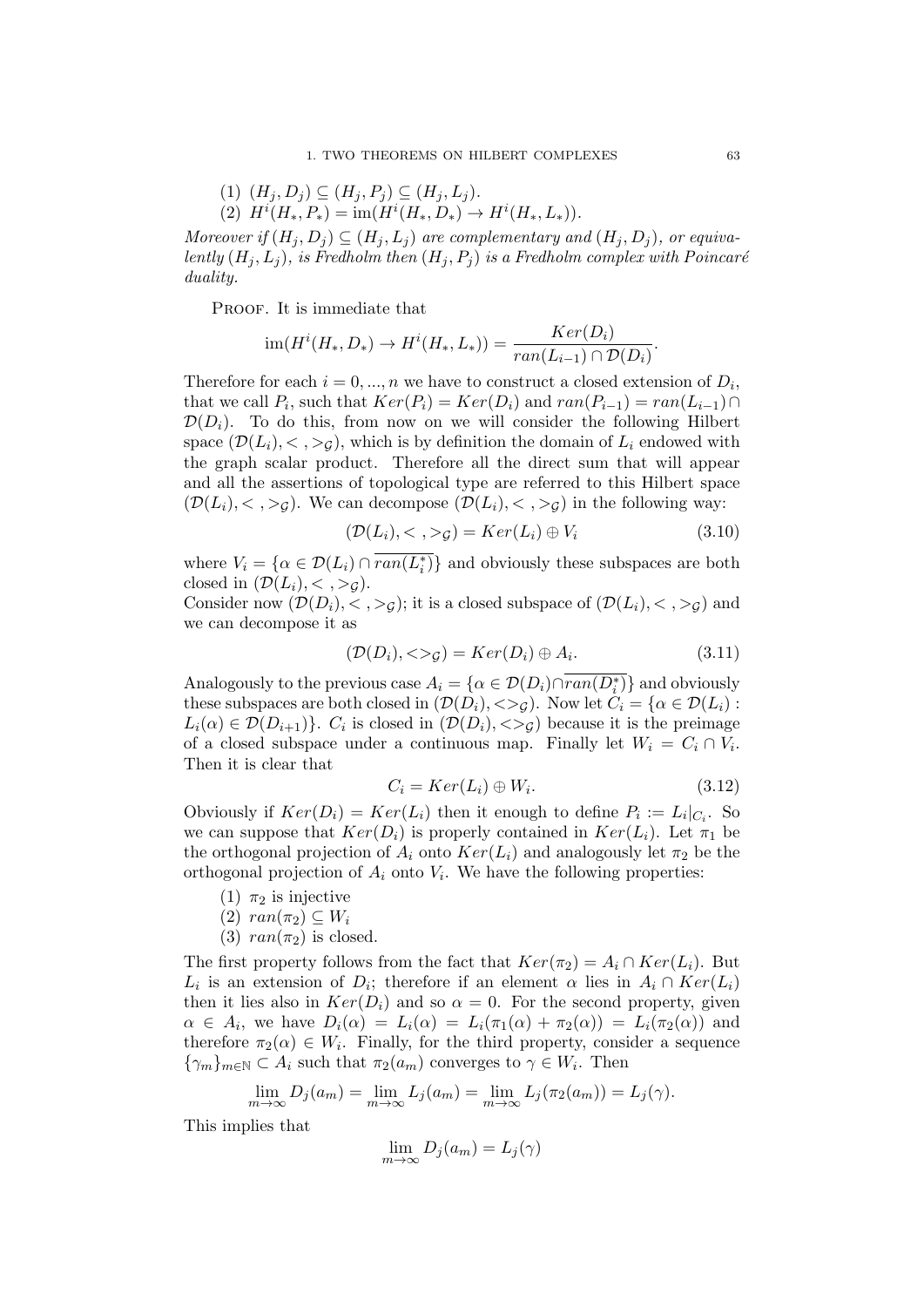$$
(1) \ (H_j, D_j) \subseteq (H_j, P_j) \subseteq (H_j, L_j).
$$
  

$$
(2) \ H^i(H_*, P_*) = \text{im}(H^i(H_*, D_*) \to H^i(H_*, L_*)).
$$

Moreover if  $(H_j, D_j) \subseteq (H_j, L_j)$  are complementary and  $(H_j, D_j)$ , or equivalently  $(H_j, L_j)$ , is Fredholm then  $(H_j, P_j)$  is a Fredholm complex with Poincaré duality.

PROOF. It is immediate that

$$
\operatorname{im}(H^i(H_*, D_*) \to H^i(H_*, L_*)) = \frac{Ker(D_i)}{ran(L_{i-1}) \cap \mathcal{D}(D_i)}.
$$

Therefore for each  $i = 0, ..., n$  we have to construct a closed extension of  $D_i$ , that we call  $P_i$ , such that  $Ker(P_i) = Ker(D_i)$  and  $ran(P_{i-1}) = ran(L_{i-1}) \cap$  $\mathcal{D}(D_i)$ . To do this, from now on we will consider the following Hilbert space  $(\mathcal{D}(L_i), <, >g)$ , which is by definition the domain of  $L_i$  endowed with the graph scalar product. Therefore all the direct sum that will appear and all the assertions of topological type are referred to this Hilbert space  $(\mathcal{D}(L_i), <, >g)$ . We can decompose  $(\mathcal{D}(L_i), <, >g)$  in the following way:

$$
(\mathcal{D}(L_i), <, >g) = Ker(L_i) \oplus V_i \tag{3.10}
$$

where  $V_i = \{ \alpha \in \mathcal{D}(L_i) \cap \overline{ran(L_i^*)} \}$  and obviously these subspaces are both closed in  $(\mathcal{D}(L_i), <, >g).$ 

Consider now  $(\mathcal{D}(D_i), <, >g)$ ; it is a closed subspace of  $(\mathcal{D}(L_i), <, >g)$  and we can decompose it as

$$
(\mathcal{D}(D_i), <\gt;_{\mathcal{G}}) = Ker(D_i) \oplus A_i.
$$
\n(3.11)

Analogously to the previous case  $A_i = \{ \alpha \in \mathcal{D}(D_i) \cap \overline{ran(D_i^*)} \}$  and obviously these subspaces are both closed in  $(\mathcal{D}(D_i), \langle > \rangle_G)$ . Now let  $C_i = \{ \alpha \in \mathcal{D}(L_i) :$  $L_i(\alpha) \in \mathcal{D}(D_{i+1})\}$ .  $C_i$  is closed in  $(\mathcal{D}(D_i), <)_{\mathcal{G}}$  because it is the preimage of a closed subspace under a continuous map. Finally let  $W_i = C_i \cap V_i$ . Then it is clear that

<span id="page-62-0"></span>
$$
C_i = Ker(L_i) \oplus W_i.
$$
\n(3.12)

Obviously if  $Ker(D_i) = Ker(L_i)$  then it enough to define  $P_i := L_i|_{C_i}$ . So we can suppose that  $Ker(D_i)$  is properly contained in  $Ker(L_i)$ . Let  $\pi_1$  be the orthogonal projection of  $A_i$  onto  $Ker(L_i)$  and analogously let  $\pi_2$  be the orthogonal projection of  $A_i$  onto  $V_i$ . We have the following properties:

- (1)  $\pi_2$  is injective
- $(2)$  ran $(\pi_2) \subseteq W_i$
- (3)  $ran(\pi_2)$  is closed.

The first property follows from the fact that  $Ker(\pi_2) = A_i \cap Ker(L_i)$ . But  $L_i$  is an extension of  $D_i$ ; therefore if an element  $\alpha$  lies in  $A_i \cap Ker(L_i)$ then it lies also in  $Ker(D_i)$  and so  $\alpha = 0$ . For the second property, given  $\alpha \in A_i$ , we have  $D_i(\alpha) = L_i(\alpha) = L_i(\pi_1(\alpha) + \pi_2(\alpha)) = L_i(\pi_2(\alpha))$  and therefore  $\pi_2(\alpha) \in W_i$ . Finally, for the third property, consider a sequence  $\{\gamma_m\}_{m\in\mathbb{N}}\subset A_i$  such that  $\pi_2(a_m)$  converges to  $\gamma\in W_i$ . Then

$$
\lim_{m \to \infty} D_j(a_m) = \lim_{m \to \infty} L_j(a_m) = \lim_{m \to \infty} L_j(\pi_2(a_m)) = L_j(\gamma).
$$

This implies that

$$
\lim_{m \to \infty} D_j(a_m) = L_j(\gamma)
$$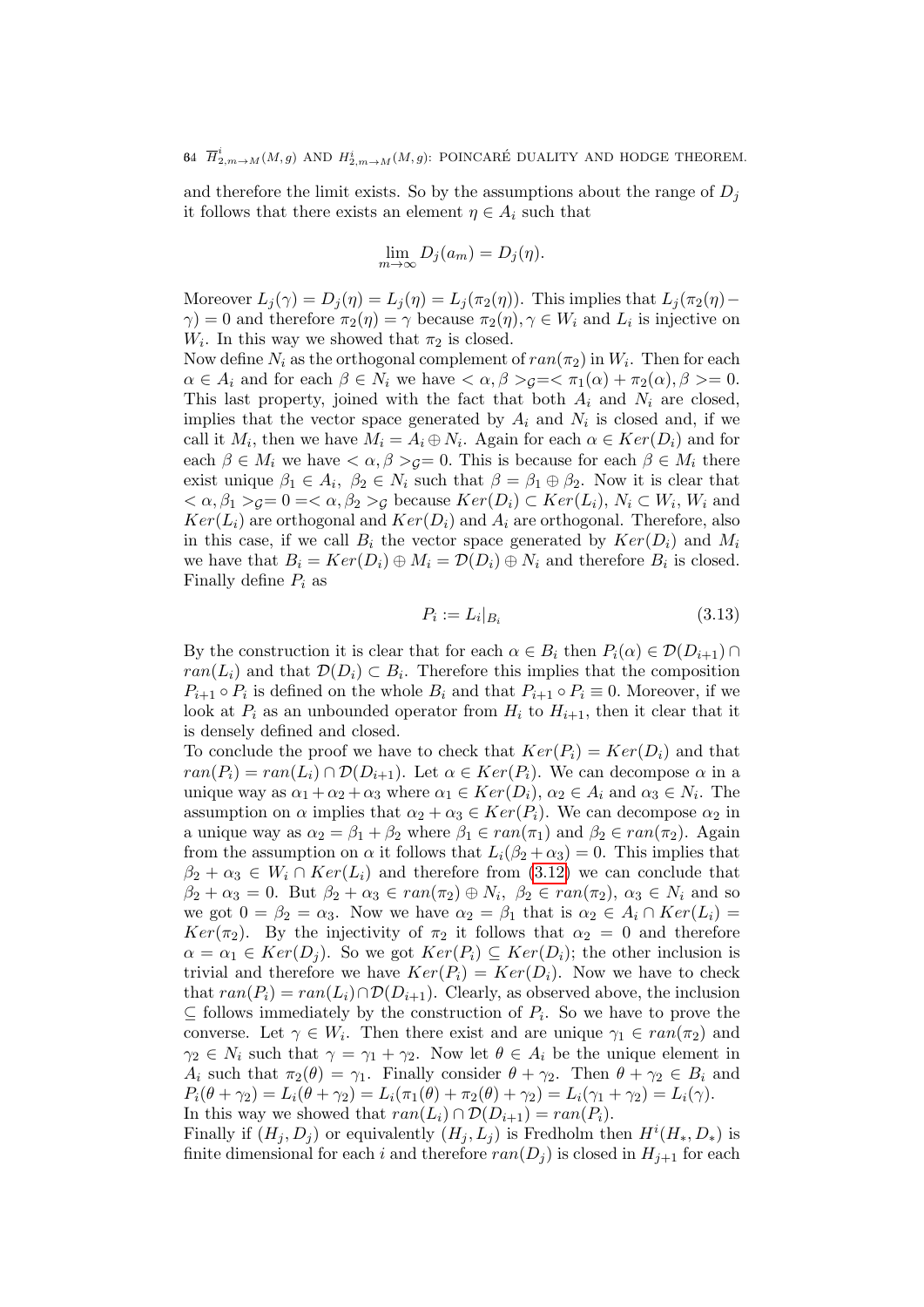and therefore the limit exists. So by the assumptions about the range of  $D_i$ it follows that there exists an element  $\eta \in A_i$  such that

$$
\lim_{m \to \infty} D_j(a_m) = D_j(\eta).
$$

Moreover  $L_j(\gamma) = D_j(\eta) = L_j(\eta) = L_j(\pi_2(\eta))$ . This implies that  $L_j(\pi_2(\eta) - \eta)$  $\gamma$ ) = 0 and therefore  $\pi_2(\eta) = \gamma$  because  $\pi_2(\eta)$ ,  $\gamma \in W_i$  and  $L_i$  is injective on  $W_i$ . In this way we showed that  $\pi_2$  is closed.

Now define  $N_i$  as the orthogonal complement of  $ran(\pi_2)$  in  $W_i$ . Then for each  $\alpha \in A_i$  and for each  $\beta \in N_i$  we have  $\langle \alpha, \beta \rangle_{\mathcal{G}} = \langle \pi_1(\alpha) + \pi_2(\alpha), \beta \rangle = 0$ . This last property, joined with the fact that both  $A_i$  and  $N_i$  are closed, implies that the vector space generated by  $A_i$  and  $N_i$  is closed and, if we call it  $M_i$ , then we have  $M_i = A_i \oplus N_i$ . Again for each  $\alpha \in Ker(D_i)$  and for each  $\beta \in M_i$  we have  $\langle \alpha, \beta \rangle_{\mathcal{G}} = 0$ . This is because for each  $\beta \in M_i$  there exist unique  $\beta_1 \in A_i$ ,  $\beta_2 \in N_i$  such that  $\beta = \beta_1 \oplus \beta_2$ . Now it is clear that  $<\alpha, \beta_1>_{\mathcal{G}}=0=\langle \alpha, \beta_2>_{\mathcal{G}}$  because  $Ker(D_i)\subset Ker(L_i), N_i\subset W_i, W_i$  and  $Ker(L_i)$  are orthogonal and  $Ker(D_i)$  and  $A_i$  are orthogonal. Therefore, also in this case, if we call  $B_i$  the vector space generated by  $Ker(D_i)$  and  $M_i$ we have that  $B_i = Ker(D_i) \oplus M_i = \mathcal{D}(D_i) \oplus N_i$  and therefore  $B_i$  is closed. Finally define  $P_i$  as

$$
P_i := L_i|_{B_i} \tag{3.13}
$$

By the construction it is clear that for each  $\alpha \in B_i$  then  $P_i(\alpha) \in \mathcal{D}(D_{i+1}) \cap$  $ran(L_i)$  and that  $\mathcal{D}(D_i) \subset B_i$ . Therefore this implies that the composition  $P_{i+1} \circ P_i$  is defined on the whole  $B_i$  and that  $P_{i+1} \circ P_i \equiv 0$ . Moreover, if we look at  $P_i$  as an unbounded operator from  $H_i$  to  $H_{i+1}$ , then it clear that it is densely defined and closed.

To conclude the proof we have to check that  $Ker(P_i) = Ker(D_i)$  and that  $ran(P_i) = ran(L_i) \cap \mathcal{D}(D_{i+1})$ . Let  $\alpha \in Ker(P_i)$ . We can decompose  $\alpha$  in a unique way as  $\alpha_1 + \alpha_2 + \alpha_3$  where  $\alpha_1 \in Ker(D_i)$ ,  $\alpha_2 \in A_i$  and  $\alpha_3 \in N_i$ . The assumption on  $\alpha$  implies that  $\alpha_2 + \alpha_3 \in Ker(P_i)$ . We can decompose  $\alpha_2$  in a unique way as  $\alpha_2 = \beta_1 + \beta_2$  where  $\beta_1 \in ran(\pi_1)$  and  $\beta_2 \in ran(\pi_2)$ . Again from the assumption on  $\alpha$  it follows that  $L_i(\beta_2 + \alpha_3) = 0$ . This implies that  $\beta_2 + \alpha_3 \in W_i \cap Ker(L_i)$  and therefore from [\(3.12\)](#page-62-0) we can conclude that  $\beta_2 + \alpha_3 = 0$ . But  $\beta_2 + \alpha_3 \in ran(\pi_2) \oplus N_i$ ,  $\beta_2 \in ran(\pi_2)$ ,  $\alpha_3 \in N_i$  and so we got  $0 = \beta_2 = \alpha_3$ . Now we have  $\alpha_2 = \beta_1$  that is  $\alpha_2 \in A_i \cap Ker(L_i)$ Ker( $\pi_2$ ). By the injectivity of  $\pi_2$  it follows that  $\alpha_2 = 0$  and therefore  $\alpha = \alpha_1 \in Ker(D_i)$ . So we got  $Ker(P_i) \subseteq Ker(D_i)$ ; the other inclusion is trivial and therefore we have  $Ker(P_i) = Ker(D_i)$ . Now we have to check that  $ran(P_i) = ran(L_i) \cap D(D_{i+1})$ . Clearly, as observed above, the inclusion  $\subseteq$  follows immediately by the construction of  $P_i$ . So we have to prove the converse. Let  $\gamma \in W_i$ . Then there exist and are unique  $\gamma_1 \in ran(\pi_2)$  and  $\gamma_2 \in N_i$  such that  $\gamma = \gamma_1 + \gamma_2$ . Now let  $\theta \in A_i$  be the unique element in  $A_i$  such that  $\pi_2(\theta) = \gamma_1$ . Finally consider  $\theta + \gamma_2$ . Then  $\theta + \gamma_2 \in B_i$  and  $P_i(\theta + \gamma_2) = L_i(\theta + \gamma_2) = L_i(\pi_1(\theta) + \pi_2(\theta) + \gamma_2) = L_i(\gamma_1 + \gamma_2) = L_i(\gamma).$ In this way we showed that  $ran(L_i) \cap D(D_{i+1}) = ran(P_i)$ .

Finally if  $(H_j, D_j)$  or equivalently  $(H_j, L_j)$  is Fredholm then  $H^{i}(H_*, D_*)$  is finite dimensional for each i and therefore  $ran(D_i)$  is closed in  $H_{i+1}$  for each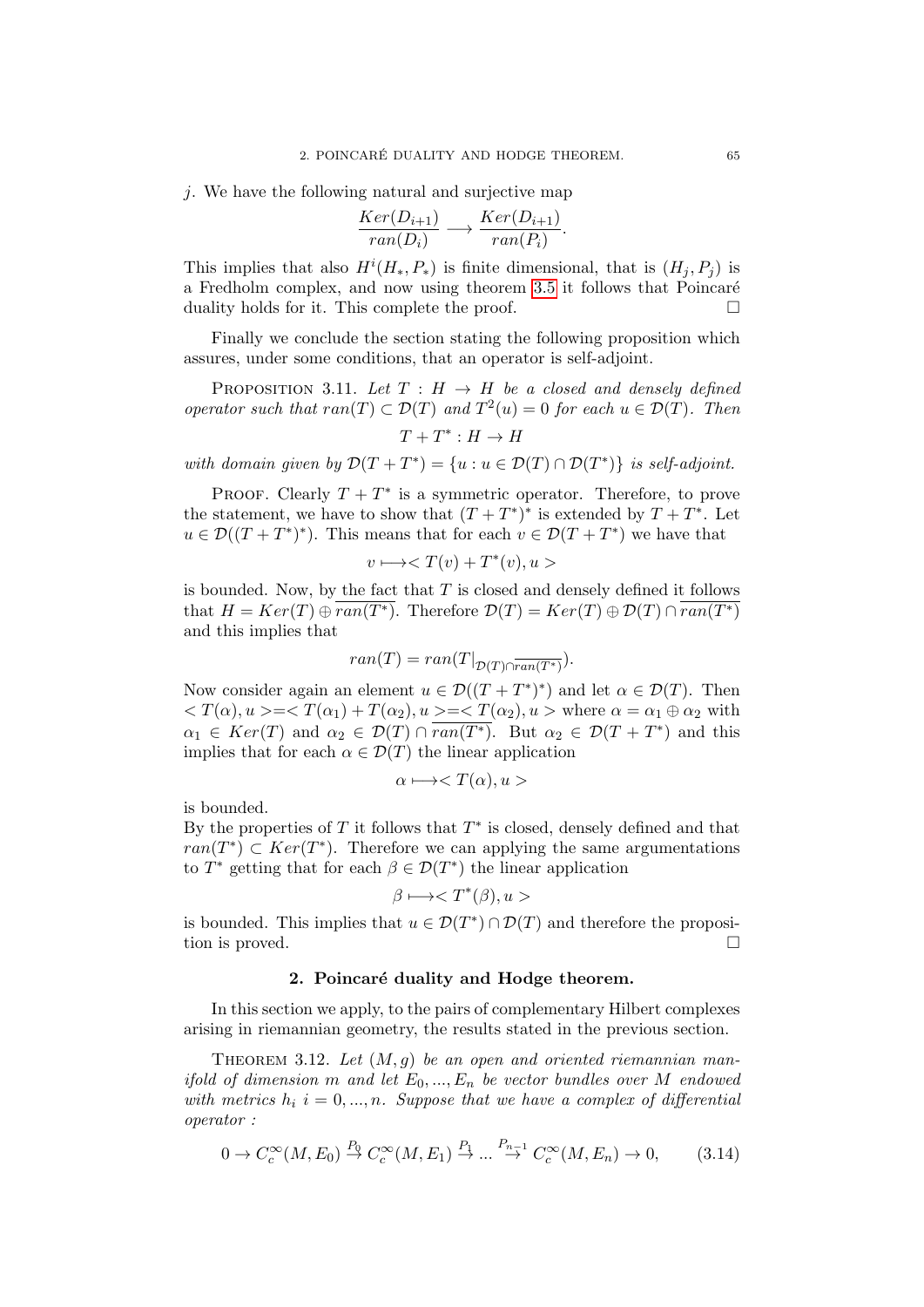j. We have the following natural and surjective map

$$
\frac{Ker(D_{i+1})}{ran(D_i)} \longrightarrow \frac{Ker(D_{i+1})}{ran(P_i)}.
$$

This implies that also  $H^i(H_*, P_*)$  is finite dimensional, that is  $(H_j, P_j)$  is a Fredholm complex, and now using theorem [3.5](#page-58-0) it follows that Poincaré duality holds for it. This complete the proof.

Finally we conclude the section stating the following proposition which assures, under some conditions, that an operator is self-adjoint.

PROPOSITION 3.11. Let  $T : H \rightarrow H$  be a closed and densely defined operator such that  $ran(T) \subset \mathcal{D}(T)$  and  $T^2(u) = 0$  for each  $u \in \mathcal{D}(T)$ . Then

 $T+T^*:H\to H$ 

with domain given by  $\mathcal{D}(T+T^*) = \{u : u \in \mathcal{D}(T) \cap \mathcal{D}(T^*)\}$  is self-adjoint.

PROOF. Clearly  $T + T^*$  is a symmetric operator. Therefore, to prove the statement, we have to show that  $(T+T^*)^*$  is extended by  $T+T^*$ . Let  $u \in \mathcal{D}((T+T^*)^*)$ . This means that for each  $v \in \mathcal{D}(T+T^*)$  we have that

$$
v \longmapsto \langle T(v) + T^*(v), u \rangle
$$

is bounded. Now, by the fact that  $T$  is closed and densely defined it follows that  $H = Ker(T) \oplus ran(T^*)$ . Therefore  $\mathcal{D}(T) = Ker(T) \oplus \mathcal{D}(T) \cap ran(T^*)$ and this implies that

$$
ran(T) = ran(T|_{\mathcal{D}(T) \cap \overline{ran(T^*)}}).
$$

Now consider again an element  $u \in \mathcal{D}((T+T^*)^*)$  and let  $\alpha \in \mathcal{D}(T)$ . Then  $\langle T(\alpha), u \rangle = \langle T(\alpha_1) + T(\alpha_2), u \rangle = \langle T(\alpha_2), u \rangle$  where  $\alpha = \alpha_1 \oplus \alpha_2$  with  $\alpha_1 \in \text{Ker}(T)$  and  $\alpha_2 \in \mathcal{D}(T) \cap \overline{\text{ran}(T^*)}$ . But  $\alpha_2 \in \mathcal{D}(T + T^*)$  and this implies that for each  $\alpha \in \mathcal{D}(T)$  the linear application

$$
\alpha \longmapsto \langle T(\alpha), u \rangle
$$

is bounded.

By the properties of  $T$  it follows that  $T^*$  is closed, densely defined and that  $ran(T^*) \subset Ker(T^*)$ . Therefore we can applying the same argumentations to  $T^*$  getting that for each  $\beta \in \mathcal{D}(T^*)$  the linear application

$$
\beta \longmapsto \langle T^*(\beta), u \rangle
$$

is bounded. This implies that  $u \in \mathcal{D}(T^*) \cap \mathcal{D}(T)$  and therefore the proposition is proved.

### 2. Poincaré duality and Hodge theorem.

In this section we apply, to the pairs of complementary Hilbert complexes arising in riemannian geometry, the results stated in the previous section.

<span id="page-64-1"></span>THEOREM 3.12. Let  $(M, g)$  be an open and oriented riemannian manifold of dimension m and let  $E_0, ..., E_n$  be vector bundles over M endowed with metrics  $h_i$  i = 0, ..., n. Suppose that we have a complex of differential operator :

<span id="page-64-0"></span>
$$
0 \to C_c^{\infty}(M, E_0) \stackrel{P_0}{\to} C_c^{\infty}(M, E_1) \stackrel{P_1}{\to} \dots \stackrel{P_{n-1}}{\to} C_c^{\infty}(M, E_n) \to 0,
$$
 (3.14)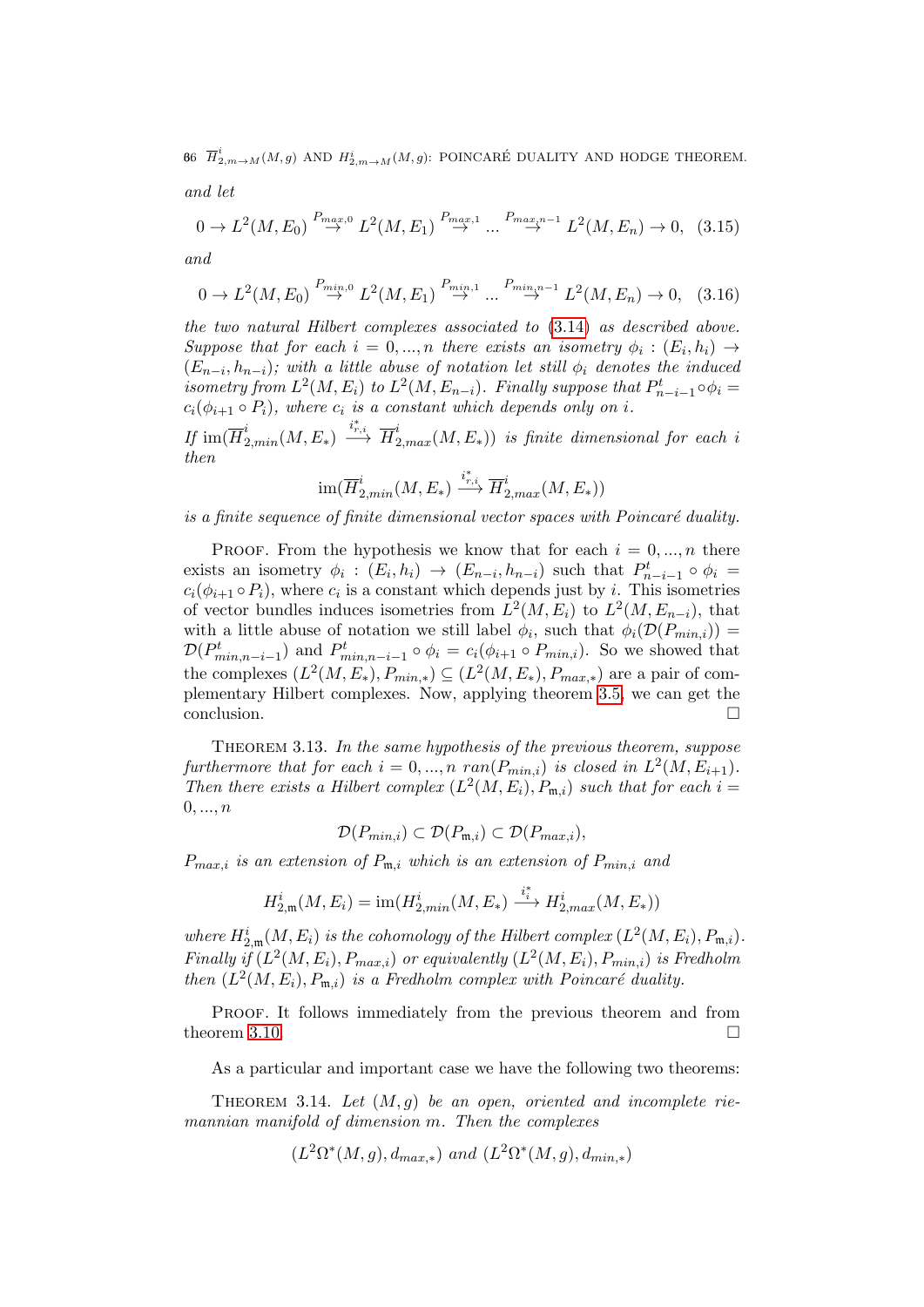66  $\overline{H}^i_{2,m\rightarrow M}(M,g)$  and  $H^i_{2,m\rightarrow M}(M,g)$ : POINCARÉ DUALITY AND HODGE THEOREM. and let

$$
0 \to L^2(M, E_0) \stackrel{P_{max,0}}{\to} L^2(M, E_1) \stackrel{P_{max,1}}{\to} \dots \stackrel{P_{max,n-1}}{\to} L^2(M, E_n) \to 0, \tag{3.15}
$$

and

$$
0 \to L^2(M, E_0) \stackrel{P_{min,0}}{\to} L^2(M, E_1) \stackrel{P_{min,1}}{\to} \dots \stackrel{P_{min,n-1}}{\to} L^2(M, E_n) \to 0, \quad (3.16)
$$

the two natural Hilbert complexes associated to [\(3.14\)](#page-64-0) as described above. Suppose that for each  $i = 0, ..., n$  there exists an isometry  $\phi_i : (E_i, h_i) \rightarrow$  $(E_{n-i}, h_{n-i})$ ; with a little abuse of notation let still  $\phi_i$  denotes the induced isometry from  $L^2(M, E_i)$  to  $L^2(M, E_{n-i})$ . Finally suppose that  $P^t_{n-i-1} \circ \phi_i =$  $c_i(\phi_{i+1} \circ P_i)$ , where  $c_i$  is a constant which depends only on i.

If  $\text{im}(\overline{H}^i_{2, min}(M, E_*) \xrightarrow{i_{r,i}^*} \overline{H}^i_{2, max}(M, E_*))$  is finite dimensional for each i then

$$
\operatorname{im}(\overline{H}^i_{2, min}(M,E_{\ast}) \stackrel{i_{r,i}^*}{\longrightarrow} \overline{H}^i_{2, max}(M,E_{\ast}))
$$

is a finite sequence of finite dimensional vector spaces with Poincaré duality.

PROOF. From the hypothesis we know that for each  $i = 0, ..., n$  there exists an isometry  $\phi_i : (E_i, h_i) \to (E_{n-i}, h_{n-i})$  such that  $P^t_{n-i-1} \circ \phi_i =$  $c_i(\phi_{i+1} \circ P_i)$ , where  $c_i$  is a constant which depends just by i. This isometries of vector bundles induces isometries from  $L^2(M, E_i)$  to  $L^2(M, E_{n-i})$ , that with a little abuse of notation we still label  $\phi_i$ , such that  $\phi_i(\mathcal{D}(P_{min,i}))$  $\mathcal{D}(P_{min,n-i-1}^t)$  and  $P_{min,n-i-1}^t \circ \phi_i = c_i(\phi_{i+1} \circ P_{min,i})$ . So we showed that the complexes  $(L^2(M, E_*)$ ,  $P_{min,*}) \subseteq (L^2(M, E_*), P_{max,*})$  are a pair of complementary Hilbert complexes. Now, applying theorem [3.5,](#page-58-0) we can get the conclusion. □

THEOREM 3.13. In the same hypothesis of the previous theorem, suppose furthermore that for each  $i = 0, ..., n$  ran $(P_{min,i})$  is closed in  $L^2(M, E_{i+1})$ . Then there exists a Hilbert complex  $(L^2(M, E_i), P_{m,i})$  such that for each  $i =$  $0, ..., n$ 

$$
\mathcal{D}(P_{min,i}) \subset \mathcal{D}(P_{\mathfrak{m},i}) \subset \mathcal{D}(P_{max,i}),
$$

 $P_{max,i}$  is an extension of  $P_{m,i}$  which is an extension of  $P_{min,i}$  and

$$
H_{2,\mathfrak{m}}^i(M,E_i)=\text{im}(H_{2,min}^i(M,E_*)\stackrel{i_*^*}{\longrightarrow} H_{2,max}^i(M,E_*))
$$

where  $H_{2,\mathfrak{m}}^i(M,E_i)$  is the cohomology of the Hilbert complex  $(L^2(M,E_i),P_{\mathfrak{m},i})$ . Finally if  $(L^2(M, E_i), P_{max,i})$  or equivalently  $(L^2(M, E_i), P_{min,i})$  is Fredholm then  $(L^2(M, E_i), P_{m,i})$  is a Fredholm complex with Poincaré duality.

PROOF. It follows immediately from the previous theorem and from theorem [3.10.](#page-61-0)  $\Box$ 

As a particular and important case we have the following two theorems:

<span id="page-65-0"></span>THEOREM 3.14. Let  $(M, g)$  be an open, oriented and incomplete riemannian manifold of dimension m. Then the complexes

$$
(L^2\Omega^*(M,g), d_{max,*})
$$
 and  $(L^2\Omega^*(M,g), d_{min,*})$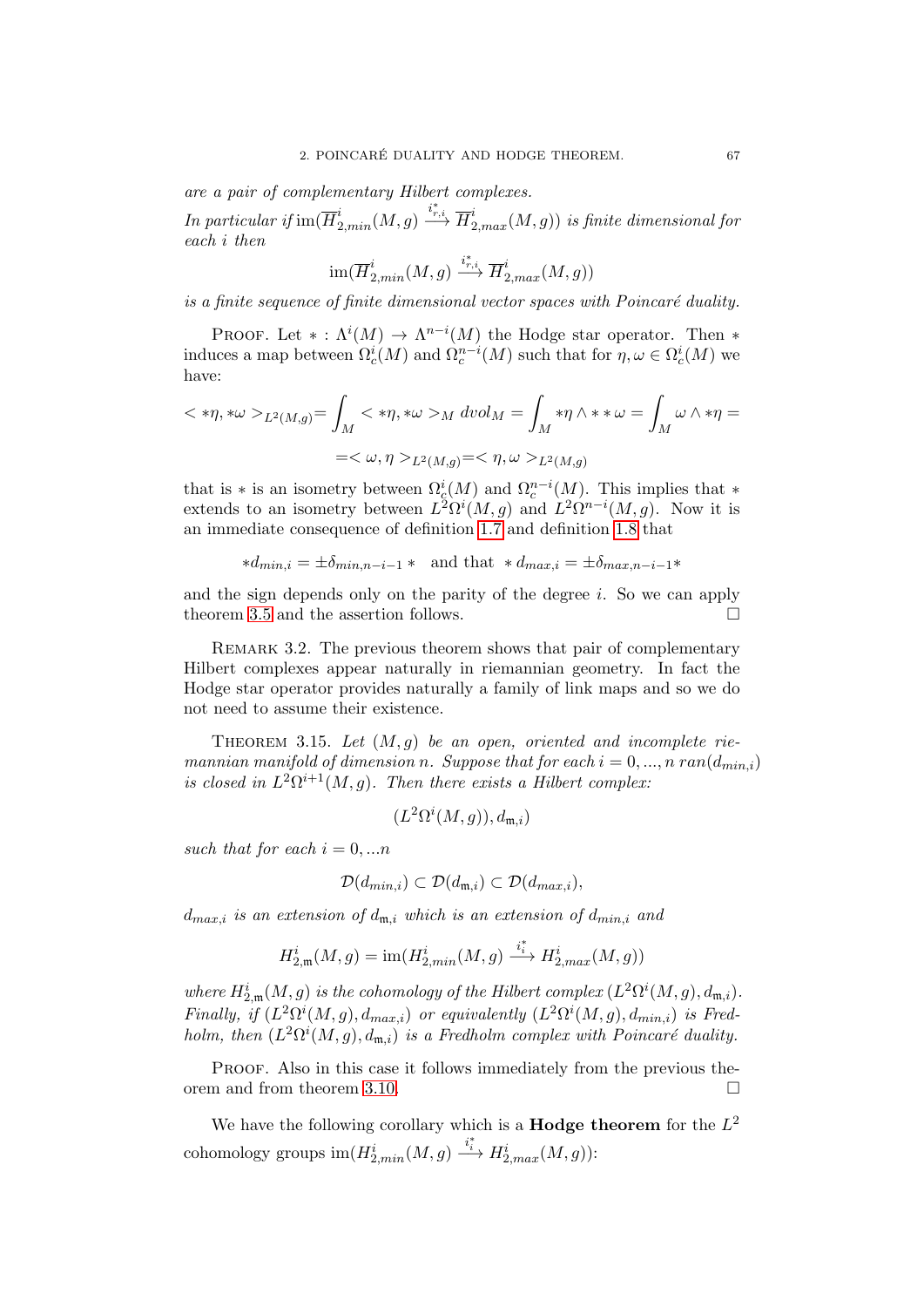are a pair of complementary Hilbert complexes.

In particular if  $\operatorname{im}(\overline{H}^i_{2, min}(M,g) \xrightarrow{i_{r,i}^*}\overline{H}^i_{2, max}(M,g))$  is finite dimensional for each i then

$$
\operatorname{im}(\overline{H}^i_{2, min}(M,g) \xrightarrow{i^*_{r,i}} \overline{H}^i_{2, max}(M,g))
$$

is a finite sequence of finite dimensional vector spaces with  $Poincaré$  duality.

PROOF. Let  $* : \Lambda^{i}(M) \to \Lambda^{n-i}(M)$  the Hodge star operator. Then  $*$ induces a map between  $\Omega_c^i(M)$  and  $\Omega_c^{n-i}(M)$  such that for  $\eta, \omega \in \Omega_c^i(M)$  we have:

$$
\langle \ast \eta, \ast \omega \rangle_{L^2(M, g)} = \int_M \langle \ast \eta, \ast \omega \rangle_M \, dvol_M = \int_M \ast \eta \wedge \ast \ast \omega = \int_M \omega \wedge \ast \eta =
$$
  
= $\langle \omega, \eta \rangle_{L^2(M, g)} = \langle \eta, \omega \rangle_{L^2(M, g)}$ 

that is  $*$  is an isometry between  $\Omega_c^i(M)$  and  $\Omega_c^{n-i}(M)$ . This implies that  $*$ extends to an isometry between  $L^2\Omega^i(M,g)$  and  $L^2\Omega^{n-i}(M,g)$ . Now it is an immediate consequence of definition [1.7](#page-18-0) and definition [1.8](#page-18-1) that

$$
*d_{min,i} = \pm \delta_{min,n-i-1} *
$$
 and that  $*d_{max,i} = \pm \delta_{max,n-i-1} *$ 

and the sign depends only on the parity of the degree  $i$ . So we can apply theorem [3.5](#page-58-0) and the assertion follows.

REMARK 3.2. The previous theorem shows that pair of complementary Hilbert complexes appear naturally in riemannian geometry. In fact the Hodge star operator provides naturally a family of link maps and so we do not need to assume their existence.

<span id="page-66-0"></span>THEOREM 3.15. Let  $(M, g)$  be an open, oriented and incomplete riemannian manifold of dimension n. Suppose that for each  $i = 0, ..., n$  ran $(d_{min,i})$ is closed in  $L^2\Omega^{i+1}(M,g)$ . Then there exists a Hilbert complex:

$$
(L^2\Omega^i(M,g)),d_{\mathfrak{m},i})
$$

such that for each  $i = 0, \ldots n$ 

$$
\mathcal{D}(d_{min,i}) \subset \mathcal{D}(d_{\mathfrak{m},i}) \subset \mathcal{D}(d_{max,i}),
$$

 $d_{max,i}$  is an extension of  $d_{m,i}$  which is an extension of  $d_{min,i}$  and

$$
H_{2,\mathfrak{m}}^i(M,g)=\text{im}(H_{2,min}^i(M,g)\xrightarrow{i_i^*} H_{2,max}^i(M,g))
$$

where  $H_{2,\mathfrak{m}}^i(M,g)$  is the cohomology of the Hilbert complex  $(L^2\Omega^i(M,g), d_{\mathfrak{m},i}).$ Finally, if  $(L^2\Omega^i(M,g), d_{max,i})$  or equivalently  $(L^2\Omega^i(M,g), d_{min,i})$  is Fredholm, then  $(L^2\Omega^i(M,g), d_{\mathfrak{m},i})$  is a Fredholm complex with Poincaré duality.

PROOF. Also in this case it follows immediately from the previous theorem and from theorem [3.10.](#page-61-0)

We have the following corollary which is a **Hodge theorem** for the  $L^2$ cohomology groups  $\text{im}(H_{2,min}^i(M,g) \xrightarrow{i^*} H_{2,max}^i(M,g))$ :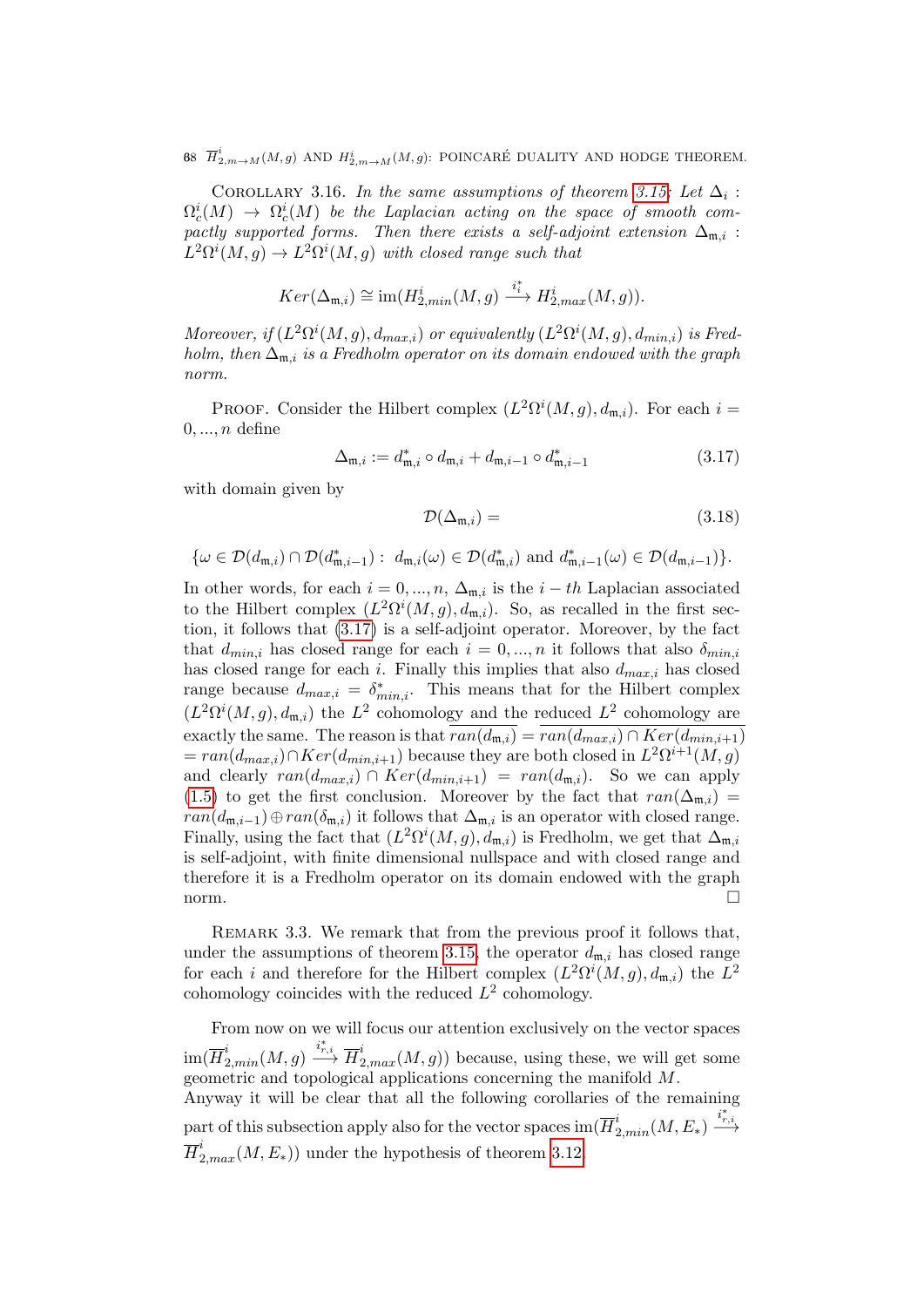68  $\overline{H}^i_{2,m\rightarrow M}(M,g)$  and  $H^i_{2,m\rightarrow M}(M,g)$ : POINCARÉ DUALITY AND HODGE THEOREM.

<span id="page-67-1"></span>COROLLARY 3.16. In the same assumptions of theorem [3.15;](#page-66-0) Let  $\Delta_i$ :  $\Omega^{i}_c(M) \ \to \ \Omega^{i}_c(M)$  be the Laplacian acting on the space of smooth compactly supported forms. Then there exists a self-adjoint extension  $\Delta_{m,i}$ :  $L^2\Omega^i(M,g) \to L^2\Omega^i(M,g)$  with closed range such that

$$
Ker(\Delta_{\mathfrak{m},i}) \cong \text{im}(H_{2,min}^i(M,g) \xrightarrow{i_i^*} H_{2,max}^i(M,g)).
$$

Moreover, if  $(L^2\Omega^i(M,g), d_{max,i})$  or equivalently  $(L^2\Omega^i(M,g), d_{min,i})$  is Fredholm, then  $\Delta_{m,i}$  is a Fredholm operator on its domain endowed with the graph norm.

PROOF. Consider the Hilbert complex  $(L^2\Omega^i(M,g), d_{\mathfrak{m},i})$ . For each  $i =$  $0, \ldots, n$  define

<span id="page-67-0"></span>
$$
\Delta_{\mathfrak{m},i} := d_{\mathfrak{m},i}^* \circ d_{\mathfrak{m},i} + d_{\mathfrak{m},i-1} \circ d_{\mathfrak{m},i-1}^* \tag{3.17}
$$

with domain given by

$$
\mathcal{D}(\Delta_{\mathfrak{m},i}) = (3.18)
$$

$$
\{\omega \in \mathcal{D}(d_{\mathfrak{m},i}) \cap \mathcal{D}(d_{\mathfrak{m},i-1}^*) : d_{\mathfrak{m},i}(\omega) \in \mathcal{D}(d_{\mathfrak{m},i}^*) \text{ and } d_{\mathfrak{m},i-1}^*(\omega) \in \mathcal{D}(d_{\mathfrak{m},i-1})\}.
$$

In other words, for each  $i = 0, ..., n$ ,  $\Delta_{m,i}$  is the  $i - th$  Laplacian associated to the Hilbert complex  $(L^2\Omega^i(M,g), d_{\mathfrak{m},i})$ . So, as recalled in the first section, it follows that [\(3.17\)](#page-67-0) is a self-adjoint operator. Moreover, by the fact that  $d_{min,i}$  has closed range for each  $i = 0, ..., n$  it follows that also  $\delta_{min,i}$ has closed range for each i. Finally this implies that also  $d_{max,i}$  has closed range because  $d_{max,i} = \delta^*_{min,i}$ . This means that for the Hilbert complex  $(L^2\Omega^i(M,g), d_{\mathfrak{m},i})$  the  $L^2$  cohomology and the reduced  $L^2$  cohomology are exactly the same. The reason is that  $\overline{ran(d_{m,i})} = \overline{ran(d_{max,i}) \cap Ker(d_{min,i+1})}$  $= ran(d_{max,i}) \cap Ker(d_{min,i+1})$  because they are both closed in  $L^2\Omega^{i+1}(M, g)$ and clearly  $ran(d_{max,i}) \cap Ker(d_{min,i+1}) = ran(d_{m,i})$ . So we can apply [\(1.5\)](#page-17-2) to get the first conclusion. Moreover by the fact that  $ran(\Delta_{m,i})$  =  $ran(d_{m,i-1}) \oplus ran(\delta_{m,i})$  it follows that  $\Delta_{m,i}$  is an operator with closed range. Finally, using the fact that  $(L^2 \Omega^i(M, g), d_{m,i})$  is Fredholm, we get that  $\Delta_{m,i}$ is self-adjoint, with finite dimensional nullspace and with closed range and therefore it is a Fredholm operator on its domain endowed with the graph norm.

Remark 3.3. We remark that from the previous proof it follows that, under the assumptions of theorem [3.15,](#page-66-0) the operator  $d_{m,i}$  has closed range for each i and therefore for the Hilbert complex  $(L^2\Omega^i(M,g), d_{\mathfrak{m},i})$  the  $L^2$ cohomology coincides with the reduced  $L^2$  cohomology.

From now on we will focus our attention exclusively on the vector spaces  $\dim(\overline{H}_{2,min}^i(M,g) \xrightarrow{i_{r,i}^*} \overline{H}_{2,max}^i(M,g))$  because, using these, we will get some geometric and topological applications concerning the manifold M. Anyway it will be clear that all the following corollaries of the remaining part of this subsection apply also for the vector spaces  $\text{im}(\overline{H}^i_{2, min}(M, E_*) \xrightarrow{i_{r,i}^*}$ 

 $\overline{H}_{2,max}^i(M, E_*)$  under the hypothesis of theorem [3.12.](#page-64-1)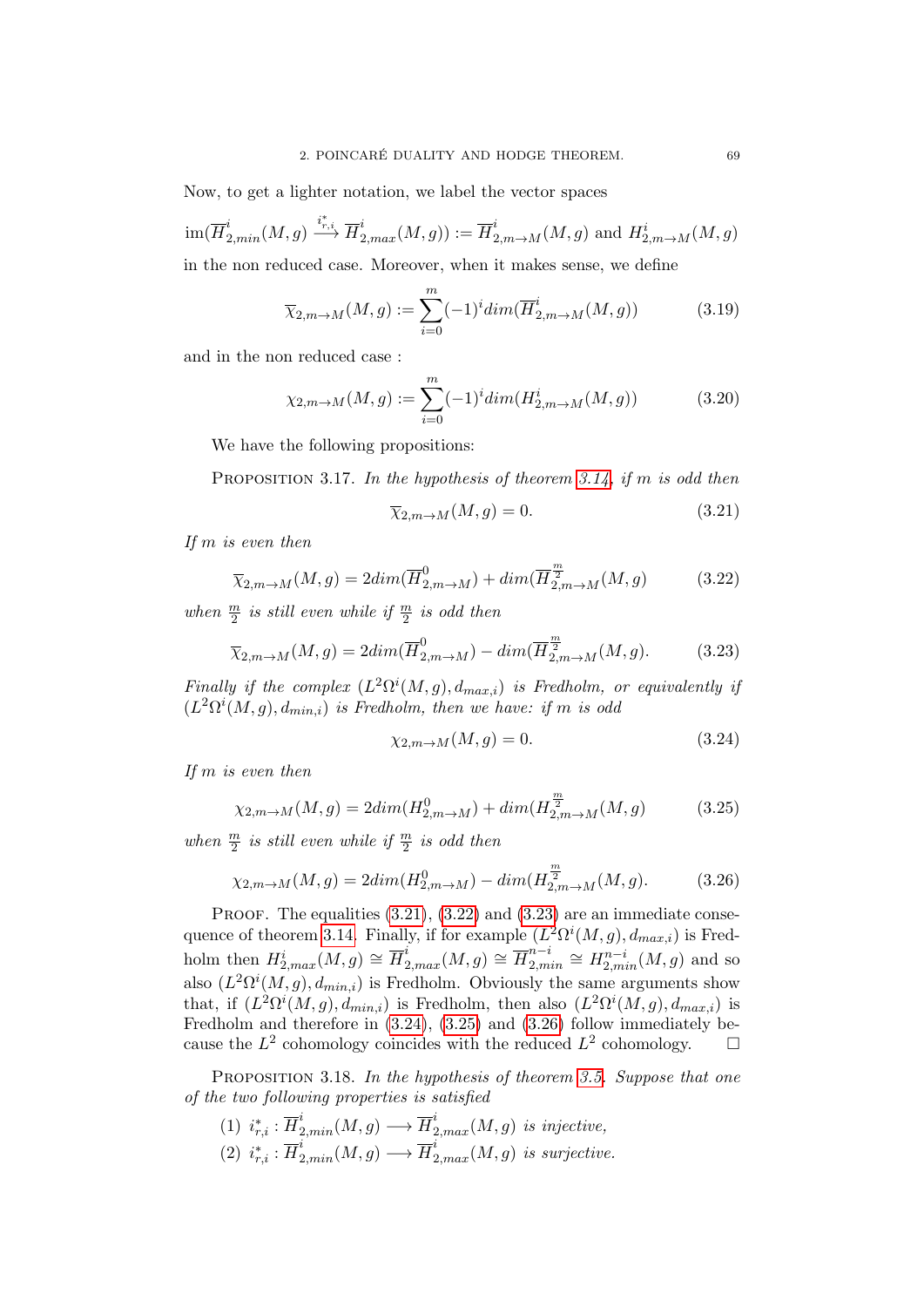Now, to get a lighter notation, we label the vector spaces

$$
\operatorname{im}(\overline{H}^i_{2,min}(M,g) \xrightarrow{i^*_{r,i}} \overline{H}^i_{2,max}(M,g)) := \overline{H}^i_{2,m \to M}(M,g) \text{ and } H^i_{2,m \to M}(M,g)
$$

in the non reduced case. Moreover, when it makes sense, we define

$$
\overline{\chi}_{2,m \to M}(M,g) := \sum_{i=0}^{m} (-1)^i \dim(\overline{H}_{2,m \to M}^i(M,g)) \tag{3.19}
$$

and in the non reduced case :

$$
\chi_{2,m \to M}(M,g) := \sum_{i=0}^{m} (-1)^{i} dim(H_{2,m \to M}^{i}(M,g))
$$
 (3.20)

We have the following propositions:

PROPOSITION 3.17. In the hypothesis of theorem [3.14,](#page-65-0) if m is odd then

<span id="page-68-0"></span>
$$
\overline{\chi}_{2,m \to M}(M,g) = 0. \tag{3.21}
$$

If m is even then

<span id="page-68-1"></span>
$$
\overline{\chi}_{2,m \to M}(M,g) = 2dim(\overline{H}_{2,m \to M}^{0}) + dim(\overline{H}_{2,m \to M}^{\frac{m}{2}}(M,g)
$$
(3.22)

when  $\frac{m}{2}$  is still even while if  $\frac{m}{2}$  is odd then

<span id="page-68-2"></span>
$$
\overline{\chi}_{2,m \to M}(M,g) = 2dim(\overline{H}_{2,m \to M}^{0}) - dim(\overline{H}_{2,m \to M}^{\frac{m}{2}}(M,g). \tag{3.23}
$$

Finally if the complex  $(L^2\Omega^i(M,g), d_{max,i})$  is Fredholm, or equivalently if  $(L^2\Omega^i(M,g), d_{min,i})$  is Fredholm, then we have: if m is odd

<span id="page-68-3"></span>
$$
\chi_{2,m \to M}(M,g) = 0. \tag{3.24}
$$

If m is even then

<span id="page-68-4"></span>
$$
\chi_{2,m \to M}(M,g) = 2dim(H_{2,m \to M}^{0}) + dim(H_{2,m \to M}^{\frac{m}{2}}(M,g)
$$
(3.25)

when  $\frac{m}{2}$  is still even while if  $\frac{m}{2}$  is odd then

<span id="page-68-5"></span>
$$
\chi_{2,m \to M}(M,g) = 2dim(H_{2,m \to M}^{0}) - dim(H_{2,m \to M}^{\frac{m}{2}}(M,g). \tag{3.26}
$$

PROOF. The equalities  $(3.21)$ ,  $(3.22)$  and  $(3.23)$  are an immediate conse-quence of theorem [3.14.](#page-65-0) Finally, if for example  $(L^2\Omega^i(M,g), d_{max,i})$  is Fredholm then  $H_{2,max}^i(M, g) \cong \overline{H}_{2,max}^i(M, g) \cong \overline{H}_{2,m}^{n-i}$  $u_{2,min}^{n-i} \cong H_{2,min}^{n-i}(M,g)$  and so also  $(L^2\Omega^i(M,g), d_{min,i})$  is Fredholm. Obviously the same arguments show that, if  $(L^2\Omega^i(M,g), d_{min,i})$  is Fredholm, then also  $(L^2\Omega^i(M,g), d_{max,i})$  is Fredholm and therefore in  $(3.24)$ ,  $(3.25)$  and  $(3.26)$  follow immediately because the  $L^2$  cohomology coincides with the reduced  $L^2$  cohomology.  $\square$ 

PROPOSITION 3.18. In the hypothesis of theorem [3.5.](#page-58-0) Suppose that one of the two following properties is satisfied

(1)  $i_{r,i}^* : \overline{H}_{2,min}^i(M,g) \longrightarrow \overline{H}_{2,max}^i(M,g)$  is injective, (2)  $i_{r,i}^* : \overline{H}_{2,min}^i(M,g) \longrightarrow \overline{H}_{2,max}^i(M,g)$  is surjective.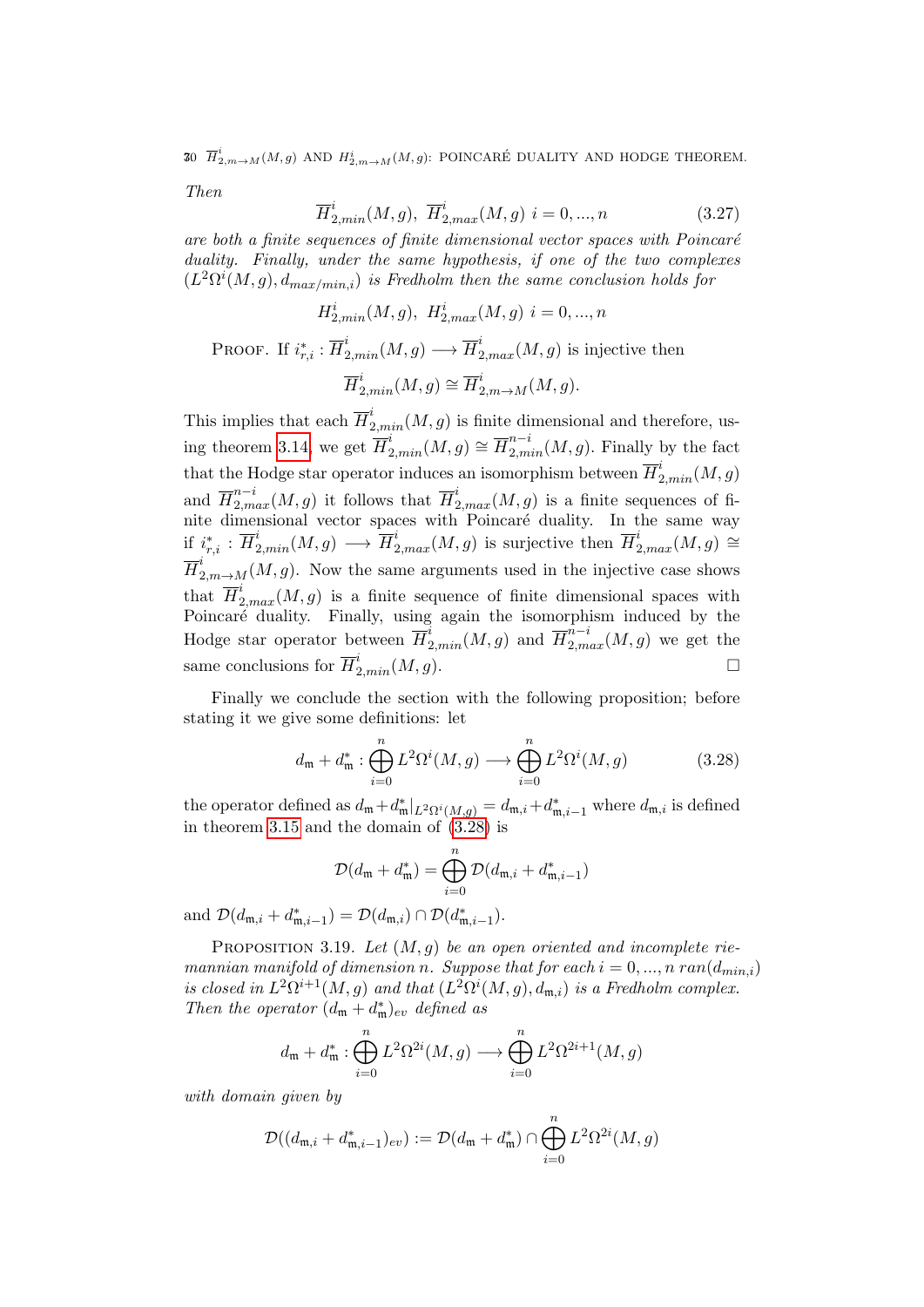30  $\overline{H}^i_{2,m \to M}(M,g)$  and  $H^i_{2,m \to M}(M,g)$ : POINCARÉ DUALITY AND HODGE THEOREM.

Then

$$
\overline{H}_{2,min}^{i}(M,g), \ \overline{H}_{2,max}^{i}(M,g) \ i = 0, ..., n \tag{3.27}
$$

are both a finite sequences of finite dimensional vector spaces with Poincaré duality. Finally, under the same hypothesis, if one of the two complexes  $(L^2\Omega^i(M,g), d_{max/min,i})$  is Fredholm then the same conclusion holds for

$$
H_{2,min}^{i}(M,g), H_{2,max}^{i}(M,g) i = 0, ..., n
$$
  
PROOF. If  $i_{r,i}^{*}: \overline{H}_{2,min}^{i}(M,g) \longrightarrow \overline{H}_{2,max}^{i}(M,g)$  is injective then  

$$
\overline{H}_{2,min}^{i}(M,g) \cong \overline{H}_{2,m \to M}^{i}(M,g).
$$

This implies that each  $\overline{H}_{2,min}^{i}(M,g)$  is finite dimensional and therefore, us-ing theorem [3.14,](#page-65-0) we get  $\overline{H}_{2,min}^i(M,g) \cong \overline{H}_{2,min}^{n-i}(M,g)$ . Finally by the fact that the Hodge star operator induces an isomorphism between  $\overline{H}^i_{2, min}(M, g)$ and  $\overline{H}_{2,max}^{n-i}(M,g)$  it follows that  $\overline{H}_{2,max}^{i}(M,g)$  is a finite sequences of finite dimensional vector spaces with Poincaré duality. In the same way if  $i_{r,i}^* : \overline{H}_{2,min}^i(M,g) \longrightarrow \overline{H}_{2,max}^i(M,g)$  is surjective then  $\overline{H}_{2,max}^i(M,g) \cong$  $\overline{H}_{2,m\rightarrow M}^{i}(M,g)$ . Now the same arguments used in the injective case shows that  $\overline{H}_{2,max}^i(M,g)$  is a finite sequence of finite dimensional spaces with Poincaré duality. Finally, using again the isomorphism induced by the Hodge star operator between  $\overline{H}_{2,min}^i(M,g)$  and  $\overline{H}_{2,max}^{\overline{n}-i}(M,g)$  we get the same conclusions for  $\overline{H}^i_{2, min}(M, g)$ .

Finally we conclude the section with the following proposition; before stating it we give some definitions: let

<span id="page-69-0"></span>
$$
d_{\mathfrak{m}} + d_{\mathfrak{m}}^* : \bigoplus_{i=0}^n L^2 \Omega^i(M, g) \longrightarrow \bigoplus_{i=0}^n L^2 \Omega^i(M, g) \tag{3.28}
$$

the operator defined as  $d_{\mathfrak{m}} + d_{\mathfrak{m}}^*|_{L^2\Omega^i(M,g)} = d_{\mathfrak{m},i} + d_{\mathfrak{m},i-1}^*$  where  $d_{\mathfrak{m},i}$  is defined in theorem [3.15](#page-66-0) and the domain of [\(3.28\)](#page-69-0) is

$$
\mathcal{D}(d_{\mathfrak{m}}+d_{\mathfrak{m}}^*)=\bigoplus_{i=0}^n\mathcal{D}(d_{\mathfrak{m},i}+d_{\mathfrak{m},i-1}^*)
$$

and  $\mathcal{D}(d_{\mathfrak{m},i} + d_{\mathfrak{m},i-1}^*) = \mathcal{D}(d_{\mathfrak{m},i}) \cap \mathcal{D}(d_{\mathfrak{m},i-1}^*)$ .

PROPOSITION 3.19. Let  $(M, q)$  be an open oriented and incomplete riemannian manifold of dimension n. Suppose that for each  $i = 0, ..., n$  ran $(d_{min,i})$ is closed in  $L^2\Omega^{i+1}(M,g)$  and that  $(L^2\Omega^i(M,g), d_{\mathfrak{m},i})$  is a Fredholm complex. Then the operator  $(d_{\mathfrak{m}} + d_{\mathfrak{m}}^*)_{ev}$  defined as

$$
d_{\mathfrak{m}} + d_{\mathfrak{m}}^* : \bigoplus_{i=0}^n L^2 \Omega^{2i}(M, g) \longrightarrow \bigoplus_{i=0}^n L^2 \Omega^{2i+1}(M, g)
$$

with domain given by

$$
\mathcal{D}((d_{\mathfrak{m},i} + d_{\mathfrak{m},i-1}^*)_{ev}) := \mathcal{D}(d_{\mathfrak{m}} + d_{\mathfrak{m}}^*) \cap \bigoplus_{i=0}^n L^2 \Omega^{2i}(M,g)
$$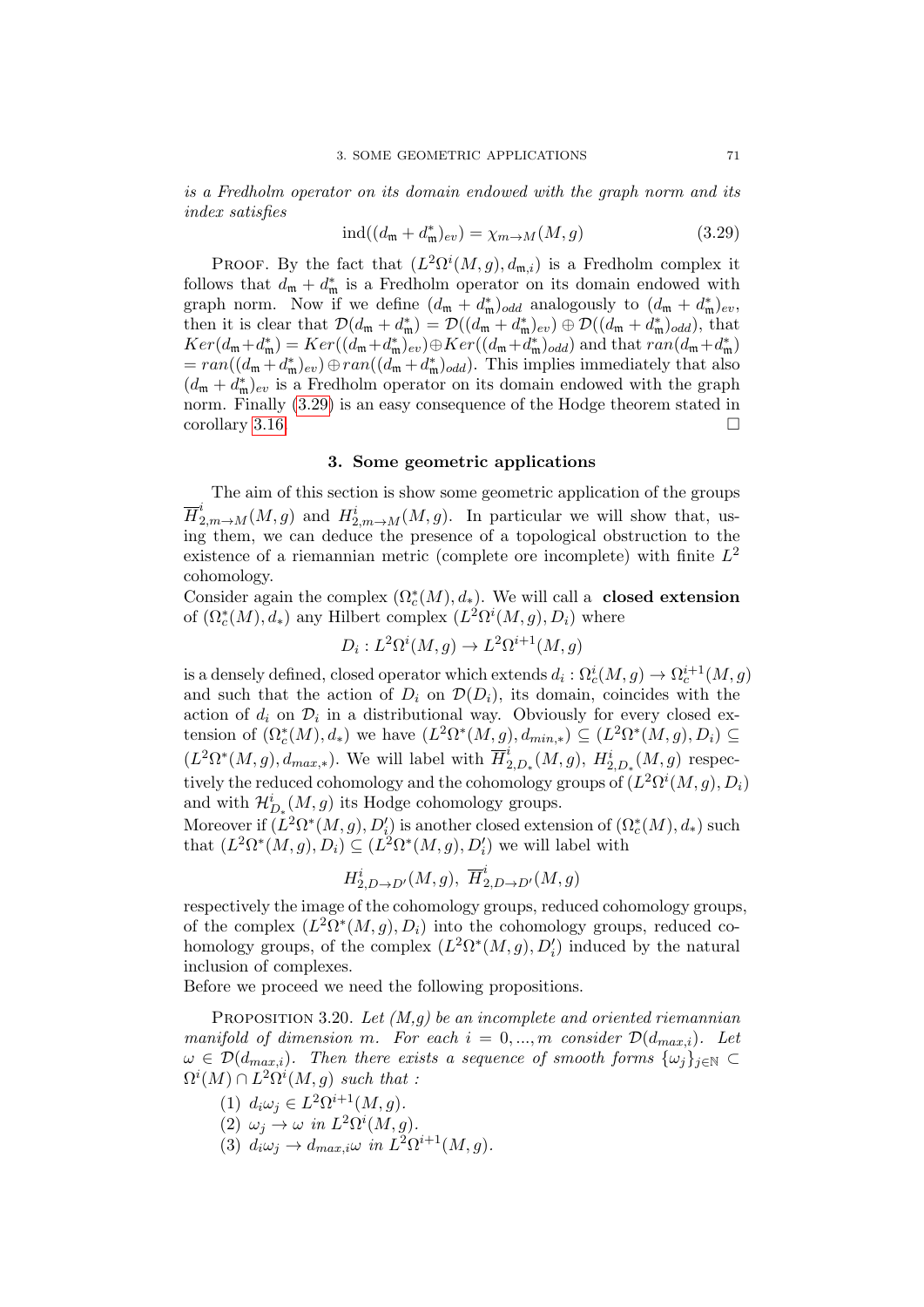is a Fredholm operator on its domain endowed with the graph norm and its index satisfies

<span id="page-70-0"></span>
$$
\text{ind}((d_{\mathfrak{m}} + d_{\mathfrak{m}}^*)_{ev}) = \chi_{m \to M}(M, g) \tag{3.29}
$$

PROOF. By the fact that  $(L^2\Omega^i(M,g), d_{\mathfrak{m},i})$  is a Fredholm complex it follows that  $d_{\mathfrak{m}} + d_{\mathfrak{m}}^*$  is a Fredholm operator on its domain endowed with graph norm. Now if we define  $(d_m + d_m^*)_{odd}$  analogously to  $(d_m + d_m^*)_{ev}$ , then it is clear that  $\mathcal{D}(d_{\mathfrak{m}}+d_{\mathfrak{m}}^*)=\mathcal{D}((d_{\mathfrak{m}}+d_{\mathfrak{m}}^*)_{ev})\oplus \mathcal{D}((d_{\mathfrak{m}}+d_{\mathfrak{m}}^*)_{odd}),$  that  $Ker(d_{\mathfrak{m}}+d_{\mathfrak{m}}^*)=Ker((d_{\mathfrak{m}}+d_{\mathfrak{m}}^*)_{ev})\oplus Ker((d_{\mathfrak{m}}+d_{\mathfrak{m}}^*)_{odd})$  and that  $ran(d_{\mathfrak{m}}+d_{\mathfrak{m}}^*)$  $= ran((d_{\mathfrak{m}}+d_{\mathfrak{m}}^*)_{ev})\oplus ran((d_{\mathfrak{m}}+d_{\mathfrak{m}}^*)_{odd})$ . This implies immediately that also  $(d_{\mathfrak{m}} + d_{\mathfrak{m}}^*)_{ev}$  is a Fredholm operator on its domain endowed with the graph norm. Finally [\(3.29\)](#page-70-0) is an easy consequence of the Hodge theorem stated in corollary [3.16.](#page-67-1)

### 3. Some geometric applications

The aim of this section is show some geometric application of the groups  $\overline{H}^i_{2,m\to M}(M,g)$  and  $H^i_{2,m\to M}(M,g)$ . In particular we will show that, using them, we can deduce the presence of a topological obstruction to the existence of a riemannian metric (complete ore incomplete) with finite  $L^2$ cohomology.

Consider again the complex  $(\Omega_c^*(M), d_*)$ . We will call a **closed extension** of  $(\Omega_c^*(M), d_*)$  any Hilbert complex  $(L^2\Omega^i(M, g), D_i)$  where

$$
D_i: L^2\Omega^i(M,g) \to L^2\Omega^{i+1}(M,g)
$$

is a densely defined, closed operator which extends  $d_i: \Omega^i_c(M, g) \to \Omega^{i+1}_c(M, g)$ and such that the action of  $D_i$  on  $\mathcal{D}(D_i)$ , its domain, coincides with the action of  $d_i$  on  $\mathcal{D}_i$  in a distributional way. Obviously for every closed extension of  $(\Omega_c^*(M), d_*)$  we have  $(L^2\Omega^*(M, g), d_{min,*}) \subseteq (L^2\Omega^*(M, g), D_i) \subseteq$  $(L^2\Omega^*(M,g), d_{max,*})$ . We will label with  $\overline{H}_2^i$  $L_{2,D_*}^i(M,g), H_{2,D_*}^i(M,g)$  respectively the reduced cohomology and the cohomology groups of  $(L^2 \Omega^i(M,g), D_i)$ and with  $\mathcal{H}_{D_*}^i(M, g)$  its Hodge cohomology groups.

Moreover if  $(L^2\Omega^*(M,g), D'_i)$  is another closed extension of  $(\Omega_c^*(M), d_*)$  such that  $(L^2\Omega^*(M,g), D_i) \subseteq (L^2\Omega^*(M,g), D_i')$  we will label with

$$
H_{2,D\rightarrow D'}^{i}(M,g),\ \overline{H}_{2,D\rightarrow D'}^{i}(M,g)
$$

respectively the image of the cohomology groups, reduced cohomology groups, of the complex  $(L^2\Omega^*(M,g), D_i)$  into the cohomology groups, reduced cohomology groups, of the complex  $(L^2\Omega^*(M,g), D_i')$  induced by the natural inclusion of complexes.

Before we proceed we need the following propositions.

PROPOSITION 3.20. Let  $(M, q)$  be an incomplete and oriented riemannian manifold of dimension m. For each  $i = 0, ..., m$  consider  $\mathcal{D}(d_{max,i})$ . Let  $\omega \in \mathcal{D}(d_{max,i})$ . Then there exists a sequence of smooth forms  $\{\omega_i\}_{i\in\mathbb{N}}$  $\Omega^{i}(M) \cap L^{2}\Omega^{i}(M,g)$  such that :

- (1)  $d_i \omega_j \in L^2 \Omega^{i+1}(M, g)$ .
- (2)  $\omega_j \to \omega$  in  $L^2\Omega^i(M, g)$ .
- <span id="page-70-1"></span>(3)  $d_i \omega_j \rightarrow d_{max,i} \omega$  in  $L^2 \Omega^{i+1}(M, g)$ .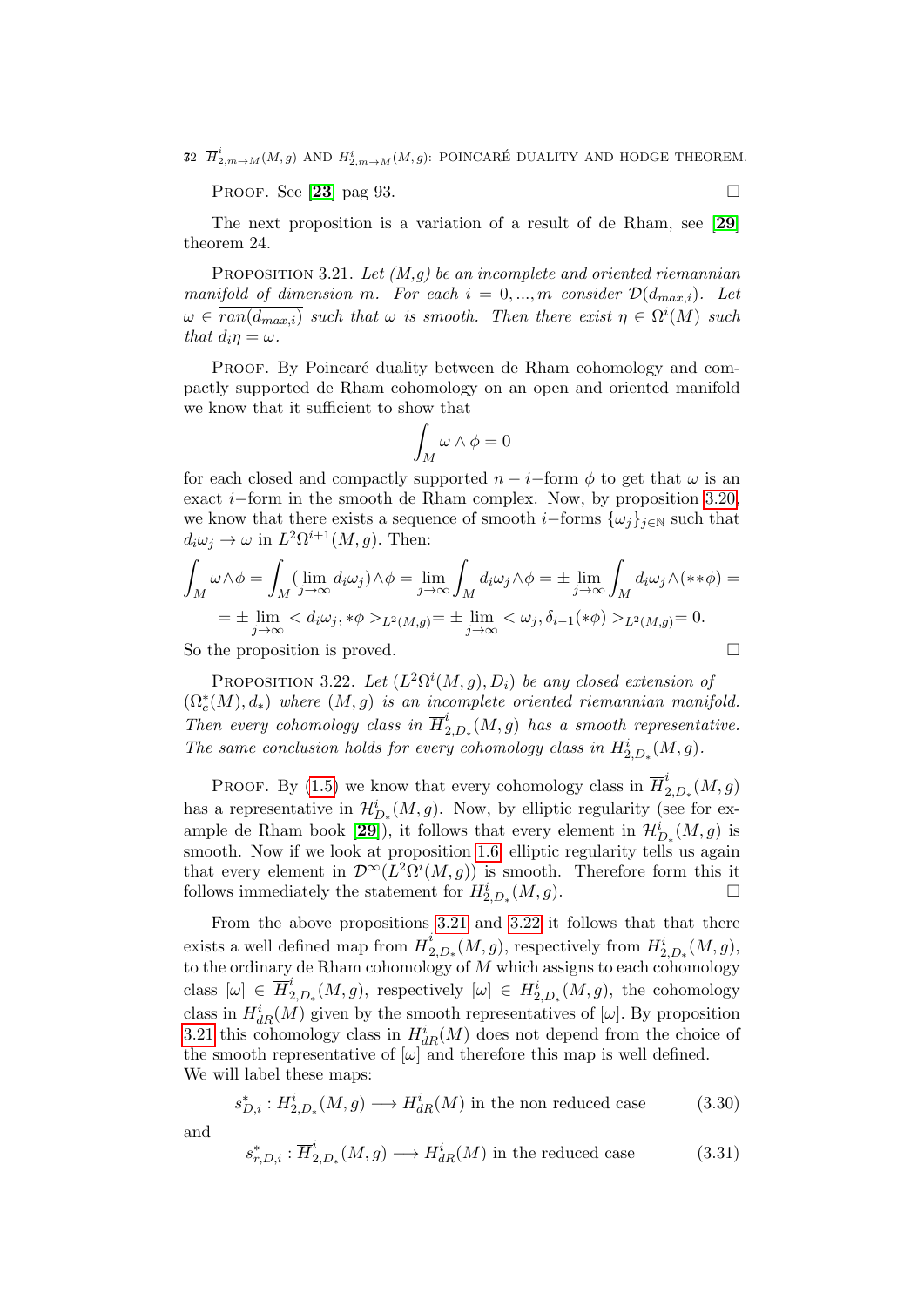32  $\overline{H}^i_{2,m \to M}(M,g)$  and  $H^i_{2,m \to M}(M,g)$ : POINCARÉ DUALITY AND HODGE THEOREM.

PROOF. See [[23](#page-136-0)] pag 93.

The next proposition is a variation of a result of de Rham, see [[29](#page-137-1)] theorem 24.

<span id="page-71-0"></span>PROPOSITION 3.21. Let  $(M, q)$  be an incomplete and oriented riemannian manifold of dimension m. For each  $i = 0, ..., m$  consider  $\mathcal{D}(d_{max,i})$ . Let  $\omega \in \overline{ran(d_{max,i})}$  such that  $\omega$  is smooth. Then there exist  $\eta \in \Omega^{i}(M)$  such that  $d_i \eta = \omega$ .

PROOF. By Poincaré duality between de Rham cohomology and compactly supported de Rham cohomology on an open and oriented manifold we know that it sufficient to show that

$$
\int_M \omega \wedge \phi = 0
$$

for each closed and compactly supported  $n - i$ -form  $\phi$  to get that  $\omega$  is an exact i−form in the smooth de Rham complex. Now, by proposition [3.20,](#page-70-1) we know that there exists a sequence of smooth *i*–forms  $\{\omega_i\}_{i\in\mathbb{N}}$  such that  $d_i\omega_j \to \omega$  in  $L^2\Omega^{i+1}(M,g)$ . Then:

$$
\int_M \omega \wedge \phi = \int_M (\lim_{j \to \infty} d_i \omega_j) \wedge \phi = \lim_{j \to \infty} \int_M d_i \omega_j \wedge \phi = \pm \lim_{j \to \infty} \int_M d_i \omega_j \wedge (\ast \ast \phi) =
$$
\n
$$
= \pm \lim_{j \to \infty} \langle d_i \omega_j, \ast \phi \rangle_{L^2(M, g)} = \pm \lim_{j \to \infty} \langle \omega_j, \delta_{i-1}(\ast \phi) \rangle_{L^2(M, g)} = 0.
$$

So the proposition is proved.

and

<span id="page-71-1"></span>PROPOSITION 3.22. Let  $(L^2\Omega^i(M,g), D_i)$  be any closed extension of  $(\Omega_c^*(M), d_*)$  where  $(M, g)$  is an incomplete oriented riemannian manifold. Then every cohomology class in  $\overline{H}_2^i$  $\int_{2,D_*}^{L}(M,g)$  has a smooth representative. The same conclusion holds for every cohomology class in  $H^i_{2,D_*}(M,g)$ .

PROOF. By [\(1.5\)](#page-17-2) we know that every cohomology class in  $\overline{H}_2^i$  $\stackrel{\iota}{_{2,D}}_{\ast}(M,g)$ has a representative in  $\mathcal{H}^i_{D_*}(M,g)$ . Now, by elliptic regularity (see for ex-ample de Rham book [[29](#page-137-1)]), it follows that every element in  $\mathcal{H}_{D_*}^i(M, g)$  is smooth. Now if we look at proposition [1.6,](#page-17-4) elliptic regularity tells us again that every element in  $\mathcal{D}^{\infty}(L^2\Omega^i(M,g))$  is smooth. Therefore form this it follows immediately the statement for  $H_{2,D_*}^i(M, g)$ .

From the above propositions [3.21](#page-71-0) and [3.22](#page-71-1) it follows that that there exists a well defined map from  $\overline{H}_2^i$  $L_{2,D_*}^i(M,g)$ , respectively from  $H_{2,D_*}^i(M,g)$ , to the ordinary de Rham cohomology of  $M$  which assigns to each cohomology class  $[\omega] \in \overline{H}_2^i$ <sup>2</sup><sub>2,D<sup>\*</sup></sub>(*M*, *g*), respectively [ω] ∈  $H_{2,D}^i(M, g)$ , the cohomology class in  $H^i_{dR}(M)$  given by the smooth representatives of  $[\omega]$ . By proposition [3.21](#page-71-0) this cohomology class in  $H_{dR}^i(M)$  does not depend from the choice of the smooth representative of  $[\omega]$  and therefore this map is well defined. We will label these maps:

$$
s_{D,i}^* : H_{2,D_*}^i(M, g) \longrightarrow H_{dR}^i(M) \text{ in the non reduced case} \tag{3.30}
$$

$$
s_{r,D,i}^* : \overline{H}^i_{2,D*}(M,g) \longrightarrow H^i_{dR}(M) \text{ in the reduced case} \tag{3.31}
$$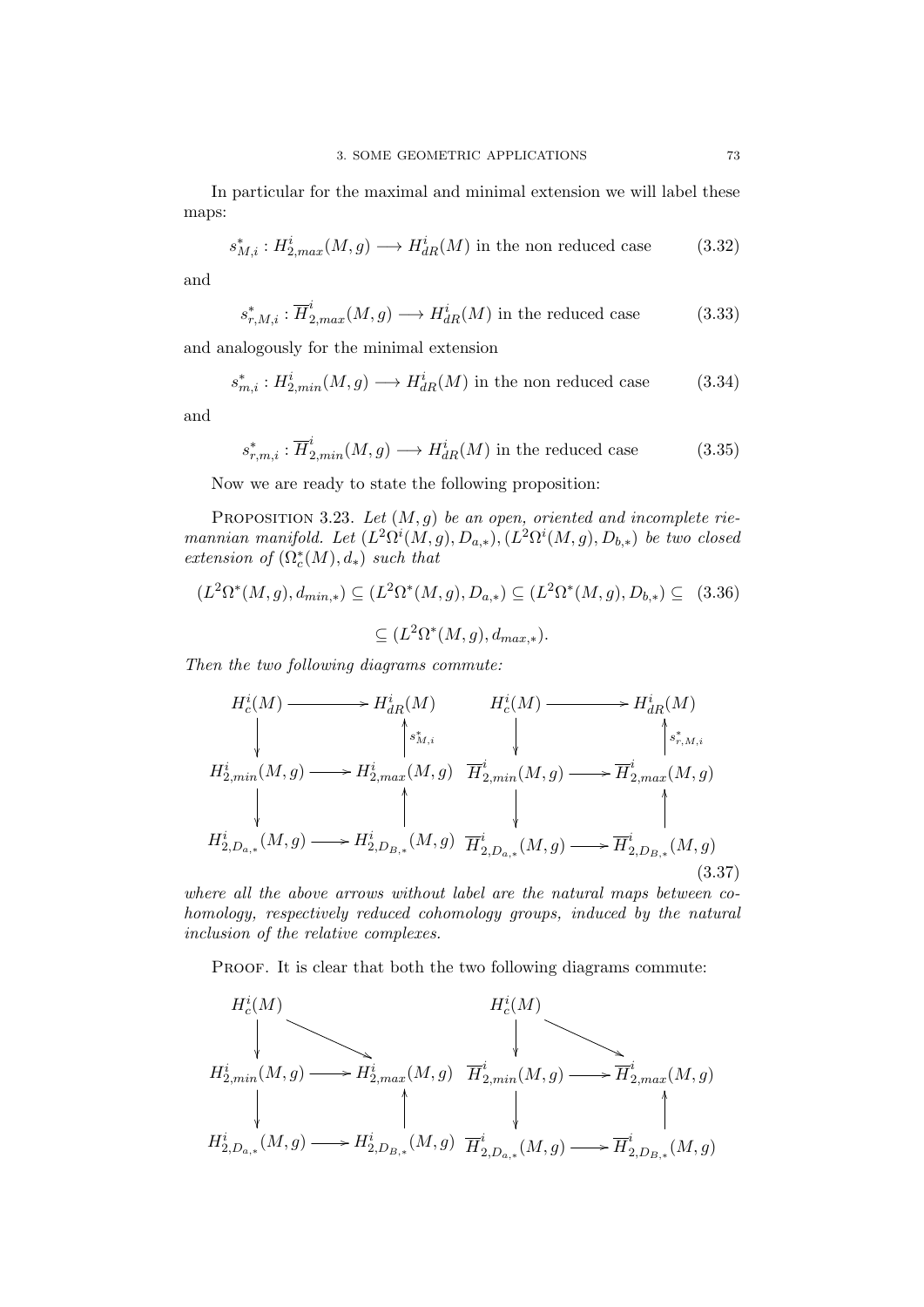In particular for the maximal and minimal extension we will label these maps:

$$
s_{M,i}^* : H^i_{2,max}(M,g) \longrightarrow H^i_{dR}(M) \text{ in the non reduced case} \tag{3.32}
$$

and

$$
s_{r,M,i}^* : \overline{H}^i_{2,max}(M,g) \longrightarrow H^i_{dR}(M) \text{ in the reduced case} \tag{3.33}
$$

and analogously for the minimal extension

$$
s_{m,i}^* : H^i_{2, min}(M, g) \longrightarrow H^i_{dR}(M) \text{ in the non reduced case} \tag{3.34}
$$

and

$$
s_{r,m,i}^* : \overline{H}^i_{2,min}(M,g) \longrightarrow H^i_{dR}(M) \text{ in the reduced case} \tag{3.35}
$$

Now we are ready to state the following proposition:

<span id="page-72-0"></span>PROPOSITION 3.23. Let  $(M, g)$  be an open, oriented and incomplete riemannian manifold. Let  $(L^2\Omega^i(M,g), D_{a,*}), (L^2\Omega^i(M,g), D_{b,*})$  be two closed extension of  $(\Omega_c^*(M), d_*)$  such that

$$
(L^2\Omega^*(M,g), d_{min,*}) \subseteq (L^2\Omega^*(M,g), D_{a,*}) \subseteq (L^2\Omega^*(M,g), D_{b,*}) \subseteq (3.36)
$$
  

$$
\subseteq (L^2\Omega^*(M,g), d_{max,*}).
$$

Then the two following diagrams commute:

$$
H_c^i(M) \longrightarrow H_{dR}^i(M) \qquad H_c^i(M) \longrightarrow H_{dR}^i(M)
$$
\n
$$
H_{2,min}^i(M,g) \longrightarrow H_{2,max}^i(M,g) \qquad \overrightarrow{H}_{2,min}^i(M,g) \longrightarrow \overrightarrow{H}_{2,max}^i(M,g)
$$
\n
$$
H_{2,D_{a,*}}^i(M,g) \longrightarrow H_{2,D_{B,*}}^i(M,g) \qquad \overrightarrow{H}_{2,D_{a,*}}^i(M,g) \longrightarrow \overrightarrow{H}_{2,D_{B,*}}^i(M,g)
$$
\n
$$
(3.37)
$$

where all the above arrows without label are the natural maps between cohomology, respectively reduced cohomology groups, induced by the natural inclusion of the relative complexes.

PROOF. It is clear that both the two following diagrams commute:

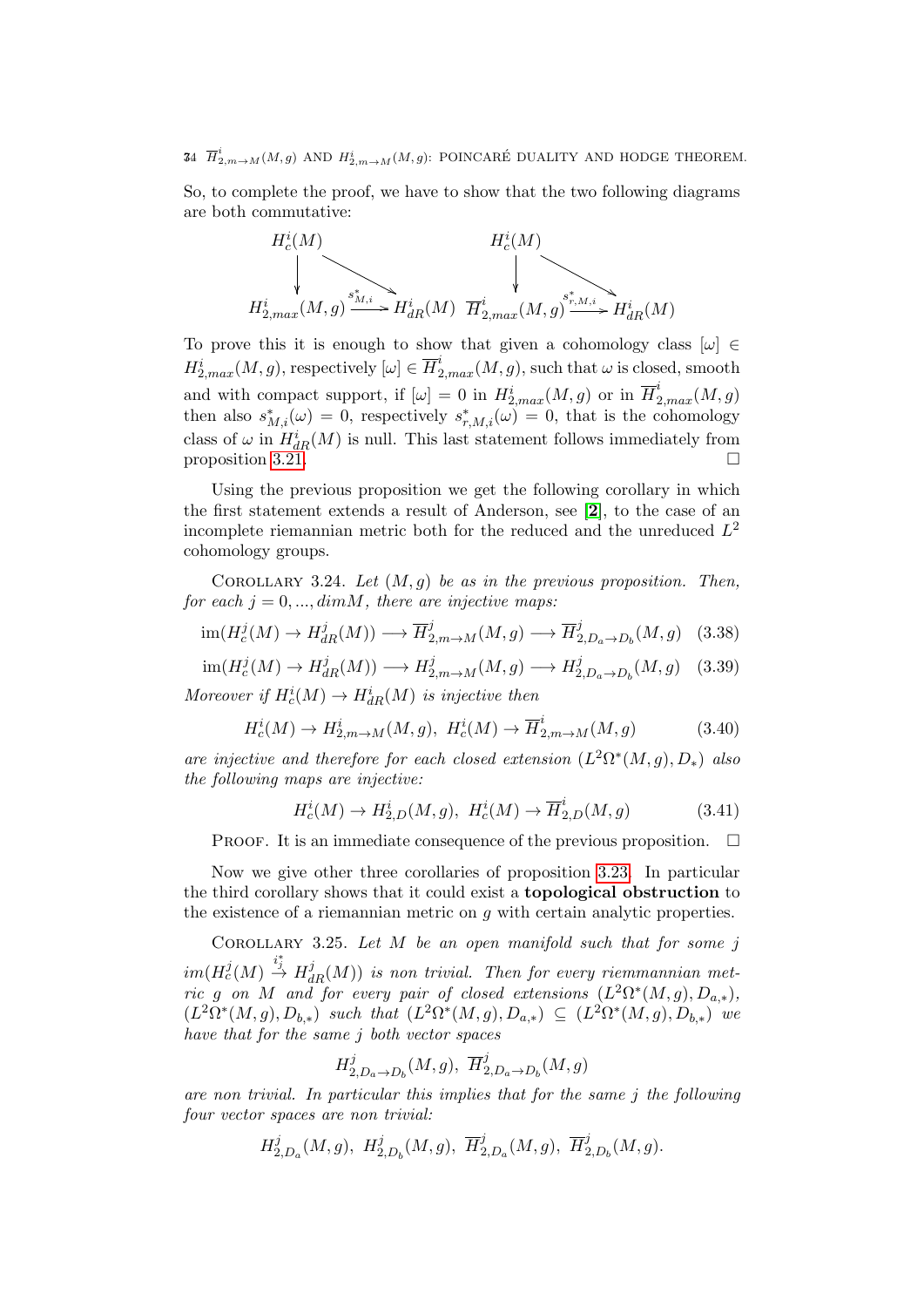34  $\overline{H}^i_{2,m \to M}(M,g)$  and  $H^i_{2,m \to M}(M,g)$ : POINCARÉ DUALITY AND HODGE THEOREM.

So, to complete the proof, we have to show that the two following diagrams are both commutative:



To prove this it is enough to show that given a cohomology class  $[\omega] \in$  $H_{2,max}^i(M, g)$ , respectively  $[\omega] \in \overline{H}_{2,max}^i(M, g)$ , such that  $\omega$  is closed, smooth and with compact support, if  $[\omega] = 0$  in  $H_{2,max}^i(M, g)$  or in  $\overline{H}_{2,max}^i(M, g)$ then also  $s_{M,i}^*(\omega) = 0$ , respectively  $s_{r,M,i}^*(\omega) = 0$ , that is the cohomology class of  $\omega$  in  $H_{dR}^i(M)$  is null. This last statement follows immediately from proposition [3.21.](#page-71-0)

Using the previous proposition we get the following corollary in which the first statement extends a result of Anderson, see [[2](#page-136-0)], to the case of an incomplete riemannian metric both for the reduced and the unreduced  $L^2$ cohomology groups.

<span id="page-73-0"></span>COROLLARY 3.24. Let  $(M, g)$  be as in the previous proposition. Then, for each  $j = 0, ..., dimM$ , there are injective maps:

$$
\operatorname{im}(H_c^j(M) \to H_{dR}^j(M)) \longrightarrow \overline{H}_{2,m \to M}^j(M,g) \longrightarrow \overline{H}_{2,D_a \to D_b}^j(M,g) \quad (3.38)
$$

 $\text{im}(H_c^j(M) \to H_{dR}^j(M)) \longrightarrow H_{2,m \to M}^j(M,g) \longrightarrow H_2^j$  $L_{2,D_a\to D_b}^{j}(M,g)$  (3.39) Moreover if  $H_c^i(M) \to H_{dR}^i(M)$  is injective then

$$
H_c^i(M) \to H_{2,m \to M}^i(M, g), \ H_c^i(M) \to \overline{H}_{2,m \to M}^i(M, g)
$$
 (3.40)

are injective and therefore for each closed extension  $(L^2\Omega^*(M,g), D_*)$  also the following maps are injective:

$$
H_c^i(M) \to H_{2,D}^i(M,g), \ H_c^i(M) \to \overline{H}_{2,D}^i(M,g) \tag{3.41}
$$

PROOF. It is an immediate consequence of the previous proposition.  $\Box$ 

Now we give other three corollaries of proposition [3.23.](#page-72-0) In particular the third corollary shows that it could exist a topological obstruction to the existence of a riemannian metric on  $g$  with certain analytic properties.

COROLLARY 3.25. Let  $M$  be an open manifold such that for some j  $\lim (H_c^j(M) \stackrel{i_j^*}{\to} H^j_{dR}(M))$  is non trivial. Then for every riemmannian metric g on M and for every pair of closed extensions  $(L^2\Omega^*(M,g), D_{a,*}),$  $(L^2\Omega^*(M,g), D_{b,*})$  such that  $(L^2\Omega^*(M,g), D_{a,*}) \subseteq (L^2\Omega^*(M,g), D_{b,*})$  we have that for the same j both vector spaces

$$
H_{2,D_a \to D_b}^j(M,g), \ \overline{H}_{2,D_a \to D_b}^j(M,g)
$$

are non trivial. In particular this implies that for the same j the following four vector spaces are non trivial:

$$
H_{2,D_a}^j(M,g), \ H_{2,D_b}^j(M,g), \ \overline{H}_{2,D_a}^j(M,g), \ \overline{H}_{2,D_b}^j(M,g).
$$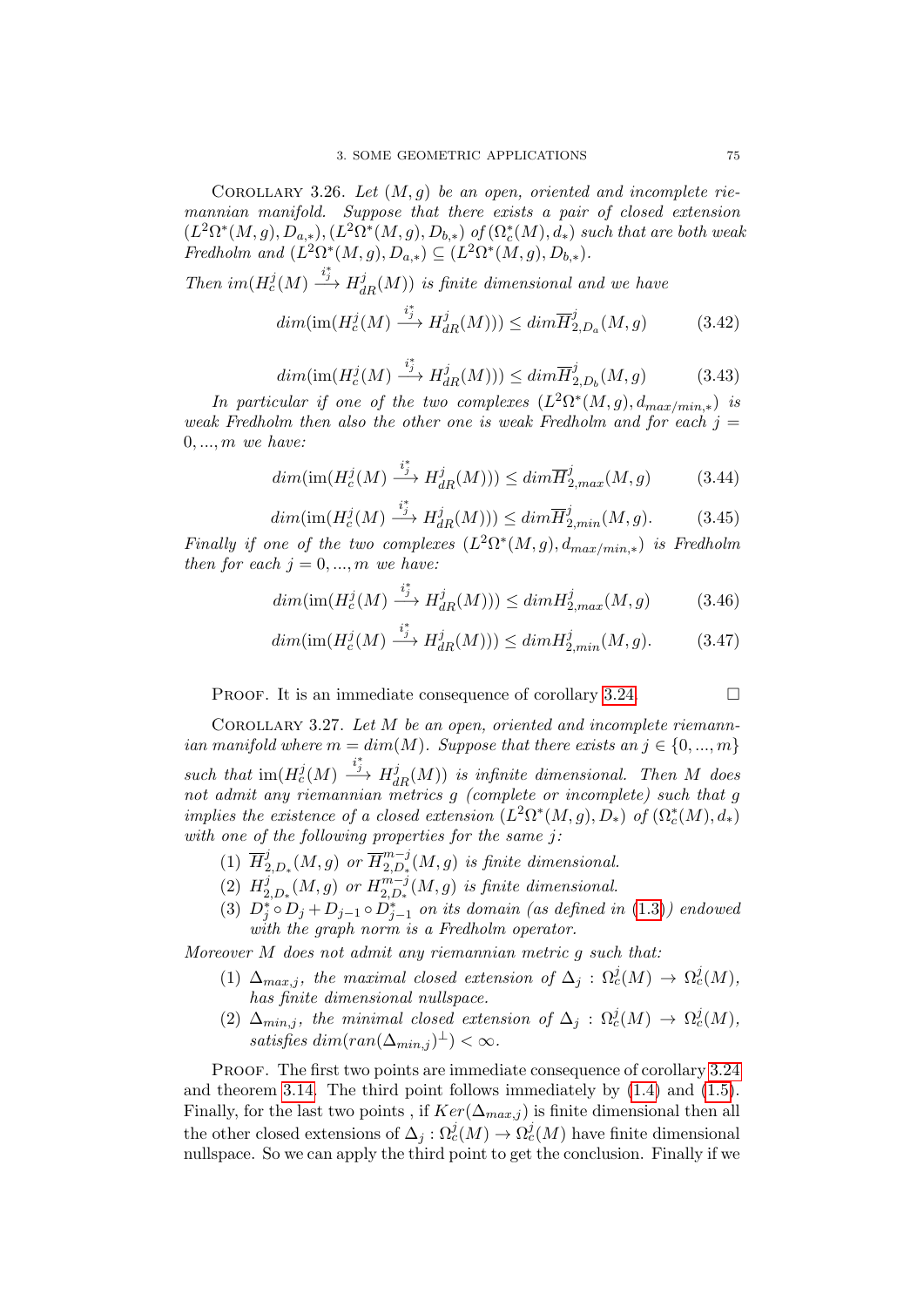COROLLARY 3.26. Let  $(M, q)$  be an open, oriented and incomplete riemannian manifold. Suppose that there exists a pair of closed extension  $(L^2\Omega^*(M,g), D_{a,*}), (L^2\Omega^*(M,g), D_{b,*})$  of  $(\Omega_c^*(M), d_*)$  such that are both weak Fredholm and  $(L^2\Omega^*(M,g), D_{a,*}) \subseteq (L^2\Omega^*(M,g), D_{b,*}).$ 

Then  $im(H_c^j(M) \xrightarrow{i_j^*} H_{dR}^j(M))$  is finite dimensional and we have

$$
dim(\text{im}(H_c^j(M) \xrightarrow{i_j^*} H_{dR}^j(M))) \leq dim \overline{H}_{2,D_a}^j(M,g) \tag{3.42}
$$

$$
\dim(\text{im}(H_c^j(M) \xrightarrow{i_j^*} H_{dR}^j(M))) \leq \dim \overline{H}_{2,D_b}^j(M,g) \tag{3.43}
$$

In particular if one of the two complexes  $(L^2\Omega^*(M,g), d_{max/min,*})$  is weak Fredholm then also the other one is weak Fredholm and for each  $i =$  $0, \ldots, m$  we have:

$$
dim(\text{im}(H_c^j(M) \xrightarrow{i_j^*} H_{dR}^j(M))) \leq dim \overline{H}_{2,max}^j(M,g)
$$
 (3.44)

$$
dim(\text{im}(H_c^j(M) \xrightarrow{i_j^*} H_{dR}^j(M))) \leq dim \overline{H}_{2,min}^j(M,g). \tag{3.45}
$$

Finally if one of the two complexes  $(L^2\Omega^*(M,g), d_{max/min,*})$  is Fredholm then for each  $j = 0, ..., m$  we have:

$$
dim(\text{im}(H_c^j(M) \xrightarrow{i_j^*} H_{dR}^j(M))) \le dim H_{2,max}^j(M,g) \tag{3.46}
$$

$$
dim(\text{im}(H_c^j(M) \xrightarrow{i_j^*} H_{dR}^j(M))) \leq dim H_{2,min}^j(M,g). \tag{3.47}
$$

PROOF. It is an immediate consequence of corollary [3.24.](#page-73-0)  $\Box$ 

<span id="page-74-0"></span>COROLLARY 3.27. Let  $M$  be an open, oriented and incomplete riemannian manifold where  $m = dim(M)$ . Suppose that there exists an  $j \in \{0, ..., m\}$ such that  $\text{im}(H_c^j(M) \xrightarrow{i_j^*} H_{dR}^j(M))$  is infinite dimensional. Then M does not admit any riemannian metrics g (complete or incomplete) such that g implies the existence of a closed extension  $(L^2\Omega^*(M,g), D_*)$  of  $(\Omega_c^*(M), d_*)$ with one of the following properties for the same j:

- $(1)$   $\overline{H}_2^j$  $\frac{j}{2,D_*}(M,g)$  or  $\overline{H}^{m-j}_{2,D_*}$  $\binom{m-j}{2,D^*}(M,g)$  is finite dimensional.
- $(2)$   $H_2^j$  $L_{2,D_*}^{j}(M,g)$  or  $H_{2,D_*}^{m-j}$  $\binom{m-j}{2,D_*}(M,g)$  is finite dimensional.
- (3)  $D_j^* \circ D_j + D_{j-1} \circ D_{j-1}^*$  on its domain (as defined in [\(1.3\)](#page-16-0)) endowed with the graph norm is a Fredholm operator.

Moreover M does not admit any riemannian metric g such that:

- (1)  $\Delta_{max,j}$ , the maximal closed extension of  $\Delta_j : \Omega_c^j(M) \to \Omega_c^j(M)$ , has finite dimensional nullspace.
- (2)  $\Delta_{min,j}$ , the minimal closed extension of  $\Delta_j$ :  $\Omega_c^j(M) \to \Omega_c^j(M)$ , satisfies  $dim(ran(\Delta_{min,j})^{\perp}) < \infty$ .

PROOF. The first two points are immediate consequence of corollary [3.24](#page-73-0) and theorem [3.14.](#page-65-0) The third point follows immediately by  $(1.4)$  and  $(1.5)$ . Finally, for the last two points, if  $Ker(\Delta_{max,i})$  is finite dimensional then all the other closed extensions of  $\Delta_j: \Omega_c^j(M) \to \Omega_c^j(M)$  have finite dimensional nullspace. So we can apply the third point to get the conclusion. Finally if we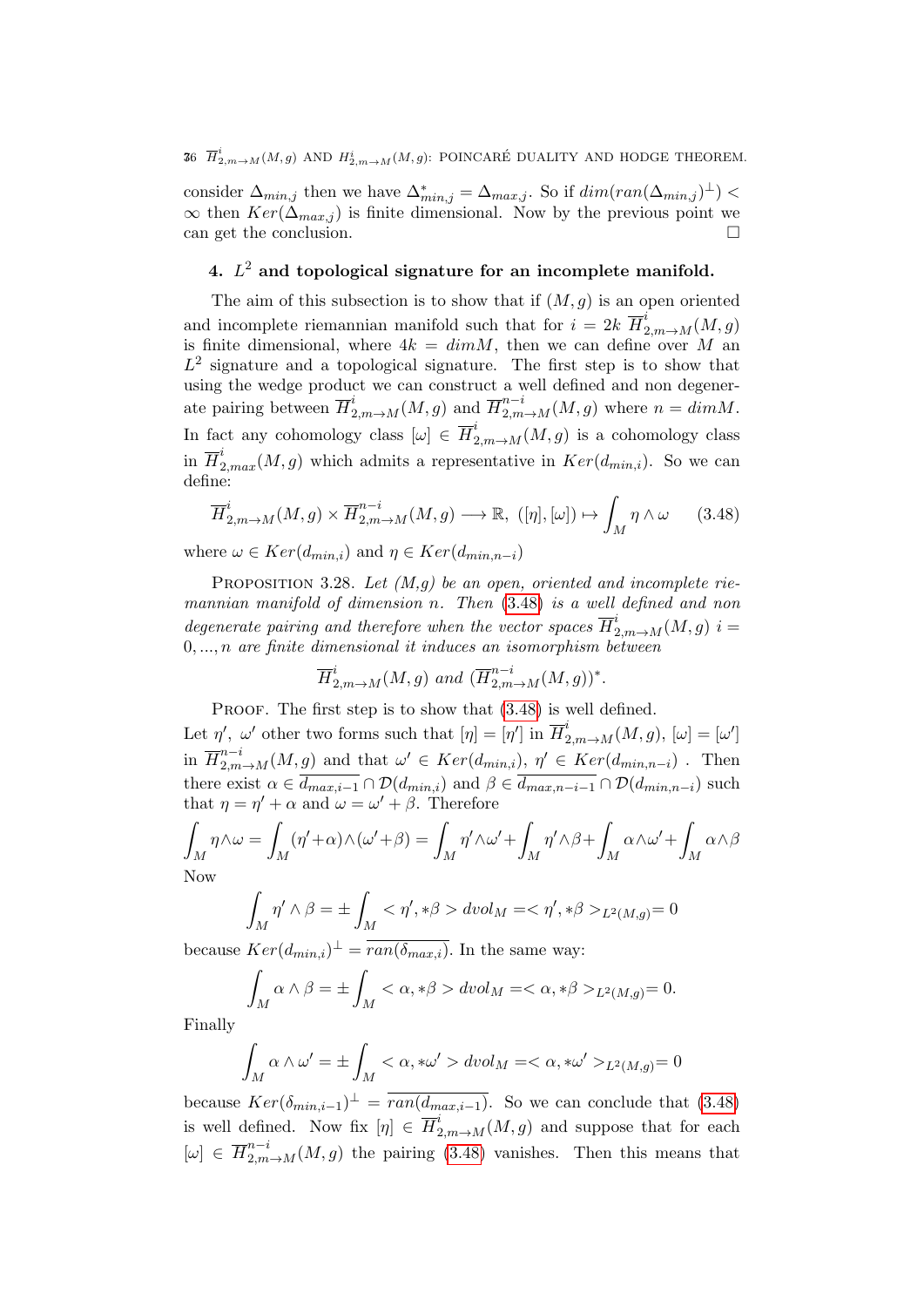# 36  $\overline{H}^i_{2,m \to M}(M,g)$  and  $H^i_{2,m \to M}(M,g)$ : POINCARÉ DUALITY AND HODGE THEOREM.

consider  $\Delta_{min,j}$  then we have  $\Delta^*_{min,j} = \Delta_{max,j}$ . So if  $dim(ran(\Delta_{min,j})^{\perp})$  $\infty$  then  $Ker(\Delta_{max,j})$  is finite dimensional. Now by the previous point we can get the conclusion.

# 4.  $L^2$  and topological signature for an incomplete manifold.

The aim of this subsection is to show that if  $(M, g)$  is an open oriented and incomplete riemannian manifold such that for  $i = 2k \ \overline{H}_{2,m\rightarrow M}^{i}(M,g)$ is finite dimensional, where  $4k = dim M$ , then we can define over M an  $L^2$  signature and a topological signature. The first step is to show that using the wedge product we can construct a well defined and non degenerate pairing between  $\overline{H}_{2,m\to M}^i(M,g)$  and  $\overline{H}_{2,m\to M}^{n-i}(M,g)$  where  $n = dim M$ . In fact any cohomology class  $[\omega] \in \overline{H}^i_{2,m \to M}(M,g)$  is a cohomology class in  $\overline{H}_{2,max}^i(M,g)$  which admits a representative in  $Ker(d_{min,i})$ . So we can define:

<span id="page-75-0"></span>
$$
\overline{H}_{2,m\to M}^{i}(M,g) \times \overline{H}_{2,m\to M}^{n-i}(M,g) \longrightarrow \mathbb{R}, \ (\lbrack \eta \rbrack, [\omega]) \mapsto \int_{M} \eta \wedge \omega \qquad (3.48)
$$

where  $\omega \in Ker(d_{min,i})$  and  $\eta \in Ker(d_{min,n-i})$ 

PROPOSITION 3.28. Let  $(M, q)$  be an open, oriented and incomplete riemannian manifold of dimension n. Then [\(3.48\)](#page-75-0) is a well defined and non degenerate pairing and therefore when the vector spaces  $\overline{H}^i_{2,m\rightarrow M}(M,g)$  i =  $0, \ldots, n$  are finite dimensional it induces an isomorphism between

$$
\overline{H}_{2,m\to M}^i(M,g)
$$
 and  $(\overline{H}_{2,m\to M}^{n-i}(M,g))^*$ .

PROOF. The first step is to show that  $(3.48)$  is well defined.

Let  $\eta'$ ,  $\omega'$  other two forms such that  $[\eta] = [\eta']$  in  $\overline{H}^i_{2,m\to M}(M,g)$ ,  $[\omega] = [\omega']$ in  $\overline{H}_{2,m\to M}^{n-i}(M,g)$  and that  $\omega' \in Ker(d_{min,i}), \eta' \in Ker(d_{min,n-i})$ . Then there exist  $\alpha \in \overline{d_{max,i-1}} \cap \mathcal{D}(d_{min,i})$  and  $\beta \in \overline{d_{max,n-i-1}} \cap \mathcal{D}(d_{min,n-i})$  such that  $\eta = \eta' + \alpha$  and  $\omega = \omega' + \beta$ . Therefore

$$
\int_M \eta \wedge \omega = \int_M (\eta' + \alpha) \wedge (\omega' + \beta) = \int_M \eta' \wedge \omega' + \int_M \eta' \wedge \beta + \int_M \alpha \wedge \omega' + \int_M \alpha \wedge \beta
$$
  
Now

$$
\int_M \eta' \wedge \beta = \pm \int_M \langle \eta', * \beta \rangle \, dvol_M = \langle \eta', * \beta \rangle_{L^2(M, g)} = 0
$$

because  $Ker(d_{min,i})^{\perp} = \overline{ran(\delta_{max,i})}$ . In the same way:

$$
\int_M \alpha \wedge \beta = \pm \int_M < \alpha, * \beta > dvol_M = < \alpha, * \beta >_{L^2(M, g)} = 0.
$$

Finally

$$
\int_M \alpha \wedge \omega' = \pm \int_M \langle \alpha , * \omega' \rangle \, dvol_M = \langle \alpha , * \omega' \rangle_{L^2(M, g)} = 0
$$

because  $Ker(\delta_{min,i-1})^{\perp} = \overline{ran(d_{max,i-1})}$ . So we can conclude that [\(3.48\)](#page-75-0) is well defined. Now fix  $[\eta] \in \overline{H}^i_{2,m\to M}(M,g)$  and suppose that for each  $[\omega] \in \overline{H}_{2,m\to M}^{n-i}(M,g)$  the pairing [\(3.48\)](#page-75-0) vanishes. Then this means that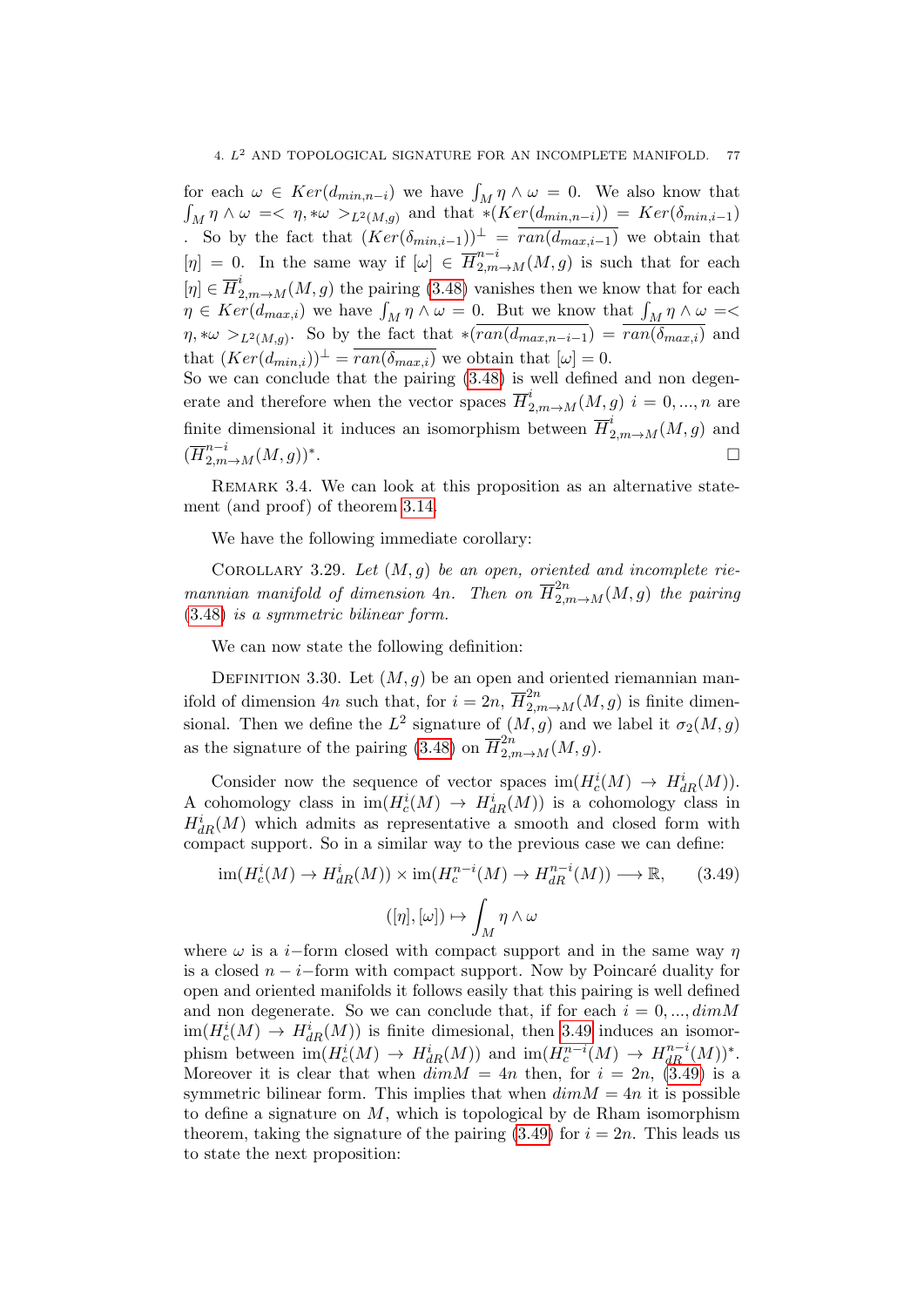for each  $\omega \in \text{Ker}(d_{\min,n-i})$  we have  $\int_M \eta \wedge \omega = 0$ . We also know that R <sup>M</sup> η ∧ ω =< η, ∗ω >L2(M,g) and that ∗(Ker(dmin,n−i)) = Ker(δmin,i−1) . So by the fact that  $(Ker(\delta_{min,i-1}))^{\perp} = \overline{ran(d_{max,i-1})}$  we obtain that  $[\eta] = 0$ . In the same way if  $[\omega] \in \overline{H}_{2,m\to M}^{n-i}(M,g)$  is such that for each  $[\eta] \in \overline{H}_{2,m\to M}^i(M, g)$  the pairing [\(3.48\)](#page-75-0) vanishes then we know that for each  $\eta \in Ker(d_{max,i})$  we have  $\int_M \eta \wedge \omega = 0$ . But we know that  $\int_M \eta \wedge \omega =$  $\eta$ ,\* $\omega >_{L^2(M,g)}$ . So by the fact that \* $(ran(d_{max,n-i-1}) = ran(\delta_{max,i})$  and that  $(Ker(d_{min,i}))^{\perp} = \overline{ran(\delta_{max,i})}$  we obtain that  $[\omega] = 0$ .

So we can conclude that the pairing [\(3.48\)](#page-75-0) is well defined and non degenerate and therefore when the vector spaces  $\overline{H}^i_{2,m\to M}(M,g)$   $i=0,...,n$  are finite dimensional it induces an isomorphism between  $\overline{H}^i_{2,m\to M}(M,g)$  and  $(\overline{H}_{2,m\to M}^{n-i}(M,g))^*$ .

Remark 3.4. We can look at this proposition as an alternative statement (and proof) of theorem [3.14.](#page-65-0)

We have the following immediate corollary:

COROLLARY 3.29. Let  $(M, g)$  be an open, oriented and incomplete riemannian manifold of dimension  $4n$ . Then on  $\overline{H}^{2n}_{2,m \to M}(M,g)$  the pairing [\(3.48\)](#page-75-0) is a symmetric bilinear form.

We can now state the following definition:

<span id="page-76-1"></span>DEFINITION 3.30. Let  $(M, q)$  be an open and oriented riemannian manifold of dimension 4n such that, for  $i = 2n$ ,  $\overline{H}_{2,m\to M}^{2n}(M,g)$  is finite dimensional. Then we define the  $L^2$  signature of  $(M, g)$  and we label it  $\sigma_2(M, g)$ as the signature of the pairing [\(3.48\)](#page-75-0) on  $\overline{H}^{2n}_{2,m\to M}(M,g)$ .

Consider now the sequence of vector spaces  $\text{im}(H_c^i(M) \to H_{dR}^i(M)).$ A cohomology class in  $im(H_c^i(M) \to H_{dR}^i(M))$  is a cohomology class in  $H_{dR}^{i}(M)$  which admits as representative a smooth and closed form with compact support. So in a similar way to the previous case we can define:

<span id="page-76-0"></span>
$$
\operatorname{im}(H_c^i(M) \to H_{dR}^i(M)) \times \operatorname{im}(H_c^{n-i}(M) \to H_{dR}^{n-i}(M)) \longrightarrow \mathbb{R},\qquad(3.49)
$$

$$
([n], [\omega]) \mapsto \int_M \eta \wedge \omega
$$

where  $\omega$  is a *i*−form closed with compact support and in the same way  $\eta$ is a closed  $n - i$ -form with compact support. Now by Poincaré duality for open and oriented manifolds it follows easily that this pairing is well defined and non degenerate. So we can conclude that, if for each  $i = 0, ..., dimM$  $\text{im}(H_c^i(M) \to H_{dR}^i(M))$  is finite dimesional, then [3.49](#page-76-0) induces an isomorphism between  $\text{im}(H_c^i(M) \to H_{dR}^i(M))$  and  $\text{im}(H_c^{n-i}(M) \to H_{dR}^{n-i}(M))^*$ . Moreover it is clear that when  $\overline{dim}M = 4n$  then, for  $i = 2n$ , [\(3.49\)](#page-76-0) is a symmetric bilinear form. This implies that when  $dim M = 4n$  it is possible to define a signature on  $M$ , which is topological by de Rham isomorphism theorem, taking the signature of the pairing  $(3.49)$  for  $i = 2n$ . This leads us to state the next proposition: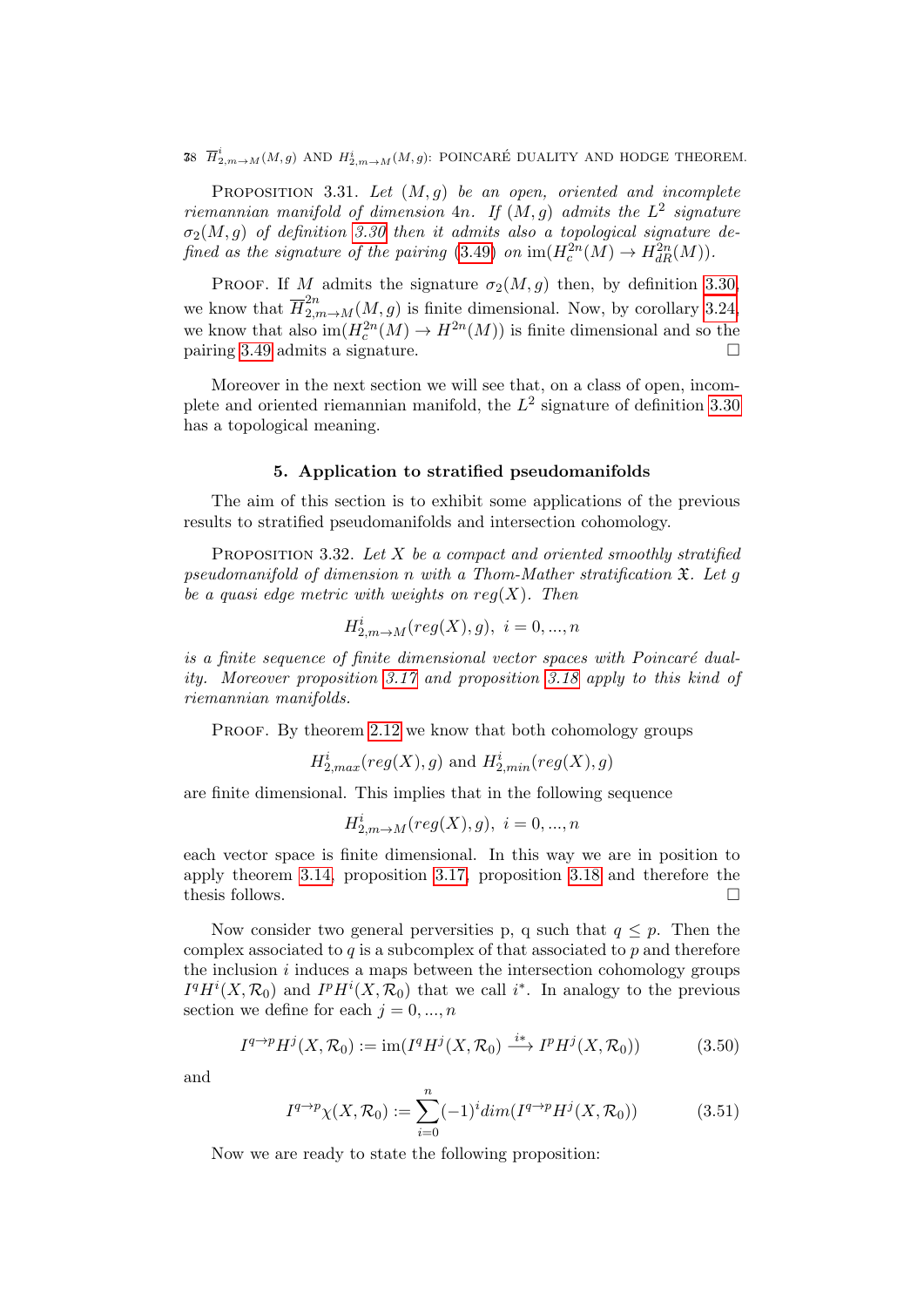38  $\overline{H}^i_{2,m \to M}(M,g)$  and  $H^i_{2,m \to M}(M,g)$ : POINCARÉ DUALITY AND HODGE THEOREM.

PROPOSITION 3.31. Let  $(M, g)$  be an open, oriented and incomplete riemannian manifold of dimension 4n. If  $(M, g)$  admits the  $L^2$  signature  $\sigma_2(M,g)$  of definition [3.30](#page-76-1) then it admits also a topological signature de-fined as the signature of the pairing [\(3.49\)](#page-76-0) on  $\text{im}(H_c^{2n}(M) \to H_{dR}^{2n}(M)).$ 

PROOF. If M admits the signature  $\sigma_2(M,g)$  then, by definition [3.30,](#page-76-1) we know that  $\overline{H}_{2,m\to M}^{2n}(M,g)$  is finite dimensional. Now, by corollary [3.24,](#page-73-0) we know that also  $\text{im}(H_c^{2n}(M) \to H^{2n}(M))$  is finite dimensional and so the pairing [3.49](#page-76-0) admits a signature.

Moreover in the next section we will see that, on a class of open, incomplete and oriented riemannian manifold, the  $L^2$  signature of definition [3.30](#page-76-1) has a topological meaning.

### 5. Application to stratified pseudomanifolds

The aim of this section is to exhibit some applications of the previous results to stratified pseudomanifolds and intersection cohomology.

<span id="page-77-0"></span>PROPOSITION 3.32. Let  $X$  be a compact and oriented smoothly stratified pseudomanifold of dimension n with a Thom-Mather stratification  $\mathfrak{X}$ . Let g be a quasi edge metric with weights on  $req(X)$ . Then

$$
H_{2,m\to M}^{i}(reg(X), g), i = 0, ..., n
$$

is a finite sequence of finite dimensional vector spaces with Poincaré duality. Moreover proposition [3.17](#page-68-0) and proposition [3.18](#page-68-1) apply to this kind of riemannian manifolds.

PROOF. By theorem [2.12](#page-45-0) we know that both cohomology groups

$$
H^i_{2,max}(reg(X),g) \text{ and } H^i_{2,min}(reg(X),g)
$$

are finite dimensional. This implies that in the following sequence

$$
H_{2,m\rightarrow M}^{i}(reg(X),g),\ i=0,...,n
$$

each vector space is finite dimensional. In this way we are in position to apply theorem [3.14,](#page-65-0) proposition [3.17,](#page-68-0) proposition [3.18](#page-68-1) and therefore the thesis follows.

Now consider two general perversities p, q such that  $q \leq p$ . Then the complex associated to  $q$  is a subcomplex of that associated to  $p$  and therefore the inclusion  $i$  induces a maps between the intersection cohomology groups  $I^qH^i(X,\mathcal{R}_0)$  and  $I^pH^i(X,\mathcal{R}_0)$  that we call i<sup>\*</sup>. In analogy to the previous section we define for each  $j = 0, ..., n$ 

$$
I^{q \to p} H^j(X, \mathcal{R}_0) := \text{im}(I^q H^j(X, \mathcal{R}_0) \xrightarrow{i*} I^p H^j(X, \mathcal{R}_0))
$$
(3.50)

and

$$
I^{q \to p} \chi(X, \mathcal{R}_0) := \sum_{i=0}^{n} (-1)^i \dim(I^{q \to p} H^j(X, \mathcal{R}_0))
$$
 (3.51)

Now we are ready to state the following proposition: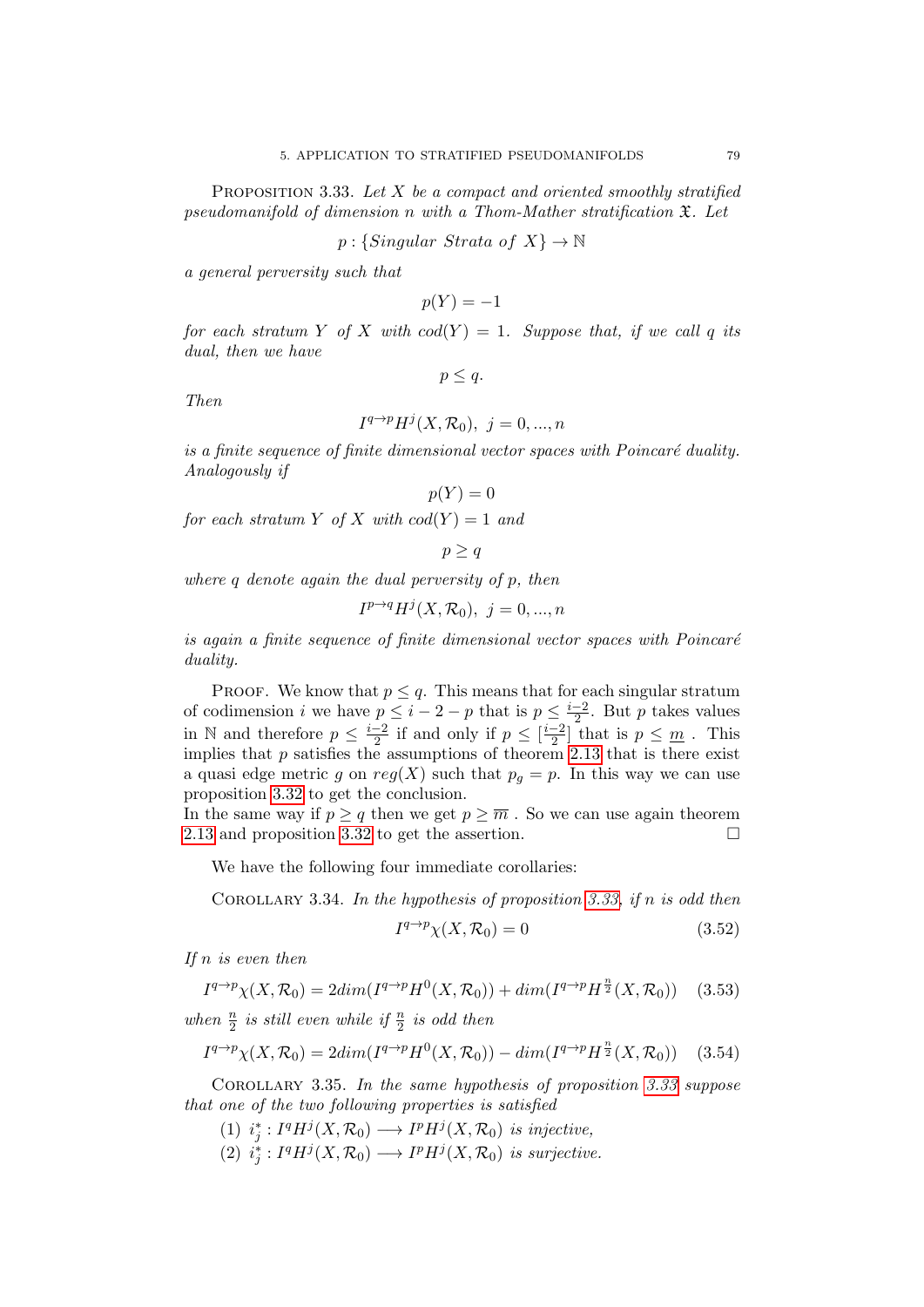<span id="page-78-0"></span>PROPOSITION 3.33. Let  $X$  be a compact and oriented smoothly stratified pseudomanifold of dimension n with a Thom-Mather stratification X. Let

 $p: \{ Singular \;Strata \; of \; X\} \to \mathbb{N}$ 

a general perversity such that

$$
p(Y) = -1
$$

for each stratum Y of X with  $cod(Y) = 1$ . Suppose that, if we call q its dual, then we have

 $p \leq q$ .

Then

$$
I^{q \to p} H^j(X, \mathcal{R}_0), \ j = 0, \dots, n
$$

is a finite sequence of finite dimensional vector spaces with  $Poincaré$  duality. Analogously if

$$
p(Y) = 0
$$

for each stratum Y of X with  $cod(Y) = 1$  and

$$
p \geq q
$$

where  $q$  denote again the dual perversity of  $p$ , then

$$
I^{p \to q} H^j(X, \mathcal{R}_0), \ j = 0, \dots, n
$$

is again a finite sequence of finite dimensional vector spaces with  $Poincar\acute{e}$ duality.

PROOF. We know that  $p \leq q$ . This means that for each singular stratum of codimension i we have  $p \leq i-2-p$  that is  $p \leq \frac{i-2}{2}$  $\frac{-2}{2}$ . But p takes values in N and therefore  $p \leq \frac{i-2}{2}$  $\frac{-2}{2}$  if and only if  $p \leq \left[\frac{i-2}{2}\right]$  $\frac{-2}{2}$  that is  $p \leq \underline{m}$ . This implies that  $p$  satisfies the assumptions of theorem [2.13](#page-45-1) that is there exist a quasi edge metric g on  $reg(X)$  such that  $p<sub>g</sub> = p$ . In this way we can use proposition [3.32](#page-77-0) to get the conclusion.

In the same way if  $p > q$  then we get  $p > \overline{m}$ . So we can use again theorem [2.13](#page-45-1) and proposition [3.32](#page-77-0) to get the assertion.

We have the following four immediate corollaries:

COROLLARY 3.34. In the hypothesis of proposition [3.33,](#page-78-0) if n is odd then

$$
I^{q \to p} \chi(X, \mathcal{R}_0) = 0 \tag{3.52}
$$

If  $n$  is even then

$$
I^{q \to p} \chi(X, \mathcal{R}_0) = 2dim(I^{q \to p}H^0(X, \mathcal{R}_0)) + dim(I^{q \to p}H^{\frac{n}{2}}(X, \mathcal{R}_0)) \quad (3.53)
$$

when  $\frac{n}{2}$  is still even while if  $\frac{n}{2}$  is odd then

$$
I^{q \to p} \chi(X, \mathcal{R}_0) = 2dim(I^{q \to p}H^0(X, \mathcal{R}_0)) - dim(I^{q \to p}H^{\frac{n}{2}}(X, \mathcal{R}_0)) \quad (3.54)
$$

Corollary 3.35. In the same hypothesis of proposition [3.33](#page-78-0) suppose that one of the two following properties is satisfied

- (1)  $i_j^*: I^qH^j(X, \mathcal{R}_0) \longrightarrow I^pH^j(X, \mathcal{R}_0)$  is injective,
- (2)  $i_j^*: I^qH^j(X, \mathcal{R}_0) \longrightarrow I^pH^j(X, \mathcal{R}_0)$  is surjective.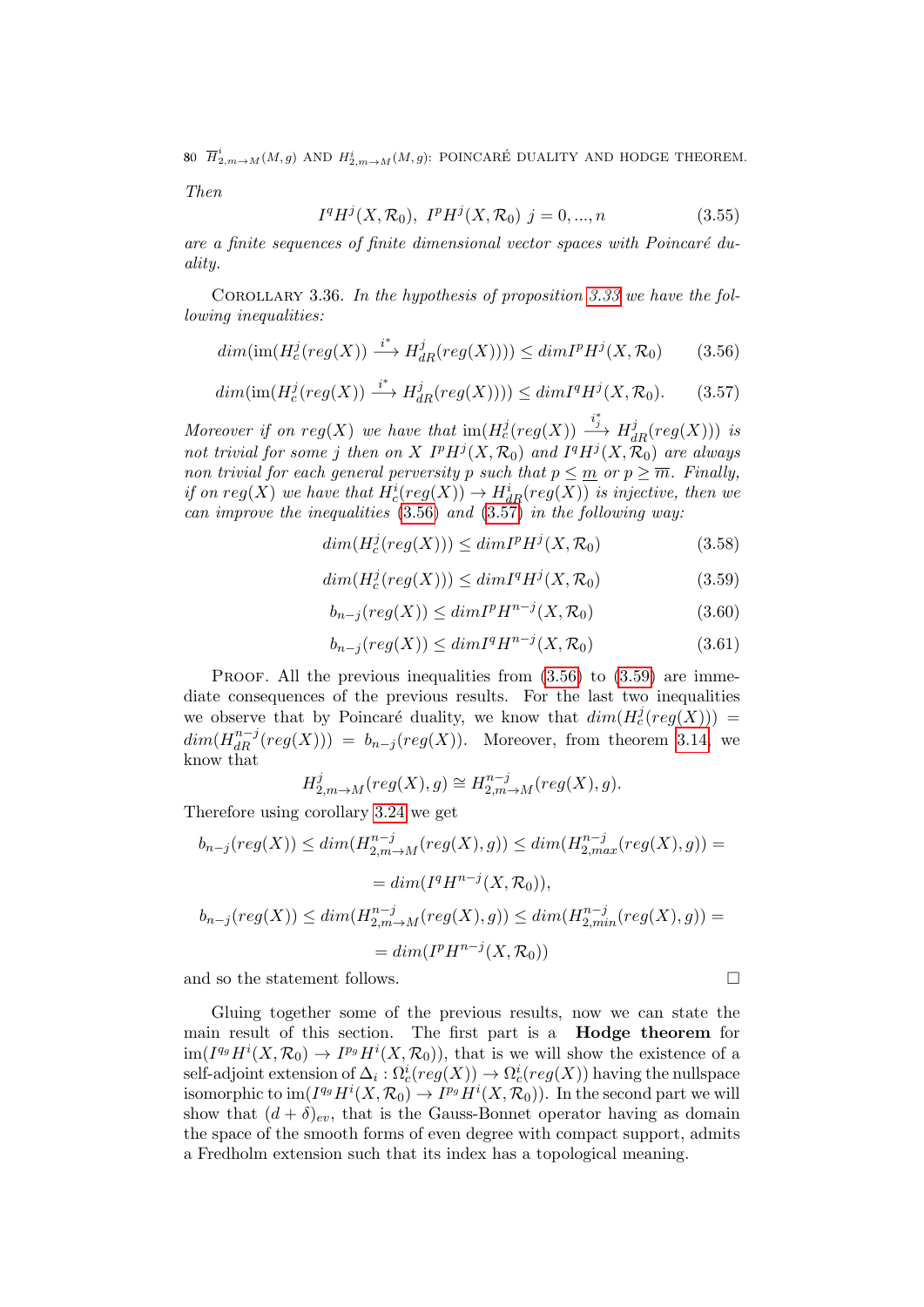80  $\overline{H}^i_{2,m\rightarrow M}(M,g)$  and  $H^i_{2,m\rightarrow M}(M,g)$ : POINCARÉ DUALITY AND HODGE THEOREM.

Then

$$
I^{q}H^{j}(X,\mathcal{R}_{0}),\ I^{p}H^{j}(X,\mathcal{R}_{0})\ j=0,...,n
$$
\n(3.55)

are a finite sequences of finite dimensional vector spaces with Poincaré duality.

<span id="page-79-3"></span>COROLLARY 3.36. In the hypothesis of proposition [3.33](#page-78-0) we have the following inequalities:

<span id="page-79-0"></span>
$$
dim(\text{im}(H_c^j(\text{reg}(X))) \xrightarrow{i^*} H_{dR}^j(\text{reg}(X)))) \leq dim I^p H^j(X, \mathcal{R}_0)
$$
 (3.56)

<span id="page-79-1"></span>
$$
dim(\text{im}(H_c^j(\text{reg}(X))) \xrightarrow{i^*} H_{dR}^j(\text{reg}(X)))) \le dim I^q H^j(X, \mathcal{R}_0). \tag{3.57}
$$

Moreover if on  $reg(X)$  we have that  $im(H_c^j(reg(X))) \stackrel{i_j^*}{\longrightarrow} H_{dR}^j(reg(X)))$  is not trivial for some j then on X  $I^p H^j(X, \mathcal{R}_0)$  and  $I^q H^j(X, \mathcal{R}_0)$  are always non trivial for each general perversity p such that  $p \leq m$  or  $p \geq \overline{m}$ . Finally, if on  $reg(X)$  we have that  $H_c^i(reg(X)) \to H_{dR}^i(reg(X))$  is injective, then we can improve the inequalities  $(3.56)$  and  $(3.57)$  in the following way:

$$
dim(H_c^j(reg(X))) \le dim I^p H^j(X, \mathcal{R}_0)
$$
\n(3.58)

<span id="page-79-2"></span>
$$
dim(H_c^j(reg(X))) \le dim I^q H^j(X, \mathcal{R}_0)
$$
\n(3.59)

$$
b_{n-j}(reg(X)) \le dim I^p H^{n-j}(X, \mathcal{R}_0)
$$
\n
$$
(3.60)
$$

$$
b_{n-j}(reg(X)) \le dim I^q H^{n-j}(X, \mathcal{R}_0)
$$
\n
$$
(3.61)
$$

PROOF. All the previous inequalities from  $(3.56)$  to  $(3.59)$  are immediate consequences of the previous results. For the last two inequalities we observe that by Poincaré duality, we know that  $dim(H_c^j(reg(X)))$  =  $dim(H_{dR}^{n-j}(reg(X))) = b_{n-j}(reg(X)).$  Moreover, from theorem [3.14,](#page-65-0) we know that

$$
H_{2,m \to M}^{j}(reg(X), g) \cong H_{2,m \to M}^{n-j}(reg(X), g).
$$

Therefore using corollary [3.24](#page-73-0) we get

$$
b_{n-j}(reg(X)) \le dim(H_{2,m\to M}^{n-j}(reg(X), g)) \le dim(H_{2,max}^{n-j}(reg(X), g)) =
$$
  
= dim(I<sup>q</sup>H<sup>n-j</sup>(X, R<sub>0</sub>)),  

$$
b_{n-j}(reg(X)) \le dim(H_{2,m\to M}^{n-j}(reg(X), g)) \le dim(H_{2,min}^{n-j}(reg(X), g)) =
$$
  
= dim(I<sup>p</sup>H<sup>n-j</sup>(X, R<sub>0</sub>))

and so the statement follows.  $\Box$ 

Gluing together some of the previous results, now we can state the main result of this section. The first part is a Hodge theorem for  $\text{im}(I^{q_g}H^i(X,\mathcal{R}_0) \to I^{p_g}H^i(X,\mathcal{R}_0)),$  that is we will show the existence of a self-adjoint extension of  $\Delta_i: \Omega^i_c(\text{reg}(X)) \to \Omega^i_c(\text{reg}(X))$  having the nullspace isomorphic to  $\text{im}(I^{q_g}H^i(X,\mathcal{R}_0) \to I^{p_g}H^i(X,\mathcal{R}_0)).$  In the second part we will show that  $(d + \delta)_{ev}$ , that is the Gauss-Bonnet operator having as domain the space of the smooth forms of even degree with compact support, admits a Fredholm extension such that its index has a topological meaning.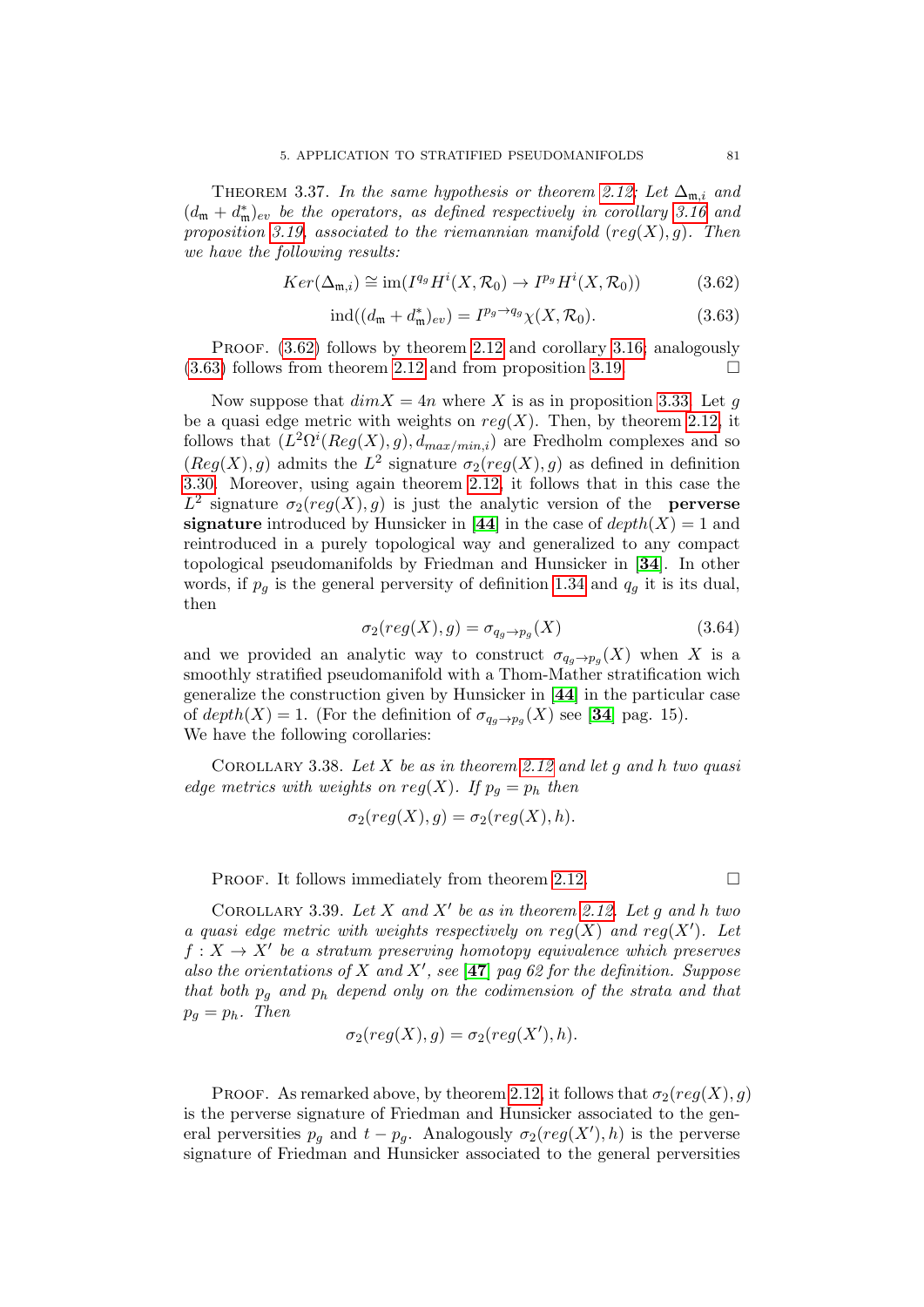THEOREM 3.37. In the same hypothesis or theorem [2.12;](#page-45-0) Let  $\Delta_{m,i}$  and  $(d_m + d_m^*)_{ev}$  be the operators, as defined respectively in corollary [3.16](#page-67-0) and proposition [3.19,](#page-69-0) associated to the riemannian manifold  $reg(X), g$ ). Then we have the following results:

<span id="page-80-0"></span>
$$
Ker(\Delta_{\mathfrak{m},i}) \cong \text{im}(I^{q_g}H^i(X,\mathcal{R}_0) \to I^{p_g}H^i(X,\mathcal{R}_0))
$$
\n(3.62)

<span id="page-80-1"></span>
$$
ind((d_{\mathfrak{m}} + d_{\mathfrak{m}}^*)_{ev}) = I^{p_g \to q_g} \chi(X, \mathcal{R}_0).
$$
 (3.63)

PROOF.  $(3.62)$  follows by theorem [2.12](#page-45-0) and corollary [3.16;](#page-67-0) analogously  $(3.63)$  follows from theorem [2.12](#page-45-0) and from proposition [3.19.](#page-69-0)

Now suppose that  $dim X = 4n$  where X is as in proposition [3.33.](#page-78-0) Let g be a quasi edge metric with weights on  $reg(X)$ . Then, by theorem [2.12,](#page-45-0) it follows that  $(L^2\Omega^i(Reg(X), g), d_{max/min,i})$  are Fredholm complexes and so  $(Reg(X), g)$  admits the  $L^2$  signature  $\sigma_2 (reg(X), g)$  as defined in definition [3.30.](#page-76-1) Moreover, using again theorem [2.12,](#page-45-0) it follows that in this case the  $L^2$  signature  $\sigma_2(reg(X), g)$  is just the analytic version of the **perverse** signature introduced by Hunsicker in [[44](#page-137-0)] in the case of  $depth(X) = 1$  and reintroduced in a purely topological way and generalized to any compact topological pseudomanifolds by Friedman and Hunsicker in [[34](#page-137-1)]. In other words, if  $p_q$  is the general perversity of definition [1.34](#page-32-0) and  $q_q$  it is its dual, then

$$
\sigma_2(\text{reg}(X), g) = \sigma_{q_g \to p_g}(X) \tag{3.64}
$$

and we provided an analytic way to construct  $\sigma_{q_g \to p_g}(X)$  when X is a smoothly stratified pseudomanifold with a Thom-Mather stratification wich generalize the construction given by Hunsicker in [[44](#page-137-0)] in the particular case of  $depth(X) = 1$ . (For the definition of  $\sigma_{q_g \to p_g}(X)$  see [[34](#page-137-1)] pag. 15). We have the following corollaries:

COROLLARY 3.38. Let X be as in theorem [2.12](#page-45-0) and let q and h two quasi edge metrics with weights on  $reg(X)$ . If  $p_g = p_h$  then

$$
\sigma_2 (reg(X), g) = \sigma_2 (reg(X), h).
$$

PROOF. It follows immediately from theorem [2.12.](#page-45-0)  $\Box$ 

COROLLARY 3.39. Let X and X' be as in theorem [2.12.](#page-45-0) Let g and h two a quasi edge metric with weights respectively on  $reg(X)$  and  $reg(X')$ . Let  $f: X \to X'$  be a stratum preserving homotopy equivalence which preserves also the orientations of X and X', see [[47](#page-137-2)] pag 62 for the definition. Suppose that both  $p_q$  and  $p_h$  depend only on the codimension of the strata and that  $p_q = p_h$ . Then

$$
\sigma_2(reg(X), g) = \sigma_2(reg(X'), h).
$$

PROOF. As remarked above, by theorem [2.12,](#page-45-0) it follows that  $\sigma_2(reg(X), g)$ is the perverse signature of Friedman and Hunsicker associated to the general perversities  $p_g$  and  $t - p_g$ . Analogously  $\sigma_2(reg(X'), h)$  is the perverse signature of Friedman and Hunsicker associated to the general perversities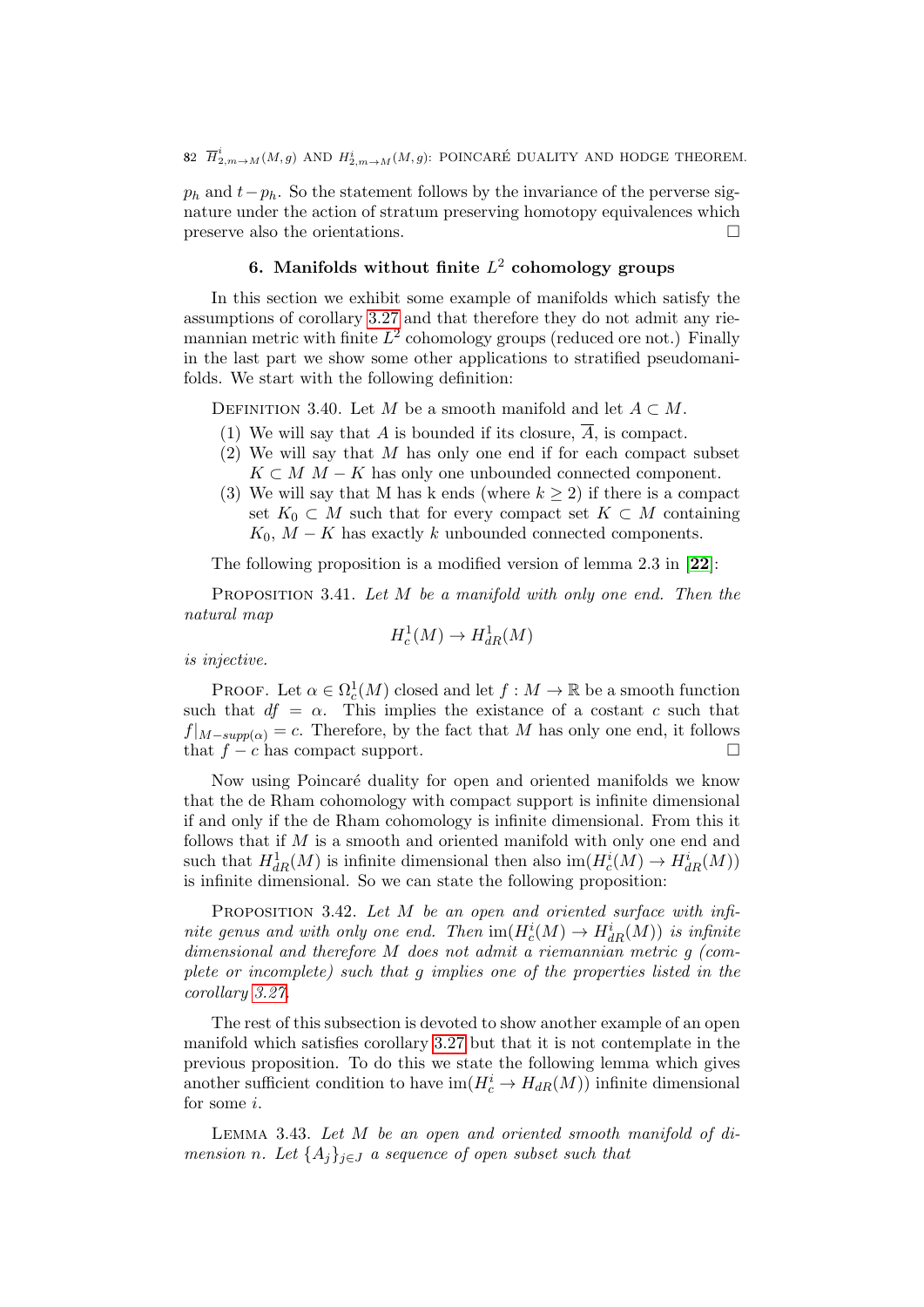$p_h$  and  $t-p_h$ . So the statement follows by the invariance of the perverse signature under the action of stratum preserving homotopy equivalences which preserve also the orientations.

# 6. Manifolds without finite  $L^2$  cohomology groups

In this section we exhibit some example of manifolds which satisfy the assumptions of corollary [3.27](#page-74-0) and that therefore they do not admit any riemannian metric with finite  $L^2$  cohomology groups (reduced ore not.) Finally in the last part we show some other applications to stratified pseudomanifolds. We start with the following definition:

<span id="page-81-1"></span>DEFINITION 3.40. Let M be a smooth manifold and let  $A \subset M$ .

- (1) We will say that A is bounded if its closure,  $\overline{A}$ , is compact.
- $(2)$  We will say that M has only one end if for each compact subset  $K \subset M$  M – K has only one unbounded connected component.
- (3) We will say that M has k ends (where  $k \geq 2$ ) if there is a compact set  $K_0 \subset M$  such that for every compact set  $K \subset M$  containing  $K_0$ ,  $M - K$  has exactly k unbounded connected components.

The following proposition is a modified version of lemma 2.3 in [[22](#page-136-1)]:

<span id="page-81-2"></span>PROPOSITION 3.41. Let  $M$  be a manifold with only one end. Then the natural map

$$
H^1_c(M) \to H^1_{dR}(M)
$$

is injective.

PROOF. Let  $\alpha \in \Omega_c^1(M)$  closed and let  $f : M \to \mathbb{R}$  be a smooth function such that  $df = \alpha$ . This implies the existence of a costant c such that  $f|_{M-supp(\alpha)}=c$ . Therefore, by the fact that M has only one end, it follows that  $f - c$  has compact support.

Now using Poincaré duality for open and oriented manifolds we know that the de Rham cohomology with compact support is infinite dimensional if and only if the de Rham cohomology is infinite dimensional. From this it follows that if  $M$  is a smooth and oriented manifold with only one end and such that  $H^1_{dR}(M)$  is infinite dimensional then also  $\text{im}(H_c^i(M) \to H^i_{dR}(M))$ is infinite dimensional. So we can state the following proposition:

PROPOSITION 3.42. Let M be an open and oriented surface with infinite genus and with only one end. Then  $\text{im}(H_c^i(M) \to H_{dR}^i(M))$  is infinite dimensional and therefore M does not admit a riemannian metric g (complete or incomplete) such that g implies one of the properties listed in the corollary [3.27.](#page-74-0)

The rest of this subsection is devoted to show another example of an open manifold which satisfies corollary [3.27](#page-74-0) but that it is not contemplate in the previous proposition. To do this we state the following lemma which gives another sufficient condition to have  $\text{im}(H_c^i \to H_{dR}(M))$  infinite dimensional for some i.

<span id="page-81-0"></span>Lemma 3.43. Let M be an open and oriented smooth manifold of dimension n. Let  $\{A_i\}_{i\in J}$  a sequence of open subset such that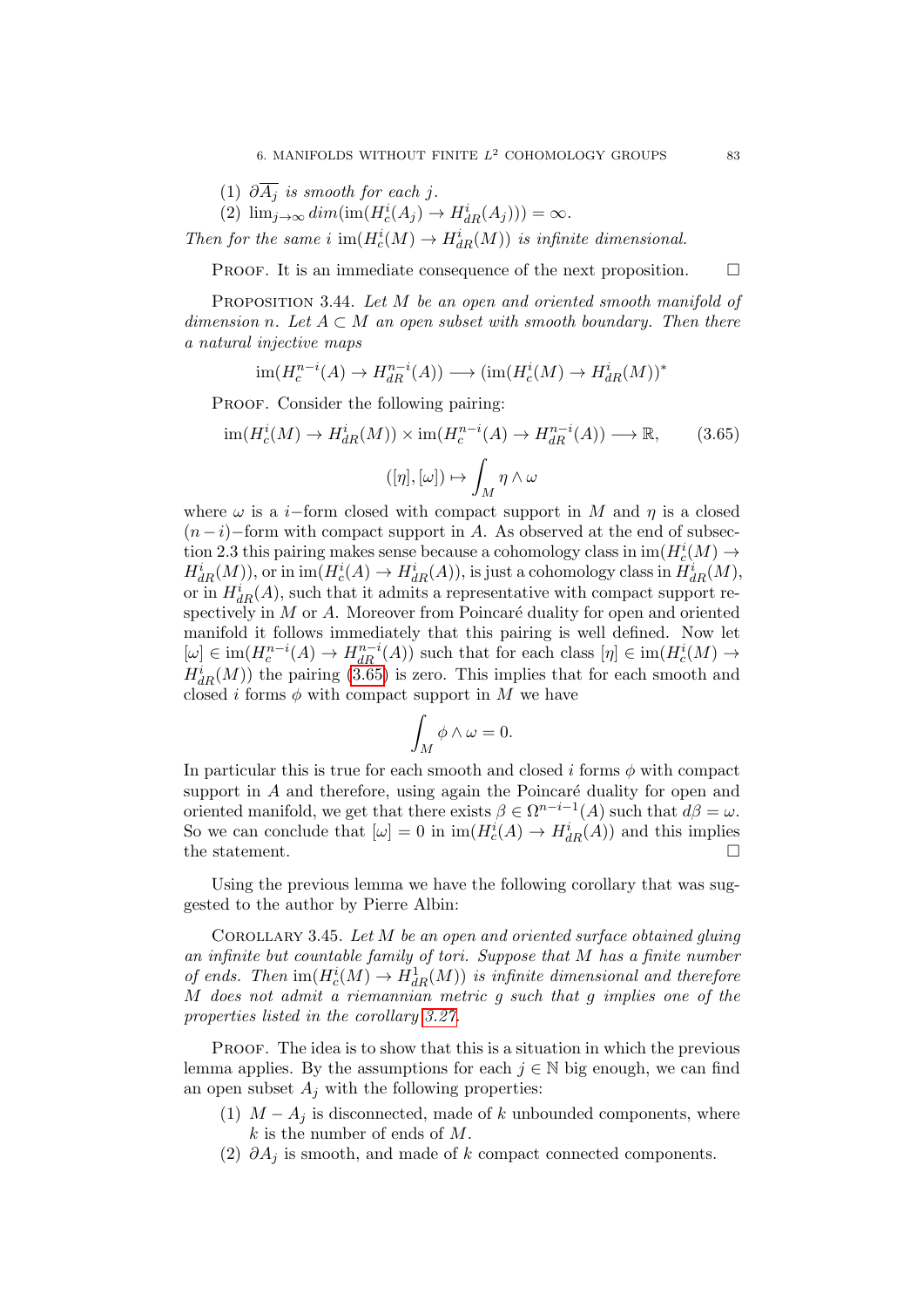- (1)  $\partial \overline{A_j}$  is smooth for each j.
- (2)  $\lim_{j\to\infty} dim(\text{im}(H_c^i(A_j) \to H_{dR}^i(A_j))) = \infty.$

Then for the same i  $\text{im}(H_c^i(M) \to H_{dR}^i(M))$  is infinite dimensional.

PROOF. It is an immediate consequence of the next proposition.  $\Box$ 

PROPOSITION 3.44. Let M be an open and oriented smooth manifold of dimension n. Let  $A \subset M$  an open subset with smooth boundary. Then there a natural injective maps

$$
\operatorname{im}(H_c^{n-i}(A) \to H_{dR}^{n-i}(A)) \longrightarrow (\operatorname{im}(H_c^i(M) \to H_{dR}^i(M))^*
$$

PROOF. Consider the following pairing:

<span id="page-82-0"></span>
$$
\operatorname{im}(H_c^i(M) \to H_{dR}^i(M)) \times \operatorname{im}(H_c^{n-i}(A) \to H_{dR}^{n-i}(A)) \longrightarrow \mathbb{R},\tag{3.65}
$$

$$
([\eta],[\omega]) \mapsto \int_M \eta \wedge \omega
$$

where  $\omega$  is a *i*−form closed with compact support in M and  $\eta$  is a closed  $(n-i)$ –form with compact support in A. As observed at the end of subsection 2.3 this pairing makes sense because a cohomology class in  $\mathrm{im}(H_c^i(M) \to$  $H^i_{dR}(M)$ , or in  $\text{im}(H^i_c(A) \to H^i_{dR}(A))$ , is just a cohomology class in  $H^i_{dR}(M)$ , or in  $H_{dR}^{i}(A)$ , such that it admits a representative with compact support respectively in  $M$  or  $A$ . Moreover from Poincaré duality for open and oriented manifold it follows immediately that this pairing is well defined. Now let  $[\omega] \in \text{im}(H_c^{n-i}(A) \to H_{dR}^{n-i}(A))$  such that for each class  $[\eta] \in \text{im}(H_c^i(M) \to$  $H_{dR}^{i}(M)$ ) the pairing [\(3.65\)](#page-82-0) is zero. This implies that for each smooth and closed i forms  $\phi$  with compact support in M we have

$$
\int_M \phi \wedge \omega = 0.
$$

In particular this is true for each smooth and closed i forms  $\phi$  with compact support in  $A$  and therefore, using again the Poincaré duality for open and oriented manifold, we get that there exists  $\beta \in \Omega^{n-i-1}(A)$  such that  $d\beta = \omega$ . So we can conclude that  $[\omega] = 0$  in  $im(H_c^i(A) \to H_{dR}^i(A))$  and this implies the statement.

Using the previous lemma we have the following corollary that was suggested to the author by Pierre Albin:

COROLLARY 3.45. Let  $M$  be an open and oriented surface obtained gluing an infinite but countable family of tori. Suppose that M has a finite number of ends. Then  $\text{im}(H_c^i(M) \to H_{dR}^1(M))$  is infinite dimensional and therefore M does not admit a riemannian metric g such that g implies one of the properties listed in the corollary [3.27.](#page-74-0)

PROOF. The idea is to show that this is a situation in which the previous lemma applies. By the assumptions for each  $j \in \mathbb{N}$  big enough, we can find an open subset  $A_j$  with the following properties:

- (1)  $M A_j$  is disconnected, made of k unbounded components, where  $k$  is the number of ends of  $M$ .
- (2)  $\partial A_i$  is smooth, and made of k compact connected components.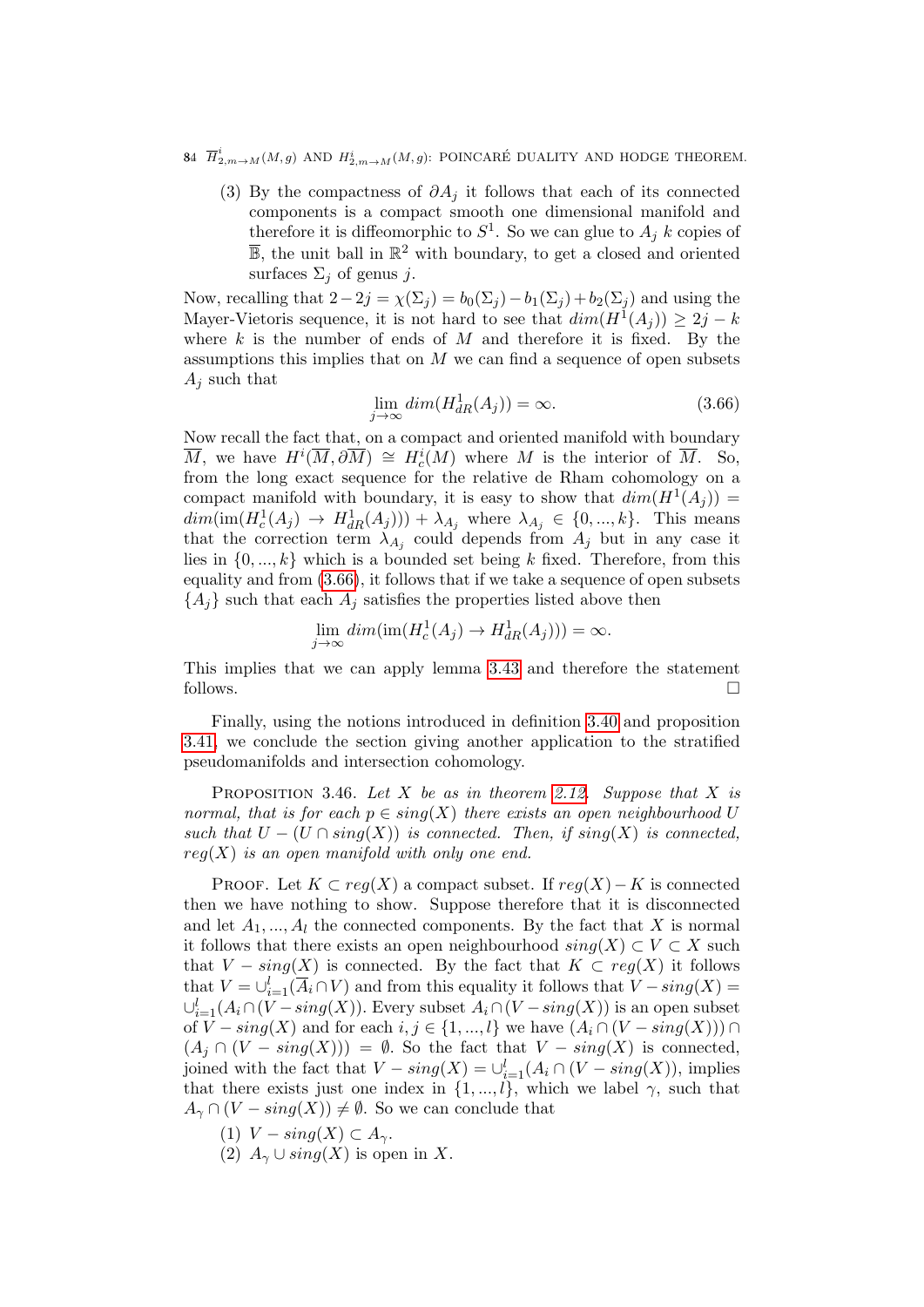- 84  $\overline{H}^i_{2,m\rightarrow M}(M,g)$  and  $H^i_{2,m\rightarrow M}(M,g)$ : POINCARÉ DUALITY AND HODGE THEOREM.
	- (3) By the compactness of  $\partial A_j$  it follows that each of its connected components is a compact smooth one dimensional manifold and therefore it is diffeomorphic to  $S^1$ . So we can glue to  $A_j$  k copies of  $\overline{\mathbb{B}}$ , the unit ball in  $\mathbb{R}^2$  with boundary, to get a closed and oriented surfaces  $\Sigma_j$  of genus j.

Now, recalling that  $2-2j = \chi(\Sigma_i) = b_0(\Sigma_i) - b_1(\Sigma_i) + b_2(\Sigma_i)$  and using the Mayer-Vietoris sequence, it is not hard to see that  $dim(H^1(A_j)) \geq 2j - k$ where  $k$  is the number of ends of  $M$  and therefore it is fixed. By the assumptions this implies that on  $M$  we can find a sequence of open subsets  $A_j$  such that

<span id="page-83-0"></span>
$$
\lim_{j \to \infty} \dim(H_{dR}^1(A_j)) = \infty. \tag{3.66}
$$

Now recall the fact that, on a compact and oriented manifold with boundary  $\overline{M}$ , we have  $H^i(\overline{M}, \partial \overline{M}) \cong H^i_c(M)$  where M is the interior of  $\overline{M}$ . So, from the long exact sequence for the relative de Rham cohomology on a compact manifold with boundary, it is easy to show that  $dim(H^1(A_j)) =$  $dim(\text{im}(H_c^1(A_j) \to H_{dR}^1(A_j))) + \lambda_{A_j}$  where  $\lambda_{A_j} \in \{0, ..., k\}$ . This means that the correction term  $\lambda_{A_j}$  could depends from  $A_j$  but in any case it lies in  $\{0, ..., k\}$  which is a bounded set being k fixed. Therefore, from this equality and from [\(3.66\)](#page-83-0), it follows that if we take a sequence of open subsets  ${A_i}$  such that each  $A_i$  satisfies the properties listed above then

$$
\lim_{j \to \infty} dim(im(H_c^1(A_j) \to H_{dR}^1(A_j))) = \infty.
$$

This implies that we can apply lemma [3.43](#page-81-0) and therefore the statement follows.

Finally, using the notions introduced in definition [3.40](#page-81-1) and proposition [3.41,](#page-81-2) we conclude the section giving another application to the stratified pseudomanifolds and intersection cohomology.

<span id="page-83-1"></span>PROPOSITION 3.46. Let X be as in theorem [2.12.](#page-45-0) Suppose that X is normal, that is for each  $p \in \text{sing}(X)$  there exists an open neighbourhood U such that  $U - (U \cap sing(X))$  is connected. Then, if  $sing(X)$  is connected,  $reg(X)$  is an open manifold with only one end.

PROOF. Let  $K \subset reg(X)$  a compact subset. If  $reg(X)-K$  is connected then we have nothing to show. Suppose therefore that it is disconnected and let  $A_1, ..., A_l$  the connected components. By the fact that X is normal it follows that there exists an open neighbourhood  $sing(X) \subset V \subset X$  such that  $V - sing(X)$  is connected. By the fact that  $K \subset reg(X)$  it follows that  $V = \bigcup_{i=1}^{l} (\overline{A}_{i} \cap V)$  and from this equality it follows that  $V - sing(X) =$  $\cup_{i=1}^{l}(A_i \cap (V-sing(X)).$  Every subset  $A_i \cap (V-sing(X))$  is an open subset of  $V - sing(X)$  and for each  $i, j \in \{1, ..., l\}$  we have  $(A_i \cap (V - sing(X))) \cap$  $(A_i \cap (V - sing(X))) = \emptyset$ . So the fact that  $V - sing(X)$  is connected, joined with the fact that  $V - sing(X) = \bigcup_{i=1}^{l} (A_i \cap (V - sing(X)),$  implies that there exists just one index in  $\{1, ..., l\}$ , which we label  $\gamma$ , such that  $A_{\gamma} \cap (V - sing(X)) \neq \emptyset$ . So we can conclude that

- (1)  $V sing(X) \subset A_{\gamma}$ .
- (2)  $A_{\gamma} \cup sing(X)$  is open in X.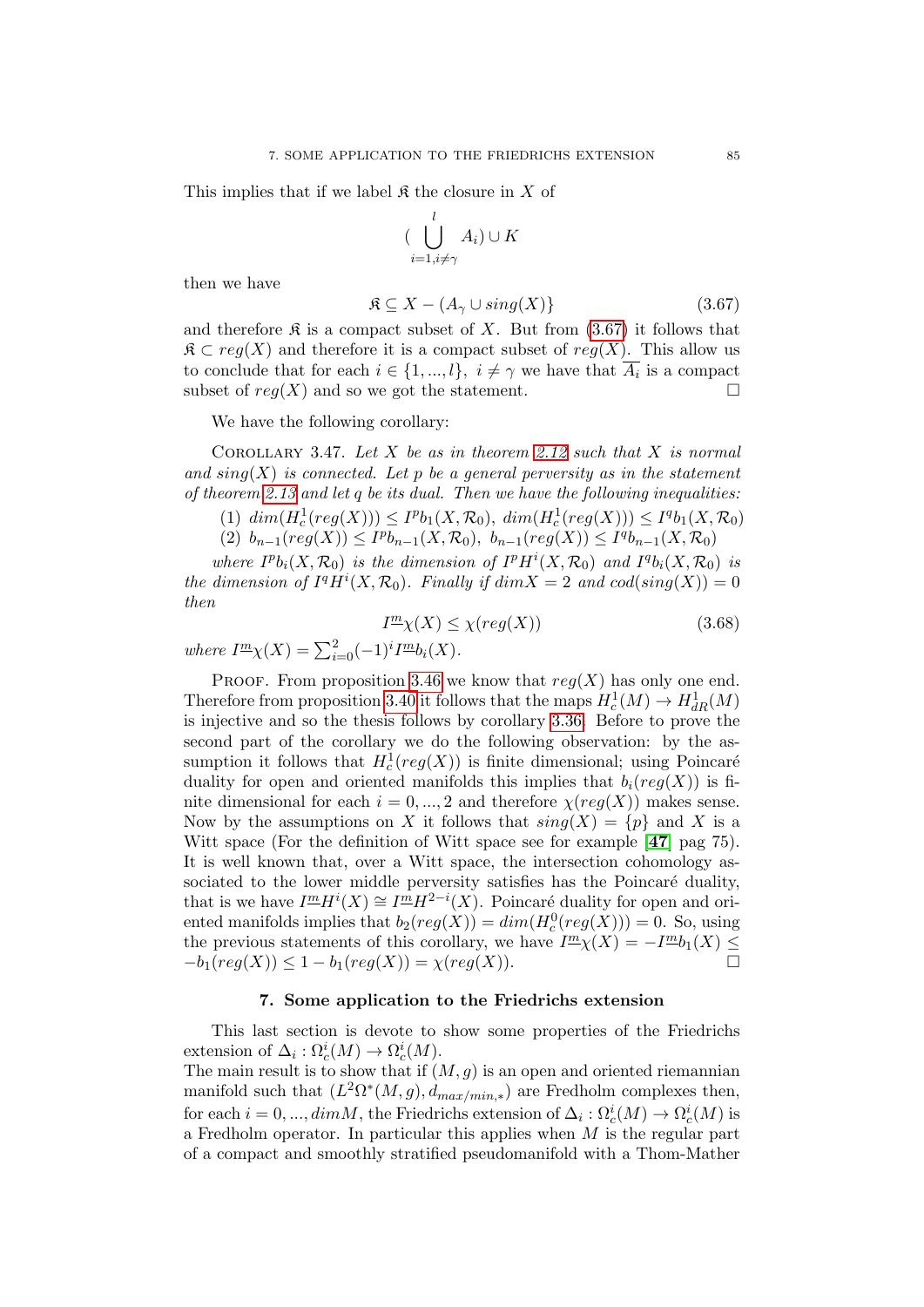This implies that if we label  $\mathfrak K$  the closure in X of

$$
(\bigcup_{i=1, i\neq \gamma}^{l} A_i) \cup K
$$

then we have

<span id="page-84-0"></span>
$$
\mathfrak{K} \subseteq X - (A_{\gamma} \cup sing(X))\tag{3.67}
$$

and therefore  $\mathfrak K$  is a compact subset of X. But from [\(3.67\)](#page-84-0) it follows that  $\mathfrak{K} \subset reg(X)$  and therefore it is a compact subset of  $reg(X)$ . This allow us to conclude that for each  $i \in \{1, ..., l\}, i \neq \gamma$  we have that  $A_i$  is a compact subset of  $reg(X)$  and so we got the statement.

We have the following corollary:

COROLLARY 3.47. Let X be as in theorem [2.12](#page-45-0) such that X is normal and  $sing(X)$  is connected. Let p be a general perversity as in the statement of theorem [2.13](#page-45-1) and let q be its dual. Then we have the following inequalities:

(1)  $\dim(H_c^1(\text{reg}(X))) \leq I^p b_1(X, \mathcal{R}_0), \ \dim(H_c^1(\text{reg}(X))) \leq I^q b_1(X, \mathcal{R}_0)$ (2)  $b_{n-1}(reg(X)) \leq I^p b_{n-1}(X, \mathcal{R}_0), b_{n-1}(reg(X)) \leq I^q b_{n-1}(X, \mathcal{R}_0)$ 

where  $I^p b_i(X, \mathcal{R}_0)$  is the dimension of  $I^p H^i(X, \mathcal{R}_0)$  and  $I^q b_i(X, \mathcal{R}_0)$  is the dimension of  $I^qH^i(X,\mathcal{R}_0)$ . Finally if  $dim X = 2$  and  $cod(sing(X)) = 0$ then

$$
I^{\underline{m}}\chi(X) \le \chi(\text{reg}(X))\tag{3.68}
$$

where  $I^{\underline{m}}\chi(X) = \sum_{i=0}^{2} (-1)^{i} I^{\underline{m}}b_i(X)$ .

PROOF. From proposition [3.46](#page-83-1) we know that  $reg(X)$  has only one end. Therefore from proposition [3.40](#page-81-1) it follows that the maps  $H_c^1(M) \to H_{dR}^1(M)$ is injective and so the thesis follows by corollary [3.36.](#page-79-3) Before to prove the second part of the corollary we do the following observation: by the assumption it follows that  $H_c^1(\text{reg}(X))$  is finite dimensional; using Poincaré duality for open and oriented manifolds this implies that  $b_i(\text{reg}(X))$  is finite dimensional for each  $i = 0, ..., 2$  and therefore  $\chi (reg(X))$  makes sense. Now by the assumptions on X it follows that  $sing(X) = \{p\}$  and X is a Witt space (For the definition of Witt space see for example [[47](#page-137-2)] pag 75). It is well known that, over a Witt space, the intersection cohomology associated to the lower middle perversity satisfies has the Poincaré duality, that is we have  $I^m H^i(X) \cong I^m H^{2-i}(X)$ . Poincaré duality for open and oriented manifolds implies that  $b_2(\text{reg}(X)) = \dim(H_c^0(\text{reg}(X))) = 0$ . So, using the previous statements of this corollary, we have  $I^m(\chi) = -I^m b_1(X) \leq$  $-b_1(\text{reg}(X)) \leq 1 - b_1(\text{reg}(X)) = \chi(\text{reg}(X)).$ 

#### 7. Some application to the Friedrichs extension

This last section is devote to show some properties of the Friedrichs extension of  $\Delta_i : \Omega_c^i(M) \to \Omega_c^i(M)$ .

The main result is to show that if  $(M, g)$  is an open and oriented riemannian manifold such that  $(L^2\Omega^*(M,g), d_{max/min,*})$  are Fredholm complexes then, for each  $i = 0, ..., dimM$ , the Friedrichs extension of  $\Delta_i : \Omega_c^i(M) \to \Omega_c^i(M)$  is a Fredholm operator. In particular this applies when  $M$  is the regular part of a compact and smoothly stratified pseudomanifold with a Thom-Mather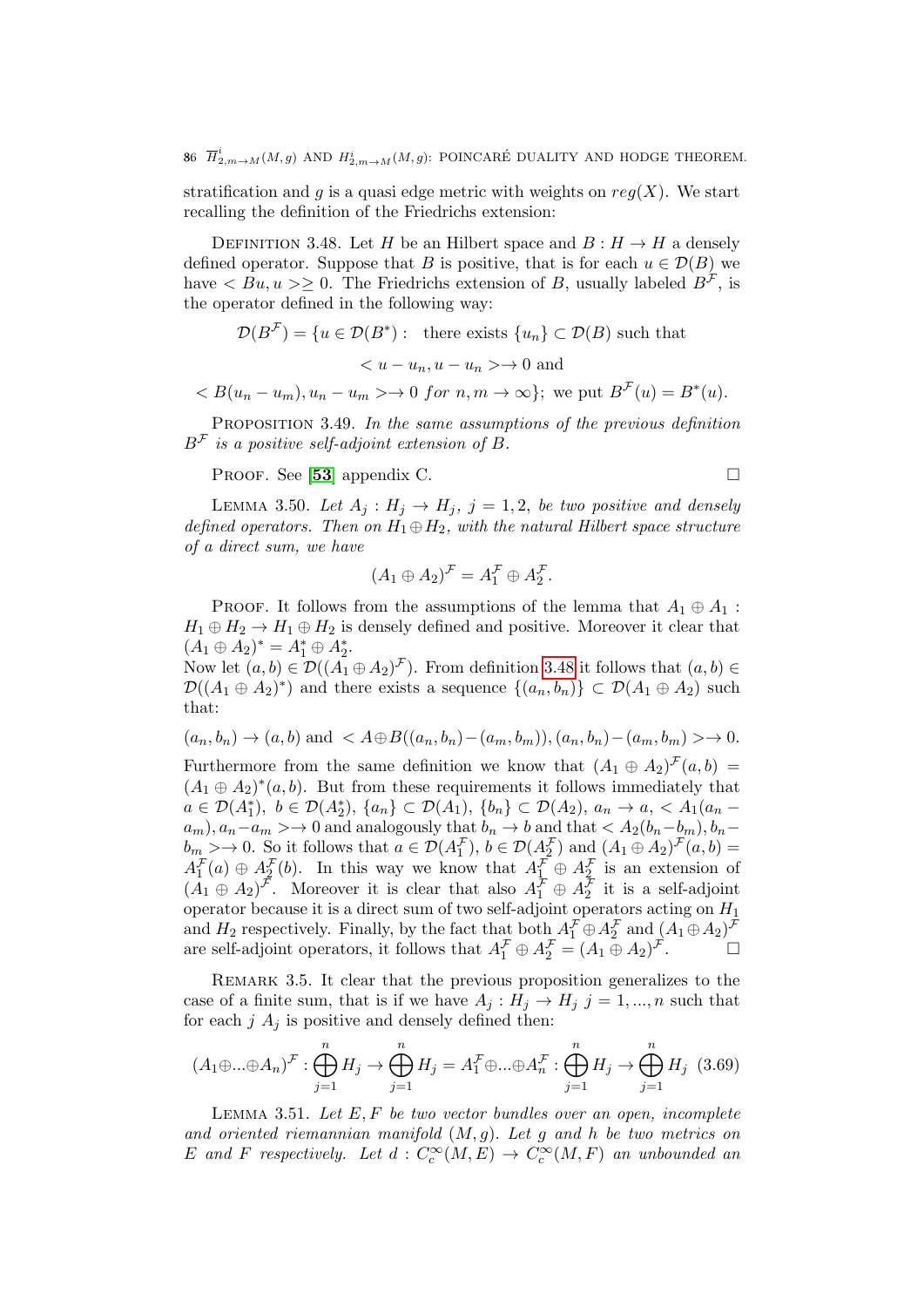86  $\overline{H}^i_{2,m\rightarrow M}(M,g)$  and  $H^i_{2,m\rightarrow M}(M,g)$ : POINCARÉ DUALITY AND HODGE THEOREM.

stratification and g is a quasi edge metric with weights on  $reg(X)$ . We start recalling the definition of the Friedrichs extension:

<span id="page-85-0"></span>DEFINITION 3.48. Let H be an Hilbert space and  $B: H \to H$  a densely defined operator. Suppose that B is positive, that is for each  $u \in \mathcal{D}(B)$  we have  $\langle Bu, u \rangle > 0$ . The Friedrichs extension of B, usually labeled  $B^{\mathcal{F}}$ , is the operator defined in the following way:

$$
\mathcal{D}(B^{\mathcal{F}}) = \{u \in \mathcal{D}(B^*): \text{ there exists } \{u_n\} \subset \mathcal{D}(B) \text{ such that}
$$
  

$$
< u - u_n, u - u_n > \to 0 \text{ and}
$$
  

$$
< B(u_n - u_m), u_n - u_m > \to 0 \text{ for } n, m \to \infty \}; \text{ we put } B^{\mathcal{F}}(u) = B^*(u).
$$

PROPOSITION 3.49. In the same assumptions of the previous definition  $B^{\mathcal{F}}$  is a positive self-adjoint extension of B.

PROOF. See [[53](#page-138-0)] appendix C.

<span id="page-85-2"></span>LEMMA 3.50. Let  $A_j: H_j \to H_j$ ,  $j = 1, 2$ , be two positive and densely defined operators. Then on  $H_1 \oplus H_2$ , with the natural Hilbert space structure of a direct sum, we have

$$
(A_1 \oplus A_2)^{\mathcal{F}} = A_1^{\mathcal{F}} \oplus A_2^{\mathcal{F}}.
$$

PROOF. It follows from the assumptions of the lemma that  $A_1 \oplus A_1$ :  $H_1 \oplus H_2 \rightarrow H_1 \oplus H_2$  is densely defined and positive. Moreover it clear that  $(A_1 \oplus A_2)^* = A_1^* \oplus A_2^*$ .

Now let  $(a, b) \in \mathcal{D}((A_1 \oplus A_2)^{\mathcal{F}})$ . From definition [3.48](#page-85-0) it follows that  $(a, b) \in$  $\mathcal{D}((A_1 \oplus A_2)^*)$  and there exists a sequence  $\{(a_n, b_n)\}\subset \mathcal{D}(A_1 \oplus A_2)$  such that:

$$
(a_n, b_n) \rightarrow (a, b)
$$
 and  $\langle A \oplus B((a_n, b_n) - (a_m, b_m)), (a_n, b_n) - (a_m, b_m) \rangle \rightarrow 0$ . Furthermore from the same definition we know that  $(A_1 \oplus A_2)^F(a, b) = (A_1 \oplus A_2)^*(a, b)$ . But from these requirements it follows immediately that  $a \in \mathcal{D}(A_1^*)$ ,  $b \in \mathcal{D}(A_2^*)$ ,  $\{a_n\} \subset \mathcal{D}(A_1)$ ,  $\{b_n\} \subset \mathcal{D}(A_2)$ ,  $a_n \rightarrow a, \langle A_1(a_n - a_m), a_n - a_m \rangle \rightarrow 0$  and analogously that  $b_n \rightarrow b$  and that  $\langle A_2(b_n - b_m), b_n - b_m \rangle \rightarrow 0$ . So it follows that  $a \in \mathcal{D}(A_1^F)$ ,  $b \in \mathcal{D}(A_2^F)$  and  $(A_1 \oplus A_2)^F(a, b) = A_1^F(a) \oplus A_2^F(b)$ . In this way we know that  $A_1^F \oplus A_2^F$  is an extension of  $(A_1 \oplus A_2)^F$ . Moreover, it is clear that also  $A_1^F \oplus A_2^F$  it is a self-adjoint operator because it is a direct sum of two self-adjoint operators on  $H_1$  and  $H_2$  respectively. Finally, by the fact that both  $A_1^F \oplus A_2^F$  and  $(A_1 \oplus A_2)^F$  are self-adjoint operators, it follows that  $A_1^F \oplus A_2^F = (A_1 \oplus A_2)^F$ .  $\Box$ 

REMARK 3.5. It clear that the previous proposition generalizes to the case of a finite sum, that is if we have  $A_j: H_j \to H_j$  j = 1, ..., n such that for each  $j A_j$  is positive and densely defined then:

$$
(A_1 \oplus \dots \oplus A_n)^{\mathcal{F}} : \bigoplus_{j=1}^n H_j \to \bigoplus_{j=1}^n H_j = A_1^{\mathcal{F}} \oplus \dots \oplus A_n^{\mathcal{F}} : \bigoplus_{j=1}^n H_j \to \bigoplus_{j=1}^n H_j \quad (3.69)
$$

<span id="page-85-1"></span>LEMMA 3.51. Let  $E, F$  be two vector bundles over an open, incomplete and oriented riemannian manifold  $(M, g)$ . Let g and h be two metrics on E and F respectively. Let  $d: C_c^{\infty}(M, E) \to C_c^{\infty}(M, F)$  an unbounded an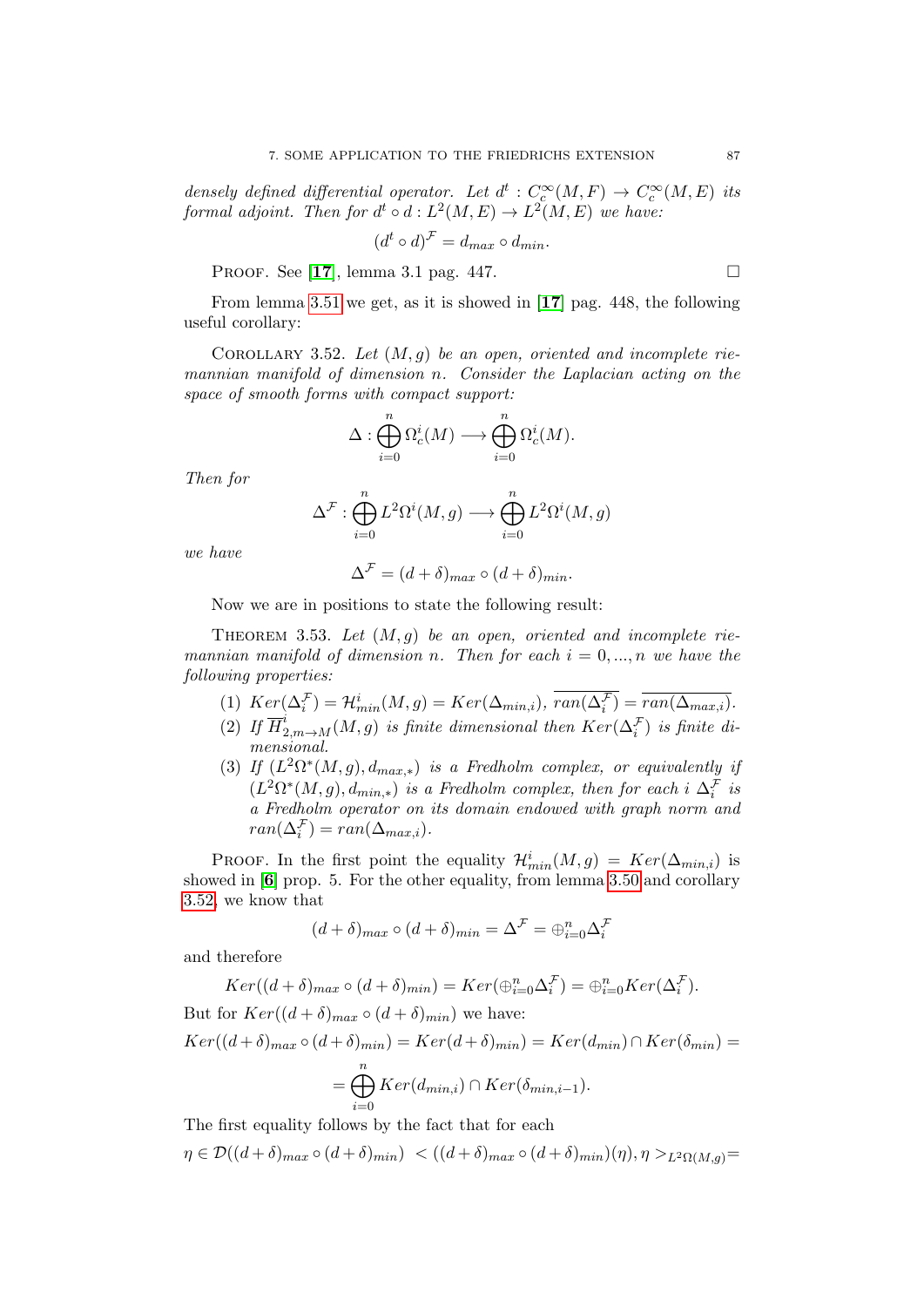densely defined differential operator. Let  $d^t: C_c^{\infty}(M, F) \to C_c^{\infty}(M, E)$  its formal adjoint. Then for  $d^t \circ d : L^2(M, E) \to L^2(M, E)$  we have:

$$
(d^t \circ d)^{\mathcal{F}} = d_{max} \circ d_{min}.
$$

PROOF. See [[17](#page-136-2)], lemma 3.1 pag. 447.

From lemma [3.51](#page-85-1) we get, as it is showed in [[17](#page-136-2)] pag. 448, the following useful corollary:

<span id="page-86-0"></span>COROLLARY 3.52. Let  $(M, g)$  be an open, oriented and incomplete riemannian manifold of dimension n. Consider the Laplacian acting on the space of smooth forms with compact support:

$$
\Delta: \bigoplus_{i=0}^n \Omega^i_c(M) \longrightarrow \bigoplus_{i=0}^n \Omega^i_c(M).
$$

Then for

$$
\Delta^{\mathcal{F}} : \bigoplus_{i=0}^{n} L^{2} \Omega^{i}(M, g) \longrightarrow \bigoplus_{i=0}^{n} L^{2} \Omega^{i}(M, g)
$$

we have

$$
\Delta^{\mathcal{F}} = (d+\delta)_{max} \circ (d+\delta)_{min}.
$$

Now we are in positions to state the following result:

<span id="page-86-1"></span>THEOREM 3.53. Let  $(M, g)$  be an open, oriented and incomplete riemannian manifold of dimension n. Then for each  $i = 0, ..., n$  we have the following properties:

- (1)  $Ker(\Delta_i^{\mathcal{F}}) = \mathcal{H}_{min}^i(M, g) = Ker(\Delta_{min,i}), \overline{ran(\Delta_i^{\mathcal{F}})} = \overline{ran(\Delta_{max,i})}.$
- (2) If  $\overline{H}_{2,m\rightarrow M}^{i}(M,g)$  is finite dimensional then  $Ker(\Delta_i^{\mathcal{F}})$  is finite dimensional.
- (3) If  $(L^2\Omega^*(M,g), d_{max,*})$  is a Fredholm complex, or equivalently if  $(L^2\Omega^*(M,g), d_{min,*})$  is a Fredholm complex, then for each i  $\Delta_i^{\mathcal{F}}$  is a Fredholm operator on its domain endowed with graph norm and  $ran(\Delta_i^{\mathcal{F}}) = ran(\Delta_{max,i}).$

PROOF. In the first point the equality  $\mathcal{H}_{min}^i(M,g) = Ker(\Delta_{min,i})$  is showed in [[6](#page-136-3)] prop. 5. For the other equality, from lemma [3.50](#page-85-2) and corollary [3.52,](#page-86-0) we know that

$$
(d+\delta)_{max} \circ (d+\delta)_{min} = \Delta^{\mathcal{F}} = \bigoplus_{i=0}^{n} \Delta_i^{\mathcal{F}}
$$

and therefore

$$
Ker((d+\delta)_{max} \circ (d+\delta)_{min}) = Ker(\bigoplus_{i=0}^{n} \Delta_i^{\mathcal{F}}) = \bigoplus_{i=0}^{n} Ker(\Delta_i^{\mathcal{F}}).
$$

But for  $Ker((d + \delta)_{max} \circ (d + \delta)_{min})$  we have:  $Ker((d+\delta)_{max} \circ (d+\delta)_{min}) = Ker(d+\delta)_{min}) = Ker(d_{min}) \cap Ker(\delta_{min}) =$  $=\bigoplus^n$  $i=0$  $Ker(d_{min,i}) \cap Ker(\delta_{min,i-1}).$ 

The first equality follows by the fact that for each

 $\eta \in \mathcal{D}((d+\delta)_{max} \circ (d+\delta)_{min}) \langle ((d+\delta)_{max} \circ (d+\delta)_{min})(\eta), \eta \rangle_{L^2(\Omega(M,a))} =$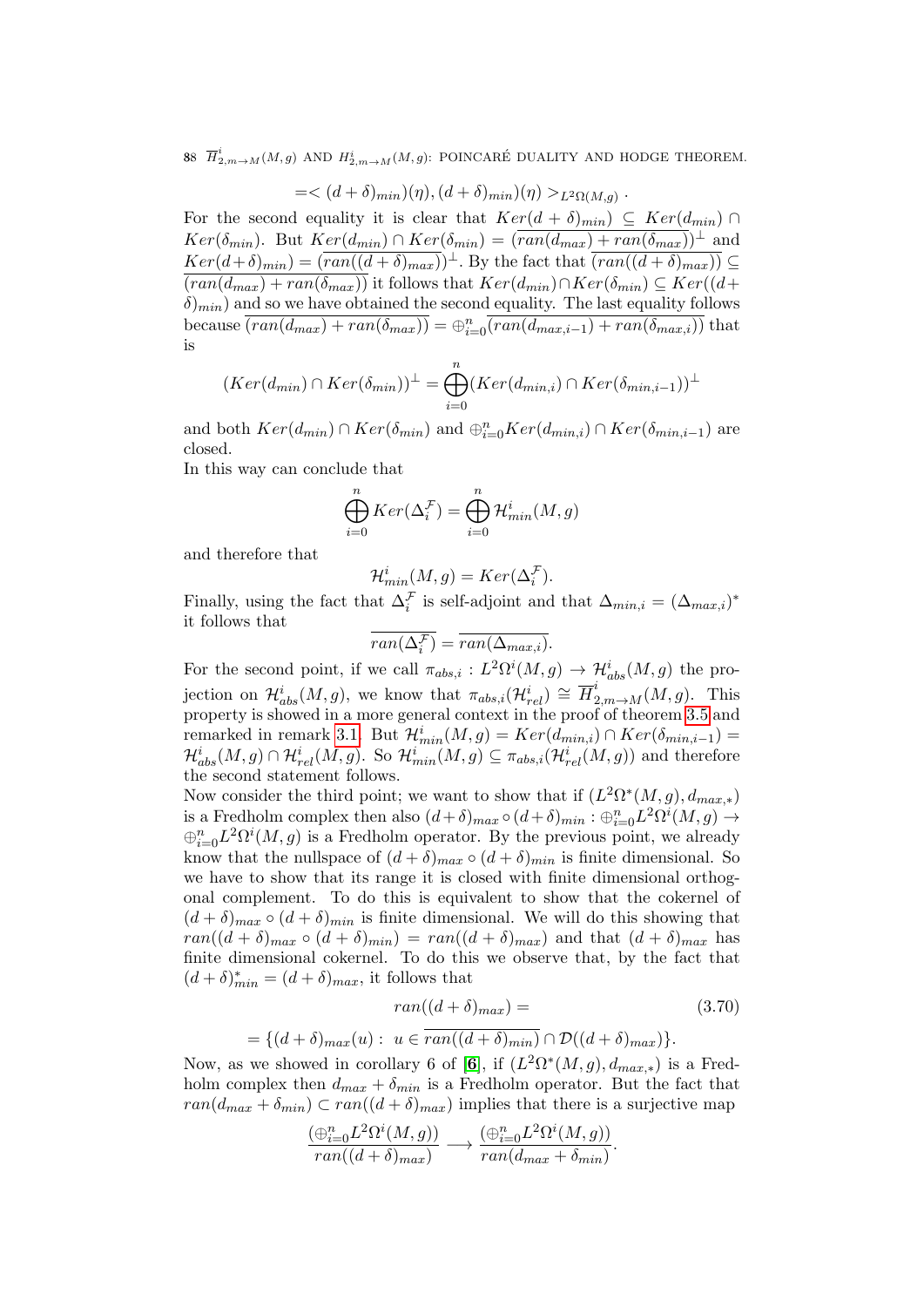88  $\overline{H}^i_{2,m \to M}(M,g)$  and  $H^i_{2,m \to M}(M,g)$ : POINCARÉ DUALITY AND HODGE THEOREM.

$$
=<(d+\delta)_{min})(\eta),(d+\delta)_{min})(\eta)>_{L^2\Omega(M,g)}.
$$

For the second equality it is clear that  $Ker(d + \delta)_{min}$   $\subseteq Ker(d_{min})$  ∩  $Ker(\delta_{min})$ . But  $Ker(d_{min}) \cap Ker(\delta_{min}) = (\overline{ran(d_{max}) + ran(\delta_{max})})^{\perp}$  and  $Ker(d+\delta)_{min}) = (\overline{ran((d+\delta)_{max})})^{\perp}$ . By the fact that  $\overline{(ran((d+\delta)_{max}))} \subseteq$  $(\text{ran}(d_{max}) + \text{ran}(\delta_{max}))$  it follows that  $Ker(d_{min}) \cap Ker(\delta_{min}) \subseteq Ker((d +$  $\delta_{min}$ ) and so we have obtained the second equality. The last equality follows because  $\overline{(ran(d_{max})+ran(\delta_{max}))} = \bigoplus_{i=0}^{n} \overline{(ran(d_{max,i-1})+ran(\delta_{max,i}))}$  that is

$$
(Ker(d_{min}) \cap Ker(\delta_{min}))^{\perp} = \bigoplus_{i=0}^{n} (Ker(d_{min,i}) \cap Ker(\delta_{min,i-1}))^{\perp}
$$

and both  $Ker(d_{min}) \cap Ker(\delta_{min})$  and  $\bigoplus_{i=0}^{n} Ker(d_{min,i}) \cap Ker(\delta_{min,i-1})$  are closed.

In this way can conclude that

$$
\bigoplus_{i=0}^{n} Ker(\Delta_{i}^{\mathcal{F}}) = \bigoplus_{i=0}^{n} \mathcal{H}_{min}^{i}(M, g)
$$

and therefore that

$$
\mathcal{H}_{min}^i(M, g) = Ker(\Delta_i^{\mathcal{F}}).
$$

Finally, using the fact that  $\Delta_i^{\mathcal{F}}$  is self-adjoint and that  $\Delta_{min,i} = (\Delta_{max,i})^*$ it follows that

$$
\overline{ran(\Delta_i^{\mathcal{F}})} = \overline{ran(\Delta_{max,i})}.
$$

For the second point, if we call  $\pi_{abs,i}: L^2\Omega^i(M,g) \to \mathcal{H}_{abs}^i(M,g)$  the projection on  $\mathcal{H}_{abs}^{i}(M,g)$ , we know that  $\pi_{abs,i}(\mathcal{H}_{rel}^{i}) \cong \overline{H}_{2,m\rightarrow M}^{i}(M,g)$ . This property is showed in a more general context in the proof of theorem [3.5](#page-58-0) and remarked in remark [3.1.](#page-60-0) But  $\mathcal{H}_{min}^i(M,g) = Ker(d_{min,i}) \cap Ker(\delta_{min,i-1}) =$  $\mathcal{H}^i_{abs}(M,g)\cap\mathcal{H}^i_{rel}(M,g)$ . So  $\mathcal{H}^i_{min}(M,g)\subseteq\pi_{abs,i}(\mathcal{H}^i_{rel}(M,g))$  and therefore the second statement follows.

Now consider the third point; we want to show that if  $(L^2\Omega^*(M,g), d_{max,*})$ is a Fredholm complex then also  $(d+\delta)_{max} \circ (d+\delta)_{min} : \bigoplus_{i=0}^{n} L^2 \Omega^i(M, g) \to$  $\bigoplus_{i=0}^n L^2\Omega^i(M,g)$  is a Fredholm operator. By the previous point, we already know that the nullspace of  $(d + \delta)_{max} \circ (d + \delta)_{min}$  is finite dimensional. So we have to show that its range it is closed with finite dimensional orthogonal complement. To do this is equivalent to show that the cokernel of  $(d + \delta)_{max} \circ (d + \delta)_{min}$  is finite dimensional. We will do this showing that  $ran((d + \delta)_{max} \circ (d + \delta)_{min}) = ran((d + \delta)_{max})$  and that  $(d + \delta)_{max}$  has finite dimensional cokernel. To do this we observe that, by the fact that  $(d + \delta)_{min}^* = (d + \delta)_{max}$ , it follows that

<span id="page-87-0"></span>
$$
ran((d+\delta)_{max}) =
$$
\n
$$
= \{(d+\delta)_{max}(u) : u \in \overline{ran((d+\delta)_{min})} \cap \mathcal{D}((d+\delta)_{max})\}.
$$
\n
$$
= \text{where } \text{d} \text{ in } \text{ such that } \mathcal{E} \text{ is } (\mathbf{G}^{1}) \text{ is } (\mathbf{G}^{2} \mathbf{C}^{*}(\mathbf{M}, \mathbf{C})) \text{ is a Find}
$$

Now, as we showed in corollary [6](#page-136-3) of [6], if  $(L^2\Omega^*(M,g), d_{max,*})$  is a Fredholm complex then  $d_{max} + \delta_{min}$  is a Fredholm operator. But the fact that  $ran(d_{max} + \delta_{min}) \subset ran((d + \delta)_{max})$  implies that there is a surjective map

$$
\frac{(\bigoplus_{i=0}^n L^2 \Omega^i(M, g))}{ran((d+\delta)_{max})} \longrightarrow \frac{(\bigoplus_{i=0}^n L^2 \Omega^i(M, g))}{ran(d_{max} + \delta_{min})}.
$$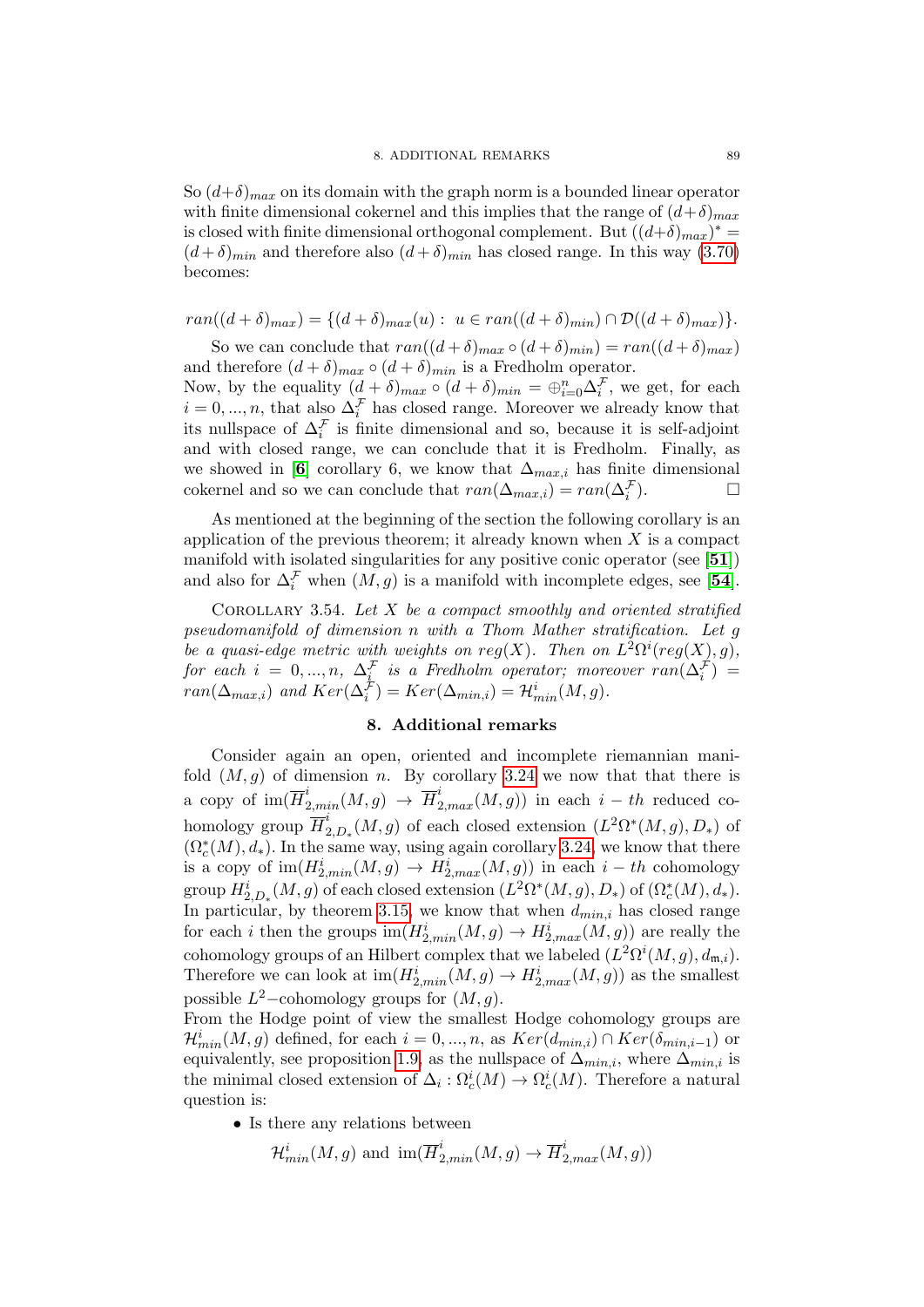So  $(d+\delta)_{max}$  on its domain with the graph norm is a bounded linear operator with finite dimensional cokernel and this implies that the range of  $(d+\delta)_{max}$ is closed with finite dimensional orthogonal complement. But  $((d+\delta)_{max})^*$  $(d+\delta)_{min}$  and therefore also  $(d+\delta)_{min}$  has closed range. In this way [\(3.70\)](#page-87-0) becomes:

$$
ran((d+\delta)_{max}) = \{ (d+\delta)_{max}(u): u \in ran((d+\delta)_{min}) \cap \mathcal{D}((d+\delta)_{max}) \}.
$$

So we can conclude that  $ran((d + \delta)_{max} \circ (d + \delta)_{min}) = ran((d + \delta)_{max})$ and therefore  $(d + \delta)_{max} \circ (d + \delta)_{min}$  is a Fredholm operator.

Now, by the equality  $(d + \delta)_{max} \circ (d + \delta)_{min} = \bigoplus_{i=0}^{n} \Delta_i^{\mathcal{F}}$ , we get, for each  $i = 0, ..., n$ , that also  $\Delta_i^{\mathcal{F}}$  has closed range. Moreover we already know that its nullspace of  $\Delta_i^{\mathcal{F}}$  is finite dimensional and so, because it is self-adjoint and with closed range, we can conclude that it is Fredholm. Finally, as we showed in [[6](#page-136-3)] corollary 6, we know that  $\Delta_{max,i}$  has finite dimensional cokernel and so we can conclude that  $ran(\Delta_{max,i}) = ran(\Delta_i^{\mathcal{F}})$  $\Box$ 

As mentioned at the beginning of the section the following corollary is an application of the previous theorem; it already known when  $X$  is a compact manifold with isolated singularities for any positive conic operator (see [[51](#page-137-3)]) and also for  $\Delta_i^{\mathcal{F}}$  when  $(M, g)$  is a manifold with incomplete edges, see [[54](#page-138-1)].

COROLLARY 3.54. Let  $X$  be a compact smoothly and oriented stratified pseudomanifold of dimension n with a Thom Mather stratification. Let g be a quasi-edge metric with weights on reg(X). Then on  $L^2\Omega^i(\text{reg}(X), g)$ , for each  $i = 0, ..., n$ ,  $\Delta_i^{\mathcal{F}}$  is a Fredholm operator; moreover  $ran(\Delta_i^{\mathcal{F}})$  =  $ran(\Delta_{max,i})$  and  $Ker(\Delta_i^{\mathcal{F}}) = Ker(\Delta_{min,i}) = \mathcal{H}_{min}^i(M, g)$ .

## 8. Additional remarks

Consider again an open, oriented and incomplete riemannian manifold  $(M, q)$  of dimension n. By corollary [3.24](#page-73-0) we now that that there is a copy of  $\text{im}(\overline{H}^i_{2,min}(M,g) \to \overline{H}^i_{2,max}(M,g))$  in each  $i-th$  reduced cohomology group  $\overline{H}^i_2$  $L^2_{2,D_*}(M,g)$  of each closed extension  $(L^2\Omega^*(M,g), D_*)$  of  $(\Omega_c^*(M), d_*)$ . In the same way, using again corollary [3.24,](#page-73-0) we know that there is a copy of  $\text{im}(H_{2,min}^i(M,g) \to H_{2,max}^i(M,g))$  in each  $i-th$  cohomology group  $H_{2,D_*}^i(M,g)$  of each closed extension  $(L^2\Omega^*(M,g), D_*)$  of  $(\Omega_c^*(M), d_*)$ . In particular, by theorem [3.15,](#page-66-0) we know that when  $d_{min,i}$  has closed range for each *i* then the groups  $\text{im}(H_{2,min}^i(M,g) \to H_{2,max}^i(M,g))$  are really the cohomology groups of an Hilbert complex that we labeled  $(L^2\Omega^i(M,g), d_{\mathfrak{m},i}).$ Therefore we can look at  $\text{im}(H_{2,min}^i(M,g) \to H_{2,max}^i(M,g))$  as the smallest possible  $L^2$ -cohomology groups for  $(M, g)$ .

From the Hodge point of view the smallest Hodge cohomology groups are  $\mathcal{H}_{min}^i(M, g)$  defined, for each  $i = 0, ..., n$ , as  $Ker(d_{min,i}) \cap Ker(\delta_{min,i-1})$  or equivalently, see proposition [1.9,](#page-19-0) as the nullspace of  $\Delta_{min,i}$ , where  $\Delta_{min,i}$  is the minimal closed extension of  $\Delta_i$ :  $\Omega_c^i(M) \to \Omega_c^i(M)$ . Therefore a natural question is:

• Is there any relations between

$$
\mathcal{H}_{min}^i(M,g)
$$
 and  $\text{im}(\overline{H}_{2,min}^i(M,g) \to \overline{H}_{2,max}^i(M,g))$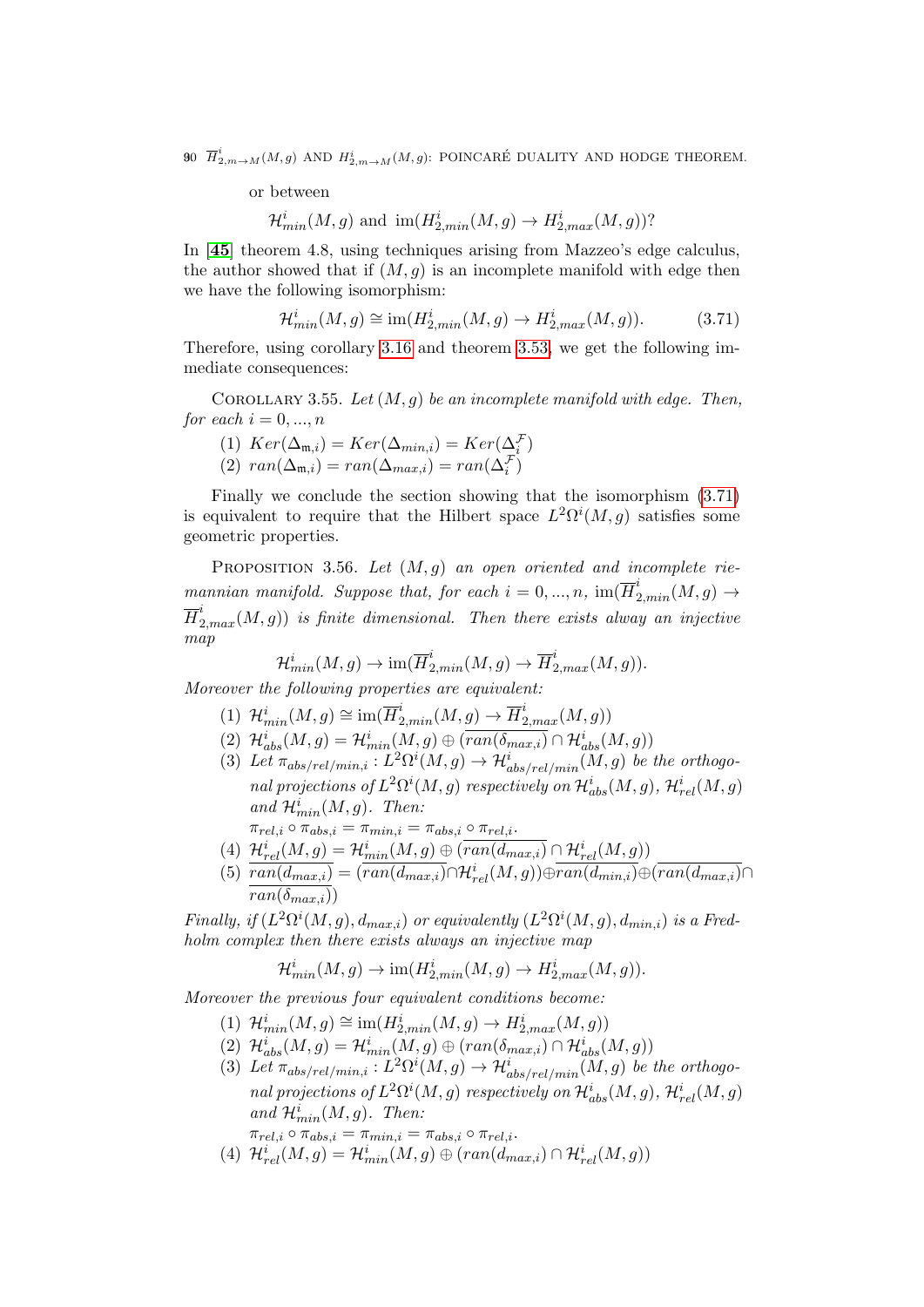90  $\overline{H}^i_{2,m\rightarrow M}(M,g)$  and  $H^i_{2,m\rightarrow M}(M,g)$ : POINCARÉ DUALITY AND HODGE THEOREM.

or between

$$
\mathcal{H}_{min}^i(M,g)
$$
 and  $\text{im}(H_{2,min}^i(M,g) \to H_{2,max}^i(M,g))$ ?

In [[45](#page-137-4)] theorem 4.8, using techniques arising from Mazzeo's edge calculus, the author showed that if  $(M, q)$  is an incomplete manifold with edge then we have the following isomorphism:

<span id="page-89-0"></span>
$$
\mathcal{H}_{min}^i(M,g) \cong \text{im}(H_{2,min}^i(M,g) \to H_{2,max}^i(M,g)).\tag{3.71}
$$

Therefore, using corollary [3.16](#page-67-0) and theorem [3.53,](#page-86-1) we get the following immediate consequences:

COROLLARY 3.55. Let  $(M, q)$  be an incomplete manifold with edge. Then, for each  $i = 0, ..., n$ 

(1)  $Ker(\Delta_{\mathfrak{m},i}) = Ker(\Delta_{min,i}) = Ker(\Delta_i^{\mathcal{F}})$ (2)  $ran(\Delta_{\mathfrak{m},i}) = ran(\Delta_{max,i}) = ran(\Delta_i^{\mathcal{F}})$ 

Finally we conclude the section showing that the isomorphism [\(3.71\)](#page-89-0) is equivalent to require that the Hilbert space  $L^2\Omega^i(M, g)$  satisfies some geometric properties.

PROPOSITION 3.56. Let  $(M, g)$  an open oriented and incomplete riemannian manifold. Suppose that, for each  $i = 0, ..., n$ ,  $\text{im}(\overline{H}_{2,min}^i(M,g) \rightarrow$  $\overline{H}^i_{2, max}(M,g))$  is finite dimensional. Then there exists alway an injective map

$$
\mathcal{H}_{min}^i(M,g) \to \text{im}(\overline{H}_{2,min}^i(M,g) \to \overline{H}_{2,max}^i(M,g)).
$$

Moreover the following properties are equivalent:

- (1)  $\mathcal{H}_{min}^i(M,g) \cong \text{im}(\overline{H}_{2,min}^i(M,g) \to \overline{H}_{2,max}^i(M,g))$
- (2)  $\mathcal{H}_{abs}^{i}(M,g) = \mathcal{H}_{min}^{i}(M,g) \oplus \overline{(ran(\delta_{max,i})} \cap \mathcal{H}_{abs}^{i}(M,g))$
- (3) Let  $\pi_{abs/rel/min,i}: L^2\Omega^i(M,g) \to \mathcal{H}_{abs/rel/min}^i(M,g)$  be the orthogonal projections of  $L^2\Omega^i(M,g)$  respectively on  $\mathcal{H}^i_{abs}(M,g)$ ,  $\mathcal{H}^i_{rel}(M,g)$ and  $\mathcal{H}_{min}^i(M,g)$ . Then:

 $\pi_{rel,i} \circ \pi_{abs,i} = \pi_{min,i} = \pi_{abs,i} \circ \pi_{rel,i}.$ 

- (4)  $\mathcal{H}^{i}_{rel}(M,g) = \mathcal{H}^{i}_{min}(M,g) \oplus (\overline{ran(d_{max,i})} \cap \mathcal{H}^{i}_{rel}(M,g))$
- (5)  $\overline{ran(d_{max,i})} = (\overline{ran(d_{max,i})} \cap \mathcal{H}_{rel}^{i}(M,g)) \oplus \overline{ran(d_{min,i})} \oplus (\overline{ran(d_{max,i})} \cap \mathcal{H}_{rel}^{i}(M,g))$  $ran(\delta_{max,i})$

Finally, if  $(L^2\Omega^i(M,g), d_{max,i})$  or equivalently  $(L^2\Omega^i(M,g), d_{min,i})$  is a Fredholm complex then there exists always an injective map

$$
\mathcal{H}_{min}^i(M,g) \to \text{im}(H_{2,min}^i(M,g) \to H_{2,max}^i(M,g)).
$$

Moreover the previous four equivalent conditions become:

- (1)  $\mathcal{H}_{min}^{i}(M,g) \cong \text{im}(H_{2,min}^{i}(M,g) \to H_{2,max}^{i}(M,g))$
- (2)  $\mathcal{H}_{abs}^{i}(M,g) = \mathcal{H}_{min}^{i}(M,g) \oplus (ran(\delta_{max,i}) \cap \mathcal{H}_{abs}^{i}(M,g))$
- (3) Let  $\pi_{abs/rel/min,i}: L^2\Omega^i(M,g) \to \mathcal{H}^i_{abs/rel/min}(M,g)$  be the orthogonal projections of  $L^2\Omega^i(M,g)$  respectively on  $\mathcal{H}^i_{abs}(M,g)$ ,  $\mathcal{H}^i_{rel}(M,g)$ and  $\mathcal{H}_{min}^i(M,g)$ . Then:

 $\pi_{rel,i} \circ \pi_{abs,i} = \pi_{min,i} = \pi_{abs,i} \circ \pi_{rel,i}.$ 

(4)  $\mathcal{H}_{rel}^{i}(M,g) = \mathcal{H}_{min}^{i}(M,g) \oplus (ran(d_{max,i}) \cap \mathcal{H}_{rel}^{i}(M,g))$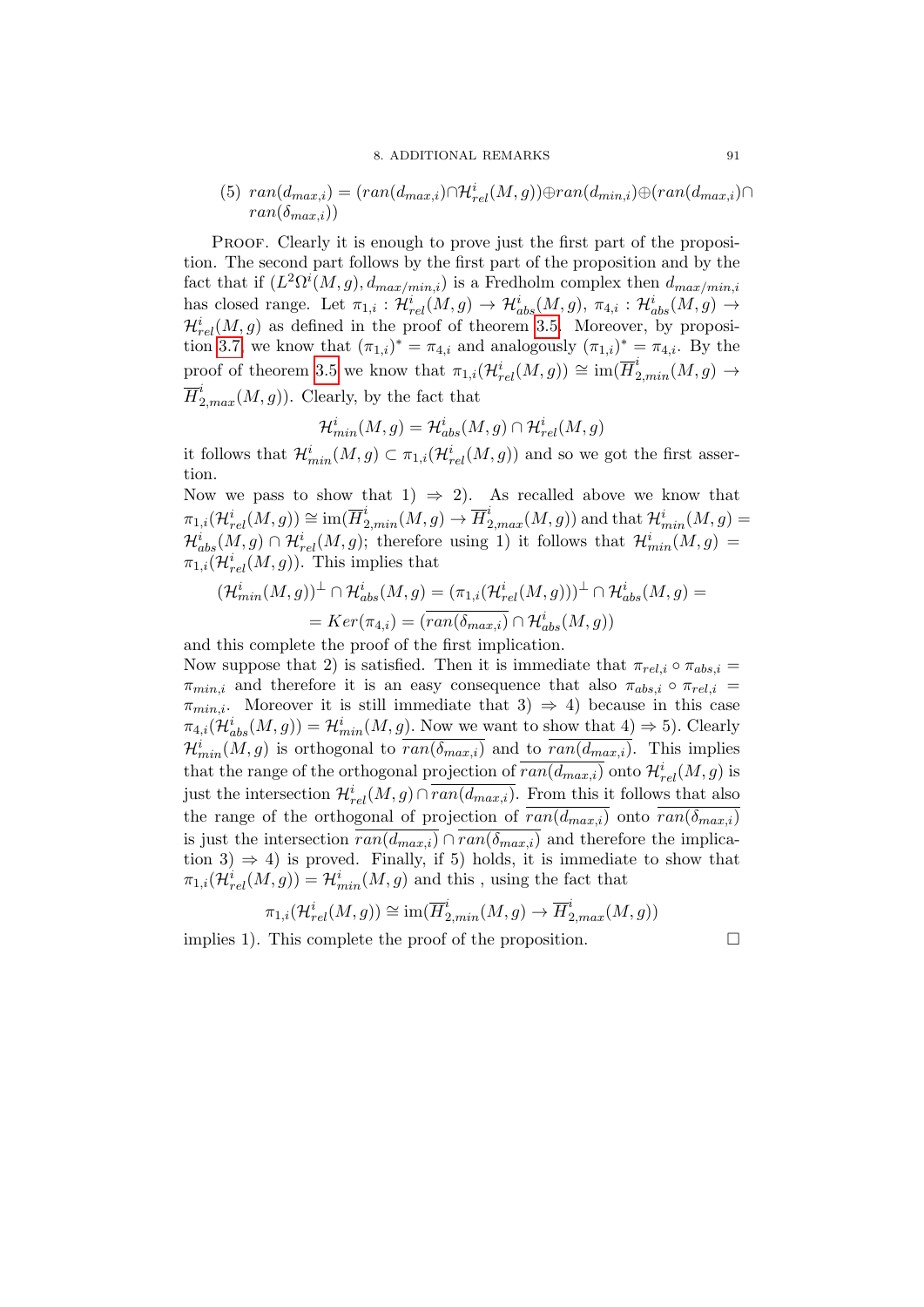#### 8. ADDITIONAL REMARKS 91

(5) 
$$
ran(d_{max,i}) = (ran(d_{max,i}) \cap H_{rel}^i(M, g)) \oplus ran(d_{min,i}) \oplus (ran(d_{max,i}) \cap ran(\delta_{max,i}))
$$

PROOF. Clearly it is enough to prove just the first part of the proposition. The second part follows by the first part of the proposition and by the fact that if  $(L^2\Omega^i(M,g), d_{max/min,i})$  is a Fredholm complex then  $d_{max/min,i}$ has closed range. Let  $\pi_{1,i} : \mathcal{H}^i_{rel}(M,g) \to \mathcal{H}^i_{abs}(M,g)$ ,  $\pi_{4,i} : \mathcal{H}^i_{abs}(M,g) \to$  $\mathcal{H}^{i}_{rel}(M,g)$  as defined in the proof of theorem [3.5.](#page-58-0) Moreover, by proposi-tion [3.7,](#page-59-0) we know that  $(\pi_{1,i})^* = \pi_{4,i}$  and analogously  $(\pi_{1,i})^* = \pi_{4,i}$ . By the proof of theorem [3.5](#page-58-0) we know that  $\pi_{1,i}(\mathcal{H}^i_{rel}(M,g)) \cong \text{im}(\overline{H}^i_{2,min}(M,g) \to$  $\overline{H}_{2,max}^i(M, g)$ ). Clearly, by the fact that

$$
\mathcal{H}_{min}^i(M,g) = \mathcal{H}_{abs}^i(M,g) \cap \mathcal{H}_{rel}^i(M,g)
$$

it follows that  $\mathcal{H}_{min}^i(M, g) \subset \pi_{1,i}(\mathcal{H}_{rel}^i(M, g))$  and so we got the first assertion.

Now we pass to show that 1)  $\Rightarrow$  2). As recalled above we know that  $\pi_{1,i}(\mathcal{H}^i_{rel}(M,g))\cong \text{im}(\overline{H}^i_{2,min}(M,g)\rightarrow \overline{H}^i_{2,max}(M,g))\text{ and that }\mathcal{H}^i_{min}(M,g)=$  $\mathcal{H}^i_{abs}(M,g) \cap \mathcal{H}^i_{rel}(M,g)$ ; therefore using 1) it follows that  $\mathcal{H}^i_{min}(M,g)$  $\pi_{1,i}(\mathcal{H}^i_{rel}(M,g))$ . This implies that

$$
(\mathcal{H}_{min}^i(M,g))^{\perp} \cap \mathcal{H}_{abs}^i(M,g) = (\pi_{1,i}(\mathcal{H}_{rel}^i(M,g)))^{\perp} \cap \mathcal{H}_{abs}^i(M,g) =
$$
  
= 
$$
Ker(\pi_{4,i}) = (\overline{ran(\delta_{max,i})} \cap \mathcal{H}_{abs}^i(M,g))
$$

and this complete the proof of the first implication.

Now suppose that 2) is satisfied. Then it is immediate that  $\pi_{rel,i} \circ \pi_{abs,i} =$  $\pi_{min,i}$  and therefore it is an easy consequence that also  $\pi_{abs,i} \circ \pi_{rel,i}$  $\pi_{min,i}$ . Moreover it is still immediate that 3)  $\Rightarrow$  4) because in this case  $\pi_{4,i}(\mathcal{H}_{abs}^{i}(M,g)) = \mathcal{H}_{min}^{i}(M,g)$ . Now we want to show that  $4) \Rightarrow 5$ ). Clearly  $\mathcal{H}_{min}^i(M,g)$  is orthogonal to  $\overline{ran(\delta_{max,i})}$  and to  $\overline{ran(d_{max,i})}$ . This implies that the range of the orthogonal projection of  $\overline{ran(d_{max,i})}$  onto  $\mathcal{H}^{i}_{rel}(M, g)$  is just the intersection  $\mathcal{H}^{i}_{rel}(M,g) \cap \overline{ran(d_{max,i})}$ . From this it follows that also the range of the orthogonal of projection of  $\overline{ran(d_{max,i})}$  onto  $\overline{ran(\delta_{max,i})}$ is just the intersection  $\overline{ran(d_{max,i})} \cap \overline{ran(\delta_{max,i})}$  and therefore the implication 3)  $\Rightarrow$  4) is proved. Finally, if 5) holds, it is immediate to show that  $\pi_{1,i}(\mathcal{H}^i_{rel}(M,g)) = \mathcal{H}^i_{min}(M,g)$  and this, using the fact that

$$
\pi_{1,i}(\mathcal{H}^i_{rel}(M,g)) \cong \text{im}(\overline{H}^i_{2,min}(M,g) \to \overline{H}^i_{2,max}(M,g))
$$

implies 1). This complete the proof of the proposition.  $\Box$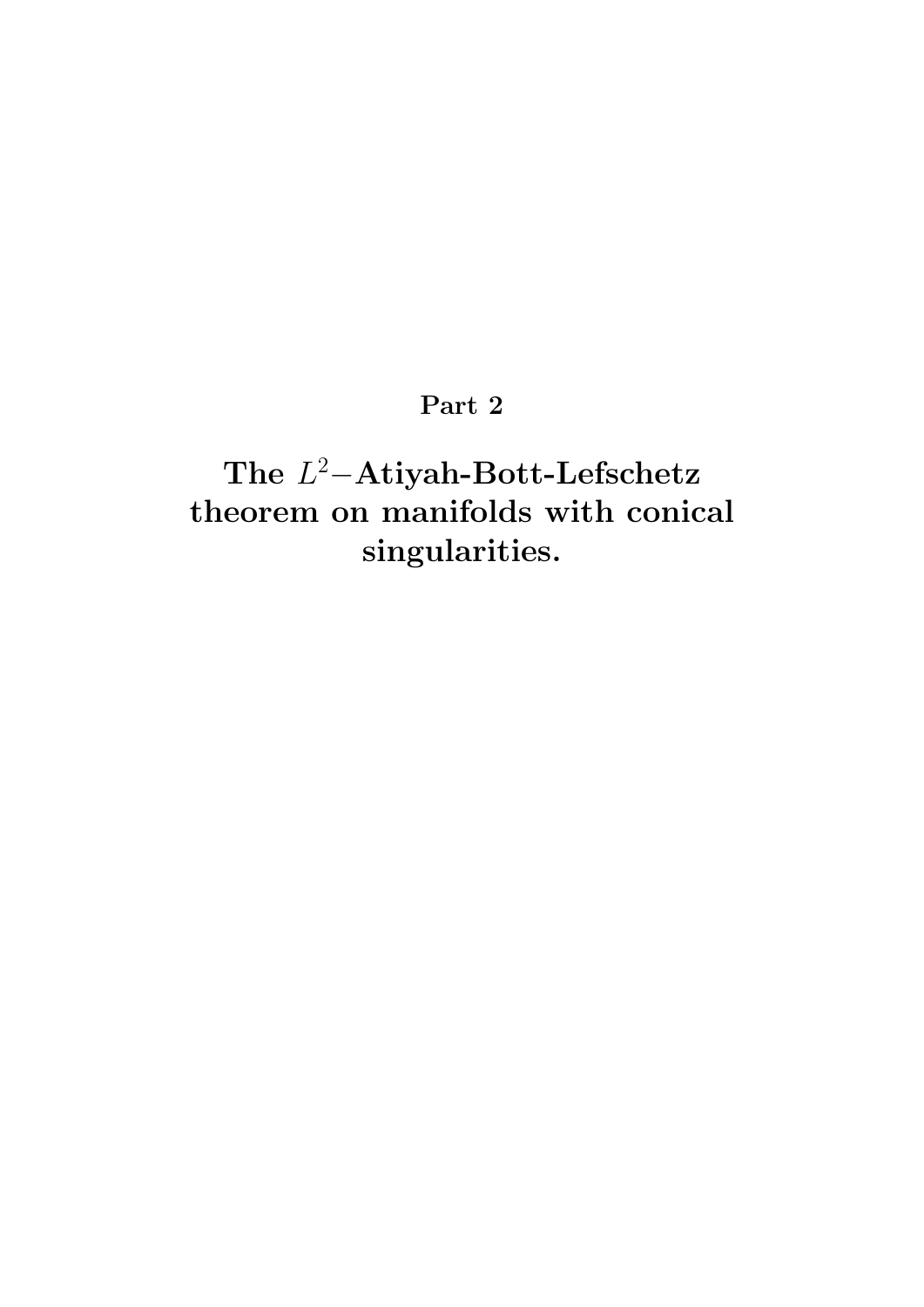# Part 2

The L <sup>2</sup>−Atiyah-Bott-Lefschetz theorem on manifolds with conical singularities.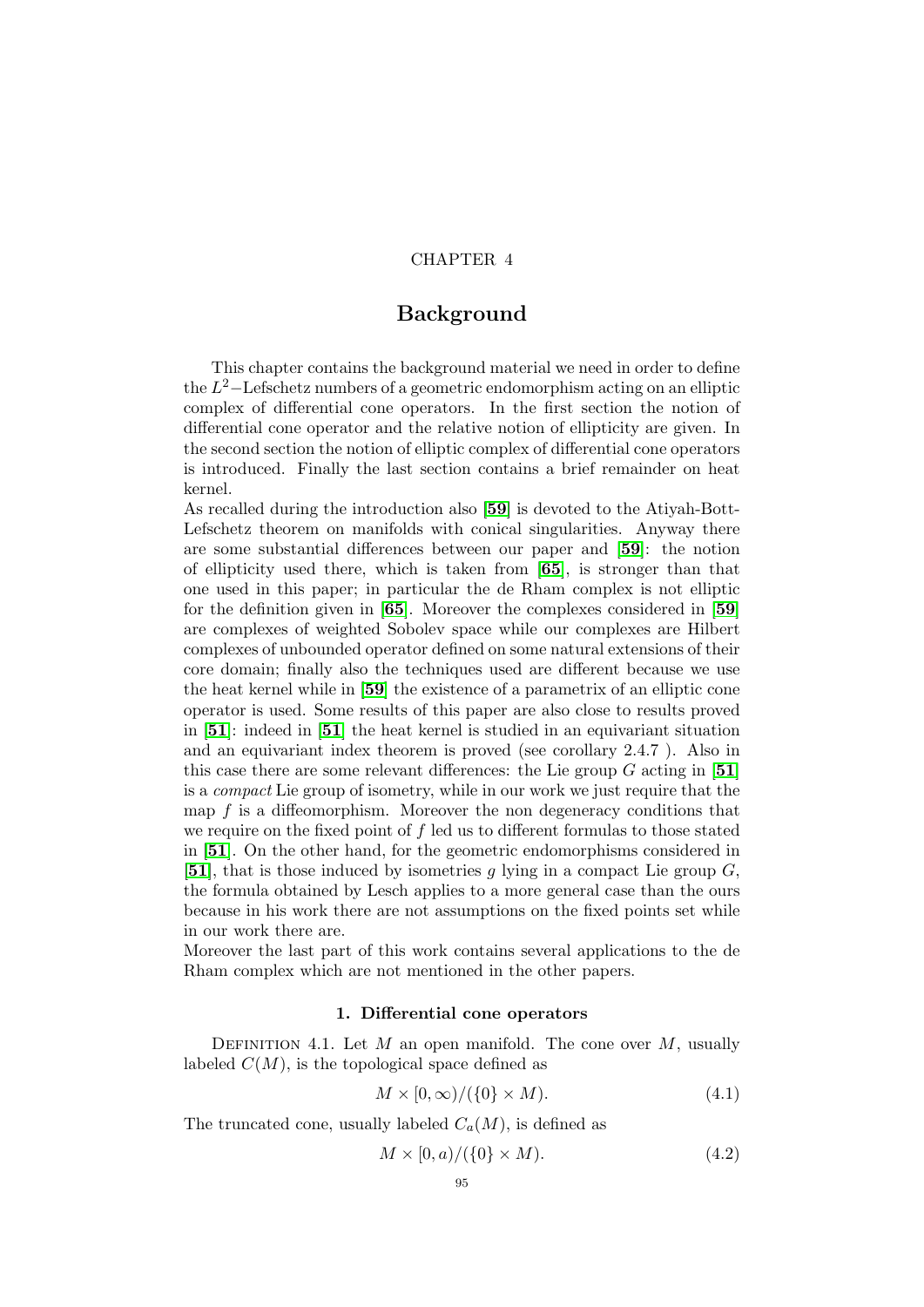## CHAPTER 4

# Background

This chapter contains the background material we need in order to define the  $L^2$ –Lefschetz numbers of a geometric endomorphism acting on an elliptic complex of differential cone operators. In the first section the notion of differential cone operator and the relative notion of ellipticity are given. In the second section the notion of elliptic complex of differential cone operators is introduced. Finally the last section contains a brief remainder on heat kernel.

As recalled during the introduction also [[59](#page-138-2)] is devoted to the Atiyah-Bott-Lefschetz theorem on manifolds with conical singularities. Anyway there are some substantial differences between our paper and [[59](#page-138-2)]: the notion of ellipticity used there, which is taken from [[65](#page-138-3)], is stronger than that one used in this paper; in particular the de Rham complex is not elliptic for the definition given in [[65](#page-138-3)]. Moreover the complexes considered in [[59](#page-138-2)] are complexes of weighted Sobolev space while our complexes are Hilbert complexes of unbounded operator defined on some natural extensions of their core domain; finally also the techniques used are different because we use the heat kernel while in [[59](#page-138-2)] the existence of a parametrix of an elliptic cone operator is used. Some results of this paper are also close to results proved in [[51](#page-137-3)]: indeed in [[51](#page-137-3)] the heat kernel is studied in an equivariant situation and an equivariant index theorem is proved (see corollary 2.4.7 ). Also in this case there are some relevant differences: the Lie group  $G$  acting in [[51](#page-137-3)] is a compact Lie group of isometry, while in our work we just require that the map  $f$  is a diffeomorphism. Moreover the non degeneracy conditions that we require on the fixed point of f led us to different formulas to those stated in [[51](#page-137-3)]. On the other hand, for the geometric endomorphisms considered in [[51](#page-137-3)], that is those induced by isometries g lying in a compact Lie group  $G$ , the formula obtained by Lesch applies to a more general case than the ours because in his work there are not assumptions on the fixed points set while in our work there are.

Moreover the last part of this work contains several applications to the de Rham complex which are not mentioned in the other papers.

#### 1. Differential cone operators

DEFINITION 4.1. Let  $M$  an open manifold. The cone over  $M$ , usually labeled  $C(M)$ , is the topological space defined as

$$
M \times [0, \infty) / (\{0\} \times M). \tag{4.1}
$$

The truncated cone, usually labeled  $C_a(M)$ , is defined as

$$
M \times [0, a) / (\{0\} \times M). \tag{4.2}
$$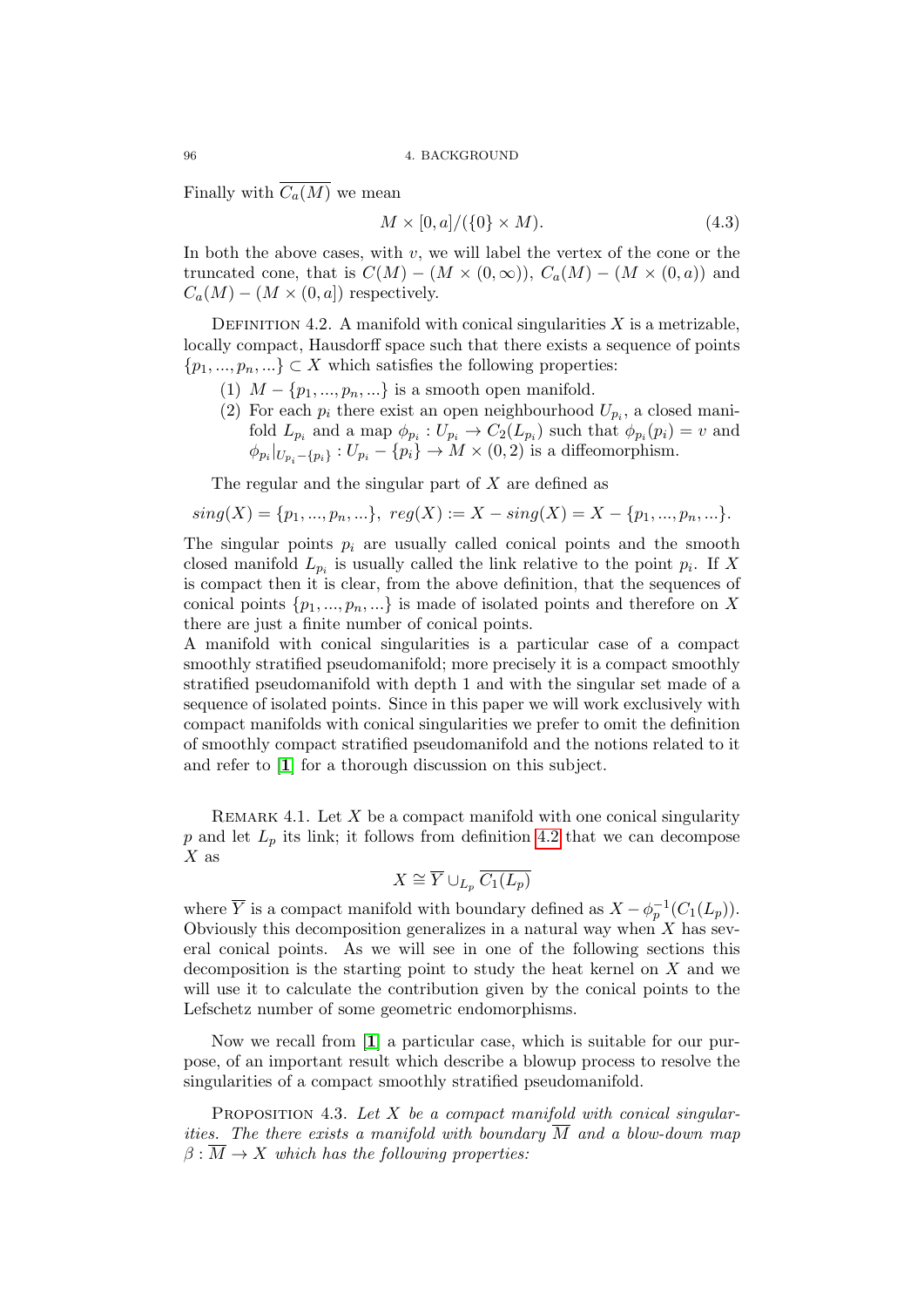Finally with  $\overline{C_a(M)}$  we mean

$$
M \times [0, a]/(\{0\} \times M). \tag{4.3}
$$

In both the above cases, with  $v$ , we will label the vertex of the cone or the truncated cone, that is  $C(M) - (M \times (0, \infty)), C_a(M) - (M \times (0, a))$  and  $C_a(M) - (M \times (0, a])$  respectively.

<span id="page-95-0"></span>DEFINITION 4.2. A manifold with conical singularities  $X$  is a metrizable, locally compact, Hausdorff space such that there exists a sequence of points  $\{p_1, ..., p_n, ...\} \subset X$  which satisfies the following properties:

- (1)  $M \{p_1, ..., p_n, ...\}$  is a smooth open manifold.
- (2) For each  $p_i$  there exist an open neighbourhood  $U_{p_i}$ , a closed manifold  $L_{p_i}$  and a map  $\phi_{p_i}: U_{p_i} \to C_2(L_{p_i})$  such that  $\phi_{p_i}(p_i) = v$  and  $\phi_{p_i}|_{U_{p_i}-\{p_i\}}: U_{p_i}-\{p_i\} \to M\times(0,2)$  is a diffeomorphism.

The regular and the singular part of  $X$  are defined as

$$
sing(X) = \{p_1, ..., p_n, ...\}, reg(X) := X - sing(X) = X - \{p_1, ..., p_n, ...\}.
$$

The singular points  $p_i$  are usually called conical points and the smooth closed manifold  $L_{p_i}$  is usually called the link relative to the point  $p_i$ . If X is compact then it is clear, from the above definition, that the sequences of conical points  $\{p_1, ..., p_n, ...\}$  is made of isolated points and therefore on X there are just a finite number of conical points.

A manifold with conical singularities is a particular case of a compact smoothly stratified pseudomanifold; more precisely it is a compact smoothly stratified pseudomanifold with depth 1 and with the singular set made of a sequence of isolated points. Since in this paper we will work exclusively with compact manifolds with conical singularities we prefer to omit the definition of smoothly compact stratified pseudomanifold and the notions related to it and refer to [[1](#page-136-4)] for a thorough discussion on this subject.

REMARK 4.1. Let  $X$  be a compact manifold with one conical singularity p and let  $L_p$  its link; it follows from definition [4.2](#page-95-0) that we can decompose  $X$  as

$$
X \cong \overline{Y} \cup_{L_p} \overline{C_1(L_p)}
$$

where  $\overline{Y}$  is a compact manifold with boundary defined as  $X - \phi_p^{-1}(C_1(L_p)).$ Obviously this decomposition generalizes in a natural way when  $X$  has several conical points. As we will see in one of the following sections this decomposition is the starting point to study the heat kernel on X and we will use it to calculate the contribution given by the conical points to the Lefschetz number of some geometric endomorphisms.

Now we recall from [[1](#page-136-4)] a particular case, which is suitable for our purpose, of an important result which describe a blowup process to resolve the singularities of a compact smoothly stratified pseudomanifold.

<span id="page-95-1"></span>PROPOSITION 4.3. Let  $X$  be a compact manifold with conical singularities. The there exists a manifold with boundary  $\overline{M}$  and a blow-down map  $\beta : \overline{M} \to X$  which has the following properties: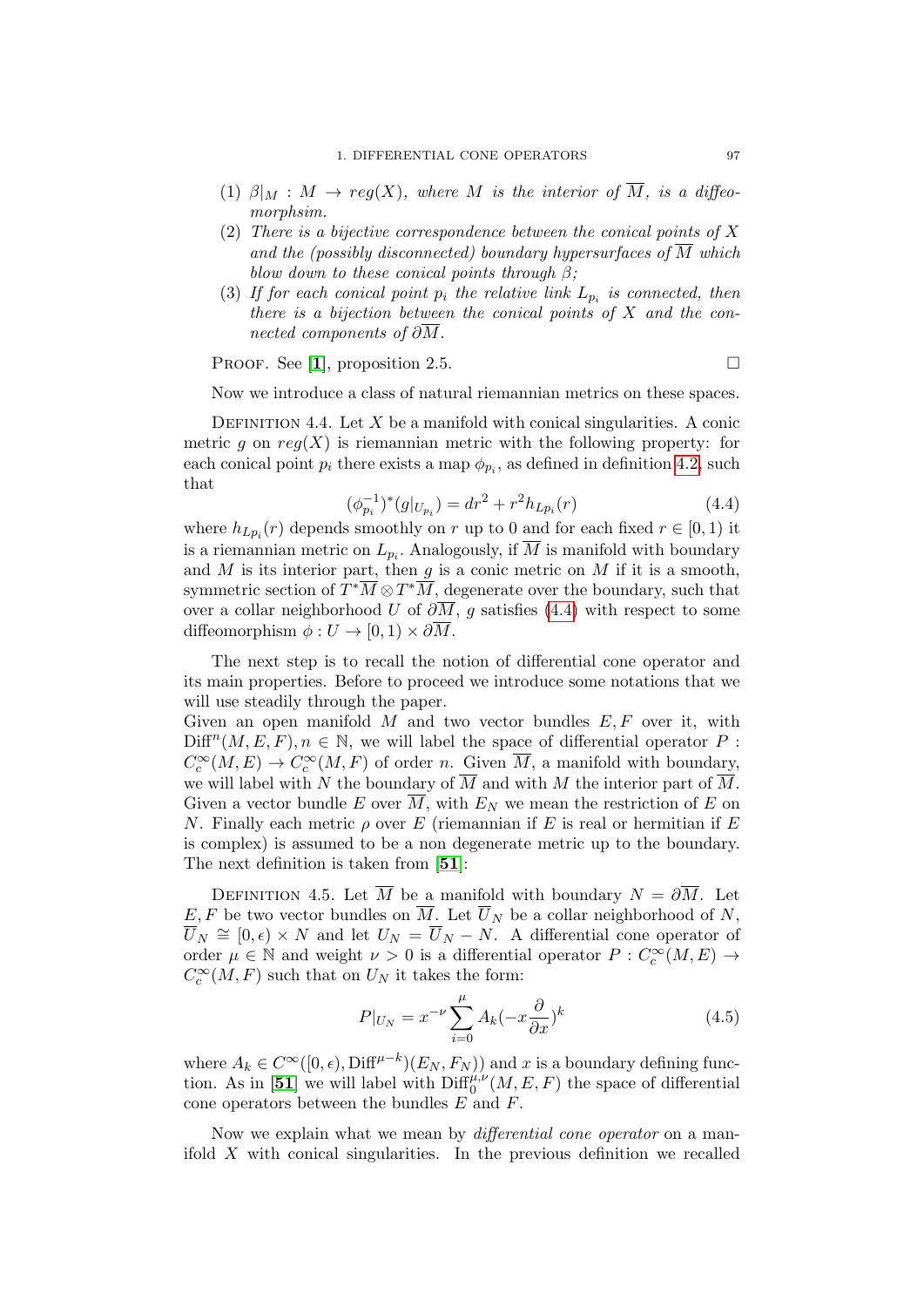- (1)  $\beta|_M : M \to reg(X)$ , where M is the interior of  $\overline{M}$ , is a diffeomorphsim.
- (2) There is a bijective correspondence between the conical points of X and the (possibly disconnected) boundary hypersurfaces of  $\overline{M}$  which blow down to these conical points through  $\beta$ ;
- (3) If for each conical point  $p_i$  the relative link  $L_{p_i}$  is connected, then there is a bijection between the conical points of  $X$  and the connected components of  $\partial \overline{M}$ .

PROOF. See [[1](#page-136-4)], proposition 2.5.

Now we introduce a class of natural riemannian metrics on these spaces.

DEFINITION 4.4. Let  $X$  be a manifold with conical singularities. A conic metric g on  $reg(X)$  is riemannian metric with the following property: for each conical point  $p_i$  there exists a map  $\phi_{p_i}$ , as defined in definition [4.2,](#page-95-0) such that

<span id="page-96-0"></span>
$$
(\phi_{p_i}^{-1})^*(g|_{U_{p_i}}) = dr^2 + r^2 h_{Lp_i}(r)
$$
\n(4.4)

where  $h_{L_{p_i}}(r)$  depends smoothly on r up to 0 and for each fixed  $r \in [0,1)$  it is a riemannian metric on  $L_{p_i}$ . Analogously, if M is manifold with boundary and  $M$  is its interior part, then  $g$  is a conic metric on  $M$  if it is a smooth, symmetric section of  $T^*\overline{M} \otimes T^*\overline{M}$ , degenerate over the boundary, such that over a collar neighborhood U of  $\partial \overline{M}$ , g satisfies [\(4.4\)](#page-96-0) with respect to some diffeomorphism  $\phi: U \to [0,1) \times \partial \overline{M}$ .

The next step is to recall the notion of differential cone operator and its main properties. Before to proceed we introduce some notations that we will use steadily through the paper.

Given an open manifold  $M$  and two vector bundles  $E, F$  over it, with  $\text{Diff}^{n}(M, E, F), n \in \mathbb{N}$ , we will label the space of differential operator P:  $C_c^{\infty}(M, E) \to C_c^{\infty}(M, F)$  of order n. Given  $\overline{M}$ , a manifold with boundary, we will label with N the boundary of  $\overline{M}$  and with M the interior part of  $\overline{M}$ . Given a vector bundle E over  $\overline{M}$ , with  $E_N$  we mean the restriction of E on N. Finally each metric  $\rho$  over E (riemannian if E is real or hermitian if E is complex) is assumed to be a non degenerate metric up to the boundary. The next definition is taken from [[51](#page-137-3)]:

<span id="page-96-1"></span>DEFINITION 4.5. Let  $\overline{M}$  be a manifold with boundary  $N = \partial \overline{M}$ . Let E, F be two vector bundles on  $\overline{M}$ . Let  $\overline{U}_N$  be a collar neighborhood of N,  $\overline{U}_N \cong [0, \epsilon) \times N$  and let  $U_N = \overline{U}_N - N$ . A differential cone operator of order  $\mu \in \mathbb{N}$  and weight  $\nu > 0$  is a differential operator  $P: C_c^{\infty}(M, E) \to$  $C_c^{\infty}(M, F)$  such that on  $U_N$  it takes the form:

$$
P|_{U_N} = x^{-\nu} \sum_{i=0}^{\mu} A_k (-x \frac{\partial}{\partial x})^k
$$
 (4.5)

where  $A_k \in C^{\infty}([0, \epsilon), \text{Diff}^{\mu-k})(E_N, F_N)$  and x is a boundary defining func-tion. As in [[51](#page-137-3)] we will label with  $\text{Diff}_0^{\mu,\nu}(M,E,F)$  the space of differential cone operators between the bundles E and F.

Now we explain what we mean by *differential cone operator* on a manifold  $X$  with conical singularities. In the previous definition we recalled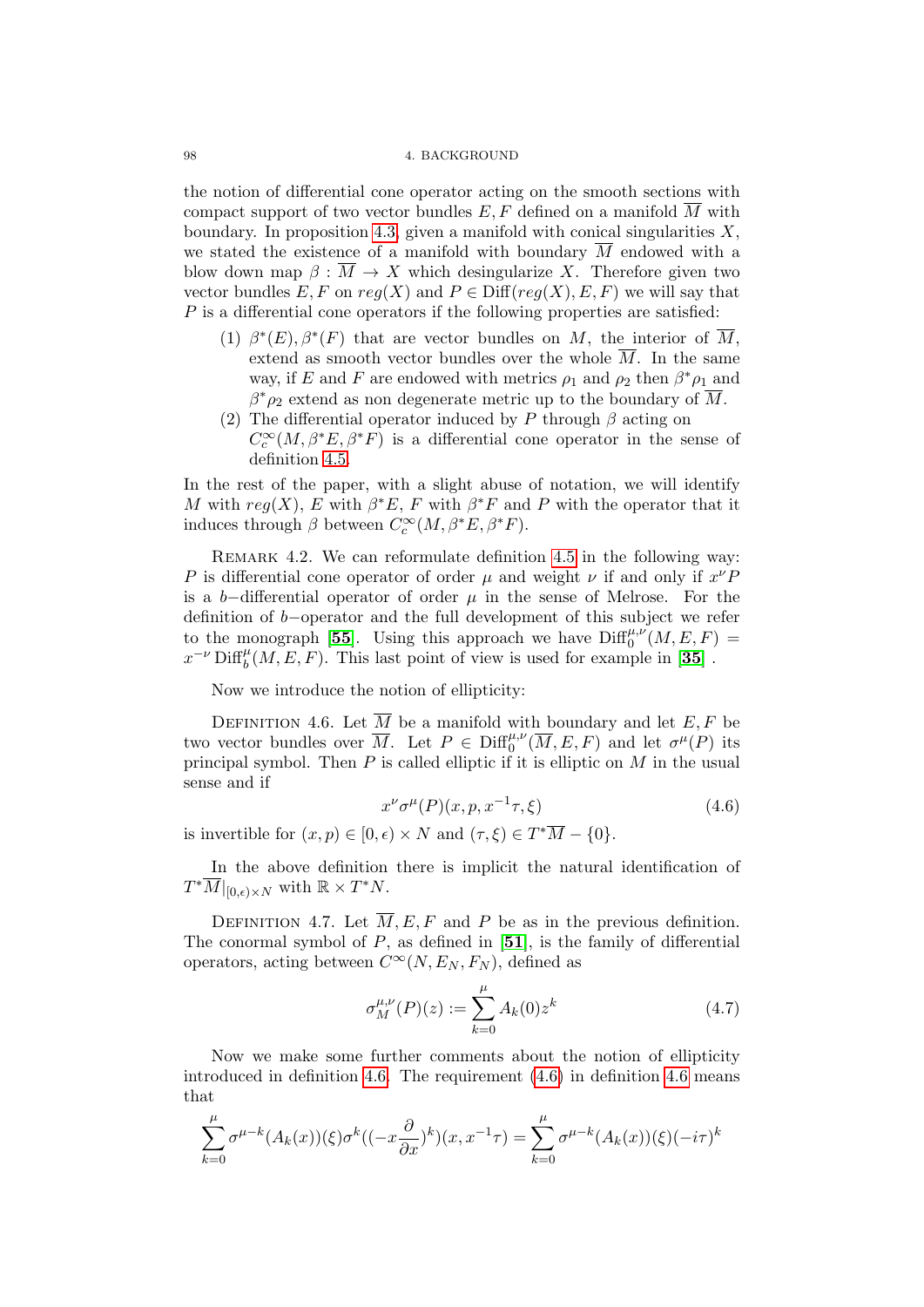#### 98 4. BACKGROUND

the notion of differential cone operator acting on the smooth sections with compact support of two vector bundles  $E, F$  defined on a manifold  $\overline{M}$  with boundary. In proposition [4.3,](#page-95-1) given a manifold with conical singularities  $X$ , we stated the existence of a manifold with boundary  $\overline{M}$  endowed with a blow down map  $\beta : \overline{M} \to X$  which desingularize X. Therefore given two vector bundles  $E, F$  on  $reg(X)$  and  $P \in \text{Diff}(reg(X), E, F)$  we will say that P is a differential cone operators if the following properties are satisfied:

- (1)  $\beta^*(E)$ ,  $\beta^*(F)$  that are vector bundles on M, the interior of  $\overline{M}$ , extend as smooth vector bundles over the whole  $\overline{M}$ . In the same way, if E and F are endowed with metrics  $\rho_1$  and  $\rho_2$  then  $\beta^*\rho_1$  and  $\beta^*\rho_2$  extend as non degenerate metric up to the boundary of  $\overline{M}$ .
- (2) The differential operator induced by P through  $\beta$  acting on  $C_c^{\infty}(M,\beta^*E,\beta^*F)$  is a differential cone operator in the sense of definition [4.5.](#page-96-1)

In the rest of the paper, with a slight abuse of notation, we will identify M with  $reg(X)$ , E with  $\beta^*E$ , F with  $\beta^*F$  and P with the operator that it induces through  $\beta$  between  $C_c^{\infty}(M, \beta^*E, \beta^*F)$ .

REMARK 4.2. We can reformulate definition [4.5](#page-96-1) in the following way: P is differential cone operator of order  $\mu$  and weight  $\nu$  if and only if  $x^{\nu}F$ is a b−differential operator of order  $\mu$  in the sense of Melrose. For the definition of b−operator and the full development of this subject we refer to the monograph [[55](#page-138-4)]. Using this approach we have  $\text{Diff}_{0}^{\mu,\nu}(M,E,F)$  =  $x^{-\nu}$  Diff<sup>u</sup><sub>b</sub> $(M, E, F)$ . This last point of view is used for example in [[35](#page-137-5)].

Now we introduce the notion of ellipticity:

<span id="page-97-0"></span>DEFINITION 4.6. Let  $\overline{M}$  be a manifold with boundary and let E, F be two vector bundles over  $\overline{M}$ . Let  $P \in \text{Diff}^{\mu,\nu}_0(\overline{M},E,F)$  and let  $\sigma^{\mu}(P)$  its principal symbol. Then  $P$  is called elliptic if it is elliptic on  $M$  in the usual sense and if

<span id="page-97-1"></span>
$$
x^{\nu} \sigma^{\mu}(P)(x, p, x^{-1}\tau, \xi) \tag{4.6}
$$

is invertible for  $(x, p) \in [0, \epsilon) \times N$  and  $(\tau, \xi) \in T^*\overline{M} - \{0\}.$ 

In the above definition there is implicit the natural identification of  $T^*\overline{M}|_{[0,\epsilon)\times N}$  with  $\mathbb{R} \times T^*N$ .

DEFINITION 4.7. Let  $\overline{M}$ , E, F and P be as in the previous definition. The conormal symbol of  $P$ , as defined in [[51](#page-137-3)], is the family of differential operators, acting between  $C^{\infty}(N, E_N, F_N)$ , defined as

<span id="page-97-2"></span>
$$
\sigma_M^{\mu,\nu}(P)(z) := \sum_{k=0}^{\mu} A_k(0) z^k \tag{4.7}
$$

Now we make some further comments about the notion of ellipticity introduced in definition [4.6.](#page-97-0) The requirement [\(4.6\)](#page-97-1) in definition [4.6](#page-97-0) means that

$$
\sum_{k=0}^{\mu} \sigma^{\mu-k}(A_k(x))(\xi)\sigma^k((-x\frac{\partial}{\partial x})^k)(x, x^{-1}\tau) = \sum_{k=0}^{\mu} \sigma^{\mu-k}(A_k(x))(\xi)(-i\tau)^k
$$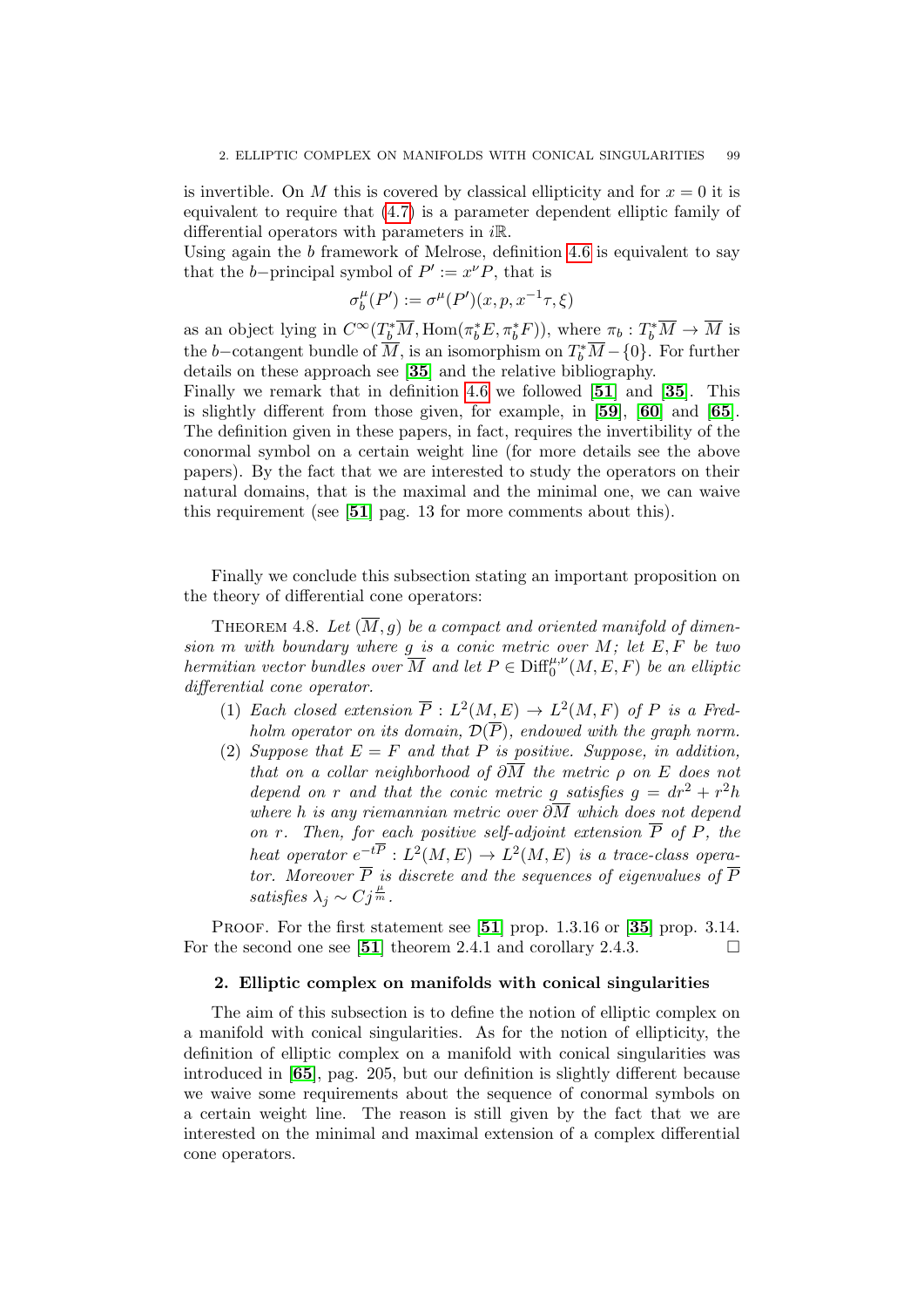is invertible. On M this is covered by classical ellipticity and for  $x = 0$  it is equivalent to require that [\(4.7\)](#page-97-2) is a parameter dependent elliptic family of differential operators with parameters in  $i\mathbb{R}$ .

Using again the  $b$  framework of Melrose, definition [4.6](#page-97-0) is equivalent to say that the *b*-principal symbol of  $P' := x^{\nu} P$ , that is

$$
\sigma^{\mu}_{b}(P'):=\sigma^{\mu}(P')(x,p,x^{-1}\tau,\xi)
$$

as an object lying in  $C^{\infty}(T_b^*\overline{M}, \text{Hom}(\pi_b^*E, \pi_b^*F))$ , where  $\pi_b: T_b^*\overline{M} \to \overline{M}$  is the b–cotangent bundle of  $\overline{M}$ , is an isomorphism on  $T_b^*\overline{M} - \{0\}$ . For further details on these approach see [[35](#page-137-5)] and the relative bibliography.

Finally we remark that in definition [4.6](#page-97-0) we followed [[51](#page-137-3)] and [[35](#page-137-5)]. This is slightly different from those given, for example, in [[59](#page-138-2)], [[60](#page-138-5)] and [[65](#page-138-3)]. The definition given in these papers, in fact, requires the invertibility of the conormal symbol on a certain weight line (for more details see the above papers). By the fact that we are interested to study the operators on their natural domains, that is the maximal and the minimal one, we can waive this requirement (see [[51](#page-137-3)] pag. 13 for more comments about this).

Finally we conclude this subsection stating an important proposition on the theory of differential cone operators:

<span id="page-98-0"></span>THEOREM 4.8. Let  $(\overline{M}, g)$  be a compact and oriented manifold of dimension m with boundary where  $g$  is a conic metric over  $M$ ; let  $E, F$  be two hermitian vector bundles over  $\overline{M}$  and let  $P \in \text{Diff}_{0}^{\mu,\nu}(M,E,F)$  be an elliptic differential cone operator.

- (1) Each closed extension  $\overline{P}: L^2(M, E) \to L^2(M, F)$  of P is a Fredholm operator on its domain,  $\mathcal{D}(\overline{P})$ , endowed with the graph norm.
- (2) Suppose that  $E = F$  and that P is positive. Suppose, in addition, that on a collar neighborhood of  $\partial \overline{M}$  the metric  $\rho$  on E does not depend on r and that the conic metric g satisfies  $g = dr^2 + r^2h$ where h is any riemannian metric over  $\partial \overline{M}$  which does not depend on r. Then, for each positive self-adjoint extension  $\overline{P}$  of  $P$ , the heat operator  $e^{-t\overline{P}}: L^2(M, E) \to L^2(M, E)$  is a trace-class operator. Moreover  $\overline{P}$  is discrete and the sequences of eigenvalues of  $\overline{P}$ satisfies  $\lambda_j \sim C j^{\frac{\mu}{m}}$ .

PROOF. For the first statement see  $[51]$  $[51]$  $[51]$  prop. 1.3.16 or  $[35]$  $[35]$  $[35]$  prop. 3.14. For the second one see [[51](#page-137-3)] theorem 2.4.1 and corollary 2.4.3.  $\Box$ 

#### 2. Elliptic complex on manifolds with conical singularities

The aim of this subsection is to define the notion of elliptic complex on a manifold with conical singularities. As for the notion of ellipticity, the definition of elliptic complex on a manifold with conical singularities was introduced in [[65](#page-138-3)], pag. 205, but our definition is slightly different because we waive some requirements about the sequence of conormal symbols on a certain weight line. The reason is still given by the fact that we are interested on the minimal and maximal extension of a complex differential cone operators.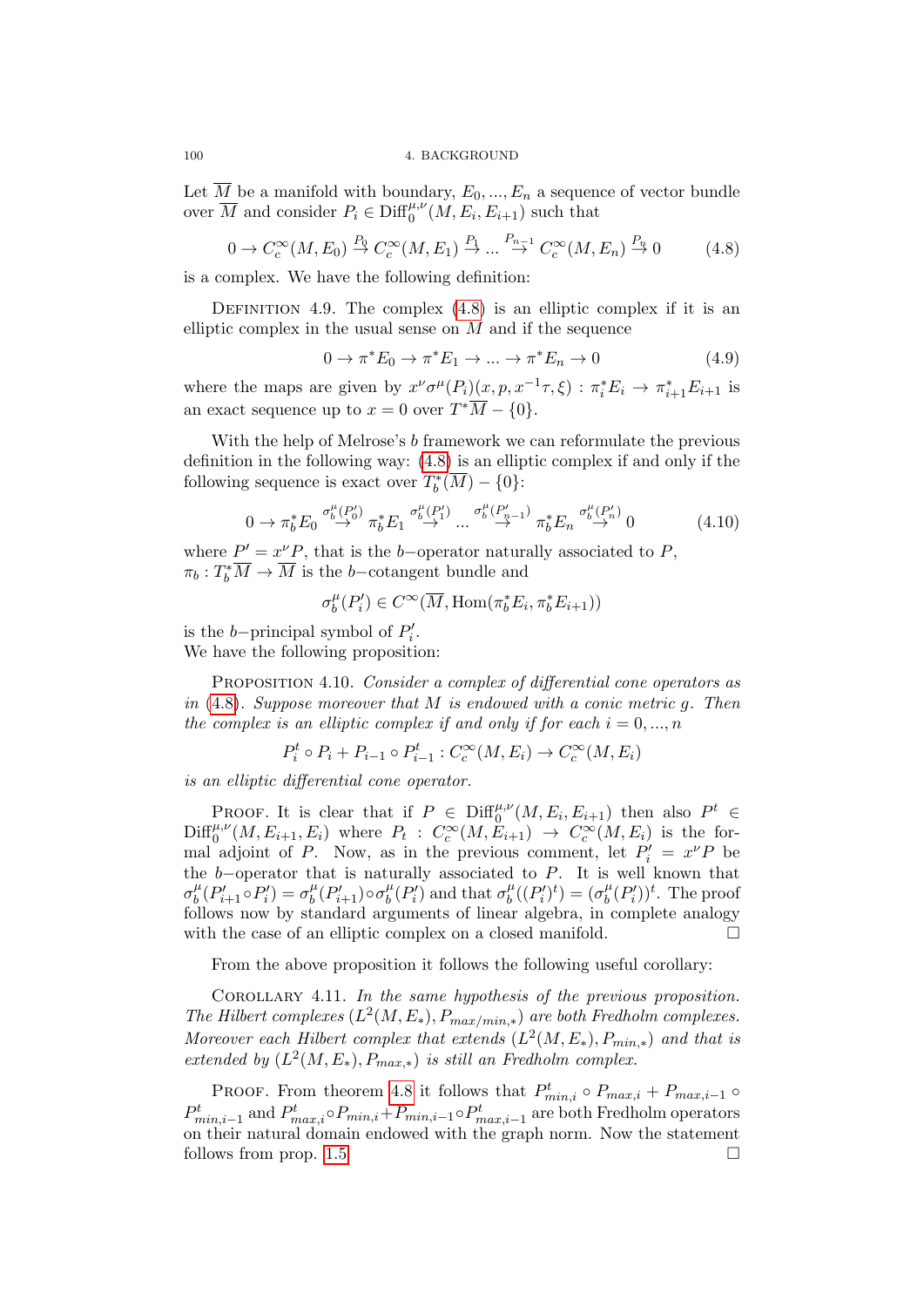Let  $\overline{M}$  be a manifold with boundary,  $E_0, ..., E_n$  a sequence of vector bundle over  $\overline{M}$  and consider  $P_i \in \text{Diff}_0^{\mu,\nu}(M, E_i, E_{i+1})$  such that

<span id="page-99-0"></span>
$$
0 \to C_c^{\infty}(M, E_0) \stackrel{P_0}{\to} C_c^{\infty}(M, E_1) \stackrel{P_1}{\to} \dots \stackrel{P_{n-1}}{\to} C_c^{\infty}(M, E_n) \stackrel{P_n}{\to} 0 \tag{4.8}
$$

is a complex. We have the following definition:

<span id="page-99-1"></span>DEFINITION 4.9. The complex  $(4.8)$  is an elliptic complex if it is an elliptic complex in the usual sense on  $M$  and if the sequence

$$
0 \to \pi^* E_0 \to \pi^* E_1 \to \dots \to \pi^* E_n \to 0 \tag{4.9}
$$

where the maps are given by  $x^{\nu}\sigma^{\mu}(P_i)(x, p, x^{-1}\tau, \xi) : \pi_i^* E_i \to \pi_{i+1}^* E_{i+1}$  is an exact sequence up to  $x = 0$  over  $T^*\overline{M} - \{0\}.$ 

With the help of Melrose's b framework we can reformulate the previous definition in the following way: [\(4.8\)](#page-99-0) is an elliptic complex if and only if the following sequence is exact over  $T_b^*(\overline{M}) - \{0\}$ :

$$
0 \to \pi_b^* E_0 \stackrel{\sigma_b^{\mu}(P_0^{\prime})}{\to} \pi_b^* E_1 \stackrel{\sigma_b^{\mu}(P_1^{\prime})}{\to} \dots \stackrel{\sigma_b^{\mu}(P_{n-1}^{\prime})}{\to} \pi_b^* E_n \stackrel{\sigma_b^{\mu}(P_n^{\prime})}{\to} 0 \tag{4.10}
$$

where  $P' = x^{\nu} P$ , that is the b-operator naturally associated to P,  $\pi_b: T_b^*\overline{M} \to \overline{M}$  is the b-cotangent bundle and

$$
\sigma_b^{\mu}(P_i') \in C^{\infty}(\overline{M}, \text{Hom}(\pi_b^* E_i, \pi_b^* E_{i+1}))
$$

is the *b*-principal symbol of  $P'_i$ .

We have the following proposition:

PROPOSITION 4.10. Consider a complex of differential cone operators as in  $(4.8)$ . Suppose moreover that M is endowed with a conic metric g. Then the complex is an elliptic complex if and only if for each  $i = 0, ..., n$ 

 $P_i^t \circ P_i + P_{i-1} \circ P_{i-1}^t : C_c^{\infty}(M, E_i) \to C_c^{\infty}(M, E_i)$ 

is an elliptic differential cone operator.

PROOF. It is clear that if  $P \in \text{Diff}_{0}^{\mu,\nu}(M,E_i,E_{i+1})$  then also  $P^t \in$  $\text{Diff}_{0}^{\mu,\nu}(M, E_{i+1}, E_i)$  where  $P_t: C_c^{\infty}(M, E_{i+1}) \to C_c^{\infty}(M, E_i)$  is the formal adjoint of P. Now, as in the previous comment, let  $P'_i = x^\nu P$  be the  $b$ -operator that is naturally associated to  $P$ . It is well known that  $\sigma_h^{\mu}$  $\int_b^{\mu} (P'_{i+1} \circ P'_i) = \sigma_b^{\mu}$  $\int_b^{\mu} (P'_{i+1}) \circ \sigma_b^{\mu}$  $\frac{\mu}{b}(P'_i)$  and that  $\sigma_b^{\mu}$  $b^{\mu}((P'_i)^t) = (\sigma^{\mu}_b)$  $_{b}^{\mu}(P'_{i}))^{t}$ . The proof follows now by standard arguments of linear algebra, in complete analogy with the case of an elliptic complex on a closed manifold.  $\Box$ 

From the above proposition it follows the following useful corollary:

COROLLARY 4.11. In the same hypothesis of the previous proposition. The Hilbert complexes  $(L^2(M, E_*)$ ,  $P_{max/min,*})$  are both Fredholm complexes. Moreover each Hilbert complex that extends  $(L^2(M, E_*)$ ,  $P_{min,*})$  and that is extended by  $(L^2(M, E_*)$ ,  $P_{max,*})$  is still an Fredholm complex.

PROOF. From theorem [4.8](#page-98-0) it follows that  $P_{min,i}^t \circ P_{max,i} + P_{max,i-1} \circ P_{max,i}$  $P_{min,i-1}^t$  and  $P_{max,i}^t \circ P_{min,i} + P_{min,i-1} \circ P_{max,i-1}^t$  are both Fredholm operators on their natural domain endowed with the graph norm. Now the statement follows from prop.  $1.5$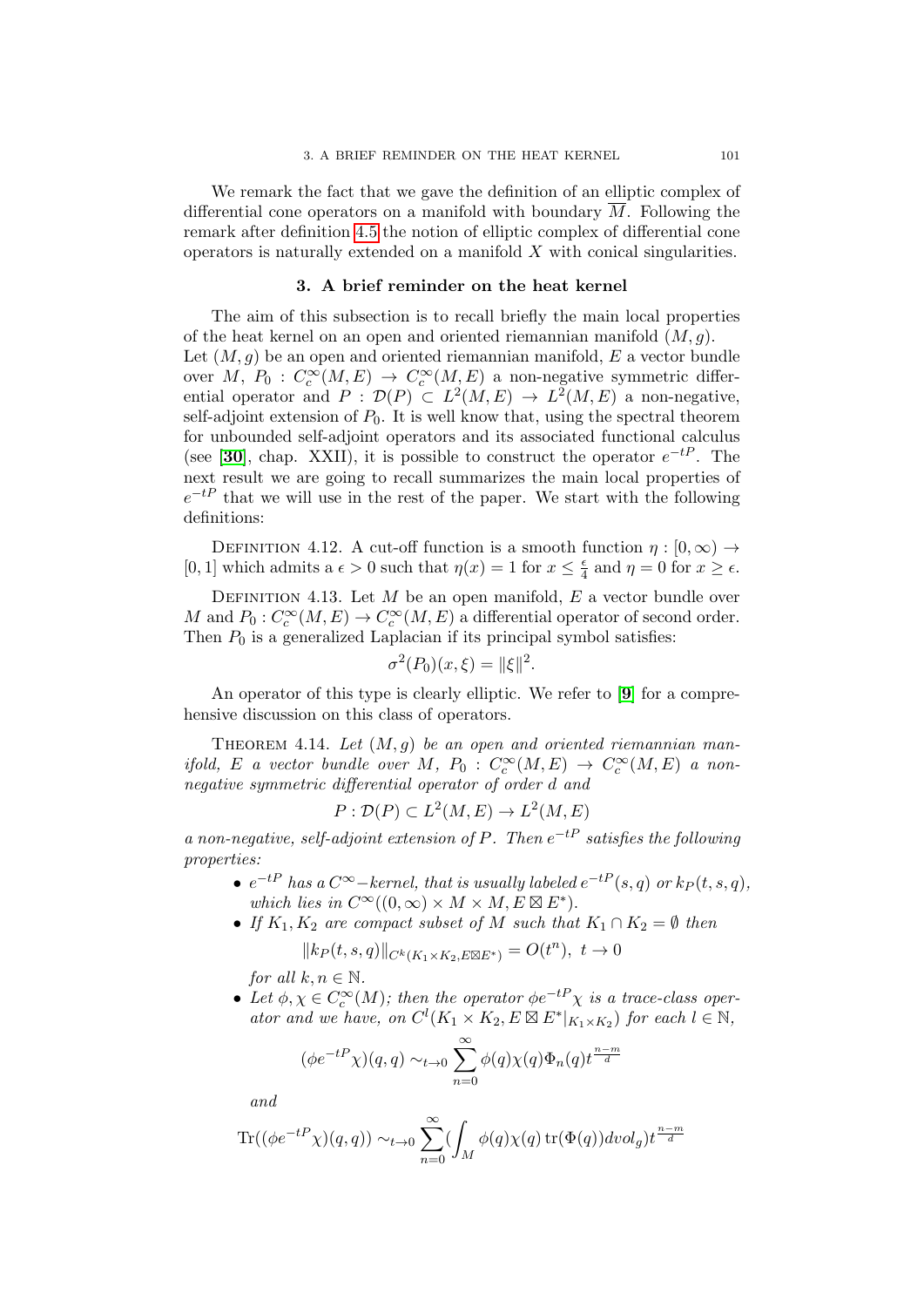We remark the fact that we gave the definition of an elliptic complex of differential cone operators on a manifold with boundary  $\overline{M}$ . Following the remark after definition [4.5](#page-96-1) the notion of elliptic complex of differential cone operators is naturally extended on a manifold  $X$  with conical singularities.

#### 3. A brief reminder on the heat kernel

The aim of this subsection is to recall briefly the main local properties of the heat kernel on an open and oriented riemannian manifold  $(M, g)$ . Let  $(M, q)$  be an open and oriented riemannian manifold, E a vector bundle over M,  $P_0: C_c^{\infty}(M, E) \to C_c^{\infty}(M, E)$  a non-negative symmetric differential operator and  $P: \mathcal{D}(P) \subset L^2(M, E) \to L^2(M, E)$  a non-negative, self-adjoint extension of  $P_0$ . It is well know that, using the spectral theorem for unbounded self-adjoint operators and its associated functional calculus (see [[30](#page-137-6)], chap. XXII), it is possible to construct the operator  $e^{-tP}$ . The next result we are going to recall summarizes the main local properties of  $e^{-tP}$  that we will use in the rest of the paper. We start with the following definitions:

DEFINITION 4.12. A cut-off function is a smooth function  $\eta : [0, \infty) \rightarrow$ [0, 1] which admits a  $\epsilon > 0$  such that  $\eta(x) = 1$  for  $x \leq \frac{\epsilon}{4}$  $\frac{\epsilon}{4}$  and  $\eta = 0$  for  $x \geq \epsilon$ .

DEFINITION 4.13. Let  $M$  be an open manifold,  $E$  a vector bundle over M and  $P_0: C_c^{\infty}(M, E) \to C_c^{\infty}(M, E)$  a differential operator of second order. Then  $P_0$  is a generalized Laplacian if its principal symbol satisfies:

$$
\sigma^2(P_0)(x,\xi) = ||\xi||^2.
$$

An operator of this type is clearly elliptic. We refer to [[9](#page-136-5)] for a comprehensive discussion on this class of operators.

THEOREM 4.14. Let  $(M, g)$  be an open and oriented riemannian manifold, E a vector bundle over M,  $P_0: C_c^{\infty}(M, E) \to C_c^{\infty}(M, E)$  a nonnegative symmetric differential operator of order d and

$$
P: \mathcal{D}(P) \subset L^2(M, E) \to L^2(M, E)
$$

a non-negative, self-adjoint extension of P. Then  $e^{-tP}$  satisfies the following properties:

- $e^{-tP}$  has a  $C^{\infty}$ -kernel, that is usually labeled  $e^{-tP}(s,q)$  or  $k_P(t,s,q)$ , which lies in  $C^{\infty}((0,\infty) \times M \times M, E \boxtimes E^*).$
- If  $K_1, K_2$  are compact subset of M such that  $K_1 \cap K_2 = \emptyset$  then

 $||kp(t, s, q)||_{C^k(K_1 \times K_2, E \boxtimes E^*)} = O(t^n), t \to 0$ 

for all  $k, n \in \mathbb{N}$ .

• Let  $\phi, \chi \in C_c^{\infty}(M)$ ; then the operator  $\phi e^{-tP} \chi$  is a trace-class operator and we have, on  $C^l(K_1 \times K_2, E \boxtimes E^*|_{K_1 \times K_2})$  for each  $l \in \mathbb{N}$ ,

$$
(\phi e^{-tP}\chi)(q,q) \sim_{t \to 0} \sum_{n=0}^{\infty} \phi(q)\chi(q)\Phi_n(q)t^{\frac{n-m}{d}}
$$

and

$$
\text{Tr}((\phi e^{-tP}\chi)(q,q)) \sim_{t\to 0} \sum_{n=0}^{\infty} (\int_M \phi(q)\chi(q) \operatorname{tr}(\Phi(q)) \, dvol_g) t^{\frac{n-m}{d}}
$$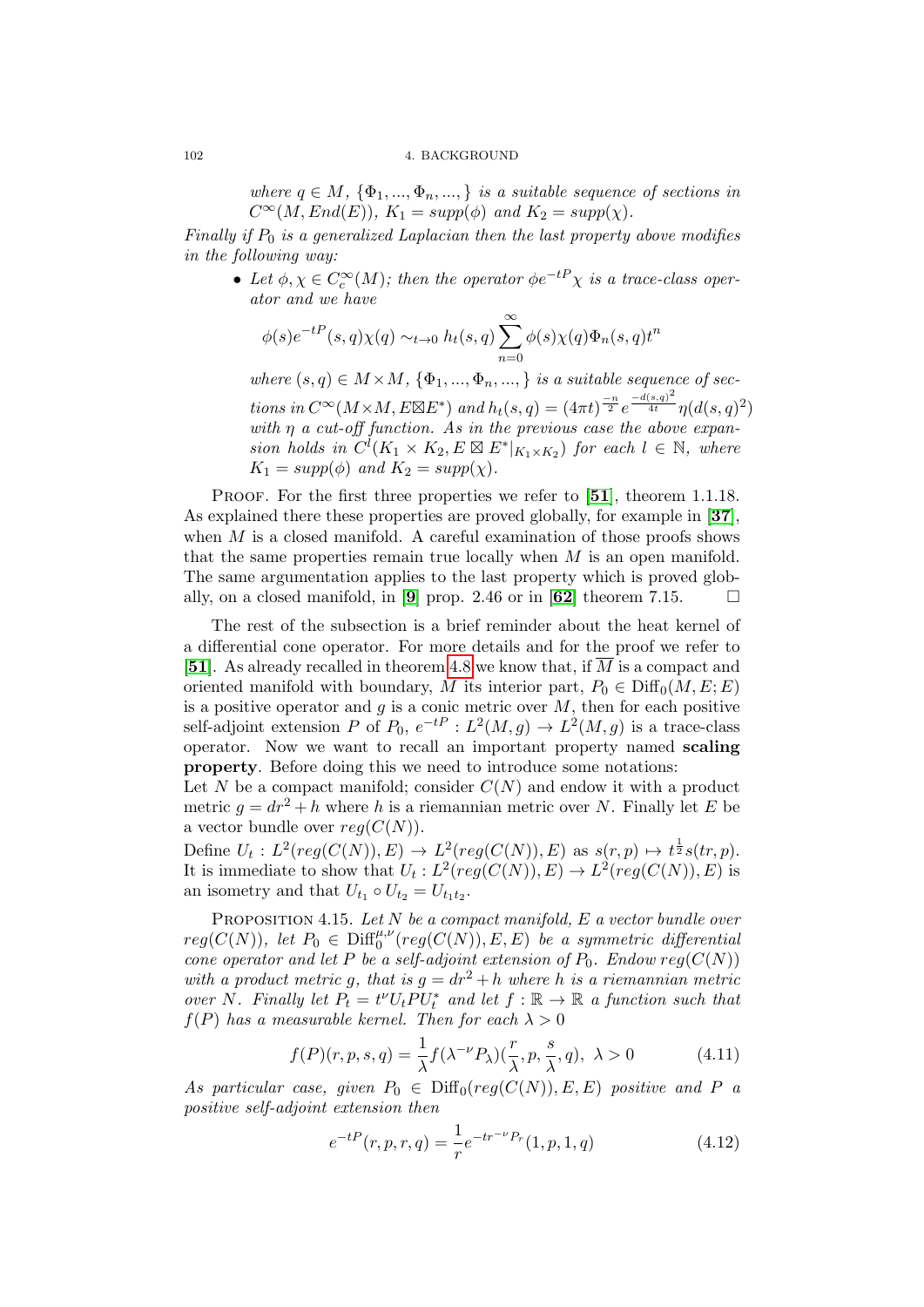#### 102 4. BACKGROUND

where  $q \in M$ ,  $\{\Phi_1, ..., \Phi_n, ..., \}$  is a suitable sequence of sections in  $C^{\infty}(M, End(E)), K_1 = supp(\phi)$  and  $K_2 = supp(\chi)$ .

Finally if  $P_0$  is a generalized Laplacian then the last property above modifies in the following way:

• Let  $\phi, \chi \in C_c^{\infty}(M)$ ; then the operator  $\phi e^{-tP} \chi$  is a trace-class operator and we have

$$
\phi(s)e^{-tP}(s,q)\chi(q) \sim_{t\to 0} h_t(s,q) \sum_{n=0}^{\infty} \phi(s)\chi(q)\Phi_n(s,q)t^n
$$

where  $(s, q) \in M \times M$ ,  $\{\Phi_1, ..., \Phi_n, ..., \}$  is a suitable sequence of sections in  $C^{\infty}(M \times M, E \boxtimes E^*)$  and  $h_t(s,q) = (4\pi t)^{\frac{-n}{2}} e^{\frac{-d(s,q)^2}{4t}} \eta(d(s,q)^2)$ with  $\eta$  a cut-off function. As in the previous case the above expansion holds in  $C^l(K_1 \times K_2, E \boxtimes E^*|_{K_1 \times K_2})$  for each  $l \in \mathbb{N}$ , where  $K_1 = supp(\phi)$  and  $K_2 = supp(\chi)$ .

PROOF. For the first three properties we refer to [[51](#page-137-3)], theorem 1.1.18. As explained there these properties are proved globally, for example in [[37](#page-137-7)], when  $M$  is a closed manifold. A careful examination of those proofs shows that the same properties remain true locally when  $M$  is an open manifold. The same argumentation applies to the last property which is proved glob-ally, on a closed manifold, in [[9](#page-136-5)] prop. 2.46 or in [[62](#page-138-6)] theorem 7.15.  $\Box$ 

The rest of the subsection is a brief reminder about the heat kernel of a differential cone operator. For more details and for the proof we refer to [[51](#page-137-3)]. As already recalled in theorem [4.8](#page-98-0) we know that, if  $\overline{M}$  is a compact and oriented manifold with boundary, M its interior part,  $P_0 \in \text{Diff}_0(M, E; E)$ is a positive operator and  $g$  is a conic metric over  $M$ , then for each positive self-adjoint extension P of  $P_0$ ,  $e^{-tP}$  :  $L^2(M, g) \to L^2(M, g)$  is a trace-class operator. Now we want to recall an important property named scaling property. Before doing this we need to introduce some notations:

Let N be a compact manifold; consider  $C(N)$  and endow it with a product metric  $g = dr^2 + h$  where h is a riemannian metric over N. Finally let E be a vector bundle over  $reg(C(N))$ .

Define  $U_t: L^2(reg(C(N)), E) \to L^2(reg(C(N)), E)$  as  $s(r, p) \mapsto t^{\frac{1}{2}}s(tr, p)$ . It is immediate to show that  $U_t: L^2(reg(C(N)), E) \to L^2(reg(C(N)), E)$  is an isometry and that  $U_{t_1} \circ U_{t_2} = U_{t_1 t_2}$ .

<span id="page-101-0"></span>PROPOSITION 4.15. Let  $N$  be a compact manifold,  $E$  a vector bundle over  $reg(C(N)),$  let  $P_0 \in \mathrm{Diff}_0^{\mu,\nu}(reg(C(N)),E,E)$  be a symmetric differential cone operator and let P be a self-adjoint extension of  $P_0$ . Endow  $reg(C(N))$ with a product metric q, that is  $q = dr^2 + h$  where h is a riemannian metric over N. Finally let  $P_t = t^{\nu} U_t P U_t^*$  and let  $f : \mathbb{R} \to \mathbb{R}$  a function such that  $f(P)$  has a measurable kernel. Then for each  $\lambda > 0$ 

$$
f(P)(r, p, s, q) = \frac{1}{\lambda} f(\lambda^{-\nu} P_{\lambda}) \left(\frac{r}{\lambda}, p, \frac{s}{\lambda}, q\right), \lambda > 0 \tag{4.11}
$$

As particular case, given  $P_0 \in \text{Diff}_0(reg(C(N)), E, E)$  positive and P a positive self-adjoint extension then

$$
e^{-tP}(r, p, r, q) = \frac{1}{r}e^{-tr^{-\nu}P_r}(1, p, 1, q)
$$
\n(4.12)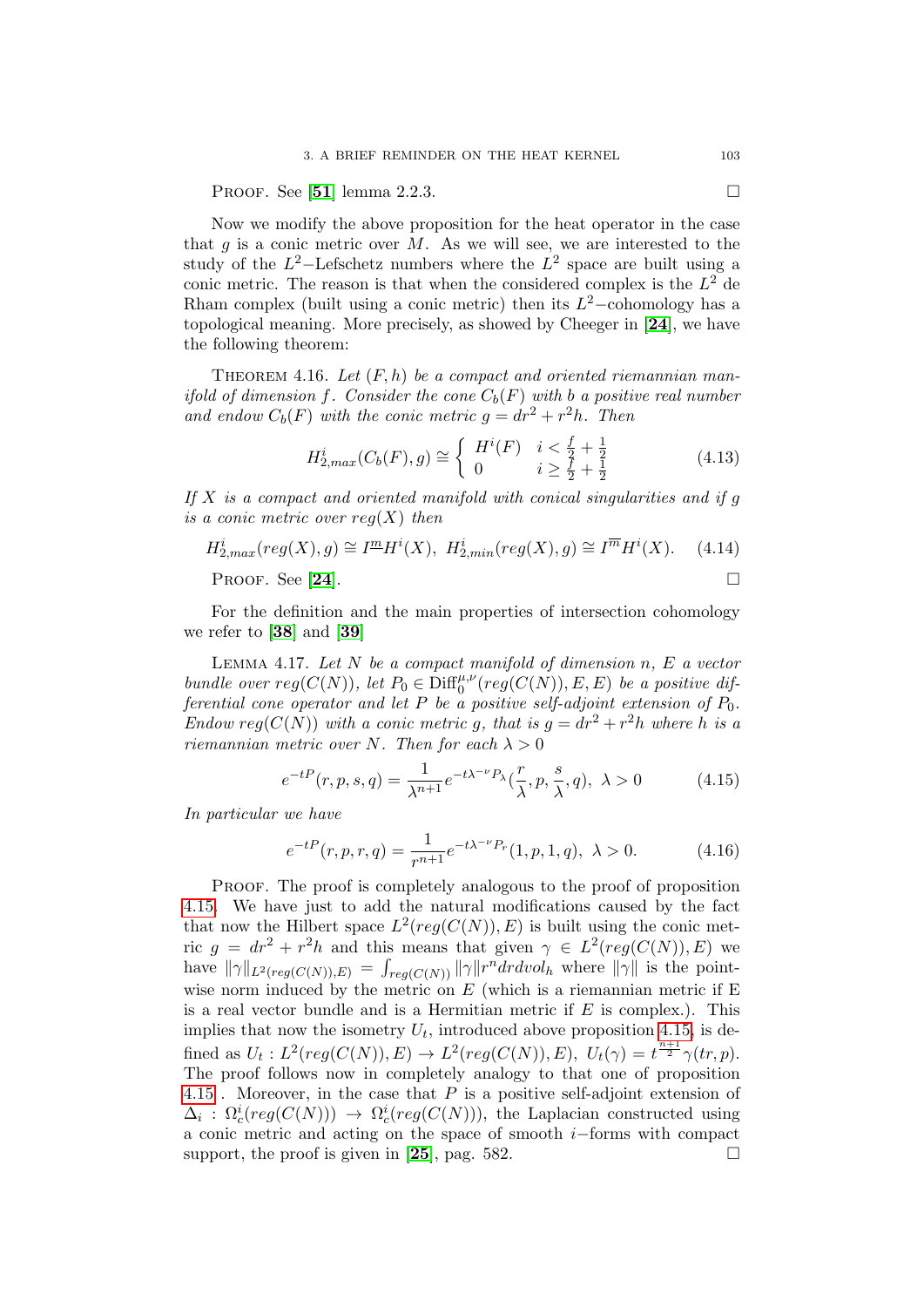PROOF. See [[51](#page-137-3)] lemma 2.2.3.

Now we modify the above proposition for the heat operator in the case that  $g$  is a conic metric over  $M$ . As we will see, we are interested to the study of the  $L^2$ -Lefschetz numbers where the  $L^2$  space are built using a conic metric. The reason is that when the considered complex is the  $L^2$  de Rham complex (built using a conic metric) then its  $L^2$ -cohomology has a topological meaning. More precisely, as showed by Cheeger in [[24](#page-136-6)], we have the following theorem:

THEOREM 4.16. Let  $(F, h)$  be a compact and oriented riemannian manifold of dimension f. Consider the cone  $C_b(F)$  with b a positive real number and endow  $C_b(F)$  with the conic metric  $g = dr^2 + r^2h$ . Then

$$
H_{2,max}^{i}(C_b(F), g) \cong \begin{cases} H^{i}(F) & i < \frac{f}{2} + \frac{1}{2} \\ 0 & i \ge \frac{f}{2} + \frac{1}{2} \end{cases}
$$
(4.13)

If  $X$  is a compact and oriented manifold with conical singularities and if q is a conic metric over  $reg(X)$  then

 $H_{2,max}^i(\text{reg}(X), g) \cong I^{\underline{m}} H^i(X), H_{2,min}^i(\text{reg}(X), g) \cong I^{\overline{m}} H^i$  $(4.14)$ 

PROOF. See [[24](#page-136-6)].

For the definition and the main properties of intersection cohomology we refer to [[38](#page-137-8)] and [[39](#page-137-9)]

LEMMA 4.17. Let  $N$  be a compact manifold of dimension  $n, E$  a vector bundle over  $reg(C(N))$ , let  $P_0 \in \text{Diff}^{\mu,\nu}_0(reg(C(N)), E, E)$  be a positive differential cone operator and let P be a positive self-adjoint extension of  $P_0$ . Endow reg( $C(N)$ ) with a conic metric g, that is  $g = dr^2 + r^2h$  where h is a riemannian metric over N. Then for each  $\lambda > 0$ 

$$
e^{-tP}(r, p, s, q) = \frac{1}{\lambda^{n+1}} e^{-t\lambda^{-\nu} P_\lambda}(\frac{r}{\lambda}, p, \frac{s}{\lambda}, q), \lambda > 0
$$
 (4.15)

In particular we have

$$
e^{-tP}(r, p, r, q) = \frac{1}{r^{n+1}} e^{-t\lambda^{-\nu} P_r}(1, p, 1, q), \ \lambda > 0.
$$
 (4.16)

Proof. The proof is completely analogous to the proof of proposition [4.15.](#page-101-0) We have just to add the natural modifications caused by the fact that now the Hilbert space  $L^2(\text{reg}(C(N)), E)$  is built using the conic metric  $g = dr^2 + r^2h$  and this means that given  $\gamma \in L^2(reg(C(N)), E)$  we have  $\|\gamma\|_{L^2(reg(C(N)),E)} = \int_{reg(C(N))} \|\gamma\| r^n dr dvol_h$  where  $\|\gamma\|$  is the pointwise norm induced by the metric on  $E$  (which is a riemannian metric if  $E$ is a real vector bundle and is a Hermitian metric if  $E$  is complex.). This implies that now the isometry  $U_t$ , introduced above proposition [4.15,](#page-101-0) is defined as  $U_t: L^2(reg(C(N)), E) \to L^2(reg(C(N)), E), U_t(\gamma) = t^{\frac{n+1}{2}} \gamma(tr, p).$ The proof follows now in completely analogy to that one of proposition  $4.15$ . Moreover, in the case that  $P$  is a positive self-adjoint extension of  $\Delta_i$ :  $\Omega_c^i(\text{reg}(C(N))) \to \Omega_c^i(\text{reg}(C(N))),$  the Laplacian constructed using a conic metric and acting on the space of smooth i−forms with compact support, the proof is given in [[25](#page-137-10)], pag. 582.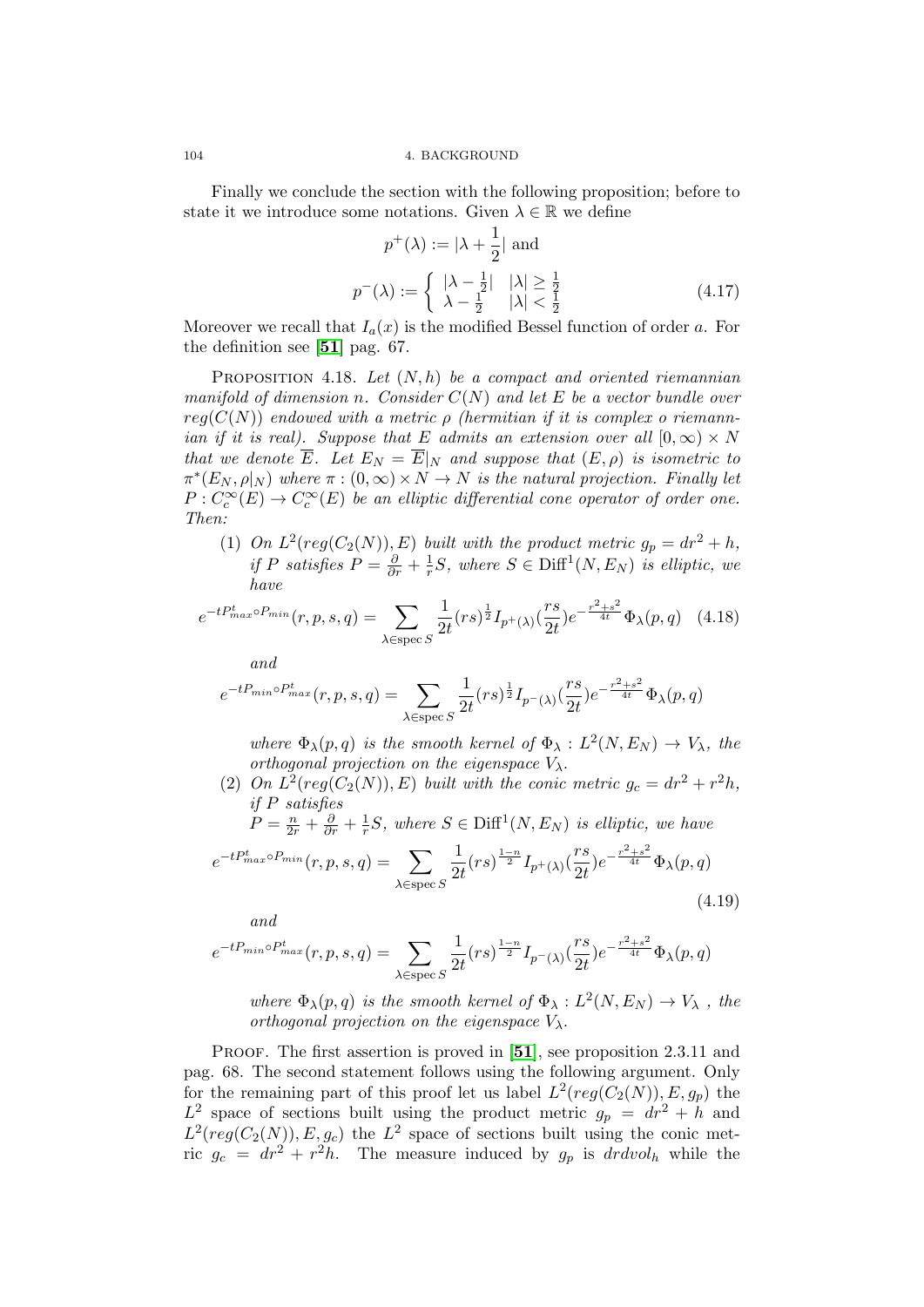Finally we conclude the section with the following proposition; before to state it we introduce some notations. Given  $\lambda \in \mathbb{R}$  we define

$$
p^{+}(\lambda) := |\lambda + \frac{1}{2}| \text{ and}
$$

$$
p^{-}(\lambda) := \begin{cases} |\lambda - \frac{1}{2}| & |\lambda| \ge \frac{1}{2} \\ \lambda - \frac{1}{2} & |\lambda| < \frac{1}{2} \end{cases}
$$
(4.17)

Moreover we recall that  $I_a(x)$  is the modified Bessel function of order a. For the definition see [[51](#page-137-3)] pag. 67.

PROPOSITION 4.18. Let  $(N, h)$  be a compact and oriented riemannian manifold of dimension n. Consider  $C(N)$  and let E be a vector bundle over  $reg(C(N))$  endowed with a metric  $\rho$  (hermitian if it is complex o riemannian if it is real). Suppose that E admits an extension over all  $[0,\infty) \times N$ that we denote  $\overline{E}$ . Let  $E_N = \overline{E}|_N$  and suppose that  $(E, \rho)$  is isometric to  $\pi^*(E_N, \rho|_N)$  where  $\pi : (0, \infty) \times N \to N$  is the natural projection. Finally let  $P: C_c^{\infty}(E) \to C_c^{\infty}(E)$  be an elliptic differential cone operator of order one. Then:

(1) On  $L^2(reg(C_2(N)), E)$  built with the product metric  $g_p = dr^2 + h$ , if P satisfies  $P = \frac{\partial}{\partial r} + \frac{1}{r}$  $\frac{1}{r}S$ , where  $S \in \text{Diff}^1(N, E_N)$  is elliptic, we have

<span id="page-103-0"></span>
$$
e^{-tP_{max}^t \circ P_{min}}(r, p, s, q) = \sum_{\lambda \in \text{spec } S} \frac{1}{2t} (rs)^{\frac{1}{2}} I_{p^+(\lambda)}(\frac{rs}{2t}) e^{-\frac{r^2 + s^2}{4t}} \Phi_\lambda(p, q) \quad (4.18)
$$

and

$$
e^{-tP_{min}\circ P_{max}^t}(r,p,s,q)=\sum_{\lambda\in\text{spec}\,S}\frac{1}{2t}(rs)^{\frac{1}{2}}I_{p^{-}(\lambda)}(\frac{rs}{2t})e^{-\frac{r^2+s^2}{4t}}\Phi_{\lambda}(p,q)
$$

where  $\Phi_{\lambda}(p,q)$  is the smooth kernel of  $\Phi_{\lambda}: L^2(N,E_N) \to V_{\lambda}$ , the orthogonal projection on the eigenspace  $V_{\lambda}$ .

(2) On  $L^2(reg(C_2(N)), E)$  built with the conic metric  $g_c = dr^2 + r^2 h$ , if P satisfies

$$
P = \frac{n}{2r} + \frac{\partial}{\partial r} + \frac{1}{r}S
$$
, where  $S \in \text{Diff}^1(N, E_N)$  is elliptic, we have

<span id="page-103-1"></span>
$$
e^{-tP_{max}^{t}\circ P_{min}}(r,p,s,q) = \sum_{\lambda \in \text{spec } S} \frac{1}{2t}(rs)^{\frac{1-n}{2}} I_{p^{+}(\lambda)}(\frac{rs}{2t}) e^{-\frac{r^{2}+s^{2}}{4t}} \Phi_{\lambda}(p,q)
$$
(4.19)

and

$$
e^{-tP_{min}\circ P_{max}^t}(r, p, s, q) = \sum_{\lambda \in \text{spec } S} \frac{1}{2t}(rs)^{\frac{1-n}{2}} I_{p^{-}(\lambda)}(\frac{rs}{2t}) e^{-\frac{r^2+s^2}{4t}} \Phi_{\lambda}(p, q)
$$

where  $\Phi_{\lambda}(p,q)$  is the smooth kernel of  $\Phi_{\lambda}: L^2(N,E_N) \to V_{\lambda}$ , the orthogonal projection on the eigenspace  $V_{\lambda}$ .

PROOF. The first assertion is proved in [[51](#page-137-3)], see proposition 2.3.11 and pag. 68. The second statement follows using the following argument. Only for the remaining part of this proof let us label  $L^2(reg(C_2(N)), E, g_p)$  the  $L^2$  space of sections built using the product metric  $g_p = dr^2 + h$  and  $L^2 (reg(C_2(N)), E, g_c)$  the  $L^2$  space of sections built using the conic metric  $g_c = dr^2 + r^2 h$ . The measure induced by  $g_p$  is  $dr dvol_h$  while the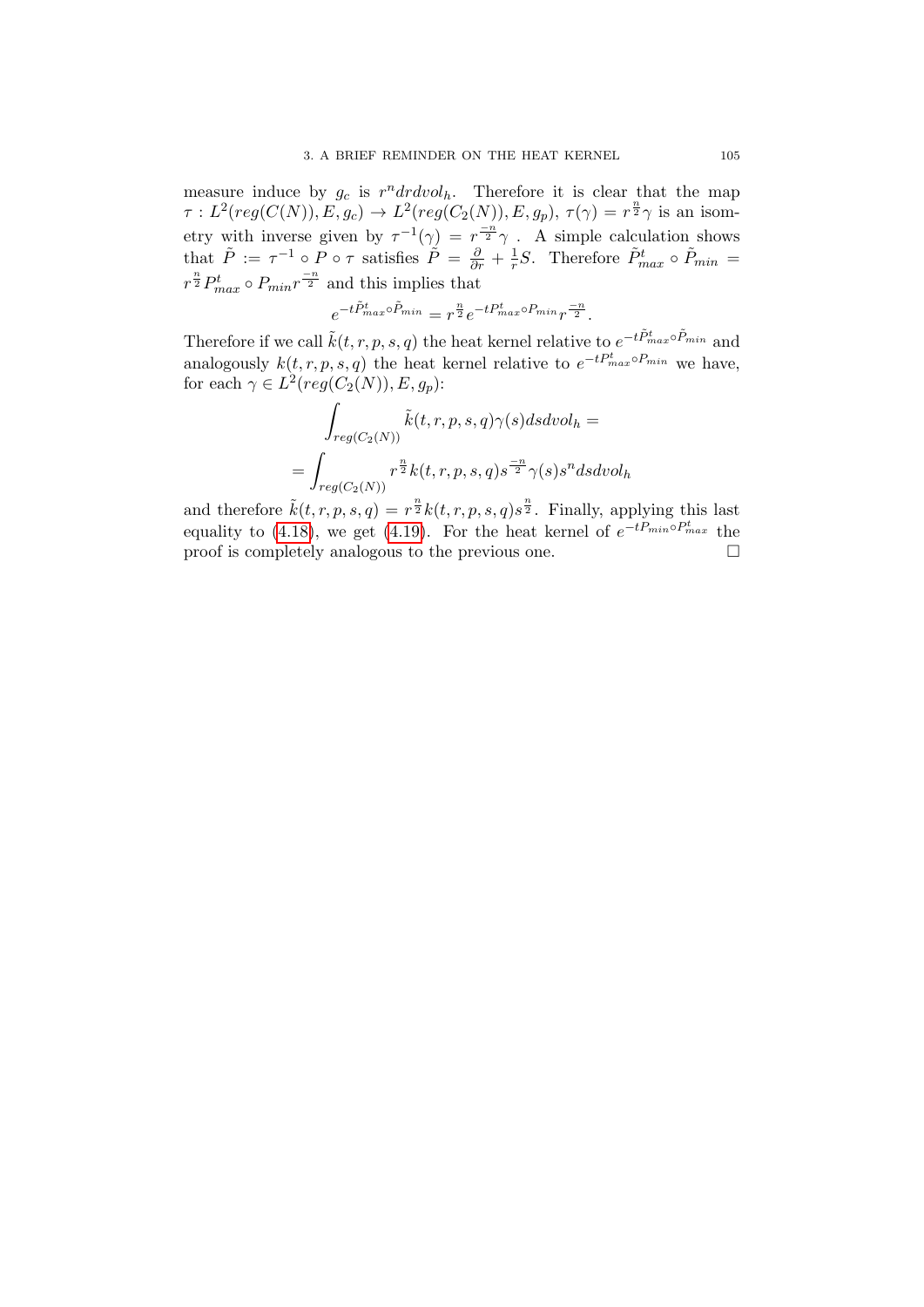measure induce by  $g_c$  is  $r^n dr dvol_h$ . Therefore it is clear that the map  $\tau: L^2(reg(C(N)), E, g_c) \to L^2(reg(C_2(N)), E, g_p), \tau(\gamma) = r^{\frac{n}{2}}\gamma$  is an isometry with inverse given by  $\tau^{-1}(\gamma) = r^{\frac{-n}{2}}\gamma$ . A simple calculation shows that  $\tilde{P} := \tau^{-1} \circ P \circ \tau$  satisfies  $\tilde{P} = \frac{\partial}{\partial r} + \frac{1}{r}$  $\frac{1}{r}S$ . Therefore  $\tilde{P}_{max}^t \circ \tilde{P}_{min} =$  $r^{\frac{n}{2}}P_{max}^t \circ P_{min}r^{\frac{-n}{2}}$  and this implies that

$$
e^{-t\tilde{P}_{max}^t \circ \tilde{P}_{min}} = r^{\frac{n}{2}} e^{-tP_{max}^t \circ P_{min}} r^{\frac{-n}{2}}.
$$

Therefore if we call  $\tilde{k}(t, r, p, s, q)$  the heat kernel relative to  $e^{-t\tilde{P}^t_{max}\circ \tilde{P}_{min}}$  and analogously  $k(t, r, p, s, q)$  the heat kernel relative to  $e^{-tP_{max}^t \circ P_{min}}$  we have, for each  $\gamma \in L^2(\text{reg}(C_2(N)), E, g_p)$ :

$$
\int_{reg(C_2(N))} \tilde{k}(t, r, p, s, q) \gamma(s) ds dvol_h =
$$
\n
$$
= \int_{reg(C_2(N))} r^{\frac{n}{2}} k(t, r, p, s, q) s^{\frac{-n}{2}} \gamma(s) s^n ds dvol_h
$$

and therefore  $\tilde{k}(t, r, p, s, q) = r^{\frac{n}{2}} k(t, r, p, s, q) s^{\frac{n}{2}}$ . Finally, applying this last equality to [\(4.18\)](#page-103-0), we get [\(4.19\)](#page-103-1). For the heat kernel of  $e^{-tP_{min}\circ P_{max}^t}$  the proof is completely analogous to the previous one.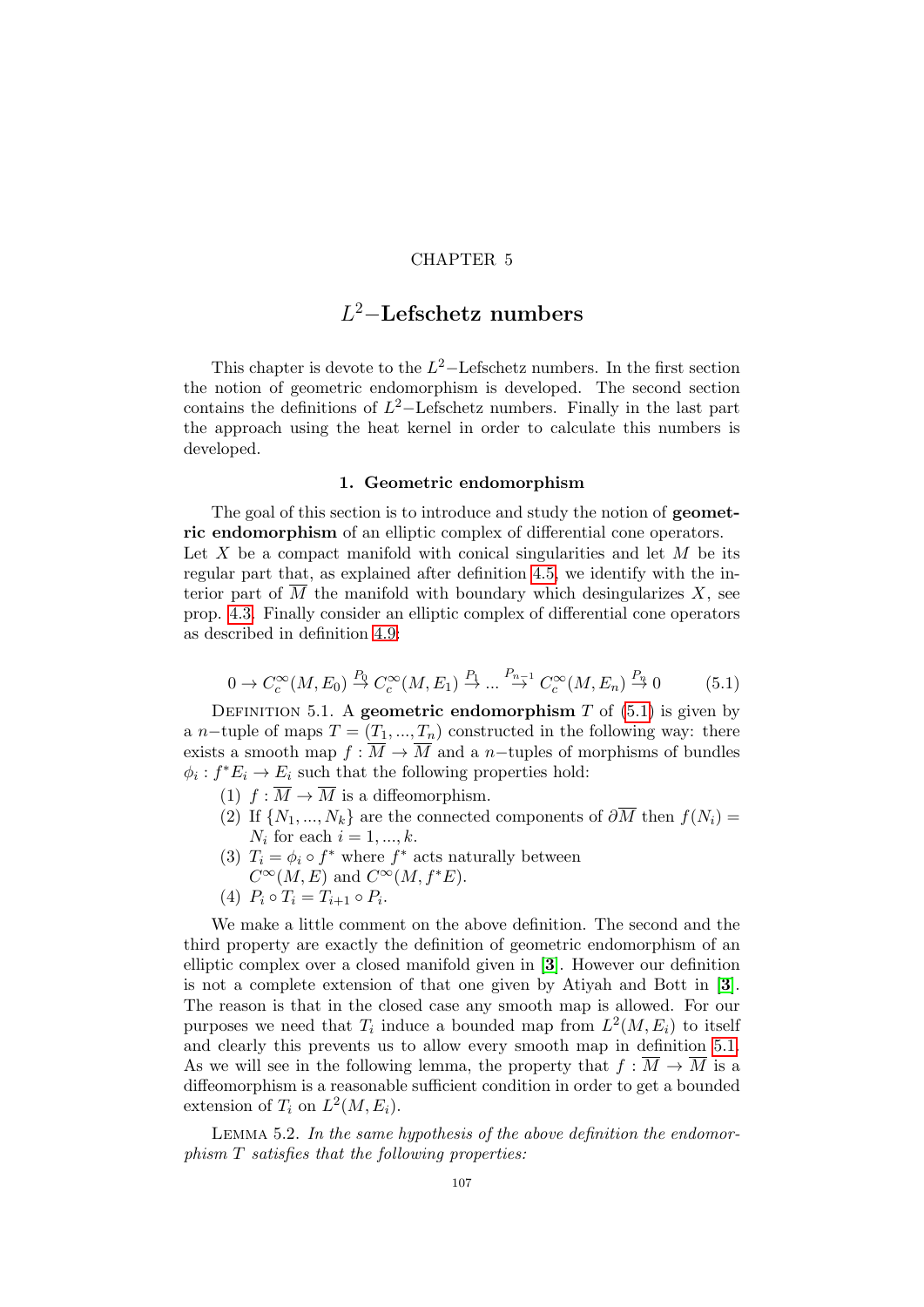## CHAPTER 5

# L <sup>2</sup>−Lefschetz numbers

This chapter is devote to the  $L^2$ -Lefschetz numbers. In the first section the notion of geometric endomorphism is developed. The second section contains the definitions of  $L^2$ -Lefschetz numbers. Finally in the last part the approach using the heat kernel in order to calculate this numbers is developed.

## 1. Geometric endomorphism

The goal of this section is to introduce and study the notion of **geomet**ric endomorphism of an elliptic complex of differential cone operators. Let X be a compact manifold with conical singularities and let  $M$  be its regular part that, as explained after definition [4.5,](#page-96-1) we identify with the interior part of  $\overline{M}$  the manifold with boundary which desingularizes X, see prop. [4.3.](#page-95-1) Finally consider an elliptic complex of differential cone operators as described in definition [4.9:](#page-99-1)

<span id="page-106-0"></span>
$$
0 \to C_c^{\infty}(M, E_0) \stackrel{P_0}{\to} C_c^{\infty}(M, E_1) \stackrel{P_1}{\to} \dots \stackrel{P_{n-1}}{\to} C_c^{\infty}(M, E_n) \stackrel{P_n}{\to} 0 \tag{5.1}
$$

<span id="page-106-1"></span>DEFINITION 5.1. A geometric endomorphism  $T$  of  $(5.1)$  is given by a n−tuple of maps  $T = (T_1, ..., T_n)$  constructed in the following way: there exists a smooth map  $f : \overline{M} \to \overline{M}$  and a n-tuples of morphisms of bundles  $\phi_i: f^*E_i \to E_i$  such that the following properties hold:

- (1)  $f : \overline{M} \to \overline{M}$  is a diffeomorphism.
- (2) If  $\{N_1, ..., N_k\}$  are the connected components of  $\partial \overline{M}$  then  $f(N_i) =$  $N_i$  for each  $i = 1, ..., k$ .
- (3)  $T_i = \phi_i \circ f^*$  where  $f^*$  acts naturally between
- $C^{\infty}(M, E)$  and  $C^{\infty}(M, f^*E)$ .
- (4)  $P_i \circ T_i = T_{i+1} \circ P_i$ .

We make a little comment on the above definition. The second and the third property are exactly the definition of geometric endomorphism of an elliptic complex over a closed manifold given in [[3](#page-136-7)]. However our definition is not a complete extension of that one given by Atiyah and Bott in [[3](#page-136-7)]. The reason is that in the closed case any smooth map is allowed. For our purposes we need that  $T_i$  induce a bounded map from  $L^2(M, E_i)$  to itself and clearly this prevents us to allow every smooth map in definition [5.1.](#page-106-1) As we will see in the following lemma, the property that  $f : \overline{M} \to \overline{M}$  is a diffeomorphism is a reasonable sufficient condition in order to get a bounded extension of  $T_i$  on  $L^2(M, E_i)$ .

LEMMA 5.2. In the same hypothesis of the above definition the endomorphism T satisfies that the following properties: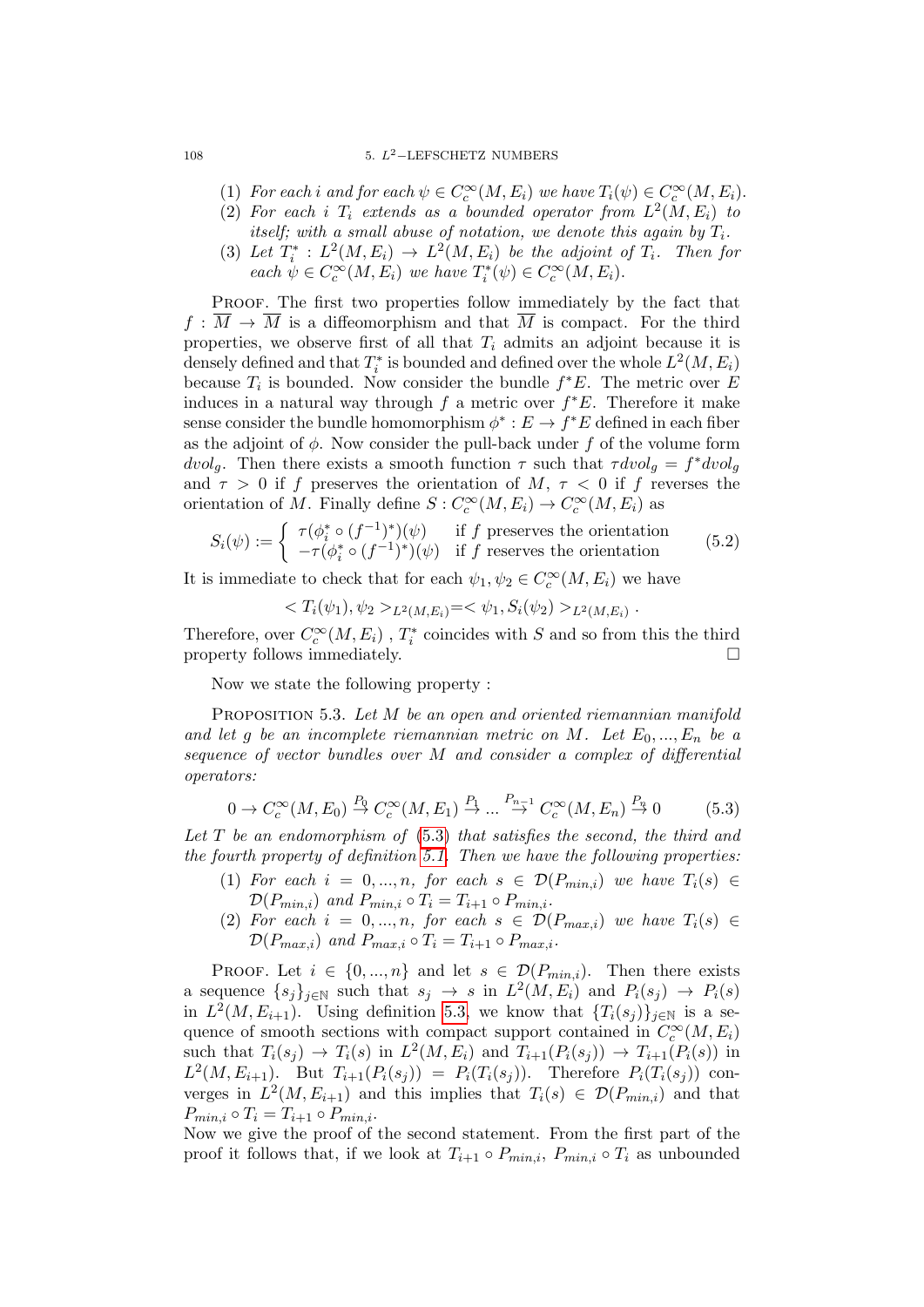#### 108 5.  $L^2$ -LEFSCHETZ NUMBERS

- (1) For each i and for each  $\psi \in C_c^{\infty}(M, E_i)$  we have  $T_i(\psi) \in C_c^{\infty}(M, E_i)$ .
- (2) For each i  $T_i$  extends as a bounded operator from  $L^2(M,E_i)$  to itself; with a small abuse of notation, we denote this again by  $T_i$ .
- (3) Let  $T_i^*: L^2(M, E_i) \to L^2(M, E_i)$  be the adjoint of  $T_i$ . Then for each  $\psi \in C_c^{\infty}(M, E_i)$  we have  $T_i^*(\psi) \in C_c^{\infty}(M, E_i)$ .

PROOF. The first two properties follow immediately by the fact that  $f : \overline{M} \to \overline{M}$  is a diffeomorphism and that  $\overline{M}$  is compact. For the third properties, we observe first of all that  $T_i$  admits an adjoint because it is densely defined and that  $T_i^*$  is bounded and defined over the whole  $L^2(M, E_i)$ because  $T_i$  is bounded. Now consider the bundle  $f^*E$ . The metric over E induces in a natural way through  $f$  a metric over  $f^*E$ . Therefore it make sense consider the bundle homomorphism  $\phi^* : E \to f^*E$  defined in each fiber as the adjoint of  $\phi$ . Now consider the pull-back under f of the volume form dvolg. Then there exists a smooth function  $\tau$  such that  $\tau dvol_g = f^* dvol_g$ and  $\tau > 0$  if f preserves the orientation of M,  $\tau < 0$  if f reverses the orientation of M. Finally define  $S: C_c^{\infty}(M, E_i) \to C_c^{\infty}(M, E_i)$  as

$$
S_i(\psi) := \begin{cases} \tau(\phi_i^* \circ (f^{-1})^*)(\psi) & \text{if } f \text{ preserves the orientation} \\ -\tau(\phi_i^* \circ (f^{-1})^*)(\psi) & \text{if } f \text{ reserves the orientation} \end{cases} \tag{5.2}
$$

It is immediate to check that for each  $\psi_1, \psi_2 \in C_c^{\infty}(M, E_i)$  we have

$$
\langle T_i(\psi_1), \psi_2 \rangle_{L^2(M, E_i)} = \langle \psi_1, S_i(\psi_2) \rangle_{L^2(M, E_i)}.
$$

Therefore, over  $C_c^{\infty}(M,E_i)$  ,  $T_i^*$  coincides with  $S$  and so from this the third property follows immediately.

Now we state the following property :

PROPOSITION 5.3. Let M be an open and oriented riemannian manifold and let g be an incomplete riemannian metric on M. Let  $E_0, ..., E_n$  be a sequence of vector bundles over M and consider a complex of differential operators:

<span id="page-107-0"></span>
$$
0 \to C_c^{\infty}(M, E_0) \stackrel{P_0}{\to} C_c^{\infty}(M, E_1) \stackrel{P_1}{\to} \dots \stackrel{P_{n-1}}{\to} C_c^{\infty}(M, E_n) \stackrel{P_n}{\to} 0 \tag{5.3}
$$

Let  $T$  be an endomorphism of  $(5.3)$  that satisfies the second, the third and the fourth property of definition [5.1.](#page-106-1) Then we have the following properties:

- (1) For each  $i = 0, ..., n$ , for each  $s \in \mathcal{D}(P_{min,i})$  we have  $T_i(s) \in$  $\mathcal{D}(P_{min,i})$  and  $P_{min,i} \circ T_i = T_{i+1} \circ P_{min,i}$ .
- (2) For each  $i = 0, ..., n$ , for each  $s \in \mathcal{D}(P_{max,i})$  we have  $T_i(s) \in$  $\mathcal{D}(P_{max,i})$  and  $P_{max,i} \circ T_i = T_{i+1} \circ P_{max,i}$ .

PROOF. Let  $i \in \{0, ..., n\}$  and let  $s \in \mathcal{D}(P_{min,i})$ . Then there exists a sequence  $\{s_j\}_{j\in\mathbb{N}}$  such that  $s_j \to s$  in  $L^2(M, E_i)$  and  $P_i(s_j) \to P_i(s)$ in  $L^2(M, E_{i+1})$ . Using definition [5.3,](#page-107-0) we know that  $\{T_i(s_j)\}_{j\in\mathbb{N}}$  is a sequence of smooth sections with compact support contained in  $C_c^{\infty}(M, E_i)$ such that  $T_i(s_j) \to T_i(s)$  in  $L^2(M, E_i)$  and  $T_{i+1}(P_i(s_j)) \to T_{i+1}(P_i(s))$  in  $L^2(M, E_{i+1})$ . But  $T_{i+1}(P_i(s_j)) = P_i(T_i(s_j))$ . Therefore  $P_i(T_i(s_j))$  converges in  $L^2(M, E_{i+1})$  and this implies that  $T_i(s) \in \mathcal{D}(P_{min,i})$  and that  $P_{min,i} \circ T_i = T_{i+1} \circ P_{min,i}.$ 

Now we give the proof of the second statement. From the first part of the proof it follows that, if we look at  $T_{i+1} \circ P_{min,i}$ ,  $P_{min,i} \circ T_i$  as unbounded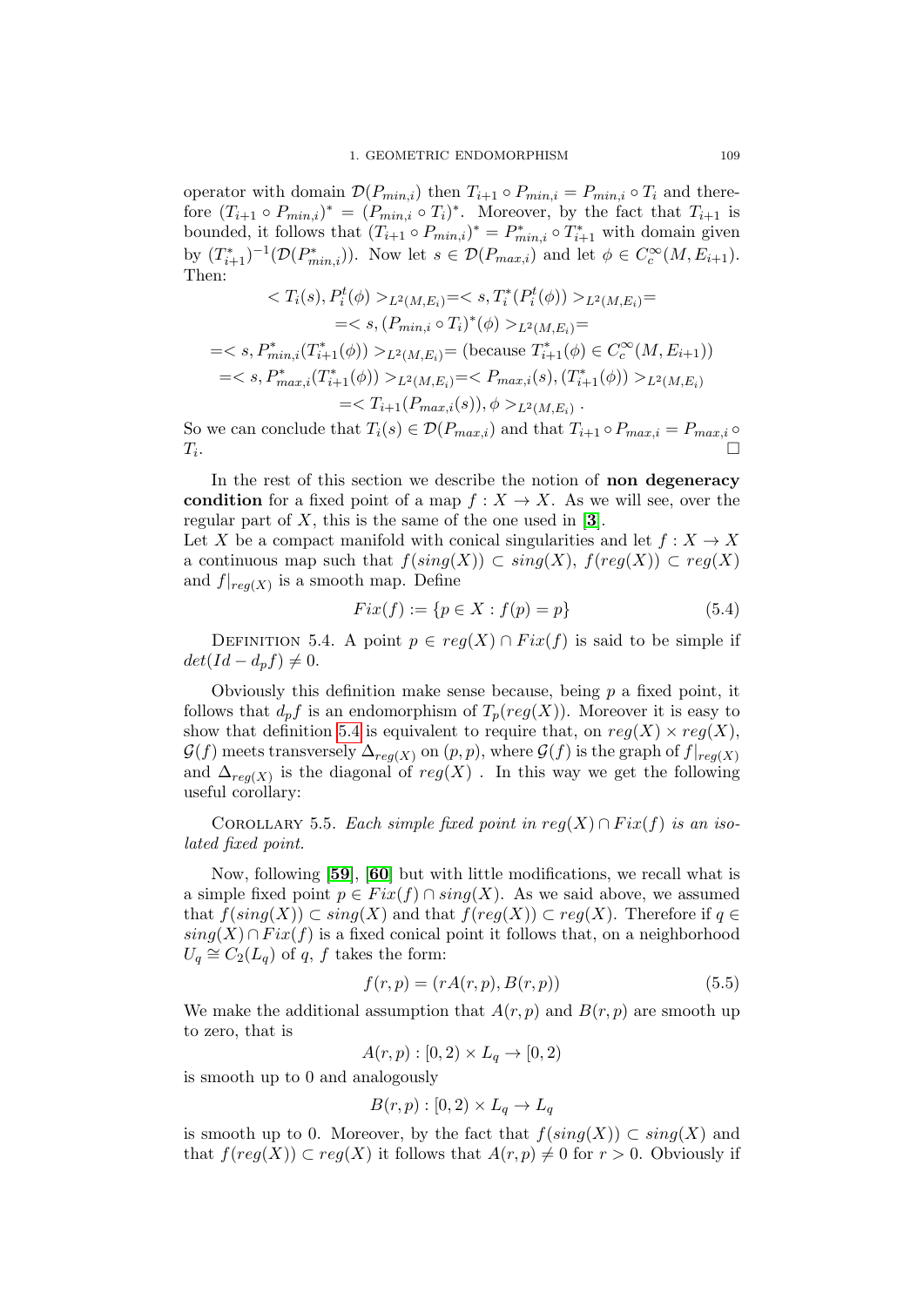operator with domain  $\mathcal{D}(P_{min,i})$  then  $T_{i+1} \circ P_{min,i} = P_{min,i} \circ T_i$  and therefore  $(T_{i+1} \circ P_{min,i})^* = (P_{min,i} \circ T_i)^*$ . Moreover, by the fact that  $T_{i+1}$  is bounded, it follows that  $(T_{i+1} \circ P_{min,i})^* = P^*_{min,i} \circ T^*_{i+1}$  with domain given by  $(T_{i+1}^*)^{-1}(\mathcal{D}(P_{min,i}^*))$ . Now let  $s \in \mathcal{D}(P_{max,i})$  and let  $\phi \in C_c^{\infty}(M, E_{i+1})$ . Then:

$$
\langle T_i(s), P_i^t(\phi) \rangle_{L^2(M, E_i)} = \langle s, T_i^*(P_i^t(\phi)) \rangle_{L^2(M, E_i)} =
$$
\n
$$
= \langle s, (P_{min,i} \circ T_i)^*(\phi) \rangle_{L^2(M, E_i)} =
$$
\n
$$
= \langle s, P_{min,i}^*(T_{i+1}^*(\phi)) \rangle_{L^2(M, E_i)} = \text{(because } T_{i+1}^*(\phi) \in C_c^\infty(M, E_{i+1}))
$$
\n
$$
= \langle s, P_{max,i}^*(T_{i+1}^*(\phi)) \rangle_{L^2(M, E_i)} = \langle P_{max,i}(s), (T_{i+1}^*(\phi)) \rangle_{L^2(M, E_i)}
$$
\n
$$
= \langle T_{i+1}(P_{max,i}(s)), \phi \rangle_{L^2(M, E_i)}.
$$

So we can conclude that  $T_i(s) \in \mathcal{D}(P_{max,i})$  and that  $T_{i+1} \circ P_{max,i} = P_{max,i} \circ P_{max,i}$  $T_i$ . .

In the rest of this section we describe the notion of non degeneracy condition for a fixed point of a map  $f: X \to X$ . As we will see, over the regular part of  $X$ , this is the same of the one used in [[3](#page-136-0)].

Let X be a compact manifold with conical singularities and let  $f: X \to X$ a continuous map such that  $f(sing(X)) \subset sing(X)$ ,  $f(reg(X)) \subset reg(X)$ and  $f|_{reg(X)}$  is a smooth map. Define

$$
Fix(f) := \{ p \in X : f(p) = p \}
$$
\n(5.4)

<span id="page-108-0"></span>DEFINITION 5.4. A point  $p \in reg(X) \cap Fix(f)$  is said to be simple if  $det(Id - d_p f) \neq 0.$ 

Obviously this definition make sense because, being  $p$  a fixed point, it follows that  $d_p f$  is an endomorphism of  $T_p(reg(X))$ . Moreover it is easy to show that definition [5.4](#page-108-0) is equivalent to require that, on  $reg(X) \times reg(X)$ ,  $\mathcal{G}(f)$  meets transversely  $\Delta_{req(X)}$  on  $(p, p)$ , where  $\mathcal{G}(f)$  is the graph of  $f|_{req(X)}$ and  $\Delta_{reg(X)}$  is the diagonal of  $reg(X)$ . In this way we get the following useful corollary:

COROLLARY 5.5. Each simple fixed point in  $reg(X) \cap Fix(f)$  is an isolated fixed point.

Now, following [[59](#page-138-0)], [[60](#page-138-1)] but with little modifications, we recall what is a simple fixed point  $p \in Fix(f) \cap sing(X)$ . As we said above, we assumed that  $f(sing(X)) \subset sing(X)$  and that  $f(reg(X)) \subset reg(X)$ . Therefore if  $q \in$  $sing(X) \cap Fix(f)$  is a fixed conical point it follows that, on a neighborhood  $U_q \cong C_2(L_q)$  of q, f takes the form:

<span id="page-108-1"></span>
$$
f(r,p) = (rA(r,p), B(r,p))
$$
\n
$$
(5.5)
$$

We make the additional assumption that  $A(r, p)$  and  $B(r, p)$  are smooth up to zero, that is

$$
A(r, p) : [0, 2) \times L_q \to [0, 2)
$$

is smooth up to 0 and analogously

$$
B(r,p): [0,2) \times L_q \to L_q
$$

is smooth up to 0. Moreover, by the fact that  $f(sing(X)) \subset sing(X)$  and that  $f(\text{reg}(X)) \subset \text{reg}(X)$  it follows that  $A(r, p) \neq 0$  for  $r > 0$ . Obviously if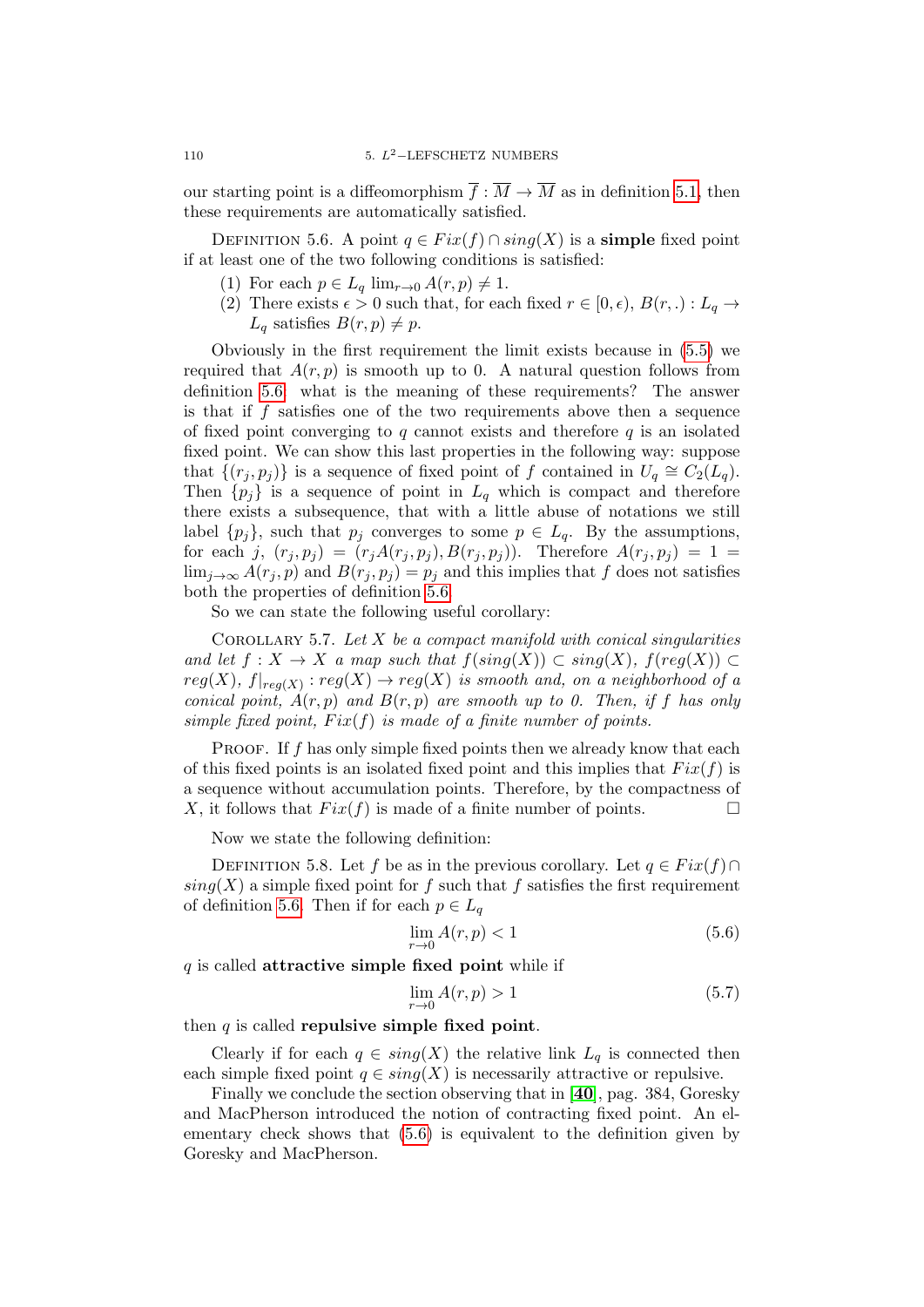our starting point is a diffeomorphism  $\overline{f} : \overline{M} \to \overline{M}$  as in definition [5.1,](#page-106-0) then these requirements are automatically satisfied.

<span id="page-109-0"></span>DEFINITION 5.6. A point  $q \in Fix(f) \cap sing(X)$  is a **simple** fixed point if at least one of the two following conditions is satisfied:

- (1) For each  $p \in L_q$  lim<sub> $r\rightarrow 0$ </sub>  $A(r, p) \neq 1$ .
- (2) There exists  $\epsilon > 0$  such that, for each fixed  $r \in [0, \epsilon), B(r, .) : L_q \rightarrow$  $L_q$  satisfies  $B(r, p) \neq p$ .

Obviously in the first requirement the limit exists because in [\(5.5\)](#page-108-1) we required that  $A(r, p)$  is smooth up to 0. A natural question follows from definition [5.6:](#page-109-0) what is the meaning of these requirements? The answer is that if  $f$  satisfies one of the two requirements above then a sequence of fixed point converging to  $q$  cannot exists and therefore  $q$  is an isolated fixed point. We can show this last properties in the following way: suppose that  $\{(r_j, p_j)\}\$ is a sequence of fixed point of f contained in  $U_q \cong C_2(L_q)$ . Then  $\{p_j\}$  is a sequence of point in  $L_q$  which is compact and therefore there exists a subsequence, that with a little abuse of notations we still label  $\{p_j\}$ , such that  $p_j$  converges to some  $p \in L_q$ . By the assumptions, for each j,  $(r_j, p_j) = (r_j A(r_j, p_j), B(r_j, p_j))$ . Therefore  $A(r_j, p_j) = 1$  $\lim_{i\to\infty} A(r_i, p)$  and  $B(r_i, p_j) = p_j$  and this implies that f does not satisfies both the properties of definition [5.6.](#page-109-0)

So we can state the following useful corollary:

COROLLARY 5.7. Let  $X$  be a compact manifold with conical singularities and let  $f: X \to X$  a map such that  $f(sing(X)) \subset sing(X)$ ,  $f(reg(X)) \subset$  $reg(X), f|_{reg(X)}: reg(X) \rightarrow reg(X)$  is smooth and, on a neighborhood of a conical point,  $A(r, p)$  and  $B(r, p)$  are smooth up to 0. Then, if f has only simple fixed point,  $Fix(f)$  is made of a finite number of points.

**PROOF.** If f has only simple fixed points then we already know that each of this fixed points is an isolated fixed point and this implies that  $Fix(f)$  is a sequence without accumulation points. Therefore, by the compactness of X, it follows that  $Fix(f)$  is made of a finite number of points.

Now we state the following definition:

<span id="page-109-2"></span>DEFINITION 5.8. Let f be as in the previous corollary. Let  $q \in Fix(f) \cap$  $sing(X)$  a simple fixed point for f such that f satisfies the first requirement of definition [5.6.](#page-109-0) Then if for each  $p \in L_q$ 

<span id="page-109-1"></span>
$$
\lim_{r \to 0} A(r, p) < 1 \tag{5.6}
$$

 $q$  is called **attractive simple fixed point** while if

$$
\lim_{r \to 0} A(r, p) > 1 \tag{5.7}
$$

then  $q$  is called repulsive simple fixed point.

Clearly if for each  $q \in sing(X)$  the relative link  $L_q$  is connected then each simple fixed point  $q \in sing(X)$  is necessarily attractive or repulsive.

Finally we conclude the section observing that in [[40](#page-137-0)], pag. 384, Goresky and MacPherson introduced the notion of contracting fixed point. An elementary check shows that [\(5.6\)](#page-109-1) is equivalent to the definition given by Goresky and MacPherson.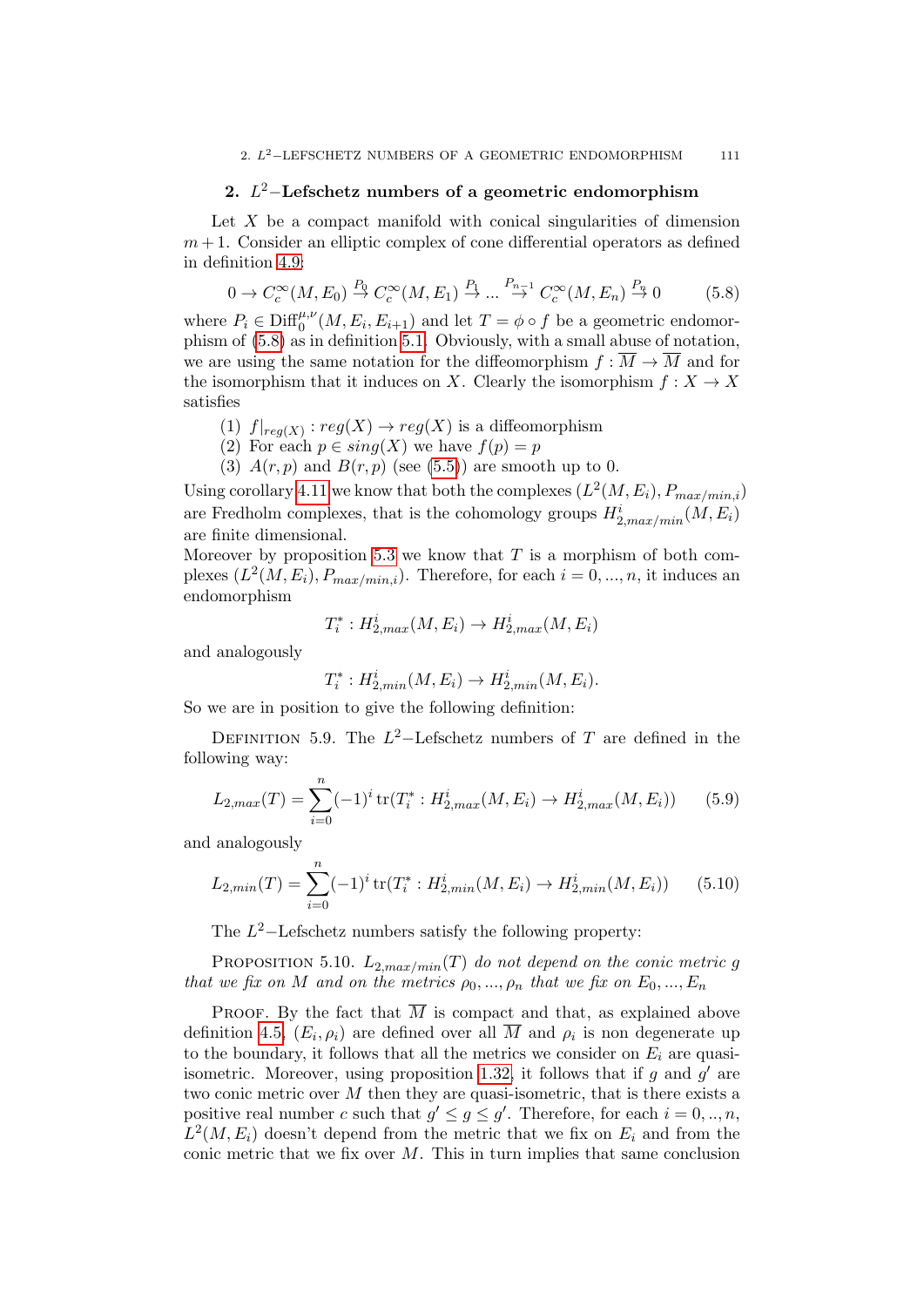## 2.  $L^2$ -Lefschetz numbers of a geometric endomorphism

Let  $X$  be a compact manifold with conical singularities of dimension  $m+1$ . Consider an elliptic complex of cone differential operators as defined in definition [4.9:](#page-99-0)

<span id="page-110-0"></span>
$$
0 \to C_c^{\infty}(M, E_0) \stackrel{P_0}{\to} C_c^{\infty}(M, E_1) \stackrel{P_1}{\to} \dots \stackrel{P_{n-1}}{\to} C_c^{\infty}(M, E_n) \stackrel{P_n}{\to} 0 \tag{5.8}
$$

where  $P_i \in \text{Diff}_0^{\mu,\nu}(M, E_i, E_{i+1})$  and let  $T = \phi \circ f$  be a geometric endomorphism of [\(5.8\)](#page-110-0) as in definition [5.1.](#page-106-0) Obviously, with a small abuse of notation, we are using the same notation for the diffeomorphism  $f: \overline{M} \to \overline{M}$  and for the isomorphism that it induces on X. Clearly the isomorphism  $f: X \to X$ satisfies

- (1)  $f|_{reg(X)} : reg(X) \to reg(X)$  is a diffeomorphism
- (2) For each  $p \in sing(X)$  we have  $f(p) = p$
- (3)  $A(r, p)$  and  $B(r, p)$  (see [\(5.5\)](#page-108-1)) are smooth up to 0.

Using corollary [4.11](#page-99-1) we know that both the complexes  $(L^2(M, E_i), P_{max/min,i})$ are Fredholm complexes, that is the cohomology groups  $H_{2,max/min}^i(M, E_i)$ are finite dimensional.

Moreover by proposition [5.3](#page-107-0) we know that  $T$  is a morphism of both complexes  $(L^2(M, E_i), P_{max/min,i})$ . Therefore, for each  $i = 0, ..., n$ , it induces an endomorphism

$$
T_i^*: H^i_{2,max}(M, E_i) \to H^i_{2,max}(M, E_i)
$$

and analogously

$$
T_i^* : H^i_{2, min}(M, E_i) \to H^i_{2, min}(M, E_i).
$$

So we are in position to give the following definition:

DEFINITION 5.9. The  $L^2$ -Lefschetz numbers of T are defined in the following way:

$$
L_{2,max}(T) = \sum_{i=0}^{n} (-1)^{i} tr(T_{i}^{*} : H_{2,max}^{i}(M, E_{i}) \to H_{2,max}^{i}(M, E_{i}))
$$
 (5.9)

and analogously

$$
L_{2,min}(T) = \sum_{i=0}^{n} (-1)^{i} tr(T_{i}^{*} : H_{2,min}^{i}(M, E_{i}) \to H_{2,min}^{i}(M, E_{i}))
$$
 (5.10)

The  $L^2$ -Lefschetz numbers satisfy the following property:

<span id="page-110-1"></span>PROPOSITION 5.10.  $L_{2,max/min}(T)$  do not depend on the conic metric g that we fix on M and on the metrics  $\rho_0, ..., \rho_n$  that we fix on  $E_0, ..., E_n$ 

**PROOF.** By the fact that  $\overline{M}$  is compact and that, as explained above definition [4.5,](#page-96-0)  $(E_i, \rho_i)$  are defined over all M and  $\rho_i$  is non degenerate up to the boundary, it follows that all the metrics we consider on  $E_i$  are quasi-isometric. Moreover, using proposition [1.32,](#page-31-0) it follows that if  $g$  and  $g'$  are two conic metric over  $M$  then they are quasi-isometric, that is there exists a positive real number c such that  $g' \leq g \leq g'$ . Therefore, for each  $i = 0, ..., n$ ,  $L^2(M, E_i)$  doesn't depend from the metric that we fix on  $E_i$  and from the conic metric that we fix over  $M$ . This in turn implies that same conclusion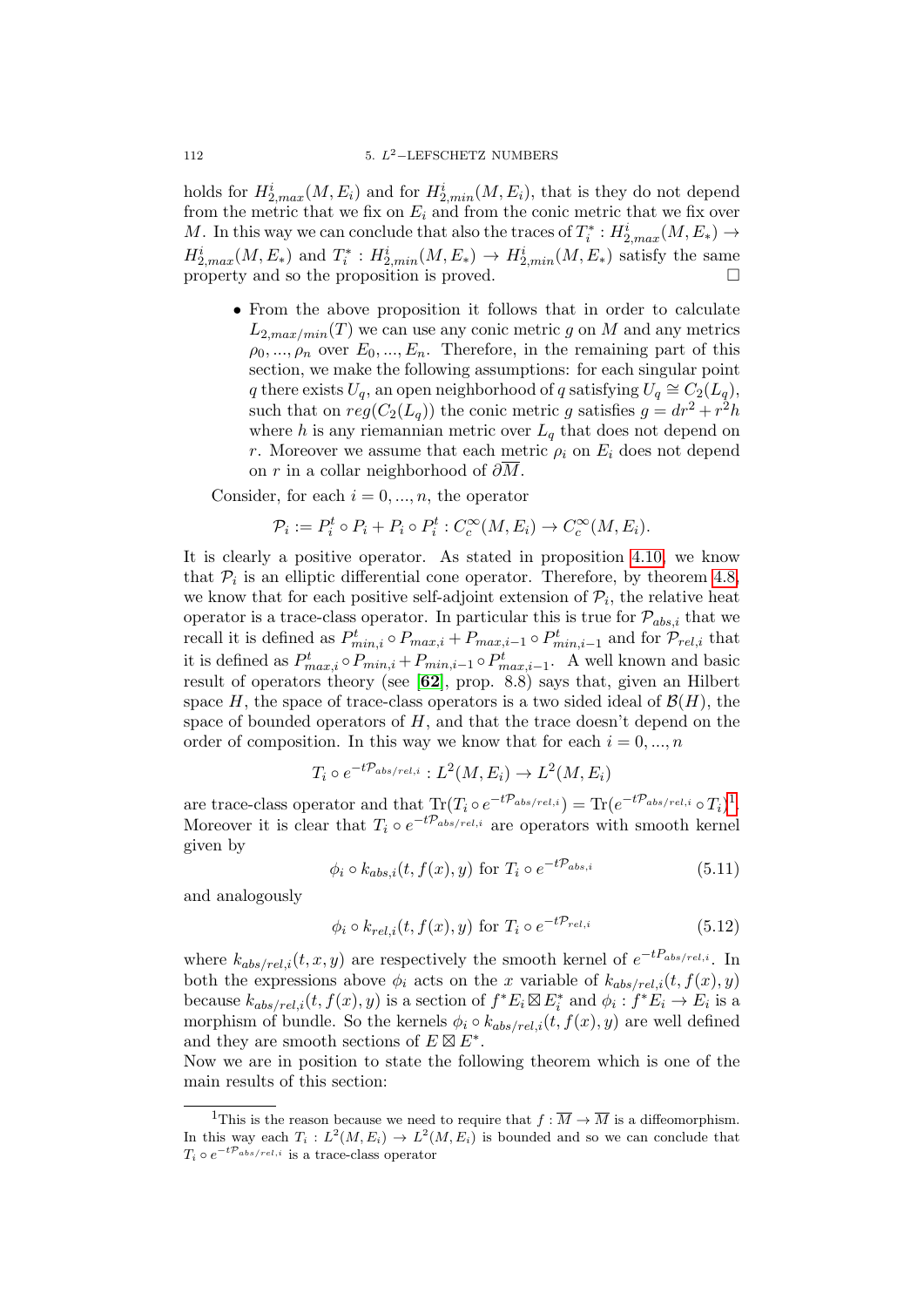holds for  $H_{2,max}^i(M, E_i)$  and for  $H_{2,min}^i(M, E_i)$ , that is they do not depend from the metric that we fix on  $E_i$  and from the conic metric that we fix over M. In this way we can conclude that also the traces of  $T_i^*$  :  $H_{2,max}^i(M, E_*) \rightarrow$  $H_{2,max}^i(M, E_*)$  and  $T_i^*: H_{2,min}^i(M, E_*) \to H_{2,min}^i(M, E_*)$  satisfy the same property and so the proposition is proved.  $\Box$ 

• From the above proposition it follows that in order to calculate  $L_{2, max/min}(T)$  we can use any conic metric g on M and any metrics  $\rho_0, ..., \rho_n$  over  $E_0, ..., E_n$ . Therefore, in the remaining part of this section, we make the following assumptions: for each singular point q there exists  $U_q$ , an open neighborhood of q satisfying  $U_q \cong C_2(L_q)$ , such that on  $reg(C_2(L_q))$  the conic metric g satisfies  $g = dr^2 + r^2h$ where h is any riemannian metric over  $L_q$  that does not depend on r. Moreover we assume that each metric  $\rho_i$  on  $E_i$  does not depend on r in a collar neighborhood of  $\partial \overline{M}$ .

Consider, for each  $i = 0, ..., n$ , the operator

$$
\mathcal{P}_i := P_i^t \circ P_i + P_i \circ P_i^t : C_c^{\infty}(M, E_i) \to C_c^{\infty}(M, E_i).
$$

It is clearly a positive operator. As stated in proposition [4.10,](#page-99-2) we know that  $P_i$  is an elliptic differential cone operator. Therefore, by theorem [4.8,](#page-98-0) we know that for each positive self-adjoint extension of  $P_i$ , the relative heat operator is a trace-class operator. In particular this is true for  $\mathcal{P}_{abs,i}$  that we recall it is defined as  $P_{min,i}^t \circ P_{max,i} + P_{max,i-1} \circ P_{min,i-1}^t$  and for  $\mathcal{P}_{rel,i}$  that it is defined as  $P_{max,i}^t \circ P_{min,i} + P_{min,i-1} \circ P_{max,i-1}^t$ . A well known and basic result of operators theory (see [[62](#page-138-2)], prop. 8.8) says that, given an Hilbert space H, the space of trace-class operators is a two sided ideal of  $\mathcal{B}(H)$ , the space of bounded operators of  $H$ , and that the trace doesn't depend on the order of composition. In this way we know that for each  $i = 0, ..., n$ 

$$
T_i \circ e^{-t\mathcal{P}_{abs/rel,i}} : L^2(M, E_i) \to L^2(M, E_i)
$$

are trace-class operator and that  $\text{Tr}(T_i \circ e^{-t\mathcal{P}_{abs/rel,i}}) = \text{Tr}(e^{-t\mathcal{P}_{abs/rel,i}} \circ T_i)^1$  $\text{Tr}(T_i \circ e^{-t\mathcal{P}_{abs/rel,i}}) = \text{Tr}(e^{-t\mathcal{P}_{abs/rel,i}} \circ T_i)^1$ . Moreover it is clear that  $T_i \circ e^{-t\mathcal{P}_{abs/rel,i}}$  are operators with smooth kernel given by

<span id="page-111-1"></span>
$$
\phi_i \circ k_{abs,i}(t, f(x), y) \text{ for } T_i \circ e^{-t\mathcal{P}_{abs,i}} \tag{5.11}
$$

and analogously

$$
\phi_i \circ k_{rel,i}(t, f(x), y) \text{ for } T_i \circ e^{-t\mathcal{P}_{rel,i}} \tag{5.12}
$$

where  $k_{abs/rel,i}(t, x, y)$  are respectively the smooth kernel of  $e^{-tP_{abs/rel,i}}$ . In both the expressions above  $\phi_i$  acts on the x variable of  $k_{abs/rel,i}(t, f(x), y)$ because  $k_{abs/rel,i}(t, f(x), y)$  is a section of  $f^*E_i \boxtimes E_i^*$  and  $\phi_i : f^*E_i \to E_i$  is a morphism of bundle. So the kernels  $\phi_i \circ k_{abs/rel,i}(t, f(x), y)$  are well defined and they are smooth sections of  $E \boxtimes E^*$ .

Now we are in position to state the following theorem which is one of the main results of this section:

<span id="page-111-0"></span><sup>&</sup>lt;sup>1</sup>This is the reason because we need to require that  $f : \overline{M} \to \overline{M}$  is a diffeomorphism. In this way each  $T_i: L^2(M, E_i) \to L^2(M, E_i)$  is bounded and so we can conclude that  $T_i \circ e^{-t\mathcal{P}_{abs/rel,i}}$  is a trace-class operator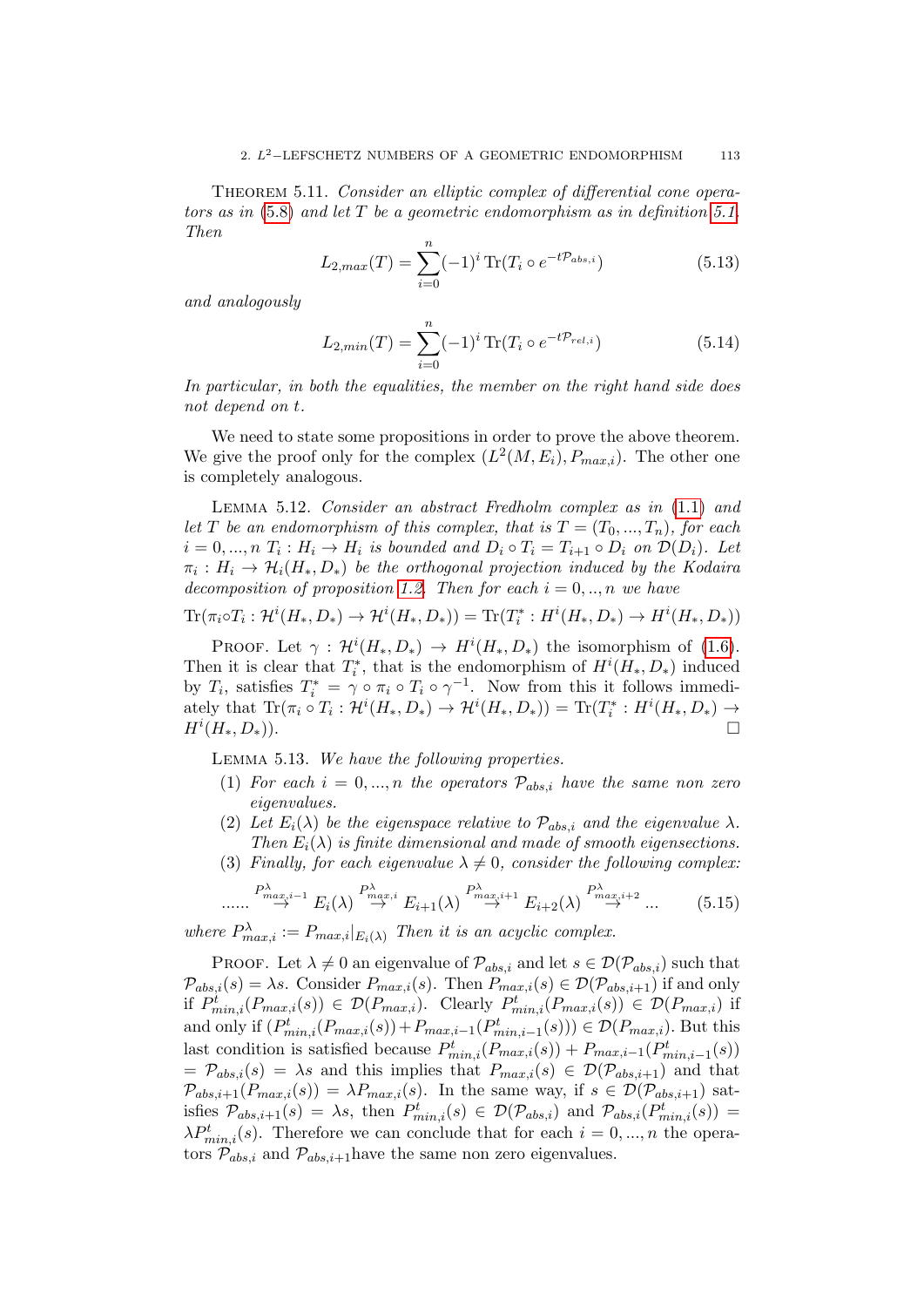<span id="page-112-0"></span>THEOREM 5.11. Consider an elliptic complex of differential cone operators as in  $(5.8)$  and let T be a geometric endomorphism as in definition [5.1.](#page-106-0) Then

<span id="page-112-1"></span>
$$
L_{2,max}(T) = \sum_{i=0}^{n} (-1)^{i} \text{Tr}(T_i \circ e^{-t\mathcal{P}_{abs,i}})
$$
(5.13)

and analogously

<span id="page-112-2"></span>
$$
L_{2,min}(T) = \sum_{i=0}^{n} (-1)^{i} \operatorname{Tr}(T_i \circ e^{-t\mathcal{P}_{rel,i}})
$$
(5.14)

In particular, in both the equalities, the member on the right hand side does not depend on t.

We need to state some propositions in order to prove the above theorem. We give the proof only for the complex  $(L^2(M, E_i), P_{max,i})$ . The other one is completely analogous.

<span id="page-112-3"></span>Lemma 5.12. Consider an abstract Fredholm complex as in [\(1.1\)](#page-16-0) and let T be an endomorphism of this complex, that is  $T = (T_0, ..., T_n)$ , for each  $i = 0, ..., n$   $T_i : H_i \to H_i$  is bounded and  $D_i \circ T_i = T_{i+1} \circ D_i$  on  $\mathcal{D}(D_i)$ . Let  $\pi_i: H_i \to \mathcal{H}_i(H_*, D_*)$  be the orthogonal projection induced by the Kodaira decomposition of proposition [1.2.](#page-17-0) Then for each  $i = 0, ..., n$  we have

$$
\text{Tr}(\pi_i \circ T_i : \mathcal{H}^i(H_*, D_*) \to \mathcal{H}^i(H_*, D_*)) = \text{Tr}(T_i^* : H^i(H_*, D_*) \to H^i(H_*, D_*))
$$

PROOF. Let  $\gamma$ :  $\mathcal{H}^i(H_*, D_*) \to H^i(H_*, D_*)$  the isomorphism of [\(1.6\)](#page-17-1). Then it is clear that  $T_i^*$ , that is the endomorphism of  $H^i(H_*, D_*)$  induced by  $T_i$ , satisfies  $T_i^* = \gamma \circ \pi_i \circ T_i \circ \gamma^{-1}$ . Now from this it follows immediately that  $\text{Tr}(\pi_i \circ T_i : \mathcal{H}^i(H_*, D_*) \to \mathcal{H}^i(H_*, D_*)) = \text{Tr}(T_i^* : H^i(H_*, D_*) \to$  $H^i(H_*,D_*).$ 

Lemma 5.13. We have the following properties.

- (1) For each  $i = 0, ..., n$  the operators  $P_{abs,i}$  have the same non zero eigenvalues.
- (2) Let  $E_i(\lambda)$  be the eigenspace relative to  $\mathcal{P}_{abs,i}$  and the eigenvalue  $\lambda$ . Then  $E_i(\lambda)$  is finite dimensional and made of smooth eigensections.
- (3) Finally, for each eigenvalue  $\lambda \neq 0$ , consider the following complex:

$$
\cdots \xrightarrow{P_{max,i-1}^{\lambda}} E_i(\lambda) \xrightarrow{P_{max,i}^{\lambda}} E_{i+1}(\lambda) \xrightarrow{P_{max,i+1}^{\lambda}} E_{i+2}(\lambda) \xrightarrow{P_{max,i+2}^{\lambda}} \cdots \qquad (5.15)
$$

where  $P_{max,i}^{\lambda} := P_{max,i}|_{E_i(\lambda)}$  Then it is an acyclic complex.

PROOF. Let  $\lambda \neq 0$  an eigenvalue of  $\mathcal{P}_{abs,i}$  and let  $s \in \mathcal{D}(\mathcal{P}_{abs,i})$  such that  $\mathcal{P}_{abs,i}(s) = \lambda s$ . Consider  $P_{max,i}(s)$ . Then  $P_{max,i}(s) \in \mathcal{D}(\mathcal{P}_{abs,i+1})$  if and only if  $P_{min,i}^t(P_{max,i}(s)) \in \mathcal{D}(P_{max,i})$ . Clearly  $P_{min,i}^t(P_{max,i}(s)) \in \mathcal{D}(P_{max,i})$  if and only if  $(P_{min,i}^t(P_{max,i}(s)) + P_{max,i-1}(P_{min,i-1}^t(s))) \in \mathcal{D}(P_{max,i})$ . But this last condition is satisfied because  $P_{min,i}^t(P_{max,i}(s)) + P_{max,i-1}(P_{min,i-1}^t(s))$  $= \mathcal{P}_{abs,i}(s) = \lambda s$  and this implies that  $P_{max,i}(s) \in \mathcal{D}(\mathcal{P}_{abs,i+1})$  and that  $\mathcal{P}_{abs,i+1}(P_{max,i}(s)) = \lambda P_{max,i}(s)$ . In the same way, if  $s \in \mathcal{D}(\mathcal{P}_{abs,i+1})$  satisfies  $\mathcal{P}_{abs,i+1}(s) = \lambda s$ , then  $P^t_{min,i}(s) \in \mathcal{D}(\mathcal{P}_{abs,i})$  and  $\mathcal{P}_{abs,i}(P^t_{min,i}(s)) =$  $\lambda P_{min,i}^t(s)$ . Therefore we can conclude that for each  $i = 0, ..., n$  the operators  $\mathcal{P}_{abs,i}$  and  $\mathcal{P}_{abs,i+1}$  have the same non zero eigenvalues.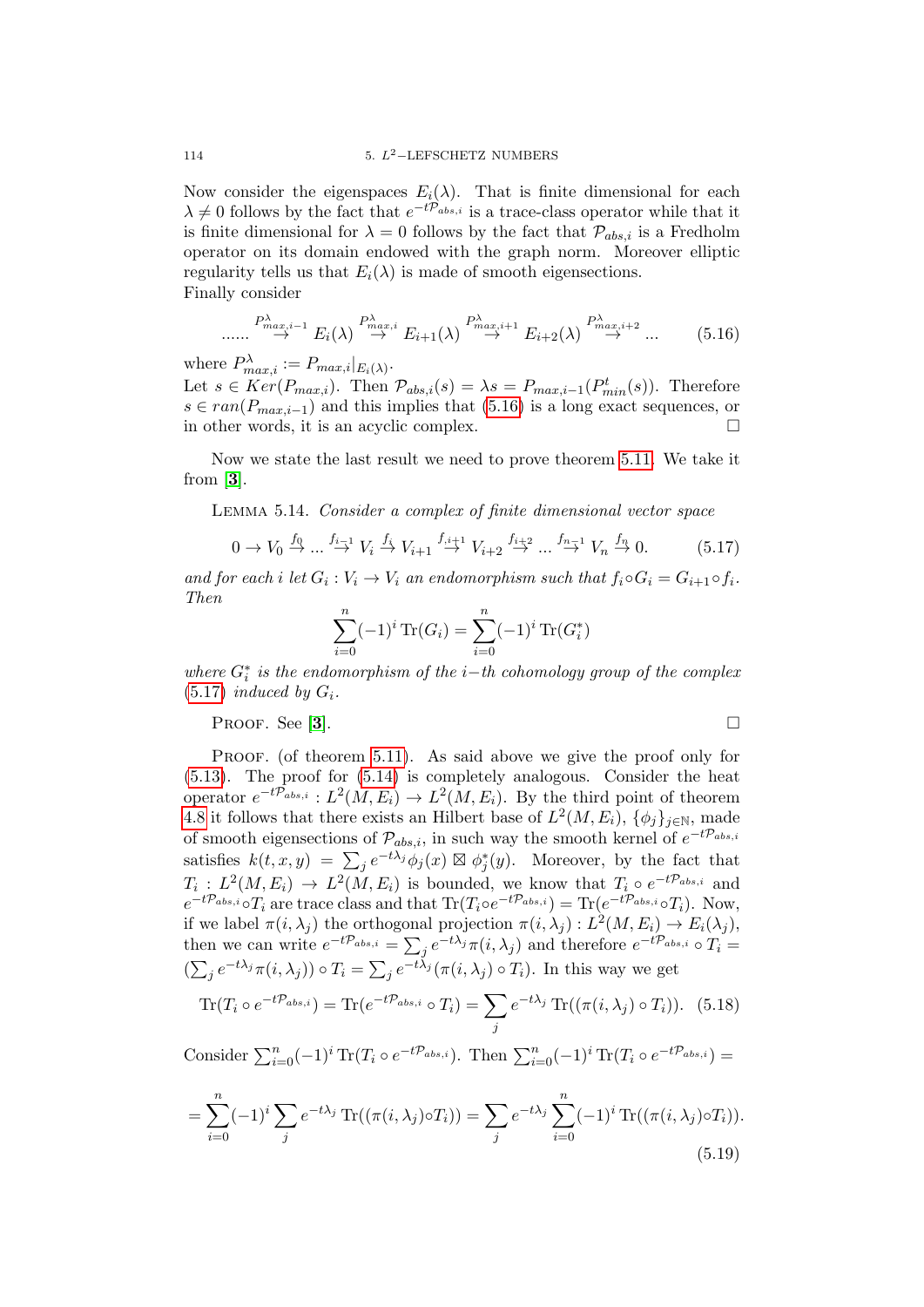Now consider the eigenspaces  $E_i(\lambda)$ . That is finite dimensional for each  $\lambda \neq 0$  follows by the fact that  $e^{-t\mathcal{P}_{abs,i}}$  is a trace-class operator while that it is finite dimensional for  $\lambda = 0$  follows by the fact that  $\mathcal{P}_{abs,i}$  is a Fredholm operator on its domain endowed with the graph norm. Moreover elliptic regularity tells us that  $E_i(\lambda)$  is made of smooth eigensections. Finally consider

<span id="page-113-0"></span>
$$
\cdots \xrightarrow{P_{max,i-1}^{\lambda}} E_i(\lambda) \stackrel{P_{max,i}^{\lambda}}{\rightarrow} E_{i+1}(\lambda) \stackrel{P_{max,i+1}^{\lambda}}{\rightarrow} E_{i+2}(\lambda) \stackrel{P_{max,i+2}^{\lambda}}{\rightarrow} \cdots \qquad (5.16)
$$

where  $P_{max,i}^{\lambda} := P_{max,i}|_{E_i(\lambda)}$ .

Let  $s \in Ker(P_{max,i})$ . Then  $\mathcal{P}_{abs,i}(s) = \lambda s = P_{max,i-1}(P_{min}^t(s))$ . Therefore  $s \in ran(P_{max,i-1})$  and this implies that [\(5.16\)](#page-113-0) is a long exact sequences, or in other words, it is an acyclic complex.

Now we state the last result we need to prove theorem [5.11.](#page-112-0) We take it from  $[3]$  $[3]$  $[3]$ .

Lemma 5.14. Consider a complex of finite dimensional vector space

<span id="page-113-1"></span>
$$
0 \to V_0 \stackrel{f_0}{\to} \dots \stackrel{f_{i-1}}{\to} V_i \stackrel{f_i}{\to} V_{i+1} \stackrel{f_{i+1}}{\to} V_{i+2} \stackrel{f_{i+2}}{\to} \dots \stackrel{f_{n-1}}{\to} V_n \stackrel{f_n}{\to} 0. \tag{5.17}
$$

and for each i let  $G_i : V_i \to V_i$  an endomorphism such that  $f_i \circ G_i = G_{i+1} \circ f_i$ . Then

$$
\sum_{i=0}^{n} (-1)^{i} \operatorname{Tr}(G_{i}) = \sum_{i=0}^{n} (-1)^{i} \operatorname{Tr}(G_{i}^{*})
$$

where  $G_i^*$  is the endomorphism of the i–th cohomology group of the complex  $(5.17)$  induced by  $G_i$ .

Proof. See [[3](#page-136-0)].

PROOF. (of theorem [5.11\)](#page-112-0). As said above we give the proof only for [\(5.13\)](#page-112-1). The proof for [\(5.14\)](#page-112-2) is completely analogous. Consider the heat operator  $e^{-t\mathcal{P}_{abs,i}}: L^2(M, E_i) \to L^2(M, E_i)$ . By the third point of theorem [4.8](#page-98-0) it follows that there exists an Hilbert base of  $L^2(M, E_i)$ ,  $\{\phi_j\}_{j\in\mathbb{N}}$ , made of smooth eigensections of  $\mathcal{P}_{abs,i}$ , in such way the smooth kernel of  $e^{-t\mathcal{P}_{abs,i}}$ satisfies  $k(t, x, y) = \sum_j e^{-t\lambda_j} \dot{\phi}_j(x) \boxtimes \phi_j^*(y)$ . Moreover, by the fact that  $T_i: L^2(M, E_i) \to L^2(M, E_i)$  is bounded, we know that  $T_i \circ e^{-t\mathcal{P}_{abs,i}}$  and  $e^{-t\mathcal{P}_{abs,i}} \circ T_i$  are trace class and that  $\text{Tr}(T_i \circ e^{-t\mathcal{P}_{abs,i}}) = \text{Tr}(e^{-t\mathcal{P}_{abs,i}} \circ T_i)$ . Now, if we label  $\pi(i, \lambda_j)$  the orthogonal projection  $\pi(i, \lambda_j) : L^2(M, E_i) \to E_i(\lambda_j)$ , then we can write  $e^{-t\mathcal{P}_{abs,i}} = \sum_j e^{-t\lambda_j} \pi(i, \lambda_j)$  and therefore  $e^{-t\mathcal{P}_{abs,i}} \circ T_i =$  $(\sum_j e^{-t\lambda_j}\pi(i,\lambda_j)) \circ T_i = \sum_j e^{-t\lambda_j}(\pi(i,\lambda_j) \circ T_i)$ . In this way we get

$$
\text{Tr}(T_i \circ e^{-t\mathcal{P}_{abs,i}}) = \text{Tr}(e^{-t\mathcal{P}_{abs,i}} \circ T_i) = \sum_j e^{-t\lambda_j} \text{Tr}((\pi(i,\lambda_j) \circ T_i)). \tag{5.18}
$$

Consider  $\sum_{i=0}^{n}(-1)^{i}\operatorname{Tr}(T_{i}\circ e^{-t\mathcal{P}_{abs,i}})$ . Then  $\sum_{i=0}^{n}(-1)^{i}\operatorname{Tr}(T_{i}\circ e^{-t\mathcal{P}_{abs,i}})$  =

<span id="page-113-2"></span>
$$
= \sum_{i=0}^{n} (-1)^{i} \sum_{j} e^{-t\lambda_{j}} \operatorname{Tr}((\pi(i,\lambda_{j}) \circ T_{i})) = \sum_{j} e^{-t\lambda_{j}} \sum_{i=0}^{n} (-1)^{i} \operatorname{Tr}((\pi(i,\lambda_{j}) \circ T_{i})).
$$
\n(5.19)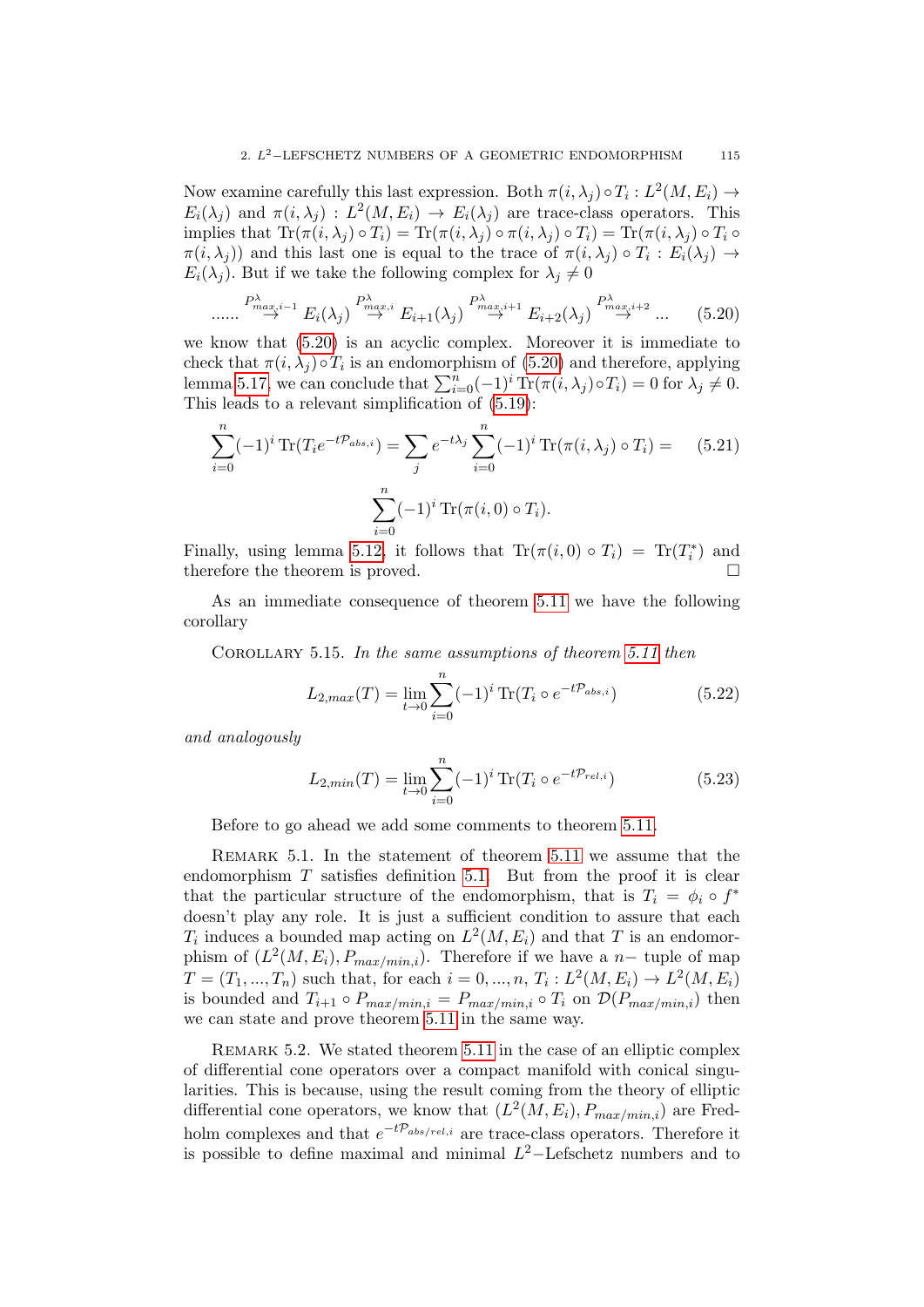Now examine carefully this last expression. Both  $\pi(i, \lambda_j) \circ T_i : L^2(M, E_i) \to$  $E_i(\lambda_j)$  and  $\pi(i, \lambda_j) : L^2(M, E_i) \to E_i(\lambda_j)$  are trace-class operators. This implies that  $\text{Tr}(\pi(i, \lambda_i) \circ T_i) = \text{Tr}(\pi(i, \lambda_i) \circ \pi(i, \lambda_i) \circ T_i) = \text{Tr}(\pi(i, \lambda_i) \circ T_i \circ T_i)$  $\pi(i, \lambda_j)$  and this last one is equal to the trace of  $\pi(i, \lambda_j) \circ T_i : E_i(\lambda_j) \to$  $E_i(\lambda_j)$ . But if we take the following complex for  $\lambda_j \neq 0$ 

$$
\cdots \stackrel{P^{\lambda}_{max,i-1}}{\rightarrow} E_i(\lambda_j) \stackrel{P^{\lambda}_{max,i}}{\rightarrow} E_{i+1}(\lambda_j) \stackrel{P^{\lambda}_{max,i+1}}{\rightarrow} E_{i+2}(\lambda_j) \stackrel{P^{\lambda}_{max,i+2}}{\rightarrow} \cdots \qquad (5.20)
$$

we know that [\(5.20\)](#page-114-0) is an acyclic complex. Moreover it is immediate to check that  $\pi(i, \lambda_j) \circ T_i$  is an endomorphism of [\(5.20\)](#page-114-0) and therefore, applying lemma [5.17,](#page-113-1) we can conclude that  $\sum_{i=0}^{n}(-1)^{i} \text{Tr}(\pi(i, \lambda_j) \circ T_i) = 0$  for  $\lambda_j \neq 0$ . This leads to a relevant simplification of [\(5.19\)](#page-113-2):

$$
\sum_{i=0}^{n} (-1)^{i} \operatorname{Tr}(T_{i}e^{-t\mathcal{P}_{abs,i}}) = \sum_{j} e^{-t\lambda_{j}} \sum_{i=0}^{n} (-1)^{i} \operatorname{Tr}(\pi(i,\lambda_{j}) \circ T_{i}) = (5.21)
$$

$$
\sum_{i=0}^{n} (-1)^{i} \operatorname{Tr}(\pi(i,0) \circ T_{i}).
$$

Finally, using lemma [5.12,](#page-112-3) it follows that  $\text{Tr}(\pi(i,0) \circ T_i) = \text{Tr}(T_i^*)$  and therefore the theorem is proved.

As an immediate consequence of theorem [5.11](#page-112-0) we have the following corollary

<span id="page-114-1"></span>COROLLARY 5.15. In the same assumptions of theorem [5.11](#page-112-0) then

$$
L_{2,max}(T) = \lim_{t \to 0} \sum_{i=0}^{n} (-1)^{i} \operatorname{Tr}(T_i \circ e^{-t\mathcal{P}_{abs,i}})
$$
(5.22)

and analogously

<span id="page-114-0"></span>......

$$
L_{2,min}(T) = \lim_{t \to 0} \sum_{i=0}^{n} (-1)^{i} \operatorname{Tr}(T_i \circ e^{-t\mathcal{P}_{rel,i}})
$$
(5.23)

Before to go ahead we add some comments to theorem [5.11.](#page-112-0)

REMARK 5.1. In the statement of theorem [5.11](#page-112-0) we assume that the endomorphism  $T$  satisfies definition [5.1.](#page-106-0) But from the proof it is clear that the particular structure of the endomorphism, that is  $T_i = \phi_i \circ f^*$ doesn't play any role. It is just a sufficient condition to assure that each  $T_i$  induces a bounded map acting on  $L^2(M, E_i)$  and that T is an endomorphism of  $(L^2(M, E_i), P_{max/min,i})$ . Therefore if we have a n– tuple of map  $T = (T_1, ..., T_n)$  such that, for each  $i = 0, ..., n$ ,  $T_i : L^2(M, E_i) \to L^2(M, E_i)$ is bounded and  $T_{i+1} \circ P_{max/min,i} = P_{max/min,i} \circ T_i$  on  $\mathcal{D}(P_{max/min,i})$  then we can state and prove theorem [5.11](#page-112-0) in the same way.

REMARK 5.2. We stated theorem [5.11](#page-112-0) in the case of an elliptic complex of differential cone operators over a compact manifold with conical singularities. This is because, using the result coming from the theory of elliptic differential cone operators, we know that  $(L^2(M, E_i), P_{max/min,i})$  are Fredholm complexes and that  $e^{-t\mathcal{P}_{abs/rel,i}}$  are trace-class operators. Therefore it is possible to define maximal and minimal  $L^2$ -Lefschetz numbers and to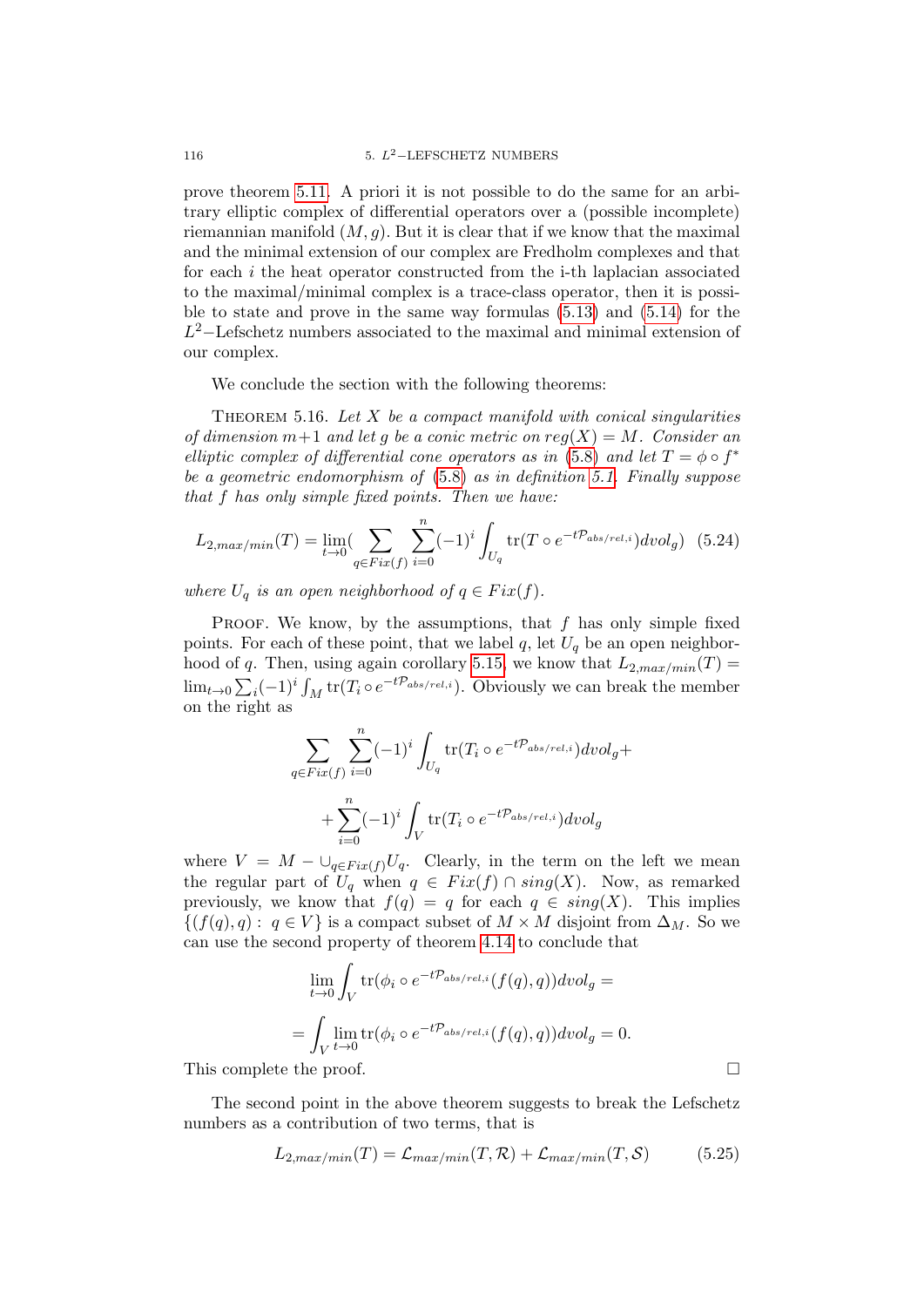prove theorem [5.11.](#page-112-0) A priori it is not possible to do the same for an arbitrary elliptic complex of differential operators over a (possible incomplete) riemannian manifold  $(M, g)$ . But it is clear that if we know that the maximal and the minimal extension of our complex are Fredholm complexes and that for each i the heat operator constructed from the i-th laplacian associated to the maximal/minimal complex is a trace-class operator, then it is possible to state and prove in the same way formulas [\(5.13\)](#page-112-1) and [\(5.14\)](#page-112-2) for the  $L^2$ –Lefschetz numbers associated to the maximal and minimal extension of our complex.

We conclude the section with the following theorems:

<span id="page-115-0"></span>THEOREM 5.16. Let  $X$  be a compact manifold with conical singularities of dimension  $m+1$  and let g be a conic metric on  $reg(X) = M$ . Consider an elliptic complex of differential cone operators as in [\(5.8\)](#page-110-0) and let  $T = \phi \circ f^*$ be a geometric endomorphism of [\(5.8\)](#page-110-0) as in definition [5.1.](#page-106-0) Finally suppose that f has only simple fixed points. Then we have:

$$
L_{2,max/min}(T) = \lim_{t \to 0} (\sum_{q \in Fix(f)} \sum_{i=0}^{n} (-1)^{i} \int_{U_q} tr(T \circ e^{-t\mathcal{P}_{abs/rel,i}}) dvol_g) (5.24)
$$

where  $U_q$  is an open neighborhood of  $q \in Fix(f)$ .

PROOF. We know, by the assumptions, that  $f$  has only simple fixed points. For each of these point, that we label q, let  $U_q$  be an open neighbor-hood of q. Then, using again corollary [5.15,](#page-114-1) we know that  $L_{2,max/min}(T) =$  $\lim_{t\to 0} \sum_i (-1)^i \int_M \text{tr}(T_i \circ e^{-t\mathcal{P}_{abs/rel,i}})$ . Obviously we can break the member on the right as

$$
\sum_{q \in Fix(f)} \sum_{i=0}^{n} (-1)^{i} \int_{U_q} \text{tr}(T_i \circ e^{-t\mathcal{P}_{abs/rel,i}}) dvol_g +
$$
  
+ 
$$
\sum_{i=0}^{n} (-1)^{i} \int_{V} \text{tr}(T_i \circ e^{-t\mathcal{P}_{abs/rel,i}}) dvol_g
$$

where  $V = M - \bigcup_{q \in Fix(f)} U_q$ . Clearly, in the term on the left we mean the regular part of  $U_q$  when  $q \in Fix(f) \cap sing(X)$ . Now, as remarked previously, we know that  $f(q) = q$  for each  $q \in sing(X)$ . This implies  $\{(f(q), q) : q \in V\}$  is a compact subset of  $M \times M$  disjoint from  $\Delta_M$ . So we can use the second property of theorem [4.14](#page-100-0) to conclude that

$$
\lim_{t \to 0} \int_{V} \text{tr}(\phi_i \circ e^{-t\mathcal{P}_{abs/rel,i}}(f(q), q)) dvol_g =
$$
\n
$$
= \int_{V} \lim_{t \to 0} \text{tr}(\phi_i \circ e^{-t\mathcal{P}_{abs/rel,i}}(f(q), q)) dvol_g = 0.
$$

This complete the proof.

The second point in the above theorem suggests to break the Lefschetz numbers as a contribution of two terms, that is

$$
L_{2,max/min}(T) = \mathcal{L}_{max/min}(T, \mathcal{R}) + \mathcal{L}_{max/min}(T, \mathcal{S})
$$
 (5.25)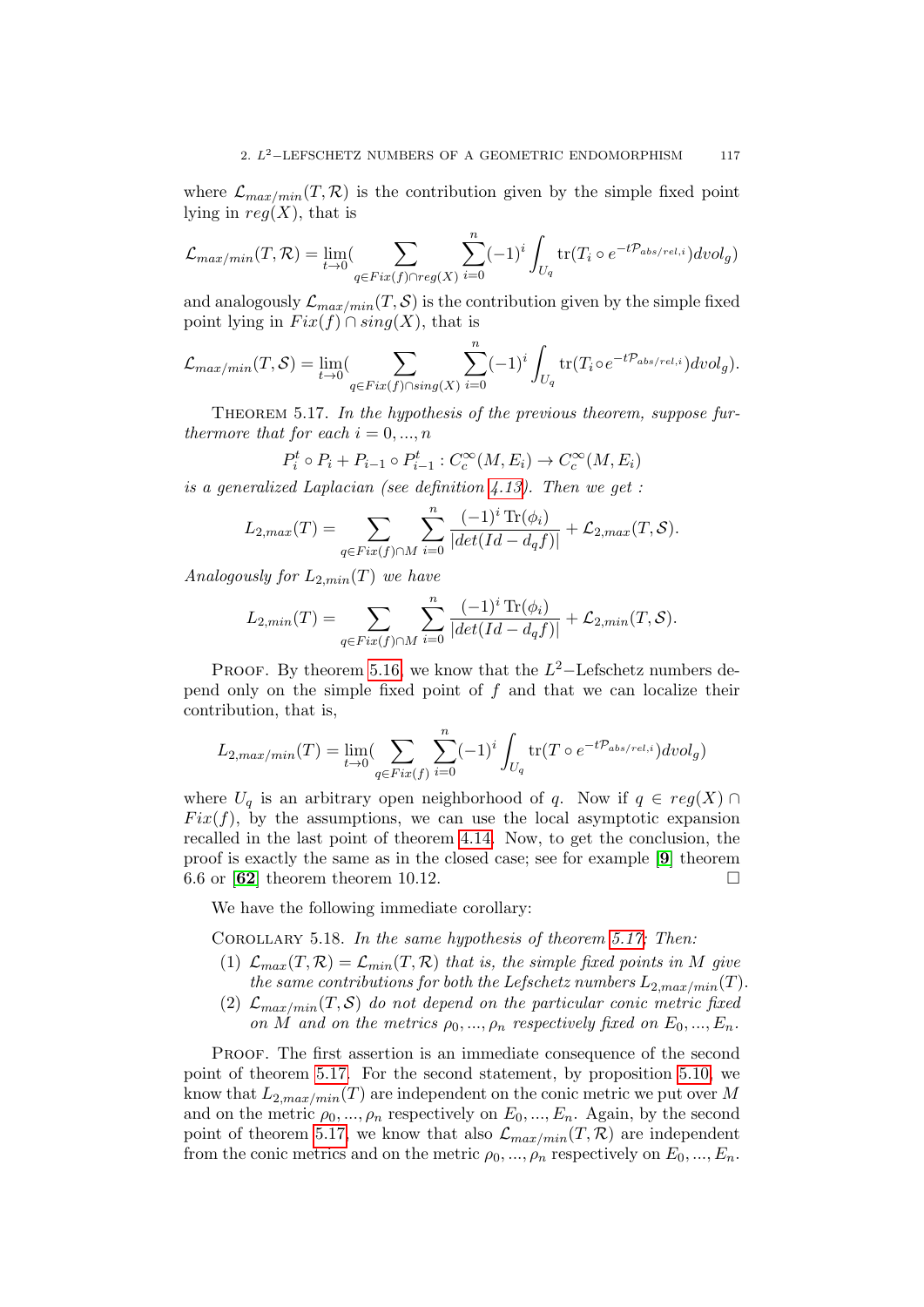where  $\mathcal{L}_{max/min}(T, \mathcal{R})$  is the contribution given by the simple fixed point lying in  $reg(X)$ , that is

$$
\mathcal{L}_{max/min}(T,\mathcal{R}) = \lim_{t \to 0} (\sum_{q \in Fix(f) \cap reg(X)} \sum_{i=0}^{n} (-1)^{i} \int_{U_q} tr(T_i \circ e^{-t\mathcal{P}_{abs/rel,i}}) dvol_g)
$$

and analogously  $\mathcal{L}_{max/min}(T, \mathcal{S})$  is the contribution given by the simple fixed point lying in  $Fix(f) \cap sing(X)$ , that is

$$
\mathcal{L}_{max/min}(T, S) = \lim_{t \to 0} (\sum_{q \in Fix(f) \cap sing(X)} \sum_{i=0}^{n} (-1)^{i} \int_{U_q} tr(T_i \circ e^{-t\mathcal{P}_{abs/rel,i}}) dvol_g).
$$

<span id="page-116-0"></span>THEOREM 5.17. In the hypothesis of the previous theorem, suppose furthermore that for each  $i = 0, ..., n$ 

$$
P_i^t \circ P_i + P_{i-1} \circ P_{i-1}^t : C_c^{\infty}(M, E_i) \to C_c^{\infty}(M, E_i)
$$

is a generalized Laplacian (see definition [4.13\)](#page-100-1). Then we get :

$$
L_{2,max}(T) = \sum_{q \in Fix(f) \cap M} \sum_{i=0}^{n} \frac{(-1)^{i} \operatorname{Tr}(\phi_{i})}{|det(Id - d_{q}f)|} + \mathcal{L}_{2,max}(T, \mathcal{S}).
$$

Analogously for  $L_{2,min}(T)$  we have

$$
L_{2,min}(T) = \sum_{q \in Fix(f) \cap M} \sum_{i=0}^{n} \frac{(-1)^{i} \operatorname{Tr}(\phi_{i})}{|det(Id - d_{q}f)|} + \mathcal{L}_{2,min}(T, \mathcal{S}).
$$

PROOF. By theorem [5.16,](#page-115-0) we know that the  $L^2$ -Lefschetz numbers depend only on the simple fixed point of  $f$  and that we can localize their contribution, that is,

$$
L_{2,max/min}(T) = \lim_{t \to 0} (\sum_{q \in Fix(f)} \sum_{i=0}^{n} (-1)^i \int_{U_q} tr(T \circ e^{-t\mathcal{P}_{abs/rel,i}}) dvol_g)
$$

where  $U_q$  is an arbitrary open neighborhood of q. Now if  $q \in reg(X) \cap$  $Fix(f)$ , by the assumptions, we can use the local asymptotic expansion recalled in the last point of theorem [4.14.](#page-100-0) Now, to get the conclusion, the proof is exactly the same as in the closed case; see for example [[9](#page-136-1)] theorem 6.6 or  $\mathbf{62}$  $\mathbf{62}$  $\mathbf{62}$  theorem theorem 10.12.

We have the following immediate corollary:

<span id="page-116-1"></span>COROLLARY 5.18. In the same hypothesis of theorem [5.17;](#page-116-0) Then:

- (1)  $\mathcal{L}_{max}(T,\mathcal{R}) = \mathcal{L}_{min}(T,\mathcal{R})$  that is, the simple fixed points in M give the same contributions for both the Lefschetz numbers  $L_{2,max/min}(T)$ .
- (2)  $\mathcal{L}_{max/min}(T, \mathcal{S})$  do not depend on the particular conic metric fixed on M and on the metrics  $\rho_0, ..., \rho_n$  respectively fixed on  $E_0, ..., E_n$ .

Proof. The first assertion is an immediate consequence of the second point of theorem [5.17.](#page-116-0) For the second statement, by proposition [5.10,](#page-110-1) we know that  $L_{2,max/min}(T)$  are independent on the conic metric we put over M and on the metric  $\rho_0, ..., \rho_n$  respectively on  $E_0, ..., E_n$ . Again, by the second point of theorem [5.17,](#page-116-0) we know that also  $\mathcal{L}_{max/min}(T, \mathcal{R})$  are independent from the conic metrics and on the metric  $\rho_0, ..., \rho_n$  respectively on  $E_0, ..., E_n$ .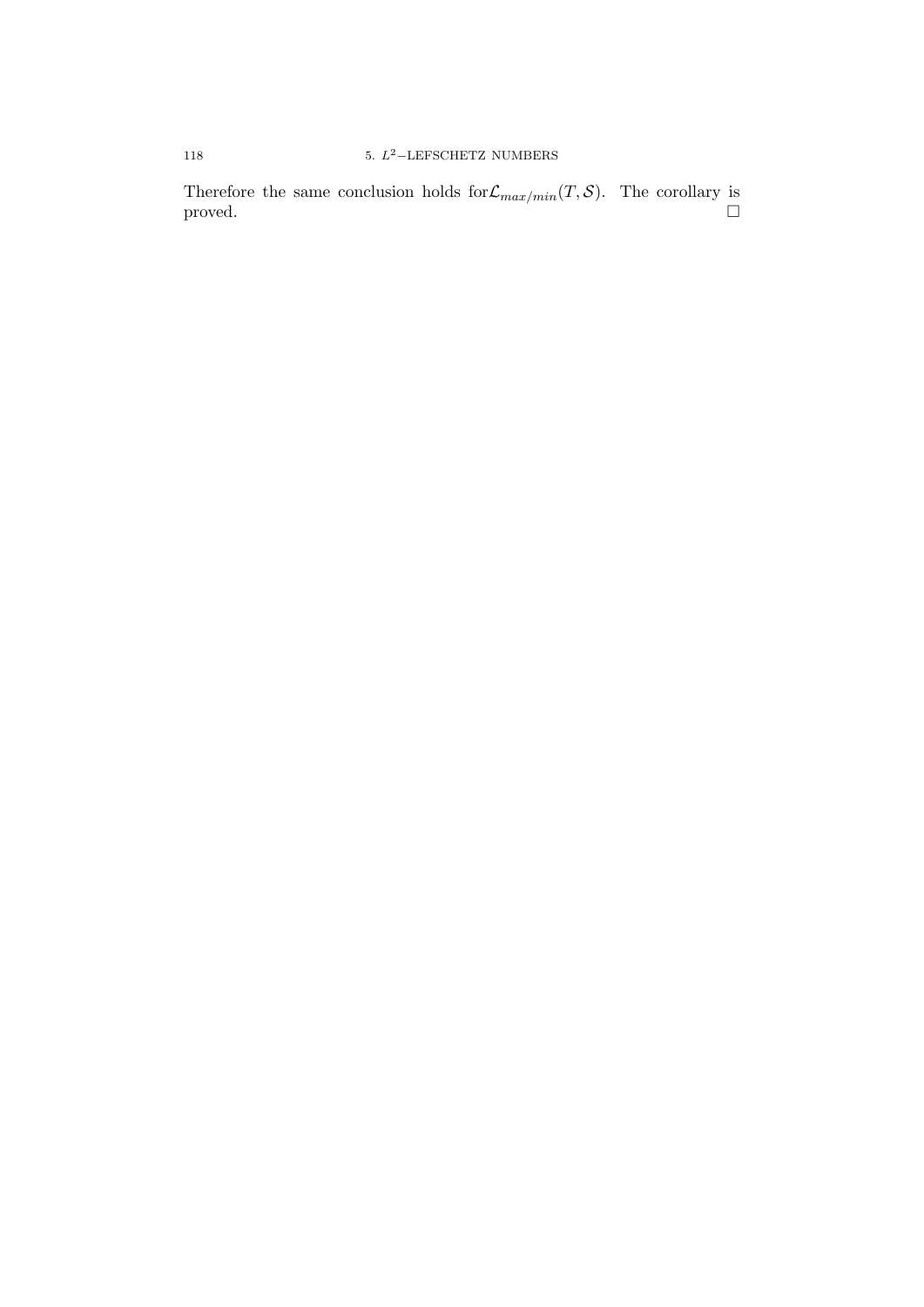Therefore the same conclusion holds for  $\mathcal{L}_{max/min}(T, \mathcal{S})$ . The corollary is  $\Box$  proved.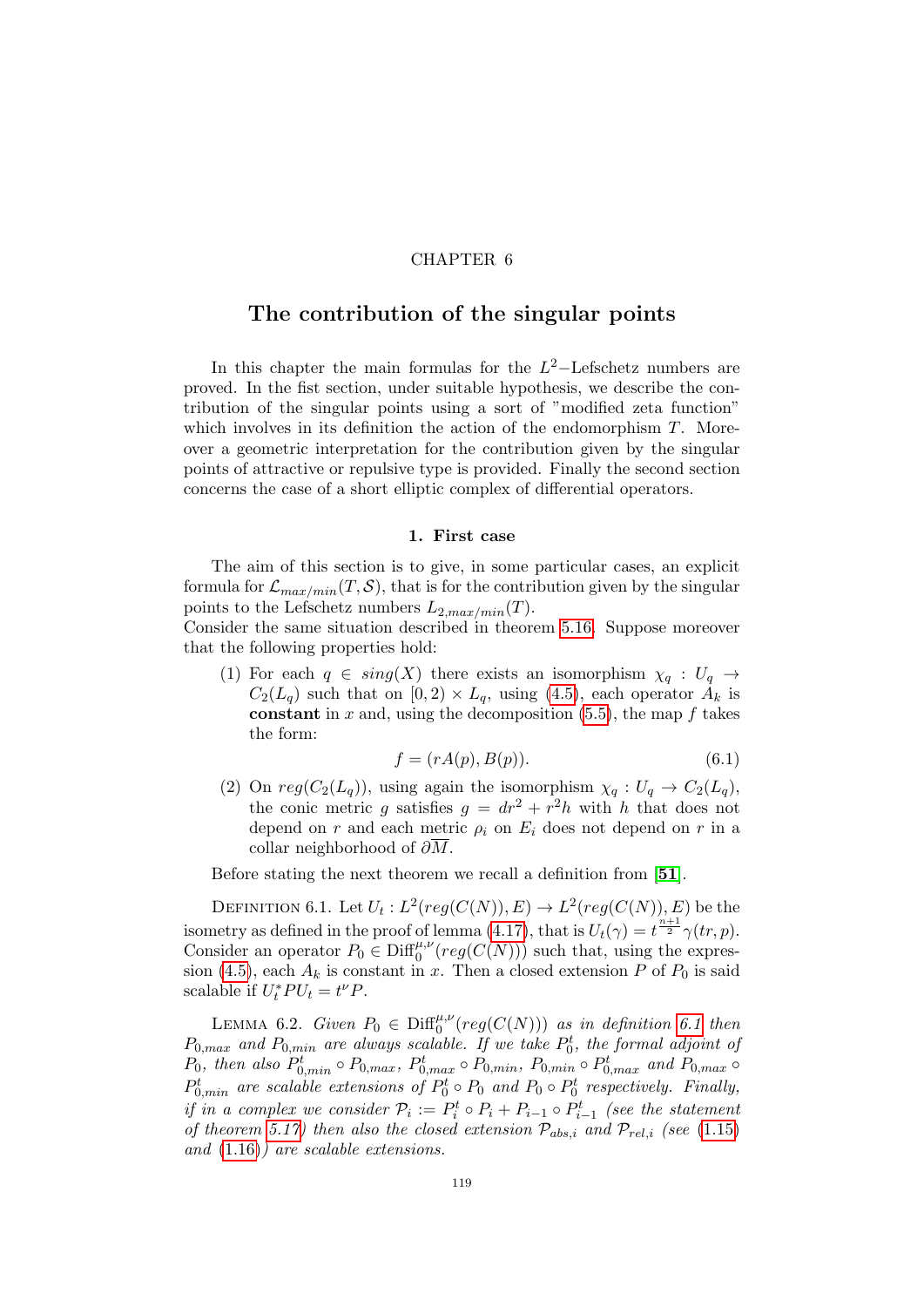### CHAPTER 6

# The contribution of the singular points

In this chapter the main formulas for the  $L^2$ -Lefschetz numbers are proved. In the fist section, under suitable hypothesis, we describe the contribution of the singular points using a sort of "modified zeta function" which involves in its definition the action of the endomorphism  $T$ . Moreover a geometric interpretation for the contribution given by the singular points of attractive or repulsive type is provided. Finally the second section concerns the case of a short elliptic complex of differential operators.

### 1. First case

The aim of this section is to give, in some particular cases, an explicit formula for  $\mathcal{L}_{max/min}(T, \mathcal{S})$ , that is for the contribution given by the singular points to the Lefschetz numbers  $L_{2,max/min}(T)$ .

Consider the same situation described in theorem [5.16.](#page-115-0) Suppose moreover that the following properties hold:

(1) For each  $q \in sing(X)$  there exists an isomorphism  $\chi_q : U_q \to$  $C_2(L_q)$  such that on  $[0, 2) \times L_q$ , using [\(4.5\)](#page-96-1), each operator  $A_k$  is constant in x and, using the decomposition  $(5.5)$ , the map f takes the form:

<span id="page-118-1"></span>
$$
f = (rA(p), B(p)).\tag{6.1}
$$

(2) On  $reg(C_2(L_q))$ , using again the isomorphism  $\chi_q: U_q \to C_2(L_q)$ , the conic metric g satisfies  $g = dr^2 + r^2h$  with h that does not depend on r and each metric  $\rho_i$  on  $E_i$  does not depend on r in a collar neighborhood of  $\partial M$ .

Before stating the next theorem we recall a definition from [[51](#page-137-1)].

<span id="page-118-0"></span>DEFINITION 6.1. Let  $U_t: L^2(\mathit{reg}(C(N)), E) \to L^2(\mathit{reg}(C(N)), E)$  be the isometry as defined in the proof of lemma [\(4.17\)](#page-102-0), that is  $U_t(\gamma) = t^{\frac{n+1}{2}} \gamma(tr, p)$ . Consider an operator  $P_0 \in \text{Diff}_0^{\mu,\nu}(reg(C(N)))$  such that, using the expres-sion [\(4.5\)](#page-96-1), each  $A_k$  is constant in x. Then a closed extension P of  $P_0$  is said scalable if  $U_t^*PU_t = t^{\nu}P$ .

<span id="page-118-2"></span>LEMMA 6.2. Given  $P_0 \in \mathrm{Diff}_0^{\mu,\nu}(\mathit{reg}(C(N)))$  as in definition [6.1](#page-118-0) then  $P_{0,max}$  and  $P_{0,min}$  are always scalable. If we take  $P_0^t$ , the formal adjoint of  $P_0$ , then also  $P_{0,min}^t \circ P_{0,max}$ ,  $P_{0,max}^t \circ P_{0,min}$ ,  $P_{0,min} \circ P_{0,max}^t$  and  $P_{0,max} \circ P_{0,max}^t$  $P_{0,min}^{t}$  are scalable extensions of  $P_0^t \circ P_0$  and  $P_0 \circ P_0^t$  respectively. Finally, if in a complex we consider  $\mathcal{P}_i := P_i^t \circ P_i + P_{i-1} \circ P_{i-1}^t$  (see the statement of theorem [5.17\)](#page-116-0) then also the closed extension  $\mathcal{P}_{abs,i}$  and  $\mathcal{P}_{rel,i}$  (see [\(1.15\)](#page-19-0) and [\(1.16\)](#page-19-1)) are scalable extensions.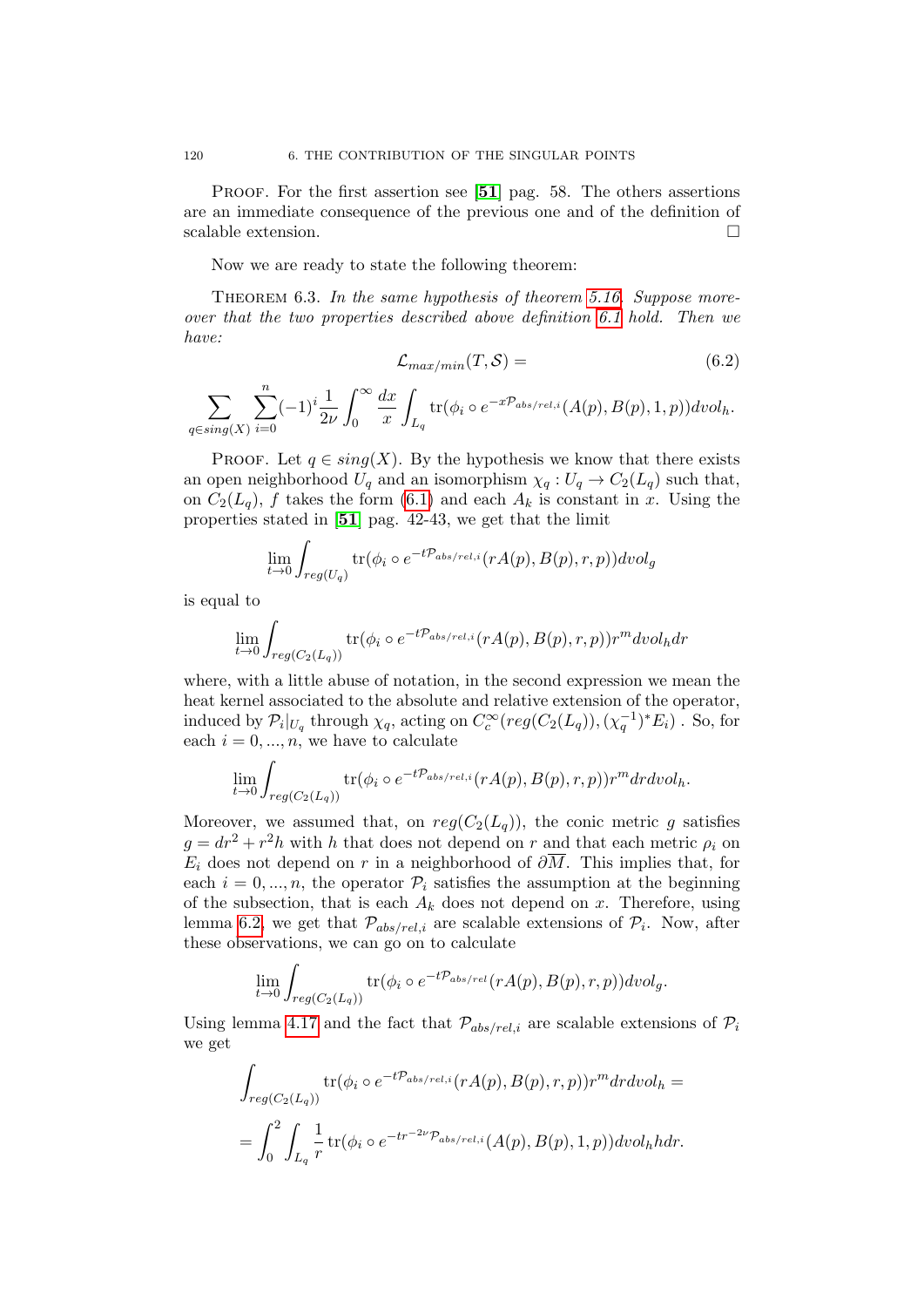PROOF. For the first assertion see [[51](#page-137-1)] pag. 58. The others assertions are an immediate consequence of the previous one and of the definition of scalable extension.

Now we are ready to state the following theorem:

<span id="page-119-0"></span>THEOREM 6.3. In the same hypothesis of theorem [5.16.](#page-115-0) Suppose moreover that the two properties described above definition [6.1](#page-118-0) hold. Then we have:

$$
\mathcal{L}_{max/min}(T, \mathcal{S}) = \tag{6.2}
$$

 $\sum$  $q\in sing(X)$  $\sum_{n=1}^{\infty}$  $i=0$  $(-1)^i\frac{1}{2}$  $2\nu$  $\int^{\infty}$ 0  $dx$  $\boldsymbol{x}$ Z  $L_q$  $\mathrm{tr}(\phi_i \circ e^{-x\mathcal{P}_{abs/rel,i}}(A(p),B(p),1,p)) dvol_h.$ 

PROOF. Let  $q \in sing(X)$ . By the hypothesis we know that there exists an open neighborhood  $U_q$  and an isomorphism  $\chi_q: U_q \to C_2(L_q)$  such that, on  $C_2(L_q)$ , f takes the form [\(6.1\)](#page-118-1) and each  $A_k$  is constant in x. Using the properties stated in [[51](#page-137-1)] pag. 42-43, we get that the limit

$$
\lim_{t \to 0} \int_{reg(U_q)} tr(\phi_i \circ e^{-t\mathcal{P}_{abs/rel,i}}(rA(p), B(p), r, p)) dvol_g
$$

is equal to

$$
\lim_{t \to 0} \int_{reg(C_2(L_q))} \text{tr}(\phi_i \circ e^{-t\mathcal{P}_{abs/rel,i}}(rA(p), B(p), r, p)) r^m dvol_h dr
$$

where, with a little abuse of notation, in the second expression we mean the heat kernel associated to the absolute and relative extension of the operator, induced by  $\mathcal{P}_i|_{U_q}$  through  $\chi_q$ , acting on  $C_c^{\infty}(reg(C_2(L_q)), (\chi_q^{-1})^*E_i)$ . So, for each  $i = 0, ..., n$ , we have to calculate

$$
\lim_{t \to 0} \int_{reg(C_2(L_q))} \text{tr}(\phi_i \circ e^{-t\mathcal{P}_{abs/rel,i}}(rA(p), B(p), r, p)) r^m dr dvol_h.
$$

Moreover, we assumed that, on  $reg(C_2(L_q))$ , the conic metric g satisfies  $g = dr^2 + r^2h$  with h that does not depend on r and that each metric  $\rho_i$  on  $E_i$  does not depend on r in a neighborhood of  $\partial \overline{M}$ . This implies that, for each  $i = 0, ..., n$ , the operator  $P_i$  satisfies the assumption at the beginning of the subsection, that is each  $A_k$  does not depend on x. Therefore, using lemma [6.2,](#page-118-2) we get that  $\mathcal{P}_{abs/rel,i}$  are scalable extensions of  $\mathcal{P}_i$ . Now, after these observations, we can go on to calculate

$$
\lim_{t \to 0} \int_{reg(C_2(L_q))} \text{tr}(\phi_i \circ e^{-t\mathcal{P}_{abs/rel}}(rA(p), B(p), r, p)) dvol_g.
$$

Using lemma [4.17](#page-102-0) and the fact that  $\mathcal{P}_{abs/rel,i}$  are scalable extensions of  $\mathcal{P}_i$ we get

$$
\int_{reg(C_2(L_q))} \text{tr}(\phi_i \circ e^{-t\mathcal{P}_{abs/rel,i}}(rA(p), B(p), r, p)) r^m dr dvol_h =
$$
\n
$$
= \int_0^2 \int_{L_q} \frac{1}{r} \text{tr}(\phi_i \circ e^{-t r^{-2\nu} \mathcal{P}_{abs/rel,i}}(A(p), B(p), 1, p)) dvol_h h dr.
$$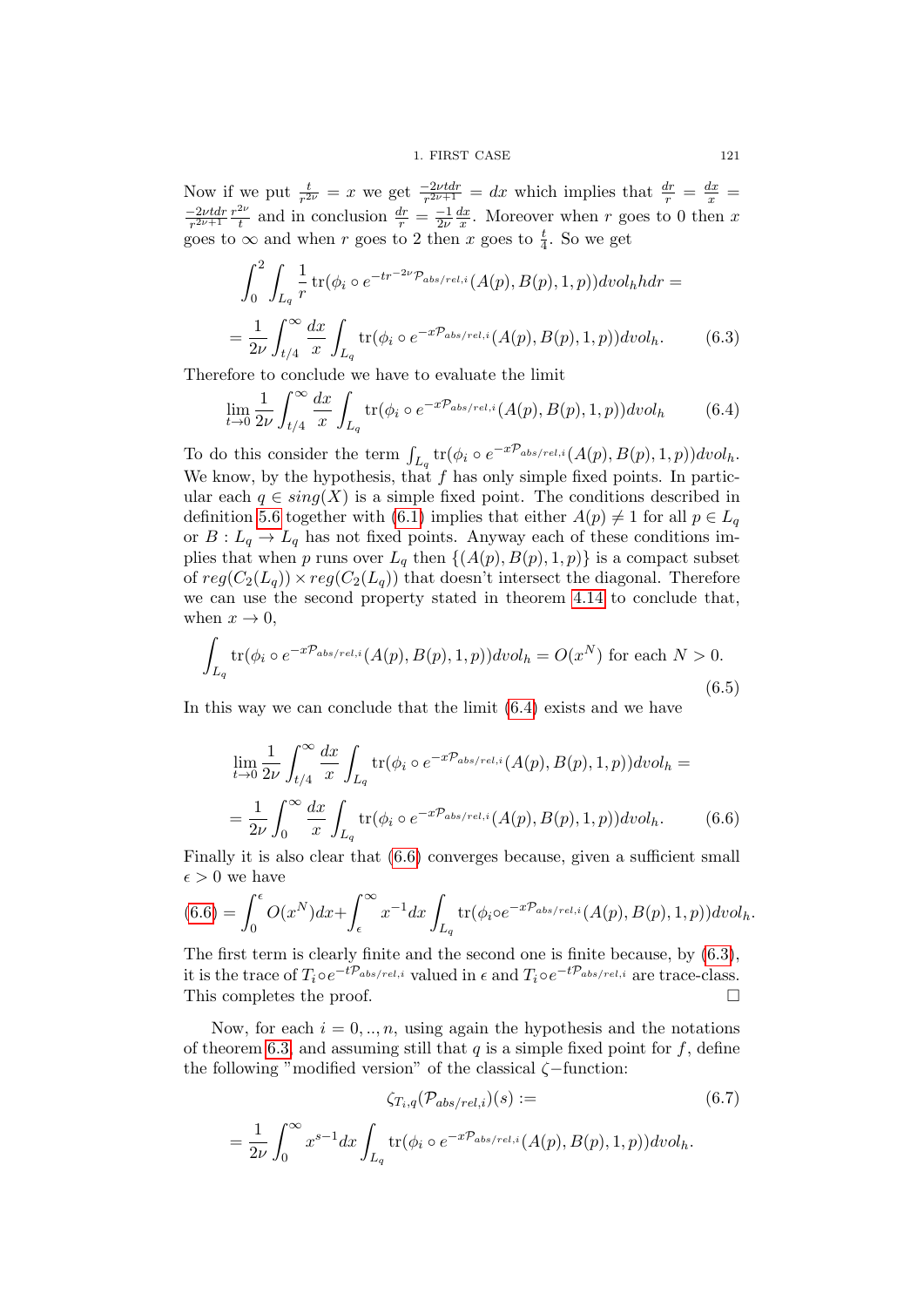Now if we put  $\frac{t}{r^{2\nu}} = x$  we get  $\frac{-2\nu t dr}{r^{2\nu+1}} = dx$  which implies that  $\frac{dr}{r} = \frac{dx}{x} =$  $-2\nu t$ dr  $rac{-2\nu t dr}{r^{2\nu+1}} \frac{r^{2\nu}}{t}$  $\frac{dv}{dt}$  and in conclusion  $\frac{dr}{r} = \frac{-1}{2\nu}$  $2\nu$  $dx$  $\frac{dx}{x}$ . Moreover when r goes to 0 then x goes to  $\infty$  and when r goes to 2 then x goes to  $\frac{t}{4}$ . So we get

<span id="page-120-2"></span>
$$
\int_0^2 \int_{L_q} \frac{1}{r} \operatorname{tr}(\phi_i \circ e^{-tr^{-2\nu} \mathcal{P}_{abs/rel,i}}(A(p), B(p), 1, p)) dvol_h h dr =
$$
  
= 
$$
\frac{1}{2\nu} \int_{t/4}^\infty \frac{dx}{x} \int_{L_q} \operatorname{tr}(\phi_i \circ e^{-x\mathcal{P}_{abs/rel,i}}(A(p), B(p), 1, p)) dvol_h.
$$
 (6.3)

Therefore to conclude we have to evaluate the limit

<span id="page-120-0"></span>
$$
\lim_{t \to 0} \frac{1}{2\nu} \int_{t/4}^{\infty} \frac{dx}{x} \int_{L_q} \text{tr}(\phi_i \circ e^{-x\mathcal{P}_{abs/rel,i}}(A(p), B(p), 1, p)) dvol_h \tag{6.4}
$$

To do this consider the term  $\int_{L_q}$  tr $(\phi_i \circ e^{-x\mathcal{P}_{abs/rel,i}}(A(p),B(p),1,p))dvol_h$ . We know, by the hypothesis, that  $f$  has only simple fixed points. In particular each  $q \in sing(X)$  is a simple fixed point. The conditions described in definition [5.6](#page-109-0) together with [\(6.1\)](#page-118-1) implies that either  $A(p) \neq 1$  for all  $p \in L_q$ or  $B: L_q \to L_q$  has not fixed points. Anyway each of these conditions implies that when p runs over  $L_q$  then  $\{(A(p), B(p), 1, p)\}$  is a compact subset of  $reg(C_2(L_q)) \times reg(C_2(L_q))$  that doesn't intersect the diagonal. Therefore we can use the second property stated in theorem [4.14](#page-100-0) to conclude that, when  $x \to 0$ ,

$$
\int_{L_q} \text{tr}(\phi_i \circ e^{-x\mathcal{P}_{abs/rel,i}}(A(p), B(p), 1, p)) dvol_h = O(x^N) \text{ for each } N > 0.
$$
\n(6.5)

In this way we can conclude that the limit  $(6.4)$  exists and we have

<span id="page-120-1"></span>
$$
\lim_{t \to 0} \frac{1}{2\nu} \int_{t/4}^{\infty} \frac{dx}{x} \int_{L_q} \text{tr}(\phi_i \circ e^{-x\mathcal{P}_{abs/rel,i}}(A(p), B(p), 1, p)) dvol_h =
$$
\n
$$
= \frac{1}{2\nu} \int_0^{\infty} \frac{dx}{x} \int_{L_q} \text{tr}(\phi_i \circ e^{-x\mathcal{P}_{abs/rel,i}}(A(p), B(p), 1, p)) dvol_h. \tag{6.6}
$$

Finally it is also clear that [\(6.6\)](#page-120-1) converges because, given a sufficient small  $\epsilon > 0$  we have

$$
(6.6) = \int_0^{\epsilon} O(x^N) dx + \int_{\epsilon}^{\infty} x^{-1} dx \int_{L_q} tr(\phi_i \circ e^{-x\mathcal{P}_{abs/rel,i}}(A(p), B(p), 1, p)) dvol_h.
$$

The first term is clearly finite and the second one is finite because, by [\(6.3\)](#page-120-2), it is the trace of  $T_i \circ e^{-t\mathcal{P}_{abs/rel,i}}$  valued in  $\epsilon$  and  $T_i \circ e^{-t\mathcal{P}_{abs/rel,i}}$  are trace-class. This completes the proof.

Now, for each  $i = 0, \ldots, n$ , using again the hypothesis and the notations of theorem [6.3,](#page-119-0) and assuming still that q is a simple fixed point for  $f$ , define the following "modified version" of the classical  $\zeta$ -function:

<span id="page-120-3"></span>
$$
\zeta_{T_i,q}(\mathcal{P}_{abs/rel,i})(s) := \tag{6.7}
$$

$$
= \frac{1}{2\nu} \int_0^\infty x^{s-1} dx \int_{L_q} tr(\phi_i \circ e^{-x\mathcal{P}_{abs/rel,i}}(A(p), B(p), 1, p)) dvol_h.
$$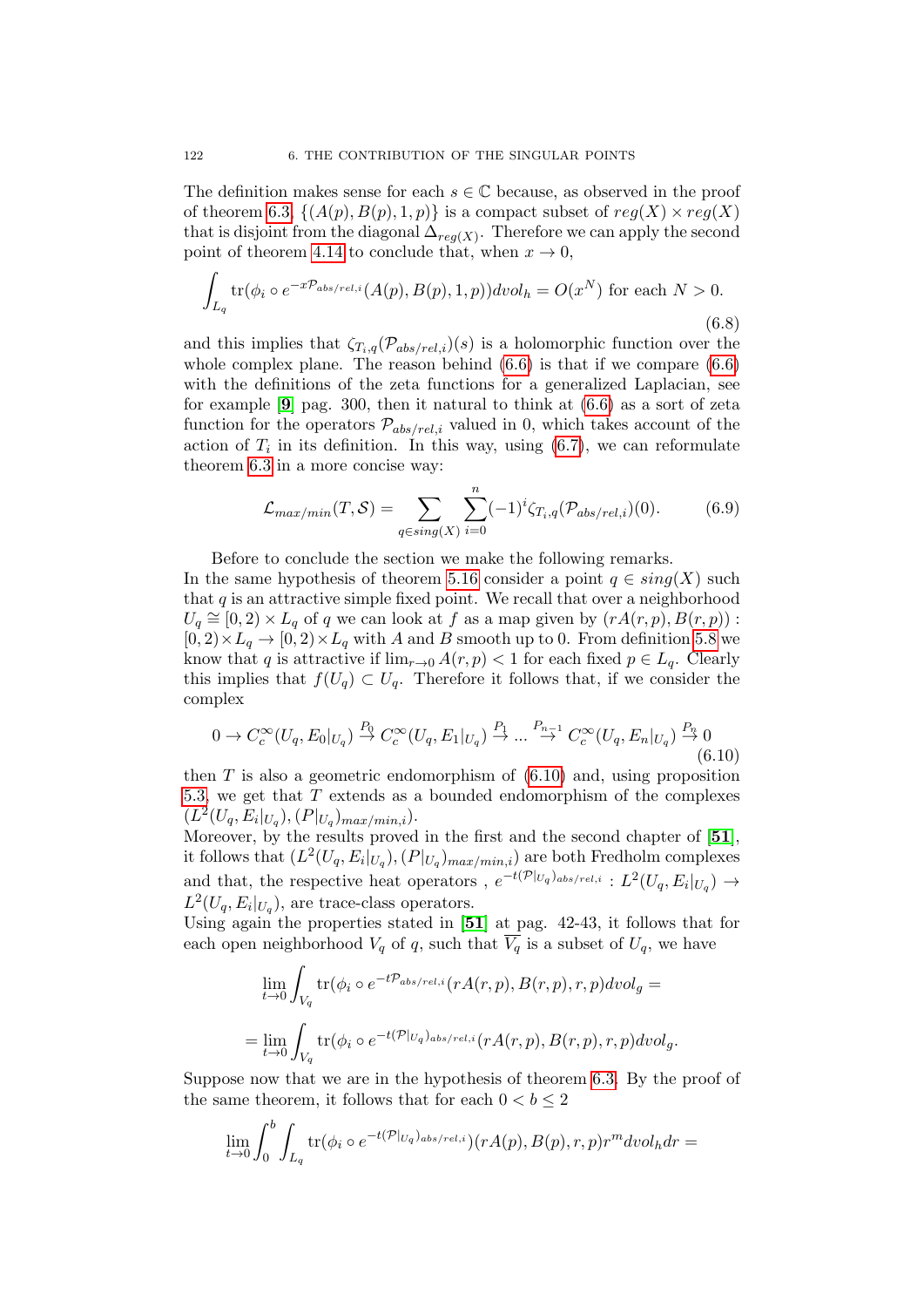The definition makes sense for each  $s \in \mathbb{C}$  because, as observed in the proof of theorem [6.3,](#page-119-0)  $\{(A(p), B(p), 1, p)\}\$ is a compact subset of  $reg(X) \times reg(X)$ that is disjoint from the diagonal  $\Delta_{reg(X)}$ . Therefore we can apply the second point of theorem [4.14](#page-100-0) to conclude that, when  $x \to 0$ ,

$$
\int_{L_q} \text{tr}(\phi_i \circ e^{-x\mathcal{P}_{abs/rel,i}}(A(p), B(p), 1, p)) \, dvol_h = O(x^N) \text{ for each } N > 0. \tag{6.8}
$$

and this implies that  $\zeta_{T_i,q}(\mathcal{P}_{abs/rel,i})(s)$  is a holomorphic function over the whole complex plane. The reason behind  $(6.6)$  is that if we compare  $(6.6)$ with the definitions of the zeta functions for a generalized Laplacian, see for example  $[9]$  $[9]$  $[9]$  pag. 300, then it natural to think at  $(6.6)$  as a sort of zeta function for the operators  $\mathcal{P}_{abs/rel,i}$  valued in 0, which takes account of the action of  $T_i$  in its definition. In this way, using  $(6.7)$ , we can reformulate theorem [6.3](#page-119-0) in a more concise way:

$$
\mathcal{L}_{max/min}(T, S) = \sum_{q \in sing(X)} \sum_{i=0}^{n} (-1)^i \zeta_{T_i, q}(\mathcal{P}_{abs/rel, i})(0). \tag{6.9}
$$

Before to conclude the section we make the following remarks.

In the same hypothesis of theorem [5.16](#page-115-0) consider a point  $q \in sing(X)$  such that  $q$  is an attractive simple fixed point. We recall that over a neighborhood  $U_q \cong [0, 2) \times L_q$  of q we can look at f as a map given by  $(rA(r, p), B(r, p))$ :  $[0, 2) \times L_q \to [0, 2) \times L_q$  with A and B smooth up to 0. From definition [5.8](#page-109-2) we know that q is attractive if  $\lim_{r\to 0} A(r, p) < 1$  for each fixed  $p \in L_q$ . Clearly this implies that  $f(U_q) \subset U_q$ . Therefore it follows that, if we consider the complex

<span id="page-121-0"></span>
$$
0 \to C_c^{\infty}(U_q, E_0|_{U_q}) \stackrel{P_0}{\to} C_c^{\infty}(U_q, E_1|_{U_q}) \stackrel{P_1}{\to} \dots \stackrel{P_{n-1}}{\to} C_c^{\infty}(U_q, E_n|_{U_q}) \stackrel{P_n}{\to} 0
$$
\n
$$
(6.10)
$$

then  $T$  is also a geometric endomorphism of  $(6.10)$  and, using proposition [5.3,](#page-107-0) we get that T extends as a bounded endomorphism of the complexes  $(L^2(U_q, E_i|_{U_q}), (P|_{U_q})_{max/min,i}).$ 

Moreover, by the results proved in the first and the second chapter of [[51](#page-137-1)], it follows that  $(L^2(U_q, E_i|_{U_q}), (P|_{U_q})_{max/min,i})$  are both Fredholm complexes and that, the respective heat operators ,  $e^{-t(\mathcal{P}|_{U_q})_{abs/rel,i}}: L^2(U_q, E_i|_{U_q}) \to$  $L^2(U_q, E_i|_{U_q})$ , are trace-class operators.

Using again the properties stated in [[51](#page-137-1)] at pag. 42-43, it follows that for each open neighborhood  $V_q$  of q, such that  $\overline{V_q}$  is a subset of  $U_q$ , we have

$$
\lim_{t \to 0} \int_{V_q} \text{tr}(\phi_i \circ e^{-t\mathcal{P}_{abs/rel,i}}(rA(r, p), B(r, p), r, p) dvol_g =
$$
\n
$$
= \lim_{t \to 0} \int_{V_q} \text{tr}(\phi_i \circ e^{-t(\mathcal{P}|_{U_q})_{abs/rel,i}}(rA(r, p), B(r, p), r, p) dvol_g.
$$

Suppose now that we are in the hypothesis of theorem [6.3.](#page-119-0) By the proof of the same theorem, it follows that for each  $0 < b \leq 2$ 

$$
\lim_{t\to 0}\int_0^b \int_{L_q} \text{tr}(\phi_i \circ e^{-t(\mathcal{P}|_{U_q})_{abs/rel,i}}) (r A(p), B(p), r, p) r^m dvol_h dr =
$$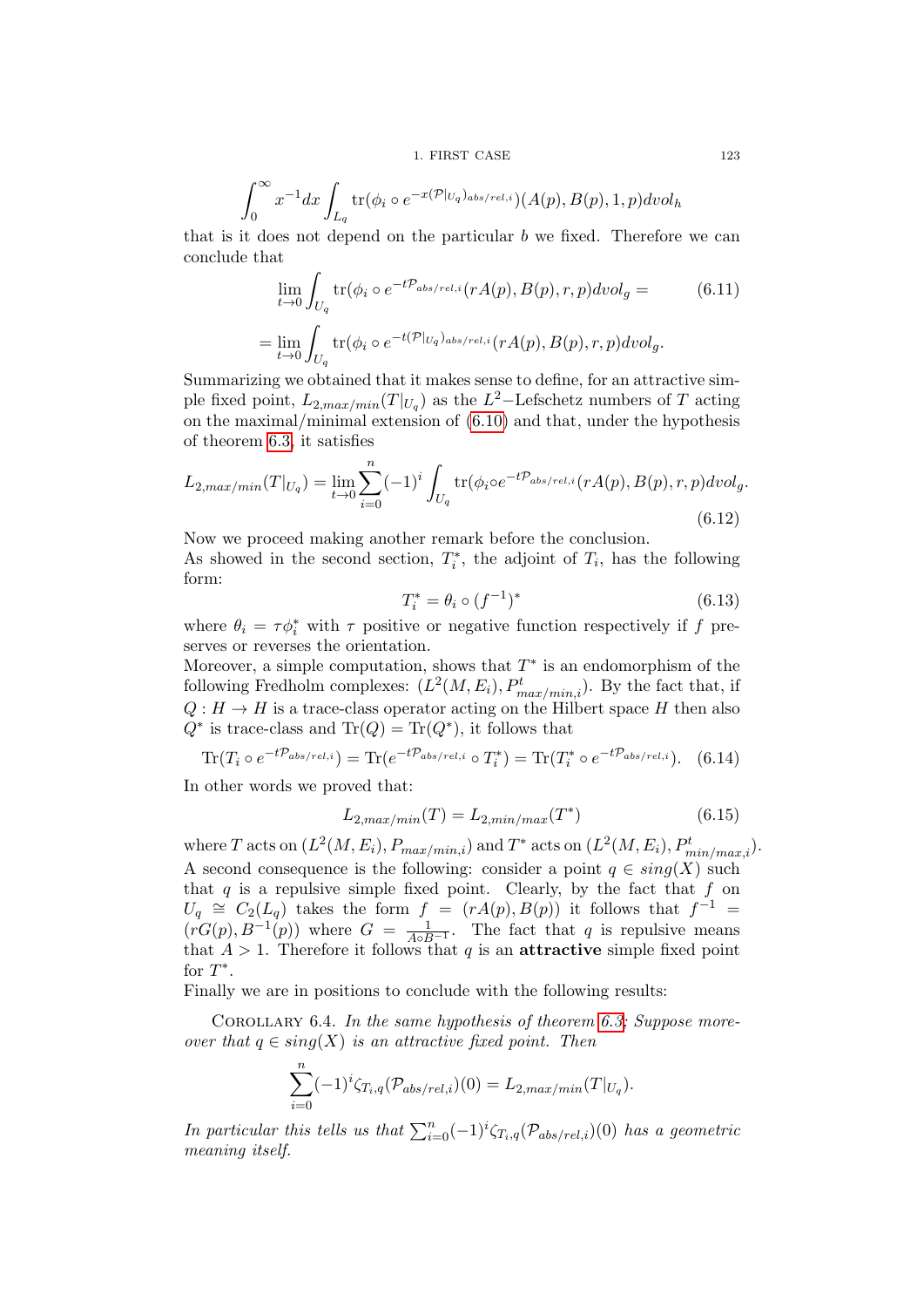1. FIRST CASE 123

$$
\int_0^\infty x^{-1} dx \int_{L_q} tr(\phi_i \circ e^{-x(\mathcal{P}|_{U_q})_{abs/rel,i}}) (A(p), B(p), 1, p) dvol_h
$$

that is it does not depend on the particular  $b$  we fixed. Therefore we can conclude that

$$
\lim_{t \to 0} \int_{U_q} \text{tr}(\phi_i \circ e^{-t\mathcal{P}_{abs/rel,i}}(rA(p), B(p), r, p) dvol_g =
$$
\n
$$
= \lim_{t \to 0} \int_{U_q} \text{tr}(\phi_i \circ e^{-t(\mathcal{P}|_{U_q})_{abs/rel,i}}(rA(p), B(p), r, p) dvol_g.
$$
\n(6.11)

Summarizing we obtained that it makes sense to define, for an attractive simple fixed point,  $L_{2,max/min}(T|_{U_q})$  as the  $L^2$ -Lefschetz numbers of T acting on the maximal/minimal extension of [\(6.10\)](#page-121-0) and that, under the hypothesis of theorem [6.3,](#page-119-0) it satisfies

<span id="page-122-0"></span>
$$
L_{2,max/min}(T|_{U_q}) = \lim_{t \to 0} \sum_{i=0}^{n} (-1)^i \int_{U_q} \text{tr}(\phi_i \circ e^{-t\mathcal{P}_{abs/rel,i}}(rA(p), B(p), r, p) dvol_g.
$$
\n(6.12)

Now we proceed making another remark before the conclusion.

As showed in the second section,  $T_i^*$ , the adjoint of  $T_i$ , has the following form:

<span id="page-122-2"></span>
$$
T_i^* = \theta_i \circ (f^{-1})^* \tag{6.13}
$$

where  $\theta_i = \tau \phi_i^*$  with  $\tau$  positive or negative function respectively if f preserves or reverses the orientation.

Moreover, a simple computation, shows that  $T^*$  is an endomorphism of the following Fredholm complexes:  $(L^2(M, E_i), P^t_{max/min,i})$ . By the fact that, if  $Q: H \to H$  is a trace-class operator acting on the Hilbert space H then also  $Q^*$  is trace-class and  $\text{Tr}(Q) = \text{Tr}(Q^*)$ , it follows that

$$
\text{Tr}(T_i \circ e^{-t\mathcal{P}_{abs/rel,i}}) = \text{Tr}(e^{-t\mathcal{P}_{abs/rel,i}} \circ T_i^*) = \text{Tr}(T_i^* \circ e^{-t\mathcal{P}_{abs/rel,i}}). \tag{6.14}
$$

In other words we proved that:

<span id="page-122-3"></span>
$$
L_{2,max/min}(T) = L_{2,min/max}(T^*)
$$
\n(6.15)

where T acts on  $(L^2(M, E_i), P_{max/min, i})$  and  $T^*$  acts on  $(L^2(M, E_i), P_{min/max, i}^t)$ . A second consequence is the following: consider a point  $q \in \text{sing}(X)$  such that  $q$  is a repulsive simple fixed point. Clearly, by the fact that  $f$  on  $U_q \cong C_2(L_q)$  takes the form  $f = (rA(p), B(p))$  it follows that  $f^{-1} =$  $(rG(p), B^{-1}(p))$  where  $G = \frac{1}{A \circ B^{-1}}$ . The fact that q is repulsive means that  $A > 1$ . Therefore it follows that q is an **attractive** simple fixed point for  $T^*$ .

Finally we are in positions to conclude with the following results:

<span id="page-122-1"></span>COROLLARY 6.4. In the same hypothesis of theorem [6.3;](#page-119-0) Suppose moreover that  $q \in sing(X)$  is an attractive fixed point. Then

$$
\sum_{i=0}^{n} (-1)^{i} \zeta_{T_i,q}(\mathcal{P}_{abs/rel,i})(0) = L_{2,max/min}(T|_{U_q}).
$$

In particular this tells us that  $\sum_{i=0}^{n}(-1)^{i}\zeta_{T_i,q}(\mathcal{P}_{abs/rel,i})(0)$  has a geometric meaning itself.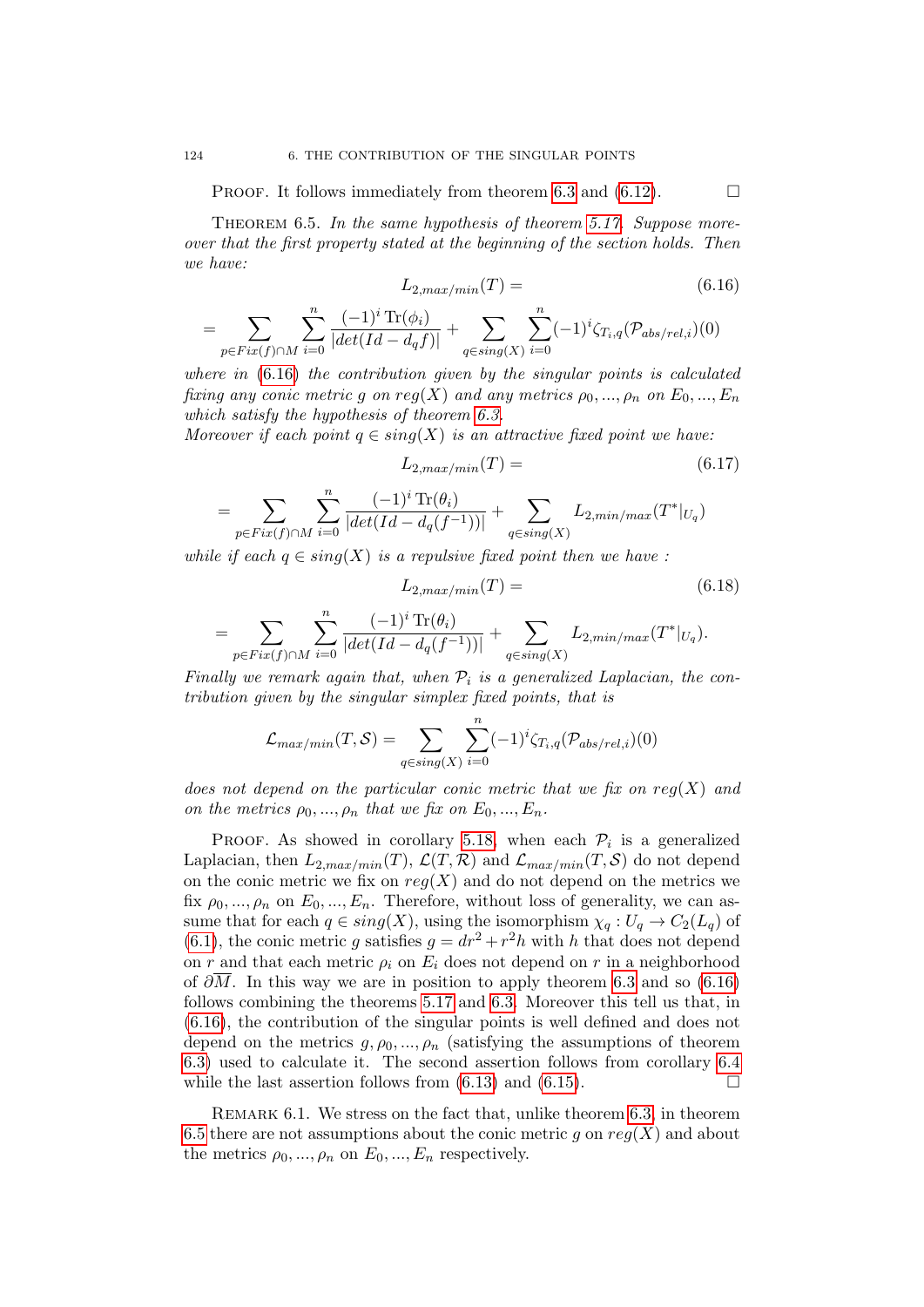PROOF. It follows immediately from theorem [6.3](#page-119-0) and [\(6.12\)](#page-122-0).  $\Box$ 

<span id="page-123-1"></span>THEOREM 6.5. In the same hypothesis of theorem [5.17.](#page-116-0) Suppose moreover that the first property stated at the beginning of the section holds. Then we have:

<span id="page-123-0"></span>
$$
L_{2,max/min}(T) = (6.16)
$$

$$
= \sum_{p \in Fix(f) \cap M} \sum_{i=0}^{n} \frac{(-1)^{i} \operatorname{Tr}(\phi_{i})}{|det(Id - d_{q}f)|} + \sum_{q \in sing(X)} \sum_{i=0}^{n} (-1)^{i} \zeta_{T_{i},q}(\mathcal{P}_{abs/rel,i})(0)
$$

where in  $(6.16)$  the contribution given by the singular points is calculated fixing any conic metric g on reg(X) and any metrics  $\rho_0, ..., \rho_n$  on  $E_0, ..., E_n$ which satisfy the hypothesis of theorem [6.3.](#page-119-0)

Moreover if each point  $q \in sing(X)$  is an attractive fixed point we have:

$$
L_{2,max/min}(T) = (6.17)
$$

$$
= \sum_{p \in Fix(f) \cap M} \sum_{i=0}^{n} \frac{(-1)^{i} \operatorname{Tr}(\theta_{i})}{|det(Id - d_{q}(f^{-1}))|} + \sum_{q \in sing(X)} L_{2,min/max}(T^{*}|_{U_{q}})
$$

while if each  $q \in \text{sing}(X)$  is a repulsive fixed point then we have :

$$
L_{2,max/min}(T) = (6.18)
$$

$$
= \sum_{p \in Fix(f) \cap M} \sum_{i=0}^n \frac{(-1)^i \operatorname{Tr}(\theta_i)}{|det(Id - d_q(f^{-1}))|} + \sum_{q \in sing(X)} L_{2,min/max}(T^*|_{U_q}).
$$

Finally we remark again that, when  $\mathcal{P}_i$  is a generalized Laplacian, the contribution given by the singular simplex fixed points, that is

$$
\mathcal{L}_{max/min}(T, S) = \sum_{q \in sing(X)} \sum_{i=0}^{n} (-1)^{i} \zeta_{T_i, q}(\mathcal{P}_{abs/rel, i})(0)
$$

does not depend on the particular conic metric that we fix on  $reg(X)$  and on the metrics  $\rho_0, ..., \rho_n$  that we fix on  $E_0, ..., E_n$ .

PROOF. As showed in corollary [5.18,](#page-116-1) when each  $\mathcal{P}_i$  is a generalized Laplacian, then  $L_{2,max/min}(T)$ ,  $\mathcal{L}(T, \mathcal{R})$  and  $\mathcal{L}_{max/min}(T, \mathcal{S})$  do not depend on the conic metric we fix on  $reg(X)$  and do not depend on the metrics we fix  $\rho_0, ..., \rho_n$  on  $E_0, ..., E_n$ . Therefore, without loss of generality, we can assume that for each  $q \in sing(X)$ , using the isomorphism  $\chi_q: U_q \to C_2(L_q)$  of [\(6.1\)](#page-118-1), the conic metric g satisfies  $g = dr^2 + r^2h$  with h that does not depend on r and that each metric  $\rho_i$  on  $E_i$  does not depend on r in a neighborhood of  $\partial M$ . In this way we are in position to apply theorem [6.3](#page-119-0) and so [\(6.16\)](#page-123-0) follows combining the theorems [5.17](#page-116-0) and [6.3.](#page-119-0) Moreover this tell us that, in [\(6.16\)](#page-123-0), the contribution of the singular points is well defined and does not depend on the metrics  $g, \rho_0, ..., \rho_n$  (satisfying the assumptions of theorem [6.3\)](#page-119-0) used to calculate it. The second assertion follows from corollary [6.4](#page-122-1) while the last assertion follows from  $(6.13)$  and  $(6.15)$ .

Remark 6.1. We stress on the fact that, unlike theorem [6.3,](#page-119-0) in theorem [6.5](#page-123-1) there are not assumptions about the conic metric g on  $reg(X)$  and about the metrics  $\rho_0, ..., \rho_n$  on  $E_0, ..., E_n$  respectively.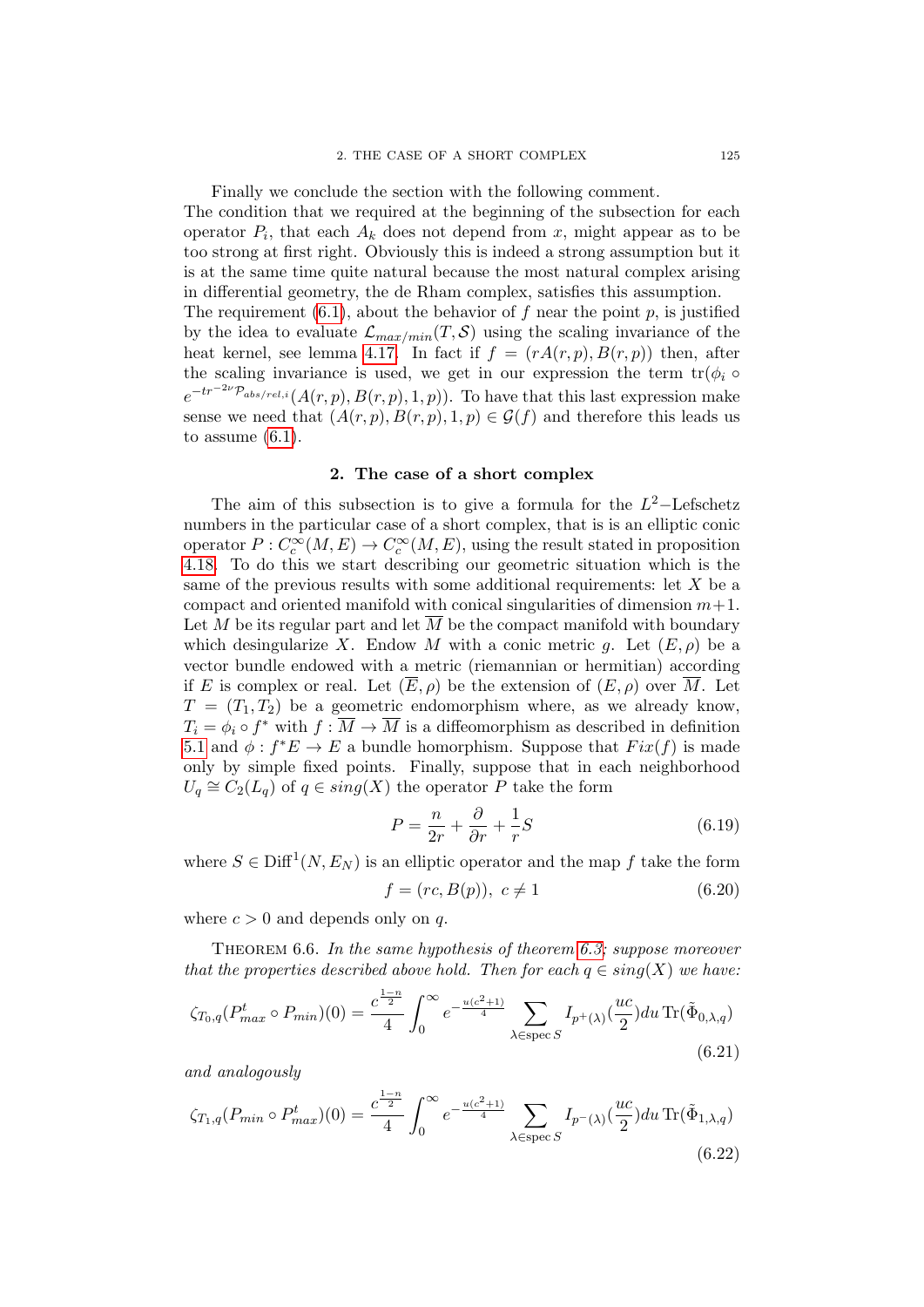Finally we conclude the section with the following comment.

The condition that we required at the beginning of the subsection for each operator  $P_i$ , that each  $A_k$  does not depend from x, might appear as to be too strong at first right. Obviously this is indeed a strong assumption but it is at the same time quite natural because the most natural complex arising in differential geometry, the de Rham complex, satisfies this assumption. The requirement  $(6.1)$ , about the behavior of f near the point p, is justified by the idea to evaluate  $\mathcal{L}_{max/min}(T, \mathcal{S})$  using the scaling invariance of the heat kernel, see lemma [4.17.](#page-102-0) In fact if  $f = (rA(r, p), B(r, p))$  then, after

the scaling invariance is used, we get in our expression the term  $tr(\phi_i \circ$  $e^{-tr^{-2\nu} \mathcal{P}_{abs/rel,i}}(A(r,p),B(r,p),1,p)).$  To have that this last expression make sense we need that  $(A(r, p), B(r, p), 1, p) \in \mathcal{G}(f)$  and therefore this leads us to assume  $(6.1)$ .

### 2. The case of a short complex

The aim of this subsection is to give a formula for the  $L^2$ -Lefschetz numbers in the particular case of a short complex, that is is an elliptic conic operator  $P: C_c^{\infty}(M, E) \to C_c^{\infty}(M, E)$ , using the result stated in proposition [4.18.](#page-103-0) To do this we start describing our geometric situation which is the same of the previous results with some additional requirements: let  $X$  be a compact and oriented manifold with conical singularities of dimension  $m+1$ . Let M be its regular part and let  $\overline{M}$  be the compact manifold with boundary which desingularize X. Endow M with a conic metric g. Let  $(E, \rho)$  be a vector bundle endowed with a metric (riemannian or hermitian) according if E is complex or real. Let  $(\overline{E}, \rho)$  be the extension of  $(E, \rho)$  over  $\overline{M}$ . Let  $T = (T_1, T_2)$  be a geometric endomorphism where, as we already know,  $T_i = \phi_i \circ f^*$  with  $f: \overline{M} \to \overline{M}$  is a diffeomorphism as described in definition [5.1](#page-106-0) and  $\phi: f^*E \to E$  a bundle homorphism. Suppose that  $Fix(f)$  is made only by simple fixed points. Finally, suppose that in each neighborhood  $U_q \cong C_2(L_q)$  of  $q \in sing(X)$  the operator P take the form

$$
P = \frac{n}{2r} + \frac{\partial}{\partial r} + \frac{1}{r}S\tag{6.19}
$$

where  $S \in \text{Diff}^1(N, E_N)$  is an elliptic operator and the map f take the form

<span id="page-124-3"></span>
$$
f = (rc, B(p)), \ c \neq 1 \tag{6.20}
$$

where  $c > 0$  and depends only on q.

<span id="page-124-2"></span>THEOREM 6.6. In the same hypothesis of theorem [6.3;](#page-119-0) suppose moreover that the properties described above hold. Then for each  $q \in \text{sing}(X)$  we have:

<span id="page-124-0"></span>
$$
\zeta_{T_0,q}(P_{max}^t \circ P_{min})(0) = \frac{c^{\frac{1-n}{2}}}{4} \int_0^\infty e^{-\frac{u(c^2+1)}{4}} \sum_{\lambda \in \text{spec } S} I_{p^+(\lambda)}(\frac{uc}{2}) du \operatorname{Tr}(\tilde{\Phi}_{0,\lambda,q})
$$
\n(6.21)

and analogously

<span id="page-124-1"></span>
$$
\zeta_{T_1,q}(P_{min} \circ P_{max}^t)(0) = \frac{c^{\frac{1-n}{2}}}{4} \int_0^\infty e^{-\frac{u(c^2+1)}{4}} \sum_{\lambda \in \text{spec } S} I_{p^{-}(\lambda)}(\frac{uc}{2}) du \operatorname{Tr}(\tilde{\Phi}_{1,\lambda,q})
$$
\n(6.22)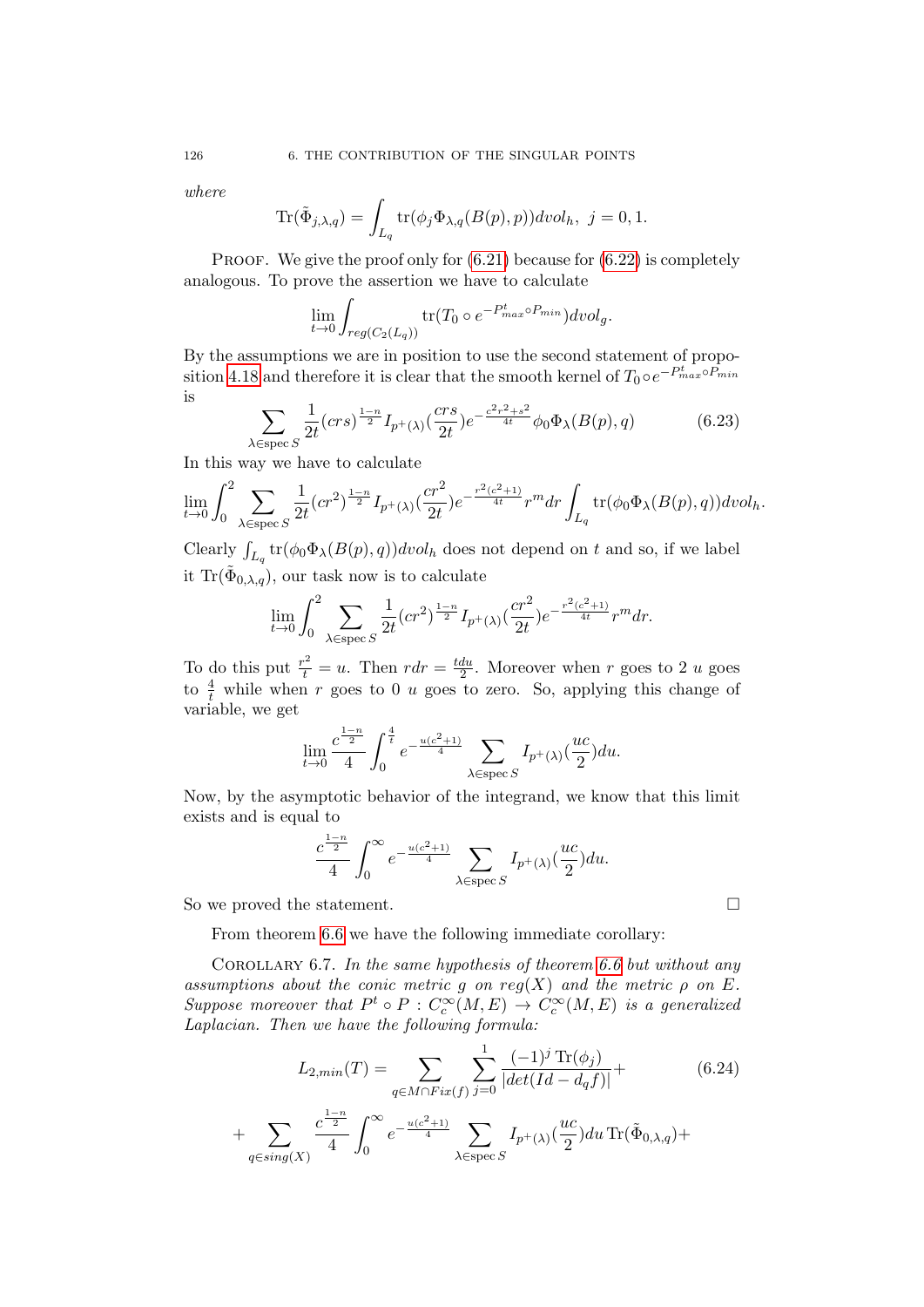where

$$
\text{Tr}(\tilde{\Phi}_{j,\lambda,q}) = \int_{L_q} \text{tr}(\phi_j \Phi_{\lambda,q}(B(p), p)) \, dvol_h, \ j = 0, 1.
$$

PROOF. We give the proof only for  $(6.21)$  because for  $(6.22)$  is completely analogous. To prove the assertion we have to calculate

$$
\lim_{t \to 0} \int_{reg(C_2(L_q))} \text{tr}(T_0 \circ e^{-P_{max}^t \circ P_{min}}) dvol_g.
$$

By the assumptions we are in position to use the second statement of propo-sition [4.18](#page-103-0) and therefore it is clear that the smooth kernel of  $T_0 \circ e^{-P_{max}^t \circ P_{min}}$ is

$$
\sum_{\text{Espec } S} \frac{1}{2t} (crs)^{\frac{1-n}{2}} I_{p^+(\lambda)} \left(\frac{crs}{2t}\right) e^{-\frac{c^2r^2+s^2}{4t}} \phi_0 \Phi_\lambda(B(p), q) \tag{6.23}
$$

In this way we have to calculate

 $\lambda$ 

$$
\lim_{t \to 0} \int_0^2 \sum_{\lambda \in \text{spec } S} \frac{1}{2t} (cr^2)^{\frac{1-n}{2}} I_{p^+(\lambda)}(\frac{cr^2}{2t}) e^{-\frac{r^2(c^2+1)}{4t}} r^m dr \int_{L_q} \text{tr}(\phi_0 \Phi_\lambda(B(p), q)) dvol_h.
$$

Clearly  $\int_{L_q}$  tr $(\phi_0 \Phi_\lambda(B(p), q)) \text{d}vol_h$  does not depend on t and so, if we label it Tr $(\tilde{\Phi}_{0,\lambda,q})$ , our task now is to calculate

$$
\lim_{t \to 0} \int_0^2 \sum_{\lambda \in \text{spec } S} \frac{1}{2t} (cr^2)^{\frac{1-n}{2}} I_{p^+(\lambda)} \left( \frac{cr^2}{2t} \right) e^{-\frac{r^2(c^2+1)}{4t}} r^m dr.
$$

To do this put  $\frac{r^2}{t} = u$ . Then  $r dr = \frac{t du}{2}$  $\frac{du}{2}$ . Moreover when r goes to 2 u goes to  $\frac{4}{t}$  while when r goes to 0 u goes to zero. So, applying this change of variable, we get

$$
\lim_{t\to 0}\frac{c^{\frac{1-n}2}}4\int_0^{\frac4t}e^{-\frac{u(c^2+1)}4}\sum_{\lambda\in\mathrm{spec}\, S}I_{p^+(\lambda)}(\frac{uc}2)du.
$$

Now, by the asymptotic behavior of the integrand, we know that this limit exists and is equal to

$$
\frac{c^{\frac{1-n}{2}}}{4}\int_0^\infty e^{-\frac{u(c^2+1)}{4}}\sum_{\lambda\in\mathrm{spec}\, S}I_{p^+(\lambda)}(\frac{uc}{2})du.
$$

So we proved the statement.  $\Box$ 

 $+$ 

From theorem [6.6](#page-124-2) we have the following immediate corollary:

COROLLARY 6.7. In the same hypothesis of theorem [6.6](#page-124-2) but without any assumptions about the conic metric g on reg(X) and the metric  $\rho$  on E. Suppose moreover that  $P^t \circ P : C_c^{\infty}(M, E) \to C_c^{\infty}(M, E)$  is a generalized Laplacian. Then we have the following formula:

<span id="page-125-0"></span>
$$
L_{2,min}(T) = \sum_{q \in M \cap Fix(f)} \sum_{j=0}^{1} \frac{(-1)^j \operatorname{Tr}(\phi_j)}{|det(Id - d_q f)|} + \sum_{q \in sing(X)} \frac{c^{\frac{1-n}{2}}}{4} \int_0^\infty e^{-\frac{u(c^2+1)}{4}} \sum_{\lambda \in \text{spec } S} I_{p^+(\lambda)}(\frac{uc}{2}) du \operatorname{Tr}(\tilde{\Phi}_{0,\lambda,q}) +
$$
(6.24)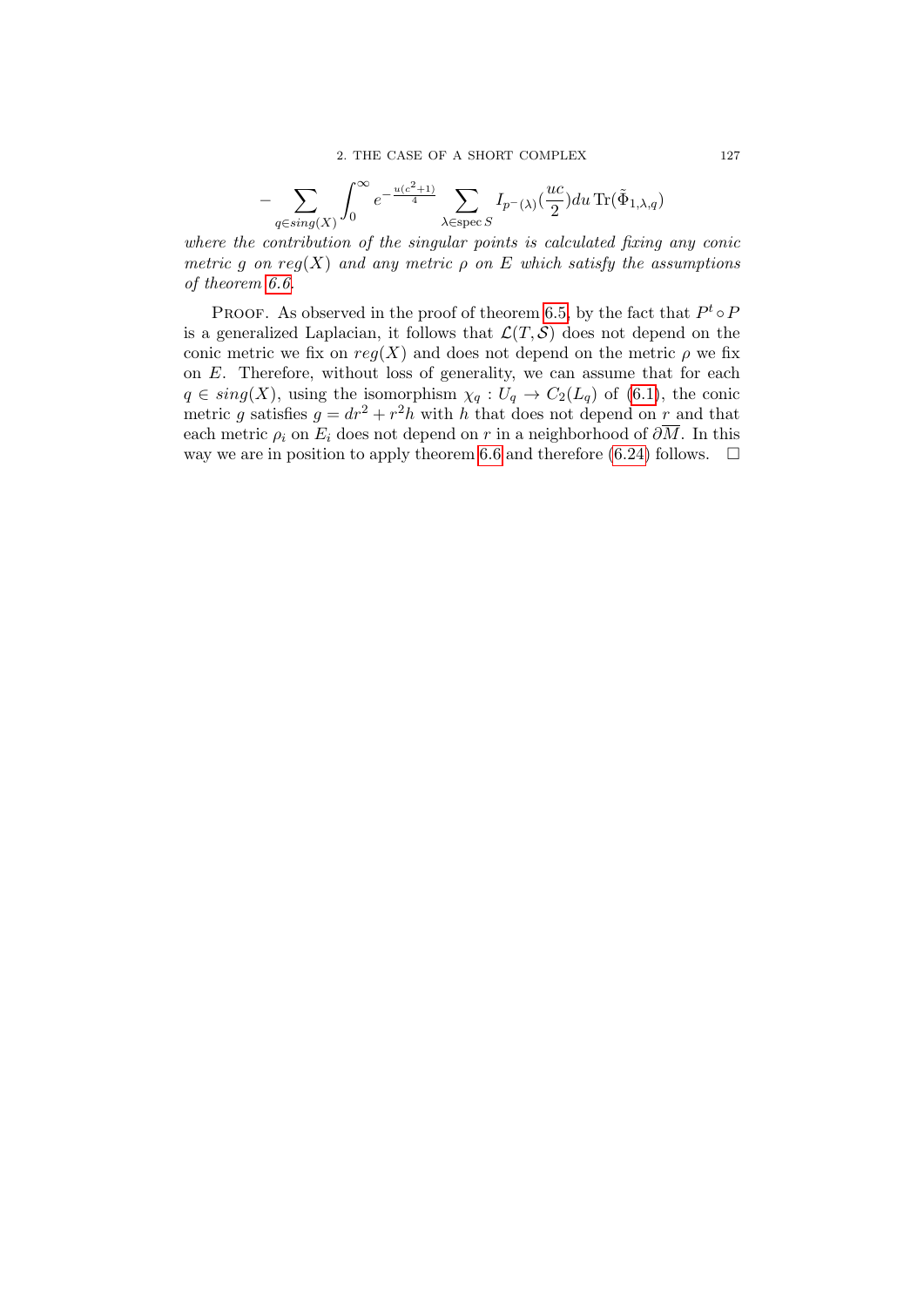$$
-\sum_{q \in sing(X)} \int_0^\infty e^{-\frac{u(c^2+1)}{4}}\sum_{\lambda \in \mathrm{spec}\, S} I_{p^-(\lambda)}(\frac{uc}{2})du \,\mathrm{Tr}(\tilde{\Phi}_{1,\lambda,q})
$$

where the contribution of the singular points is calculated fixing any conic metric g on reg(X) and any metric  $\rho$  on E which satisfy the assumptions of theorem [6.6.](#page-124-2)

PROOF. As observed in the proof of theorem [6.5,](#page-123-1) by the fact that  $P^t \circ P$ is a generalized Laplacian, it follows that  $\mathcal{L}(T, \mathcal{S})$  does not depend on the conic metric we fix on  $reg(X)$  and does not depend on the metric  $\rho$  we fix on E. Therefore, without loss of generality, we can assume that for each  $q \in sing(X)$ , using the isomorphism  $\chi_q: U_q \to C_2(L_q)$  of [\(6.1\)](#page-118-1), the conic metric g satisfies  $g = dr^2 + r^2h$  with h that does not depend on r and that each metric  $\rho_i$  on  $E_i$  does not depend on r in a neighborhood of  $\partial \overline{M}$ . In this way we are in position to apply theorem [6.6](#page-124-2) and therefore [\(6.24\)](#page-125-0) follows.  $\Box$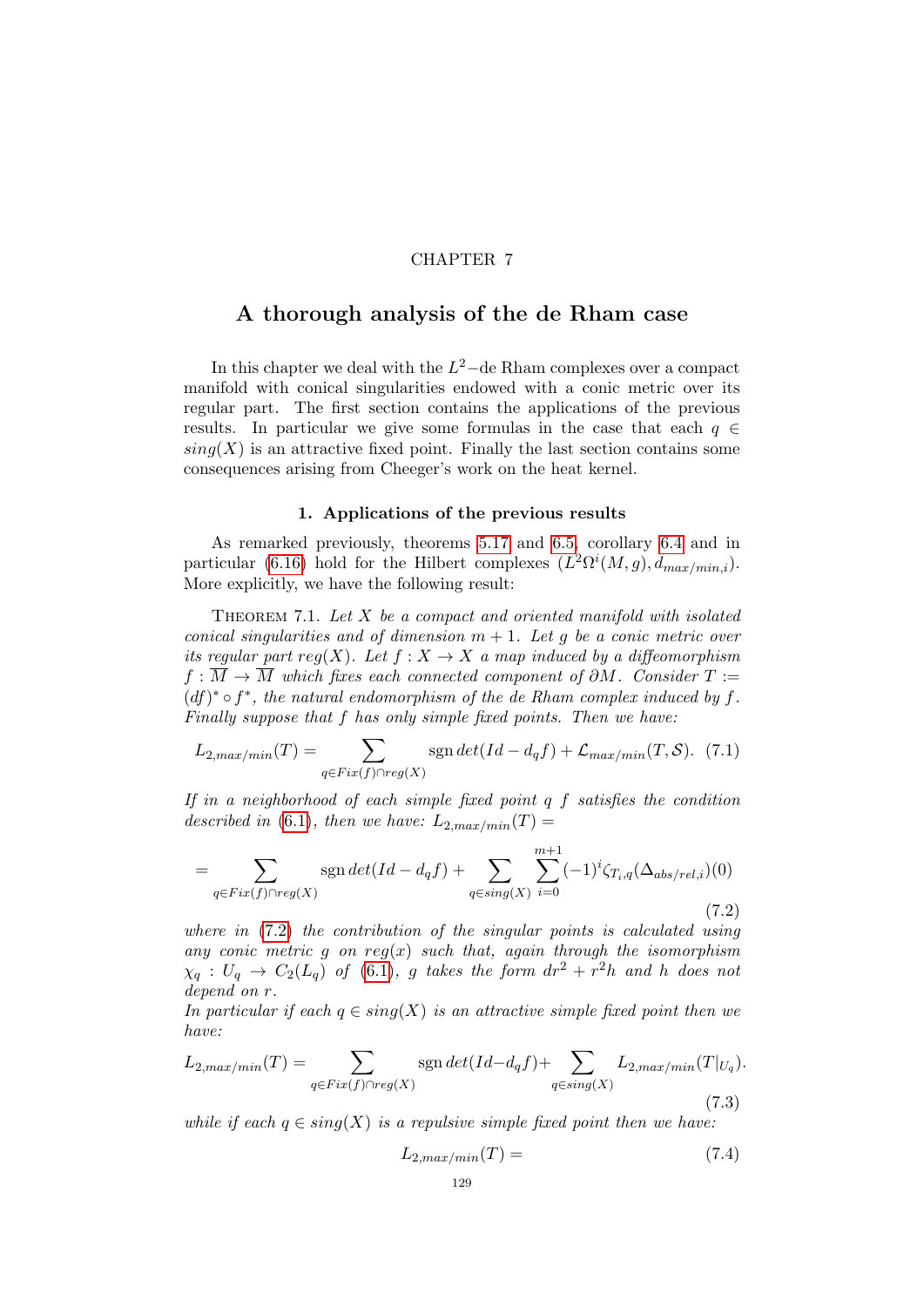### CHAPTER 7

## A thorough analysis of the de Rham case

In this chapter we deal with the  $L^2$ -de Rham complexes over a compact manifold with conical singularities endowed with a conic metric over its regular part. The first section contains the applications of the previous results. In particular we give some formulas in the case that each  $q \in$  $sing(X)$  is an attractive fixed point. Finally the last section contains some consequences arising from Cheeger's work on the heat kernel.

#### 1. Applications of the previous results

As remarked previously, theorems [5.17](#page-116-0) and [6.5,](#page-123-1) corollary [6.4](#page-122-1) and in particular [\(6.16\)](#page-123-0) hold for the Hilbert complexes  $(L^2\Omega^i(M,g), d_{max/min,i}).$ More explicitly, we have the following result:

<span id="page-128-4"></span>THEOREM 7.1. Let  $X$  be a compact and oriented manifold with isolated conical singularities and of dimension  $m + 1$ . Let g be a conic metric over its regular part reg(X). Let  $f: X \to X$  a map induced by a diffeomorphism  $f : \overline{M} \to \overline{M}$  which fixes each connected component of  $\partial M$ . Consider  $T :=$  $(df)^* \circ f^*$ , the natural endomorphism of the de Rham complex induced by f. Finally suppose that f has only simple fixed points. Then we have:

<span id="page-128-1"></span>
$$
L_{2,max/min}(T) = \sum_{q \in Fix(f) \cap reg(X)} sgn \det(Id - d_q f) + \mathcal{L}_{max/min}(T, S). \tag{7.1}
$$

If in a neighborhood of each simple fixed point  $q$  f satisfies the condition described in [\(6.1\)](#page-118-1), then we have:  $L_{2,max/min}(T) =$ 

<span id="page-128-0"></span>
$$
=\sum_{q\in Fix(f)\cap reg(X)} sgn\det(Id - d_qf) + \sum_{q\in sing(X)} \sum_{i=0}^{m+1} (-1)^i \zeta_{T_i,q}(\Delta_{abs/rel,i})(0)
$$
\n(7.2)

where in  $(7.2)$  the contribution of the singular points is calculated using any conic metric  $g$  on  $reg(x)$  such that, again through the isomorphism  $\chi_q$  :  $U_q$   $\rightarrow$   $C_2(L_q)$  of [\(6.1\)](#page-118-1), g takes the form  $dr^2 + r^2h$  and h does not depend on r.

In particular if each  $q \in sing(X)$  is an attractive simple fixed point then we have:

<span id="page-128-2"></span>
$$
L_{2,max/min}(T) = \sum_{q \in Fix(f) \cap reg(X)} sgn \det(Id - d_q f) + \sum_{q \in sing(X)} L_{2,max/min}(T|_{U_q}).
$$
\n(7.3)

while if each  $q \in sing(X)$  is a repulsive simple fixed point then we have:

<span id="page-128-3"></span>
$$
L_{2,max/min}(T) = (7.4)
$$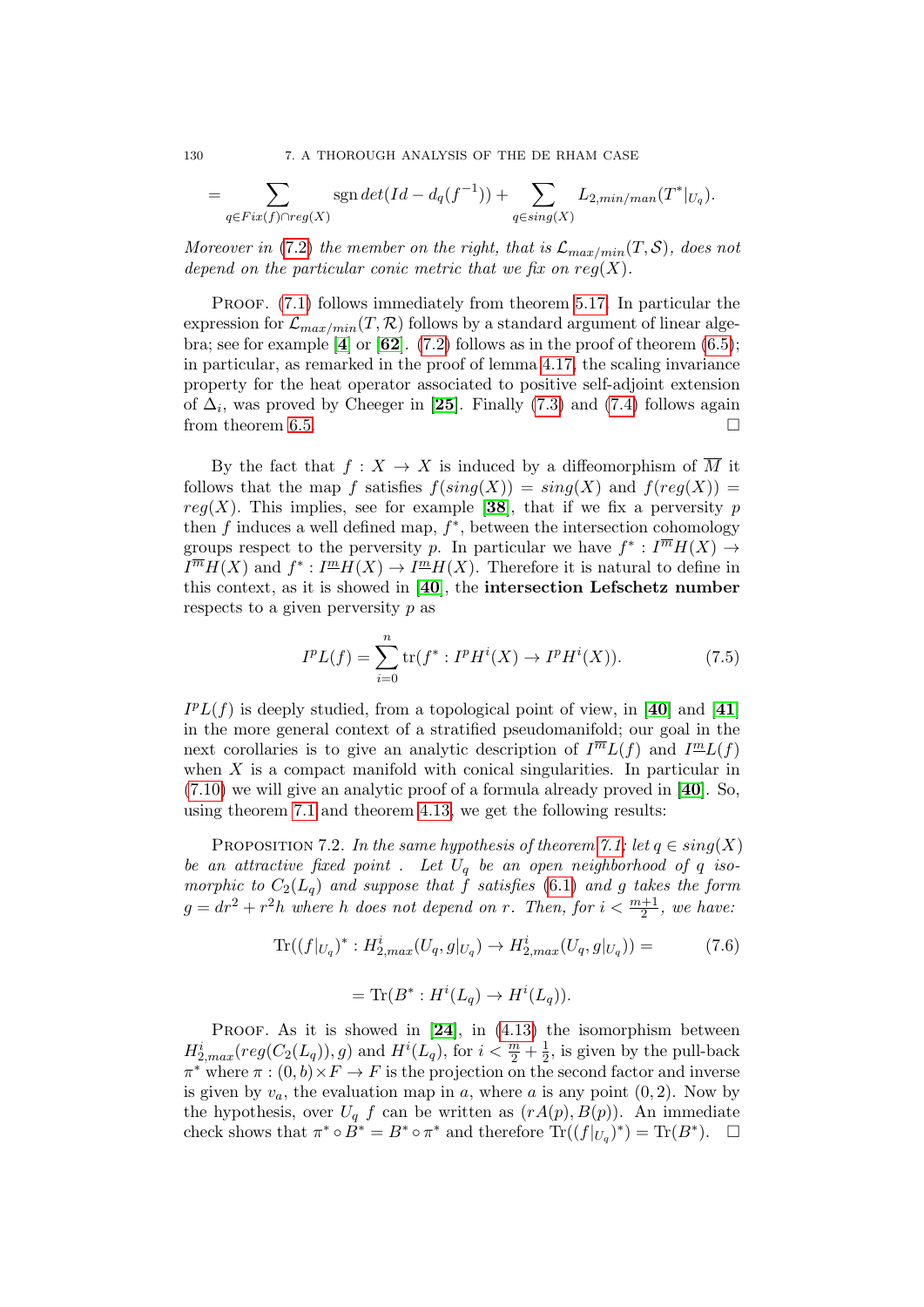130 7. A THOROUGH ANALYSIS OF THE DE RHAM CASE

$$
= \sum_{q \in Fix(f) \cap reg(X)} sgn \det(Id - d_q(f^{-1})) + \sum_{q \in sing(X)} L_{2, min/man}(T^*|_{U_q}).
$$

Moreover in [\(7.2\)](#page-128-0) the member on the right, that is  $\mathcal{L}_{max/min}(T, \mathcal{S})$ , does not depend on the particular conic metric that we fix on  $reg(X)$ .

PROOF. [\(7.1\)](#page-128-1) follows immediately from theorem [5.17.](#page-116-0) In particular the expression for  $\mathcal{L}_{max/min}(T, \mathcal{R})$  follows by a standard argument of linear alge-bra; see for example [[4](#page-136-2)] or [[62](#page-138-2)]. [\(7.2\)](#page-128-0) follows as in the proof of theorem  $(6.5)$ ; in particular, as remarked in the proof of lemma [4.17,](#page-102-0) the scaling invariance property for the heat operator associated to positive self-adjoint extension of  $\Delta_i$ , was proved by Cheeger in [[25](#page-137-2)]. Finally [\(7.3\)](#page-128-2) and [\(7.4\)](#page-128-3) follows again from theorem [6.5.](#page-123-1)  $\Box$ 

By the fact that  $f: X \to X$  is induced by a diffeomorphism of  $\overline{M}$  it follows that the map f satisfies  $f(sinq(X)) = sinq(X)$  and  $f(req(X)) =$ reg(X). This implies, see for example [[38](#page-137-3)], that if we fix a perversity p then  $f$  induces a well defined map,  $f^*$ , between the intersection cohomology groups respect to the perversity p. In particular we have  $f^*: \overline{I^m}H(X) \to$  $I^{\overline{m}}H(X)$  and  $f^*: I^{\underline{m}}H(X) \to I^{\underline{m}}H(X)$ . Therefore it is natural to define in this context, as it is showed in [[40](#page-137-0)], the intersection Lefschetz number respects to a given perversity  $p$  as

$$
I^{p}L(f) = \sum_{i=0}^{n} \text{tr}(f^{*} : I^{p}H^{i}(X) \to I^{p}H^{i}(X)).
$$
 (7.5)

 $I^pL(f)$  is deeply studied, from a topological point of view, in [[40](#page-137-0)] and [[41](#page-137-4)] in the more general context of a stratified pseudomanifold; our goal in the next corollaries is to give an analytic description of  $I^{\overline{m}}L(f)$  and  $I^{\underline{m}}L(f)$ when  $X$  is a compact manifold with conical singularities. In particular in [\(7.10\)](#page-130-0) we will give an analytic proof of a formula already proved in [[40](#page-137-0)]. So, using theorem [7.1](#page-128-1) and theorem [4.13,](#page-102-1) we get the following results:

<span id="page-129-0"></span>PROPOSITION 7.2. In the same hypothesis of theorem [7.1;](#page-128-4) let  $q \in sing(X)$ be an attractive fixed point . Let  $U_q$  be an open neighborhood of  $q$  isomorphic to  $C_2(L_q)$  and suppose that f satisfies [\(6.1\)](#page-118-1) and g takes the form  $g = dr^2 + r^2h$  where h does not depend on r. Then, for  $i < \frac{m+1}{2}$ , we have:

$$
\text{Tr}((f|_{U_q})^* : H^i_{2,max}(U_q, g|_{U_q}) \to H^i_{2,max}(U_q, g|_{U_q})) = \tag{7.6}
$$

$$
= \text{Tr}(B^* : H^i(L_q) \to H^i(L_q)).
$$

PROOF. As it is showed in  $[24]$  $[24]$  $[24]$ , in  $(4.13)$  the isomorphism between  $H_{2,max}^{i}(reg(C_{2}(L_{q})), g)$  and  $H^{i}(L_{q}),$  for  $i < \frac{m}{2} + \frac{1}{2}$  $\frac{1}{2}$ , is given by the pull-back  $\pi^*$  where  $\pi : (0, b) \times F \to F$  is the projection on the second factor and inverse is given by  $v_a$ , the evaluation map in a, where a is any point  $(0, 2)$ . Now by the hypothesis, over  $U_q$  f can be written as  $(rA(p), B(p))$ . An immediate check shows that  $\pi^* \circ B^* = B^* \circ \pi^*$  and therefore  $\text{Tr}((f|_{U_q})^*) = \text{Tr}(B^*)$ .  $\Box$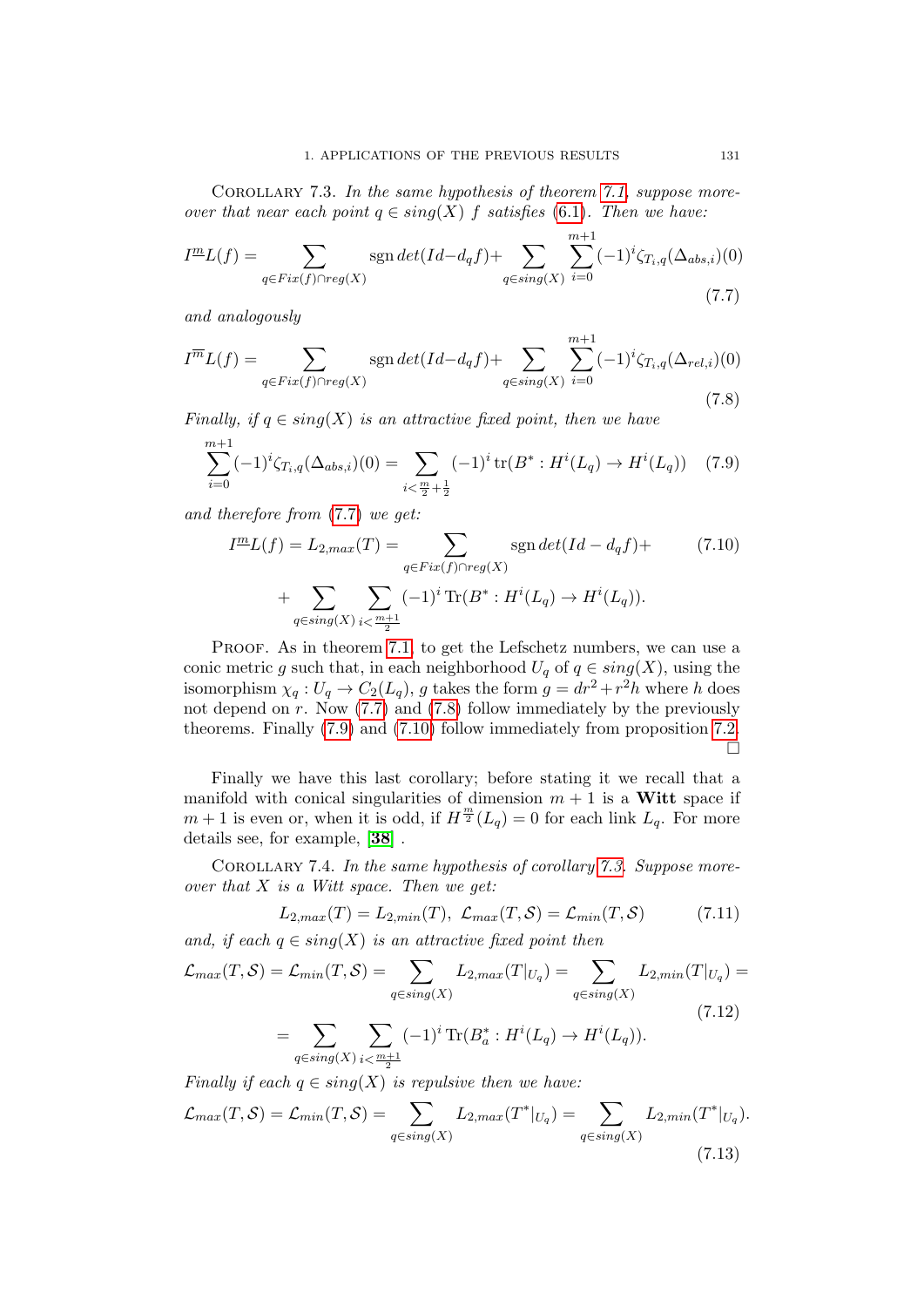<span id="page-130-4"></span>COROLLARY 7.3. In the same hypothesis of theorem [7.1,](#page-128-4) suppose moreover that near each point  $q \in sing(X)$  f satisfies [\(6.1\)](#page-118-1). Then we have:

<span id="page-130-1"></span>
$$
I^{\underline{m}}L(f) = \sum_{q \in Fix(f) \cap reg(X)} \operatorname{sgn} \det(Id - d_q f) + \sum_{q \in sing(X)} \sum_{i=0}^{m+1} (-1)^i \zeta_{T_i, q}(\Delta_{abs, i})(0)
$$
\n(7.7)

and analogously

<span id="page-130-2"></span>
$$
I^{\overline{m}}L(f) = \sum_{q \in Fix(f) \cap reg(X)} \operatorname{sgn} \det(Id - d_q f) + \sum_{q \in sing(X)} \sum_{i=0}^{m+1} (-1)^i \zeta_{T_i, q}(\Delta_{rel, i})(0)
$$
\n(7.8)

Finally, if  $q \in sing(X)$  is an attractive fixed point, then we have

<span id="page-130-3"></span>
$$
\sum_{i=0}^{m+1} (-1)^i \zeta_{T_i,q}(\Delta_{abs,i})(0) = \sum_{i < \frac{m}{2} + \frac{1}{2}} (-1)^i \operatorname{tr}(B^* : H^i(L_q) \to H^i(L_q)) \quad (7.9)
$$

and therefore from [\(7.7\)](#page-130-1) we get:

<span id="page-130-0"></span>
$$
I^{\underline{m}}L(f) = L_{2,max}(T) = \sum_{q \in Fix(f) \cap reg(X)} \text{sgn} \det(Id - d_q f) + \sum_{q \in Sing(X)} \sum_{i < \frac{m+1}{2}} (-1)^i \text{Tr}(B^* : H^i(L_q) \to H^i(L_q)). \tag{7.10}
$$

PROOF. As in theorem [7.1,](#page-128-4) to get the Lefschetz numbers, we can use a conic metric g such that, in each neighborhood  $U_q$  of  $q \in sing(X)$ , using the isomorphism  $\chi_q: U_q \to C_2(L_q)$ , g takes the form  $g = dr^2 + r^2h$  where h does not depend on r. Now  $(7.7)$  and  $(7.8)$  follow immediately by the previously theorems. Finally [\(7.9\)](#page-130-3) and [\(7.10\)](#page-130-0) follow immediately from proposition [7.2.](#page-129-0)  $\Box$ 

Finally we have this last corollary; before stating it we recall that a manifold with conical singularities of dimension  $m + 1$  is a Witt space if  $m+1$  is even or, when it is odd, if  $H^{\frac{m}{2}}(L_q) = 0$  for each link  $L_q$ . For more details see, for example, [[38](#page-137-3)] .

COROLLARY 7.4. In the same hypothesis of corollary [7.3.](#page-130-4) Suppose moreover that  $X$  is a Witt space. Then we get:

<span id="page-130-5"></span>
$$
L_{2,max}(T) = L_{2,min}(T), \mathcal{L}_{max}(T, S) = \mathcal{L}_{min}(T, S) \quad (7.11)
$$

and, if each  $q \in sing(X)$  is an attractive fixed point then

<span id="page-130-6"></span>
$$
\mathcal{L}_{max}(T, S) = \mathcal{L}_{min}(T, S) = \sum_{q \in sing(X)} L_{2,max}(T|_{U_q}) = \sum_{q \in sing(X)} L_{2,min}(T|_{U_q}) = \sum_{\{q \in sing(X)\}} \sum_{\{q \in Sing(X)\}} (-1)^i \operatorname{Tr}(B_a^* : H^i(L_q) \to H^i(L_q)).
$$
\n(7.12)

$$
q \in sing(X) \text{ is } \frac{m+1}{2}
$$
  
Finally if each  $q \in sing(X)$  is repulsive then we have:

<span id="page-130-7"></span>
$$
\mathcal{L}_{max}(T, \mathcal{S}) = \mathcal{L}_{min}(T, \mathcal{S}) = \sum_{q \in sing(X)} L_{2,max}(T^*|_{U_q}) = \sum_{q \in sing(X)} L_{2,min}(T^*|_{U_q}).
$$
\n(7.13)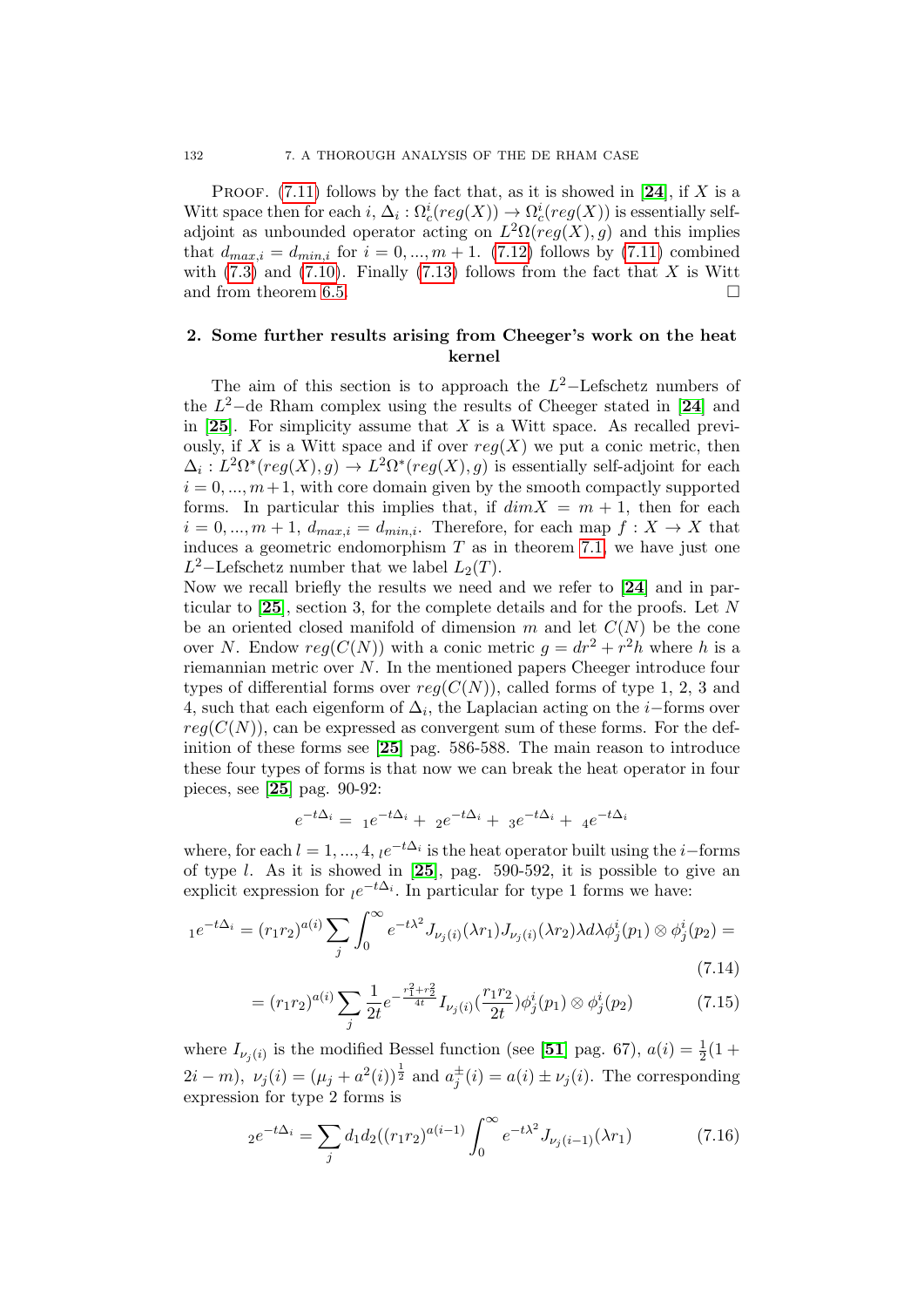PROOF.  $(7.11)$  follows by the fact that, as it is showed in [[24](#page-136-3)], if X is a Witt space then for each  $i, \Delta_i : \Omega_c^i (reg(X)) \to \Omega_c^i (reg(X))$  is essentially selfadjoint as unbounded operator acting on  $L^2\Omega(\text{reg}(X), g)$  and this implies that  $d_{max,i} = d_{min,i}$  for  $i = 0, ..., m + 1$ . [\(7.12\)](#page-130-6) follows by [\(7.11\)](#page-130-5) combined with  $(7.3)$  and  $(7.10)$ . Finally  $(7.13)$  follows from the fact that X is Witt and from theorem [6.5.](#page-123-1)

## 2. Some further results arising from Cheeger's work on the heat kernel

The aim of this section is to approach the  $L^2$ -Lefschetz numbers of the  $L^2$ -de Rham complex using the results of Cheeger stated in [[24](#page-136-3)] and in [[25](#page-137-2)]. For simplicity assume that  $X$  is a Witt space. As recalled previously, if X is a Witt space and if over  $reg(X)$  we put a conic metric, then  $\Delta_i: L^2\Omega^*(reg(X), g) \to L^2\Omega^*(reg(X), g)$  is essentially self-adjoint for each  $i = 0, \dots, m+1$ , with core domain given by the smooth compactly supported forms. In particular this implies that, if  $dim X = m + 1$ , then for each  $i = 0, ..., m + 1, d_{max,i} = d_{min,i}$ . Therefore, for each map  $f: X \to X$  that induces a geometric endomorphism  $T$  as in theorem [7.1,](#page-128-4) we have just one  $L^2$ -Lefschetz number that we label  $L_2(T)$ .

Now we recall briefly the results we need and we refer to [[24](#page-136-3)] and in particular to  $[25]$  $[25]$  $[25]$ , section 3, for the complete details and for the proofs. Let N be an oriented closed manifold of dimension m and let  $C(N)$  be the cone over N. Endow  $reg(C(N))$  with a conic metric  $g = dr^2 + r^2h$  where h is a riemannian metric over N. In the mentioned papers Cheeger introduce four types of differential forms over  $reg(C(N))$ , called forms of type 1, 2, 3 and 4, such that each eigenform of  $\Delta_i$ , the Laplacian acting on the *i*-forms over  $req(C(N))$ , can be expressed as convergent sum of these forms. For the definition of these forms see [[25](#page-137-2)] pag. 586-588. The main reason to introduce these four types of forms is that now we can break the heat operator in four pieces, see [[25](#page-137-2)] pag. 90-92:

$$
e^{-t\Delta_i} = 1e^{-t\Delta_i} + 2e^{-t\Delta_i} + 3e^{-t\Delta_i} + 4e^{-t\Delta_i}
$$

where, for each  $l = 1, ..., 4$ ,  $l e^{-t\Delta_i}$  is the heat operator built using the *i*-forms of type *l*. As it is showed in  $[25]$  $[25]$  $[25]$ , pag. 590-592, it is possible to give an explicit expression for  $le^{-t\Delta_i}$ . In particular for type 1 forms we have:

$$
e^{-t\Delta_i} = (r_1r_2)^{a(i)} \sum_j \int_0^\infty e^{-t\lambda^2} J_{\nu_j(i)}(\lambda r_1) J_{\nu_j(i)}(\lambda r_2) \lambda d\lambda \phi_j^i(p_1) \otimes \phi_j^i(p_2) =
$$
\n(7.14)

<span id="page-131-0"></span>
$$
= (r_1 r_2)^{a(i)} \sum_j \frac{1}{2t} e^{-\frac{r_1^2 + r_2^2}{4t}} I_{\nu_j(i)}(\frac{r_1 r_2}{2t}) \phi_j^i(p_1) \otimes \phi_j^i(p_2)
$$
(7.15)

where  $I_{\nu_j(i)}$  is the modified Bessel function (see [[51](#page-137-1)] pag. 67),  $a(i) = \frac{1}{2}(1 +$  $2i - m$ ,  $\nu_j(i) = (\mu_j + a^2(i))^{\frac{1}{2}}$  and  $a_j^{\pm}(i) = a(i) \pm \nu_j(i)$ . The corresponding expression for type 2 forms is

<span id="page-131-1"></span>
$$
e^{-t\Delta_i} = \sum_j d_1 d_2 ((r_1 r_2)^{a(i-1)} \int_0^\infty e^{-t\lambda^2} J_{\nu_j(i-1)}(\lambda r_1)
$$
 (7.16)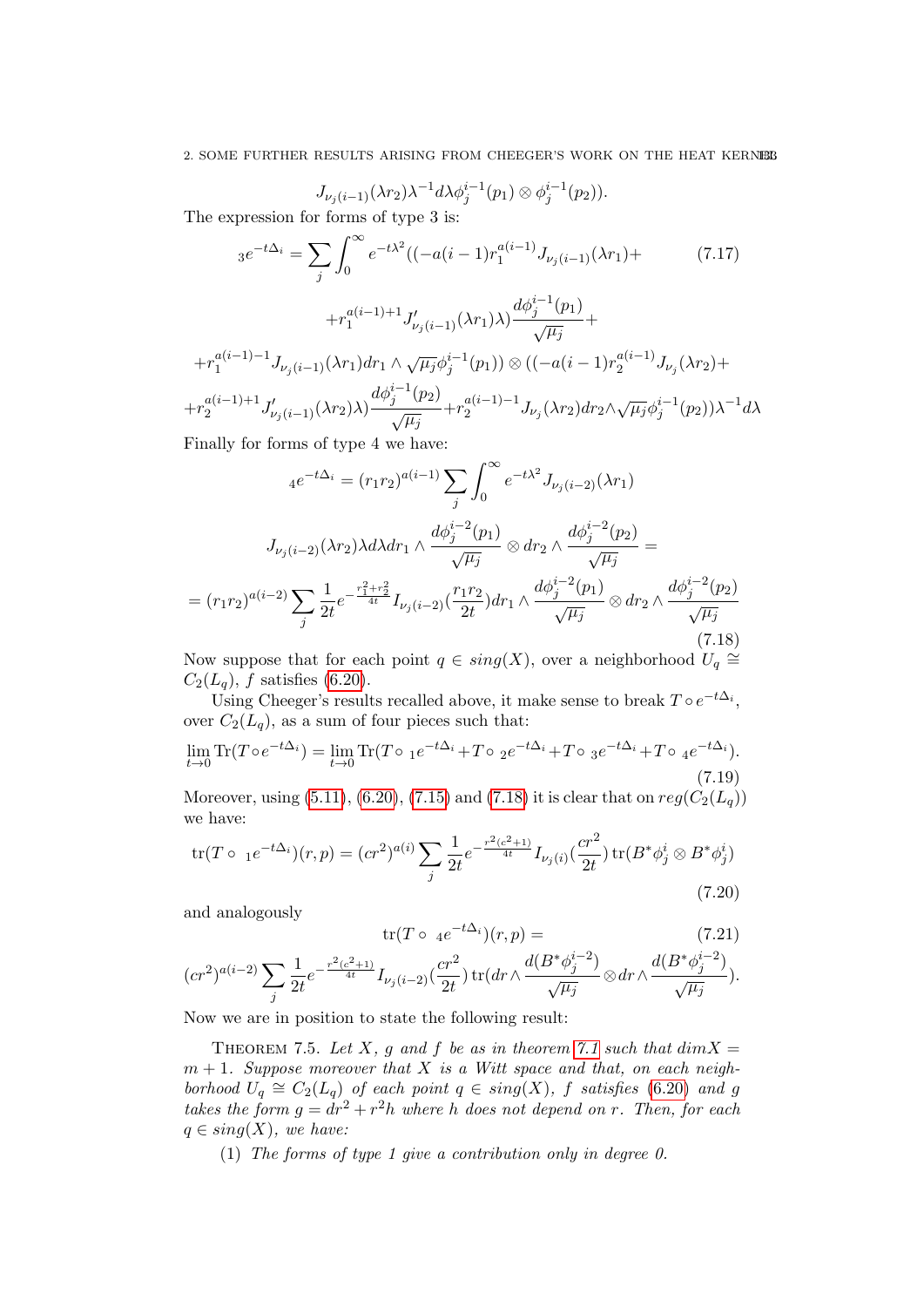$$
J_{\nu_j(i-1)}(\lambda r_2)\lambda^{-1}d\lambda\phi_j^{i-1}(p_1)\otimes\phi_j^{i-1}(p_2)).
$$

The expression for forms of type 3 is:

<span id="page-132-1"></span>
$$
3e^{-t\Delta_i} = \sum_j \int_0^\infty e^{-t\lambda^2} ((-a(i-1)r_1^{a(i-1)}J_{\nu_j(i-1)}(\lambda r_1) + (7.17) + r_1^{a(i-1)+1}J'_{\nu_j(i-1)}(\lambda r_1)\lambda) \frac{d\phi_j^{i-1}(p_1)}{\sqrt{\mu_j}} +
$$
  
+  $r_1^{a(i-1)-1}J_{\nu_j(i-1)}(\lambda r_1)dr_1 \wedge \sqrt{\mu_j} \phi_j^{i-1}(p_1) \otimes ((-a(i-1)r_2^{a(i-1)}J_{\nu_j}(\lambda r_2) ++ r_2^{a(i-1)+1}J'_{\nu_j(i-1)}(\lambda r_2)\lambda) \frac{d\phi_j^{i-1}(p_2)}{\sqrt{\mu_j}} + r_2^{a(i-1)-1}J_{\nu_j}(\lambda r_2)dr_2 \wedge \sqrt{\mu_j} \phi_j^{i-1}(p_2)\lambda^{-1}d\lambda$ 

Finally for forms of type 4 we have:

$$
4e^{-t\Delta_i} = (r_1r_2)^{a(i-1)} \sum_j \int_0^\infty e^{-t\lambda^2} J_{\nu_j(i-2)}(\lambda r_1)
$$
  

$$
J_{\nu_j(i-2)}(\lambda r_2) \lambda d\lambda dr_1 \wedge \frac{d\phi_j^{i-2}(p_1)}{\sqrt{\mu_j}} \otimes dr_2 \wedge \frac{d\phi_j^{i-2}(p_2)}{\sqrt{\mu_j}} =
$$
  

$$
= (r_1r_2)^{a(i-2)} \sum_j \frac{1}{2t} e^{-\frac{r_1^2 + r_2^2}{4t}} I_{\nu_j(i-2)}(\frac{r_1r_2}{2t}) dr_1 \wedge \frac{d\phi_j^{i-2}(p_1)}{\sqrt{\mu_j}} \otimes dr_2 \wedge \frac{d\phi_j^{i-2}(p_2)}{\sqrt{\mu_j}}
$$
(7.18)

<span id="page-132-0"></span>Now suppose that for each point  $q \in sing(X)$ , over a neighborhood  $U_q \cong$  $C_2(L_q)$ , f satisfies [\(6.20\)](#page-124-3).

Using Cheeger's results recalled above, it make sense to break  $T \circ e^{-t\Delta_i}$ , over  $C_2(L_q)$ , as a sum of four pieces such that:

$$
\lim_{t \to 0} \text{Tr}(T \circ e^{-t\Delta_i}) = \lim_{t \to 0} \text{Tr}(T \circ 1e^{-t\Delta_i} + T \circ 2e^{-t\Delta_i} + T \circ 3e^{-t\Delta_i} + T \circ 4e^{-t\Delta_i}).
$$
\n(7.19)

Moreover, using [\(5.11\)](#page-111-1), [\(6.20\)](#page-124-3), [\(7.15\)](#page-131-0) and [\(7.18\)](#page-132-0) it is clear that on  $reg(C_2(L_q))$ we have:

<span id="page-132-2"></span>
$$
\text{tr}(T \circ 1e^{-t\Delta_i})(r, p) = (cr^2)^{a(i)} \sum_j \frac{1}{2t} e^{-\frac{r^2(c^2+1)}{4t}} I_{\nu_j(i)}(\frac{cr^2}{2t}) \text{tr}(B^*\phi_j^i \otimes B^*\phi_j^i)
$$
\n(7.20)

and analogously

$$
\operatorname{tr}(T \circ \ _{4}e^{-t\Delta_{i}})(r,p) = \tag{7.21}
$$

$$
(cr^2)^{a(i-2)}\sum_j\frac{1}{2t}e^{-\frac{r^2(c^2+1)}{4t}}I_{\nu_j(i-2)}(\frac{cr^2}{2t})\operatorname{tr}(dr\wedge\frac{d(B^*\phi_j^{i-2})}{\sqrt{\mu_j}}\otimes dr\wedge\frac{d(B^*\phi_j^{i-2})}{\sqrt{\mu_j}}).
$$

Now we are in position to state the following result:

THEOREM 7.5. Let X, g and f be as in theorem [7.1](#page-128-4) such that  $dim X =$  $m + 1$ . Suppose moreover that X is a Witt space and that, on each neighborhood  $U_q \cong C_2(L_q)$  of each point  $q \in sing(X)$ , f satisfies [\(6.20\)](#page-124-3) and g takes the form  $g = dr^2 + r^2h$  where h does not depend on r. Then, for each  $q \in sing(X)$ , we have:

(1) The forms of type 1 give a contribution only in degree 0.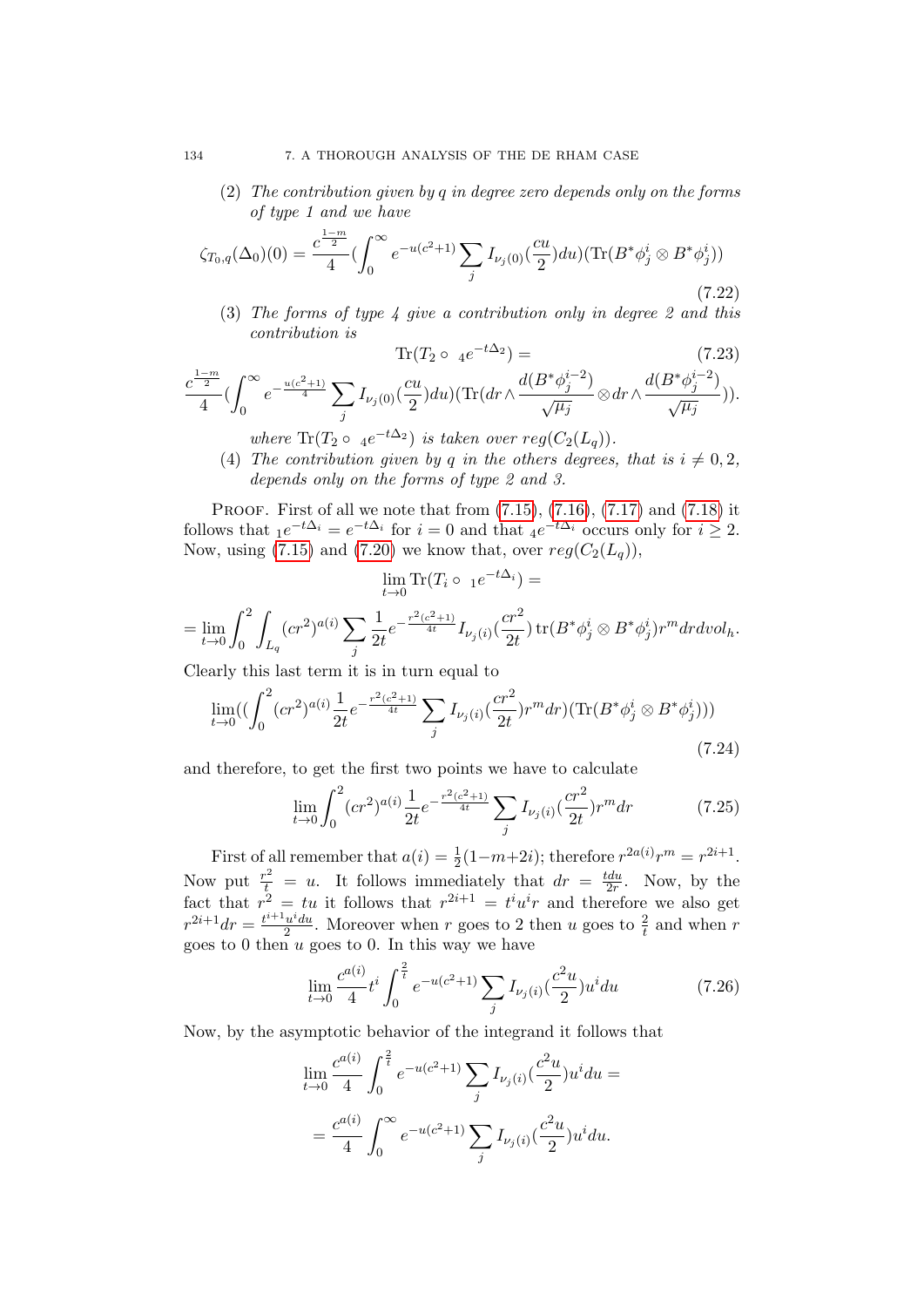(2) The contribution given by q in degree zero depends only on the forms of type 1 and we have

$$
\zeta_{T_0,q}(\Delta_0)(0) = \frac{c^{\frac{1-m}{2}}}{4} \left( \int_0^\infty e^{-u(c^2+1)} \sum_j I_{\nu_j(0)}(\frac{cu}{2}) du \right) \left( \text{Tr}(B^* \phi_j^i \otimes B^* \phi_j^i) \right)
$$
\n(7.22)

(3) The forms of type  $\lambda$  give a contribution only in degree 2 and this contribution is  $+ \Delta$ 22

$$
\text{Tr}(T_2 \circ 4e^{-t\Delta_2}) = \qquad (7.23)
$$
\n
$$
\frac{c^{\frac{1-m}{2}}}{4} \left( \int_0^\infty e^{-\frac{u(c^2+1)}{4}} \sum_j I_{\nu_j(0)} \left( \frac{cu}{2} \right) du \right) (\text{Tr}(dr \wedge \frac{d(B^*\phi_j^{i-2})}{\sqrt{\mu_j}} \otimes dr \wedge \frac{d(B^*\phi_j^{i-2})}{\sqrt{\mu_j}})).
$$
\n(7.24)

- where  $\text{Tr}(T_2 \circ 4e^{-t\Delta_2})$  is taken over  $reg(C_2(L_q))$ .
- (4) The contribution given by q in the others degrees, that is  $i \neq 0, 2$ , depends only on the forms of type 2 and 3.

PROOF. First of all we note that from  $(7.15)$ ,  $(7.16)$ ,  $(7.17)$  and  $(7.18)$  it follows that  $_1e^{-t\Delta_i} = e^{-t\Delta_i}$  for  $i = 0$  and that  $_4e^{-t\Delta_i}$  occurs only for  $i \geq 2$ . Now, using [\(7.15\)](#page-131-0) and [\(7.20\)](#page-132-2) we know that, over  $reg(C_2(L_q))$ ,

$$
\lim_{t \to 0} \text{Tr}(T_i \circ 1e^{-t\Delta_i}) =
$$

$$
=\lim_{t\to 0}\int_0^2\int_{L_q}(cr^2)^{a(i)}\sum_{j}\frac{1}{2t}e^{-\frac{r^2(c^2+1)}{4t}}I_{\nu_j(i)}(\frac{cr^2}{2t})\mathop{\rm tr}(B^*\phi^i_j\otimes B^*\phi^i_j)r^mdrdvol_h.
$$

Clearly this last term it is in turn equal to

$$
\lim_{t \to 0} \left( \left( \int_0^2 (cr^2)^{a(i)} \frac{1}{2t} e^{-\frac{r^2(c^2+1)}{4t}} \sum_j I_{\nu_j(i)} \left( \frac{cr^2}{2t} \right) r^m dr \right) (\text{Tr}(B^* \phi_j^i \otimes B^* \phi_j^i)) \right)
$$
\n(7.24)

and therefore, to get the first two points we have to calculate

$$
\lim_{t \to 0} \int_0^2 (cr^2)^{a(i)} \frac{1}{2t} e^{-\frac{r^2(c^2+1)}{4t}} \sum_j I_{\nu_j(i)} \left(\frac{cr^2}{2t}\right) r^m dr \tag{7.25}
$$

First of all remember that  $a(i) = \frac{1}{2}(1-m+2i)$ ; therefore  $r^{2a(i)}r^m = r^{2i+1}$ . Now put  $\frac{r^2}{t} = u$ . It follows immediately that  $dr = \frac{tdu}{2r}$  $rac{tdu}{2r}$ . Now, by the fact that  $r^2 = tu$  it follows that  $r^{2i+1} = tiu^i r$  and therefore we also get  $r^{2i+1}dr = \frac{t^{i+1}u^i du}{2}$  $\frac{u^i du}{2}$ . Moreover when r goes to 2 then u goes to  $\frac{2}{t}$  and when r goes to 0 then u goes to 0. In this way we have

<span id="page-133-0"></span>
$$
\lim_{t \to 0} \frac{c^{a(i)}}{4} t^i \int_0^{\frac{2}{t}} e^{-u(c^2+1)} \sum_j I_{\nu_j(i)} \left(\frac{c^2 u}{2}\right) u^i du \tag{7.26}
$$

Now, by the asymptotic behavior of the integrand it follows that

$$
\lim_{t \to 0} \frac{c^{a(i)}}{4} \int_0^{\frac{2}{t}} e^{-u(c^2+1)} \sum_j I_{\nu_j(i)} \left(\frac{c^2 u}{2}\right) u^i du =
$$
  
= 
$$
\frac{c^{a(i)}}{4} \int_0^\infty e^{-u(c^2+1)} \sum_j I_{\nu_j(i)} \left(\frac{c^2 u}{2}\right) u^i du.
$$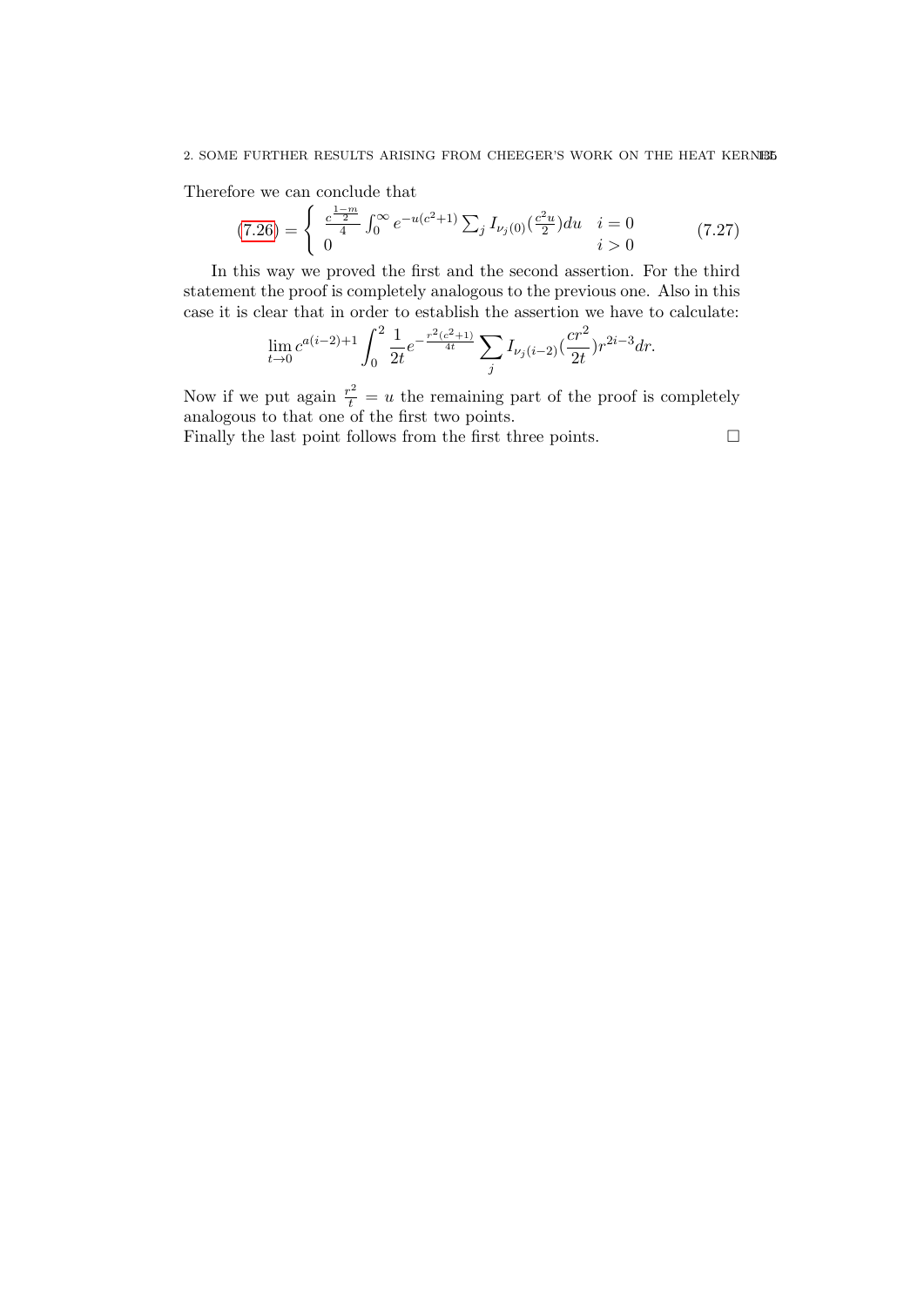#### 2. SOME FURTHER RESULTS ARISING FROM CHEEGER'S WORK ON THE HEAT KERNEL

Therefore we can conclude that

$$
(7.26) = \begin{cases} \frac{c^{\frac{1-m}{2}}}{4} \int_0^\infty e^{-u(c^2+1)} \sum_j I_{\nu_j(0)}(\frac{c^2u}{2}) du & i = 0\\ 0 & i > 0 \end{cases}
$$
 (7.27)

In this way we proved the first and the second assertion. For the third statement the proof is completely analogous to the previous one. Also in this case it is clear that in order to establish the assertion we have to calculate:

$$
\lim_{t \to 0} c^{a(i-2)+1} \int_0^2 \frac{1}{2t} e^{-\frac{r^2(c^2+1)}{4t}} \sum_j I_{\nu_j(i-2)} \left(\frac{cr^2}{2t}\right) r^{2i-3} dr.
$$

Now if we put again  $\frac{r^2}{t} = u$  the remaining part of the proof is completely analogous to that one of the first two points.

Finally the last point follows from the first three points.  $\Box$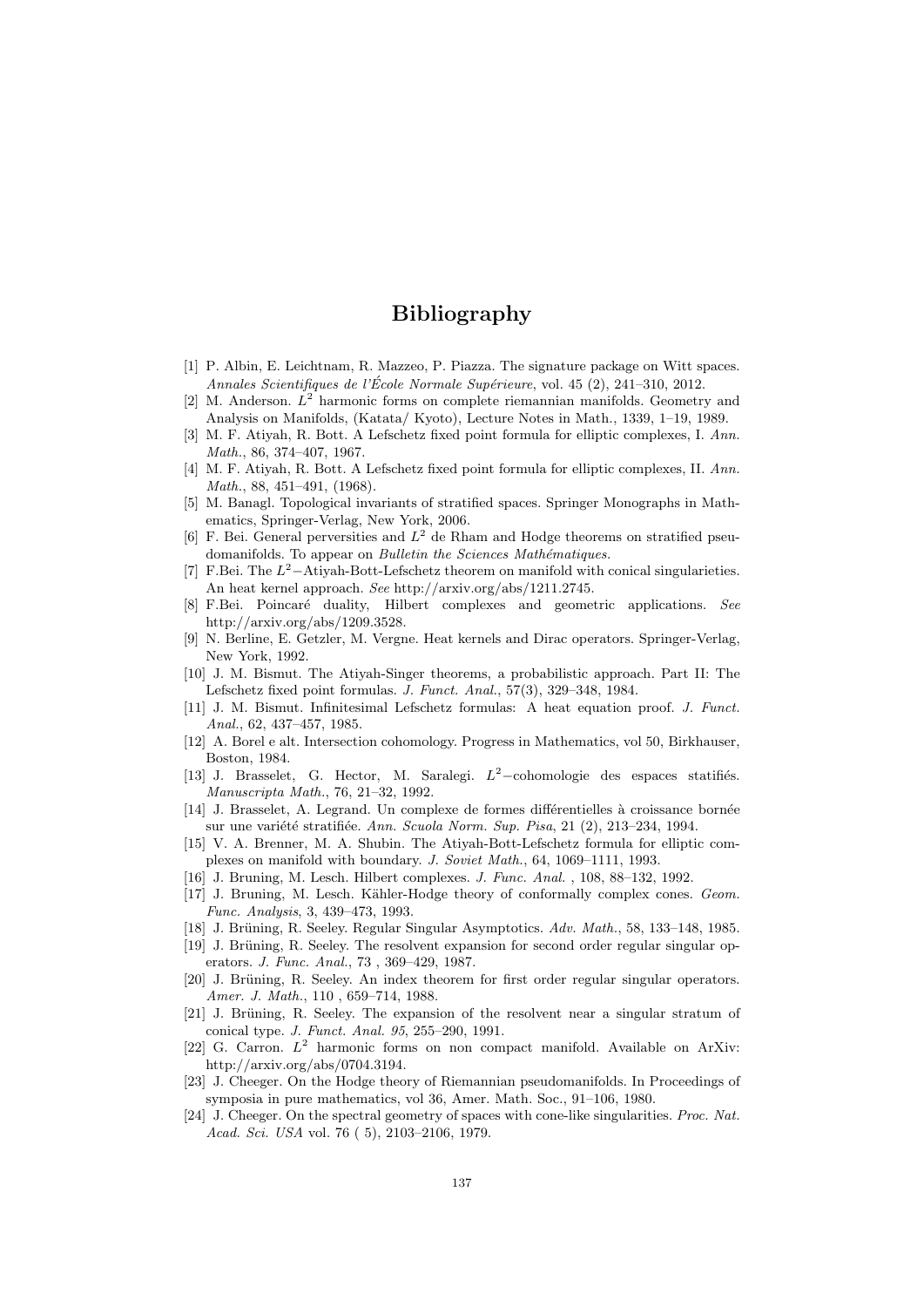## Bibliography

- [1] P. Albin, E. Leichtnam, R. Mazzeo, P. Piazza. The signature package on Witt spaces. Annales Scientifiques de l'École Normale Supérieure, vol. 45 (2), 241–310, 2012.
- [2] M. Anderson.  $L^2$  harmonic forms on complete riemannian manifolds. Geometry and Analysis on Manifolds, (Katata/ Kyoto), Lecture Notes in Math., 1339, 1–19, 1989.
- <span id="page-136-0"></span>[3] M. F. Atiyah, R. Bott. A Lefschetz fixed point formula for elliptic complexes, I. Ann. Math., 86, 374–407, 1967.
- <span id="page-136-2"></span>[4] M. F. Atiyah, R. Bott. A Lefschetz fixed point formula for elliptic complexes, II. Ann. Math., 88, 451–491, (1968).
- [5] M. Banagl. Topological invariants of stratified spaces. Springer Monographs in Mathematics, Springer-Verlag, New York, 2006.
- [6] F. Bei. General perversities and  $L^2$  de Rham and Hodge theorems on stratified pseudomanifolds. To appear on Bulletin the Sciences Mathématiques.
- [7] F.Bei. The  $L^2$ -Atiyah-Bott-Lefschetz theorem on manifold with conical singularieties. An heat kernel approach. See http://arxiv.org/abs/1211.2745.
- [8] F.Bei. Poincaré duality, Hilbert complexes and geometric applications. See http://arxiv.org/abs/1209.3528.
- <span id="page-136-1"></span>[9] N. Berline, E. Getzler, M. Vergne. Heat kernels and Dirac operators. Springer-Verlag, New York, 1992.
- [10] J. M. Bismut. The Atiyah-Singer theorems, a probabilistic approach. Part II: The Lefschetz fixed point formulas. J. Funct. Anal., 57(3), 329–348, 1984.
- [11] J. M. Bismut. Infinitesimal Lefschetz formulas: A heat equation proof. J. Funct. Anal., 62, 437–457, 1985.
- [12] A. Borel e alt. Intersection cohomology. Progress in Mathematics, vol 50, Birkhauser, Boston, 1984.
- [13] J. Brasselet, G. Hector, M. Saralegi.  $L^2$ -cohomologie des espaces statifiés. Manuscripta Math., 76, 21–32, 1992.
- [14] J. Brasselet, A. Legrand. Un complexe de formes différentielles à croissance bornée sur une variété stratifiée. Ann. Scuola Norm. Sup. Pisa, 21  $(2)$ , 213–234, 1994.
- [15] V. A. Brenner, M. A. Shubin. The Atiyah-Bott-Lefschetz formula for elliptic complexes on manifold with boundary. J. Soviet Math., 64, 1069–1111, 1993.
- [16] J. Bruning, M. Lesch. Hilbert complexes. J. Func. Anal. , 108, 88–132, 1992.
- [17] J. Bruning, M. Lesch. Kähler-Hodge theory of conformally complex cones. Geom. Func. Analysis, 3, 439–473, 1993.
- [18] J. Brüning, R. Seeley. Regular Singular Asymptotics. Adv. Math., 58, 133–148, 1985.
- [19] J. Brüning, R. Seeley. The resolvent expansion for second order regular singular operators. J. Func. Anal., 73 , 369–429, 1987.
- [20] J. Brüning, R. Seeley. An index theorem for first order regular singular operators. Amer. J. Math., 110 , 659–714, 1988.
- [21] J. Brüning, R. Seeley. The expansion of the resolvent near a singular stratum of conical type. J. Funct. Anal. 95, 255–290, 1991.
- [22] G. Carron.  $L^2$  harmonic forms on non compact manifold. Available on ArXiv: http://arxiv.org/abs/0704.3194.
- [23] J. Cheeger. On the Hodge theory of Riemannian pseudomanifolds. In Proceedings of symposia in pure mathematics, vol 36, Amer. Math. Soc., 91–106, 1980.
- <span id="page-136-3"></span>[24] J. Cheeger. On the spectral geometry of spaces with cone-like singularities. *Proc. Nat.* Acad. Sci. USA vol. 76 ( 5), 2103–2106, 1979.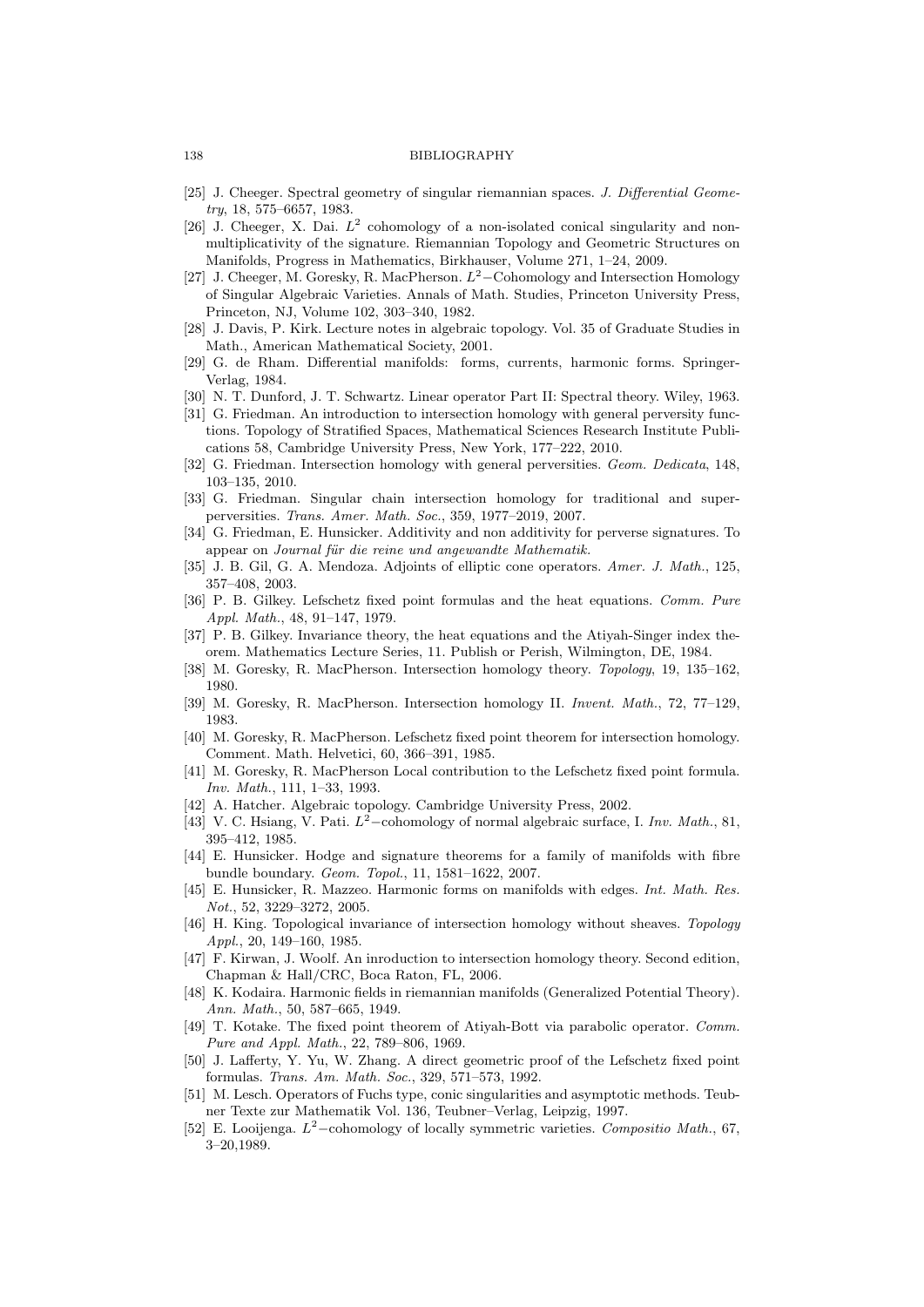#### 138 BIBLIOGRAPHY

- <span id="page-137-2"></span>[25] J. Cheeger. Spectral geometry of singular riemannian spaces. J. Differential Geometry, 18, 575–6657, 1983.
- [26] J. Cheeger, X. Dai.  $L^2$  cohomology of a non-isolated conical singularity and nonmultiplicativity of the signature. Riemannian Topology and Geometric Structures on Manifolds, Progress in Mathematics, Birkhauser, Volume 271, 1–24, 2009.
- [27] J. Cheeger, M. Goresky, R. MacPherson.  $L^2$ –Cohomology and Intersection Homology of Singular Algebraic Varieties. Annals of Math. Studies, Princeton University Press, Princeton, NJ, Volume 102, 303–340, 1982.
- [28] J. Davis, P. Kirk. Lecture notes in algebraic topology. Vol. 35 of Graduate Studies in Math., American Mathematical Society, 2001.
- [29] G. de Rham. Differential manifolds: forms, currents, harmonic forms. Springer-Verlag, 1984.
- [30] N. T. Dunford, J. T. Schwartz. Linear operator Part II: Spectral theory. Wiley, 1963.
- [31] G. Friedman. An introduction to intersection homology with general perversity functions. Topology of Stratified Spaces, Mathematical Sciences Research Institute Publications 58, Cambridge University Press, New York, 177–222, 2010.
- [32] G. Friedman. Intersection homology with general perversities. Geom. Dedicata, 148, 103–135, 2010.
- [33] G. Friedman. Singular chain intersection homology for traditional and superperversities. Trans. Amer. Math. Soc., 359, 1977–2019, 2007.
- [34] G. Friedman, E. Hunsicker. Additivity and non additivity for perverse signatures. To appear on Journal für die reine und angewandte Mathematik.
- [35] J. B. Gil, G. A. Mendoza. Adjoints of elliptic cone operators. Amer. J. Math., 125, 357–408, 2003.
- [36] P. B. Gilkey. Lefschetz fixed point formulas and the heat equations. Comm. Pure Appl. Math., 48, 91–147, 1979.
- [37] P. B. Gilkey. Invariance theory, the heat equations and the Atiyah-Singer index theorem. Mathematics Lecture Series, 11. Publish or Perish, Wilmington, DE, 1984.
- <span id="page-137-3"></span>[38] M. Goresky, R. MacPherson. Intersection homology theory. Topology, 19, 135–162, 1980.
- [39] M. Goresky, R. MacPherson. Intersection homology II. Invent. Math., 72, 77–129, 1983.
- <span id="page-137-0"></span>[40] M. Goresky, R. MacPherson. Lefschetz fixed point theorem for intersection homology. Comment. Math. Helvetici, 60, 366–391, 1985.
- <span id="page-137-4"></span>[41] M. Goresky, R. MacPherson Local contribution to the Lefschetz fixed point formula. Inv. Math., 111, 1–33, 1993.
- [42] A. Hatcher. Algebraic topology. Cambridge University Press, 2002.
- [43] V. C. Hsiang, V. Pati.  $L^2$ -cohomology of normal algebraic surface, I. Inv. Math., 81, 395–412, 1985.
- [44] E. Hunsicker. Hodge and signature theorems for a family of manifolds with fibre bundle boundary. Geom. Topol., 11, 1581–1622, 2007.
- [45] E. Hunsicker, R. Mazzeo. Harmonic forms on manifolds with edges. Int. Math. Res. Not., 52, 3229–3272, 2005.
- [46] H. King. Topological invariance of intersection homology without sheaves. Topology Appl., 20, 149–160, 1985.
- [47] F. Kirwan, J. Woolf. An inroduction to intersection homology theory. Second edition, Chapman & Hall/CRC, Boca Raton, FL, 2006.
- [48] K. Kodaira. Harmonic fields in riemannian manifolds (Generalized Potential Theory). Ann. Math., 50, 587–665, 1949.
- [49] T. Kotake. The fixed point theorem of Atiyah-Bott via parabolic operator. Comm. Pure and Appl. Math., 22, 789–806, 1969.
- [50] J. Lafferty, Y. Yu, W. Zhang. A direct geometric proof of the Lefschetz fixed point formulas. Trans. Am. Math. Soc., 329, 571–573, 1992.
- <span id="page-137-1"></span>[51] M. Lesch. Operators of Fuchs type, conic singularities and asymptotic methods. Teubner Texte zur Mathematik Vol. 136, Teubner–Verlag, Leipzig, 1997.
- [52] E. Looijenga.  $L^2$ -cohomology of locally symmetric varieties. Compositio Math., 67, 3–20,1989.